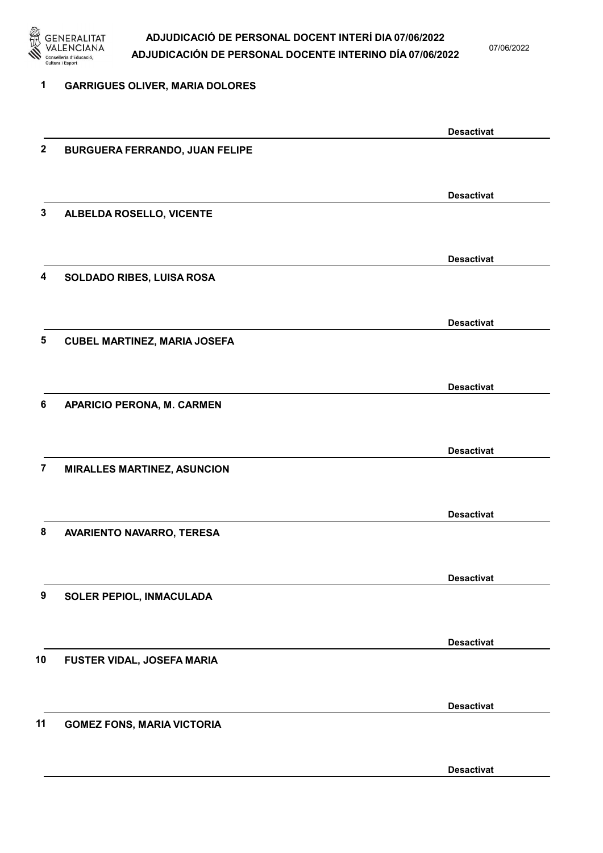

07/06/2022

Desactivat

| 1                | <b>GARRIGUES OLIVER, MARIA DOLORES</b> |                   |
|------------------|----------------------------------------|-------------------|
|                  |                                        | <b>Desactivat</b> |
| $\boldsymbol{2}$ | <b>BURGUERA FERRANDO, JUAN FELIPE</b>  |                   |
|                  |                                        | <b>Desactivat</b> |
| 3                | ALBELDA ROSELLO, VICENTE               |                   |
|                  |                                        | <b>Desactivat</b> |
| 4                | SOLDADO RIBES, LUISA ROSA              |                   |
|                  |                                        | <b>Desactivat</b> |
| 5                | <b>CUBEL MARTINEZ, MARIA JOSEFA</b>    |                   |
|                  |                                        | <b>Desactivat</b> |
| 6                | APARICIO PERONA, M. CARMEN             |                   |
|                  |                                        | <b>Desactivat</b> |
| $\overline{7}$   | <b>MIRALLES MARTINEZ, ASUNCION</b>     |                   |
|                  |                                        | <b>Desactivat</b> |
| 8                | AVARIENTO NAVARRO, TERESA              |                   |
|                  |                                        | <b>Desactivat</b> |
| 9                | SOLER PEPIOL, INMACULADA               |                   |
|                  |                                        | <b>Desactivat</b> |
| 10               | FUSTER VIDAL, JOSEFA MARIA             |                   |
|                  |                                        | <b>Desactivat</b> |
| 11               | <b>GOMEZ FONS, MARIA VICTORIA</b>      |                   |
|                  |                                        |                   |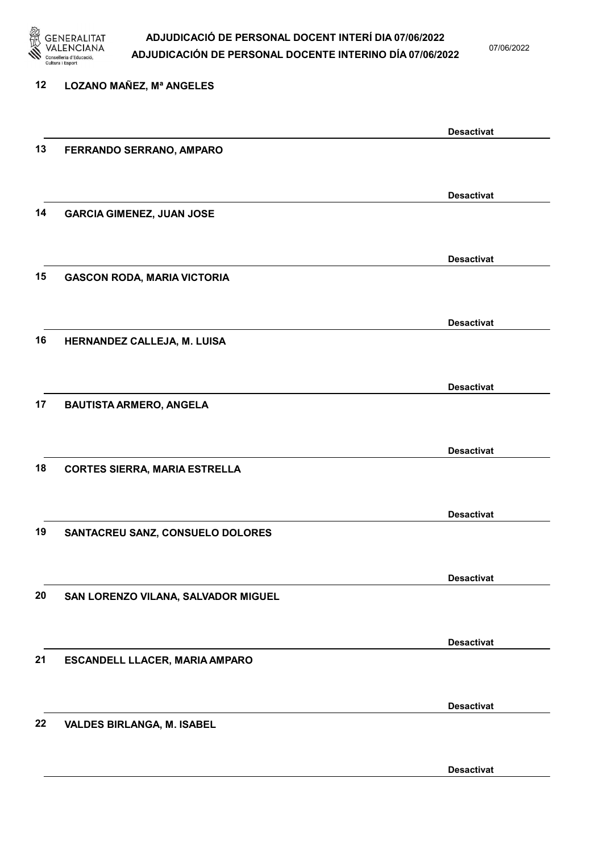

07/06/2022

Desactivat

| 12 | LOZANO MAÑEZ, Mª ANGELES             |                   |
|----|--------------------------------------|-------------------|
|    |                                      | <b>Desactivat</b> |
| 13 | FERRANDO SERRANO, AMPARO             |                   |
|    |                                      | <b>Desactivat</b> |
| 14 | <b>GARCIA GIMENEZ, JUAN JOSE</b>     |                   |
|    |                                      | <b>Desactivat</b> |
| 15 | <b>GASCON RODA, MARIA VICTORIA</b>   |                   |
|    |                                      | <b>Desactivat</b> |
| 16 | HERNANDEZ CALLEJA, M. LUISA          |                   |
|    |                                      | <b>Desactivat</b> |
| 17 | <b>BAUTISTA ARMERO, ANGELA</b>       |                   |
|    |                                      | <b>Desactivat</b> |
| 18 | <b>CORTES SIERRA, MARIA ESTRELLA</b> |                   |
|    |                                      | <b>Desactivat</b> |
| 19 | SANTACREU SANZ, CONSUELO DOLORES     |                   |
|    |                                      | <b>Desactivat</b> |
| 20 | SAN LORENZO VILANA, SALVADOR MIGUEL  |                   |
|    |                                      | <b>Desactivat</b> |
| 21 | ESCANDELL LLACER, MARIA AMPARO       |                   |
|    |                                      | <b>Desactivat</b> |
| 22 | <b>VALDES BIRLANGA, M. ISABEL</b>    |                   |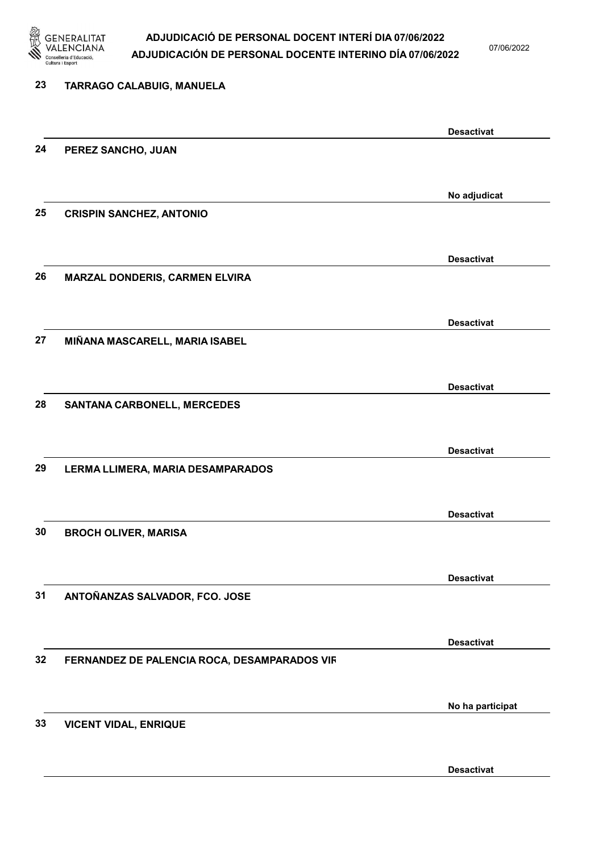

07/06/2022

| 23 | TARRAGO CALABUIG, MANUELA                    |                   |
|----|----------------------------------------------|-------------------|
|    |                                              | <b>Desactivat</b> |
| 24 | PEREZ SANCHO, JUAN                           |                   |
|    |                                              | No adjudicat      |
| 25 | <b>CRISPIN SANCHEZ, ANTONIO</b>              |                   |
|    |                                              | <b>Desactivat</b> |
| 26 | MARZAL DONDERIS, CARMEN ELVIRA               |                   |
|    |                                              | <b>Desactivat</b> |
| 27 | MIÑANA MASCARELL, MARIA ISABEL               |                   |
|    |                                              | <b>Desactivat</b> |
| 28 | <b>SANTANA CARBONELL, MERCEDES</b>           |                   |
|    |                                              | <b>Desactivat</b> |
| 29 | LERMA LLIMERA, MARIA DESAMPARADOS            |                   |
| 30 |                                              | <b>Desactivat</b> |
|    | <b>BROCH OLIVER, MARISA</b>                  |                   |
| 31 | ANTOÑANZAS SALVADOR, FCO. JOSE               | <b>Desactivat</b> |
|    |                                              |                   |
| 32 | FERNANDEZ DE PALENCIA ROCA, DESAMPARADOS VIR | <b>Desactivat</b> |
|    |                                              |                   |
| 33 | <b>VICENT VIDAL, ENRIQUE</b>                 | No ha participat  |
|    |                                              |                   |
|    |                                              | <b>Desactivat</b> |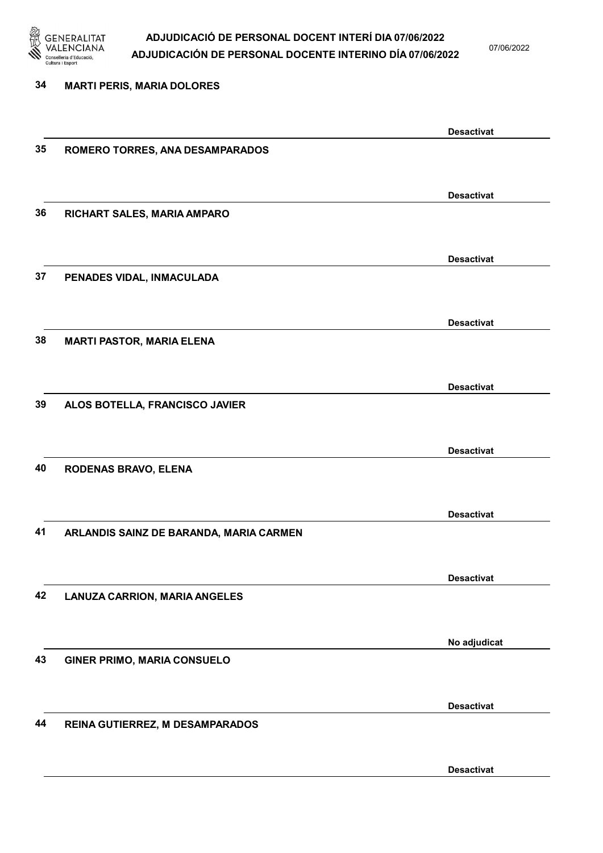

07/06/2022

Desactivat

# 34 MARTI PERIS, MARIA DOLORES Desactivat 35 ROMERO TORRES, ANA DESAMPARADOS Desactivat 36 RICHART SALES, MARIA AMPARO Desactivat 37 PENADES VIDAL, INMACULADA Desactivat 38 MARTI PASTOR, MARIA ELENA Desactivat 39 ALOS BOTELLA, FRANCISCO JAVIER Desactivat 40 RODENAS BRAVO, ELENA Desactivat 41 ARLANDIS SAINZ DE BARANDA, MARIA CARMEN Desactivat 42 LANUZA CARRION, MARIA ANGELES No adjudicat 43 GINER PRIMO, MARIA CONSUELO Desactivat 44 REINA GUTIERREZ, M DESAMPARADOS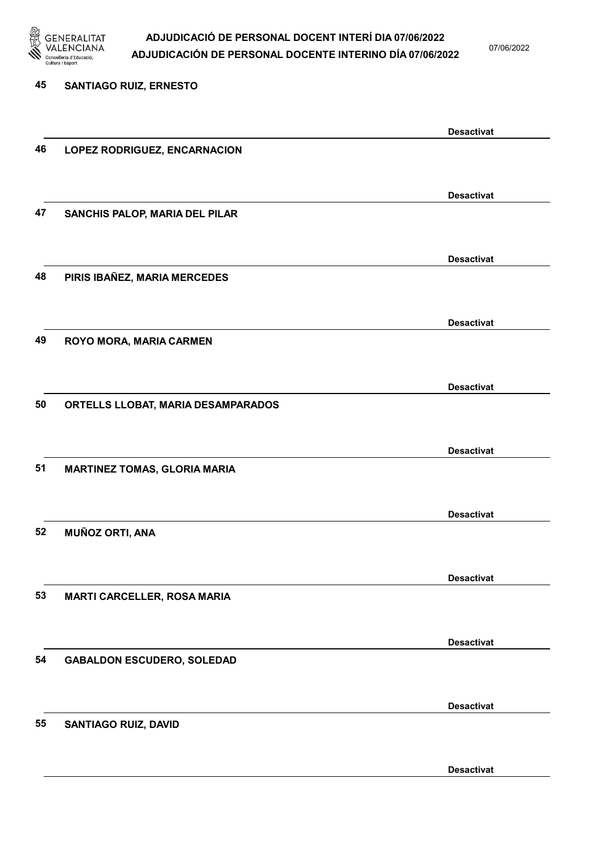

07/06/2022

Desactivat

# 45 SANTIAGO RUIZ, ERNESTO Desactivat 46 LOPEZ RODRIGUEZ, ENCARNACION Desactivat 47 SANCHIS PALOP, MARIA DEL PILAR Desactivat 48 PIRIS IBAÑEZ, MARIA MERCEDES Desactivat 49 ROYO MORA, MARIA CARMEN Desactivat 50 ORTELLS LLOBAT, MARIA DESAMPARADOS Desactivat 51 MARTINEZ TOMAS, GLORIA MARIA Desactivat 52 MUÑOZ ORTI, ANA Desactivat 53 MARTI CARCELLER, ROSA MARIA Desactivat 54 GABALDON ESCUDERO, SOLEDAD Desactivat 55 SANTIAGO RUIZ, DAVID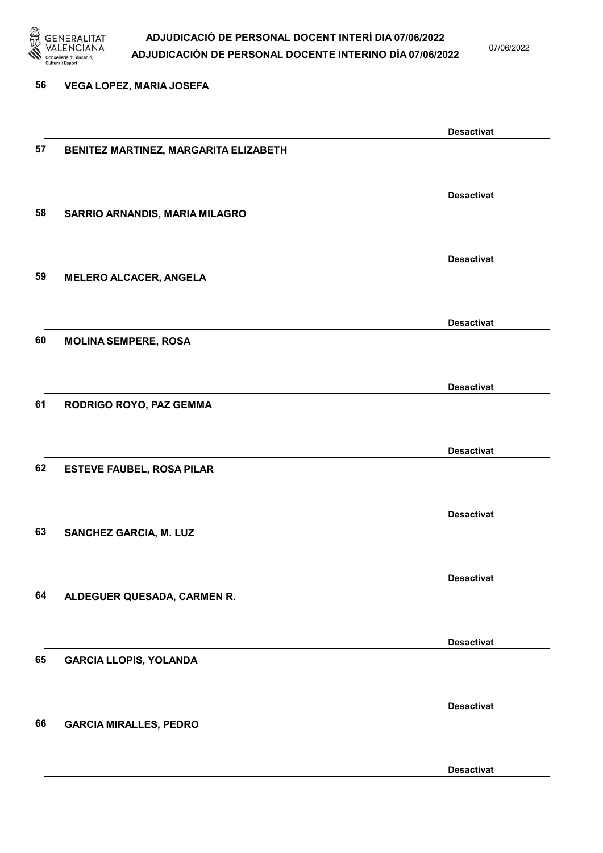

07/06/2022

#### 56 VEGA LOPEZ, MARIA JOSEFA

|    |                                       | <b>Desactivat</b> |
|----|---------------------------------------|-------------------|
| 57 | BENITEZ MARTINEZ, MARGARITA ELIZABETH |                   |
|    |                                       |                   |
|    |                                       | <b>Desactivat</b> |
| 58 | SARRIO ARNANDIS, MARIA MILAGRO        |                   |
|    |                                       |                   |
|    |                                       | <b>Desactivat</b> |
| 59 | <b>MELERO ALCACER, ANGELA</b>         |                   |
|    |                                       |                   |
|    |                                       |                   |
|    |                                       | <b>Desactivat</b> |
| 60 | <b>MOLINA SEMPERE, ROSA</b>           |                   |
|    |                                       |                   |
|    |                                       | <b>Desactivat</b> |
| 61 | RODRIGO ROYO, PAZ GEMMA               |                   |
|    |                                       |                   |
|    |                                       | <b>Desactivat</b> |
| 62 | <b>ESTEVE FAUBEL, ROSA PILAR</b>      |                   |
|    |                                       |                   |
|    |                                       |                   |
|    |                                       | <b>Desactivat</b> |
| 63 | <b>SANCHEZ GARCIA, M. LUZ</b>         |                   |
|    |                                       |                   |
|    |                                       | <b>Desactivat</b> |
| 64 | ALDEGUER QUESADA, CARMEN R.           |                   |
|    |                                       |                   |
|    |                                       | <b>Desactivat</b> |
| 65 | <b>GARCIA LLOPIS, YOLANDA</b>         |                   |
|    |                                       |                   |
|    |                                       |                   |
|    |                                       | <b>Desactivat</b> |
| 66 | <b>GARCIA MIRALLES, PEDRO</b>         |                   |
|    |                                       |                   |
|    |                                       | <b>Desactivat</b> |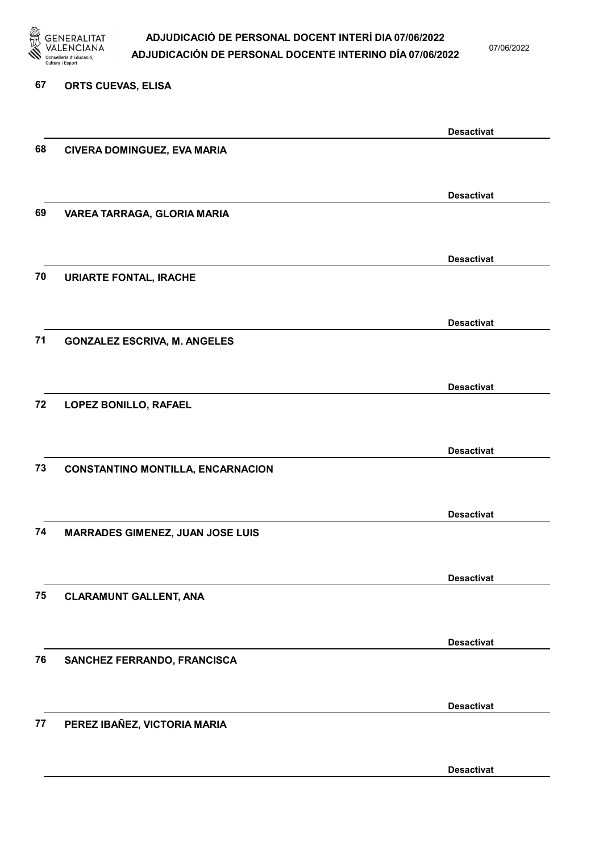

07/06/2022

#### 67 ORTS CUEVAS, ELISA

| 68 | CIVERA DOMINGUEZ, EVA MARIA              | <b>Desactivat</b> |
|----|------------------------------------------|-------------------|
|    |                                          |                   |
|    |                                          |                   |
|    |                                          | <b>Desactivat</b> |
| 69 | VAREA TARRAGA, GLORIA MARIA              |                   |
|    |                                          |                   |
|    |                                          | <b>Desactivat</b> |
| 70 | <b>URIARTE FONTAL, IRACHE</b>            |                   |
|    |                                          |                   |
|    |                                          | <b>Desactivat</b> |
| 71 | <b>GONZALEZ ESCRIVA, M. ANGELES</b>      |                   |
|    |                                          |                   |
|    |                                          | <b>Desactivat</b> |
| 72 | LOPEZ BONILLO, RAFAEL                    |                   |
|    |                                          |                   |
|    |                                          | <b>Desactivat</b> |
| 73 | <b>CONSTANTINO MONTILLA, ENCARNACION</b> |                   |
|    |                                          |                   |
|    |                                          |                   |
| 74 | <b>MARRADES GIMENEZ, JUAN JOSE LUIS</b>  | <b>Desactivat</b> |
|    |                                          |                   |
|    |                                          |                   |
|    |                                          | <b>Desactivat</b> |
| 75 | <b>CLARAMUNT GALLENT, ANA</b>            |                   |
|    |                                          |                   |
|    |                                          | <b>Desactivat</b> |
| 76 | SANCHEZ FERRANDO, FRANCISCA              |                   |
|    |                                          |                   |
|    |                                          | <b>Desactivat</b> |
| 77 | PEREZ IBAÑEZ, VICTORIA MARIA             |                   |
|    |                                          |                   |
|    |                                          | <b>Desactivat</b> |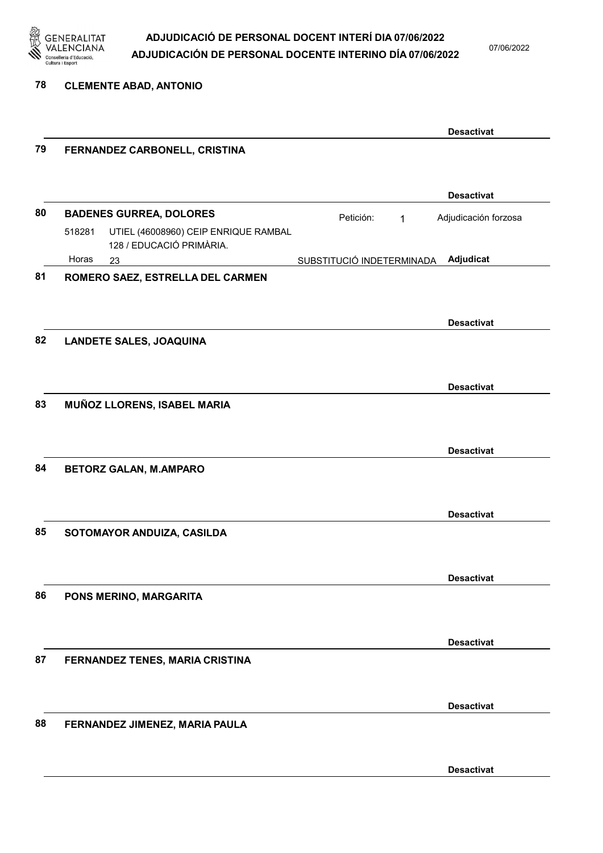

07/06/2022

78 CLEMENTE ABAD, ANTONIO

| 79 |                                                                            |                           | <b>Desactivat</b>    |
|----|----------------------------------------------------------------------------|---------------------------|----------------------|
|    | FERNANDEZ CARBONELL, CRISTINA                                              |                           |                      |
|    |                                                                            |                           | <b>Desactivat</b>    |
| 80 | <b>BADENES GURREA, DOLORES</b>                                             | Petición:<br>$\mathbf{1}$ | Adjudicación forzosa |
|    | UTIEL (46008960) CEIP ENRIQUE RAMBAL<br>518281<br>128 / EDUCACIÓ PRIMÀRIA. |                           |                      |
|    | Horas<br>23                                                                | SUBSTITUCIÓ INDETERMINADA | Adjudicat            |
| 81 | ROMERO SAEZ, ESTRELLA DEL CARMEN                                           |                           |                      |
|    |                                                                            |                           | <b>Desactivat</b>    |
| 82 | <b>LANDETE SALES, JOAQUINA</b>                                             |                           |                      |
|    |                                                                            |                           | <b>Desactivat</b>    |
| 83 | MUÑOZ LLORENS, ISABEL MARIA                                                |                           |                      |
|    |                                                                            |                           | <b>Desactivat</b>    |
| 84 | <b>BETORZ GALAN, M.AMPARO</b>                                              |                           |                      |
|    |                                                                            |                           | <b>Desactivat</b>    |
| 85 | SOTOMAYOR ANDUIZA, CASILDA                                                 |                           |                      |
|    |                                                                            |                           | <b>Desactivat</b>    |
| 86 | PONS MERINO, MARGARITA                                                     |                           |                      |
|    |                                                                            |                           | <b>Desactivat</b>    |
| 87 | FERNANDEZ TENES, MARIA CRISTINA                                            |                           |                      |
|    |                                                                            |                           | <b>Desactivat</b>    |
| 88 | FERNANDEZ JIMENEZ, MARIA PAULA                                             |                           |                      |
|    |                                                                            |                           | <b>Desactivat</b>    |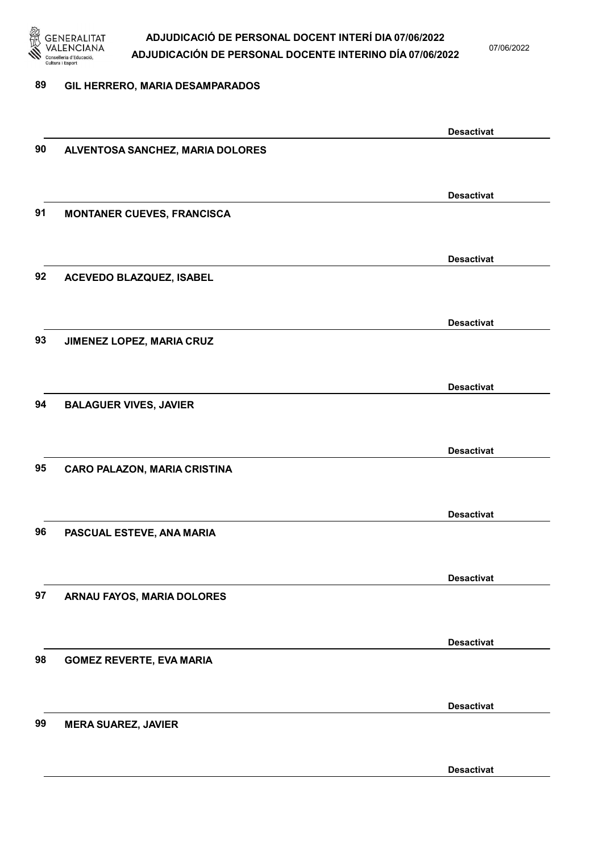

07/06/2022

#### 89 GIL HERRERO, MARIA DESAMPARADOS

|    |                                     | <b>Desactivat</b> |
|----|-------------------------------------|-------------------|
| 90 | ALVENTOSA SANCHEZ, MARIA DOLORES    |                   |
|    |                                     |                   |
|    |                                     | <b>Desactivat</b> |
| 91 | <b>MONTANER CUEVES, FRANCISCA</b>   |                   |
|    |                                     |                   |
|    |                                     |                   |
|    |                                     | <b>Desactivat</b> |
| 92 | ACEVEDO BLAZQUEZ, ISABEL            |                   |
|    |                                     |                   |
|    |                                     | <b>Desactivat</b> |
| 93 | JIMENEZ LOPEZ, MARIA CRUZ           |                   |
|    |                                     |                   |
|    |                                     |                   |
|    |                                     | <b>Desactivat</b> |
| 94 | <b>BALAGUER VIVES, JAVIER</b>       |                   |
|    |                                     |                   |
|    |                                     | <b>Desactivat</b> |
| 95 | <b>CARO PALAZON, MARIA CRISTINA</b> |                   |
|    |                                     |                   |
|    |                                     | <b>Desactivat</b> |
| 96 | PASCUAL ESTEVE, ANA MARIA           |                   |
|    |                                     |                   |
|    |                                     |                   |
|    |                                     | <b>Desactivat</b> |
| 97 | ARNAU FAYOS, MARIA DOLORES          |                   |
|    |                                     |                   |
|    |                                     | <b>Desactivat</b> |
| 98 | <b>GOMEZ REVERTE, EVA MARIA</b>     |                   |
|    |                                     |                   |
|    |                                     |                   |
|    |                                     | <b>Desactivat</b> |
| 99 | <b>MERA SUAREZ, JAVIER</b>          |                   |
|    |                                     |                   |
|    |                                     | <b>Desactivat</b> |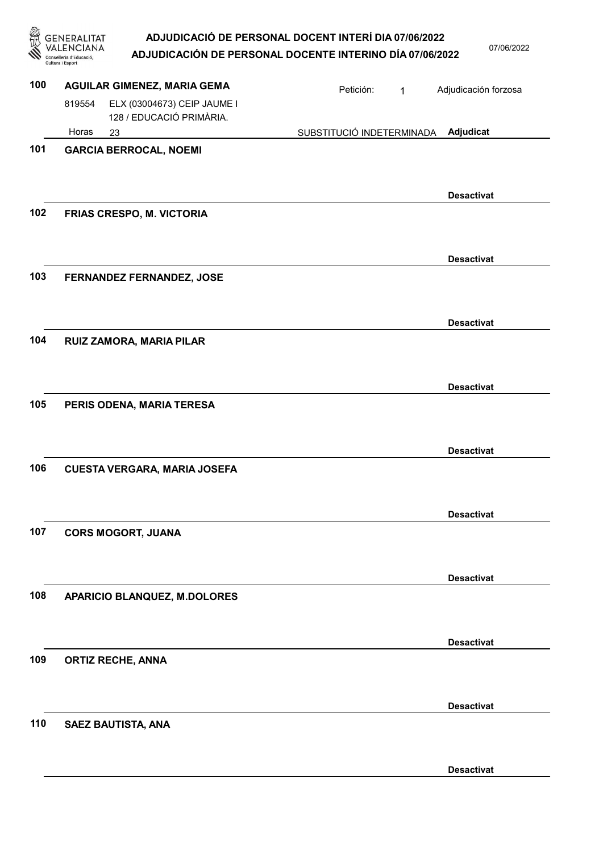|     | <b>ERALITAT</b><br>Cultura i Esport                               | ADJUDICACIÓ DE PERSONAL DOCENT INTERÍ DIA 07/06/2022<br>ADJUDICACIÓN DE PERSONAL DOCENTE INTERINO DÍA 07/06/2022 | 07/06/2022           |
|-----|-------------------------------------------------------------------|------------------------------------------------------------------------------------------------------------------|----------------------|
| 100 | <b>AGUILAR GIMENEZ, MARIA GEMA</b>                                | Petición:<br>$\mathbf{1}$                                                                                        | Adjudicación forzosa |
|     | ELX (03004673) CEIP JAUME I<br>819554<br>128 / EDUCACIÓ PRIMÀRIA. |                                                                                                                  |                      |
|     | Horas<br>23                                                       | SUBSTITUCIÓ INDETERMINADA                                                                                        | Adjudicat            |
| 101 | <b>GARCIA BERROCAL, NOEMI</b>                                     |                                                                                                                  |                      |
|     |                                                                   |                                                                                                                  | <b>Desactivat</b>    |
| 102 | <b>FRIAS CRESPO, M. VICTORIA</b>                                  |                                                                                                                  |                      |
|     |                                                                   |                                                                                                                  | <b>Desactivat</b>    |
| 103 | <b>FERNANDEZ FERNANDEZ, JOSE</b>                                  |                                                                                                                  |                      |
|     |                                                                   |                                                                                                                  | <b>Desactivat</b>    |
| 104 | RUIZ ZAMORA, MARIA PILAR                                          |                                                                                                                  |                      |
|     |                                                                   |                                                                                                                  | <b>Desactivat</b>    |
| 105 | PERIS ODENA, MARIA TERESA                                         |                                                                                                                  |                      |
|     |                                                                   |                                                                                                                  | <b>Desactivat</b>    |
| 106 | <b>CUESTA VERGARA, MARIA JOSEFA</b>                               |                                                                                                                  |                      |
|     |                                                                   |                                                                                                                  | <b>Desactivat</b>    |
| 107 | <b>CORS MOGORT, JUANA</b>                                         |                                                                                                                  |                      |
|     |                                                                   |                                                                                                                  | <b>Desactivat</b>    |
| 108 | <b>APARICIO BLANQUEZ, M.DOLORES</b>                               |                                                                                                                  |                      |
|     |                                                                   |                                                                                                                  | <b>Desactivat</b>    |
| 109 | <b>ORTIZ RECHE, ANNA</b>                                          |                                                                                                                  |                      |
|     |                                                                   |                                                                                                                  | <b>Desactivat</b>    |
| 110 | SAEZ BAUTISTA, ANA                                                |                                                                                                                  |                      |

Desactivat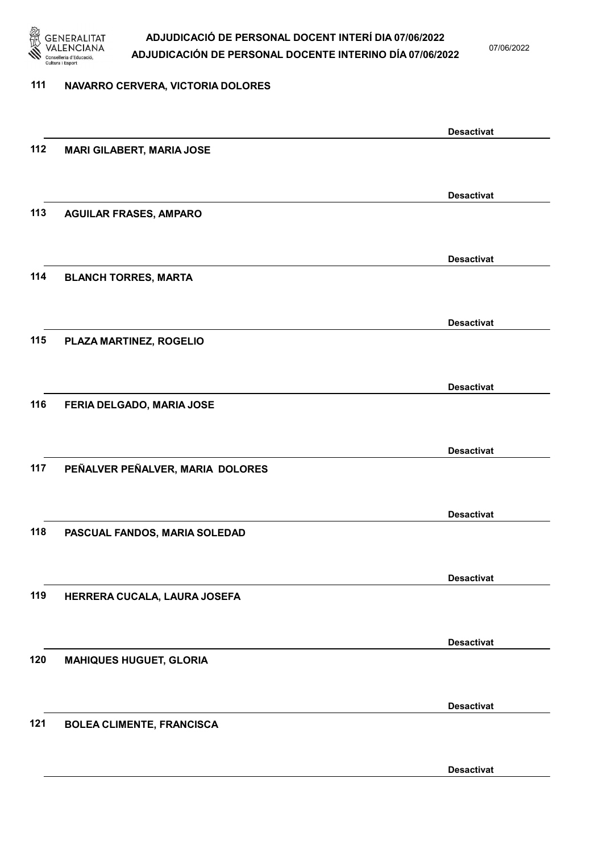

07/06/2022

#### 111 NAVARRO CERVERA, VICTORIA DOLORES

|     |                                  | <b>Desactivat</b> |
|-----|----------------------------------|-------------------|
| 112 | <b>MARI GILABERT, MARIA JOSE</b> |                   |
|     |                                  |                   |
|     |                                  | <b>Desactivat</b> |
| 113 | <b>AGUILAR FRASES, AMPARO</b>    |                   |
|     |                                  |                   |
|     |                                  | <b>Desactivat</b> |
| 114 | <b>BLANCH TORRES, MARTA</b>      |                   |
|     |                                  |                   |
|     |                                  |                   |
| 115 | PLAZA MARTINEZ, ROGELIO          | <b>Desactivat</b> |
|     |                                  |                   |
|     |                                  |                   |
| 116 |                                  | <b>Desactivat</b> |
|     | FERIA DELGADO, MARIA JOSE        |                   |
|     |                                  |                   |
|     |                                  | <b>Desactivat</b> |
| 117 | PEÑALVER PEÑALVER, MARIA DOLORES |                   |
|     |                                  |                   |
|     |                                  | <b>Desactivat</b> |
| 118 | PASCUAL FANDOS, MARIA SOLEDAD    |                   |
|     |                                  |                   |
|     |                                  | <b>Desactivat</b> |
| 119 | HERRERA CUCALA, LAURA JOSEFA     |                   |
|     |                                  |                   |
|     |                                  | <b>Desactivat</b> |
| 120 | <b>MAHIQUES HUGUET, GLORIA</b>   |                   |
|     |                                  |                   |
|     |                                  | <b>Desactivat</b> |
| 121 | <b>BOLEA CLIMENTE, FRANCISCA</b> |                   |
|     |                                  |                   |
|     |                                  | <b>Desactivat</b> |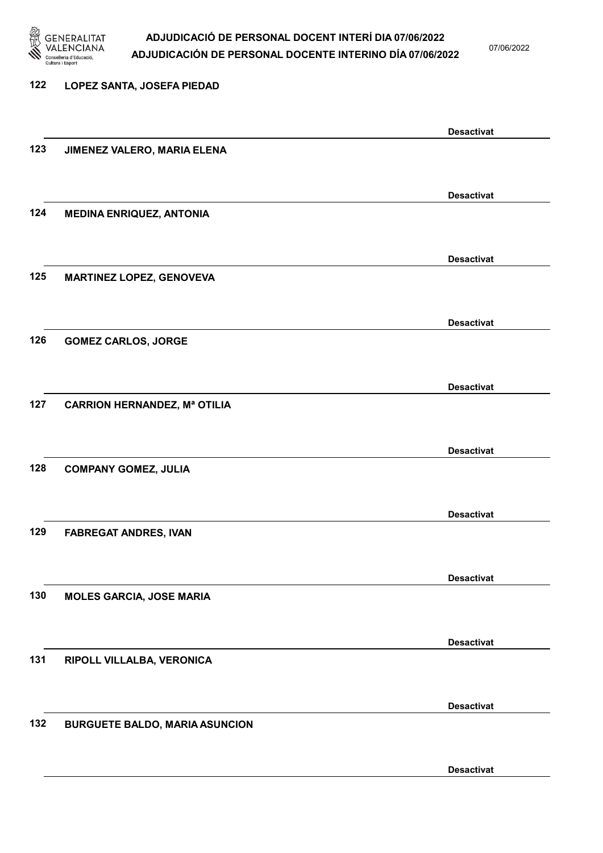

07/06/2022

# 122 LOPEZ SANTA, JOSEFA PIEDAD Desactivat 123 JIMENEZ VALERO, MARIA ELENA Desactivat 124 MEDINA ENRIQUEZ, ANTONIA Desactivat 125 MARTINEZ LOPEZ, GENOVEVA Desactivat 126 GOMEZ CARLOS, JORGE Desactivat 127 CARRION HERNANDEZ, Mª OTILIA Desactivat 128 COMPANY GOMEZ, JULIA Desactivat 129 FABREGAT ANDRES, IVAN Desactivat 130 MOLES GARCIA, JOSE MARIA Desactivat 131 RIPOLL VILLALBA, VERONICA Desactivat 132 BURGUETE BALDO, MARIA ASUNCION Desactivat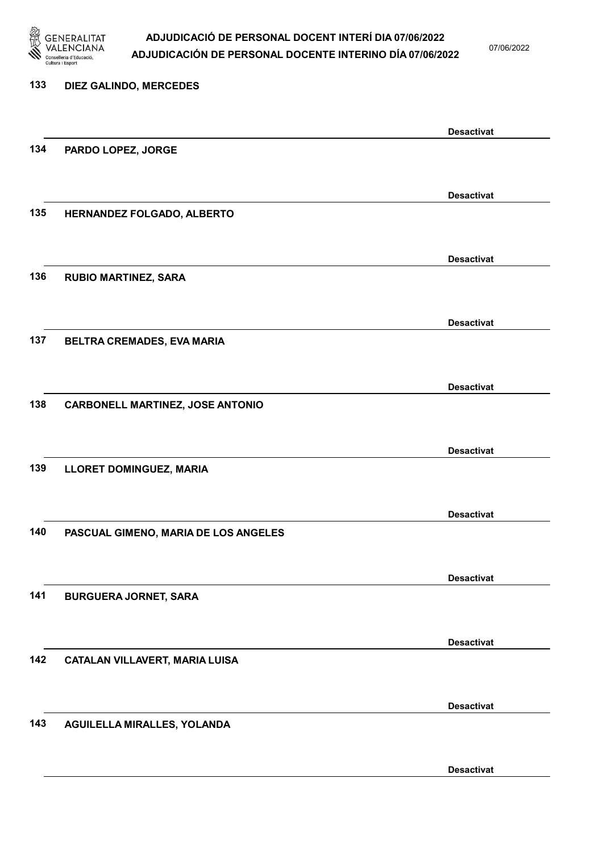

07/06/2022

| 133 | DIEZ GALINDO, MERCEDES                  |                   |
|-----|-----------------------------------------|-------------------|
|     |                                         |                   |
|     |                                         |                   |
|     |                                         | <b>Desactivat</b> |
| 134 | PARDO LOPEZ, JORGE                      |                   |
|     |                                         |                   |
|     |                                         |                   |
|     |                                         | <b>Desactivat</b> |
| 135 | HERNANDEZ FOLGADO, ALBERTO              |                   |
|     |                                         |                   |
|     |                                         |                   |
|     |                                         | <b>Desactivat</b> |
| 136 | <b>RUBIO MARTINEZ, SARA</b>             |                   |
|     |                                         |                   |
|     |                                         |                   |
|     |                                         | <b>Desactivat</b> |
| 137 | BELTRA CREMADES, EVA MARIA              |                   |
|     |                                         |                   |
|     |                                         | <b>Desactivat</b> |
| 138 |                                         |                   |
|     | <b>CARBONELL MARTINEZ, JOSE ANTONIO</b> |                   |
|     |                                         |                   |
|     |                                         | <b>Desactivat</b> |
| 139 | LLORET DOMINGUEZ, MARIA                 |                   |
|     |                                         |                   |
|     |                                         |                   |
|     |                                         | <b>Desactivat</b> |
| 140 | PASCUAL GIMENO, MARIA DE LOS ANGELES    |                   |
|     |                                         |                   |
|     |                                         |                   |
|     |                                         | <b>Desactivat</b> |
| 141 | <b>BURGUERA JORNET, SARA</b>            |                   |
|     |                                         |                   |
|     |                                         |                   |
|     |                                         | <b>Desactivat</b> |
| 142 | CATALAN VILLAVERT, MARIA LUISA          |                   |
|     |                                         |                   |
|     |                                         |                   |
|     |                                         | <b>Desactivat</b> |
| 143 | AGUILELLA MIRALLES, YOLANDA             |                   |
|     |                                         |                   |
|     |                                         |                   |

Desactivat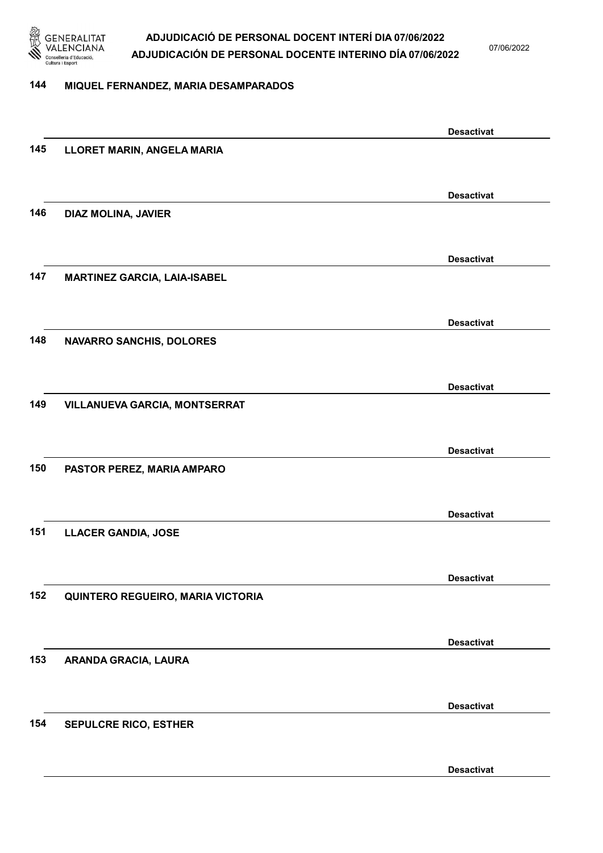

07/06/2022

#### 144 MIQUEL FERNANDEZ, MARIA DESAMPARADOS

|     |                                     | <b>Desactivat</b> |
|-----|-------------------------------------|-------------------|
| 145 | LLORET MARIN, ANGELA MARIA          |                   |
|     |                                     |                   |
|     |                                     | <b>Desactivat</b> |
| 146 | DIAZ MOLINA, JAVIER                 |                   |
|     |                                     |                   |
|     |                                     |                   |
|     |                                     | <b>Desactivat</b> |
| 147 | <b>MARTINEZ GARCIA, LAIA-ISABEL</b> |                   |
|     |                                     |                   |
|     |                                     | <b>Desactivat</b> |
| 148 | <b>NAVARRO SANCHIS, DOLORES</b>     |                   |
|     |                                     |                   |
|     |                                     |                   |
|     |                                     | <b>Desactivat</b> |
| 149 | VILLANUEVA GARCIA, MONTSERRAT       |                   |
|     |                                     |                   |
|     |                                     | <b>Desactivat</b> |
| 150 | PASTOR PEREZ, MARIA AMPARO          |                   |
|     |                                     |                   |
|     |                                     | <b>Desactivat</b> |
| 151 | <b>LLACER GANDIA, JOSE</b>          |                   |
|     |                                     |                   |
|     |                                     |                   |
|     |                                     | <b>Desactivat</b> |
| 152 | QUINTERO REGUEIRO, MARIA VICTORIA   |                   |
|     |                                     |                   |
|     |                                     | <b>Desactivat</b> |
| 153 | ARANDA GRACIA, LAURA                |                   |
|     |                                     |                   |
|     |                                     |                   |
|     |                                     | <b>Desactivat</b> |
| 154 | <b>SEPULCRE RICO, ESTHER</b>        |                   |
|     |                                     |                   |
|     |                                     | <b>Desactivat</b> |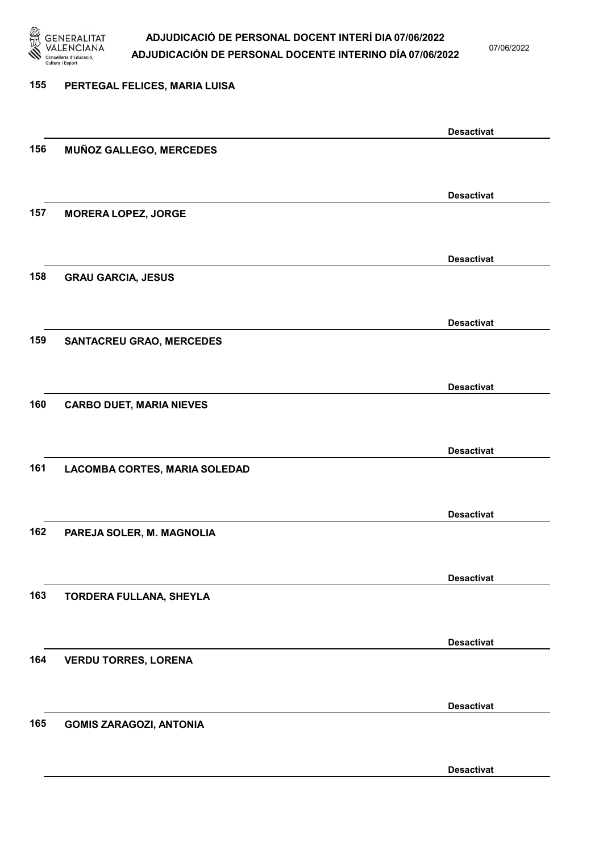

07/06/2022

#### 155 PERTEGAL FELICES, MARIA LUISA

|     |                                 | <b>Desactivat</b> |
|-----|---------------------------------|-------------------|
| 156 | MUÑOZ GALLEGO, MERCEDES         |                   |
|     |                                 |                   |
|     |                                 | <b>Desactivat</b> |
| 157 | <b>MORERA LOPEZ, JORGE</b>      |                   |
|     |                                 |                   |
|     |                                 | <b>Desactivat</b> |
| 158 | <b>GRAU GARCIA, JESUS</b>       |                   |
|     |                                 |                   |
|     |                                 | <b>Desactivat</b> |
| 159 | <b>SANTACREU GRAO, MERCEDES</b> |                   |
|     |                                 |                   |
|     |                                 | <b>Desactivat</b> |
| 160 | <b>CARBO DUET, MARIA NIEVES</b> |                   |
|     |                                 |                   |
|     |                                 | <b>Desactivat</b> |
| 161 | LACOMBA CORTES, MARIA SOLEDAD   |                   |
|     |                                 |                   |
|     |                                 | <b>Desactivat</b> |
| 162 | PAREJA SOLER, M. MAGNOLIA       |                   |
|     |                                 |                   |
|     |                                 | <b>Desactivat</b> |
| 163 | TORDERA FULLANA, SHEYLA         |                   |
|     |                                 |                   |
|     |                                 | <b>Desactivat</b> |
| 164 | <b>VERDU TORRES, LORENA</b>     |                   |
|     |                                 |                   |
|     |                                 | <b>Desactivat</b> |
| 165 | <b>GOMIS ZARAGOZI, ANTONIA</b>  |                   |
|     |                                 |                   |
|     |                                 | <b>Desactivat</b> |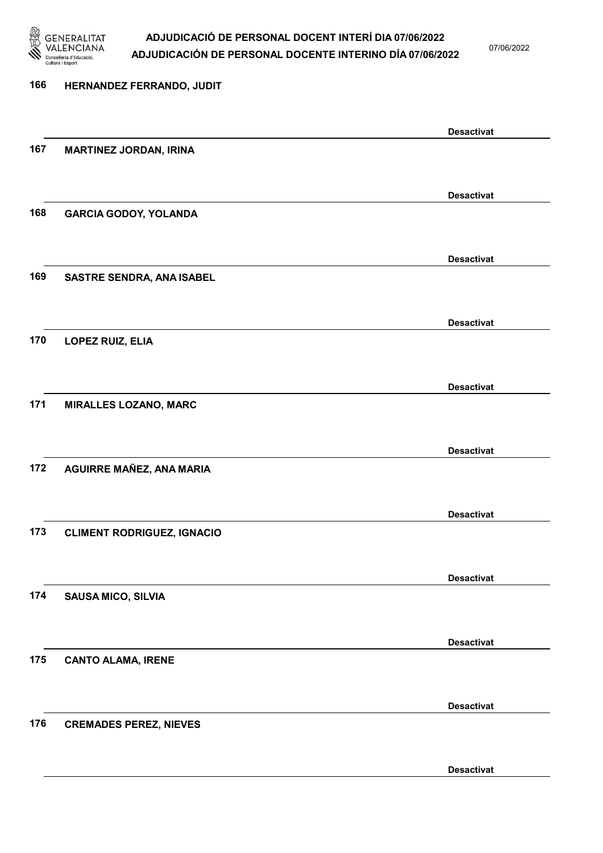

07/06/2022

# 166 HERNANDEZ FERRANDO, JUDIT Desactivat 167 MARTINEZ JORDAN, IRINA Desactivat 168 GARCIA GODOY, YOLANDA Desactivat 169 SASTRE SENDRA, ANA ISABEL Desactivat 170 LOPEZ RUIZ, ELIA Desactivat 171 MIRALLES LOZANO, MARC Desactivat 172 AGUIRRE MAÑEZ, ANA MARIA Desactivat 173 CLIMENT RODRIGUEZ, IGNACIO Desactivat 174 SAUSA MICO, SILVIA Desactivat 175 CANTO ALAMA, IRENE Desactivat 176 CREMADES PEREZ, NIEVES Desactivat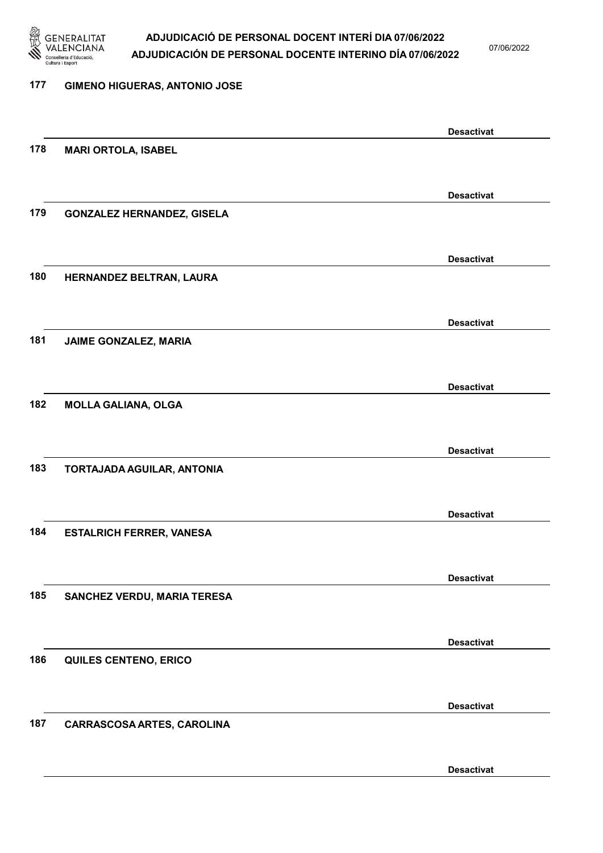

07/06/2022

#### 177 GIMENO HIGUERAS, ANTONIO JOSE

|     |                                   | <b>Desactivat</b> |
|-----|-----------------------------------|-------------------|
| 178 | <b>MARI ORTOLA, ISABEL</b>        |                   |
|     |                                   |                   |
|     |                                   | <b>Desactivat</b> |
| 179 | <b>GONZALEZ HERNANDEZ, GISELA</b> |                   |
|     |                                   |                   |
|     |                                   |                   |
|     |                                   | <b>Desactivat</b> |
| 180 | HERNANDEZ BELTRAN, LAURA          |                   |
|     |                                   |                   |
|     |                                   | <b>Desactivat</b> |
| 181 | JAIME GONZALEZ, MARIA             |                   |
|     |                                   |                   |
|     |                                   |                   |
|     |                                   | <b>Desactivat</b> |
| 182 | <b>MOLLA GALIANA, OLGA</b>        |                   |
|     |                                   |                   |
|     |                                   | <b>Desactivat</b> |
| 183 | TORTAJADA AGUILAR, ANTONIA        |                   |
|     |                                   |                   |
|     |                                   |                   |
| 184 |                                   | <b>Desactivat</b> |
|     | <b>ESTALRICH FERRER, VANESA</b>   |                   |
|     |                                   |                   |
|     |                                   | <b>Desactivat</b> |
| 185 | SANCHEZ VERDU, MARIA TERESA       |                   |
|     |                                   |                   |
|     |                                   | <b>Desactivat</b> |
| 186 | QUILES CENTENO, ERICO             |                   |
|     |                                   |                   |
|     |                                   |                   |
|     |                                   | <b>Desactivat</b> |
| 187 | <b>CARRASCOSA ARTES, CAROLINA</b> |                   |
|     |                                   |                   |
|     |                                   | <b>Desactivat</b> |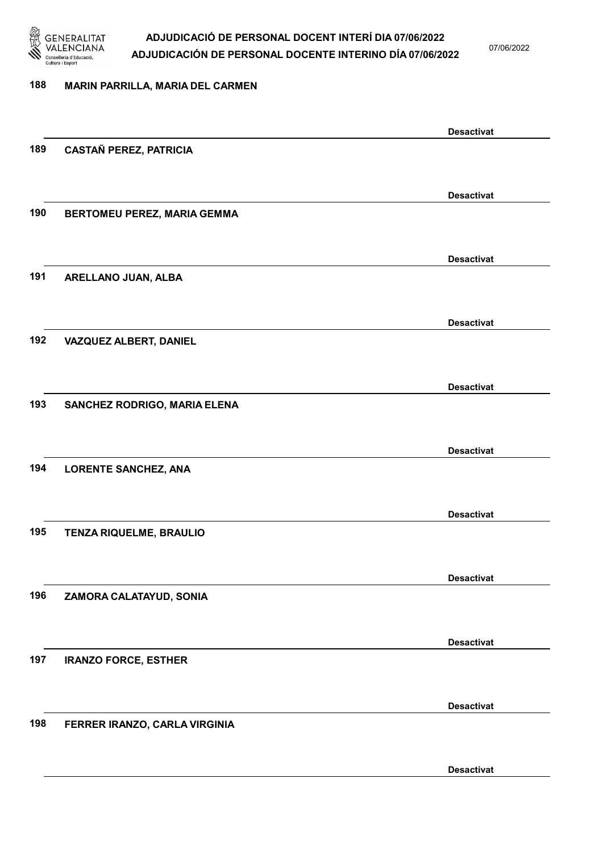

07/06/2022

#### 188 MARIN PARRILLA, MARIA DEL CARMEN

|     |                               | <b>Desactivat</b> |
|-----|-------------------------------|-------------------|
| 189 | <b>CASTAÑ PEREZ, PATRICIA</b> |                   |
|     |                               |                   |
|     |                               | <b>Desactivat</b> |
| 190 | BERTOMEU PEREZ, MARIA GEMMA   |                   |
|     |                               |                   |
|     |                               |                   |
|     |                               | <b>Desactivat</b> |
| 191 | ARELLANO JUAN, ALBA           |                   |
|     |                               |                   |
|     |                               | <b>Desactivat</b> |
| 192 | VAZQUEZ ALBERT, DANIEL        |                   |
|     |                               |                   |
|     |                               | <b>Desactivat</b> |
| 193 | SANCHEZ RODRIGO, MARIA ELENA  |                   |
|     |                               |                   |
|     |                               |                   |
|     |                               | <b>Desactivat</b> |
| 194 | <b>LORENTE SANCHEZ, ANA</b>   |                   |
|     |                               |                   |
|     |                               | <b>Desactivat</b> |
| 195 | TENZA RIQUELME, BRAULIO       |                   |
|     |                               |                   |
|     |                               | <b>Desactivat</b> |
| 196 | ZAMORA CALATAYUD, SONIA       |                   |
|     |                               |                   |
|     |                               |                   |
|     |                               | <b>Desactivat</b> |
| 197 | <b>IRANZO FORCE, ESTHER</b>   |                   |
|     |                               |                   |
|     |                               | <b>Desactivat</b> |
| 198 | FERRER IRANZO, CARLA VIRGINIA |                   |
|     |                               |                   |
|     |                               | <b>Desactivat</b> |
|     |                               |                   |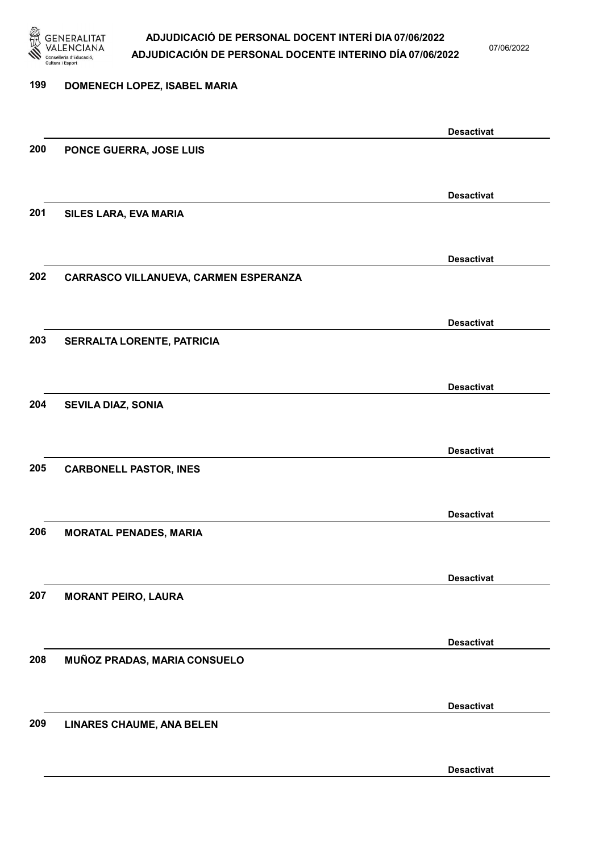

07/06/2022

Desactivat

# 199 DOMENECH LOPEZ, ISABEL MARIA Desactivat 200 PONCE GUERRA, JOSE LUIS Desactivat 201 SILES LARA, EVA MARIA Desactivat 202 CARRASCO VILLANUEVA, CARMEN ESPERANZA Desactivat 203 SERRALTA LORENTE, PATRICIA Desactivat 204 SEVILA DIAZ, SONIA Desactivat 205 CARBONELL PASTOR, INES Desactivat 206 MORATAL PENADES, MARIA Desactivat 207 MORANT PEIRO, LAURA Desactivat 208 MUÑOZ PRADAS, MARIA CONSUELO Desactivat 209 LINARES CHAUME, ANA BELEN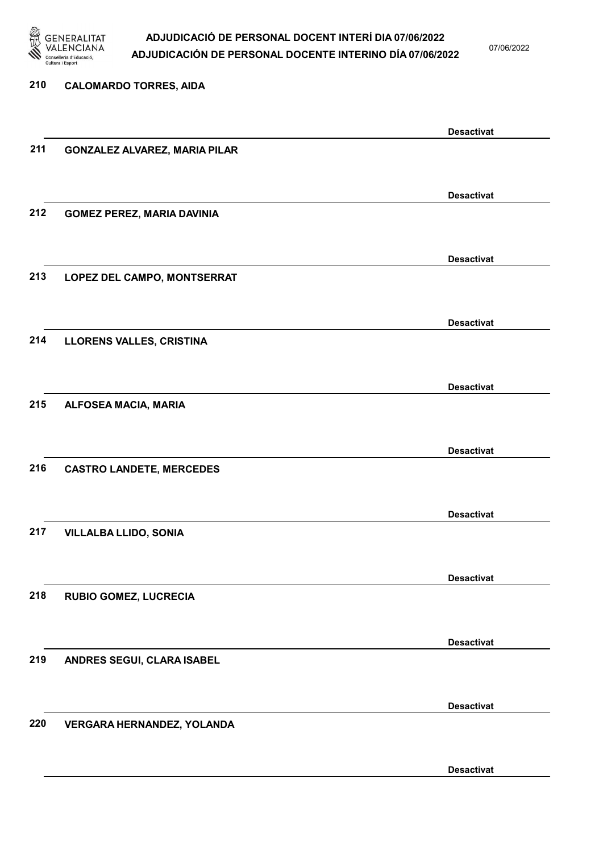

07/06/2022

Desactivat

# 210 CALOMARDO TORRES, AIDA Desactivat 211 GONZALEZ ALVAREZ, MARIA PILAR Desactivat 212 GOMEZ PEREZ, MARIA DAVINIA Desactivat 213 LOPEZ DEL CAMPO, MONTSERRAT Desactivat 214 LLORENS VALLES, CRISTINA Desactivat 215 ALFOSEA MACIA, MARIA Desactivat 216 CASTRO LANDETE, MERCEDES Desactivat 217 VILLALBA LLIDO, SONIA Desactivat 218 RUBIO GOMEZ, LUCRECIA Desactivat 219 ANDRES SEGUI, CLARA ISABEL Desactivat 220 VERGARA HERNANDEZ, YOLANDA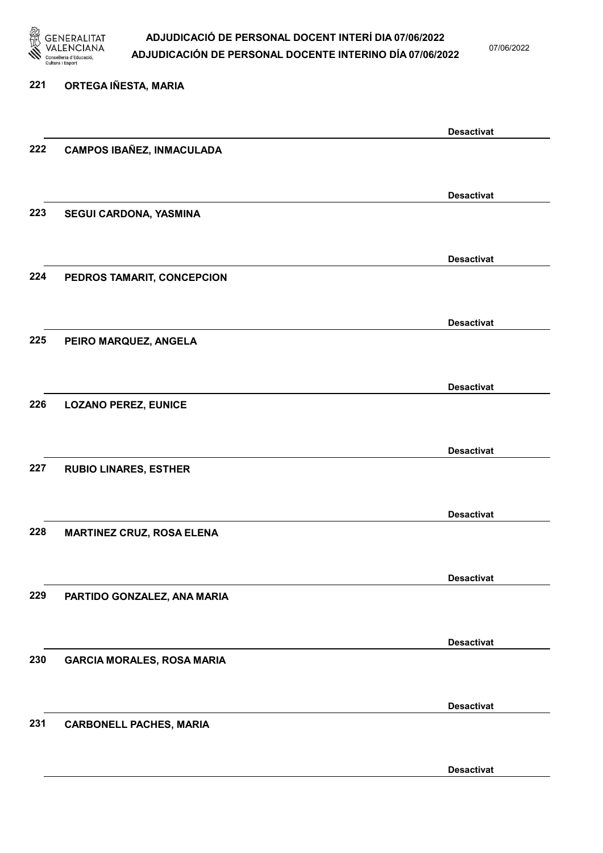

07/06/2022

# 221 ORTEGA IÑESTA, MARIA Desactivat 222 CAMPOS IBAÑEZ, INMACULADA Desactivat 223 SEGUI CARDONA, YASMINA Desactivat 224 PEDROS TAMARIT, CONCEPCION Desactivat 225 PEIRO MARQUEZ, ANGELA Desactivat 226 LOZANO PEREZ, EUNICE Desactivat 227 RUBIO LINARES, ESTHER Desactivat 228 MARTINEZ CRUZ, ROSA ELENA Desactivat 229 PARTIDO GONZALEZ, ANA MARIA Desactivat 230 GARCIA MORALES, ROSA MARIA Desactivat 231 CARBONELL PACHES, MARIA

Desactivat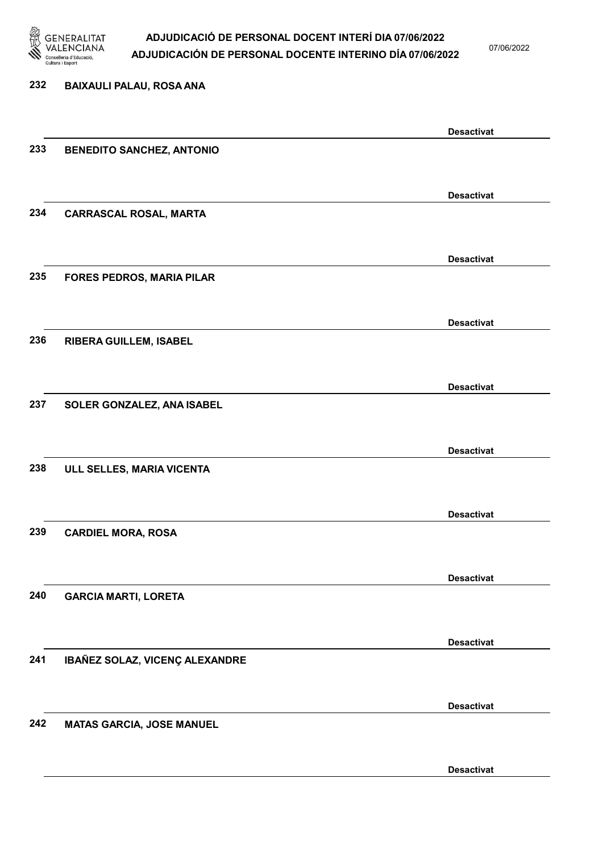

07/06/2022

# 232 BAIXAULI PALAU, ROSA ANA Desactivat 233 BENEDITO SANCHEZ, ANTONIO Desactivat 234 CARRASCAL ROSAL, MARTA Desactivat 235 FORES PEDROS, MARIA PILAR Desactivat 236 RIBERA GUILLEM, ISABEL Desactivat 237 SOLER GONZALEZ, ANA ISABEL Desactivat 238 ULL SELLES, MARIA VICENTA Desactivat 239 CARDIEL MORA, ROSA Desactivat 240 GARCIA MARTI, LORETA Desactivat 241 IBAÑEZ SOLAZ, VICENÇ ALEXANDRE Desactivat 242 MATAS GARCIA, JOSE MANUEL Desactivat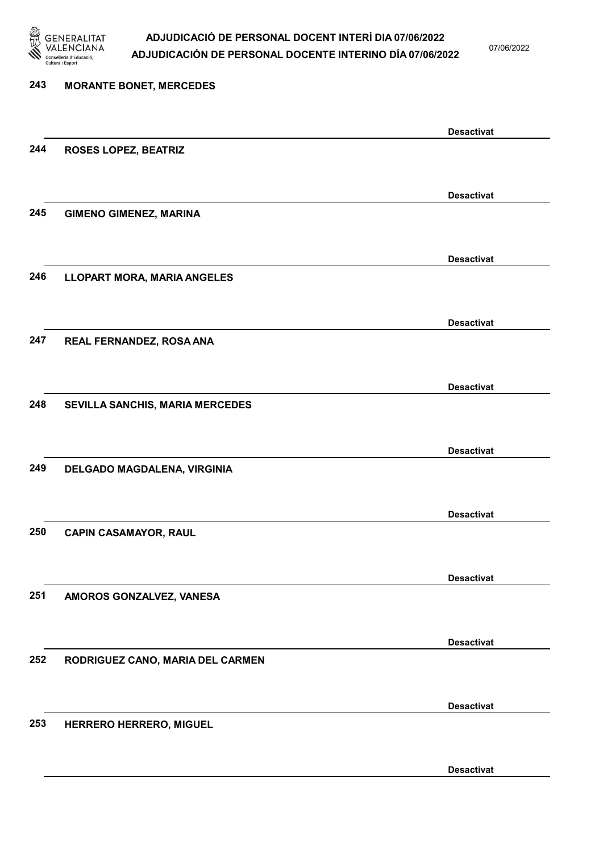

07/06/2022

| 243 | <b>MORANTE BONET, MERCEDES</b>     |                   |
|-----|------------------------------------|-------------------|
|     |                                    | <b>Desactivat</b> |
| 244 | <b>ROSES LOPEZ, BEATRIZ</b>        |                   |
|     |                                    | <b>Desactivat</b> |
| 245 | <b>GIMENO GIMENEZ, MARINA</b>      |                   |
|     |                                    | <b>Desactivat</b> |
| 246 | <b>LLOPART MORA, MARIA ANGELES</b> |                   |
|     |                                    | <b>Desactivat</b> |
| 247 | REAL FERNANDEZ, ROSA ANA           |                   |
|     |                                    | <b>Desactivat</b> |
| 248 | SEVILLA SANCHIS, MARIA MERCEDES    |                   |
|     |                                    | <b>Desactivat</b> |
| 249 | DELGADO MAGDALENA, VIRGINIA        |                   |
| 250 | <b>CAPIN CASAMAYOR, RAUL</b>       | <b>Desactivat</b> |
|     |                                    |                   |
| 251 | AMOROS GONZALVEZ, VANESA           | <b>Desactivat</b> |
|     |                                    |                   |
| 252 | RODRIGUEZ CANO, MARIA DEL CARMEN   | <b>Desactivat</b> |
|     |                                    |                   |
| 253 | HERRERO HERRERO, MIGUEL            | <b>Desactivat</b> |
|     |                                    |                   |
|     |                                    | <b>Desactivat</b> |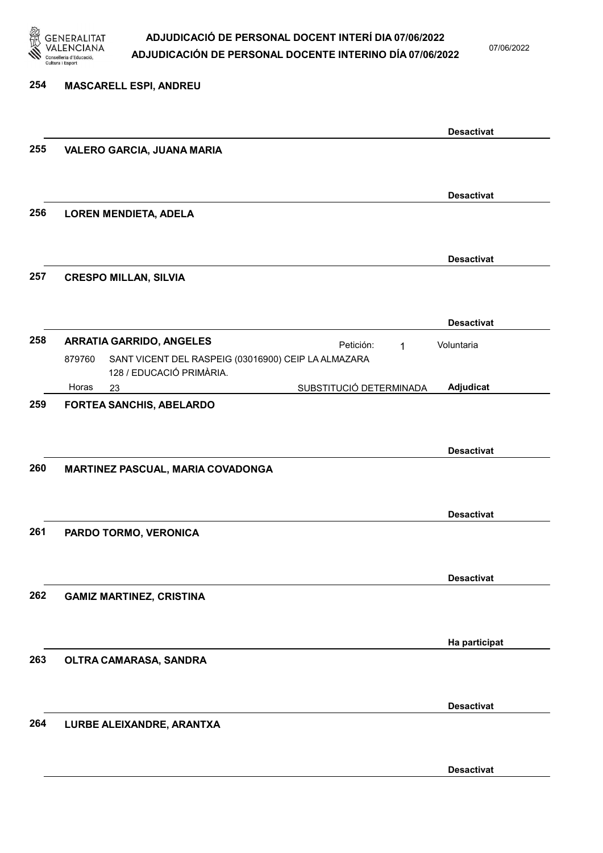

254 MASCARELL ESPI, ANDREU

### ADJUDICACIÓ DE PERSONAL DOCENT INTERÍ DIA 07/06/2022 ADJUDICACIÓN DE PERSONAL DOCENTE INTERINO DÍA 07/06/2022

07/06/2022

Desactivat

### Desactivat 255 VALERO GARCIA, JUANA MARIA Desactivat 256 LOREN MENDIETA, ADELA Desactivat 257 CRESPO MILLAN, SILVIA Desactivat 258 ARRATIA GARRIDO, ANGELES Petición: 1 23 SUBSTITUCIÓ DETERMINADA SANT VICENT DEL RASPEIG (03016900) CEIP LA ALMAZARA 128 / EDUCACIÓ PRIMÀRIA. Adjudicat Voluntaria 879760 Horas 259 FORTEA SANCHIS, ABELARDO Desactivat 260 MARTINEZ PASCUAL, MARIA COVADONGA Desactivat 261 PARDO TORMO, VERONICA Desactivat 262 GAMIZ MARTINEZ, CRISTINA Ha participat 263 OLTRA CAMARASA, SANDRA Desactivat 264 LURBE ALEIXANDRE, ARANTXA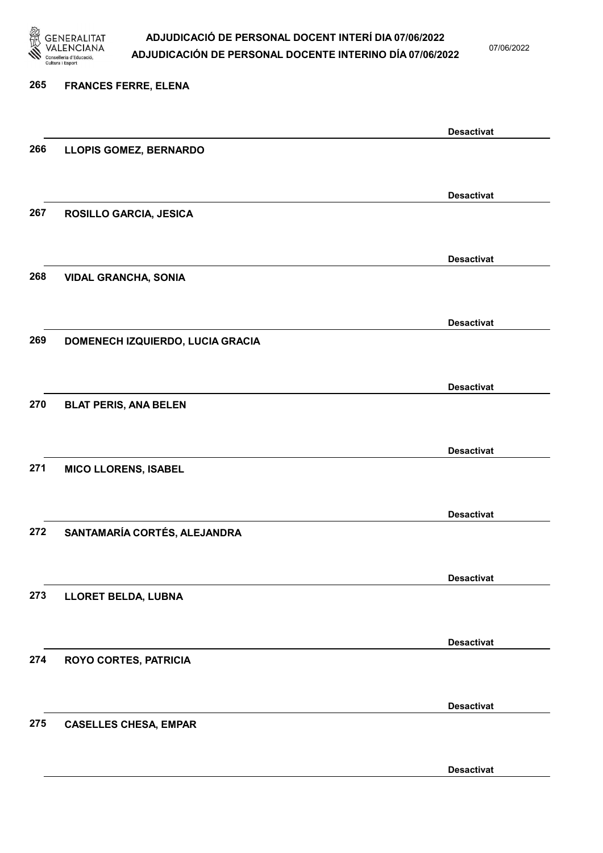

07/06/2022

#### 265 FRANCES FERRE, ELENA

|     |                                  | <b>Desactivat</b> |
|-----|----------------------------------|-------------------|
| 266 | <b>LLOPIS GOMEZ, BERNARDO</b>    |                   |
|     |                                  |                   |
|     |                                  | <b>Desactivat</b> |
| 267 | ROSILLO GARCIA, JESICA           |                   |
|     |                                  |                   |
|     |                                  | <b>Desactivat</b> |
| 268 | <b>VIDAL GRANCHA, SONIA</b>      |                   |
|     |                                  |                   |
|     |                                  |                   |
| 269 | DOMENECH IZQUIERDO, LUCIA GRACIA | <b>Desactivat</b> |
|     |                                  |                   |
|     |                                  |                   |
|     |                                  | <b>Desactivat</b> |
| 270 | <b>BLAT PERIS, ANA BELEN</b>     |                   |
|     |                                  |                   |
|     |                                  | <b>Desactivat</b> |
| 271 | <b>MICO LLORENS, ISABEL</b>      |                   |
|     |                                  |                   |
|     |                                  | <b>Desactivat</b> |
| 272 | SANTAMARÍA CORTÉS, ALEJANDRA     |                   |
|     |                                  |                   |
|     |                                  | <b>Desactivat</b> |
| 273 | <b>LLORET BELDA, LUBNA</b>       |                   |
|     |                                  |                   |
|     |                                  | <b>Desactivat</b> |
| 274 | <b>ROYO CORTES, PATRICIA</b>     |                   |
|     |                                  |                   |
|     |                                  | <b>Desactivat</b> |
| 275 | <b>CASELLES CHESA, EMPAR</b>     |                   |
|     |                                  |                   |
|     |                                  |                   |
|     |                                  | <b>Desactivat</b> |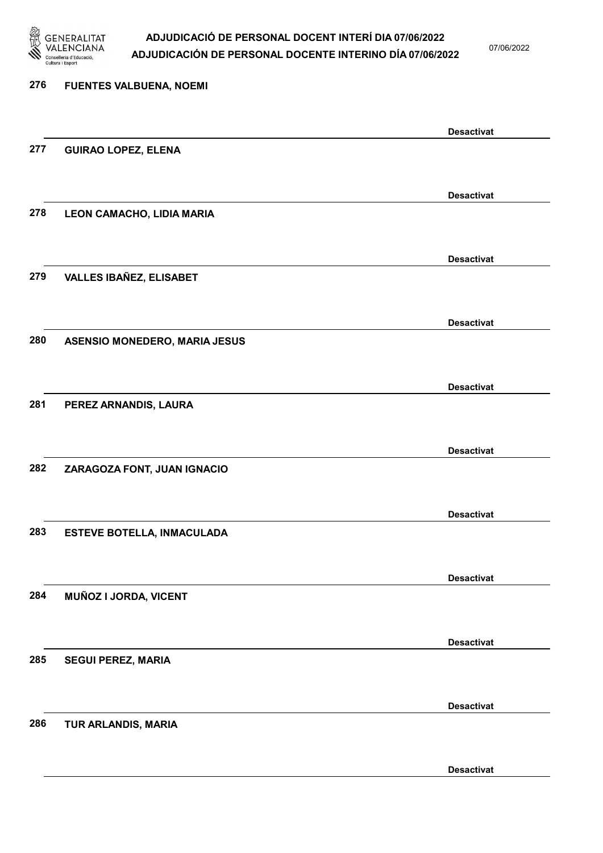

07/06/2022

| 276 | <b>FUENTES VALBUENA, NOEMI</b>       |                   |
|-----|--------------------------------------|-------------------|
|     |                                      | <b>Desactivat</b> |
| 277 | <b>GUIRAO LOPEZ, ELENA</b>           |                   |
|     |                                      | <b>Desactivat</b> |
| 278 | LEON CAMACHO, LIDIA MARIA            |                   |
|     |                                      | <b>Desactivat</b> |
| 279 | <b>VALLES IBAÑEZ, ELISABET</b>       |                   |
|     |                                      | <b>Desactivat</b> |
| 280 | <b>ASENSIO MONEDERO, MARIA JESUS</b> |                   |
|     |                                      | <b>Desactivat</b> |
| 281 | PEREZ ARNANDIS, LAURA                |                   |
|     |                                      | <b>Desactivat</b> |
| 282 | ZARAGOZA FONT, JUAN IGNACIO          |                   |
|     |                                      | <b>Desactivat</b> |
| 283 | <b>ESTEVE BOTELLA, INMACULADA</b>    |                   |
|     |                                      | <b>Desactivat</b> |
| 284 | MUÑOZ I JORDA, VICENT                |                   |
|     |                                      | <b>Desactivat</b> |
| 285 | <b>SEGUI PEREZ, MARIA</b>            |                   |
|     |                                      | <b>Desactivat</b> |
| 286 | TUR ARLANDIS, MARIA                  |                   |
|     |                                      | <b>Desactivat</b> |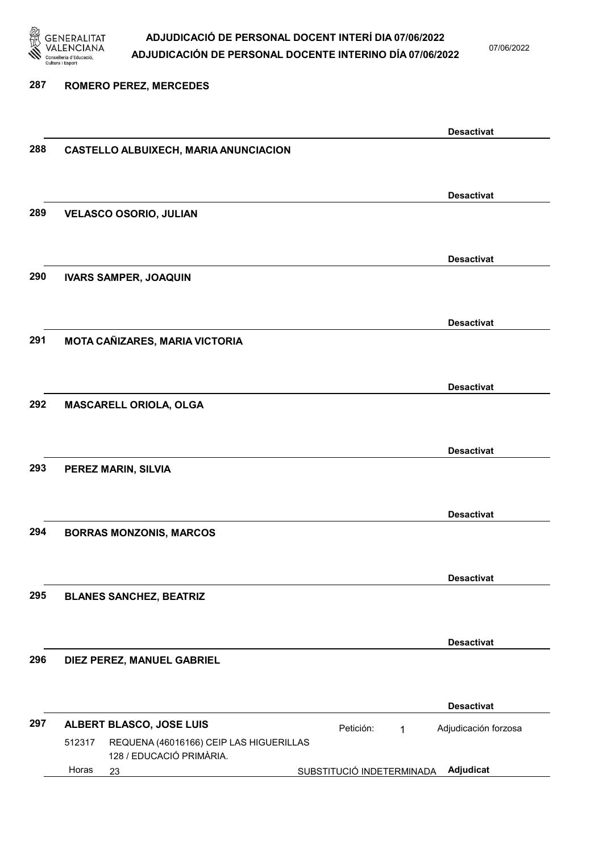

07/06/2022

### 287 ROMERO PEREZ, MERCEDES Desactivat 288 CASTELLO ALBUIXECH, MARIA ANUNCIACION Desactivat 289 VELASCO OSORIO, JULIAN Desactivat 290 IVARS SAMPER, JOAQUIN Desactivat 291 MOTA CAÑIZARES, MARIA VICTORIA Desactivat 292 MASCARELL ORIOLA, OLGA Desactivat 293 PEREZ MARIN, SILVIA Desactivat 294 BORRAS MONZONIS, MARCOS Desactivat 295 BLANES SANCHEZ, BEATRIZ Desactivat 296 DIEZ PEREZ, MANUEL GABRIEL Desactivat 297 ALBERT BLASCO, JOSE LUIS **El proportante de la proportante de la proportante de la proportante de la proporta** 23 SUBSTITUCIÓ INDETERMINADA Adjudicat REQUENA (46016166) CEIP LAS HIGUERILLAS 128 / EDUCACIÓ PRIMÀRIA. Adjudicación forzosa 512317 Horas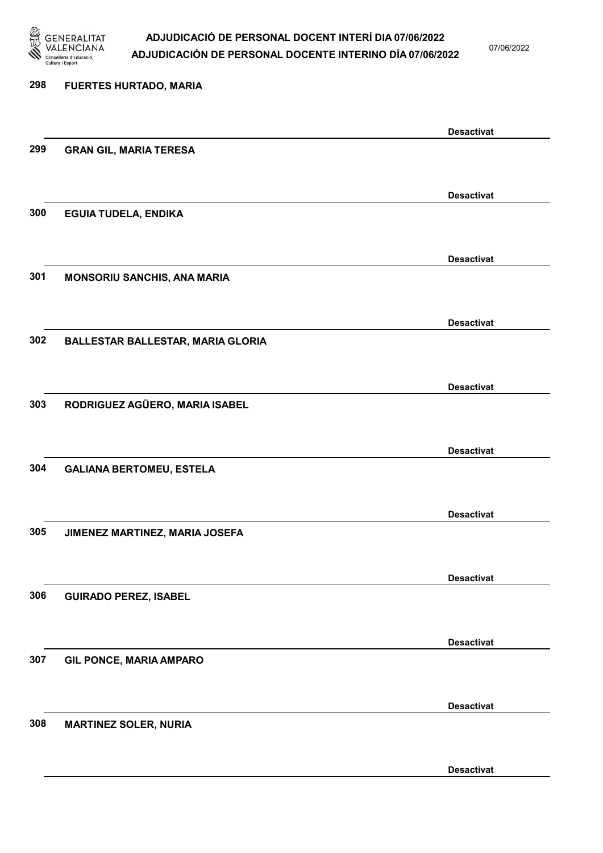

07/06/2022

| 298 | <b>FUERTES HURTADO, MARIA</b>            |                   |
|-----|------------------------------------------|-------------------|
|     |                                          | <b>Desactivat</b> |
| 299 | <b>GRAN GIL, MARIA TERESA</b>            |                   |
|     |                                          | <b>Desactivat</b> |
| 300 | <b>EGUIA TUDELA, ENDIKA</b>              |                   |
|     |                                          | <b>Desactivat</b> |
| 301 | <b>MONSORIU SANCHIS, ANA MARIA</b>       |                   |
| 302 | <b>BALLESTAR BALLESTAR, MARIA GLORIA</b> | <b>Desactivat</b> |
|     |                                          |                   |
| 303 | RODRIGUEZ AGÜERO, MARIA ISABEL           | <b>Desactivat</b> |
|     |                                          |                   |
| 304 | <b>GALIANA BERTOMEU, ESTELA</b>          | <b>Desactivat</b> |
|     |                                          |                   |
| 305 | JIMENEZ MARTINEZ, MARIA JOSEFA           | <b>Desactivat</b> |
|     |                                          | <b>Desactivat</b> |
| 306 | <b>GUIRADO PEREZ, ISABEL</b>             |                   |
|     |                                          | <b>Desactivat</b> |
| 307 | <b>GIL PONCE, MARIA AMPARO</b>           |                   |
|     |                                          | <b>Desactivat</b> |
| 308 | <b>MARTINEZ SOLER, NURIA</b>             |                   |
|     |                                          | <b>Desactivat</b> |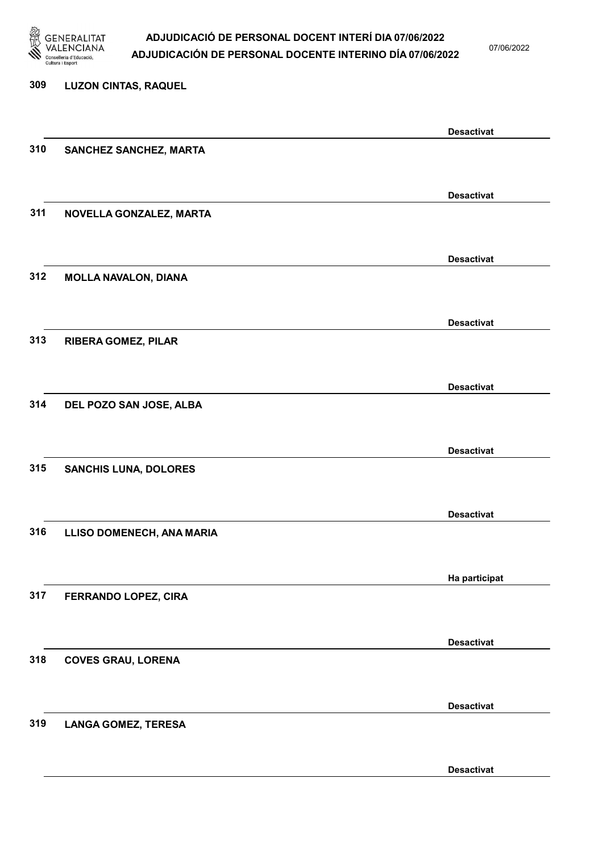

07/06/2022

Desactivat

# 309 LUZON CINTAS, RAQUEL Desactivat 310 SANCHEZ SANCHEZ, MARTA Desactivat 311 NOVELLA GONZALEZ, MARTA Desactivat 312 MOLLA NAVALON, DIANA Desactivat 313 RIBERA GOMEZ, PILAR Desactivat 314 DEL POZO SAN JOSE, ALBA Desactivat 315 SANCHIS LUNA, DOLORES Desactivat 316 LLISO DOMENECH, ANA MARIA Ha participat 317 FERRANDO LOPEZ, CIRA Desactivat 318 COVES GRAU, LORENA Desactivat 319 LANGA GOMEZ, TERESA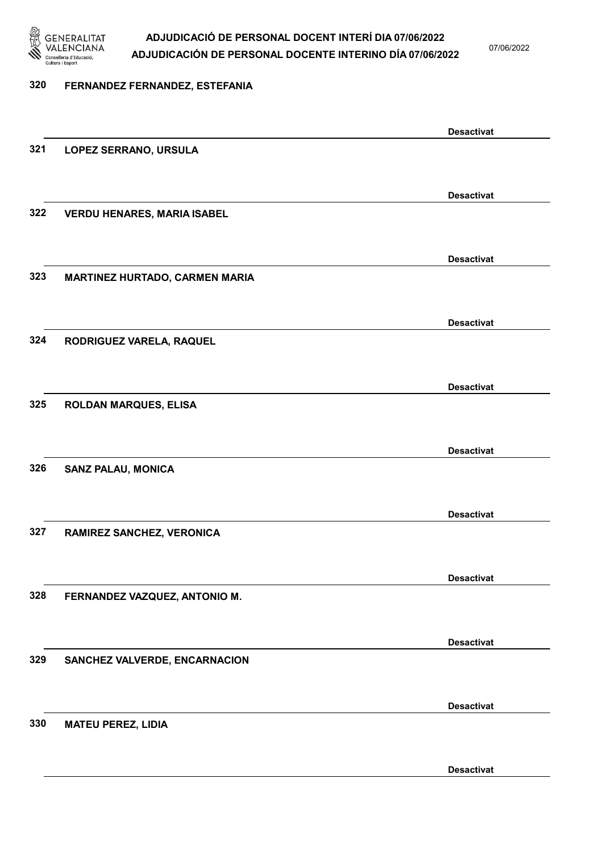

07/06/2022

#### 320 FERNANDEZ FERNANDEZ, ESTEFANIA

Desactivat 321 LOPEZ SERRANO, URSULA Desactivat 322 VERDU HENARES, MARIA ISABEL Desactivat 323 MARTINEZ HURTADO, CARMEN MARIA Desactivat 324 RODRIGUEZ VARELA, RAQUEL Desactivat 325 ROLDAN MARQUES, ELISA Desactivat 326 SANZ PALAU, MONICA Desactivat 327 RAMIREZ SANCHEZ, VERONICA Desactivat 328 FERNANDEZ VAZQUEZ, ANTONIO M. Desactivat 329 SANCHEZ VALVERDE, ENCARNACION Desactivat 330 MATEU PEREZ, LIDIA Desactivat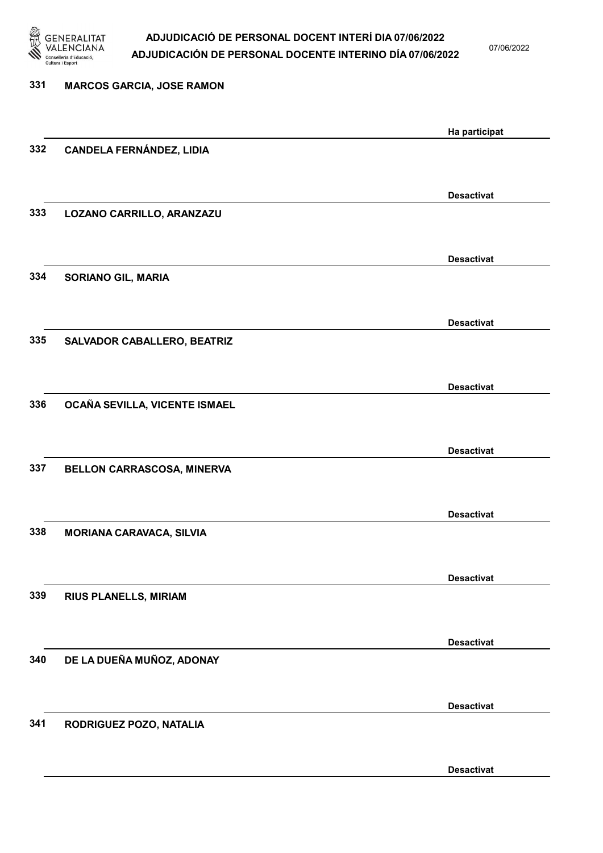

07/06/2022

| 331 | <b>MARCOS GARCIA, JOSE RAMON</b> |                   |
|-----|----------------------------------|-------------------|
|     |                                  | Ha participat     |
| 332 | <b>CANDELA FERNÁNDEZ, LIDIA</b>  |                   |
|     |                                  | <b>Desactivat</b> |
| 333 | LOZANO CARRILLO, ARANZAZU        |                   |
|     |                                  | <b>Desactivat</b> |
| 334 | <b>SORIANO GIL, MARIA</b>        |                   |
|     |                                  | <b>Desactivat</b> |
| 335 | SALVADOR CABALLERO, BEATRIZ      |                   |
| 336 | OCAÑA SEVILLA, VICENTE ISMAEL    | <b>Desactivat</b> |
|     |                                  |                   |
| 337 | BELLON CARRASCOSA, MINERVA       | <b>Desactivat</b> |
|     |                                  |                   |
| 338 | <b>MORIANA CARAVACA, SILVIA</b>  | <b>Desactivat</b> |
|     |                                  |                   |
| 339 | <b>RIUS PLANELLS, MIRIAM</b>     | <b>Desactivat</b> |
|     |                                  | <b>Desactivat</b> |
| 340 | DE LA DUEÑA MUÑOZ, ADONAY        |                   |
|     |                                  | <b>Desactivat</b> |
| 341 | RODRIGUEZ POZO, NATALIA          |                   |
|     |                                  | <b>Desactivat</b> |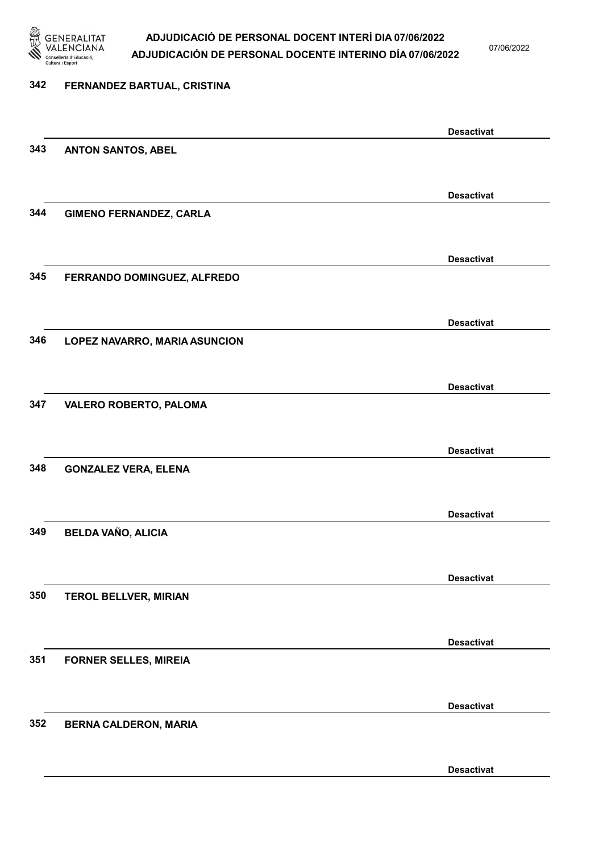

07/06/2022

# 342 FERNANDEZ BARTUAL, CRISTINA Desactivat 343 ANTON SANTOS, ABEL Desactivat 344 GIMENO FERNANDEZ, CARLA Desactivat 345 FERRANDO DOMINGUEZ, ALFREDO Desactivat 346 LOPEZ NAVARRO, MARIA ASUNCION Desactivat 347 VALERO ROBERTO, PALOMA Desactivat 348 GONZALEZ VERA, ELENA Desactivat 349 BELDA VAÑO, ALICIA Desactivat 350 TEROL BELLVER, MIRIAN Desactivat 351 FORNER SELLES, MIREIA Desactivat 352 BERNA CALDERON, MARIA Desactivat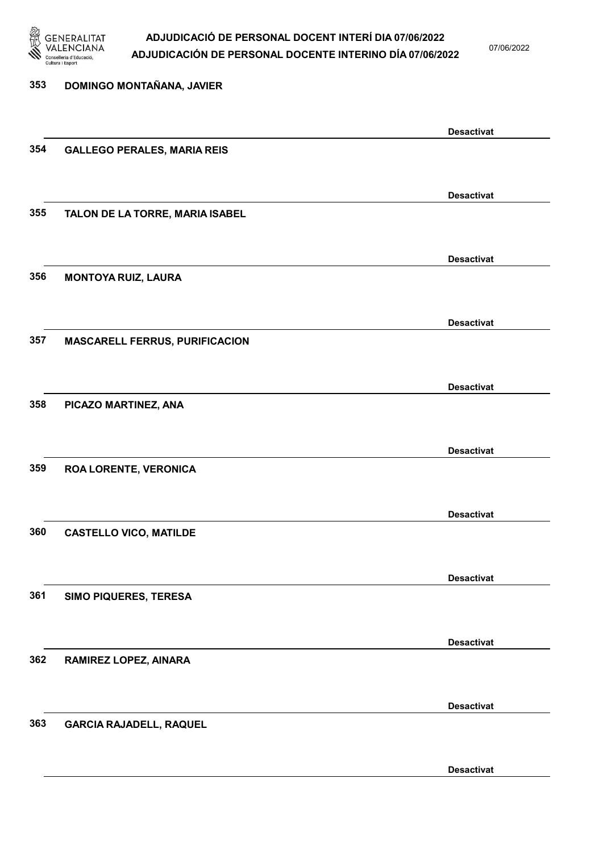

07/06/2022

| 353 | DOMINGO MONTAÑANA, JAVIER             |                   |
|-----|---------------------------------------|-------------------|
|     |                                       | <b>Desactivat</b> |
| 354 | <b>GALLEGO PERALES, MARIA REIS</b>    |                   |
|     |                                       | <b>Desactivat</b> |
| 355 | TALON DE LA TORRE, MARIA ISABEL       |                   |
|     |                                       | <b>Desactivat</b> |
| 356 | <b>MONTOYA RUIZ, LAURA</b>            |                   |
|     |                                       | <b>Desactivat</b> |
| 357 | <b>MASCARELL FERRUS, PURIFICACION</b> |                   |
|     |                                       | <b>Desactivat</b> |
| 358 | PICAZO MARTINEZ, ANA                  |                   |
|     |                                       | <b>Desactivat</b> |
| 359 | ROA LORENTE, VERONICA                 |                   |
|     |                                       | <b>Desactivat</b> |
| 360 | <b>CASTELLO VICO, MATILDE</b>         |                   |
|     |                                       | <b>Desactivat</b> |
| 361 | SIMO PIQUERES, TERESA                 |                   |
| 362 |                                       | <b>Desactivat</b> |
|     | RAMIREZ LOPEZ, AINARA                 |                   |
| 363 | <b>GARCIA RAJADELL, RAQUEL</b>        | <b>Desactivat</b> |
|     |                                       |                   |
|     |                                       | <b>Desactivat</b> |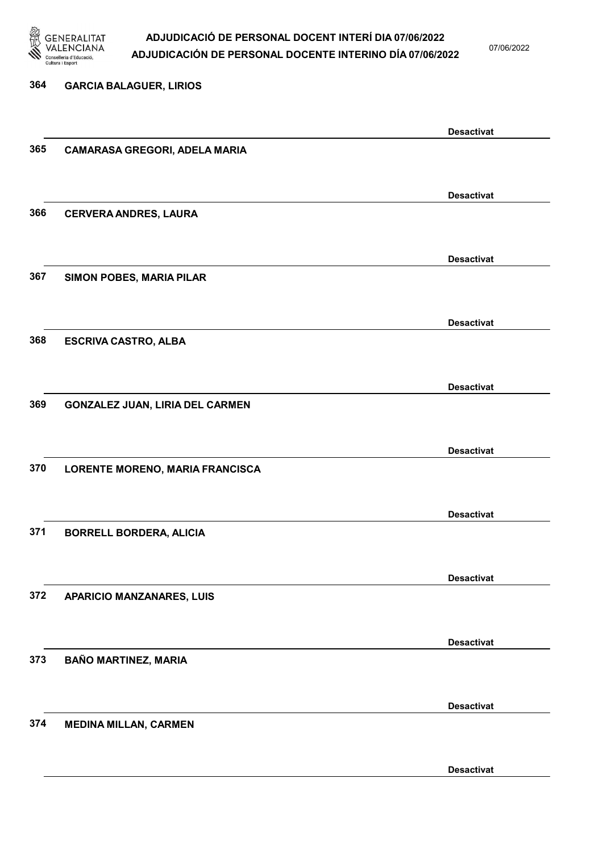

07/06/2022

Desactivat

# 364 GARCIA BALAGUER, LIRIOS Desactivat 365 CAMARASA GREGORI, ADELA MARIA Desactivat 366 CERVERA ANDRES, LAURA Desactivat 367 SIMON POBES, MARIA PILAR Desactivat 368 ESCRIVA CASTRO, ALBA Desactivat 369 GONZALEZ JUAN, LIRIA DEL CARMEN Desactivat 370 LORENTE MORENO, MARIA FRANCISCA Desactivat 371 BORRELL BORDERA, ALICIA Desactivat 372 APARICIO MANZANARES, LUIS Desactivat 373 BAÑO MARTINEZ, MARIA Desactivat 374 MEDINA MILLAN, CARMEN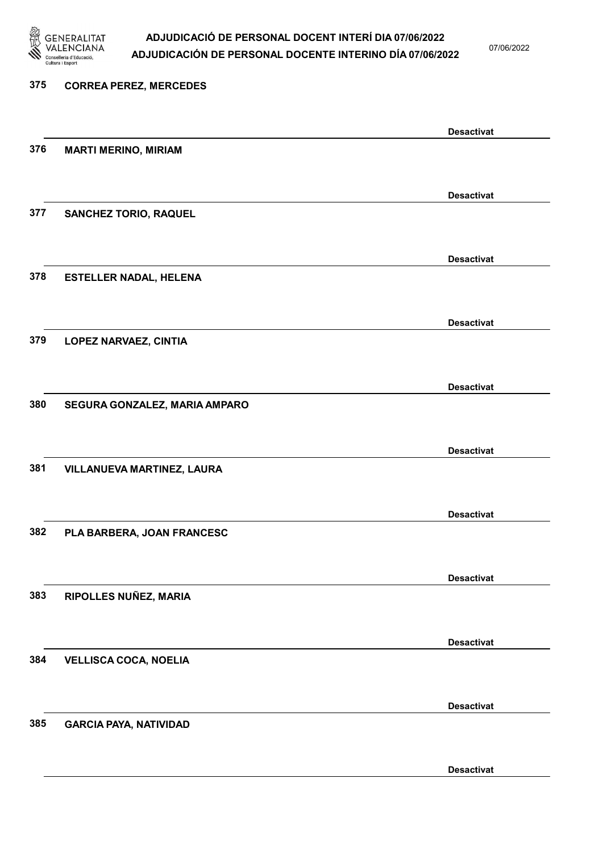

07/06/2022

Desactivat

# 375 CORREA PEREZ, MERCEDES Desactivat 376 MARTI MERINO, MIRIAM Desactivat 377 SANCHEZ TORIO, RAQUEL Desactivat 378 ESTELLER NADAL, HELENA Desactivat 379 LOPEZ NARVAEZ, CINTIA Desactivat 380 SEGURA GONZALEZ, MARIA AMPARO Desactivat 381 VILLANUEVA MARTINEZ, LAURA Desactivat 382 PLA BARBERA, JOAN FRANCESC Desactivat 383 RIPOLLES NUÑEZ, MARIA Desactivat 384 VELLISCA COCA, NOELIA Desactivat 385 GARCIA PAYA, NATIVIDAD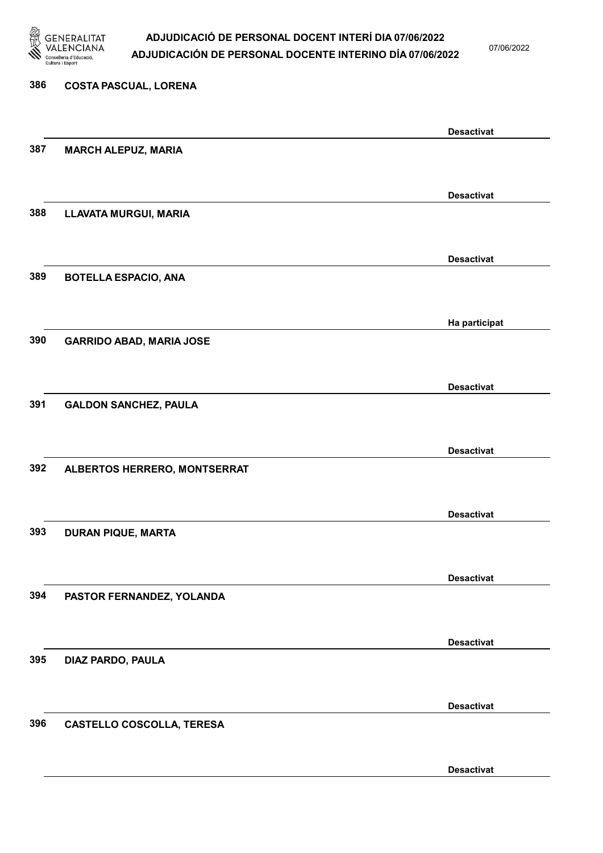

07/06/2022

Desactivat

# 386 COSTA PASCUAL, LORENA Desactivat 387 MARCH ALEPUZ, MARIA Desactivat 388 LLAVATA MURGUI, MARIA Desactivat 389 BOTELLA ESPACIO, ANA Ha participat 390 GARRIDO ABAD, MARIA JOSE Desactivat 391 GALDON SANCHEZ, PAULA Desactivat 392 ALBERTOS HERRERO, MONTSERRAT Desactivat 393 DURAN PIQUE, MARTA Desactivat 394 PASTOR FERNANDEZ, YOLANDA Desactivat 395 DIAZ PARDO, PAULA Desactivat 396 CASTELLO COSCOLLA, TERESA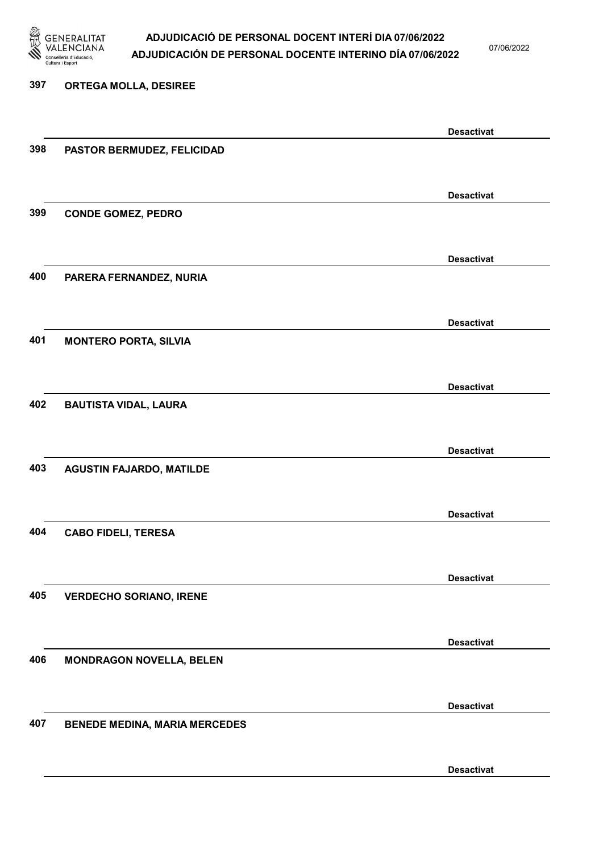

07/06/2022

# 397 ORTEGA MOLLA, DESIREE Desactivat 398 PASTOR BERMUDEZ, FELICIDAD Desactivat 399 CONDE GOMEZ, PEDRO Desactivat 400 PARERA FERNANDEZ, NURIA Desactivat 401 MONTERO PORTA, SILVIA Desactivat 402 BAUTISTA VIDAL, LAURA Desactivat 403 AGUSTIN FAJARDO, MATILDE Desactivat 404 CABO FIDELI, TERESA Desactivat 405 VERDECHO SORIANO, IRENE Desactivat 406 MONDRAGON NOVELLA, BELEN Desactivat 407 BENEDE MEDINA, MARIA MERCEDES Desactivat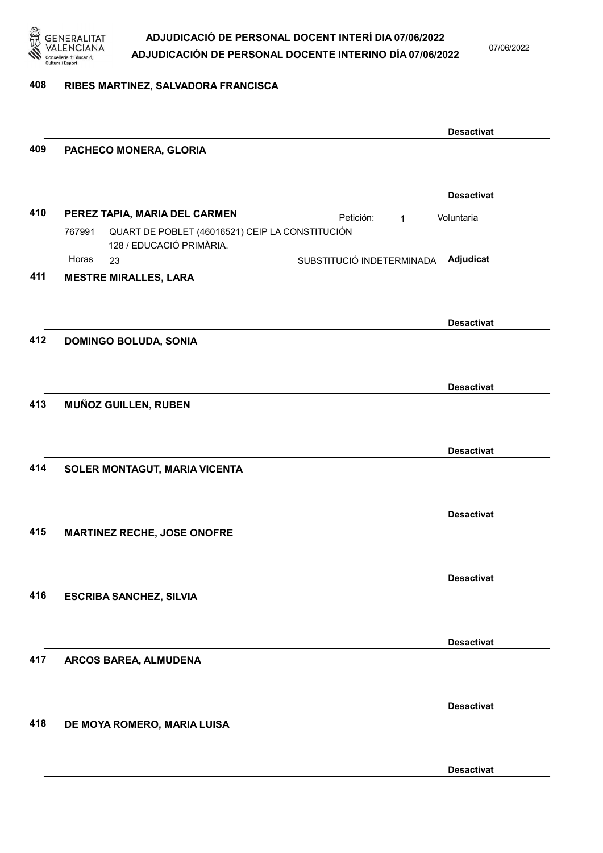

07/06/2022

### 408 RIBES MARTINEZ, SALVADORA FRANCISCA

|     |                                                                                       |                           |              | <b>Desactivat</b> |
|-----|---------------------------------------------------------------------------------------|---------------------------|--------------|-------------------|
| 409 | PACHECO MONERA, GLORIA                                                                |                           |              |                   |
|     |                                                                                       |                           |              | <b>Desactivat</b> |
| 410 | PEREZ TAPIA, MARIA DEL CARMEN                                                         | Petición:                 | $\mathbf{1}$ | Voluntaria        |
|     | 767991<br>QUART DE POBLET (46016521) CEIP LA CONSTITUCIÓN<br>128 / EDUCACIÓ PRIMÀRIA. |                           |              |                   |
|     | Horas<br>23                                                                           | SUBSTITUCIÓ INDETERMINADA |              | Adjudicat         |
| 411 | <b>MESTRE MIRALLES, LARA</b>                                                          |                           |              |                   |
|     |                                                                                       |                           |              |                   |
| 412 | <b>DOMINGO BOLUDA, SONIA</b>                                                          |                           |              | <b>Desactivat</b> |
|     |                                                                                       |                           |              |                   |
|     |                                                                                       |                           |              | <b>Desactivat</b> |
| 413 | <b>MUÑOZ GUILLEN, RUBEN</b>                                                           |                           |              |                   |
|     |                                                                                       |                           |              |                   |
|     |                                                                                       |                           |              | <b>Desactivat</b> |
| 414 | SOLER MONTAGUT, MARIA VICENTA                                                         |                           |              |                   |
|     |                                                                                       |                           |              | <b>Desactivat</b> |
| 415 | <b>MARTINEZ RECHE, JOSE ONOFRE</b>                                                    |                           |              |                   |
|     |                                                                                       |                           |              |                   |
|     |                                                                                       |                           |              | <b>Desactivat</b> |
| 416 | <b>ESCRIBA SANCHEZ, SILVIA</b>                                                        |                           |              |                   |
|     |                                                                                       |                           |              | <b>Desactivat</b> |
| 417 | ARCOS BAREA, ALMUDENA                                                                 |                           |              |                   |
|     |                                                                                       |                           |              |                   |
|     |                                                                                       |                           |              | <b>Desactivat</b> |
| 418 | DE MOYA ROMERO, MARIA LUISA                                                           |                           |              |                   |
|     |                                                                                       |                           |              | <b>Desactivat</b> |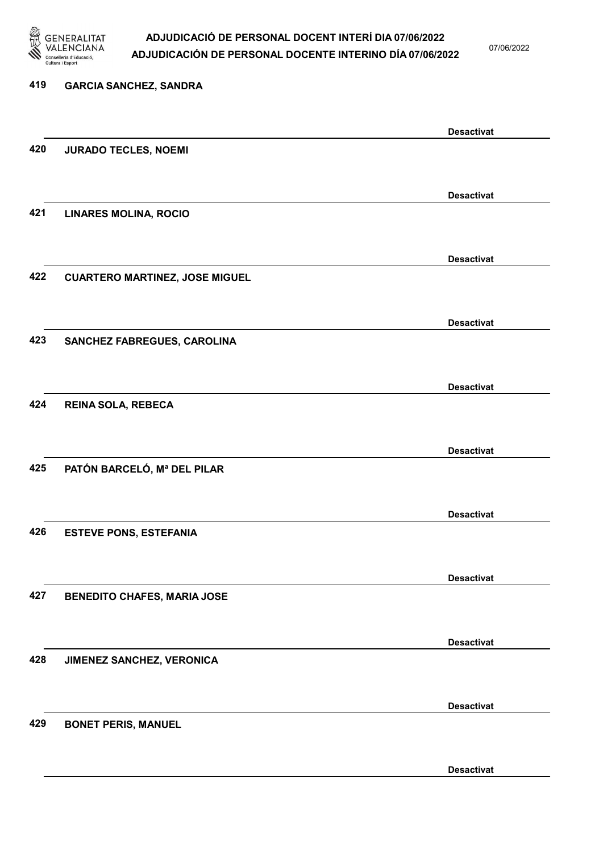

07/06/2022

| 419 | <b>GARCIA SANCHEZ, SANDRA</b>         |                   |
|-----|---------------------------------------|-------------------|
|     |                                       | <b>Desactivat</b> |
| 420 | <b>JURADO TECLES, NOEMI</b>           |                   |
|     |                                       | <b>Desactivat</b> |
| 421 | <b>LINARES MOLINA, ROCIO</b>          |                   |
|     |                                       | <b>Desactivat</b> |
| 422 | <b>CUARTERO MARTINEZ, JOSE MIGUEL</b> |                   |
|     |                                       | <b>Desactivat</b> |
| 423 | SANCHEZ FABREGUES, CAROLINA           |                   |
|     |                                       | <b>Desactivat</b> |
| 424 | REINA SOLA, REBECA                    |                   |
|     |                                       | <b>Desactivat</b> |
| 425 | PATÓN BARCELÓ, Mª DEL PILAR           |                   |
|     |                                       | <b>Desactivat</b> |
| 426 | <b>ESTEVE PONS, ESTEFANIA</b>         |                   |
|     |                                       | <b>Desactivat</b> |
| 427 | <b>BENEDITO CHAFES, MARIA JOSE</b>    |                   |
|     |                                       | <b>Desactivat</b> |
| 428 | JIMENEZ SANCHEZ, VERONICA             |                   |
|     |                                       | <b>Desactivat</b> |
| 429 | <b>BONET PERIS, MANUEL</b>            |                   |
|     |                                       | <b>Desactivat</b> |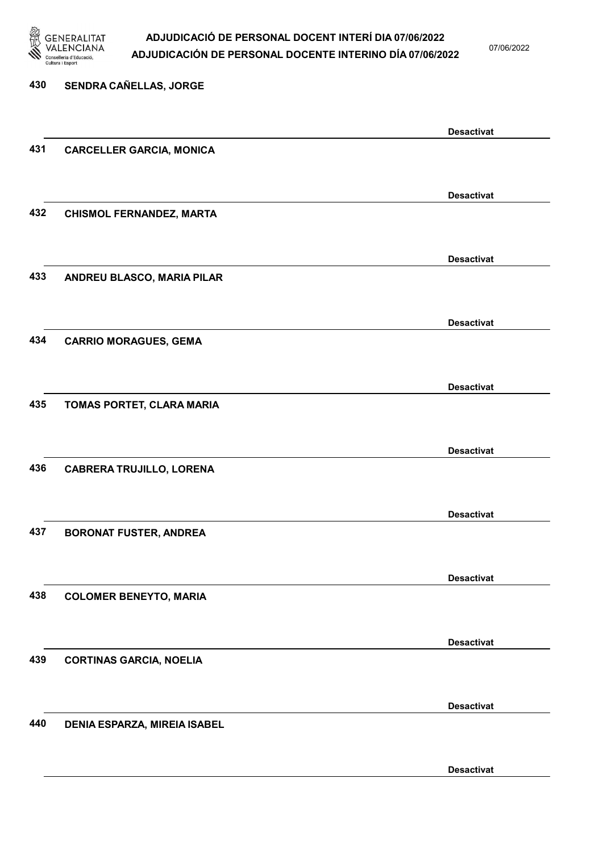

07/06/2022

| 430 | SENDRA CAÑELLAS, JORGE              |                   |
|-----|-------------------------------------|-------------------|
|     |                                     |                   |
|     |                                     | <b>Desactivat</b> |
| 431 | <b>CARCELLER GARCIA, MONICA</b>     |                   |
|     |                                     |                   |
|     |                                     | <b>Desactivat</b> |
| 432 | <b>CHISMOL FERNANDEZ, MARTA</b>     |                   |
|     |                                     |                   |
|     |                                     | <b>Desactivat</b> |
| 433 | ANDREU BLASCO, MARIA PILAR          |                   |
|     |                                     |                   |
| 434 |                                     | <b>Desactivat</b> |
|     | <b>CARRIO MORAGUES, GEMA</b>        |                   |
|     |                                     |                   |
| 435 | TOMAS PORTET, CLARA MARIA           | <b>Desactivat</b> |
|     |                                     |                   |
|     |                                     | <b>Desactivat</b> |
| 436 | <b>CABRERA TRUJILLO, LORENA</b>     |                   |
|     |                                     |                   |
|     |                                     | <b>Desactivat</b> |
| 437 | <b>BORONAT FUSTER, ANDREA</b>       |                   |
|     |                                     |                   |
|     |                                     | <b>Desactivat</b> |
| 438 | <b>COLOMER BENEYTO, MARIA</b>       |                   |
|     |                                     |                   |
|     |                                     | <b>Desactivat</b> |
| 439 | <b>CORTINAS GARCIA, NOELIA</b>      |                   |
|     |                                     |                   |
|     |                                     | <b>Desactivat</b> |
| 440 | <b>DENIA ESPARZA, MIREIA ISABEL</b> |                   |
|     |                                     |                   |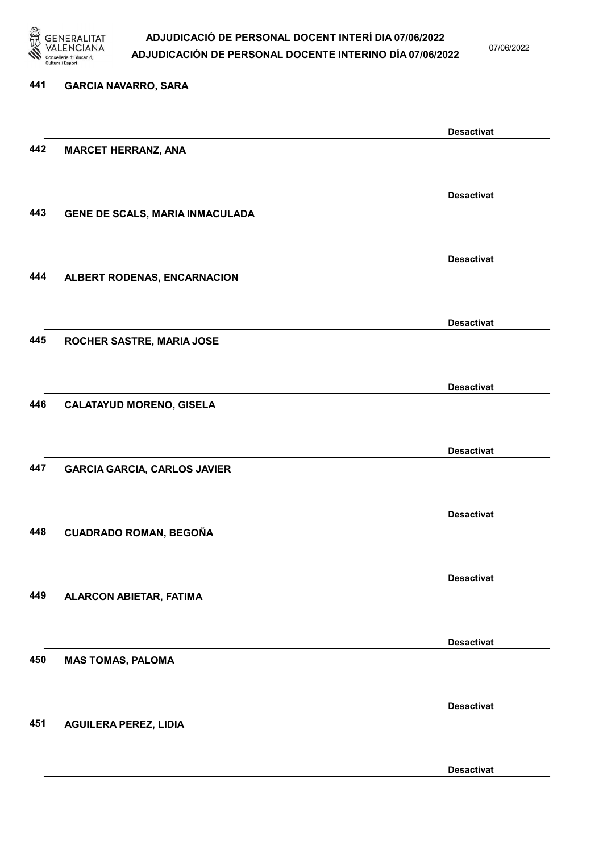

07/06/2022

Desactivat

# 441 GARCIA NAVARRO, SARA Desactivat 442 MARCET HERRANZ, ANA Desactivat 443 GENE DE SCALS, MARIA INMACULADA Desactivat 444 ALBERT RODENAS, ENCARNACION Desactivat 445 ROCHER SASTRE, MARIA JOSE Desactivat 446 CALATAYUD MORENO, GISELA Desactivat 447 GARCIA GARCIA, CARLOS JAVIER Desactivat 448 CUADRADO ROMAN, BEGOÑA Desactivat 449 ALARCON ABIETAR, FATIMA Desactivat 450 MAS TOMAS, PALOMA Desactivat 451 AGUILERA PEREZ, LIDIA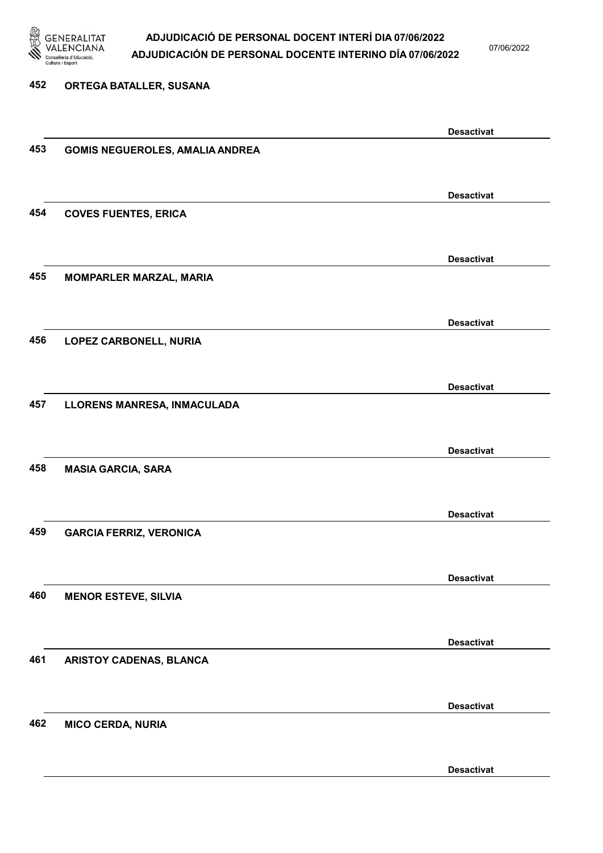

07/06/2022

### 452 ORTEGA BATALLER, SUSANA

|     |                                        | <b>Desactivat</b> |
|-----|----------------------------------------|-------------------|
| 453 | <b>GOMIS NEGUEROLES, AMALIA ANDREA</b> |                   |
|     |                                        |                   |
|     |                                        |                   |
|     |                                        | <b>Desactivat</b> |
| 454 | <b>COVES FUENTES, ERICA</b>            |                   |
|     |                                        |                   |
|     |                                        |                   |
|     |                                        | <b>Desactivat</b> |
| 455 | <b>MOMPARLER MARZAL, MARIA</b>         |                   |
|     |                                        |                   |
|     |                                        | <b>Desactivat</b> |
|     |                                        |                   |
| 456 | LOPEZ CARBONELL, NURIA                 |                   |
|     |                                        |                   |
|     |                                        | <b>Desactivat</b> |
| 457 | LLORENS MANRESA, INMACULADA            |                   |
|     |                                        |                   |
|     |                                        |                   |
|     |                                        | <b>Desactivat</b> |
| 458 | <b>MASIA GARCIA, SARA</b>              |                   |
|     |                                        |                   |
|     |                                        |                   |
|     |                                        | <b>Desactivat</b> |
| 459 | <b>GARCIA FERRIZ, VERONICA</b>         |                   |
|     |                                        |                   |
|     |                                        |                   |
|     |                                        | <b>Desactivat</b> |
| 460 | <b>MENOR ESTEVE, SILVIA</b>            |                   |
|     |                                        |                   |
|     |                                        |                   |
|     |                                        | <b>Desactivat</b> |
| 461 | ARISTOY CADENAS, BLANCA                |                   |
|     |                                        |                   |
|     |                                        | <b>Desactivat</b> |
| 462 | <b>MICO CERDA, NURIA</b>               |                   |
|     |                                        |                   |
|     |                                        |                   |
|     |                                        | <b>Desactivat</b> |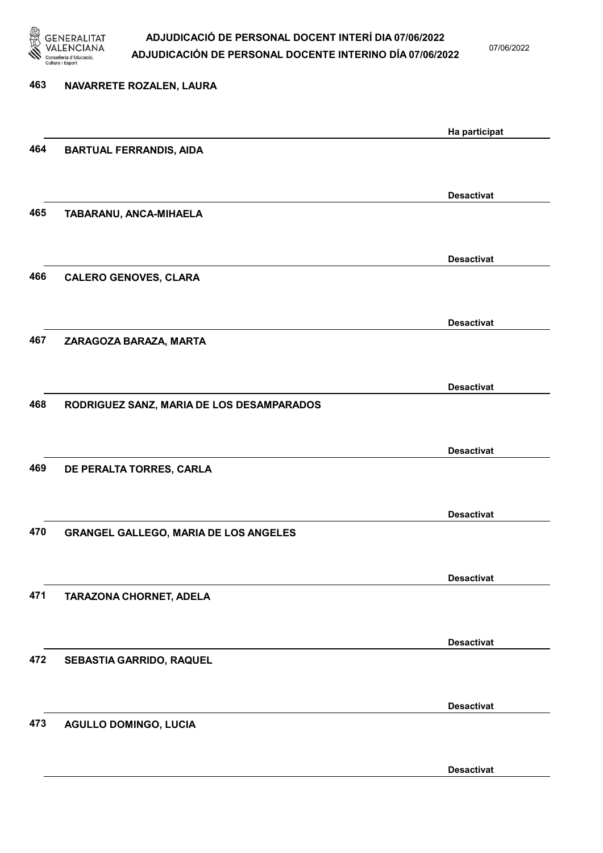

07/06/2022

# 463 NAVARRETE ROZALEN, LAURA Ha participat 464 BARTUAL FERRANDIS, AIDA Desactivat 465 TABARANU, ANCA-MIHAELA Desactivat 466 CALERO GENOVES, CLARA Desactivat 467 ZARAGOZA BARAZA, MARTA Desactivat 468 RODRIGUEZ SANZ, MARIA DE LOS DESAMPARADOS Desactivat 469 DE PERALTA TORRES, CARLA Desactivat 470 GRANGEL GALLEGO, MARIA DE LOS ANGELES Desactivat 471 TARAZONA CHORNET, ADELA Desactivat 472 SEBASTIA GARRIDO, RAQUEL Desactivat 473 AGULLO DOMINGO, LUCIA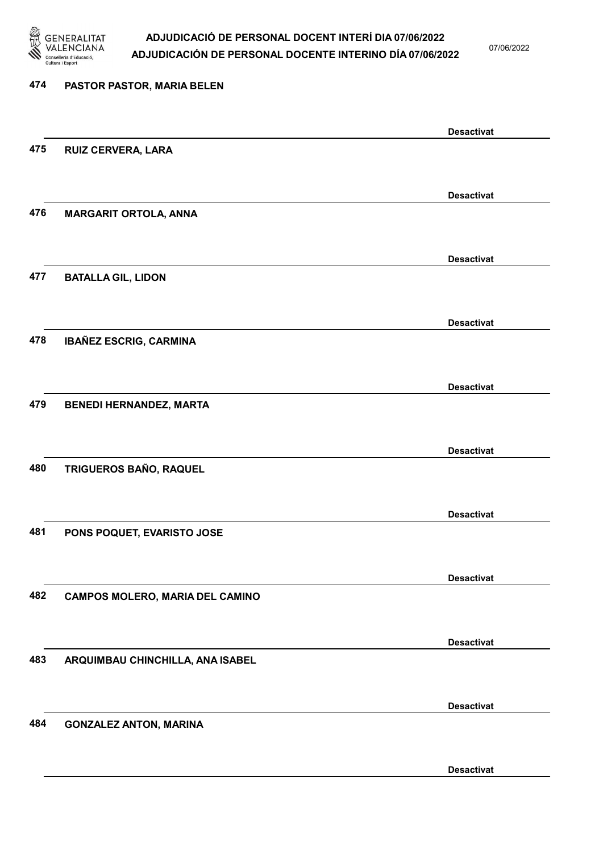

07/06/2022

| 474 | PASTOR PASTOR, MARIA BELEN             |                   |
|-----|----------------------------------------|-------------------|
|     |                                        | <b>Desactivat</b> |
| 475 | <b>RUIZ CERVERA, LARA</b>              |                   |
|     |                                        | <b>Desactivat</b> |
| 476 | <b>MARGARIT ORTOLA, ANNA</b>           |                   |
|     |                                        | <b>Desactivat</b> |
| 477 | <b>BATALLA GIL, LIDON</b>              |                   |
|     |                                        | <b>Desactivat</b> |
| 478 | <b>IBAÑEZ ESCRIG, CARMINA</b>          |                   |
|     |                                        | <b>Desactivat</b> |
| 479 | <b>BENEDI HERNANDEZ, MARTA</b>         |                   |
|     |                                        | <b>Desactivat</b> |
| 480 | TRIGUEROS BAÑO, RAQUEL                 |                   |
|     |                                        | <b>Desactivat</b> |
| 481 | PONS POQUET, EVARISTO JOSE             |                   |
|     |                                        | <b>Desactivat</b> |
| 482 | <b>CAMPOS MOLERO, MARIA DEL CAMINO</b> |                   |
|     |                                        | <b>Desactivat</b> |
| 483 | ARQUIMBAU CHINCHILLA, ANA ISABEL       |                   |
|     |                                        | <b>Desactivat</b> |
| 484 | <b>GONZALEZ ANTON, MARINA</b>          |                   |
|     |                                        |                   |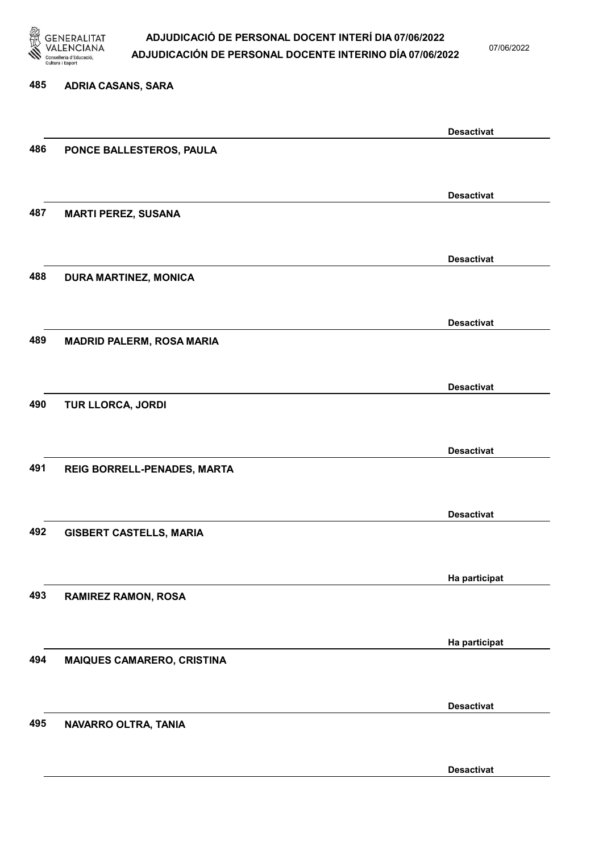

07/06/2022

Desactivat

# 485 ADRIA CASANS, SARA Desactivat 486 PONCE BALLESTEROS, PAULA Desactivat 487 MARTI PEREZ, SUSANA Desactivat 488 DURA MARTINEZ, MONICA Desactivat 489 MADRID PALERM, ROSA MARIA Desactivat 490 TUR LLORCA, JORDI Desactivat 491 REIG BORRELL-PENADES, MARTA Desactivat 492 GISBERT CASTELLS, MARIA Ha participat 493 RAMIREZ RAMON, ROSA Ha participat 494 MAIQUES CAMARERO, CRISTINA Desactivat 495 NAVARRO OLTRA, TANIA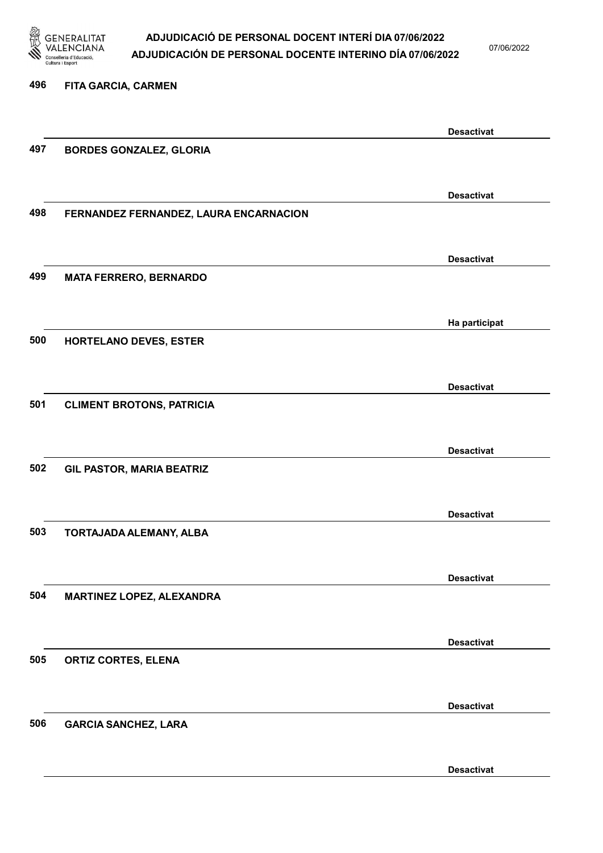

07/06/2022

# 496 FITA GARCIA, CARMEN Desactivat 497 BORDES GONZALEZ, GLORIA Desactivat 498 FERNANDEZ FERNANDEZ, LAURA ENCARNACION Desactivat 499 MATA FERRERO, BERNARDO Ha participat 500 HORTELANO DEVES, ESTER Desactivat 501 CLIMENT BROTONS, PATRICIA Desactivat 502 GIL PASTOR, MARIA BEATRIZ Desactivat 503 TORTAJADA ALEMANY, ALBA Desactivat 504 MARTINEZ LOPEZ, ALEXANDRA Desactivat 505 ORTIZ CORTES, ELENA Desactivat 506 GARCIA SANCHEZ, LARA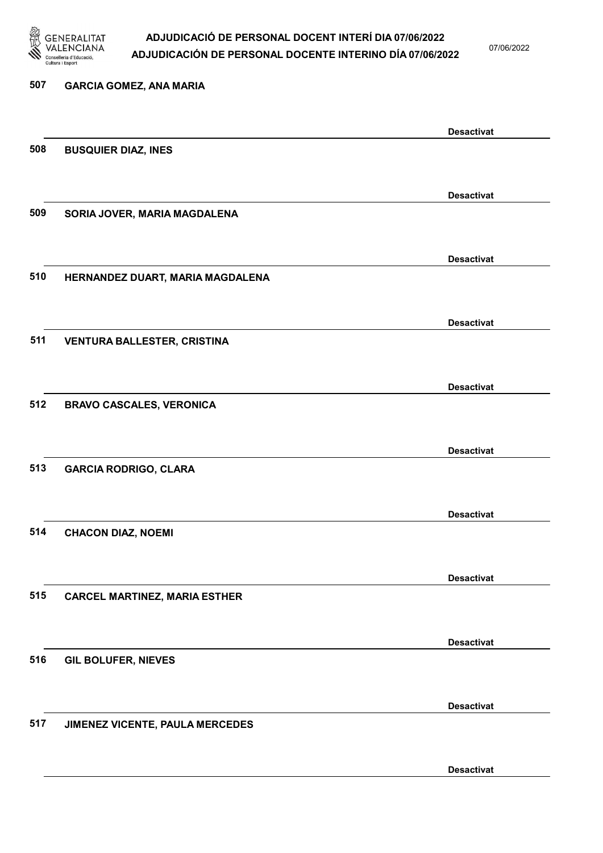

07/06/2022

| 507 | <b>GARCIA GOMEZ, ANA MARIA</b>       |                   |
|-----|--------------------------------------|-------------------|
|     |                                      |                   |
|     |                                      | <b>Desactivat</b> |
| 508 | <b>BUSQUIER DIAZ, INES</b>           |                   |
|     |                                      |                   |
|     |                                      | <b>Desactivat</b> |
| 509 | SORIA JOVER, MARIA MAGDALENA         |                   |
|     |                                      |                   |
|     |                                      |                   |
|     |                                      | <b>Desactivat</b> |
| 510 | HERNANDEZ DUART, MARIA MAGDALENA     |                   |
|     |                                      |                   |
|     |                                      | <b>Desactivat</b> |
| 511 | <b>VENTURA BALLESTER, CRISTINA</b>   |                   |
|     |                                      |                   |
|     |                                      | <b>Desactivat</b> |
| 512 | <b>BRAVO CASCALES, VERONICA</b>      |                   |
|     |                                      |                   |
|     |                                      |                   |
|     |                                      | <b>Desactivat</b> |
| 513 | <b>GARCIA RODRIGO, CLARA</b>         |                   |
|     |                                      |                   |
|     |                                      | <b>Desactivat</b> |
| 514 | <b>CHACON DIAZ, NOEMI</b>            |                   |
|     |                                      |                   |
|     |                                      |                   |
|     |                                      | <b>Desactivat</b> |
| 515 | <b>CARCEL MARTINEZ, MARIA ESTHER</b> |                   |
|     |                                      |                   |
|     |                                      | <b>Desactivat</b> |
| 516 | <b>GIL BOLUFER, NIEVES</b>           |                   |
|     |                                      |                   |
|     |                                      | <b>Desactivat</b> |
| 517 | JIMENEZ VICENTE, PAULA MERCEDES      |                   |
|     |                                      |                   |
|     |                                      |                   |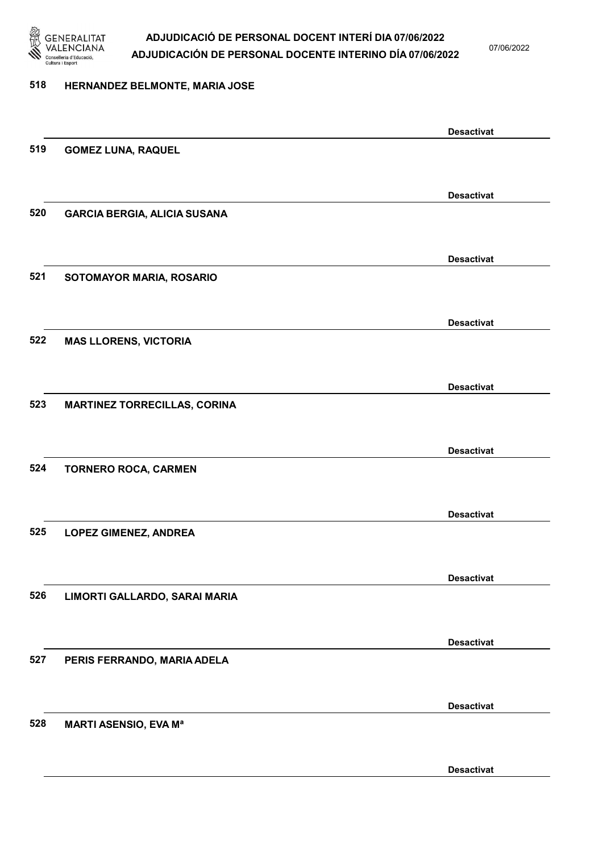

07/06/2022

### 518 HERNANDEZ BELMONTE, MARIA JOSE

|     |                                     | <b>Desactivat</b> |
|-----|-------------------------------------|-------------------|
| 519 | <b>GOMEZ LUNA, RAQUEL</b>           |                   |
|     |                                     |                   |
|     |                                     | <b>Desactivat</b> |
| 520 | <b>GARCIA BERGIA, ALICIA SUSANA</b> |                   |
|     |                                     |                   |
|     |                                     | <b>Desactivat</b> |
| 521 | SOTOMAYOR MARIA, ROSARIO            |                   |
|     |                                     |                   |
|     |                                     | <b>Desactivat</b> |
| 522 | <b>MAS LLORENS, VICTORIA</b>        |                   |
|     |                                     |                   |
|     |                                     | <b>Desactivat</b> |
| 523 | <b>MARTINEZ TORRECILLAS, CORINA</b> |                   |
|     |                                     |                   |
|     |                                     | <b>Desactivat</b> |
| 524 | <b>TORNERO ROCA, CARMEN</b>         |                   |
|     |                                     |                   |
|     |                                     |                   |
| 525 | <b>LOPEZ GIMENEZ, ANDREA</b>        | <b>Desactivat</b> |
|     |                                     |                   |
|     |                                     |                   |
| 526 | LIMORTI GALLARDO, SARAI MARIA       | <b>Desactivat</b> |
|     |                                     |                   |
|     |                                     |                   |
| 527 | PERIS FERRANDO, MARIA ADELA         | <b>Desactivat</b> |
|     |                                     |                   |
|     |                                     |                   |
|     |                                     | <b>Desactivat</b> |
| 528 | <b>MARTI ASENSIO, EVA Ma</b>        |                   |
|     |                                     |                   |
|     |                                     | <b>Desactivat</b> |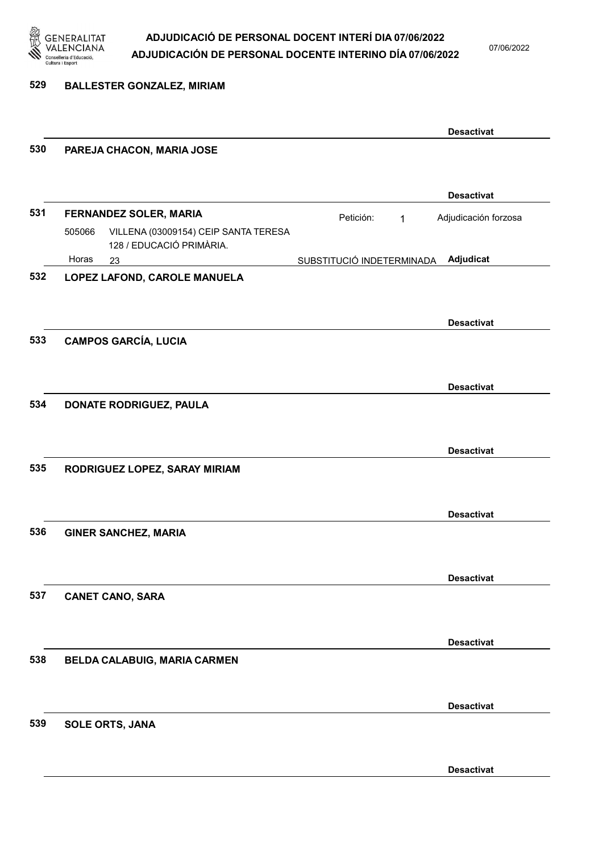

07/06/2022

#### 529 BALLESTER GONZALEZ, MIRIAM

|     |                                                                            |                           | <b>Desactivat</b>    |
|-----|----------------------------------------------------------------------------|---------------------------|----------------------|
| 530 | PAREJA CHACON, MARIA JOSE                                                  |                           |                      |
|     |                                                                            |                           | <b>Desactivat</b>    |
| 531 | FERNANDEZ SOLER, MARIA                                                     | Petición:<br>$\mathbf{1}$ | Adjudicación forzosa |
|     | VILLENA (03009154) CEIP SANTA TERESA<br>505066<br>128 / EDUCACIÓ PRIMÀRIA. |                           |                      |
|     | Horas<br>23                                                                | SUBSTITUCIÓ INDETERMINADA | Adjudicat            |
| 532 | LOPEZ LAFOND, CAROLE MANUELA                                               |                           |                      |
|     |                                                                            |                           |                      |
|     |                                                                            |                           | <b>Desactivat</b>    |
| 533 | <b>CAMPOS GARCÍA, LUCIA</b>                                                |                           |                      |
|     |                                                                            |                           |                      |
|     |                                                                            |                           | <b>Desactivat</b>    |
| 534 | <b>DONATE RODRIGUEZ, PAULA</b>                                             |                           |                      |
|     |                                                                            |                           |                      |
|     |                                                                            |                           | <b>Desactivat</b>    |
| 535 | RODRIGUEZ LOPEZ, SARAY MIRIAM                                              |                           |                      |
|     |                                                                            |                           |                      |
|     |                                                                            |                           | <b>Desactivat</b>    |
| 536 | <b>GINER SANCHEZ, MARIA</b>                                                |                           |                      |
|     |                                                                            |                           |                      |
|     |                                                                            |                           | <b>Desactivat</b>    |
| 537 | <b>CANET CANO, SARA</b>                                                    |                           |                      |
|     |                                                                            |                           |                      |
|     |                                                                            |                           | <b>Desactivat</b>    |
| 538 | BELDA CALABUIG, MARIA CARMEN                                               |                           |                      |
|     |                                                                            |                           |                      |
|     |                                                                            |                           | <b>Desactivat</b>    |
| 539 | <b>SOLE ORTS, JANA</b>                                                     |                           |                      |
|     |                                                                            |                           |                      |
|     |                                                                            |                           |                      |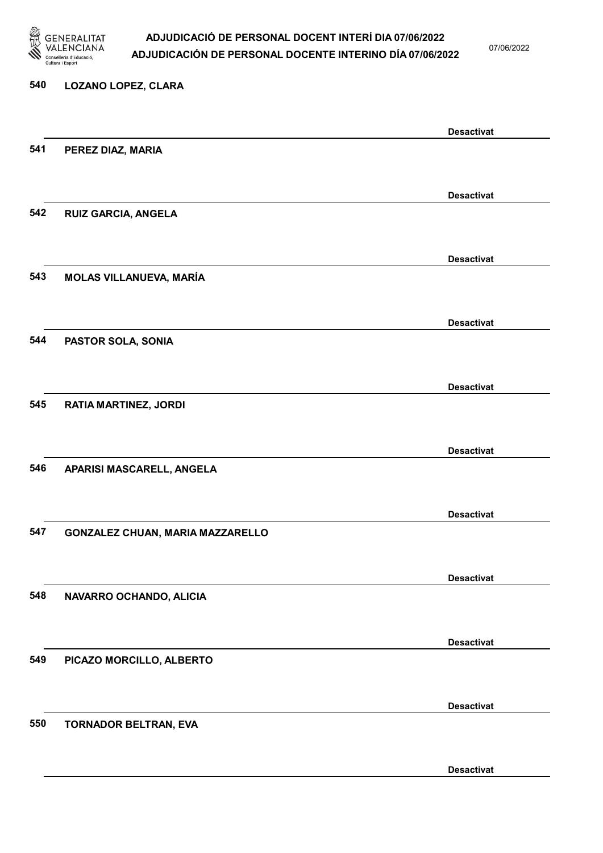

07/06/2022

#### 540 LOZANO LOPEZ, CLARA

|     |                                  | <b>Desactivat</b> |
|-----|----------------------------------|-------------------|
| 541 | PEREZ DIAZ, MARIA                |                   |
|     |                                  |                   |
|     |                                  | <b>Desactivat</b> |
| 542 | <b>RUIZ GARCIA, ANGELA</b>       |                   |
|     |                                  |                   |
|     |                                  | <b>Desactivat</b> |
| 543 | <b>MOLAS VILLANUEVA, MARÍA</b>   |                   |
|     |                                  |                   |
|     |                                  |                   |
| 544 | PASTOR SOLA, SONIA               | <b>Desactivat</b> |
|     |                                  |                   |
|     |                                  |                   |
|     |                                  | <b>Desactivat</b> |
| 545 | <b>RATIA MARTINEZ, JORDI</b>     |                   |
|     |                                  |                   |
|     |                                  | <b>Desactivat</b> |
| 546 | APARISI MASCARELL, ANGELA        |                   |
|     |                                  |                   |
|     |                                  | <b>Desactivat</b> |
| 547 | GONZALEZ CHUAN, MARIA MAZZARELLO |                   |
|     |                                  |                   |
|     |                                  | <b>Desactivat</b> |
| 548 | NAVARRO OCHANDO, ALICIA          |                   |
|     |                                  |                   |
|     |                                  | <b>Desactivat</b> |
| 549 | PICAZO MORCILLO, ALBERTO         |                   |
|     |                                  |                   |
|     |                                  | <b>Desactivat</b> |
| 550 | TORNADOR BELTRAN, EVA            |                   |
|     |                                  |                   |
|     |                                  |                   |
|     |                                  | <b>Desactivat</b> |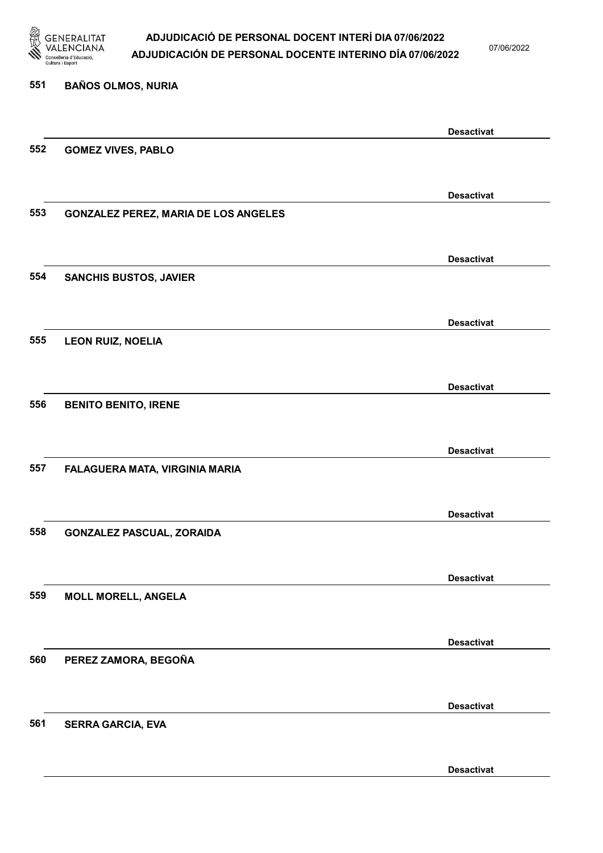

07/06/2022

Desactivat

# 551 BAÑOS OLMOS, NURIA Desactivat 552 GOMEZ VIVES, PABLO Desactivat 553 GONZALEZ PEREZ, MARIA DE LOS ANGELES Desactivat 554 SANCHIS BUSTOS, JAVIER Desactivat 555 LEON RUIZ, NOELIA Desactivat 556 BENITO BENITO, IRENE Desactivat 557 FALAGUERA MATA, VIRGINIA MARIA Desactivat 558 GONZALEZ PASCUAL, ZORAIDA Desactivat 559 MOLL MORELL, ANGELA Desactivat 560 PEREZ ZAMORA, BEGOÑA Desactivat 561 SERRA GARCIA, EVA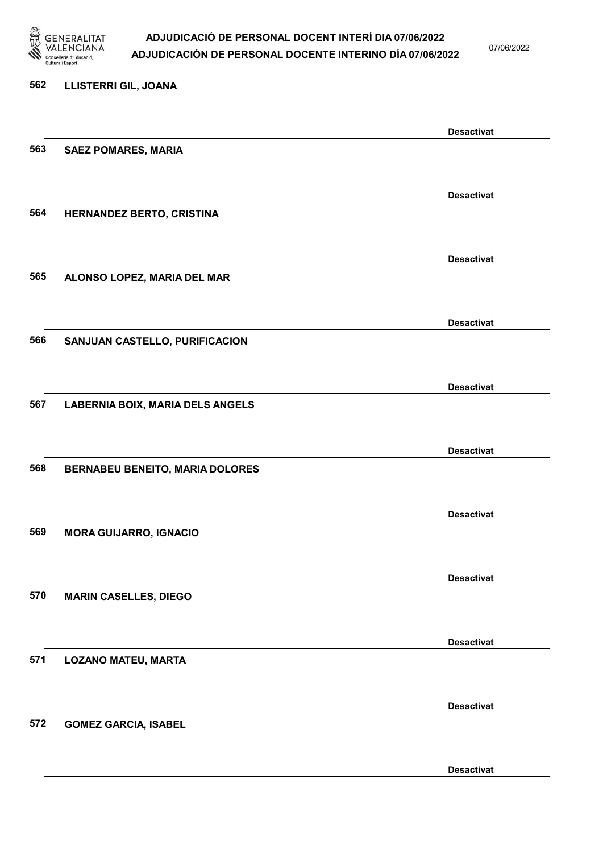

07/06/2022

Desactivat

# 562 LLISTERRI GIL, JOANA Desactivat 563 SAEZ POMARES, MARIA Desactivat 564 HERNANDEZ BERTO, CRISTINA Desactivat 565 ALONSO LOPEZ, MARIA DEL MAR Desactivat 566 SANJUAN CASTELLO, PURIFICACION Desactivat 567 LABERNIA BOIX, MARIA DELS ANGELS Desactivat 568 BERNABEU BENEITO, MARIA DOLORES Desactivat 569 MORA GUIJARRO, IGNACIO Desactivat 570 MARIN CASELLES, DIEGO Desactivat 571 LOZANO MATEU, MARTA Desactivat 572 GOMEZ GARCIA, ISABEL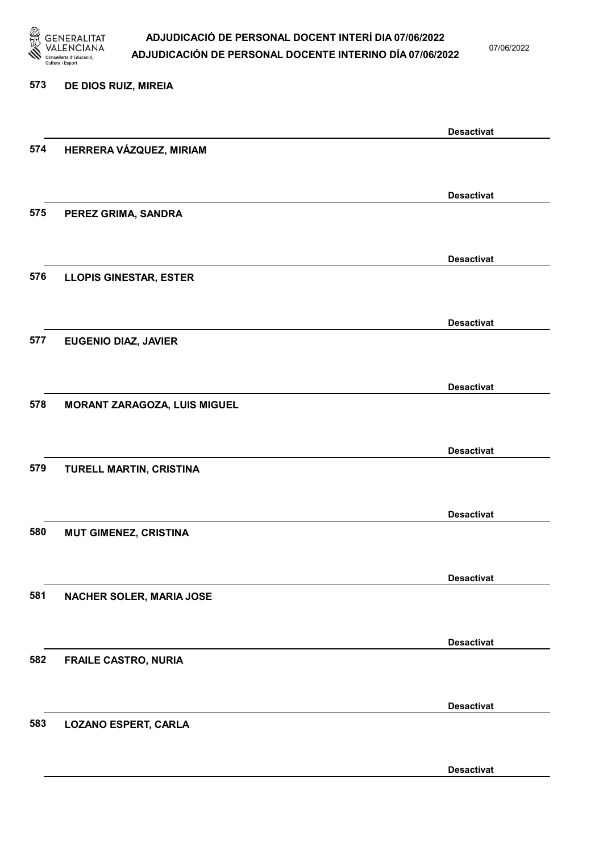

07/06/2022

#### 573 DE DIOS RUIZ, MIREIA

|     |                               | <b>Desactivat</b> |
|-----|-------------------------------|-------------------|
| 574 | HERRERA VÁZQUEZ, MIRIAM       |                   |
|     |                               |                   |
|     |                               | <b>Desactivat</b> |
| 575 | PEREZ GRIMA, SANDRA           |                   |
|     |                               |                   |
|     |                               | <b>Desactivat</b> |
| 576 | <b>LLOPIS GINESTAR, ESTER</b> |                   |
|     |                               |                   |
|     |                               | <b>Desactivat</b> |
| 577 | <b>EUGENIO DIAZ, JAVIER</b>   |                   |
|     |                               |                   |
|     |                               | <b>Desactivat</b> |
| 578 | MORANT ZARAGOZA, LUIS MIGUEL  |                   |
|     |                               |                   |
|     |                               | <b>Desactivat</b> |
| 579 | TURELL MARTIN, CRISTINA       |                   |
|     |                               |                   |
|     |                               | <b>Desactivat</b> |
| 580 | <b>MUT GIMENEZ, CRISTINA</b>  |                   |
|     |                               |                   |
|     |                               | <b>Desactivat</b> |
| 581 | NACHER SOLER, MARIA JOSE      |                   |
|     |                               |                   |
|     |                               | <b>Desactivat</b> |
| 582 | <b>FRAILE CASTRO, NURIA</b>   |                   |
|     |                               |                   |
|     |                               | <b>Desactivat</b> |
| 583 | <b>LOZANO ESPERT, CARLA</b>   |                   |
|     |                               |                   |
|     |                               | <b>Desactivat</b> |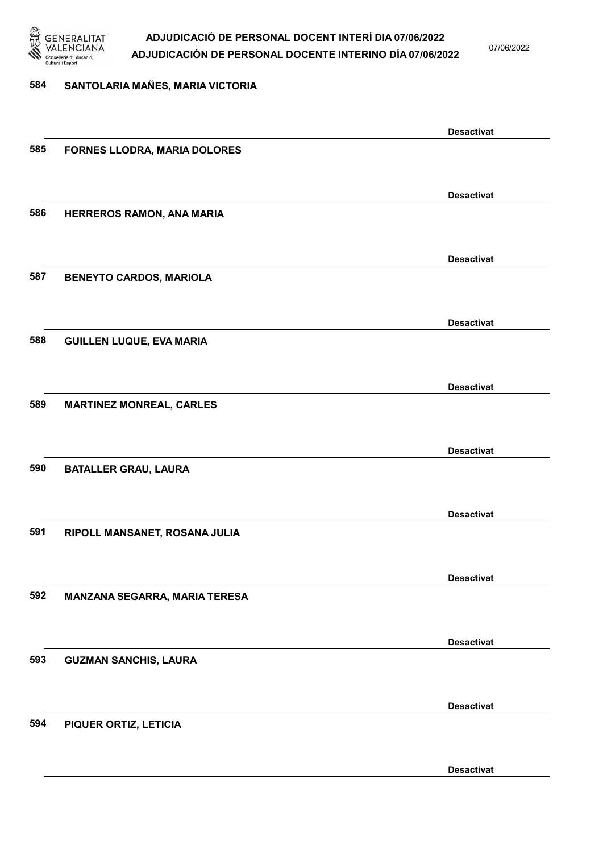

07/06/2022

### 584 SANTOLARIA MAÑES, MARIA VICTORIA

|     |                                     | <b>Desactivat</b> |
|-----|-------------------------------------|-------------------|
| 585 | <b>FORNES LLODRA, MARIA DOLORES</b> |                   |
|     |                                     |                   |
|     |                                     |                   |
|     |                                     | <b>Desactivat</b> |
| 586 | HERREROS RAMON, ANA MARIA           |                   |
|     |                                     |                   |
|     |                                     |                   |
|     |                                     | <b>Desactivat</b> |
|     |                                     |                   |
| 587 | <b>BENEYTO CARDOS, MARIOLA</b>      |                   |
|     |                                     |                   |
|     |                                     |                   |
|     |                                     | <b>Desactivat</b> |
| 588 | <b>GUILLEN LUQUE, EVA MARIA</b>     |                   |
|     |                                     |                   |
|     |                                     |                   |
|     |                                     | <b>Desactivat</b> |
| 589 | <b>MARTINEZ MONREAL, CARLES</b>     |                   |
|     |                                     |                   |
|     |                                     |                   |
|     |                                     | <b>Desactivat</b> |
| 590 | <b>BATALLER GRAU, LAURA</b>         |                   |
|     |                                     |                   |
|     |                                     |                   |
|     |                                     | <b>Desactivat</b> |
| 591 | RIPOLL MANSANET, ROSANA JULIA       |                   |
|     |                                     |                   |
|     |                                     |                   |
|     |                                     | <b>Desactivat</b> |
| 592 |                                     |                   |
|     | MANZANA SEGARRA, MARIA TERESA       |                   |
|     |                                     |                   |
|     |                                     | <b>Desactivat</b> |
|     |                                     |                   |
| 593 | <b>GUZMAN SANCHIS, LAURA</b>        |                   |
|     |                                     |                   |
|     |                                     |                   |
|     |                                     | <b>Desactivat</b> |
| 594 | PIQUER ORTIZ, LETICIA               |                   |
|     |                                     |                   |
|     |                                     |                   |
|     |                                     | <b>Desactivat</b> |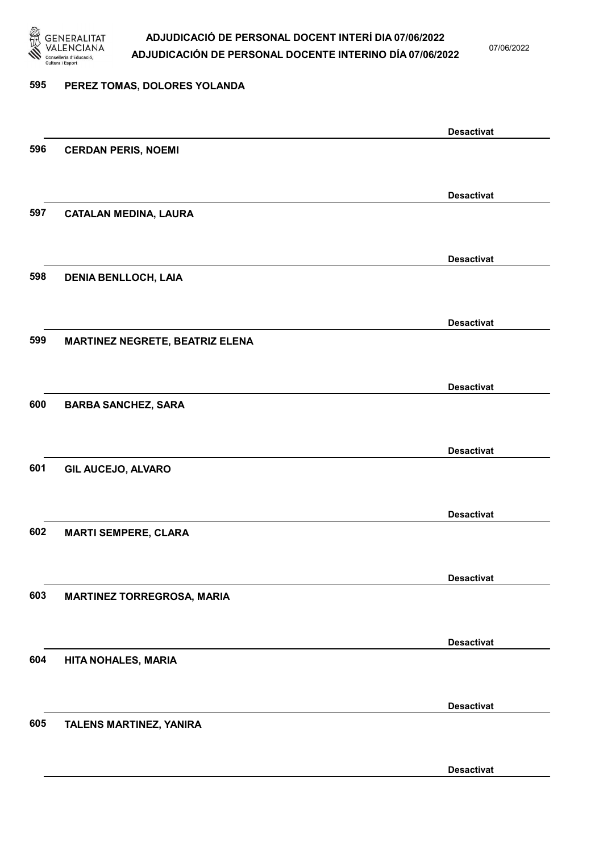

07/06/2022

### 595 PEREZ TOMAS, DOLORES YOLANDA

|     |                                        | <b>Desactivat</b> |
|-----|----------------------------------------|-------------------|
| 596 | <b>CERDAN PERIS, NOEMI</b>             |                   |
|     |                                        |                   |
|     |                                        | <b>Desactivat</b> |
| 597 | <b>CATALAN MEDINA, LAURA</b>           |                   |
|     |                                        |                   |
|     |                                        |                   |
|     |                                        | <b>Desactivat</b> |
| 598 | <b>DENIA BENLLOCH, LAIA</b>            |                   |
|     |                                        |                   |
|     |                                        | <b>Desactivat</b> |
| 599 | <b>MARTINEZ NEGRETE, BEATRIZ ELENA</b> |                   |
|     |                                        |                   |
|     |                                        | <b>Desactivat</b> |
| 600 | <b>BARBA SANCHEZ, SARA</b>             |                   |
|     |                                        |                   |
|     |                                        |                   |
| 601 |                                        | <b>Desactivat</b> |
|     | <b>GIL AUCEJO, ALVARO</b>              |                   |
|     |                                        |                   |
|     |                                        | <b>Desactivat</b> |
| 602 | <b>MARTI SEMPERE, CLARA</b>            |                   |
|     |                                        |                   |
|     |                                        | <b>Desactivat</b> |
| 603 | <b>MARTINEZ TORREGROSA, MARIA</b>      |                   |
|     |                                        |                   |
|     |                                        | <b>Desactivat</b> |
| 604 | HITA NOHALES, MARIA                    |                   |
|     |                                        |                   |
|     |                                        |                   |
|     |                                        | <b>Desactivat</b> |
| 605 | TALENS MARTINEZ, YANIRA                |                   |
|     |                                        |                   |
|     |                                        | <b>Desactivat</b> |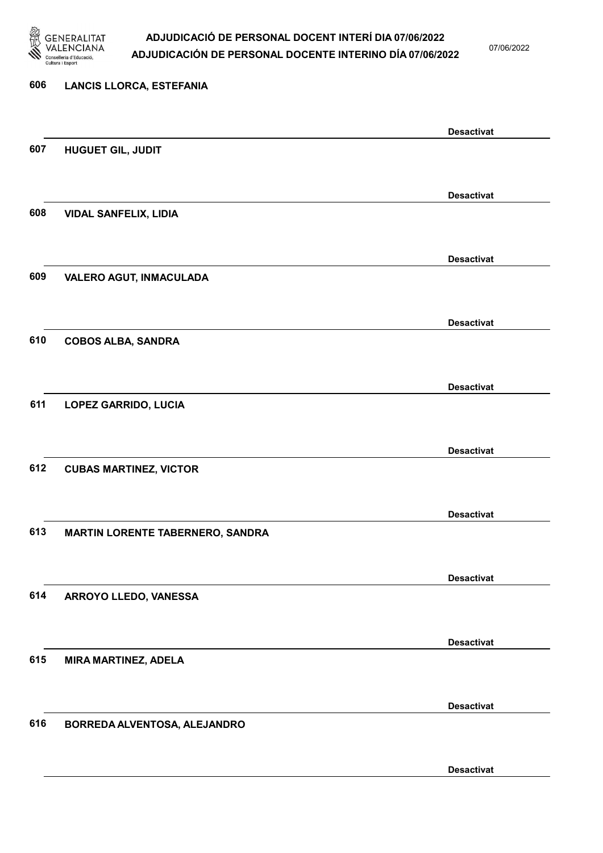

07/06/2022

Desactivat

# 606 LANCIS LLORCA, ESTEFANIA Desactivat 607 HUGUET GIL, JUDIT Desactivat 608 VIDAL SANFELIX, LIDIA Desactivat 609 VALERO AGUT, INMACULADA Desactivat 610 COBOS ALBA, SANDRA Desactivat 611 LOPEZ GARRIDO, LUCIA Desactivat 612 CUBAS MARTINEZ, VICTOR Desactivat 613 MARTIN LORENTE TABERNERO, SANDRA Desactivat 614 ARROYO LLEDO, VANESSA Desactivat 615 MIRA MARTINEZ, ADELA Desactivat 616 BORREDA ALVENTOSA, ALEJANDRO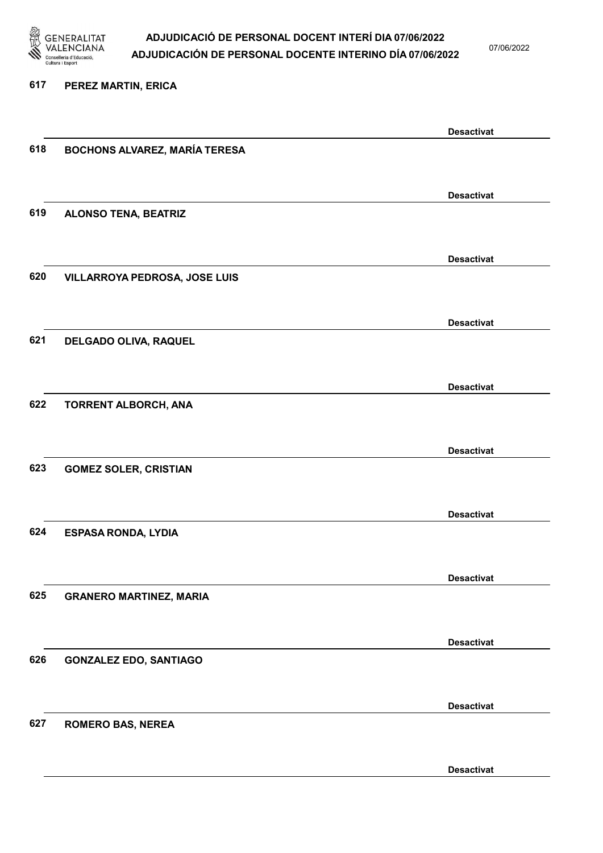

07/06/2022

#### 617 PEREZ MARTIN, ERICA

|     |                                      | <b>Desactivat</b> |
|-----|--------------------------------------|-------------------|
| 618 | <b>BOCHONS ALVAREZ, MARÍA TERESA</b> |                   |
|     |                                      |                   |
|     |                                      |                   |
|     |                                      | <b>Desactivat</b> |
|     |                                      |                   |
| 619 | <b>ALONSO TENA, BEATRIZ</b>          |                   |
|     |                                      |                   |
|     |                                      |                   |
|     |                                      | <b>Desactivat</b> |
| 620 | VILLARROYA PEDROSA, JOSE LUIS        |                   |
|     |                                      |                   |
|     |                                      |                   |
|     |                                      | <b>Desactivat</b> |
|     |                                      |                   |
| 621 | DELGADO OLIVA, RAQUEL                |                   |
|     |                                      |                   |
|     |                                      |                   |
|     |                                      | <b>Desactivat</b> |
| 622 | TORRENT ALBORCH, ANA                 |                   |
|     |                                      |                   |
|     |                                      |                   |
|     |                                      | <b>Desactivat</b> |
|     |                                      |                   |
| 623 | <b>GOMEZ SOLER, CRISTIAN</b>         |                   |
|     |                                      |                   |
|     |                                      |                   |
|     |                                      | <b>Desactivat</b> |
| 624 | <b>ESPASA RONDA, LYDIA</b>           |                   |
|     |                                      |                   |
|     |                                      |                   |
|     |                                      | <b>Desactivat</b> |
|     |                                      |                   |
| 625 | <b>GRANERO MARTINEZ, MARIA</b>       |                   |
|     |                                      |                   |
|     |                                      |                   |
|     |                                      | <b>Desactivat</b> |
| 626 | <b>GONZALEZ EDO, SANTIAGO</b>        |                   |
|     |                                      |                   |
|     |                                      |                   |
|     |                                      | <b>Desactivat</b> |
|     |                                      |                   |
| 627 | <b>ROMERO BAS, NEREA</b>             |                   |
|     |                                      |                   |
|     |                                      |                   |
|     |                                      | <b>Desactivat</b> |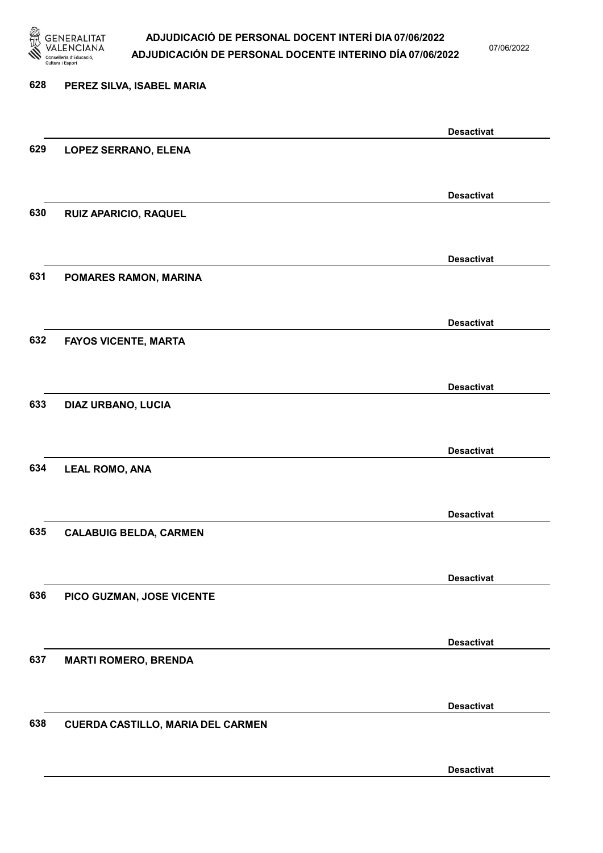

07/06/2022

Desactivat

# 628 PEREZ SILVA, ISABEL MARIA Desactivat 629 LOPEZ SERRANO, ELENA Desactivat 630 RUIZ APARICIO, RAQUEL Desactivat 631 POMARES RAMON, MARINA Desactivat 632 FAYOS VICENTE, MARTA Desactivat 633 DIAZ URBANO, LUCIA Desactivat 634 LEAL ROMO, ANA Desactivat 635 CALABUIG BELDA, CARMEN Desactivat 636 PICO GUZMAN, JOSE VICENTE Desactivat 637 MARTI ROMERO, BRENDA Desactivat 638 CUERDA CASTILLO, MARIA DEL CARMEN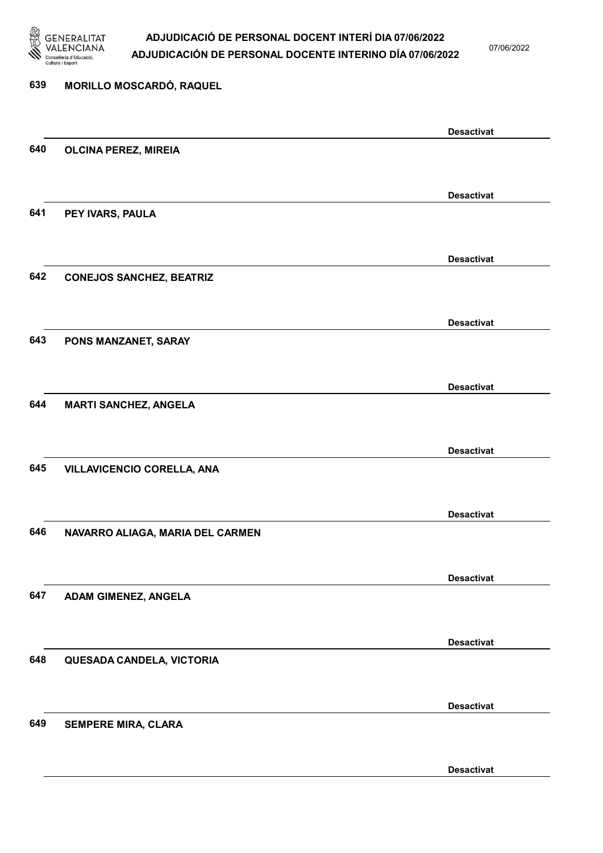

07/06/2022

Desactivat

# 639 MORILLO MOSCARDÓ, RAQUEL Desactivat 640 OLCINA PEREZ, MIREIA Desactivat 641 PEY IVARS, PAULA Desactivat 642 CONEJOS SANCHEZ, BEATRIZ Desactivat 643 PONS MANZANET, SARAY Desactivat 644 MARTI SANCHEZ, ANGELA Desactivat 645 VILLAVICENCIO CORELLA, ANA Desactivat 646 NAVARRO ALIAGA, MARIA DEL CARMEN Desactivat 647 ADAM GIMENEZ, ANGELA Desactivat 648 QUESADA CANDELA, VICTORIA Desactivat 649 SEMPERE MIRA, CLARA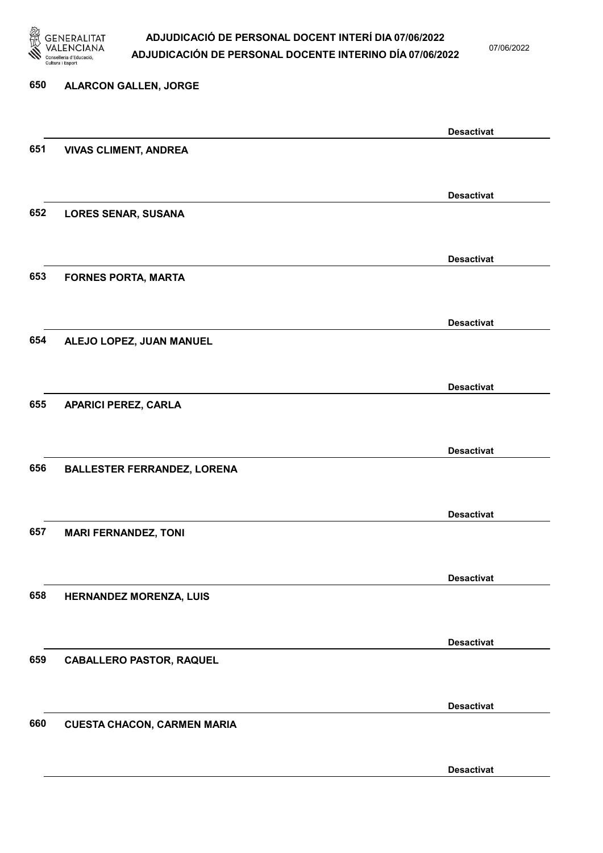

07/06/2022

# 650 ALARCON GALLEN, JORGE Desactivat 651 VIVAS CLIMENT, ANDREA Desactivat 652 LORES SENAR, SUSANA Desactivat 653 FORNES PORTA, MARTA Desactivat 654 ALEJO LOPEZ, JUAN MANUEL Desactivat 655 APARICI PEREZ, CARLA Desactivat 656 BALLESTER FERRANDEZ, LORENA Desactivat 657 MARI FERNANDEZ, TONI Desactivat 658 HERNANDEZ MORENZA, LUIS Desactivat 659 CABALLERO PASTOR, RAQUEL Desactivat 660 CUESTA CHACON, CARMEN MARIA Desactivat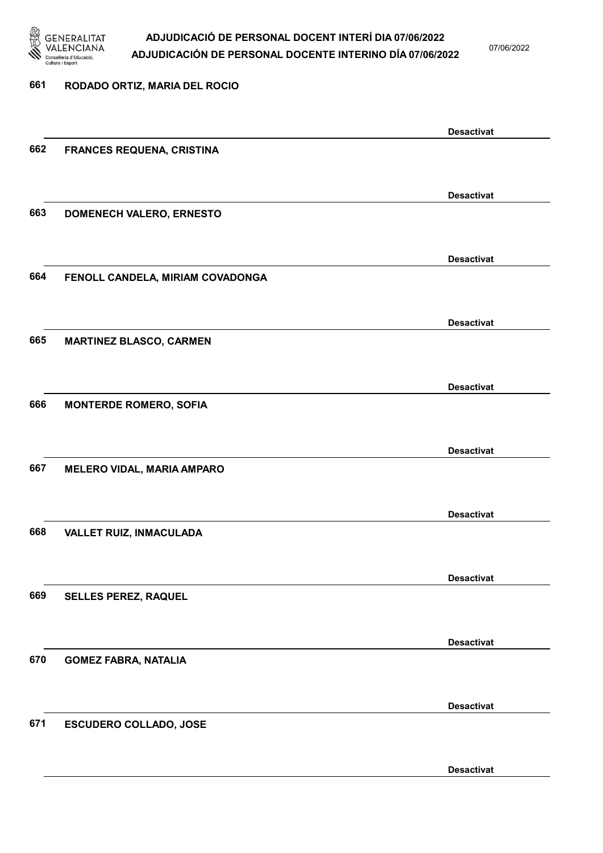

07/06/2022

Desactivat

# 661 RODADO ORTIZ, MARIA DEL ROCIO Desactivat 662 FRANCES REQUENA, CRISTINA Desactivat 663 DOMENECH VALERO, ERNESTO Desactivat 664 FENOLL CANDELA, MIRIAM COVADONGA Desactivat 665 MARTINEZ BLASCO, CARMEN Desactivat 666 MONTERDE ROMERO, SOFIA Desactivat 667 MELERO VIDAL, MARIA AMPARO Desactivat 668 VALLET RUIZ, INMACULADA Desactivat 669 SELLES PEREZ, RAQUEL Desactivat 670 GOMEZ FABRA, NATALIA Desactivat 671 ESCUDERO COLLADO, JOSE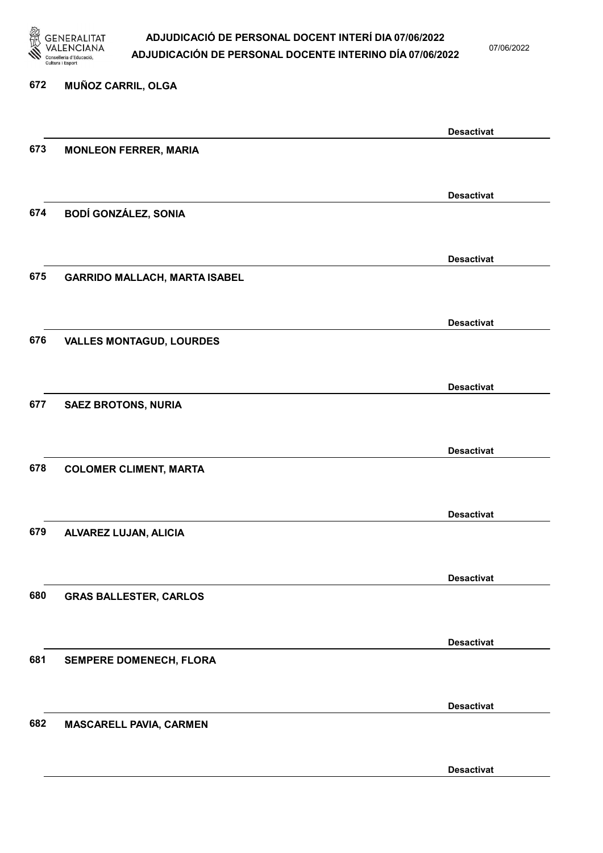

07/06/2022

Desactivat

# 672 MUÑOZ CARRIL, OLGA Desactivat 673 MONLEON FERRER, MARIA Desactivat 674 BODÍ GONZÁLEZ, SONIA Desactivat 675 GARRIDO MALLACH, MARTA ISABEL Desactivat 676 VALLES MONTAGUD, LOURDES Desactivat 677 SAEZ BROTONS, NURIA Desactivat 678 COLOMER CLIMENT, MARTA Desactivat 679 ALVAREZ LUJAN, ALICIA Desactivat 680 GRAS BALLESTER, CARLOS Desactivat 681 SEMPERE DOMENECH, FLORA Desactivat 682 MASCARELL PAVIA, CARMEN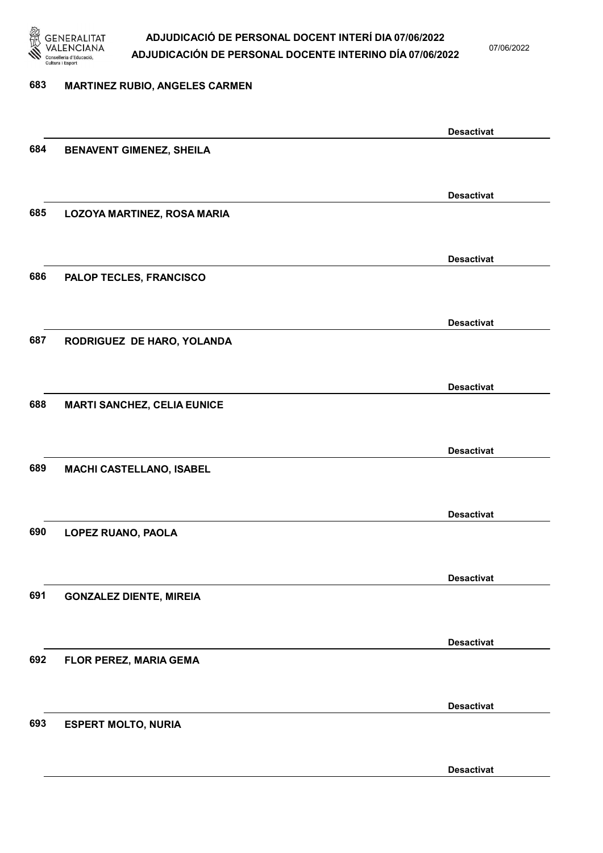

07/06/2022

### 683 MARTINEZ RUBIO, ANGELES CARMEN

|     |                                    | <b>Desactivat</b> |
|-----|------------------------------------|-------------------|
| 684 | <b>BENAVENT GIMENEZ, SHEILA</b>    |                   |
|     |                                    |                   |
|     |                                    | <b>Desactivat</b> |
| 685 | LOZOYA MARTINEZ, ROSA MARIA        |                   |
|     |                                    |                   |
|     |                                    | <b>Desactivat</b> |
| 686 | PALOP TECLES, FRANCISCO            |                   |
|     |                                    |                   |
|     |                                    | <b>Desactivat</b> |
| 687 | RODRIGUEZ DE HARO, YOLANDA         |                   |
|     |                                    |                   |
|     |                                    |                   |
| 688 |                                    | <b>Desactivat</b> |
|     | <b>MARTI SANCHEZ, CELIA EUNICE</b> |                   |
|     |                                    |                   |
|     |                                    | <b>Desactivat</b> |
| 689 | MACHI CASTELLANO, ISABEL           |                   |
|     |                                    |                   |
|     |                                    | <b>Desactivat</b> |
| 690 | LOPEZ RUANO, PAOLA                 |                   |
|     |                                    |                   |
|     |                                    | <b>Desactivat</b> |
| 691 | <b>GONZALEZ DIENTE, MIREIA</b>     |                   |
|     |                                    |                   |
|     |                                    | <b>Desactivat</b> |
| 692 | FLOR PEREZ, MARIA GEMA             |                   |
|     |                                    |                   |
|     |                                    | <b>Desactivat</b> |
| 693 | <b>ESPERT MOLTO, NURIA</b>         |                   |
|     |                                    |                   |
|     |                                    | <b>Desactivat</b> |
|     |                                    |                   |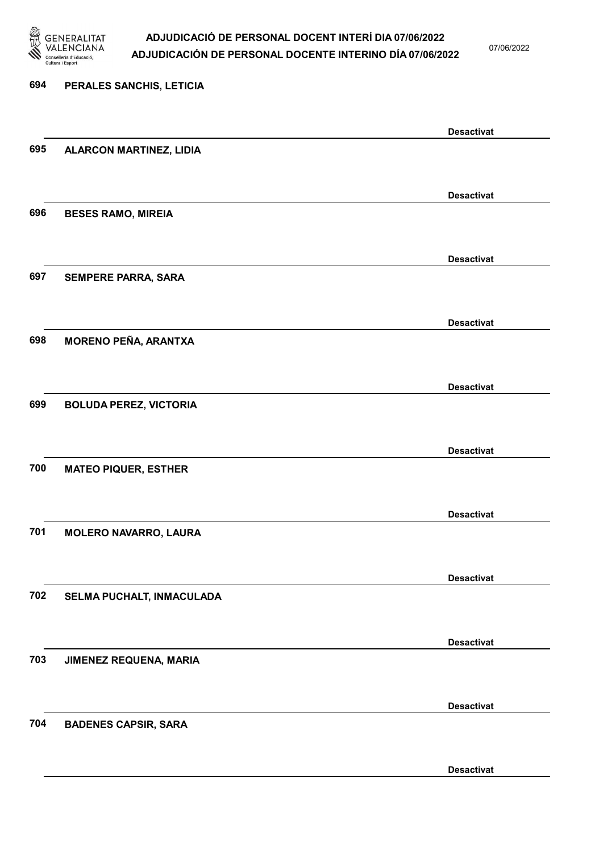

07/06/2022

Desactivat

# 694 PERALES SANCHIS, LETICIA Desactivat 695 ALARCON MARTINEZ, LIDIA Desactivat 696 BESES RAMO, MIREIA Desactivat 697 SEMPERE PARRA, SARA Desactivat 698 MORENO PEÑA, ARANTXA Desactivat 699 BOLUDA PEREZ, VICTORIA Desactivat 700 MATEO PIQUER, ESTHER Desactivat 701 MOLERO NAVARRO, LAURA Desactivat 702 SELMA PUCHALT, INMACULADA Desactivat 703 JIMENEZ REQUENA, MARIA Desactivat 704 BADENES CAPSIR, SARA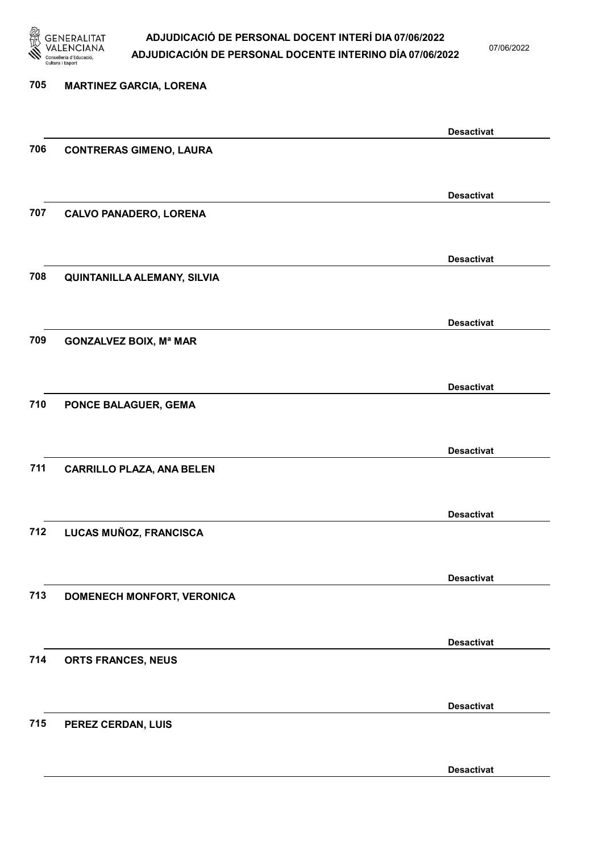

07/06/2022

Desactivat

# 705 MARTINEZ GARCIA, LORENA Desactivat 706 CONTRERAS GIMENO, LAURA Desactivat 707 CALVO PANADERO, LORENA Desactivat 708 QUINTANILLA ALEMANY, SILVIA Desactivat 709 GONZALVEZ BOIX, Mª MAR Desactivat 710 PONCE BALAGUER, GEMA Desactivat 711 CARRILLO PLAZA, ANA BELEN Desactivat 712 LUCAS MUÑOZ, FRANCISCA Desactivat 713 DOMENECH MONFORT, VERONICA Desactivat 714 ORTS FRANCES, NEUS Desactivat 715 PEREZ CERDAN, LUIS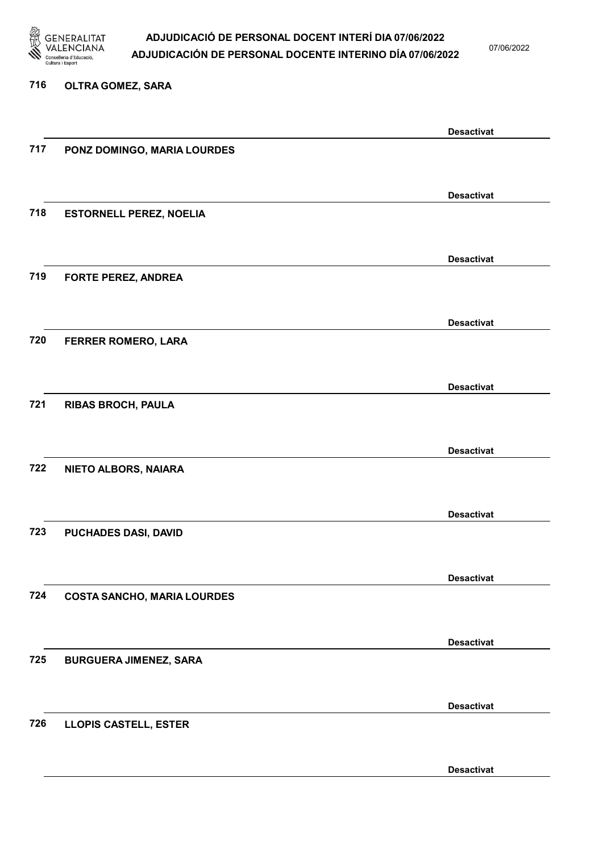

07/06/2022

### 716 OLTRA GOMEZ, SARA

|     |                                    | <b>Desactivat</b> |
|-----|------------------------------------|-------------------|
| 717 | PONZ DOMINGO, MARIA LOURDES        |                   |
|     |                                    |                   |
|     |                                    |                   |
|     |                                    | <b>Desactivat</b> |
|     |                                    |                   |
| 718 | <b>ESTORNELL PEREZ, NOELIA</b>     |                   |
|     |                                    |                   |
|     |                                    |                   |
|     |                                    | <b>Desactivat</b> |
| 719 | <b>FORTE PEREZ, ANDREA</b>         |                   |
|     |                                    |                   |
|     |                                    |                   |
|     |                                    | <b>Desactivat</b> |
|     |                                    |                   |
| 720 | FERRER ROMERO, LARA                |                   |
|     |                                    |                   |
|     |                                    |                   |
|     |                                    | <b>Desactivat</b> |
| 721 | <b>RIBAS BROCH, PAULA</b>          |                   |
|     |                                    |                   |
|     |                                    |                   |
|     |                                    | <b>Desactivat</b> |
|     |                                    |                   |
| 722 | NIETO ALBORS, NAIARA               |                   |
|     |                                    |                   |
|     |                                    |                   |
|     |                                    | <b>Desactivat</b> |
| 723 | PUCHADES DASI, DAVID               |                   |
|     |                                    |                   |
|     |                                    |                   |
|     |                                    | <b>Desactivat</b> |
| 724 | <b>COSTA SANCHO, MARIA LOURDES</b> |                   |
|     |                                    |                   |
|     |                                    |                   |
|     |                                    |                   |
|     |                                    | <b>Desactivat</b> |
| 725 | <b>BURGUERA JIMENEZ, SARA</b>      |                   |
|     |                                    |                   |
|     |                                    |                   |
|     |                                    | <b>Desactivat</b> |
| 726 | <b>LLOPIS CASTELL, ESTER</b>       |                   |
|     |                                    |                   |
|     |                                    |                   |
|     |                                    | <b>Desactivat</b> |
|     |                                    |                   |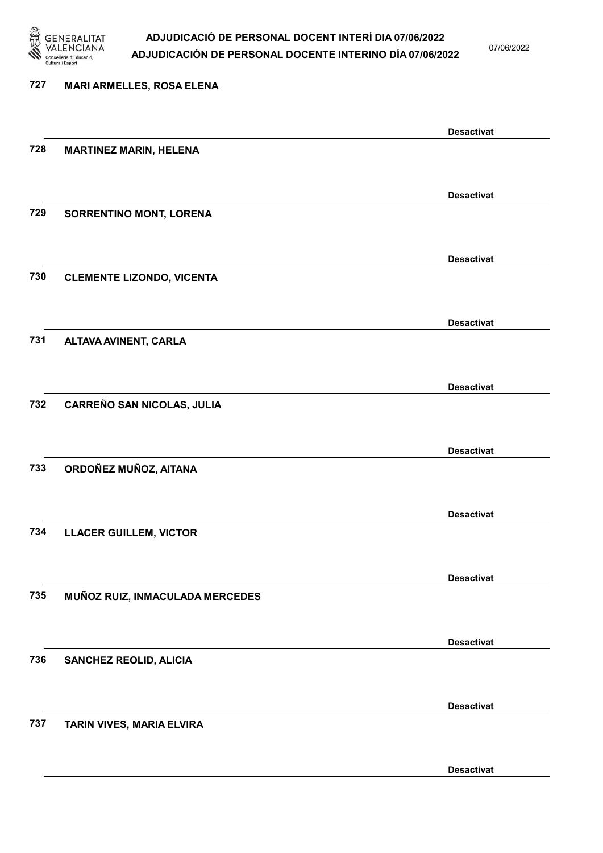

07/06/2022

| 727 | <b>MARI ARMELLES, ROSA ELENA</b>  |                   |
|-----|-----------------------------------|-------------------|
|     |                                   |                   |
|     |                                   | <b>Desactivat</b> |
| 728 | <b>MARTINEZ MARIN, HELENA</b>     |                   |
|     |                                   |                   |
|     |                                   | <b>Desactivat</b> |
| 729 | <b>SORRENTINO MONT, LORENA</b>    |                   |
|     |                                   |                   |
|     |                                   | <b>Desactivat</b> |
| 730 | <b>CLEMENTE LIZONDO, VICENTA</b>  |                   |
|     |                                   |                   |
| 731 | ALTAVA AVINENT, CARLA             | <b>Desactivat</b> |
|     |                                   |                   |
|     |                                   | <b>Desactivat</b> |
| 732 | <b>CARREÑO SAN NICOLAS, JULIA</b> |                   |
|     |                                   |                   |
|     |                                   | <b>Desactivat</b> |
| 733 | ORDOÑEZ MUÑOZ, AITANA             |                   |
|     |                                   |                   |
|     |                                   | <b>Desactivat</b> |
| 734 | <b>LLACER GUILLEM, VICTOR</b>     |                   |
|     |                                   |                   |
|     |                                   | <b>Desactivat</b> |
| 735 | MUÑOZ RUIZ, INMACULADA MERCEDES   |                   |
|     |                                   |                   |
| 736 |                                   | <b>Desactivat</b> |
|     | <b>SANCHEZ REOLID, ALICIA</b>     |                   |
|     |                                   |                   |
| 737 | TARIN VIVES, MARIA ELVIRA         | <b>Desactivat</b> |
|     |                                   |                   |
|     |                                   |                   |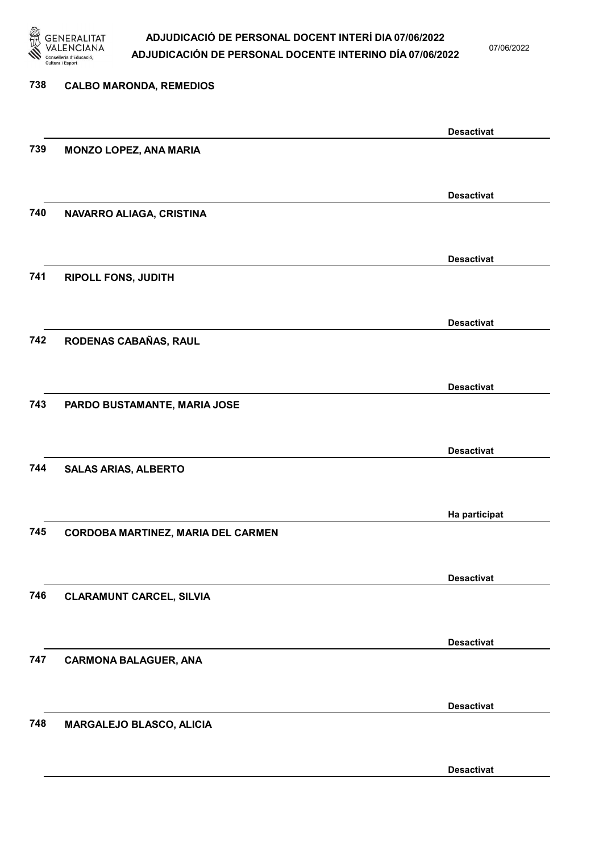

07/06/2022

| 738 | <b>CALBO MARONDA, REMEDIOS</b>     |                   |
|-----|------------------------------------|-------------------|
|     |                                    | <b>Desactivat</b> |
| 739 | <b>MONZO LOPEZ, ANA MARIA</b>      |                   |
|     |                                    | <b>Desactivat</b> |
| 740 | NAVARRO ALIAGA, CRISTINA           |                   |
|     |                                    | <b>Desactivat</b> |
| 741 | <b>RIPOLL FONS, JUDITH</b>         |                   |
|     |                                    | <b>Desactivat</b> |
| 742 | RODENAS CABAÑAS, RAUL              |                   |
|     |                                    | <b>Desactivat</b> |
| 743 | PARDO BUSTAMANTE, MARIA JOSE       |                   |
|     |                                    | <b>Desactivat</b> |
| 744 | <b>SALAS ARIAS, ALBERTO</b>        |                   |
|     |                                    | Ha participat     |
| 745 | CORDOBA MARTINEZ, MARIA DEL CARMEN |                   |
|     |                                    | <b>Desactivat</b> |
| 746 | <b>CLARAMUNT CARCEL, SILVIA</b>    |                   |
|     |                                    | <b>Desactivat</b> |
| 747 | <b>CARMONA BALAGUER, ANA</b>       |                   |
|     |                                    | <b>Desactivat</b> |
| 748 | MARGALEJO BLASCO, ALICIA           |                   |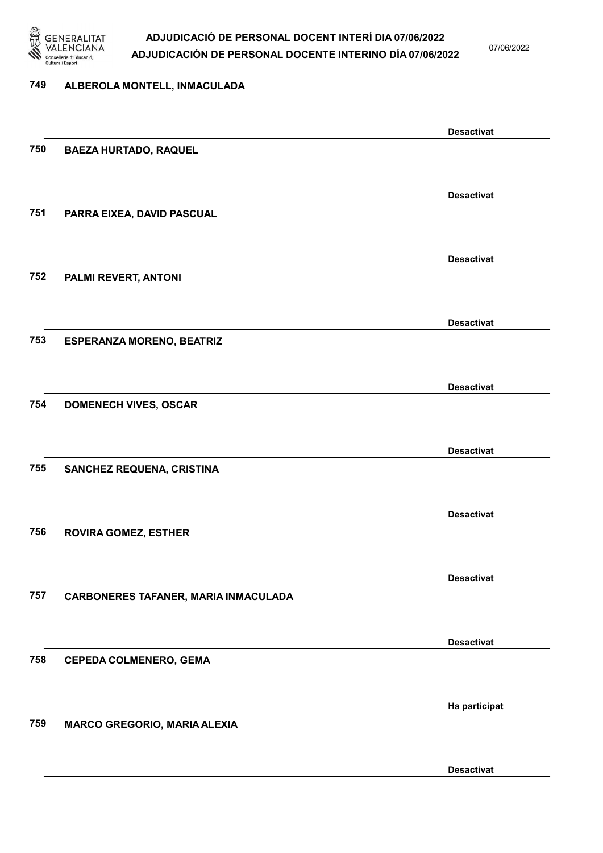

07/06/2022

#### 749 ALBEROLA MONTELL, INMACULADA

|     |                                      | <b>Desactivat</b> |
|-----|--------------------------------------|-------------------|
| 750 | <b>BAEZA HURTADO, RAQUEL</b>         |                   |
|     |                                      |                   |
|     |                                      | <b>Desactivat</b> |
| 751 | PARRA EIXEA, DAVID PASCUAL           |                   |
|     |                                      |                   |
|     |                                      | <b>Desactivat</b> |
| 752 | PALMI REVERT, ANTONI                 |                   |
|     |                                      |                   |
|     |                                      |                   |
|     |                                      | <b>Desactivat</b> |
| 753 | <b>ESPERANZA MORENO, BEATRIZ</b>     |                   |
|     |                                      |                   |
|     |                                      | <b>Desactivat</b> |
| 754 | <b>DOMENECH VIVES, OSCAR</b>         |                   |
|     |                                      |                   |
|     |                                      | <b>Desactivat</b> |
| 755 | <b>SANCHEZ REQUENA, CRISTINA</b>     |                   |
|     |                                      |                   |
|     |                                      | <b>Desactivat</b> |
| 756 | <b>ROVIRA GOMEZ, ESTHER</b>          |                   |
|     |                                      |                   |
|     |                                      | <b>Desactivat</b> |
| 757 | CARBONERES TAFANER, MARIA INMACULADA |                   |
|     |                                      |                   |
|     |                                      |                   |
| 758 | <b>CEPEDA COLMENERO, GEMA</b>        | <b>Desactivat</b> |
|     |                                      |                   |
|     |                                      |                   |
|     |                                      | Ha participat     |
| 759 | <b>MARCO GREGORIO, MARIA ALEXIA</b>  |                   |
|     |                                      |                   |
|     |                                      | <b>Desactivat</b> |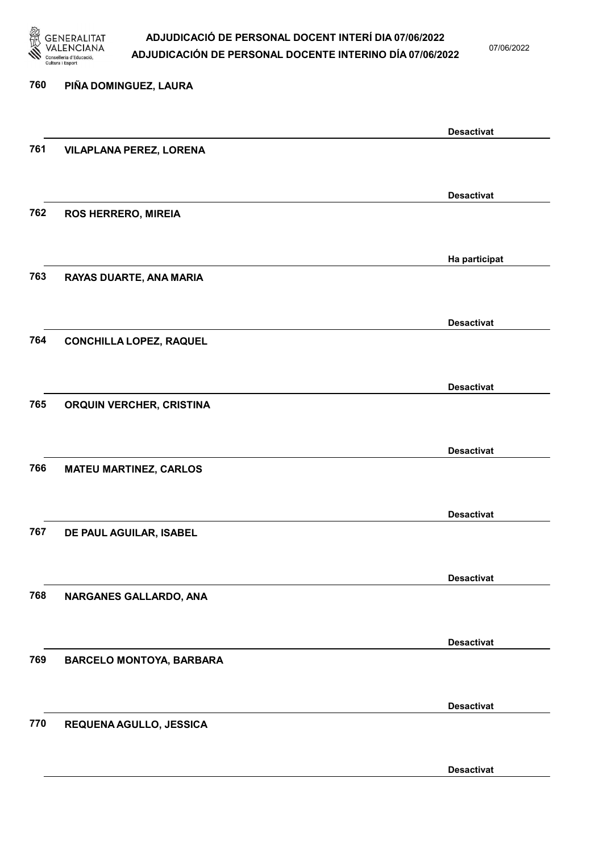

07/06/2022

Desactivat

# 760 PIÑA DOMINGUEZ, LAURA Desactivat 761 VILAPLANA PEREZ, LORENA Desactivat 762 ROS HERRERO, MIREIA Ha participat 763 RAYAS DUARTE, ANA MARIA Desactivat 764 CONCHILLA LOPEZ, RAQUEL Desactivat 765 ORQUIN VERCHER, CRISTINA Desactivat 766 MATEU MARTINEZ, CARLOS Desactivat 767 DE PAUL AGUILAR, ISABEL Desactivat 768 NARGANES GALLARDO, ANA Desactivat 769 BARCELO MONTOYA, BARBARA Desactivat 770 REQUENA AGULLO, JESSICA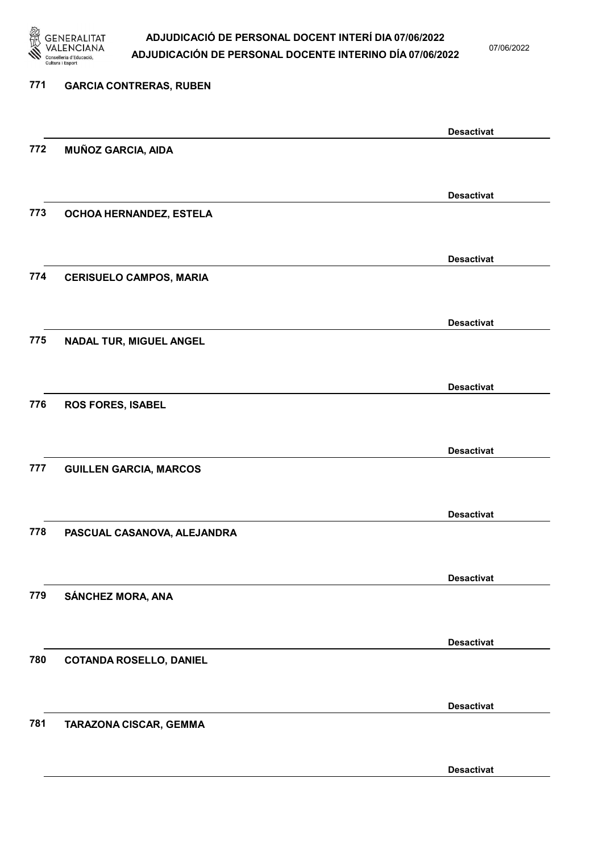

07/06/2022

| 771 | <b>GARCIA CONTRERAS, RUBEN</b> |                   |
|-----|--------------------------------|-------------------|
|     |                                | <b>Desactivat</b> |
| 772 | <b>MUÑOZ GARCIA, AIDA</b>      |                   |
|     |                                | <b>Desactivat</b> |
| 773 | OCHOA HERNANDEZ, ESTELA        |                   |
|     |                                | <b>Desactivat</b> |
| 774 | <b>CERISUELO CAMPOS, MARIA</b> |                   |
|     |                                | <b>Desactivat</b> |
| 775 | <b>NADAL TUR, MIGUEL ANGEL</b> |                   |
|     |                                | <b>Desactivat</b> |
| 776 | <b>ROS FORES, ISABEL</b>       |                   |
|     |                                | <b>Desactivat</b> |
| 777 | <b>GUILLEN GARCIA, MARCOS</b>  |                   |
|     |                                | <b>Desactivat</b> |
| 778 | PASCUAL CASANOVA, ALEJANDRA    |                   |
|     |                                | <b>Desactivat</b> |
| 779 | SÁNCHEZ MORA, ANA              |                   |
|     |                                | <b>Desactivat</b> |
| 780 | <b>COTANDA ROSELLO, DANIEL</b> |                   |
|     |                                | <b>Desactivat</b> |
| 781 | TARAZONA CISCAR, GEMMA         |                   |
|     |                                | <b>Desactivat</b> |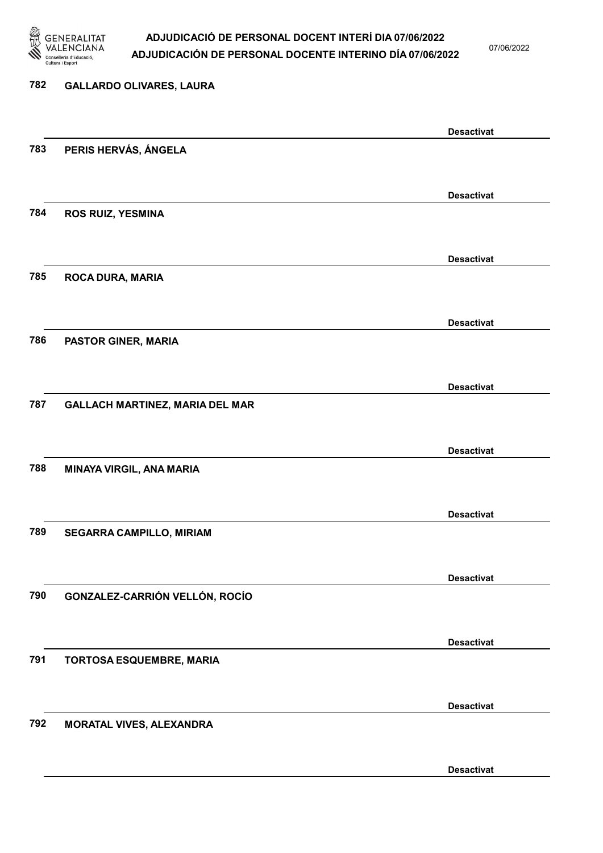

07/06/2022

# 782 GALLARDO OLIVARES, LAURA Desactivat 783 PERIS HERVÁS, ÁNGELA Desactivat 784 ROS RUIZ, YESMINA Desactivat 785 ROCA DURA, MARIA Desactivat 786 PASTOR GINER, MARIA Desactivat 787 GALLACH MARTINEZ, MARIA DEL MAR Desactivat 788 MINAYA VIRGIL, ANA MARIA Desactivat 789 SEGARRA CAMPILLO, MIRIAM Desactivat 790 GONZALEZ-CARRIÓN VELLÓN, ROCÍO Desactivat 791 TORTOSA ESQUEMBRE, MARIA Desactivat 792 MORATAL VIVES, ALEXANDRA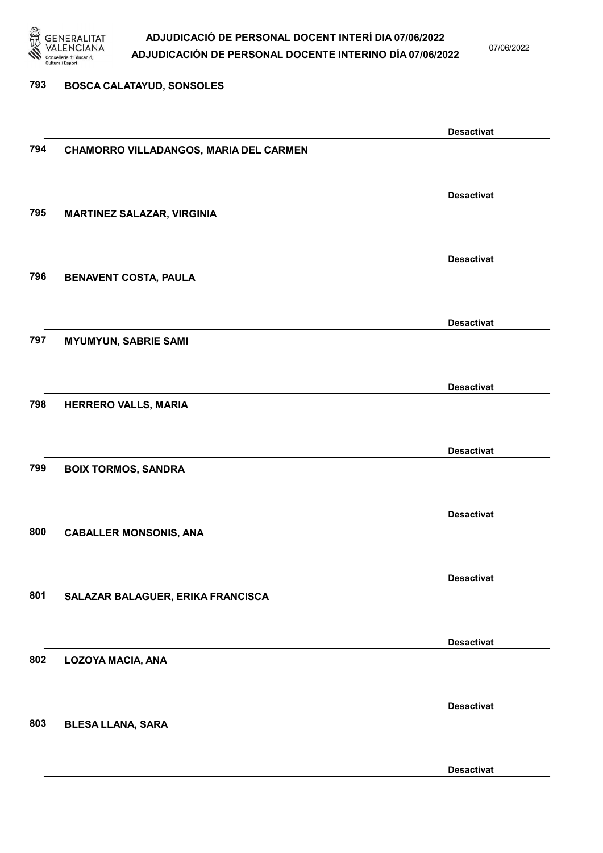

07/06/2022

Desactivat

### 793 BOSCA CALATAYUD, SONSOLES Desactivat 794 CHAMORRO VILLADANGOS, MARIA DEL CARMEN Desactivat 795 MARTINEZ SALAZAR, VIRGINIA Desactivat 796 BENAVENT COSTA, PAULA Desactivat 797 MYUMYUN, SABRIE SAMI Desactivat 798 HERRERO VALLS, MARIA Desactivat 799 BOIX TORMOS, SANDRA Desactivat 800 CABALLER MONSONIS, ANA Desactivat 801 SALAZAR BALAGUER, ERIKA FRANCISCA Desactivat 802 LOZOYA MACIA, ANA Desactivat 803 BLESA LLANA, SARA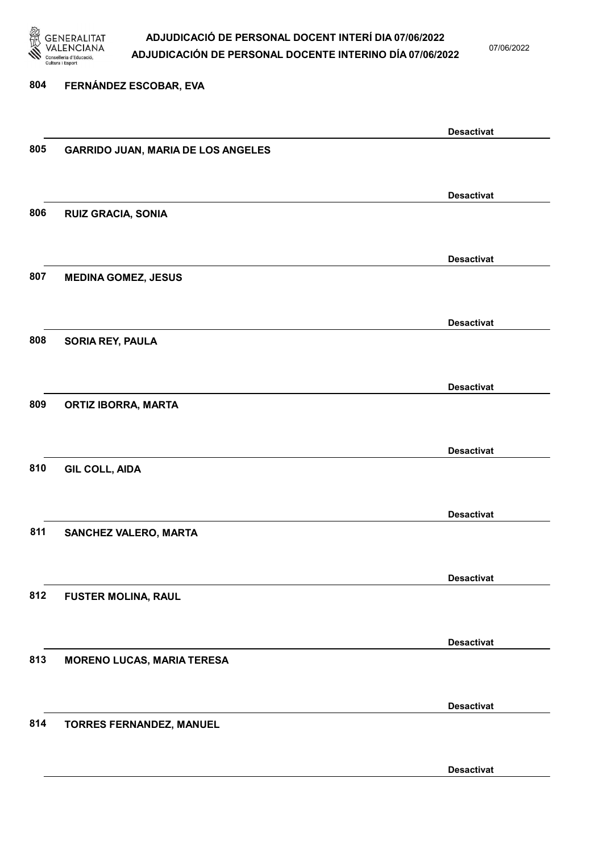

07/06/2022

### 804 FERNÁNDEZ ESCOBAR, EVA Desactivat 805 GARRIDO JUAN, MARIA DE LOS ANGELES Desactivat 806 RUIZ GRACIA, SONIA Desactivat 807 MEDINA GOMEZ, JESUS Desactivat 808 SORIA REY, PAULA Desactivat 809 ORTIZ IBORRA, MARTA Desactivat 810 GIL COLL, AIDA Desactivat 811 SANCHEZ VALERO, MARTA Desactivat 812 FUSTER MOLINA, RAUL Desactivat 813 MORENO LUCAS, MARIA TERESA Desactivat 814 TORRES FERNANDEZ, MANUEL Desactivat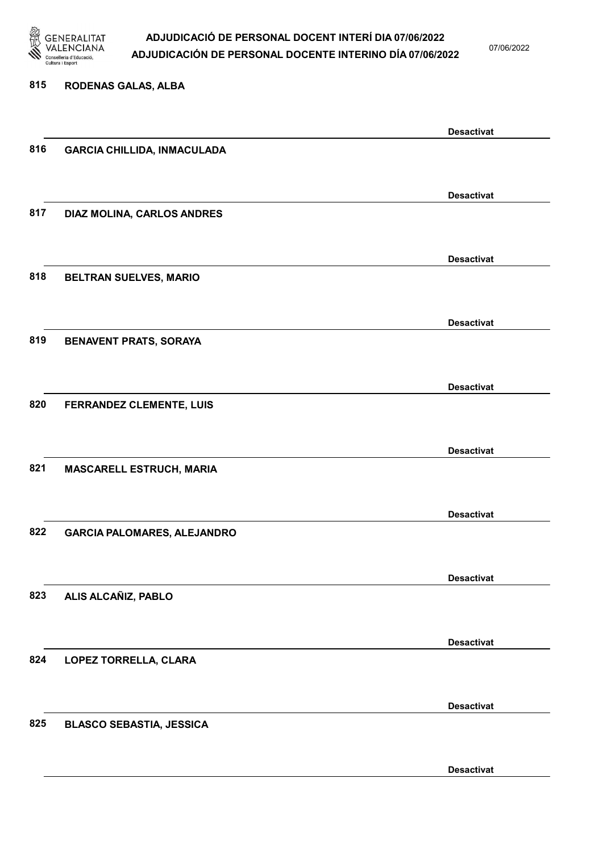

07/06/2022

#### 815 RODENAS GALAS, ALBA

|     |                                    | <b>Desactivat</b> |
|-----|------------------------------------|-------------------|
| 816 | <b>GARCIA CHILLIDA, INMACULADA</b> |                   |
|     |                                    |                   |
|     |                                    |                   |
|     |                                    | <b>Desactivat</b> |
| 817 | DIAZ MOLINA, CARLOS ANDRES         |                   |
|     |                                    |                   |
|     |                                    |                   |
|     |                                    | <b>Desactivat</b> |
| 818 | BELTRAN SUELVES, MARIO             |                   |
|     |                                    |                   |
|     |                                    |                   |
|     |                                    | <b>Desactivat</b> |
| 819 | <b>BENAVENT PRATS, SORAYA</b>      |                   |
|     |                                    |                   |
|     |                                    |                   |
|     |                                    | <b>Desactivat</b> |
| 820 | FERRANDEZ CLEMENTE, LUIS           |                   |
|     |                                    |                   |
|     |                                    |                   |
|     |                                    | <b>Desactivat</b> |
| 821 | <b>MASCARELL ESTRUCH, MARIA</b>    |                   |
|     |                                    |                   |
|     |                                    |                   |
|     |                                    | <b>Desactivat</b> |
| 822 | <b>GARCIA PALOMARES, ALEJANDRO</b> |                   |
|     |                                    |                   |
|     |                                    | <b>Desactivat</b> |
| 823 | ALIS ALCAÑIZ, PABLO                |                   |
|     |                                    |                   |
|     |                                    |                   |
|     |                                    | <b>Desactivat</b> |
| 824 | LOPEZ TORRELLA, CLARA              |                   |
|     |                                    |                   |
|     |                                    |                   |
|     |                                    | <b>Desactivat</b> |
| 825 | <b>BLASCO SEBASTIA, JESSICA</b>    |                   |
|     |                                    |                   |
|     |                                    |                   |
|     |                                    | <b>Desactivat</b> |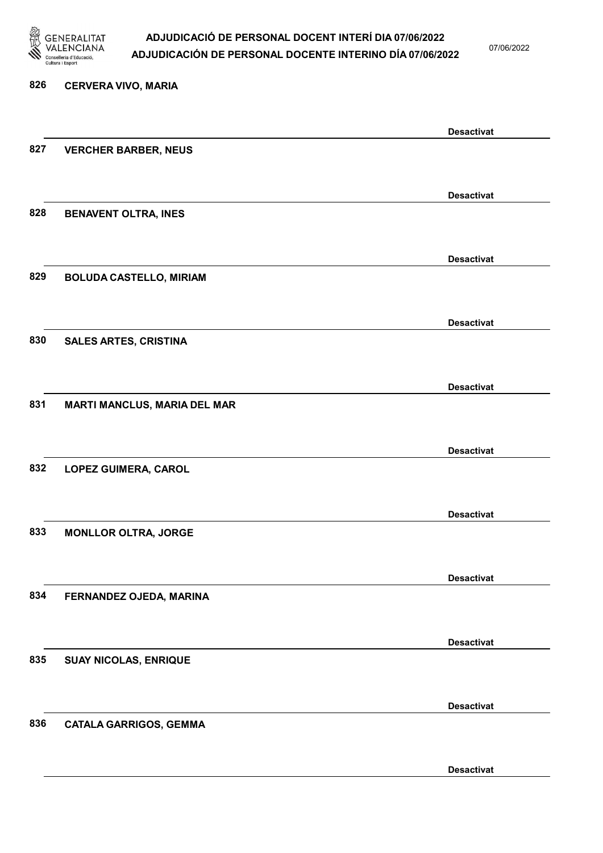

07/06/2022

Desactivat

# 826 CERVERA VIVO, MARIA Desactivat 827 VERCHER BARBER, NEUS Desactivat 828 BENAVENT OLTRA, INES Desactivat 829 BOLUDA CASTELLO, MIRIAM Desactivat 830 SALES ARTES, CRISTINA Desactivat 831 MARTI MANCLUS, MARIA DEL MAR Desactivat 832 LOPEZ GUIMERA, CAROL Desactivat 833 MONLLOR OLTRA, JORGE Desactivat 834 FERNANDEZ OJEDA, MARINA Desactivat 835 SUAY NICOLAS, ENRIQUE Desactivat 836 CATALA GARRIGOS, GEMMA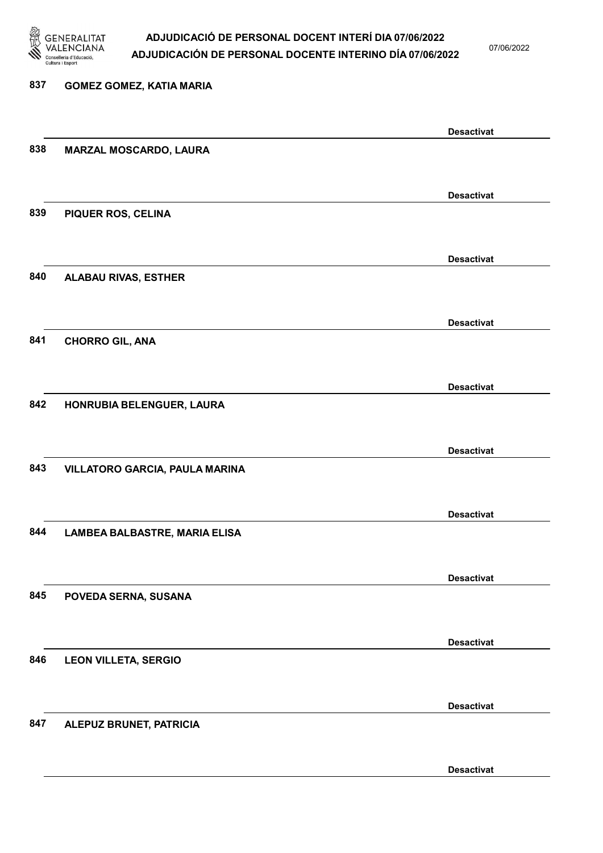

07/06/2022

Desactivat

## 837 GOMEZ GOMEZ, KATIA MARIA Desactivat 838 MARZAL MOSCARDO, LAURA Desactivat 839 PIQUER ROS, CELINA Desactivat 840 ALABAU RIVAS, ESTHER Desactivat 841 CHORRO GIL, ANA Desactivat 842 HONRUBIA BELENGUER, LAURA Desactivat 843 VILLATORO GARCIA, PAULA MARINA Desactivat 844 LAMBEA BALBASTRE, MARIA ELISA Desactivat 845 POVEDA SERNA, SUSANA Desactivat 846 LEON VILLETA, SERGIO Desactivat 847 ALEPUZ BRUNET, PATRICIA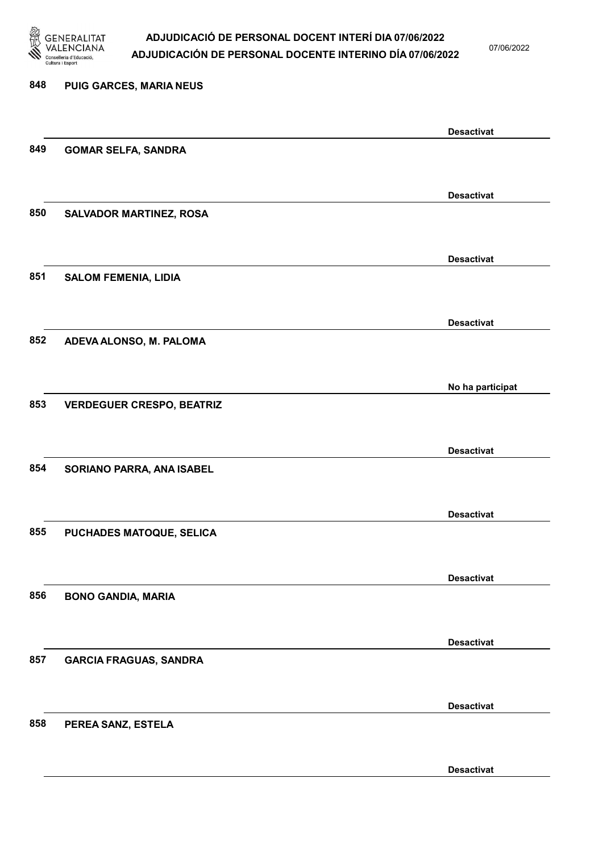

07/06/2022

Desactivat

| 848 | PUIG GARCES, MARIA NEUS          |                   |
|-----|----------------------------------|-------------------|
|     |                                  | <b>Desactivat</b> |
| 849 | <b>GOMAR SELFA, SANDRA</b>       |                   |
|     |                                  | <b>Desactivat</b> |
| 850 | <b>SALVADOR MARTINEZ, ROSA</b>   |                   |
|     |                                  | <b>Desactivat</b> |
| 851 | <b>SALOM FEMENIA, LIDIA</b>      |                   |
|     |                                  | <b>Desactivat</b> |
| 852 | ADEVA ALONSO, M. PALOMA          |                   |
|     |                                  | No ha participat  |
| 853 | <b>VERDEGUER CRESPO, BEATRIZ</b> |                   |
|     |                                  | <b>Desactivat</b> |
| 854 | SORIANO PARRA, ANA ISABEL        |                   |
|     |                                  | <b>Desactivat</b> |
| 855 | PUCHADES MATOQUE, SELICA         |                   |
|     |                                  | <b>Desactivat</b> |
| 856 | <b>BONO GANDIA, MARIA</b>        |                   |
|     |                                  | <b>Desactivat</b> |
| 857 | <b>GARCIA FRAGUAS, SANDRA</b>    |                   |
|     |                                  | <b>Desactivat</b> |
| 858 | PEREA SANZ, ESTELA               |                   |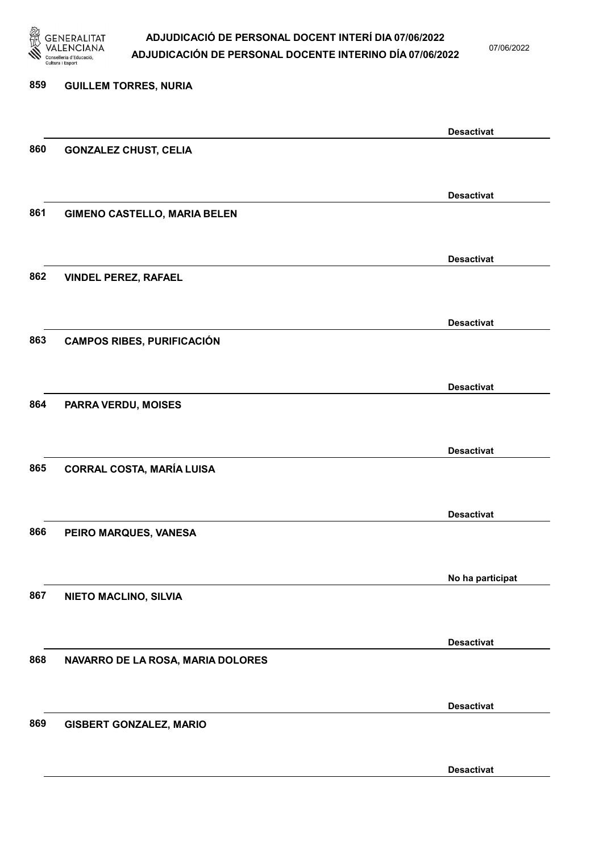

07/06/2022

### 859 GUILLEM TORRES, NURIA Desactivat 860 GONZALEZ CHUST, CELIA Desactivat 861 GIMENO CASTELLO, MARIA BELEN Desactivat 862 VINDEL PEREZ, RAFAEL Desactivat 863 CAMPOS RIBES, PURIFICACIÓN Desactivat 864 PARRA VERDU, MOISES Desactivat 865 CORRAL COSTA, MARÍA LUISA Desactivat 866 PEIRO MARQUES, VANESA No ha participat 867 NIETO MACLINO, SILVIA Desactivat 868 NAVARRO DE LA ROSA, MARIA DOLORES Desactivat 869 GISBERT GONZALEZ, MARIO Desactivat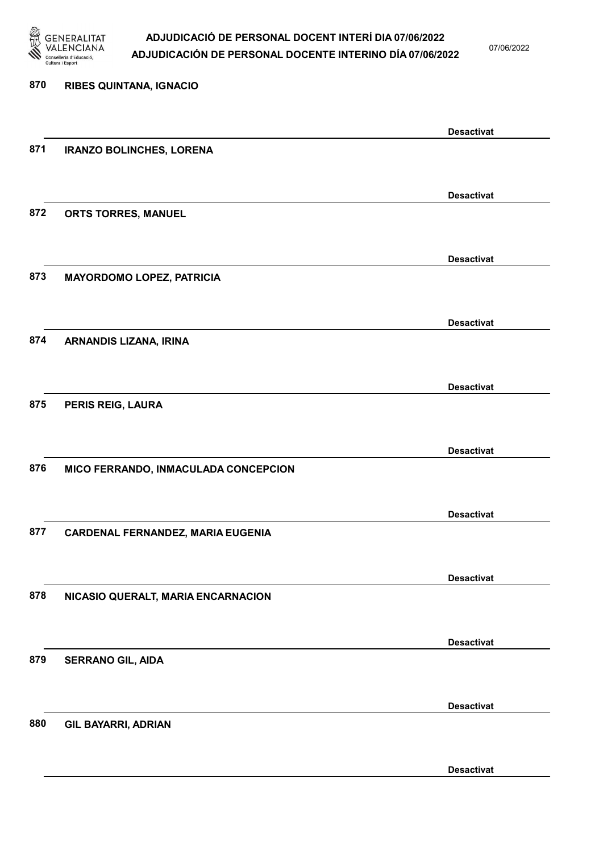

07/06/2022

Desactivat

# 870 RIBES QUINTANA, IGNACIO Desactivat 871 IRANZO BOLINCHES, LORENA Desactivat 872 ORTS TORRES, MANUEL Desactivat 873 MAYORDOMO LOPEZ, PATRICIA Desactivat 874 ARNANDIS LIZANA, IRINA Desactivat 875 PERIS REIG, LAURA Desactivat 876 MICO FERRANDO, INMACULADA CONCEPCION Desactivat 877 CARDENAL FERNANDEZ, MARIA EUGENIA Desactivat 878 NICASIO QUERALT, MARIA ENCARNACION Desactivat 879 SERRANO GIL, AIDA Desactivat 880 GIL BAYARRI, ADRIAN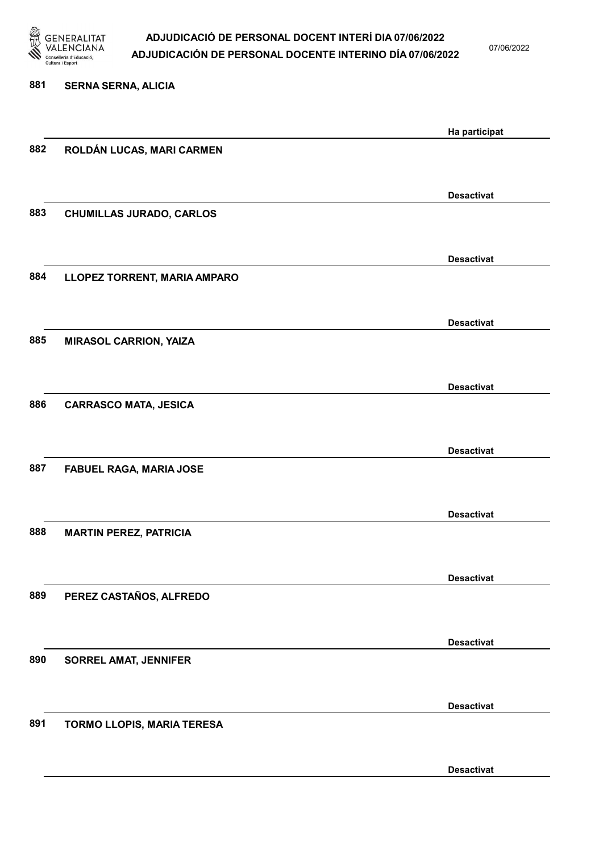

07/06/2022

Desactivat

# 881 SERNA SERNA, ALICIA Ha participat 882 ROLDÁN LUCAS, MARI CARMEN Desactivat 883 CHUMILLAS JURADO, CARLOS Desactivat 884 LLOPEZ TORRENT, MARIA AMPARO Desactivat 885 MIRASOL CARRION, YAIZA Desactivat 886 CARRASCO MATA, JESICA Desactivat 887 FABUEL RAGA, MARIA JOSE Desactivat 888 MARTIN PEREZ, PATRICIA Desactivat 889 PEREZ CASTAÑOS, ALFREDO Desactivat 890 SORREL AMAT, JENNIFER Desactivat 891 TORMO LLOPIS, MARIA TERESA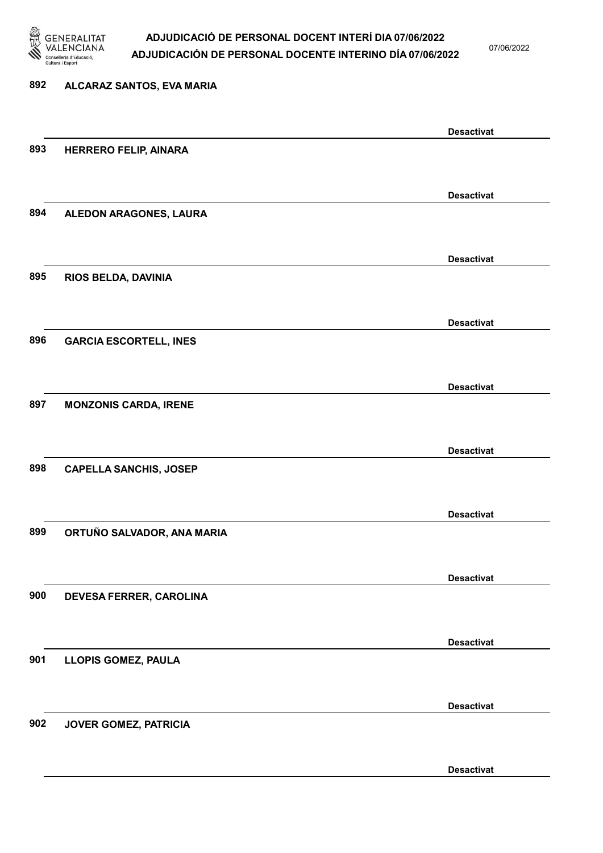

07/06/2022

Desactivat

# 892 ALCARAZ SANTOS, EVA MARIA Desactivat 893 HERRERO FELIP, AINARA Desactivat 894 ALEDON ARAGONES, LAURA Desactivat 895 RIOS BELDA, DAVINIA Desactivat 896 GARCIA ESCORTELL, INES Desactivat 897 MONZONIS CARDA, IRENE Desactivat 898 CAPELLA SANCHIS, JOSEP Desactivat 899 ORTUÑO SALVADOR, ANA MARIA Desactivat 900 DEVESA FERRER, CAROLINA Desactivat 901 LLOPIS GOMEZ, PAULA Desactivat 902 JOVER GOMEZ, PATRICIA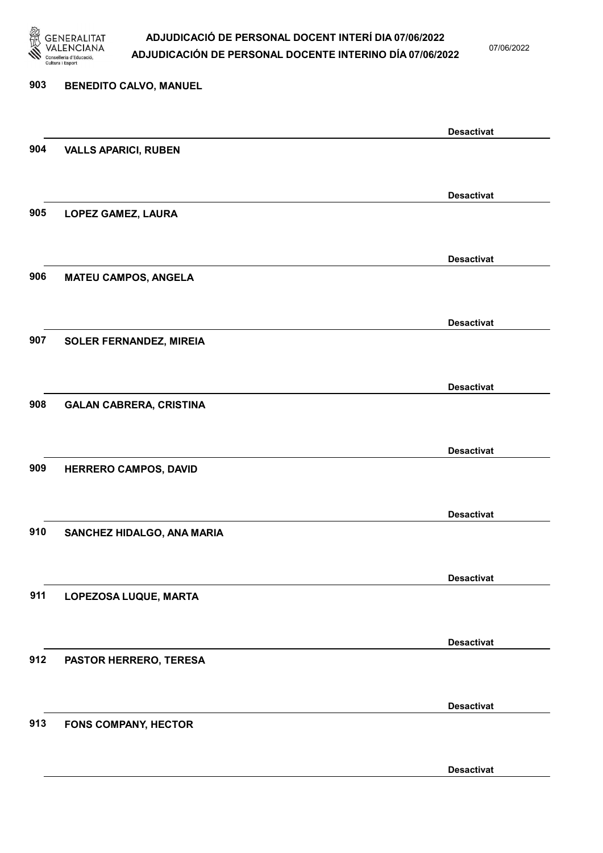

07/06/2022

Desactivat

# 903 BENEDITO CALVO, MANUEL Desactivat 904 VALLS APARICI, RUBEN Desactivat 905 LOPEZ GAMEZ, LAURA Desactivat 906 MATEU CAMPOS, ANGELA Desactivat 907 SOLER FERNANDEZ, MIREIA Desactivat 908 GALAN CABRERA, CRISTINA Desactivat 909 HERRERO CAMPOS, DAVID Desactivat 910 SANCHEZ HIDALGO, ANA MARIA Desactivat 911 LOPEZOSA LUQUE, MARTA Desactivat 912 PASTOR HERRERO, TERESA Desactivat 913 FONS COMPANY, HECTOR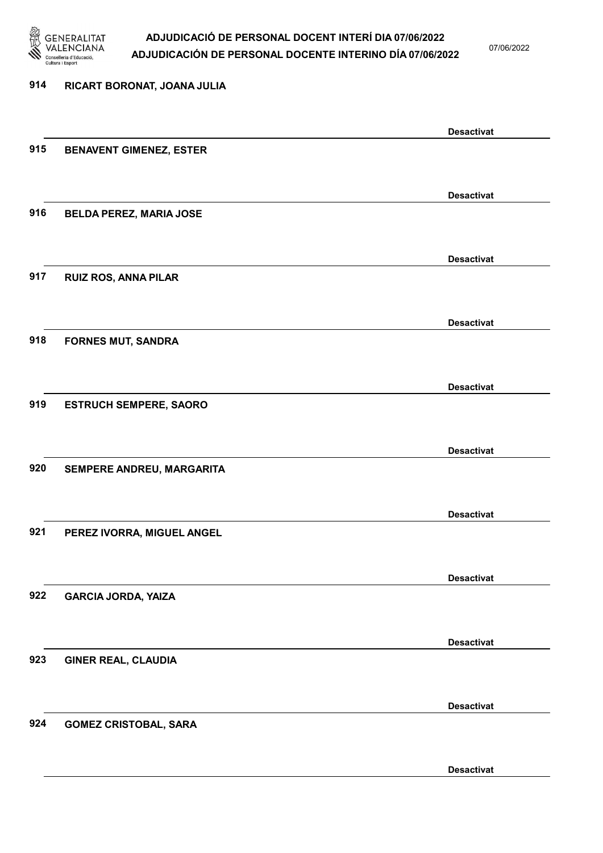

07/06/2022

#### 914 RICART BORONAT, JOANA JULIA

|     |                                | <b>Desactivat</b> |
|-----|--------------------------------|-------------------|
| 915 | <b>BENAVENT GIMENEZ, ESTER</b> |                   |
|     |                                |                   |
|     |                                |                   |
|     |                                | <b>Desactivat</b> |
| 916 | <b>BELDA PEREZ, MARIA JOSE</b> |                   |
|     |                                |                   |
|     |                                | <b>Desactivat</b> |
| 917 | <b>RUIZ ROS, ANNA PILAR</b>    |                   |
|     |                                |                   |
|     |                                |                   |
|     |                                | <b>Desactivat</b> |
| 918 | <b>FORNES MUT, SANDRA</b>      |                   |
|     |                                |                   |
|     |                                | <b>Desactivat</b> |
| 919 | <b>ESTRUCH SEMPERE, SAORO</b>  |                   |
|     |                                |                   |
|     |                                |                   |
|     |                                | <b>Desactivat</b> |
| 920 | SEMPERE ANDREU, MARGARITA      |                   |
|     |                                |                   |
|     |                                | <b>Desactivat</b> |
| 921 | PEREZ IVORRA, MIGUEL ANGEL     |                   |
|     |                                |                   |
|     |                                |                   |
|     |                                | <b>Desactivat</b> |
| 922 | <b>GARCIA JORDA, YAIZA</b>     |                   |
|     |                                |                   |
|     |                                | <b>Desactivat</b> |
| 923 | <b>GINER REAL, CLAUDIA</b>     |                   |
|     |                                |                   |
|     |                                |                   |
|     |                                | <b>Desactivat</b> |
| 924 | <b>GOMEZ CRISTOBAL, SARA</b>   |                   |
|     |                                |                   |
|     |                                | <b>Desactivat</b> |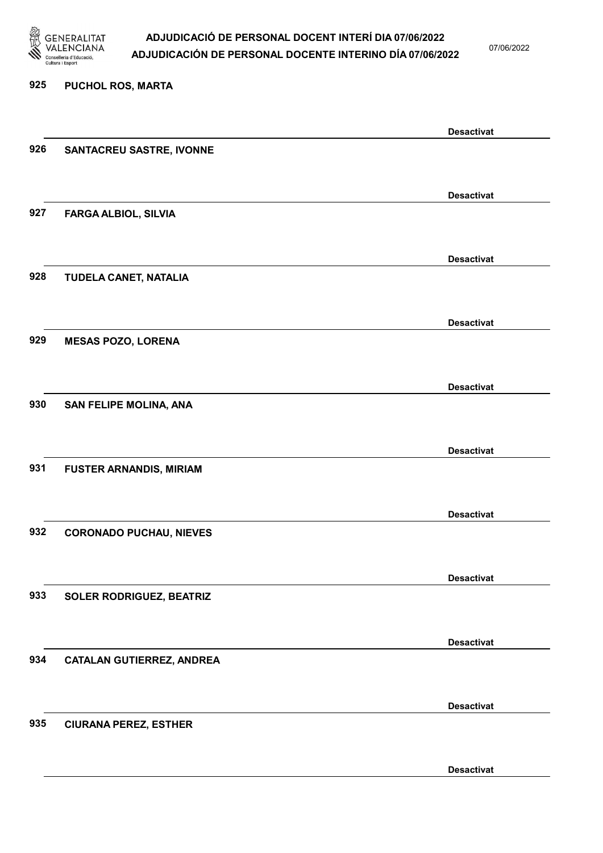

07/06/2022

#### 925 PUCHOL ROS, MARTA

|     |                                  | <b>Desactivat</b> |
|-----|----------------------------------|-------------------|
| 926 | <b>SANTACREU SASTRE, IVONNE</b>  |                   |
|     |                                  |                   |
|     |                                  | <b>Desactivat</b> |
| 927 | <b>FARGA ALBIOL, SILVIA</b>      |                   |
|     |                                  |                   |
|     |                                  | <b>Desactivat</b> |
| 928 | TUDELA CANET, NATALIA            |                   |
|     |                                  |                   |
|     |                                  | <b>Desactivat</b> |
| 929 | <b>MESAS POZO, LORENA</b>        |                   |
|     |                                  |                   |
|     |                                  | <b>Desactivat</b> |
| 930 | <b>SAN FELIPE MOLINA, ANA</b>    |                   |
|     |                                  |                   |
|     |                                  | <b>Desactivat</b> |
| 931 | <b>FUSTER ARNANDIS, MIRIAM</b>   |                   |
|     |                                  |                   |
|     |                                  | <b>Desactivat</b> |
| 932 | <b>CORONADO PUCHAU, NIEVES</b>   |                   |
|     |                                  |                   |
|     |                                  | <b>Desactivat</b> |
| 933 | SOLER RODRIGUEZ, BEATRIZ         |                   |
|     |                                  |                   |
|     |                                  | <b>Desactivat</b> |
| 934 | <b>CATALAN GUTIERREZ, ANDREA</b> |                   |
|     |                                  |                   |
|     |                                  | <b>Desactivat</b> |
| 935 | <b>CIURANA PEREZ, ESTHER</b>     |                   |
|     |                                  |                   |
|     |                                  | <b>Desactivat</b> |
|     |                                  |                   |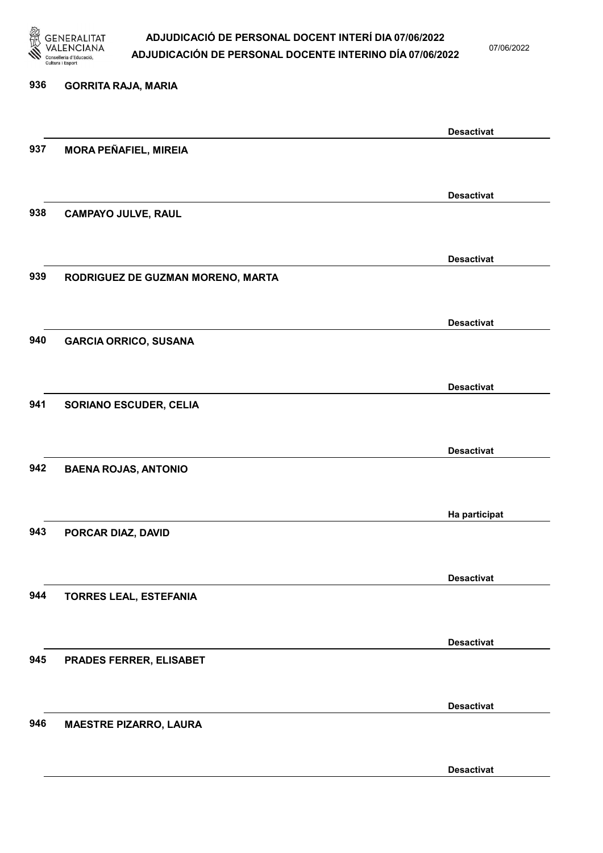

07/06/2022

Desactivat

# 936 GORRITA RAJA, MARIA Desactivat 937 MORA PEÑAFIEL, MIREIA Desactivat 938 CAMPAYO JULVE, RAUL Desactivat 939 RODRIGUEZ DE GUZMAN MORENO, MARTA Desactivat 940 GARCIA ORRICO, SUSANA Desactivat 941 SORIANO ESCUDER, CELIA Desactivat 942 BAENA ROJAS, ANTONIO Ha participat 943 PORCAR DIAZ, DAVID Desactivat 944 TORRES LEAL, ESTEFANIA Desactivat 945 PRADES FERRER, ELISABET Desactivat 946 MAESTRE PIZARRO, LAURA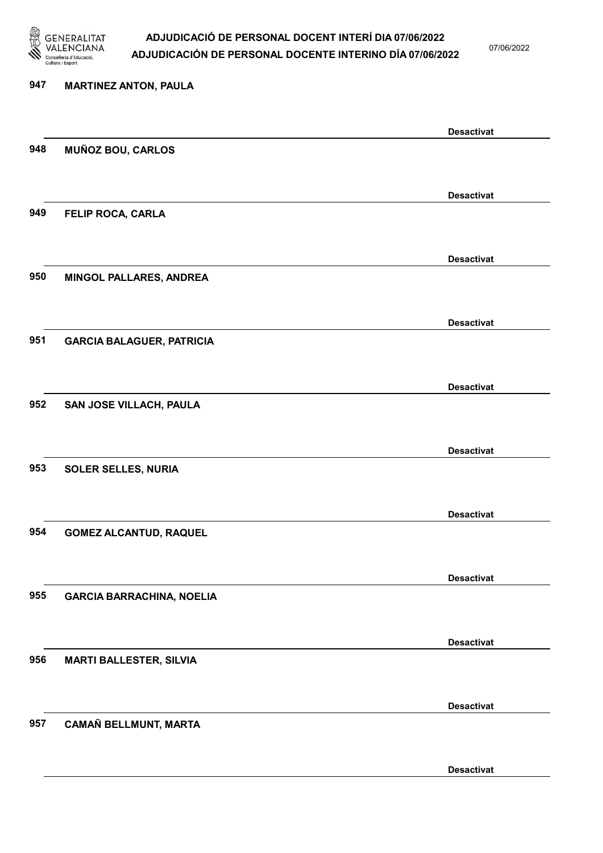

07/06/2022

Desactivat

# 947 MARTINEZ ANTON, PAULA Desactivat 948 MUÑOZ BOU, CARLOS Desactivat 949 FELIP ROCA, CARLA Desactivat 950 MINGOL PALLARES, ANDREA Desactivat 951 GARCIA BALAGUER, PATRICIA Desactivat 952 SAN JOSE VILLACH, PAULA Desactivat 953 SOLER SELLES, NURIA Desactivat 954 GOMEZ ALCANTUD, RAQUEL Desactivat 955 GARCIA BARRACHINA, NOELIA Desactivat 956 MARTI BALLESTER, SILVIA Desactivat 957 CAMAÑ BELLMUNT, MARTA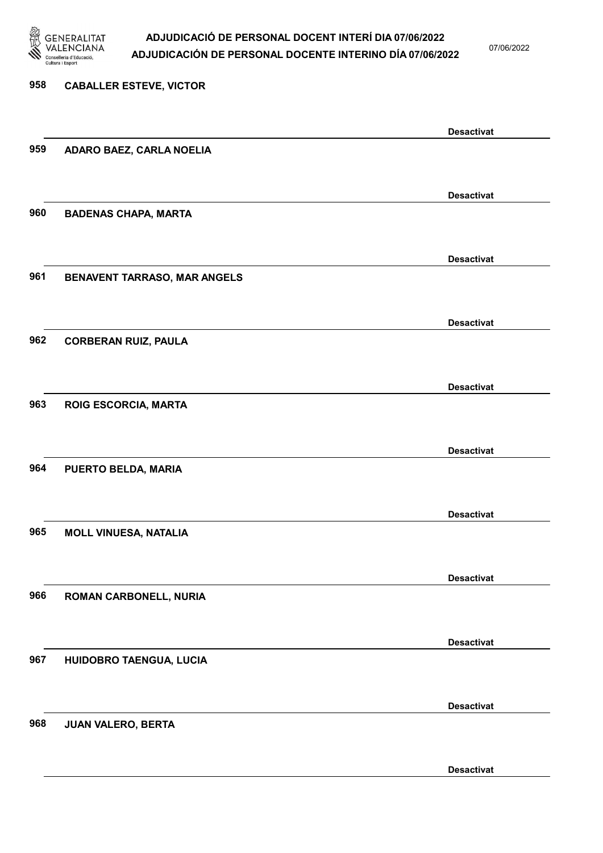

07/06/2022

### 958 CABALLER ESTEVE, VICTOR Desactivat 959 ADARO BAEZ, CARLA NOELIA Desactivat 960 BADENAS CHAPA, MARTA Desactivat 961 BENAVENT TARRASO, MAR ANGELS Desactivat 962 CORBERAN RUIZ, PAULA Desactivat 963 ROIG ESCORCIA, MARTA Desactivat 964 PUERTO BELDA, MARIA Desactivat 965 MOLL VINUESA, NATALIA Desactivat 966 ROMAN CARBONELL, NURIA Desactivat 967 HUIDOBRO TAENGUA, LUCIA Desactivat 968 JUAN VALERO, BERTA Desactivat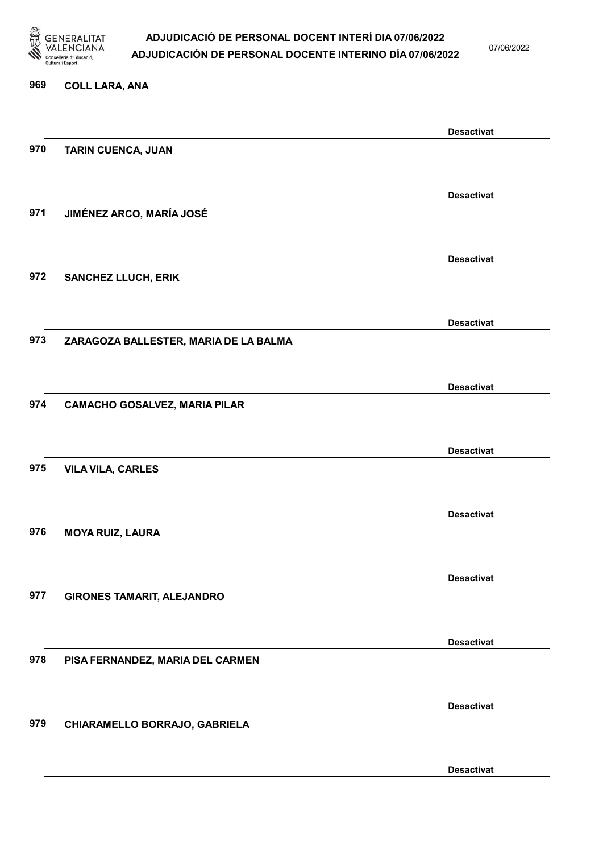

07/06/2022

## 969 COLL LARA, ANA Desactivat 970 TARIN CUENCA, JUAN Desactivat 971 JIMÉNEZ ARCO, MARÍA JOSÉ Desactivat 972 SANCHEZ LLUCH, ERIK Desactivat 973 ZARAGOZA BALLESTER, MARIA DE LA BALMA Desactivat 974 CAMACHO GOSALVEZ, MARIA PILAR Desactivat 975 VILA VILA, CARLES Desactivat 976 MOYA RUIZ, LAURA Desactivat 977 GIRONES TAMARIT, ALEJANDRO Desactivat 978 PISA FERNANDEZ, MARIA DEL CARMEN Desactivat 979 CHIARAMELLO BORRAJO, GABRIELA

Desactivat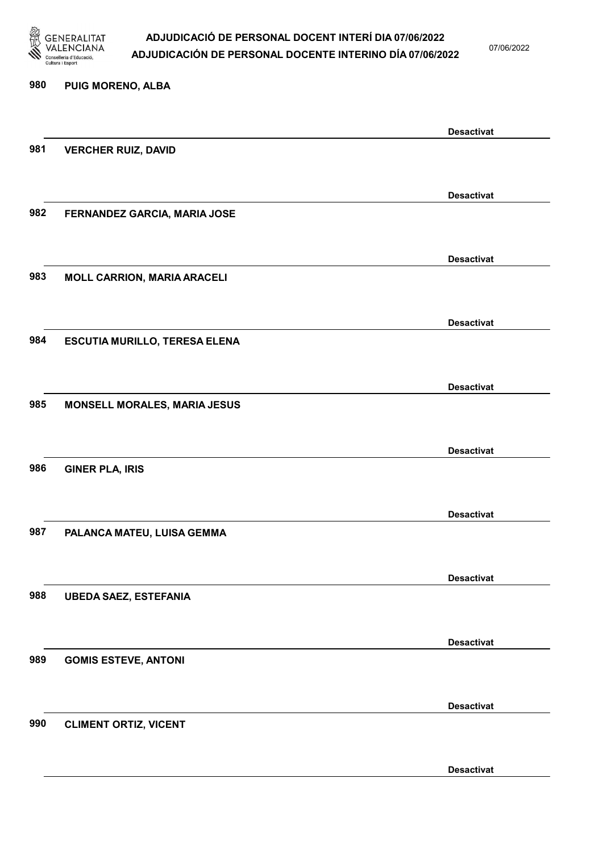

07/06/2022

### 980 PUIG MORENO, ALBA

|     |                                      | <b>Desactivat</b> |
|-----|--------------------------------------|-------------------|
| 981 | <b>VERCHER RUIZ, DAVID</b>           |                   |
|     |                                      |                   |
|     |                                      | <b>Desactivat</b> |
| 982 | FERNANDEZ GARCIA, MARIA JOSE         |                   |
|     |                                      |                   |
|     |                                      |                   |
|     |                                      | <b>Desactivat</b> |
| 983 | <b>MOLL CARRION, MARIA ARACELI</b>   |                   |
|     |                                      |                   |
|     |                                      | <b>Desactivat</b> |
| 984 | <b>ESCUTIA MURILLO, TERESA ELENA</b> |                   |
|     |                                      |                   |
|     |                                      |                   |
|     |                                      | <b>Desactivat</b> |
| 985 | <b>MONSELL MORALES, MARIA JESUS</b>  |                   |
|     |                                      |                   |
|     |                                      | <b>Desactivat</b> |
| 986 | <b>GINER PLA, IRIS</b>               |                   |
|     |                                      |                   |
|     |                                      |                   |
| 987 |                                      | <b>Desactivat</b> |
|     | PALANCA MATEU, LUISA GEMMA           |                   |
|     |                                      |                   |
|     |                                      | <b>Desactivat</b> |
| 988 | <b>UBEDA SAEZ, ESTEFANIA</b>         |                   |
|     |                                      |                   |
|     |                                      | <b>Desactivat</b> |
| 989 | <b>GOMIS ESTEVE, ANTONI</b>          |                   |
|     |                                      |                   |
|     |                                      |                   |
|     |                                      | <b>Desactivat</b> |
| 990 | <b>CLIMENT ORTIZ, VICENT</b>         |                   |
|     |                                      |                   |
|     |                                      | <b>Desactivat</b> |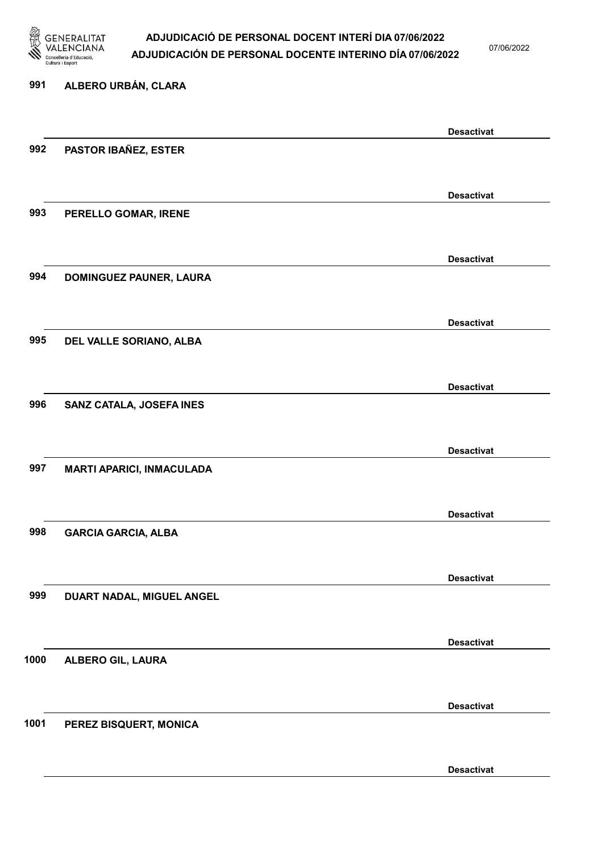

07/06/2022

### 991 ALBERO URBÁN, CLARA

|      |                                  | <b>Desactivat</b> |
|------|----------------------------------|-------------------|
| 992  | PASTOR IBAÑEZ, ESTER             |                   |
|      |                                  |                   |
|      |                                  | <b>Desactivat</b> |
| 993  | PERELLO GOMAR, IRENE             |                   |
|      |                                  |                   |
|      |                                  |                   |
|      |                                  | <b>Desactivat</b> |
| 994  | DOMINGUEZ PAUNER, LAURA          |                   |
|      |                                  |                   |
|      |                                  | <b>Desactivat</b> |
| 995  | DEL VALLE SORIANO, ALBA          |                   |
|      |                                  |                   |
|      |                                  | <b>Desactivat</b> |
| 996  | SANZ CATALA, JOSEFA INES         |                   |
|      |                                  |                   |
|      |                                  |                   |
|      |                                  | <b>Desactivat</b> |
| 997  | <b>MARTI APARICI, INMACULADA</b> |                   |
|      |                                  |                   |
|      |                                  | <b>Desactivat</b> |
| 998  | <b>GARCIA GARCIA, ALBA</b>       |                   |
|      |                                  |                   |
|      |                                  | <b>Desactivat</b> |
| 999  | DUART NADAL, MIGUEL ANGEL        |                   |
|      |                                  |                   |
|      |                                  |                   |
| 1000 |                                  | <b>Desactivat</b> |
|      | <b>ALBERO GIL, LAURA</b>         |                   |
|      |                                  |                   |
|      |                                  | <b>Desactivat</b> |
| 1001 | PEREZ BISQUERT, MONICA           |                   |
|      |                                  |                   |
|      |                                  | <b>Desactivat</b> |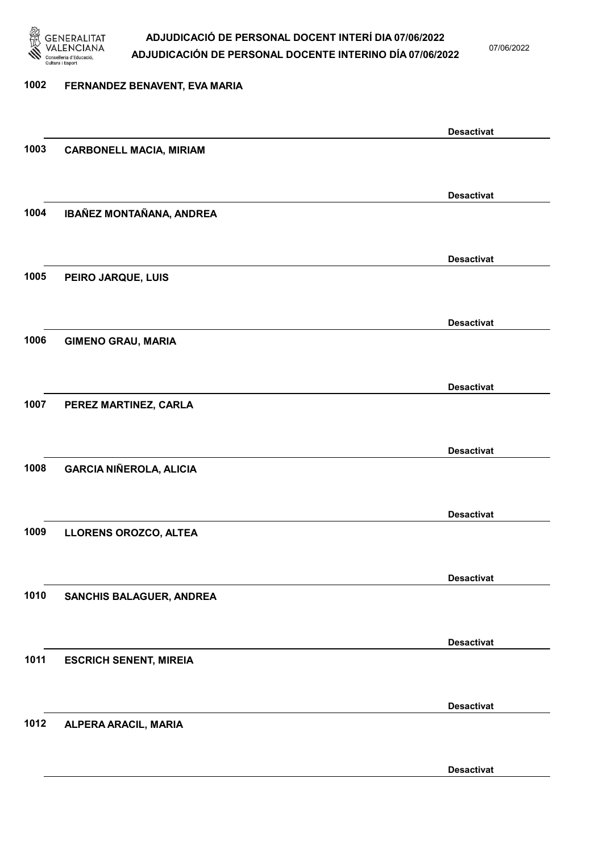

07/06/2022

Desactivat

## 1002 FERNANDEZ BENAVENT, EVA MARIA Desactivat 1003 CARBONELL MACIA, MIRIAM Desactivat 1004 IBAÑEZ MONTAÑANA, ANDREA Desactivat 1005 PEIRO JARQUE, LUIS Desactivat 1006 GIMENO GRAU, MARIA Desactivat 1007 PEREZ MARTINEZ, CARLA Desactivat 1008 GARCIA NIÑEROLA, ALICIA Desactivat 1009 LLORENS OROZCO, ALTEA Desactivat 1010 SANCHIS BALAGUER, ANDREA Desactivat 1011 ESCRICH SENENT, MIREIA Desactivat 1012 ALPERA ARACIL, MARIA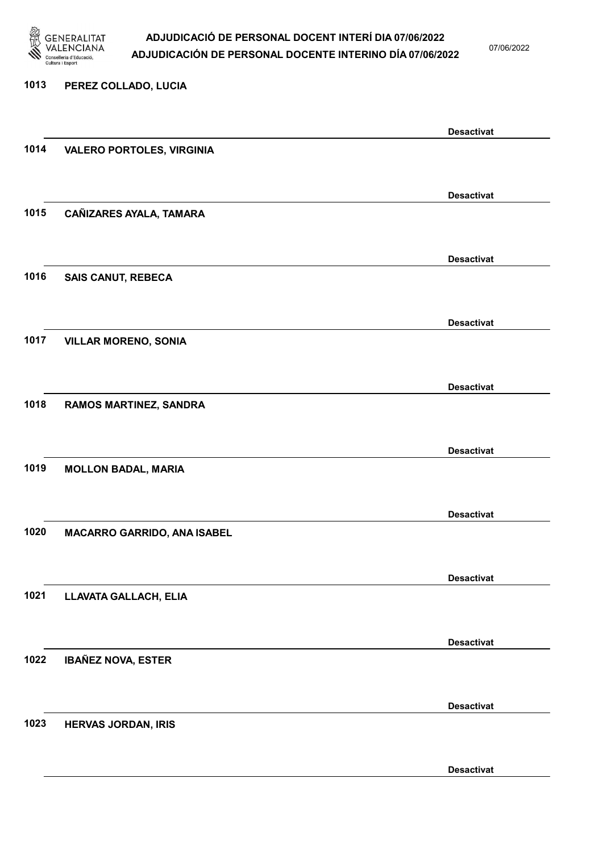

07/06/2022

#### 1013 PEREZ COLLADO, LUCIA

|      |                                    | <b>Desactivat</b> |
|------|------------------------------------|-------------------|
| 1014 | <b>VALERO PORTOLES, VIRGINIA</b>   |                   |
|      |                                    |                   |
|      |                                    | <b>Desactivat</b> |
| 1015 | CAÑIZARES AYALA, TAMARA            |                   |
|      |                                    |                   |
|      |                                    |                   |
|      |                                    | <b>Desactivat</b> |
| 1016 | <b>SAIS CANUT, REBECA</b>          |                   |
|      |                                    |                   |
|      |                                    | <b>Desactivat</b> |
| 1017 | <b>VILLAR MORENO, SONIA</b>        |                   |
|      |                                    |                   |
|      |                                    |                   |
|      |                                    | <b>Desactivat</b> |
| 1018 | RAMOS MARTINEZ, SANDRA             |                   |
|      |                                    |                   |
|      |                                    | <b>Desactivat</b> |
| 1019 | <b>MOLLON BADAL, MARIA</b>         |                   |
|      |                                    |                   |
|      |                                    |                   |
| 1020 |                                    | <b>Desactivat</b> |
|      | <b>MACARRO GARRIDO, ANA ISABEL</b> |                   |
|      |                                    |                   |
|      |                                    | <b>Desactivat</b> |
| 1021 | LLAVATA GALLACH, ELIA              |                   |
|      |                                    |                   |
|      |                                    | <b>Desactivat</b> |
| 1022 | <b>IBAÑEZ NOVA, ESTER</b>          |                   |
|      |                                    |                   |
|      |                                    |                   |
|      |                                    | <b>Desactivat</b> |
| 1023 | <b>HERVAS JORDAN, IRIS</b>         |                   |
|      |                                    |                   |
|      |                                    | <b>Desactivat</b> |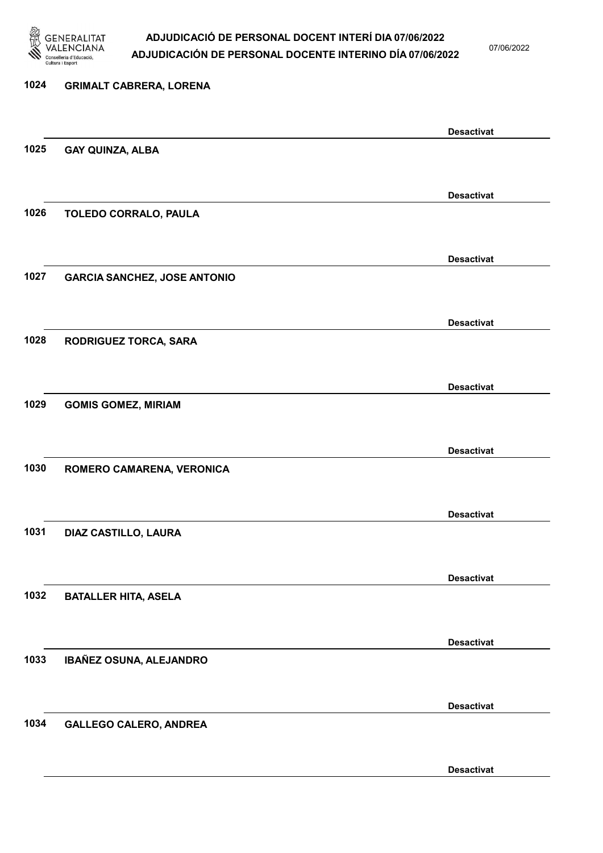

07/06/2022

### 1024 GRIMALT CABRERA, LORENA Desactivat 1025 GAY QUINZA, ALBA Desactivat 1026 TOLEDO CORRALO, PAULA Desactivat 1027 GARCIA SANCHEZ, JOSE ANTONIO Desactivat 1028 RODRIGUEZ TORCA, SARA Desactivat 1029 GOMIS GOMEZ, MIRIAM Desactivat 1030 ROMERO CAMARENA, VERONICA Desactivat 1031 DIAZ CASTILLO, LAURA Desactivat 1032 BATALLER HITA, ASELA Desactivat 1033 IBAÑEZ OSUNA, ALEJANDRO Desactivat 1034 GALLEGO CALERO, ANDREA Desactivat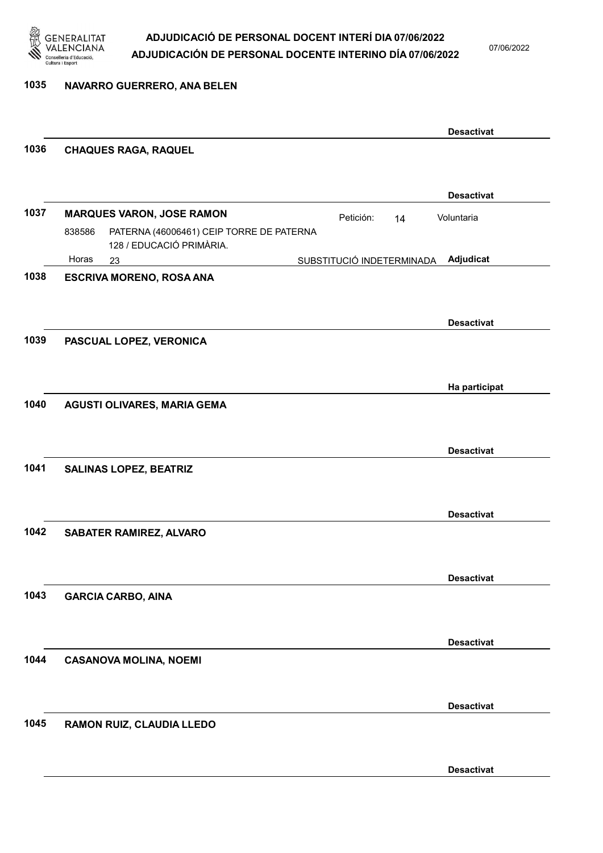

07/06/2022

#### 1035 NAVARRO GUERRERO, ANA BELEN

|      |                                                                                |           |                           | <b>Desactivat</b> |
|------|--------------------------------------------------------------------------------|-----------|---------------------------|-------------------|
| 1036 | <b>CHAQUES RAGA, RAQUEL</b>                                                    |           |                           |                   |
|      |                                                                                |           |                           |                   |
|      |                                                                                |           |                           | <b>Desactivat</b> |
| 1037 | <b>MARQUES VARON, JOSE RAMON</b>                                               | Petición: | 14                        | Voluntaria        |
|      | PATERNA (46006461) CEIP TORRE DE PATERNA<br>838586<br>128 / EDUCACIÓ PRIMÀRIA. |           |                           |                   |
|      | Horas<br>23                                                                    |           | SUBSTITUCIÓ INDETERMINADA | Adjudicat         |
| 1038 | <b>ESCRIVA MORENO, ROSA ANA</b>                                                |           |                           |                   |
|      |                                                                                |           |                           |                   |
|      |                                                                                |           |                           | <b>Desactivat</b> |
| 1039 | PASCUAL LOPEZ, VERONICA                                                        |           |                           |                   |
|      |                                                                                |           |                           |                   |
|      |                                                                                |           |                           |                   |
|      |                                                                                |           |                           | Ha participat     |
| 1040 | AGUSTI OLIVARES, MARIA GEMA                                                    |           |                           |                   |
|      |                                                                                |           |                           |                   |
|      |                                                                                |           |                           | <b>Desactivat</b> |
| 1041 | <b>SALINAS LOPEZ, BEATRIZ</b>                                                  |           |                           |                   |
|      |                                                                                |           |                           |                   |
|      |                                                                                |           |                           |                   |
|      |                                                                                |           |                           | <b>Desactivat</b> |
| 1042 | SABATER RAMIREZ, ALVARO                                                        |           |                           |                   |
|      |                                                                                |           |                           |                   |
|      |                                                                                |           |                           | <b>Desactivat</b> |
| 1043 | <b>GARCIA CARBO, AINA</b>                                                      |           |                           |                   |
|      |                                                                                |           |                           |                   |
|      |                                                                                |           |                           |                   |
|      |                                                                                |           |                           | <b>Desactivat</b> |
| 1044 | <b>CASANOVA MOLINA, NOEMI</b>                                                  |           |                           |                   |
|      |                                                                                |           |                           |                   |
|      |                                                                                |           |                           | <b>Desactivat</b> |
| 1045 | RAMON RUIZ, CLAUDIA LLEDO                                                      |           |                           |                   |
|      |                                                                                |           |                           |                   |
|      |                                                                                |           |                           |                   |
|      |                                                                                |           |                           | <b>Desactivat</b> |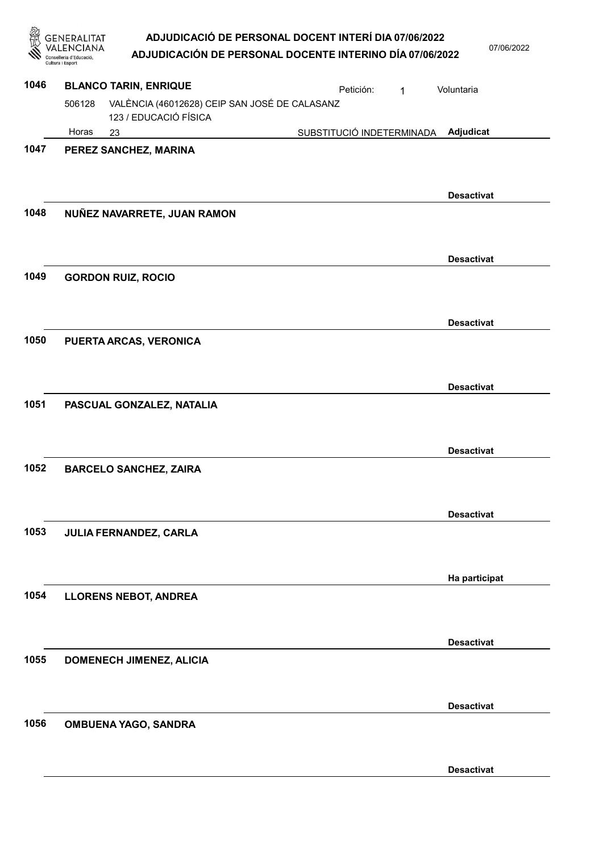$2022$ 

|      | Cultura i Esport |                                                                        | ADJUDICACIÓ DE PERSONAL DOCENT INTERÍ DIA 07/06/2022<br>ADJUDICACIÓN DE PERSONAL DOCENTE INTERINO DÍA 07/06/2022 |   | 07/06/2           |
|------|------------------|------------------------------------------------------------------------|------------------------------------------------------------------------------------------------------------------|---|-------------------|
| 1046 |                  | <b>BLANCO TARIN, ENRIQUE</b>                                           | Petición:                                                                                                        | 1 | Voluntaria        |
|      | 506128           | VALÈNCIA (46012628) CEIP SAN JOSÉ DE CALASANZ<br>123 / EDUCACIÓ FÍSICA |                                                                                                                  |   |                   |
|      | Horas            | 23                                                                     | SUBSTITUCIÓ INDETERMINADA                                                                                        |   | Adjudicat         |
| 1047 |                  | PEREZ SANCHEZ, MARINA                                                  |                                                                                                                  |   |                   |
|      |                  |                                                                        |                                                                                                                  |   | <b>Desactivat</b> |
| 1048 |                  | NUÑEZ NAVARRETE, JUAN RAMON                                            |                                                                                                                  |   |                   |
|      |                  |                                                                        |                                                                                                                  |   | <b>Desactivat</b> |
| 1049 |                  | <b>GORDON RUIZ, ROCIO</b>                                              |                                                                                                                  |   |                   |
|      |                  |                                                                        |                                                                                                                  |   | <b>Desactivat</b> |
| 1050 |                  | PUERTA ARCAS, VERONICA                                                 |                                                                                                                  |   |                   |
|      |                  |                                                                        |                                                                                                                  |   | <b>Desactivat</b> |
| 1051 |                  | PASCUAL GONZALEZ, NATALIA                                              |                                                                                                                  |   |                   |
|      |                  |                                                                        |                                                                                                                  |   | <b>Desactivat</b> |
| 1052 |                  | <b>BARCELO SANCHEZ, ZAIRA</b>                                          |                                                                                                                  |   |                   |
|      |                  |                                                                        |                                                                                                                  |   | <b>Desactivat</b> |
| 1053 |                  | JULIA FERNANDEZ, CARLA                                                 |                                                                                                                  |   |                   |
|      |                  |                                                                        |                                                                                                                  |   | Ha participat     |
| 1054 |                  | <b>LLORENS NEBOT, ANDREA</b>                                           |                                                                                                                  |   |                   |
|      |                  |                                                                        |                                                                                                                  |   | <b>Desactivat</b> |
| 1055 |                  | DOMENECH JIMENEZ, ALICIA                                               |                                                                                                                  |   |                   |
|      |                  |                                                                        |                                                                                                                  |   | <b>Desactivat</b> |

1056 OMBUENA YAGO, SANDRA

Desactivat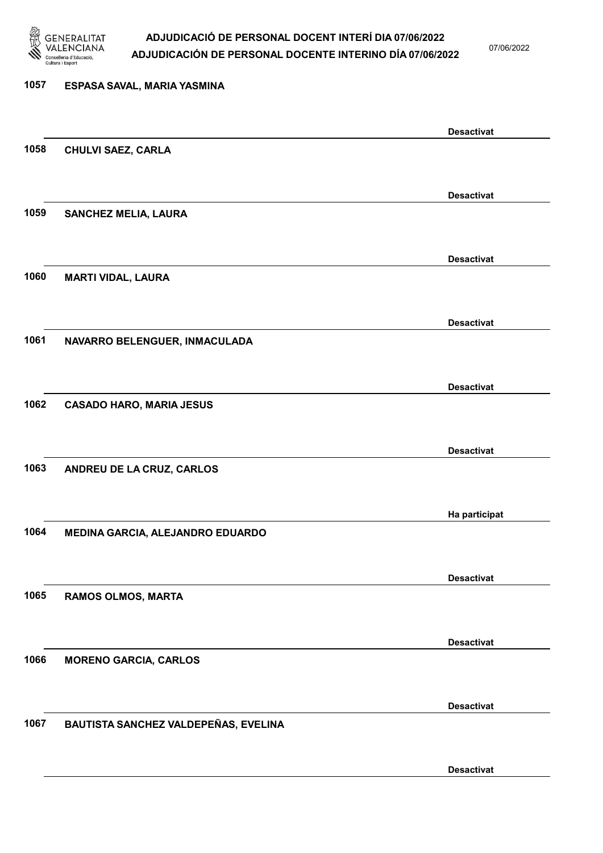

07/06/2022

| 1057 | ESPASA SAVAL, MARIA YASMINA          |                   |
|------|--------------------------------------|-------------------|
|      |                                      | <b>Desactivat</b> |
| 1058 | <b>CHULVI SAEZ, CARLA</b>            |                   |
|      |                                      | <b>Desactivat</b> |
| 1059 | <b>SANCHEZ MELIA, LAURA</b>          |                   |
|      |                                      | <b>Desactivat</b> |
| 1060 | <b>MARTI VIDAL, LAURA</b>            |                   |
|      |                                      | <b>Desactivat</b> |
| 1061 | NAVARRO BELENGUER, INMACULADA        |                   |
|      |                                      | <b>Desactivat</b> |
| 1062 | <b>CASADO HARO, MARIA JESUS</b>      |                   |
|      |                                      | <b>Desactivat</b> |
| 1063 | ANDREU DE LA CRUZ, CARLOS            |                   |
|      |                                      | Ha participat     |
| 1064 | MEDINA GARCIA, ALEJANDRO EDUARDO     |                   |
| 1065 |                                      | <b>Desactivat</b> |
|      | <b>RAMOS OLMOS, MARTA</b>            |                   |
| 1066 | <b>MORENO GARCIA, CARLOS</b>         | <b>Desactivat</b> |
|      |                                      |                   |
| 1067 | BAUTISTA SANCHEZ VALDEPEÑAS, EVELINA | <b>Desactivat</b> |
|      |                                      |                   |
|      |                                      | <b>Desactivat</b> |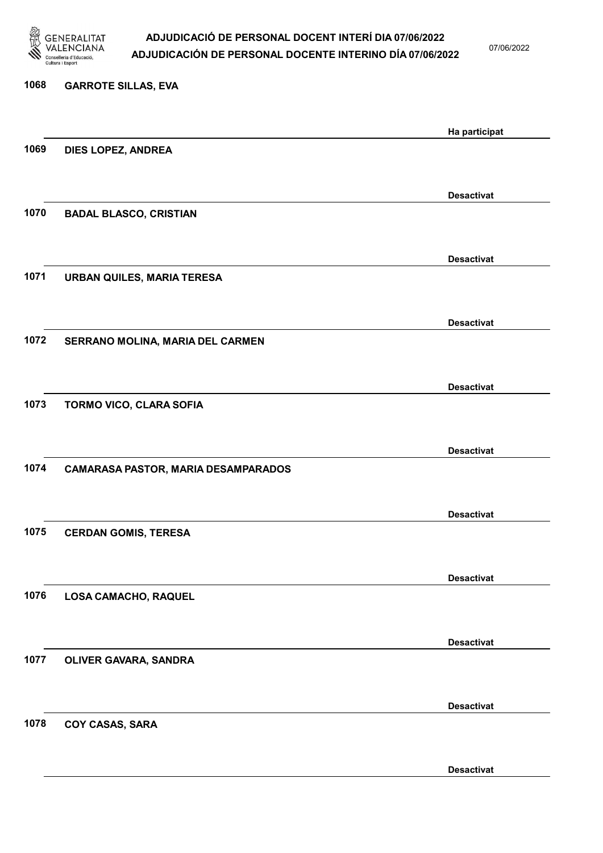

07/06/2022

| 1068 | <b>GARROTE SILLAS, EVA</b>                 |                   |
|------|--------------------------------------------|-------------------|
|      |                                            | Ha participat     |
| 1069 | DIES LOPEZ, ANDREA                         |                   |
|      |                                            |                   |
|      |                                            | <b>Desactivat</b> |
| 1070 | <b>BADAL BLASCO, CRISTIAN</b>              |                   |
|      |                                            |                   |
|      |                                            | <b>Desactivat</b> |
| 1071 | <b>URBAN QUILES, MARIA TERESA</b>          |                   |
|      |                                            |                   |
| 1072 | SERRANO MOLINA, MARIA DEL CARMEN           | <b>Desactivat</b> |
|      |                                            |                   |
|      |                                            | <b>Desactivat</b> |
| 1073 | TORMO VICO, CLARA SOFIA                    |                   |
|      |                                            |                   |
|      |                                            | <b>Desactivat</b> |
| 1074 | <b>CAMARASA PASTOR, MARIA DESAMPARADOS</b> |                   |
|      |                                            |                   |
|      |                                            | <b>Desactivat</b> |
| 1075 | <b>CERDAN GOMIS, TERESA</b>                |                   |
|      |                                            |                   |
| 1076 |                                            | <b>Desactivat</b> |
|      | LOSA CAMACHO, RAQUEL                       |                   |
|      |                                            |                   |
| 1077 | OLIVER GAVARA, SANDRA                      | <b>Desactivat</b> |
|      |                                            |                   |
|      |                                            | <b>Desactivat</b> |
| 1078 | COY CASAS, SARA                            |                   |
|      |                                            |                   |
|      |                                            |                   |

Desactivat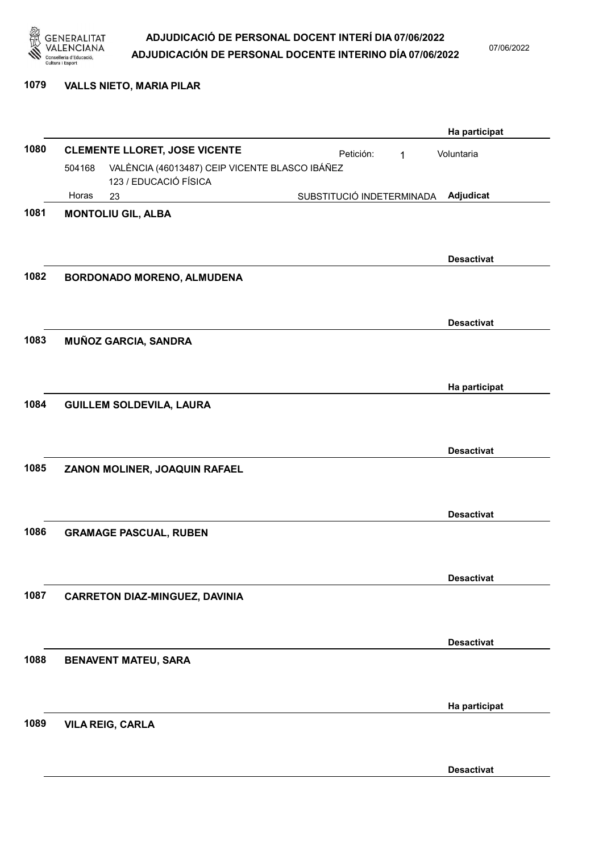

07/06/2022

#### 1079 VALLS NIETO, MARIA PILAR

|      |                                 |                                                |                           |              | Ha participat     |
|------|---------------------------------|------------------------------------------------|---------------------------|--------------|-------------------|
| 1080 |                                 | <b>CLEMENTE LLORET, JOSE VICENTE</b>           | Petición:                 | $\mathbf{1}$ | Voluntaria        |
|      | 504168                          | VALÈNCIA (46013487) CEIP VICENTE BLASCO IBÁÑEZ |                           |              |                   |
|      | Horas<br>23                     | 123 / EDUCACIÓ FÍSICA                          | SUBSTITUCIÓ INDETERMINADA |              | Adjudicat         |
| 1081 | <b>MONTOLIU GIL, ALBA</b>       |                                                |                           |              |                   |
|      |                                 |                                                |                           |              |                   |
|      |                                 |                                                |                           |              |                   |
| 1082 |                                 |                                                |                           |              | <b>Desactivat</b> |
|      |                                 | BORDONADO MORENO, ALMUDENA                     |                           |              |                   |
|      |                                 |                                                |                           |              |                   |
|      |                                 |                                                |                           |              | <b>Desactivat</b> |
| 1083 | <b>MUÑOZ GARCIA, SANDRA</b>     |                                                |                           |              |                   |
|      |                                 |                                                |                           |              |                   |
|      |                                 |                                                |                           |              | Ha participat     |
| 1084 | <b>GUILLEM SOLDEVILA, LAURA</b> |                                                |                           |              |                   |
|      |                                 |                                                |                           |              |                   |
|      |                                 |                                                |                           |              | <b>Desactivat</b> |
| 1085 |                                 | ZANON MOLINER, JOAQUIN RAFAEL                  |                           |              |                   |
|      |                                 |                                                |                           |              |                   |
|      |                                 |                                                |                           |              | <b>Desactivat</b> |
| 1086 | <b>GRAMAGE PASCUAL, RUBEN</b>   |                                                |                           |              |                   |
|      |                                 |                                                |                           |              |                   |
|      |                                 |                                                |                           |              |                   |
|      |                                 |                                                |                           |              | <b>Desactivat</b> |
| 1087 |                                 | <b>CARRETON DIAZ-MINGUEZ, DAVINIA</b>          |                           |              |                   |
|      |                                 |                                                |                           |              |                   |
|      |                                 |                                                |                           |              | <b>Desactivat</b> |
| 1088 | <b>BENAVENT MATEU, SARA</b>     |                                                |                           |              |                   |
|      |                                 |                                                |                           |              |                   |
|      |                                 |                                                |                           |              | Ha participat     |
| 1089 | <b>VILA REIG, CARLA</b>         |                                                |                           |              |                   |
|      |                                 |                                                |                           |              |                   |
|      |                                 |                                                |                           |              | <b>Desactivat</b> |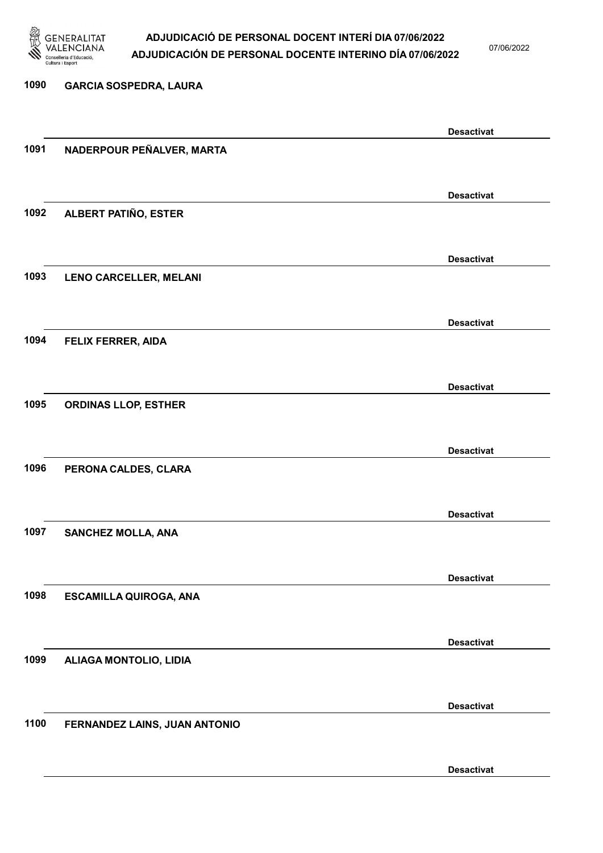

07/06/2022

### 1090 GARCIA SOSPEDRA, LAURA Desactivat 1091 NADERPOUR PEÑALVER, MARTA Desactivat 1092 ALBERT PATIÑO, ESTER Desactivat 1093 LENO CARCELLER, MELANI Desactivat 1094 FELIX FERRER, AIDA Desactivat 1095 ORDINAS LLOP, ESTHER Desactivat 1096 PERONA CALDES, CLARA Desactivat 1097 SANCHEZ MOLLA, ANA Desactivat 1098 ESCAMILLA QUIROGA, ANA Desactivat 1099 ALIAGA MONTOLIO, LIDIA Desactivat 1100 FERNANDEZ LAINS, JUAN ANTONIO Desactivat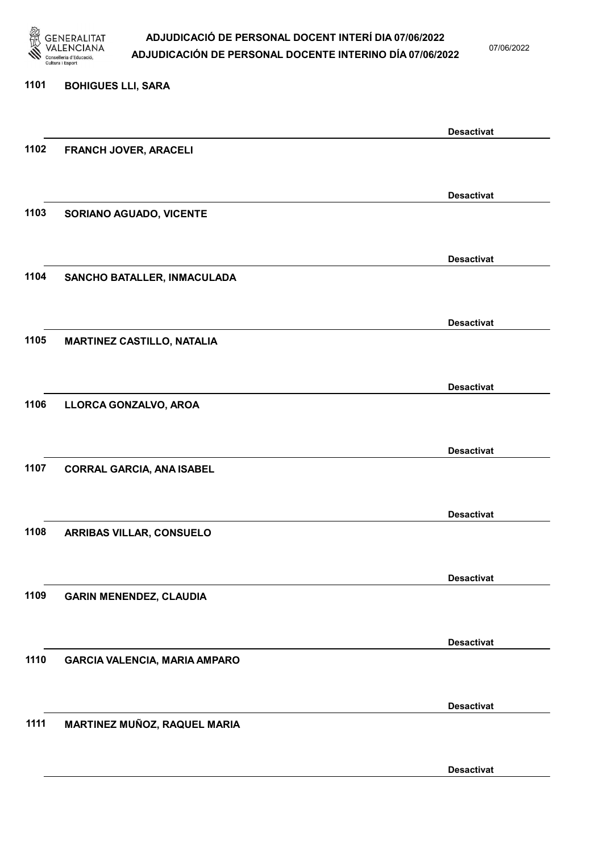

07/06/2022

Desactivat

## 1101 BOHIGUES LLI, SARA Desactivat 1102 FRANCH JOVER, ARACELI Desactivat 1103 SORIANO AGUADO, VICENTE Desactivat 1104 SANCHO BATALLER, INMACULADA Desactivat 1105 MARTINEZ CASTILLO, NATALIA Desactivat 1106 LLORCA GONZALVO, AROA Desactivat 1107 CORRAL GARCIA, ANA ISABEL Desactivat 1108 ARRIBAS VILLAR, CONSUELO Desactivat 1109 GARIN MENENDEZ, CLAUDIA Desactivat 1110 GARCIA VALENCIA, MARIA AMPARO Desactivat 1111 MARTINEZ MUÑOZ, RAQUEL MARIA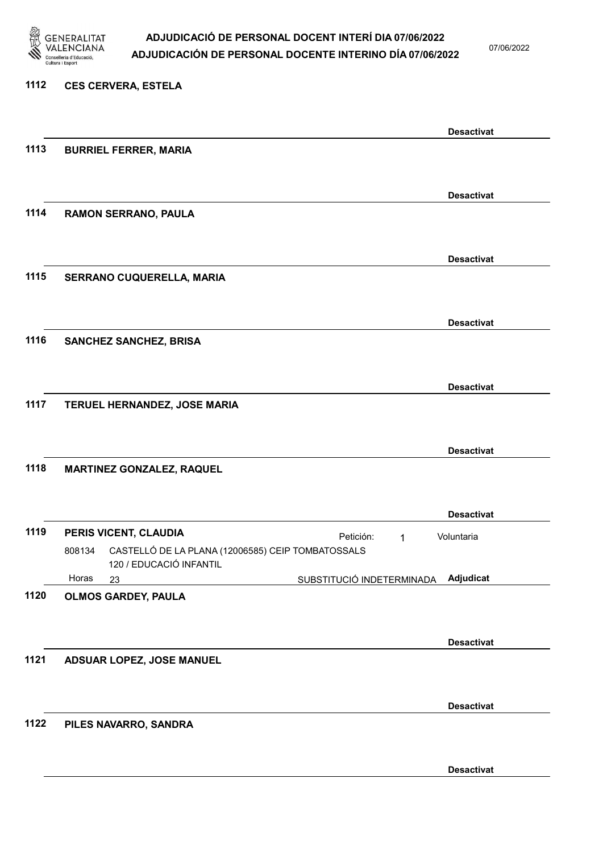

07/06/2022

#### 1112 CES CERVERA, ESTELA

|      |                                                                                      |                           | <b>Desactivat</b> |
|------|--------------------------------------------------------------------------------------|---------------------------|-------------------|
| 1113 | <b>BURRIEL FERRER, MARIA</b>                                                         |                           |                   |
|      |                                                                                      |                           |                   |
|      |                                                                                      |                           | <b>Desactivat</b> |
| 1114 | RAMON SERRANO, PAULA                                                                 |                           |                   |
|      |                                                                                      |                           |                   |
|      |                                                                                      |                           | <b>Desactivat</b> |
| 1115 | SERRANO CUQUERELLA, MARIA                                                            |                           |                   |
|      |                                                                                      |                           |                   |
|      |                                                                                      |                           | <b>Desactivat</b> |
| 1116 | <b>SANCHEZ SANCHEZ, BRISA</b>                                                        |                           |                   |
|      |                                                                                      |                           |                   |
|      |                                                                                      |                           | <b>Desactivat</b> |
| 1117 | TERUEL HERNANDEZ, JOSE MARIA                                                         |                           |                   |
|      |                                                                                      |                           |                   |
|      |                                                                                      |                           | <b>Desactivat</b> |
| 1118 | <b>MARTINEZ GONZALEZ, RAQUEL</b>                                                     |                           |                   |
|      |                                                                                      |                           |                   |
|      |                                                                                      |                           | <b>Desactivat</b> |
| 1119 | PERIS VICENT, CLAUDIA<br>CASTELLÓ DE LA PLANA (12006585) CEIP TOMBATOSSALS<br>808134 | Petición:<br>$\mathbf{1}$ | Voluntaria        |
|      | 120 / EDUCACIÓ INFANTIL                                                              |                           |                   |
|      | Horas<br>23                                                                          | SUBSTITUCIÓ INDETERMINADA | Adjudicat         |
| 1120 | <b>OLMOS GARDEY, PAULA</b>                                                           |                           |                   |
|      |                                                                                      |                           |                   |
| 1121 |                                                                                      |                           | <b>Desactivat</b> |
|      | ADSUAR LOPEZ, JOSE MANUEL                                                            |                           |                   |
|      |                                                                                      |                           |                   |
| 1122 | PILES NAVARRO, SANDRA                                                                |                           | <b>Desactivat</b> |
|      |                                                                                      |                           |                   |
|      |                                                                                      |                           |                   |
|      |                                                                                      |                           | <b>Desactivat</b> |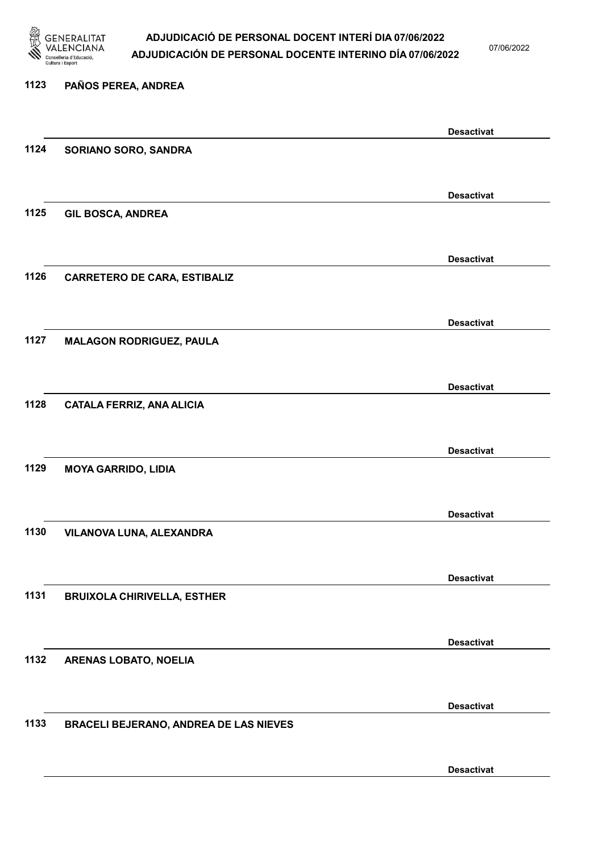

07/06/2022

Desactivat

# 1123 PAÑOS PEREA, ANDREA Desactivat 1124 SORIANO SORO, SANDRA Desactivat 1125 GIL BOSCA, ANDREA Desactivat 1126 CARRETERO DE CARA, ESTIBALIZ Desactivat 1127 MALAGON RODRIGUEZ, PAULA Desactivat 1128 CATALA FERRIZ, ANA ALICIA Desactivat 1129 MOYA GARRIDO, LIDIA Desactivat 1130 VILANOVA LUNA, ALEXANDRA Desactivat 1131 BRUIXOLA CHIRIVELLA, ESTHER Desactivat 1132 ARENAS LOBATO, NOELIA Desactivat 1133 BRACELI BEJERANO, ANDREA DE LAS NIEVES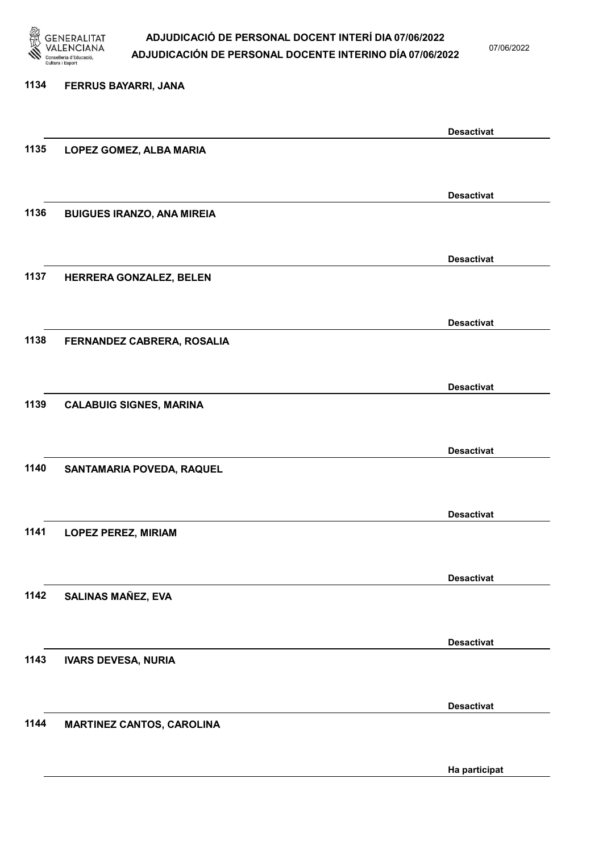

07/06/2022

# 1134 FERRUS BAYARRI, JANA Desactivat 1135 LOPEZ GOMEZ, ALBA MARIA Desactivat 1136 BUIGUES IRANZO, ANA MIREIA Desactivat 1137 HERRERA GONZALEZ, BELEN Desactivat 1138 FERNANDEZ CABRERA, ROSALIA Desactivat 1139 CALABUIG SIGNES, MARINA Desactivat 1140 SANTAMARIA POVEDA, RAQUEL Desactivat 1141 LOPEZ PEREZ, MIRIAM Desactivat 1142 SALINAS MAÑEZ, EVA Desactivat 1143 IVARS DEVESA, NURIA Desactivat 1144 MARTINEZ CANTOS, CAROLINA

Ha participat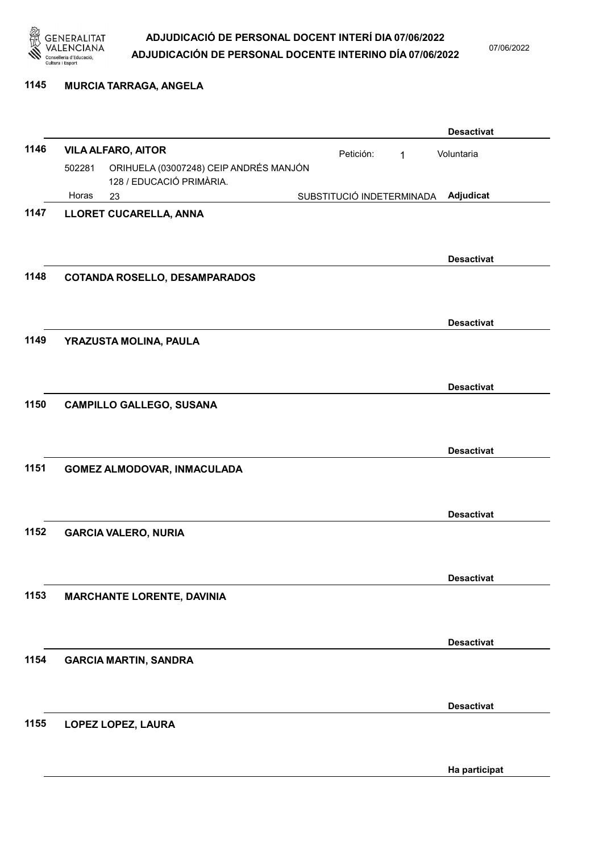

07/06/2022

#### 1145 MURCIA TARRAGA, ANGELA

|      |        |                                                                    |                           |   | <b>Desactivat</b> |
|------|--------|--------------------------------------------------------------------|---------------------------|---|-------------------|
| 1146 |        | <b>VILA ALFARO, AITOR</b>                                          | Petición:                 | 1 | Voluntaria        |
|      | 502281 | ORIHUELA (03007248) CEIP ANDRÉS MANJÓN<br>128 / EDUCACIÓ PRIMÀRIA. |                           |   |                   |
|      | Horas  | 23                                                                 | SUBSTITUCIÓ INDETERMINADA |   | Adjudicat         |
| 1147 |        | LLORET CUCARELLA, ANNA                                             |                           |   |                   |
|      |        |                                                                    |                           |   | <b>Desactivat</b> |
| 1148 |        | <b>COTANDA ROSELLO, DESAMPARADOS</b>                               |                           |   |                   |
|      |        |                                                                    |                           |   | <b>Desactivat</b> |
| 1149 |        | YRAZUSTA MOLINA, PAULA                                             |                           |   |                   |
|      |        |                                                                    |                           |   | <b>Desactivat</b> |
| 1150 |        | <b>CAMPILLO GALLEGO, SUSANA</b>                                    |                           |   |                   |
|      |        |                                                                    |                           |   | <b>Desactivat</b> |
| 1151 |        | <b>GOMEZ ALMODOVAR, INMACULADA</b>                                 |                           |   |                   |
|      |        |                                                                    |                           |   | <b>Desactivat</b> |
| 1152 |        | <b>GARCIA VALERO, NURIA</b>                                        |                           |   |                   |
|      |        |                                                                    |                           |   | <b>Desactivat</b> |
| 1153 |        | <b>MARCHANTE LORENTE, DAVINIA</b>                                  |                           |   |                   |
|      |        |                                                                    |                           |   | <b>Desactivat</b> |
| 1154 |        | <b>GARCIA MARTIN, SANDRA</b>                                       |                           |   |                   |
|      |        |                                                                    |                           |   | <b>Desactivat</b> |
| 1155 |        | LOPEZ LOPEZ, LAURA                                                 |                           |   |                   |
|      |        |                                                                    |                           |   | Ha participat     |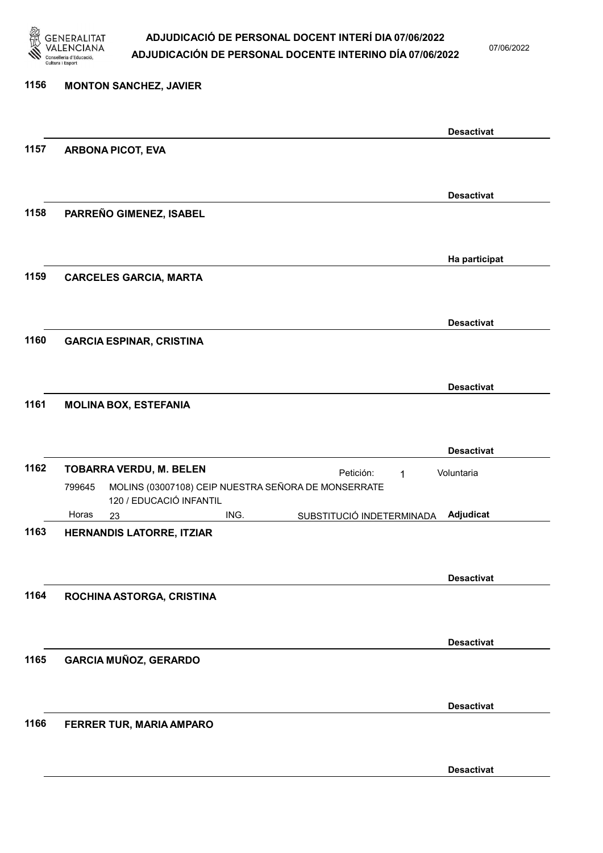

07/06/2022

### 1156 MONTON SANCHEZ, JAVIER Desactivat 1157 ARBONA PICOT, EVA Desactivat 1158 PARREÑO GIMENEZ, ISABEL Ha participat 1159 CARCELES GARCIA, MARTA Desactivat 1160 GARCIA ESPINAR, CRISTINA Desactivat 1161 MOLINA BOX, ESTEFANIA Desactivat 1162 TOBARRA VERDU, M. BELEN Petición: 1 23 ING. SUBSTITUCIÓ INDETERMINADA MOLINS (03007108) CEIP NUESTRA SEÑORA DE MONSERRATE 120 / EDUCACIÓ INFANTIL Adjudicat Voluntaria 799645 Horas 1163 HERNANDIS LATORRE, ITZIAR Desactivat 1164 ROCHINA ASTORGA, CRISTINA Desactivat 1165 GARCIA MUÑOZ, GERARDO Desactivat 1166 FERRER TUR, MARIA AMPARO

Desactivat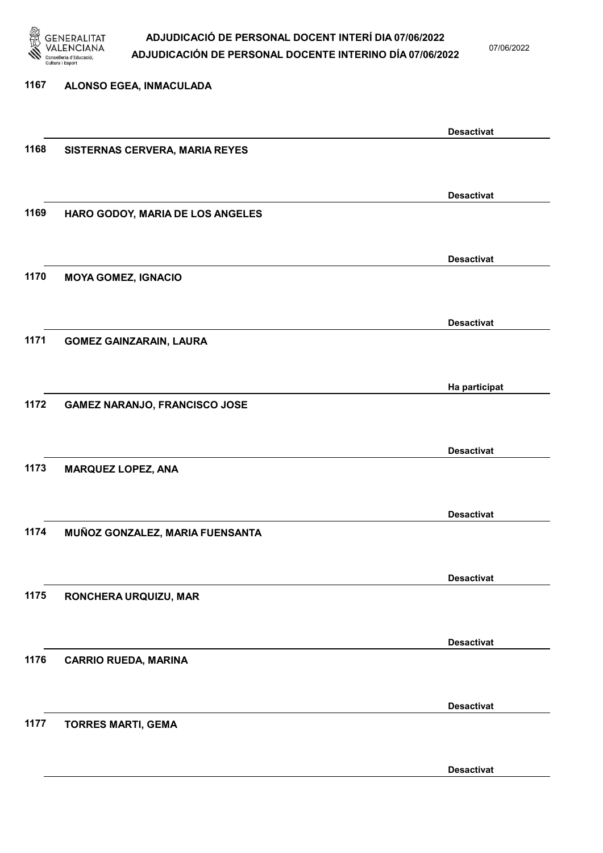

07/06/2022

| 1167 | ALONSO EGEA, INMACULADA              |                   |
|------|--------------------------------------|-------------------|
|      |                                      |                   |
| 1168 |                                      | <b>Desactivat</b> |
|      | SISTERNAS CERVERA, MARIA REYES       |                   |
|      |                                      |                   |
|      |                                      | <b>Desactivat</b> |
| 1169 | HARO GODOY, MARIA DE LOS ANGELES     |                   |
|      |                                      |                   |
|      |                                      | <b>Desactivat</b> |
| 1170 | <b>MOYA GOMEZ, IGNACIO</b>           |                   |
|      |                                      |                   |
| 1171 |                                      | <b>Desactivat</b> |
|      | <b>GOMEZ GAINZARAIN, LAURA</b>       |                   |
|      |                                      |                   |
| 1172 | <b>GAMEZ NARANJO, FRANCISCO JOSE</b> | Ha participat     |
|      |                                      |                   |
|      |                                      | <b>Desactivat</b> |
| 1173 | <b>MARQUEZ LOPEZ, ANA</b>            |                   |
|      |                                      |                   |
|      |                                      |                   |
| 1174 | MUÑOZ GONZALEZ, MARIA FUENSANTA      | <b>Desactivat</b> |
|      |                                      |                   |
|      |                                      | <b>Desactivat</b> |
| 1175 | RONCHERA URQUIZU, MAR                |                   |
|      |                                      |                   |
|      |                                      | <b>Desactivat</b> |
| 1176 | <b>CARRIO RUEDA, MARINA</b>          |                   |
|      |                                      |                   |
|      |                                      | <b>Desactivat</b> |
| 1177 | <b>TORRES MARTI, GEMA</b>            |                   |
|      |                                      |                   |
|      |                                      |                   |

Desactivat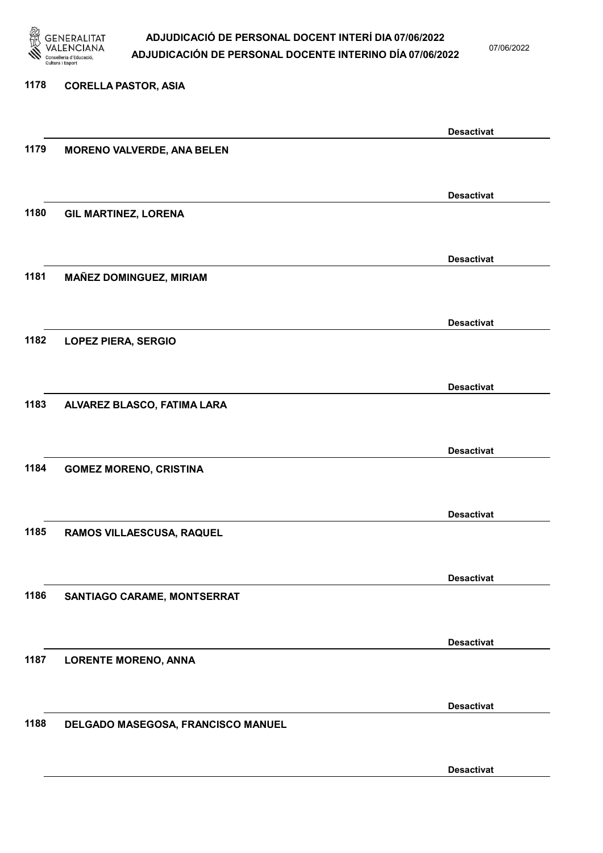

07/06/2022

Desactivat

# 1178 CORELLA PASTOR, ASIA Desactivat 1179 MORENO VALVERDE, ANA BELEN Desactivat 1180 GIL MARTINEZ, LORENA Desactivat 1181 MAÑEZ DOMINGUEZ, MIRIAM Desactivat 1182 LOPEZ PIERA, SERGIO Desactivat 1183 ALVAREZ BLASCO, FATIMA LARA Desactivat 1184 GOMEZ MORENO, CRISTINA Desactivat 1185 RAMOS VILLAESCUSA, RAQUEL Desactivat 1186 SANTIAGO CARAME, MONTSERRAT Desactivat 1187 LORENTE MORENO, ANNA Desactivat 1188 DELGADO MASEGOSA, FRANCISCO MANUEL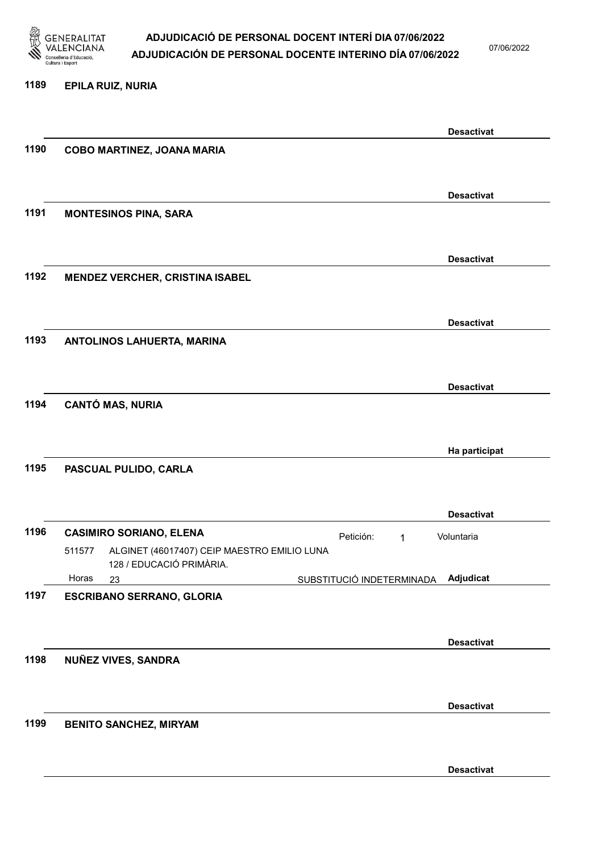

07/06/2022

#### 1189 EPILA RUIZ, NURIA

|      |                                                             | <b>Desactivat</b> |
|------|-------------------------------------------------------------|-------------------|
| 1190 | COBO MARTINEZ, JOANA MARIA                                  |                   |
|      |                                                             |                   |
|      |                                                             | <b>Desactivat</b> |
|      |                                                             |                   |
| 1191 | <b>MONTESINOS PINA, SARA</b>                                |                   |
|      |                                                             |                   |
|      |                                                             | <b>Desactivat</b> |
| 1192 | <b>MENDEZ VERCHER, CRISTINA ISABEL</b>                      |                   |
|      |                                                             |                   |
|      |                                                             |                   |
|      |                                                             | <b>Desactivat</b> |
| 1193 | ANTOLINOS LAHUERTA, MARINA                                  |                   |
|      |                                                             |                   |
|      |                                                             |                   |
|      |                                                             | <b>Desactivat</b> |
| 1194 | <b>CANTÓ MAS, NURIA</b>                                     |                   |
|      |                                                             |                   |
|      |                                                             | Ha participat     |
| 1195 | PASCUAL PULIDO, CARLA                                       |                   |
|      |                                                             |                   |
|      |                                                             |                   |
|      |                                                             | <b>Desactivat</b> |
| 1196 | <b>CASIMIRO SORIANO, ELENA</b><br>Petición:<br>$\mathbf{1}$ | Voluntaria        |
|      | ALGINET (46017407) CEIP MAESTRO EMILIO LUNA<br>511577       |                   |
|      | 128 / EDUCACIÓ PRIMÀRIA.                                    |                   |
|      | Horas<br>SUBSTITUCIÓ INDETERMINADA<br>23                    | Adjudicat         |
| 1197 | <b>ESCRIBANO SERRANO, GLORIA</b>                            |                   |
|      |                                                             |                   |
|      |                                                             | <b>Desactivat</b> |
|      |                                                             |                   |
| 1198 | <b>NUÑEZ VIVES, SANDRA</b>                                  |                   |
|      |                                                             |                   |
|      |                                                             | <b>Desactivat</b> |
| 1199 | <b>BENITO SANCHEZ, MIRYAM</b>                               |                   |
|      |                                                             |                   |
|      |                                                             |                   |
|      |                                                             | <b>Desactivat</b> |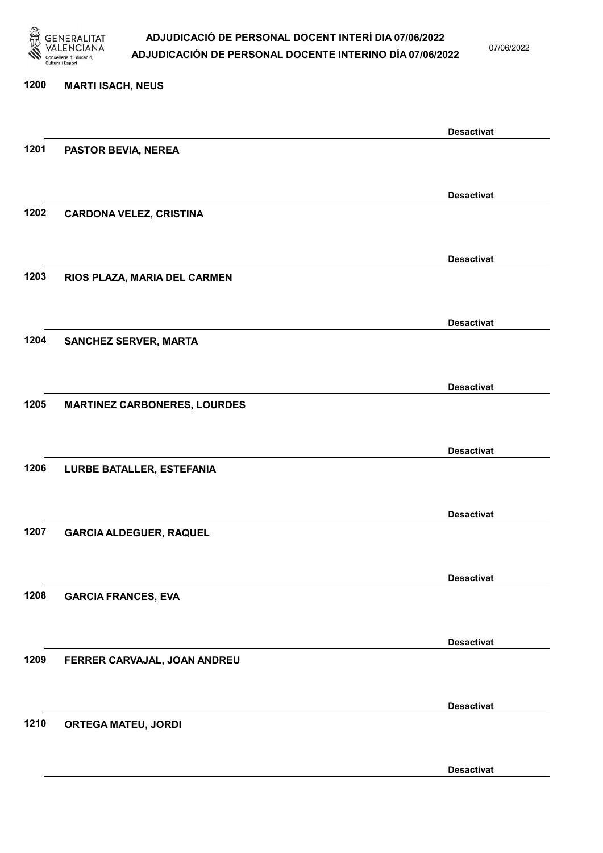

07/06/2022

Desactivat

# 1200 MARTI ISACH, NEUS Desactivat 1201 PASTOR BEVIA, NEREA Desactivat 1202 CARDONA VELEZ, CRISTINA Desactivat 1203 RIOS PLAZA, MARIA DEL CARMEN Desactivat 1204 SANCHEZ SERVER, MARTA Desactivat 1205 MARTINEZ CARBONERES, LOURDES Desactivat 1206 LURBE BATALLER, ESTEFANIA Desactivat 1207 GARCIA ALDEGUER, RAQUEL Desactivat 1208 GARCIA FRANCES, EVA Desactivat 1209 FERRER CARVAJAL, JOAN ANDREU Desactivat 1210 ORTEGA MATEU, JORDI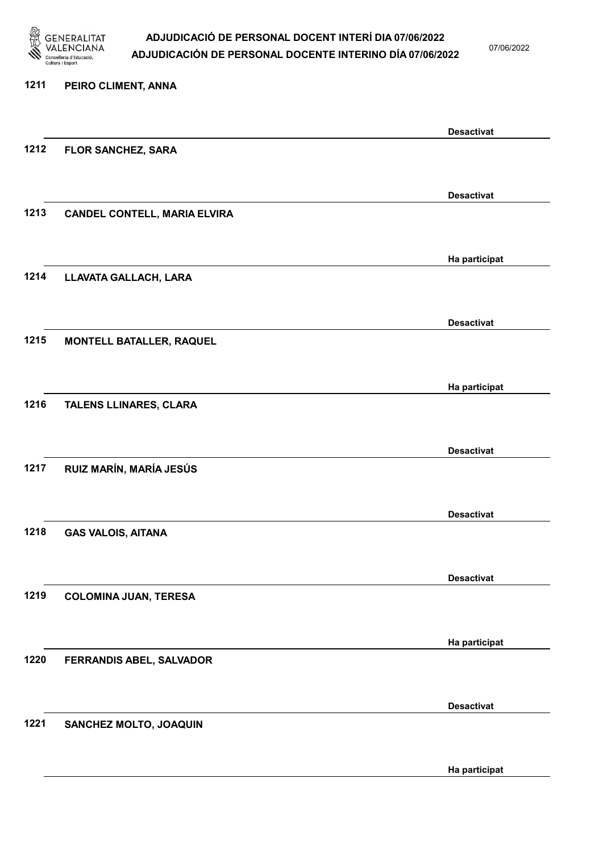

07/06/2022

## 1211 PEIRO CLIMENT, ANNA Desactivat 1212 FLOR SANCHEZ, SARA Desactivat 1213 CANDEL CONTELL, MARIA ELVIRA Ha participat 1214 LLAVATA GALLACH, LARA Desactivat 1215 MONTELL BATALLER, RAQUEL Ha participat 1216 TALENS LLINARES, CLARA Desactivat 1217 RUIZ MARÍN, MARÍA JESÚS Desactivat 1218 GAS VALOIS, AITANA Desactivat 1219 COLOMINA JUAN, TERESA Ha participat 1220 FERRANDIS ABEL, SALVADOR Desactivat 1221 SANCHEZ MOLTO, JOAQUIN Ha participat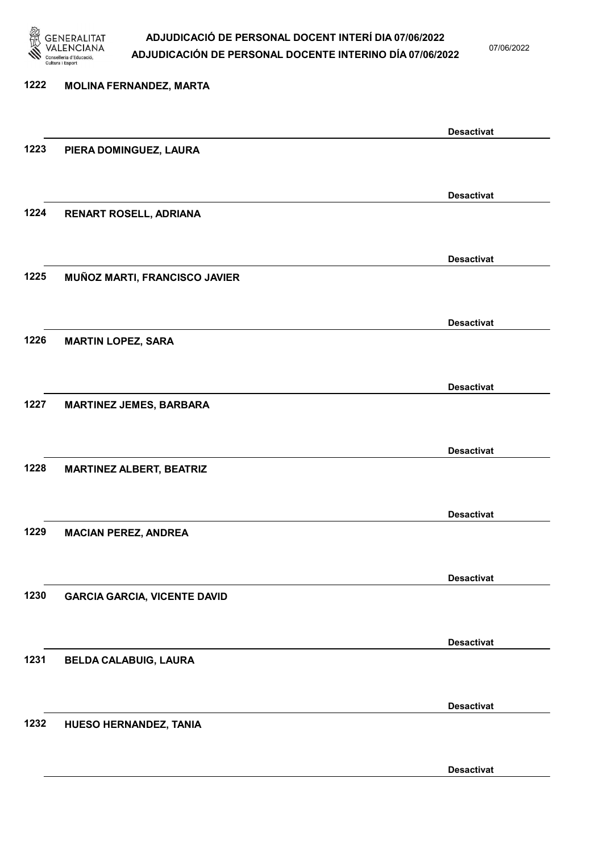

07/06/2022

Desactivat

# 1222 MOLINA FERNANDEZ, MARTA Desactivat 1223 PIERA DOMINGUEZ, LAURA Desactivat 1224 RENART ROSELL, ADRIANA Desactivat 1225 MUÑOZ MARTI, FRANCISCO JAVIER Desactivat 1226 MARTIN LOPEZ, SARA Desactivat 1227 MARTINEZ JEMES, BARBARA Desactivat 1228 MARTINEZ ALBERT, BEATRIZ Desactivat 1229 MACIAN PEREZ, ANDREA Desactivat 1230 GARCIA GARCIA, VICENTE DAVID Desactivat 1231 BELDA CALABUIG, LAURA Desactivat 1232 HUESO HERNANDEZ, TANIA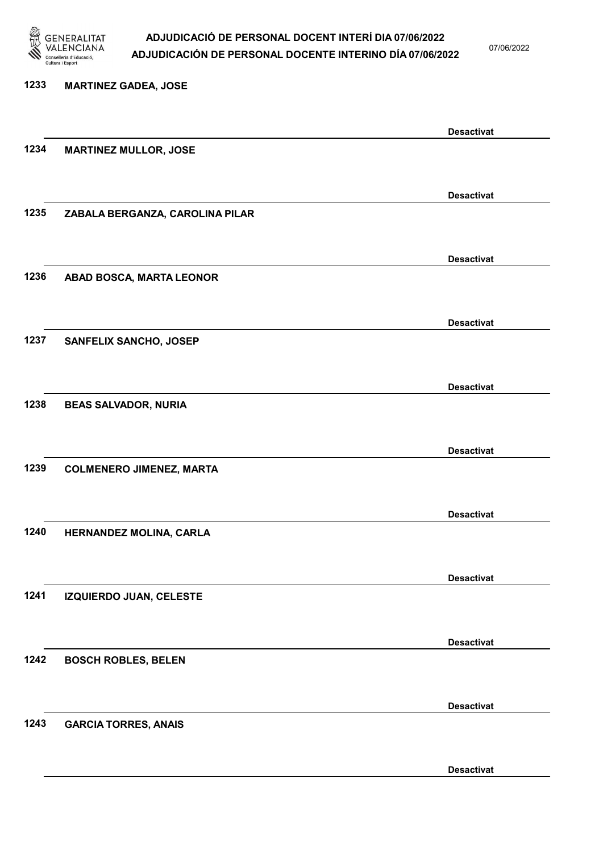

07/06/2022

Desactivat

# 1233 MARTINEZ GADEA, JOSE Desactivat 1234 MARTINEZ MULLOR, JOSE Desactivat 1235 ZABALA BERGANZA, CAROLINA PILAR Desactivat 1236 ABAD BOSCA, MARTA LEONOR Desactivat 1237 SANFELIX SANCHO, JOSEP Desactivat 1238 BEAS SALVADOR, NURIA Desactivat 1239 COLMENERO JIMENEZ, MARTA Desactivat 1240 HERNANDEZ MOLINA, CARLA Desactivat 1241 IZQUIERDO JUAN, CELESTE Desactivat 1242 BOSCH ROBLES, BELEN Desactivat 1243 GARCIA TORRES, ANAIS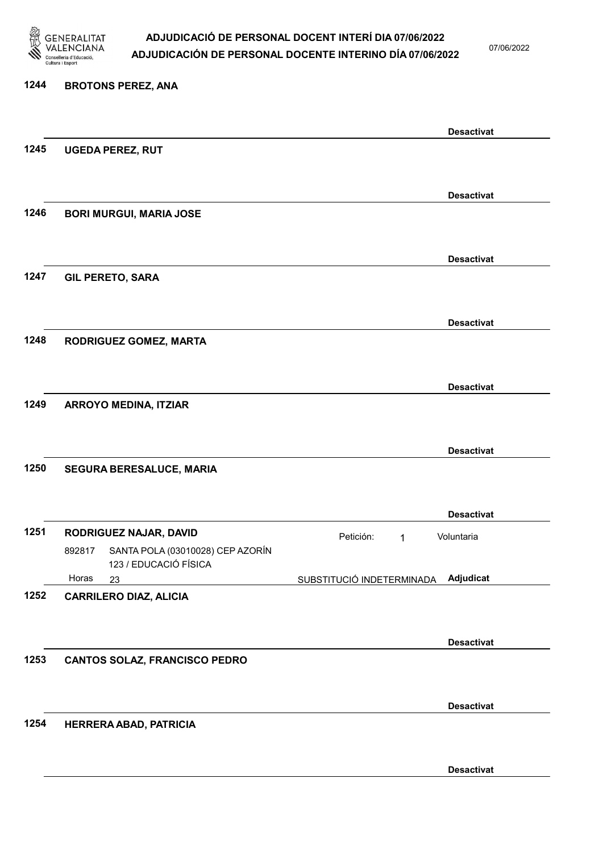

07/06/2022

### 1244 BROTONS PEREZ, ANA Desactivat 1245 UGEDA PEREZ, RUT Desactivat 1246 BORI MURGUI, MARIA JOSE Desactivat 1247 GIL PERETO, SARA Desactivat 1248 RODRIGUEZ GOMEZ, MARTA Desactivat 1249 ARROYO MEDINA, ITZIAR Desactivat 1250 SEGURA BERESALUCE, MARIA Desactivat 1251 RODRIGUEZ NAJAR, DAVID Petición: 1 23 SUBSTITUCIÓ INDETERMINADA SANTA POLA (03010028) CEP AZORÍN 123 / EDUCACIÓ FÍSICA Adjudicat Voluntaria 892817 Horas 1252 CARRILERO DIAZ, ALICIA Desactivat 1253 CANTOS SOLAZ, FRANCISCO PEDRO Desactivat 1254 HERRERA ABAD, PATRICIA Desactivat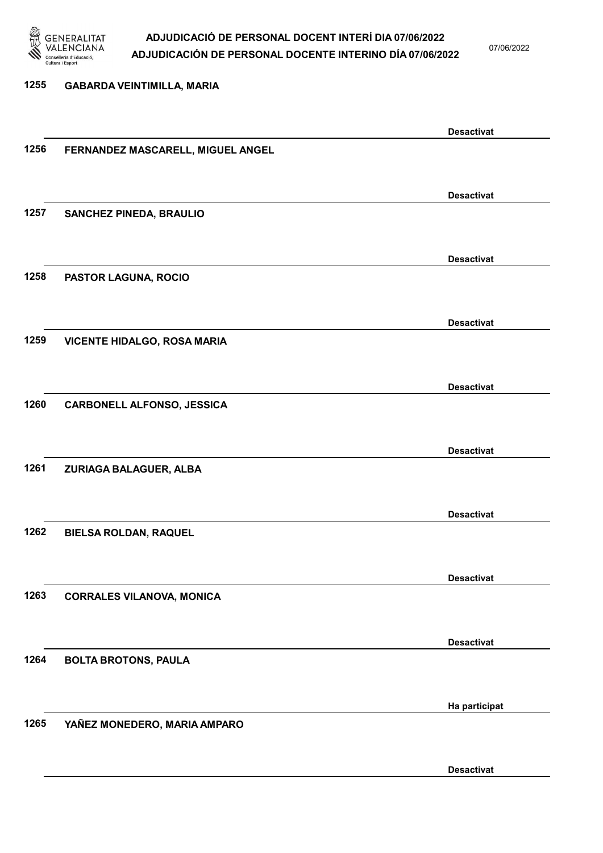

07/06/2022

Desactivat

# 1255 GABARDA VEINTIMILLA, MARIA Desactivat 1256 FERNANDEZ MASCARELL, MIGUEL ANGEL Desactivat 1257 SANCHEZ PINEDA, BRAULIO Desactivat 1258 PASTOR LAGUNA, ROCIO Desactivat 1259 VICENTE HIDALGO, ROSA MARIA Desactivat 1260 CARBONELL ALFONSO, JESSICA Desactivat 1261 ZURIAGA BALAGUER, ALBA Desactivat 1262 BIELSA ROLDAN, RAQUEL Desactivat 1263 CORRALES VILANOVA, MONICA Desactivat 1264 BOLTA BROTONS, PAULA Ha participat 1265 YAÑEZ MONEDERO, MARIA AMPARO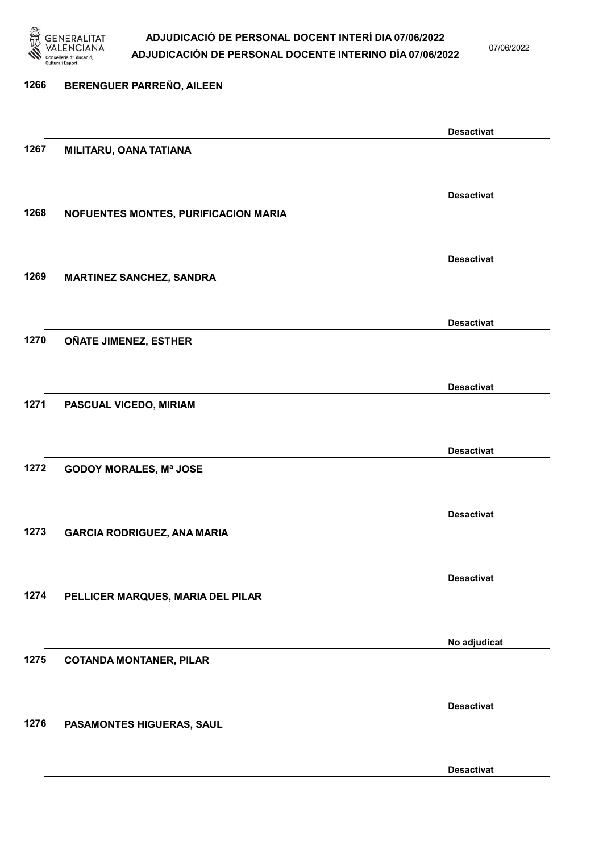

07/06/2022

Desactivat

# 1266 BERENGUER PARREÑO, AILEEN Desactivat 1267 MILITARU, OANA TATIANA Desactivat 1268 NOFUENTES MONTES, PURIFICACION MARIA Desactivat 1269 MARTINEZ SANCHEZ, SANDRA Desactivat 1270 OÑATE JIMENEZ, ESTHER Desactivat 1271 PASCUAL VICEDO, MIRIAM Desactivat 1272 GODOY MORALES, Mª JOSE Desactivat 1273 GARCIA RODRIGUEZ, ANA MARIA Desactivat 1274 PELLICER MARQUES, MARIA DEL PILAR No adjudicat 1275 COTANDA MONTANER, PILAR Desactivat 1276 PASAMONTES HIGUERAS, SAUL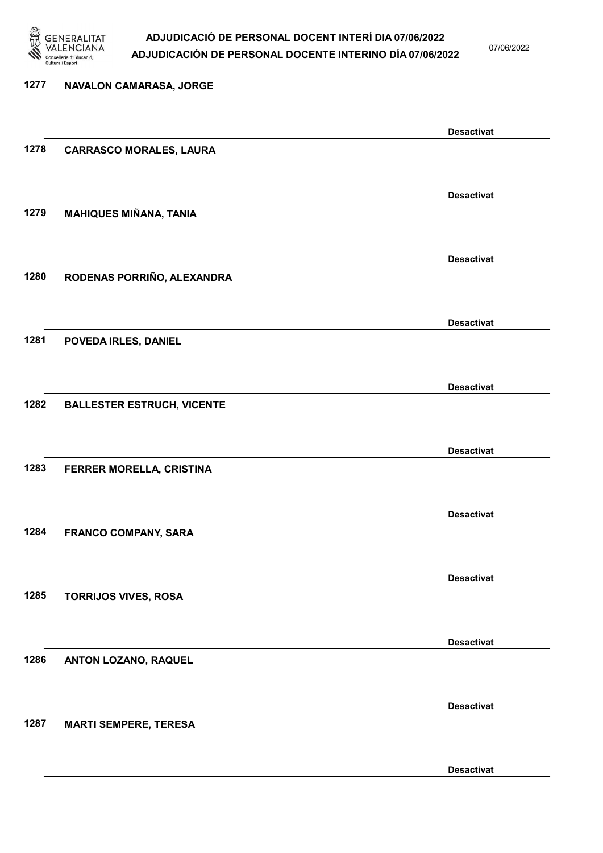

07/06/2022

Desactivat

# 1277 NAVALON CAMARASA, JORGE Desactivat 1278 CARRASCO MORALES, LAURA Desactivat 1279 MAHIQUES MIÑANA, TANIA Desactivat 1280 RODENAS PORRIÑO, ALEXANDRA Desactivat 1281 POVEDA IRLES, DANIEL Desactivat 1282 BALLESTER ESTRUCH, VICENTE Desactivat 1283 FERRER MORELLA, CRISTINA Desactivat 1284 FRANCO COMPANY, SARA Desactivat 1285 TORRIJOS VIVES, ROSA Desactivat 1286 ANTON LOZANO, RAQUEL Desactivat 1287 MARTI SEMPERE, TERESA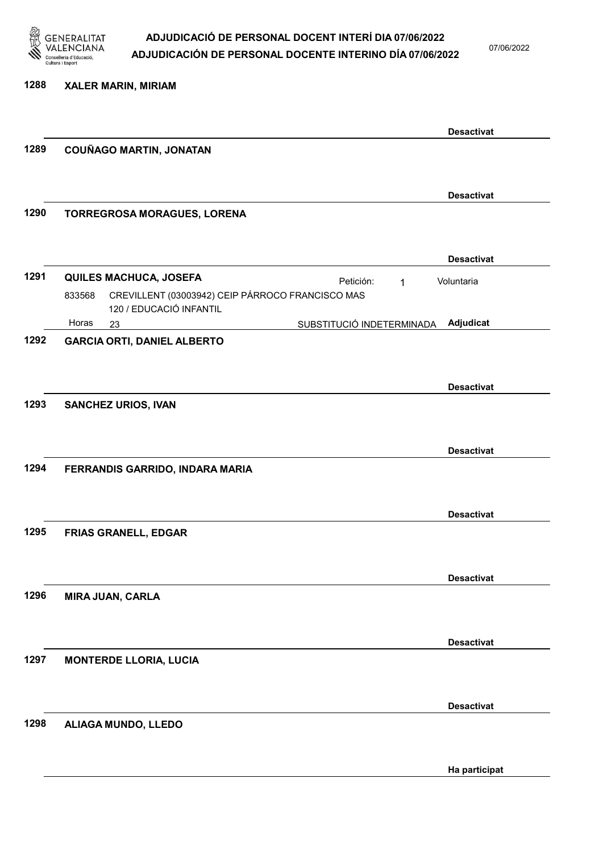

07/06/2022

#### 1288 XALER MARIN, MIRIAM

|      |                                                                                       | <b>Desactivat</b> |
|------|---------------------------------------------------------------------------------------|-------------------|
| 1289 | <b>COUÑAGO MARTIN, JONATAN</b>                                                        |                   |
|      |                                                                                       |                   |
|      |                                                                                       | <b>Desactivat</b> |
| 1290 | TORREGROSA MORAGUES, LORENA                                                           |                   |
|      |                                                                                       |                   |
|      |                                                                                       | <b>Desactivat</b> |
| 1291 | <b>QUILES MACHUCA, JOSEFA</b><br>Petición:<br>$\mathbf 1$                             | Voluntaria        |
|      | CREVILLENT (03003942) CEIP PÁRROCO FRANCISCO MAS<br>833568<br>120 / EDUCACIÓ INFANTIL |                   |
|      | Horas<br>SUBSTITUCIÓ INDETERMINADA<br>23                                              | Adjudicat         |
| 1292 | <b>GARCIA ORTI, DANIEL ALBERTO</b>                                                    |                   |
|      |                                                                                       |                   |
|      |                                                                                       | <b>Desactivat</b> |
| 1293 | <b>SANCHEZ URIOS, IVAN</b>                                                            |                   |
|      |                                                                                       |                   |
|      |                                                                                       | <b>Desactivat</b> |
| 1294 | FERRANDIS GARRIDO, INDARA MARIA                                                       |                   |
|      |                                                                                       |                   |
|      |                                                                                       | <b>Desactivat</b> |
| 1295 | <b>FRIAS GRANELL, EDGAR</b>                                                           |                   |
|      |                                                                                       |                   |
|      |                                                                                       | <b>Desactivat</b> |
| 1296 | <b>MIRA JUAN, CARLA</b>                                                               |                   |
|      |                                                                                       |                   |
|      |                                                                                       | <b>Desactivat</b> |
| 1297 | <b>MONTERDE LLORIA, LUCIA</b>                                                         |                   |
|      |                                                                                       |                   |
|      |                                                                                       | <b>Desactivat</b> |
| 1298 | ALIAGA MUNDO, LLEDO                                                                   |                   |
|      |                                                                                       |                   |
|      |                                                                                       | Ha participat     |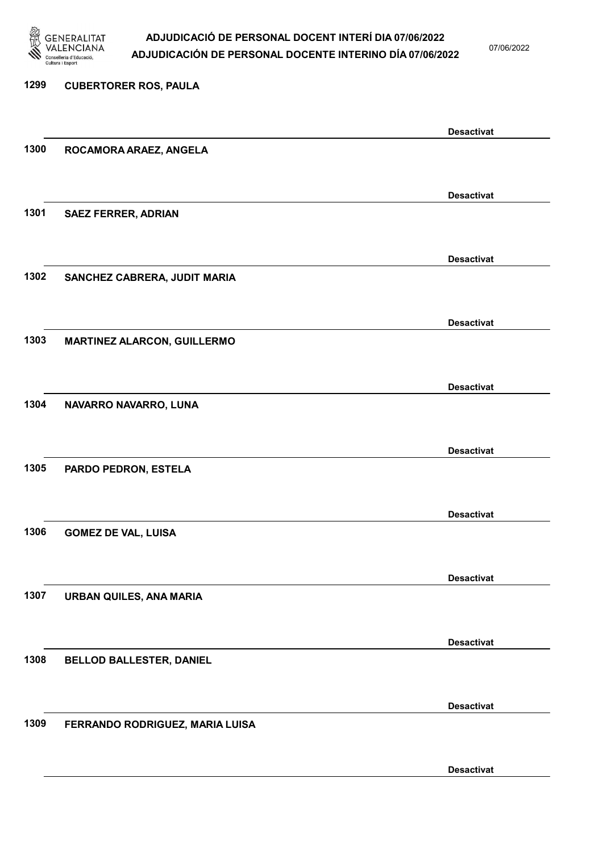

07/06/2022

## 1299 CUBERTORER ROS, PAULA Desactivat 1300 ROCAMORA ARAEZ, ANGELA Desactivat 1301 SAEZ FERRER, ADRIAN Desactivat 1302 SANCHEZ CABRERA, JUDIT MARIA Desactivat 1303 MARTINEZ ALARCON, GUILLERMO Desactivat 1304 NAVARRO NAVARRO, LUNA Desactivat 1305 PARDO PEDRON, ESTELA Desactivat 1306 GOMEZ DE VAL, LUISA Desactivat 1307 URBAN QUILES, ANA MARIA Desactivat 1308 BELLOD BALLESTER, DANIEL Desactivat 1309 FERRANDO RODRIGUEZ, MARIA LUISA Desactivat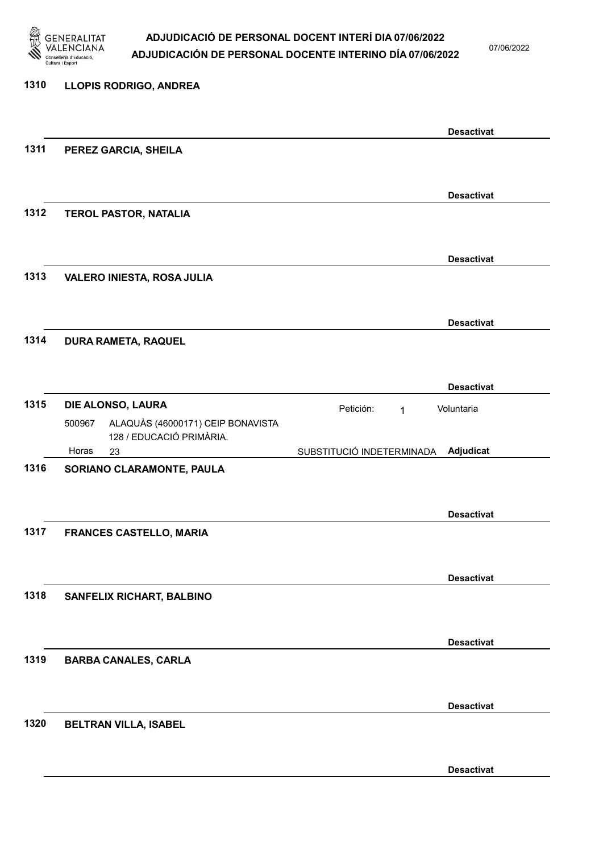

07/06/2022

Desactivat

### 1310 LLOPIS RODRIGO, ANDREA Desactivat 1311 PEREZ GARCIA, SHEILA Desactivat 1312 TEROL PASTOR, NATALIA Desactivat 1313 VALERO INIESTA, ROSA JULIA Desactivat 1314 DURA RAMETA, RAQUEL Desactivat 1315 **DIE ALONSO, LAURA** Petición: 1 23 SUBSTITUCIÓ INDETERMINADA ALAQUÀS (46000171) CEIP BONAVISTA 128 / EDUCACIÓ PRIMÀRIA. Adjudicat Voluntaria 500967 Horas 1316 SORIANO CLARAMONTE, PAULA Desactivat 1317 FRANCES CASTELLO, MARIA Desactivat 1318 SANFELIX RICHART, BALBINO Desactivat 1319 BARBA CANALES, CARLA Desactivat 1320 BELTRAN VILLA, ISABEL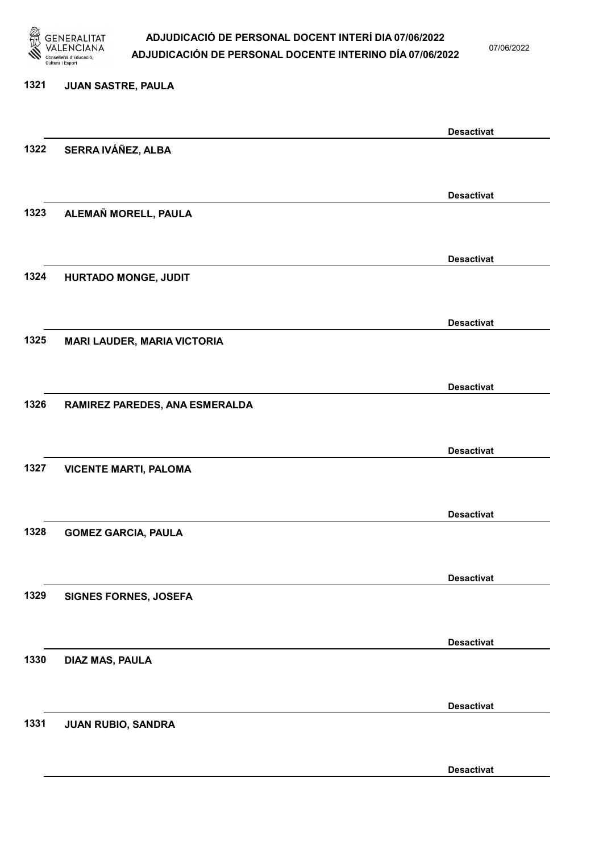

07/06/2022

#### 1321 JUAN SASTRE, PAULA

|      |                                    | <b>Desactivat</b> |
|------|------------------------------------|-------------------|
| 1322 | SERRA IVÁÑEZ, ALBA                 |                   |
|      |                                    |                   |
|      |                                    | <b>Desactivat</b> |
| 1323 | ALEMAÑ MORELL, PAULA               |                   |
|      |                                    |                   |
|      |                                    |                   |
|      |                                    | <b>Desactivat</b> |
| 1324 | HURTADO MONGE, JUDIT               |                   |
|      |                                    |                   |
|      |                                    | <b>Desactivat</b> |
| 1325 | <b>MARI LAUDER, MARIA VICTORIA</b> |                   |
|      |                                    |                   |
|      |                                    |                   |
|      |                                    | <b>Desactivat</b> |
| 1326 | RAMIREZ PAREDES, ANA ESMERALDA     |                   |
|      |                                    |                   |
|      |                                    | <b>Desactivat</b> |
| 1327 | <b>VICENTE MARTI, PALOMA</b>       |                   |
|      |                                    |                   |
|      |                                    | <b>Desactivat</b> |
| 1328 | <b>GOMEZ GARCIA, PAULA</b>         |                   |
|      |                                    |                   |
|      |                                    |                   |
|      |                                    | <b>Desactivat</b> |
| 1329 | <b>SIGNES FORNES, JOSEFA</b>       |                   |
|      |                                    |                   |
|      |                                    | <b>Desactivat</b> |
| 1330 | DIAZ MAS, PAULA                    |                   |
|      |                                    |                   |
|      |                                    | <b>Desactivat</b> |
| 1331 | JUAN RUBIO, SANDRA                 |                   |
|      |                                    |                   |
|      |                                    |                   |
|      |                                    | <b>Desactivat</b> |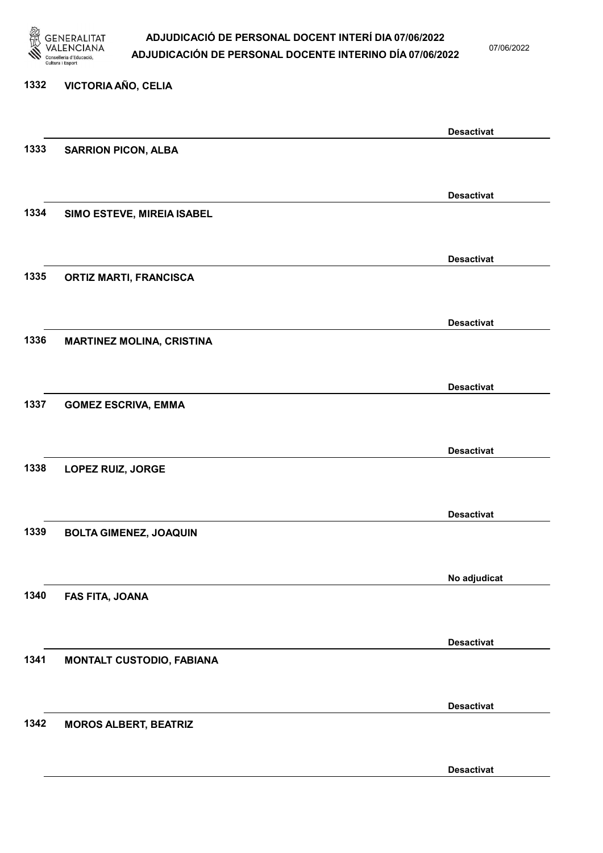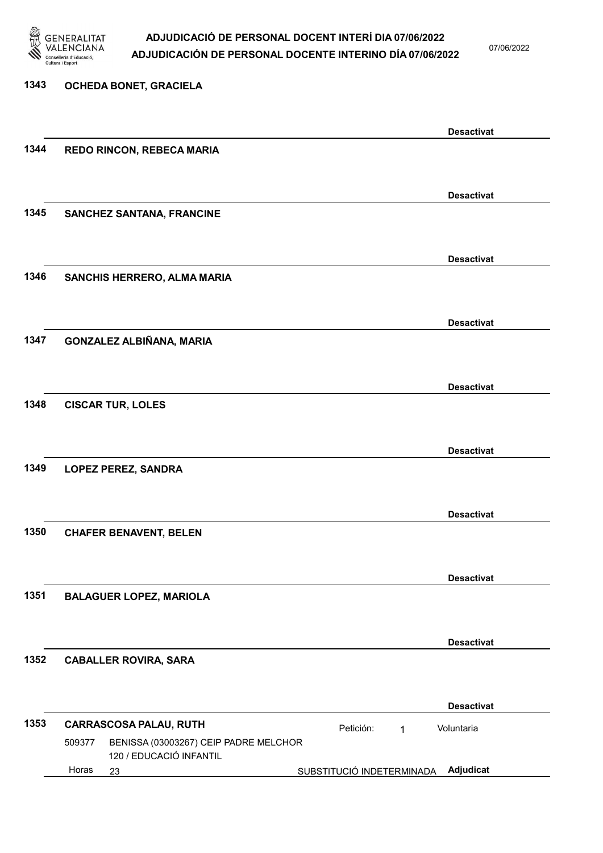

07/06/2022

| 1343 | OCHEDA BONET, GRACIELA                                                     |                           |                   |
|------|----------------------------------------------------------------------------|---------------------------|-------------------|
|      |                                                                            |                           |                   |
|      |                                                                            |                           | <b>Desactivat</b> |
| 1344 | REDO RINCON, REBECA MARIA                                                  |                           |                   |
|      |                                                                            |                           |                   |
|      |                                                                            |                           | <b>Desactivat</b> |
| 1345 | <b>SANCHEZ SANTANA, FRANCINE</b>                                           |                           |                   |
|      |                                                                            |                           |                   |
|      |                                                                            |                           | <b>Desactivat</b> |
| 1346 | SANCHIS HERRERO, ALMA MARIA                                                |                           |                   |
|      |                                                                            |                           |                   |
|      |                                                                            |                           | <b>Desactivat</b> |
| 1347 | GONZALEZ ALBIÑANA, MARIA                                                   |                           |                   |
|      |                                                                            |                           |                   |
|      |                                                                            |                           | <b>Desactivat</b> |
| 1348 | <b>CISCAR TUR, LOLES</b>                                                   |                           |                   |
|      |                                                                            |                           |                   |
|      |                                                                            |                           | <b>Desactivat</b> |
| 1349 | <b>LOPEZ PEREZ, SANDRA</b>                                                 |                           |                   |
|      |                                                                            |                           |                   |
|      |                                                                            |                           | <b>Desactivat</b> |
| 1350 | <b>CHAFER BENAVENT, BELEN</b>                                              |                           |                   |
|      |                                                                            |                           |                   |
|      |                                                                            |                           | <b>Desactivat</b> |
| 1351 | <b>BALAGUER LOPEZ, MARIOLA</b>                                             |                           |                   |
|      |                                                                            |                           |                   |
|      |                                                                            |                           | <b>Desactivat</b> |
| 1352 | <b>CABALLER ROVIRA, SARA</b>                                               |                           |                   |
|      |                                                                            |                           |                   |
|      |                                                                            |                           | <b>Desactivat</b> |
| 1353 | <b>CARRASCOSA PALAU, RUTH</b>                                              | Petición:<br>1            | Voluntaria        |
|      | 509377<br>BENISSA (03003267) CEIP PADRE MELCHOR<br>120 / EDUCACIÓ INFANTIL |                           |                   |
|      | Horas<br>23                                                                | SUBSTITUCIÓ INDETERMINADA | Adjudicat         |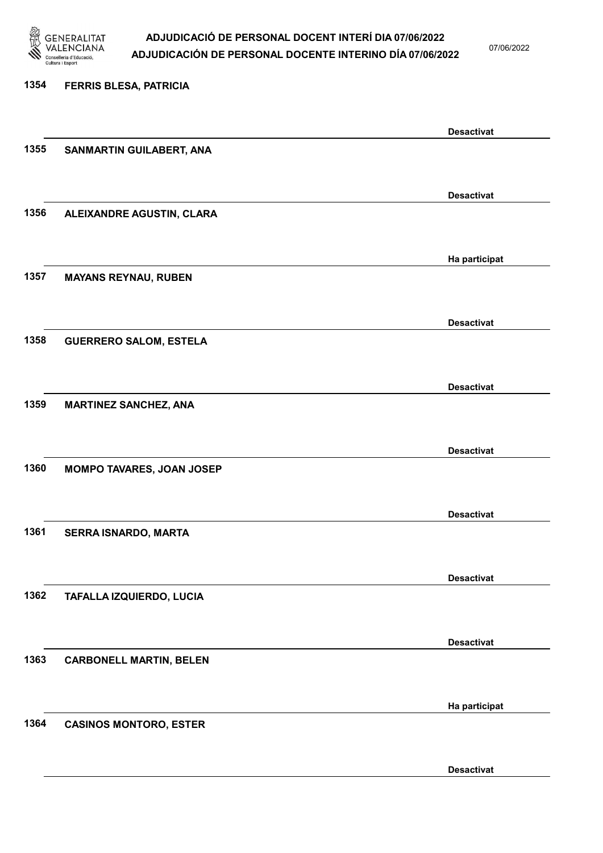

07/06/2022

Desactivat

# 1354 FERRIS BLESA, PATRICIA Desactivat 1355 SANMARTIN GUILABERT, ANA Desactivat 1356 ALEIXANDRE AGUSTIN, CLARA Ha participat 1357 MAYANS REYNAU, RUBEN Desactivat 1358 GUERRERO SALOM, ESTELA Desactivat 1359 MARTINEZ SANCHEZ, ANA Desactivat 1360 MOMPO TAVARES, JOAN JOSEP Desactivat 1361 SERRA ISNARDO, MARTA Desactivat 1362 TAFALLA IZQUIERDO, LUCIA Desactivat 1363 CARBONELL MARTIN, BELEN Ha participat 1364 CASINOS MONTORO, ESTER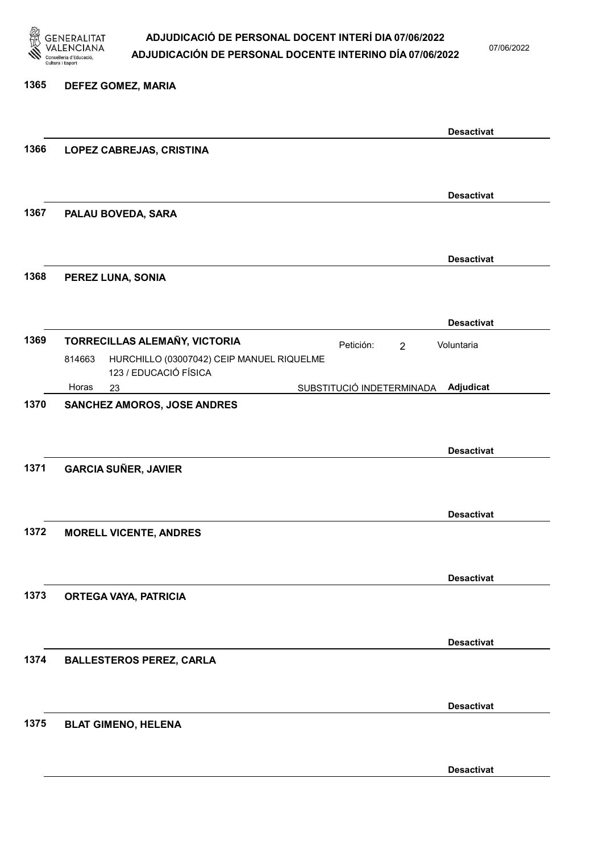

1365 DEFEZ GOMEZ, MARIA

### ADJUDICACIÓ DE PERSONAL DOCENT INTERÍ DIA 07/06/2022 ADJUDICACIÓN DE PERSONAL DOCENTE INTERINO DÍA 07/06/2022

07/06/2022

Desactivat

### Desactivat 1366 LOPEZ CABREJAS, CRISTINA Desactivat 1367 PALAU BOVEDA, SARA Desactivat 1368 PEREZ LUNA, SONIA Desactivat 1369 TORRECILLAS ALEMAÑY, VICTORIA **Petición:** 2 23 SUBSTITUCIÓ INDETERMINADA HURCHILLO (03007042) CEIP MANUEL RIQUELME 123 / EDUCACIÓ FÍSICA Adjudicat Voluntaria 814663 Horas 1370 SANCHEZ AMOROS, JOSE ANDRES Desactivat 1371 GARCIA SUÑER, JAVIER Desactivat 1372 MORELL VICENTE, ANDRES Desactivat 1373 ORTEGA VAYA, PATRICIA Desactivat 1374 BALLESTEROS PEREZ, CARLA Desactivat 1375 BLAT GIMENO, HELENA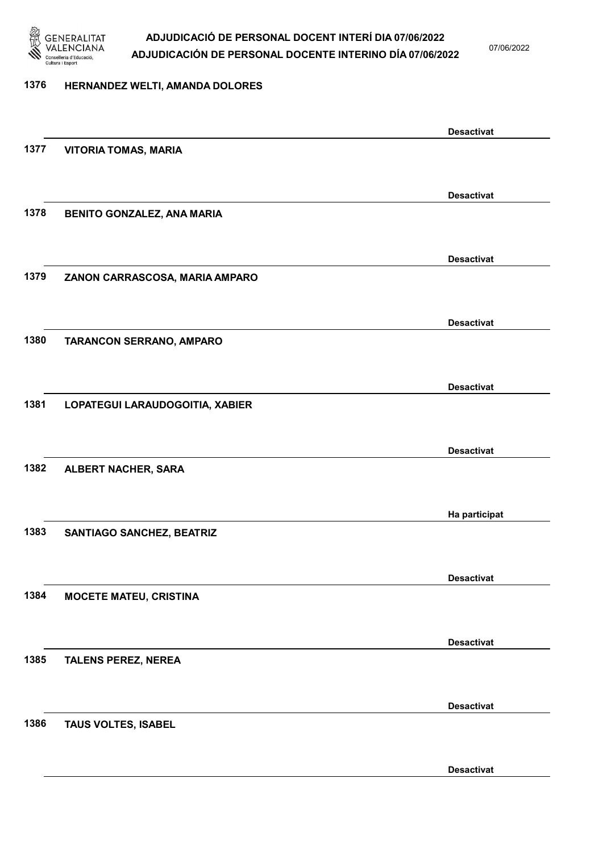

07/06/2022

#### 1376 HERNANDEZ WELTI, AMANDA DOLORES

Desactivat 1377 VITORIA TOMAS, MARIA Desactivat 1378 BENITO GONZALEZ, ANA MARIA Desactivat 1379 ZANON CARRASCOSA, MARIA AMPARO Desactivat 1380 TARANCON SERRANO, AMPARO Desactivat 1381 LOPATEGUI LARAUDOGOITIA, XABIER Desactivat 1382 ALBERT NACHER, SARA Ha participat 1383 SANTIAGO SANCHEZ, BEATRIZ Desactivat 1384 MOCETE MATEU, CRISTINA Desactivat 1385 TALENS PEREZ, NEREA Desactivat 1386 TAUS VOLTES, ISABEL Desactivat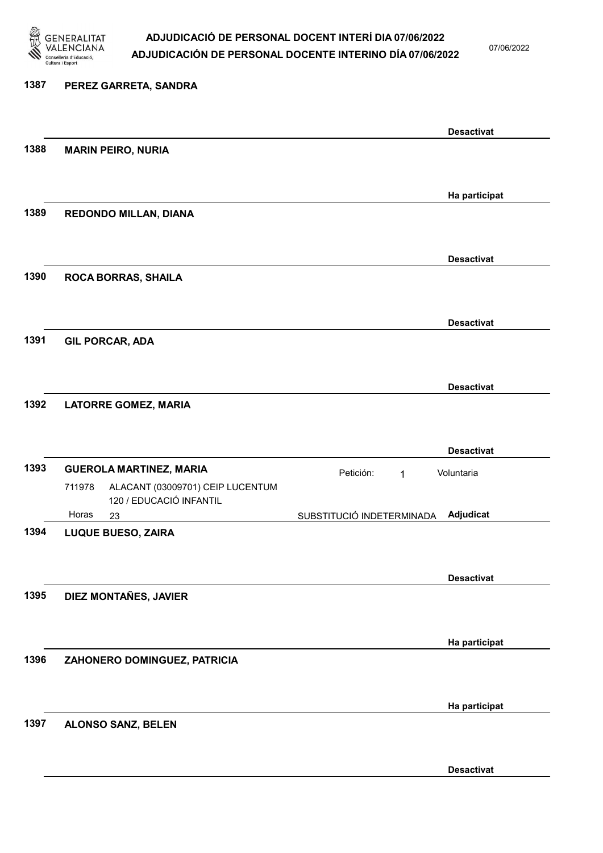

07/06/2022

### 1387 PEREZ GARRETA, SANDRA Desactivat 1388 MARIN PEIRO, NURIA Ha participat 1389 REDONDO MILLAN, DIANA Desactivat 1390 ROCA BORRAS, SHAILA Desactivat 1391 GIL PORCAR, ADA Desactivat 1392 LATORRE GOMEZ, MARIA Desactivat 1393 GUEROLA MARTINEZ, MARIA **El proportante de la proportante de la proportante de la proportante de la proporta** 23 SUBSTITUCIÓ INDETERMINADA ALACANT (03009701) CEIP LUCENTUM 120 / EDUCACIÓ INFANTIL Adjudicat Voluntaria 711978 Horas 1394 LUQUE BUESO, ZAIRA Desactivat 1395 DIEZ MONTAÑES, JAVIER Ha participat 1396 ZAHONERO DOMINGUEZ, PATRICIA Ha participat 1397 ALONSO SANZ, BELEN

Desactivat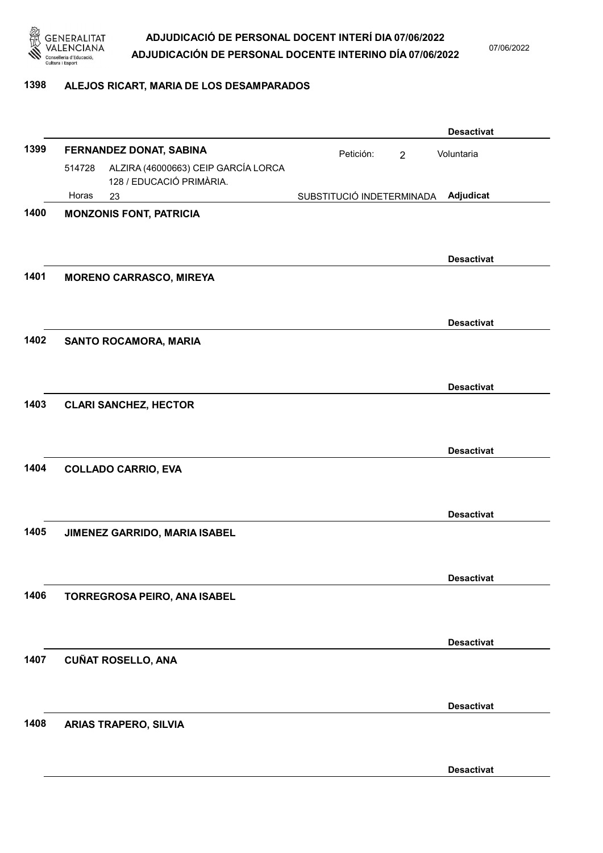

07/06/2022

#### 1398 ALEJOS RICART, MARIA DE LOS DESAMPARADOS

|      |        |                                                                 |                           |                | <b>Desactivat</b> |
|------|--------|-----------------------------------------------------------------|---------------------------|----------------|-------------------|
| 1399 |        | FERNANDEZ DONAT, SABINA                                         | Petición:                 | $\overline{2}$ | Voluntaria        |
|      | 514728 | ALZIRA (46000663) CEIP GARCÍA LORCA<br>128 / EDUCACIÓ PRIMÀRIA. |                           |                |                   |
|      | Horas  | 23                                                              | SUBSTITUCIÓ INDETERMINADA |                | Adjudicat         |
| 1400 |        | <b>MONZONIS FONT, PATRICIA</b>                                  |                           |                | <b>Desactivat</b> |
| 1401 |        | <b>MORENO CARRASCO, MIREYA</b>                                  |                           |                |                   |
| 1402 |        | SANTO ROCAMORA, MARIA                                           |                           |                | <b>Desactivat</b> |
|      |        |                                                                 |                           |                | <b>Desactivat</b> |
| 1403 |        | <b>CLARI SANCHEZ, HECTOR</b>                                    |                           |                | <b>Desactivat</b> |
| 1404 |        | <b>COLLADO CARRIO, EVA</b>                                      |                           |                |                   |
|      |        |                                                                 |                           |                | <b>Desactivat</b> |
| 1405 |        | JIMENEZ GARRIDO, MARIA ISABEL                                   |                           |                |                   |
|      |        |                                                                 |                           |                | <b>Desactivat</b> |
| 1406 |        | TORREGROSA PEIRO, ANA ISABEL                                    |                           |                |                   |
|      |        |                                                                 |                           |                | <b>Desactivat</b> |
| 1407 |        | <b>CUÑAT ROSELLO, ANA</b>                                       |                           |                |                   |
| 1408 |        | <b>ARIAS TRAPERO, SILVIA</b>                                    |                           |                | <b>Desactivat</b> |
|      |        |                                                                 |                           |                | <b>Desactivat</b> |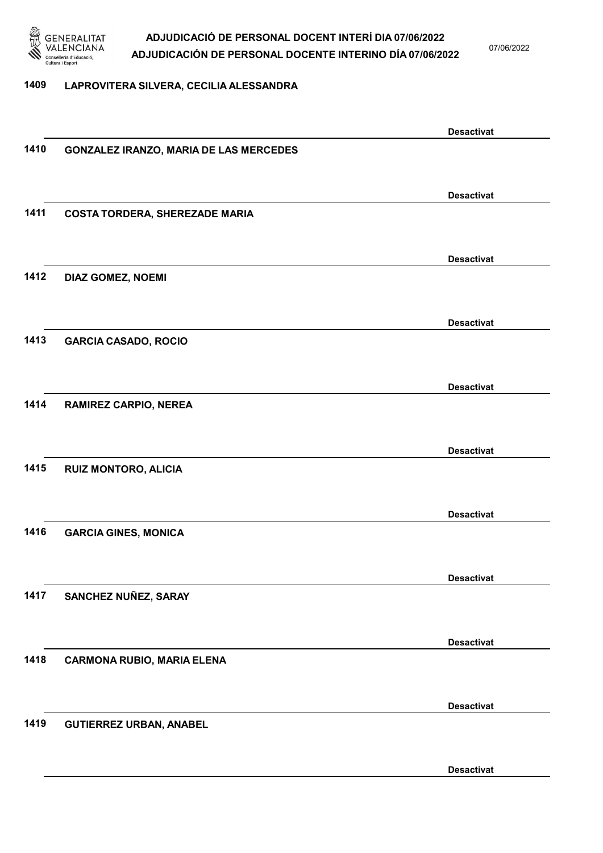

07/06/2022

#### 1409 LAPROVITERA SILVERA, CECILIA ALESSANDRA

|      |                                               | <b>Desactivat</b> |
|------|-----------------------------------------------|-------------------|
| 1410 | <b>GONZALEZ IRANZO, MARIA DE LAS MERCEDES</b> |                   |
|      |                                               |                   |
|      |                                               |                   |
|      |                                               | <b>Desactivat</b> |
| 1411 | <b>COSTA TORDERA, SHEREZADE MARIA</b>         |                   |
|      |                                               |                   |
|      |                                               | <b>Desactivat</b> |
| 1412 | DIAZ GOMEZ, NOEMI                             |                   |
|      |                                               |                   |
|      |                                               |                   |
|      |                                               | <b>Desactivat</b> |
| 1413 | <b>GARCIA CASADO, ROCIO</b>                   |                   |
|      |                                               |                   |
|      |                                               |                   |
|      |                                               | <b>Desactivat</b> |
| 1414 | <b>RAMIREZ CARPIO, NEREA</b>                  |                   |
|      |                                               |                   |
|      |                                               | <b>Desactivat</b> |
| 1415 |                                               |                   |
|      | <b>RUIZ MONTORO, ALICIA</b>                   |                   |
|      |                                               |                   |
|      |                                               | <b>Desactivat</b> |
| 1416 | <b>GARCIA GINES, MONICA</b>                   |                   |
|      |                                               |                   |
|      |                                               |                   |
|      |                                               | <b>Desactivat</b> |
| 1417 | SANCHEZ NUÑEZ, SARAY                          |                   |
|      |                                               |                   |
|      |                                               |                   |
|      |                                               | <b>Desactivat</b> |
| 1418 | <b>CARMONA RUBIO, MARIA ELENA</b>             |                   |
|      |                                               |                   |
|      |                                               | <b>Desactivat</b> |
| 1419 | <b>GUTIERREZ URBAN, ANABEL</b>                |                   |
|      |                                               |                   |
|      |                                               |                   |
|      |                                               | <b>Desactivat</b> |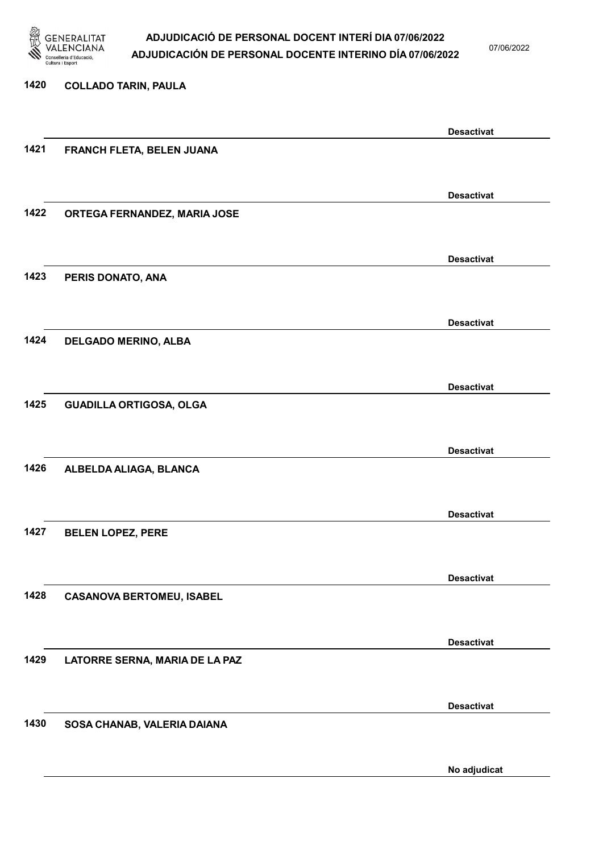

07/06/2022

No adjudicat

# 1420 COLLADO TARIN, PAULA Desactivat 1421 FRANCH FLETA, BELEN JUANA Desactivat 1422 ORTEGA FERNANDEZ, MARIA JOSE Desactivat 1423 PERIS DONATO, ANA Desactivat 1424 DELGADO MERINO, ALBA Desactivat 1425 GUADILLA ORTIGOSA, OLGA Desactivat 1426 ALBELDA ALIAGA, BLANCA Desactivat 1427 BELEN LOPEZ, PERE Desactivat 1428 CASANOVA BERTOMEU, ISABEL Desactivat 1429 LATORRE SERNA, MARIA DE LA PAZ Desactivat 1430 SOSA CHANAB, VALERIA DAIANA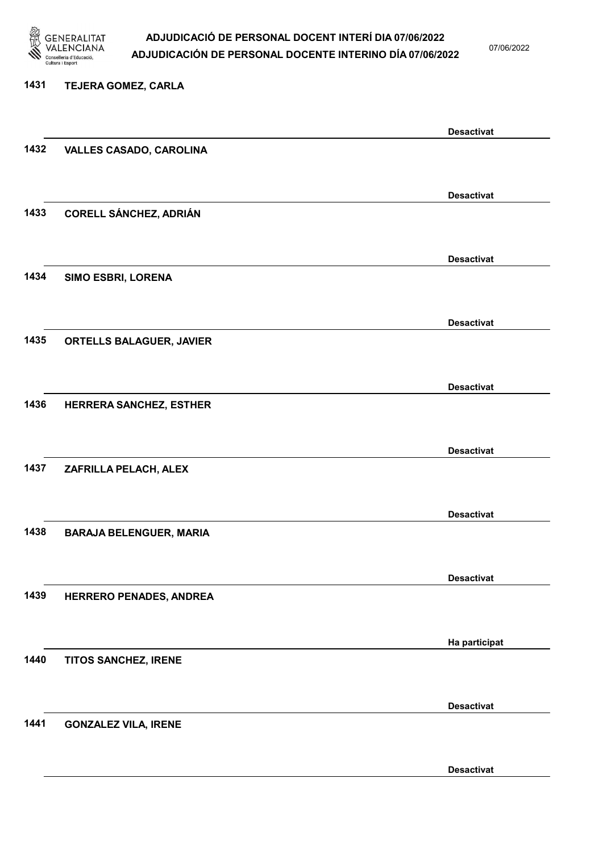

07/06/2022

#### 1431 TEJERA GOMEZ, CARLA

|      |                                | <b>Desactivat</b> |
|------|--------------------------------|-------------------|
| 1432 | <b>VALLES CASADO, CAROLINA</b> |                   |
|      |                                |                   |
|      |                                | <b>Desactivat</b> |
| 1433 | <b>CORELL SÁNCHEZ, ADRIÁN</b>  |                   |
|      |                                |                   |
|      |                                | <b>Desactivat</b> |
| 1434 | SIMO ESBRI, LORENA             |                   |
|      |                                |                   |
|      |                                | <b>Desactivat</b> |
| 1435 | ORTELLS BALAGUER, JAVIER       |                   |
|      |                                |                   |
|      |                                |                   |
| 1436 |                                | <b>Desactivat</b> |
|      | HERRERA SANCHEZ, ESTHER        |                   |
|      |                                |                   |
|      |                                | <b>Desactivat</b> |
| 1437 | ZAFRILLA PELACH, ALEX          |                   |
|      |                                |                   |
|      |                                | <b>Desactivat</b> |
| 1438 | <b>BARAJA BELENGUER, MARIA</b> |                   |
|      |                                |                   |
|      |                                | <b>Desactivat</b> |
| 1439 | HERRERO PENADES, ANDREA        |                   |
|      |                                |                   |
|      |                                | Ha participat     |
| 1440 | TITOS SANCHEZ, IRENE           |                   |
|      |                                |                   |
|      |                                | <b>Desactivat</b> |
| 1441 | <b>GONZALEZ VILA, IRENE</b>    |                   |
|      |                                |                   |
|      |                                | <b>Desactivat</b> |
|      |                                |                   |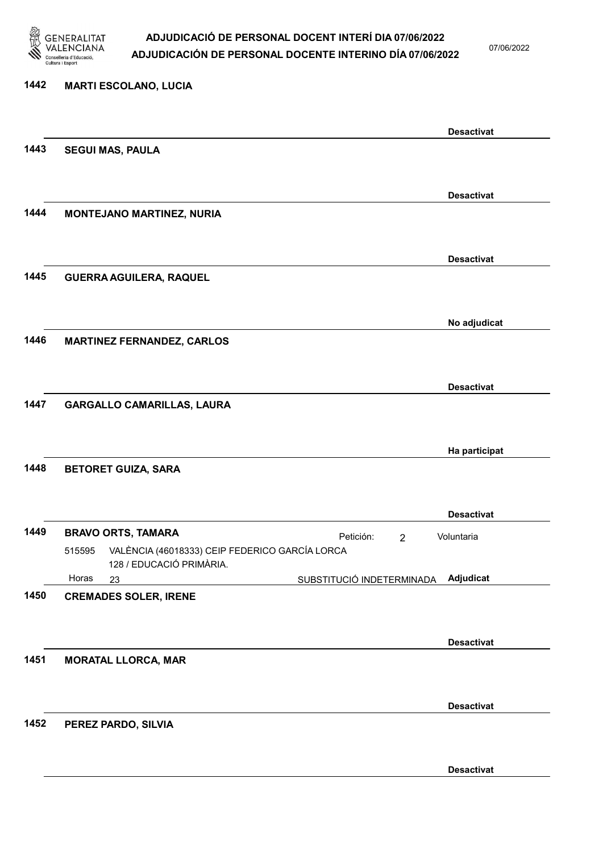

1442 MARTI ESCOLANO, LUCIA

#### ADJUDICACIÓ DE PERSONAL DOCENT INTERÍ DIA 07/06/2022 ADJUDICACIÓN DE PERSONAL DOCENTE INTERINO DÍA 07/06/2022

07/06/2022

Desactivat

### Desactivat 1443 SEGUI MAS, PAULA Desactivat 1444 MONTEJANO MARTINEZ, NURIA Desactivat 1445 GUERRA AGUILERA, RAQUEL No adjudicat 1446 MARTINEZ FERNANDEZ, CARLOS Desactivat 1447 GARGALLO CAMARILLAS, LAURA Ha participat 1448 BETORET GUIZA, SARA Desactivat 1449 BRAVO ORTS, TAMARA **El proporta de la proporta de la proporta** Petición: 2 23 SUBSTITUCIÓ INDETERMINADA VALÈNCIA (46018333) CEIP FEDERICO GARCÍA LORCA 128 / EDUCACIÓ PRIMÀRIA. Adjudicat Voluntaria 515595 Horas 1450 CREMADES SOLER, IRENE Desactivat 1451 MORATAL LLORCA, MAR Desactivat 1452 PEREZ PARDO, SILVIA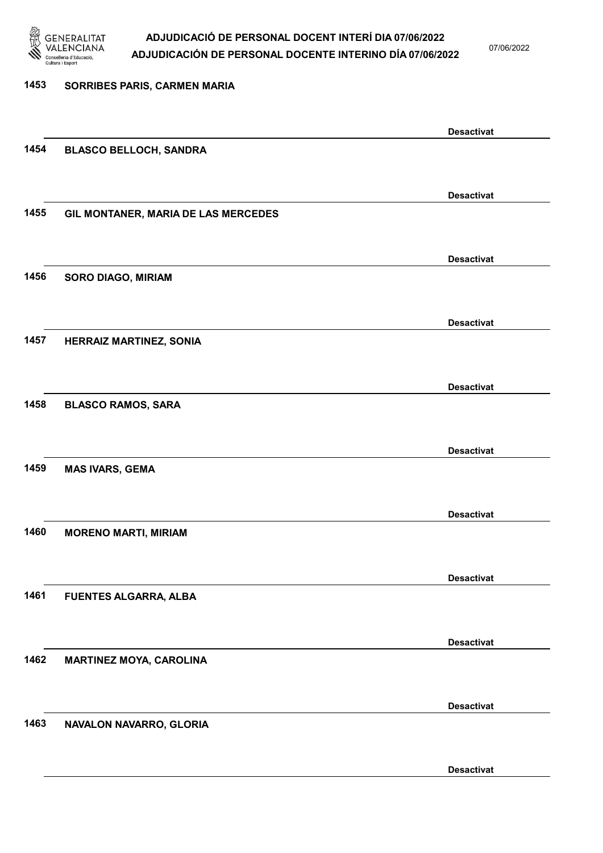

07/06/2022

| 1453 | SORRIBES PARIS, CARMEN MARIA        |                   |
|------|-------------------------------------|-------------------|
|      |                                     | <b>Desactivat</b> |
| 1454 | <b>BLASCO BELLOCH, SANDRA</b>       |                   |
|      |                                     | <b>Desactivat</b> |
| 1455 | GIL MONTANER, MARIA DE LAS MERCEDES |                   |
|      |                                     | <b>Desactivat</b> |
| 1456 | SORO DIAGO, MIRIAM                  |                   |
|      |                                     | <b>Desactivat</b> |
| 1457 | <b>HERRAIZ MARTINEZ, SONIA</b>      |                   |
|      |                                     | <b>Desactivat</b> |
| 1458 | <b>BLASCO RAMOS, SARA</b>           |                   |
|      |                                     | <b>Desactivat</b> |
| 1459 | <b>MAS IVARS, GEMA</b>              |                   |
|      |                                     | <b>Desactivat</b> |
| 1460 | <b>MORENO MARTI, MIRIAM</b>         |                   |
| 1461 | <b>FUENTES ALGARRA, ALBA</b>        | <b>Desactivat</b> |
|      |                                     |                   |
| 1462 | <b>MARTINEZ MOYA, CAROLINA</b>      | <b>Desactivat</b> |
|      |                                     |                   |
| 1463 | NAVALON NAVARRO, GLORIA             | <b>Desactivat</b> |
|      |                                     |                   |
|      |                                     | <b>Desactivat</b> |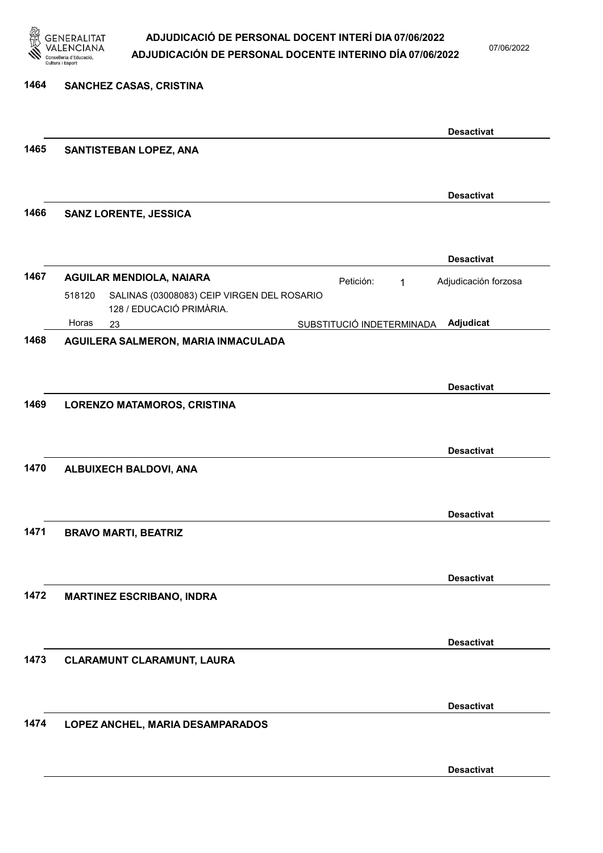

07/06/2022

Desactivat

| 1464 | SANCHEZ CASAS, CRISTINA                                                          |                           |              |                      |
|------|----------------------------------------------------------------------------------|---------------------------|--------------|----------------------|
|      |                                                                                  |                           |              | <b>Desactivat</b>    |
| 1465 | SANTISTEBAN LOPEZ, ANA                                                           |                           |              |                      |
|      |                                                                                  |                           |              | <b>Desactivat</b>    |
| 1466 | <b>SANZ LORENTE, JESSICA</b>                                                     |                           |              |                      |
|      |                                                                                  |                           |              | <b>Desactivat</b>    |
| 1467 | <b>AGUILAR MENDIOLA, NAIARA</b>                                                  | Petición:                 | $\mathbf{1}$ | Adjudicación forzosa |
|      | SALINAS (03008083) CEIP VIRGEN DEL ROSARIO<br>518120<br>128 / EDUCACIÓ PRIMÀRIA. |                           |              |                      |
|      | Horas<br>23                                                                      | SUBSTITUCIÓ INDETERMINADA |              | Adjudicat            |
| 1468 | AGUILERA SALMERON, MARIA INMACULADA                                              |                           |              |                      |
|      |                                                                                  |                           |              |                      |
|      |                                                                                  |                           |              | <b>Desactivat</b>    |
| 1469 | LORENZO MATAMOROS, CRISTINA                                                      |                           |              |                      |
|      |                                                                                  |                           |              |                      |
|      |                                                                                  |                           |              | <b>Desactivat</b>    |
| 1470 | ALBUIXECH BALDOVI, ANA                                                           |                           |              |                      |
|      |                                                                                  |                           |              |                      |
|      |                                                                                  |                           |              | <b>Desactivat</b>    |
| 1471 | <b>BRAVO MARTI, BEATRIZ</b>                                                      |                           |              |                      |
|      |                                                                                  |                           |              |                      |
|      |                                                                                  |                           |              | <b>Desactivat</b>    |
| 1472 | <b>MARTINEZ ESCRIBANO, INDRA</b>                                                 |                           |              |                      |
|      |                                                                                  |                           |              |                      |
|      |                                                                                  |                           |              | <b>Desactivat</b>    |
| 1473 | CLARAMUNT CLARAMUNT, LAURA                                                       |                           |              |                      |
|      |                                                                                  |                           |              |                      |
|      |                                                                                  |                           |              | <b>Desactivat</b>    |
| 1474 | LOPEZ ANCHEL, MARIA DESAMPARADOS                                                 |                           |              |                      |
|      |                                                                                  |                           |              |                      |
|      |                                                                                  |                           |              |                      |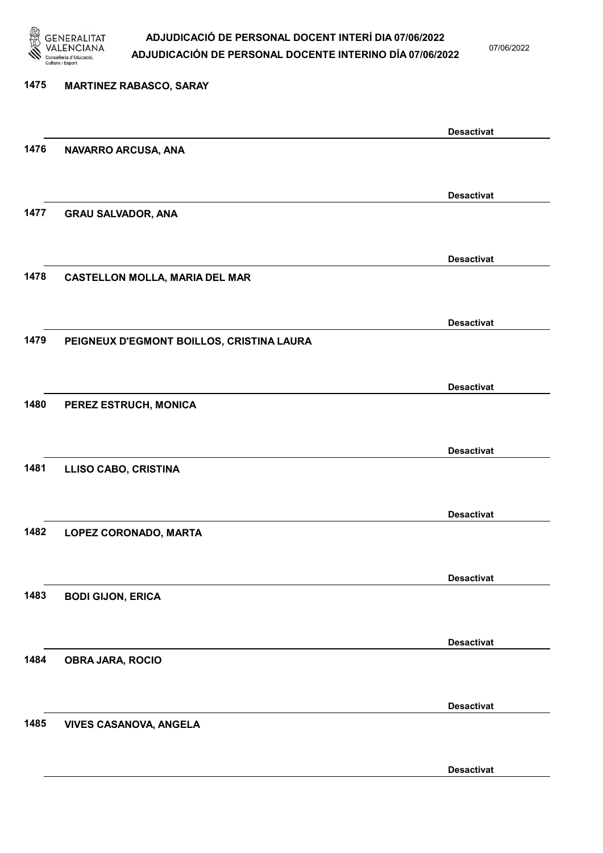

07/06/2022

Desactivat

# 1475 MARTINEZ RABASCO, SARAY Desactivat 1476 NAVARRO ARCUSA, ANA Desactivat 1477 GRAU SALVADOR, ANA Desactivat 1478 CASTELLON MOLLA, MARIA DEL MAR Desactivat 1479 PEIGNEUX D'EGMONT BOILLOS, CRISTINA LAURA Desactivat 1480 PEREZ ESTRUCH, MONICA Desactivat 1481 LLISO CABO, CRISTINA Desactivat 1482 LOPEZ CORONADO, MARTA Desactivat 1483 BODI GIJON, ERICA Desactivat 1484 OBRA JARA, ROCIO Desactivat 1485 VIVES CASANOVA, ANGELA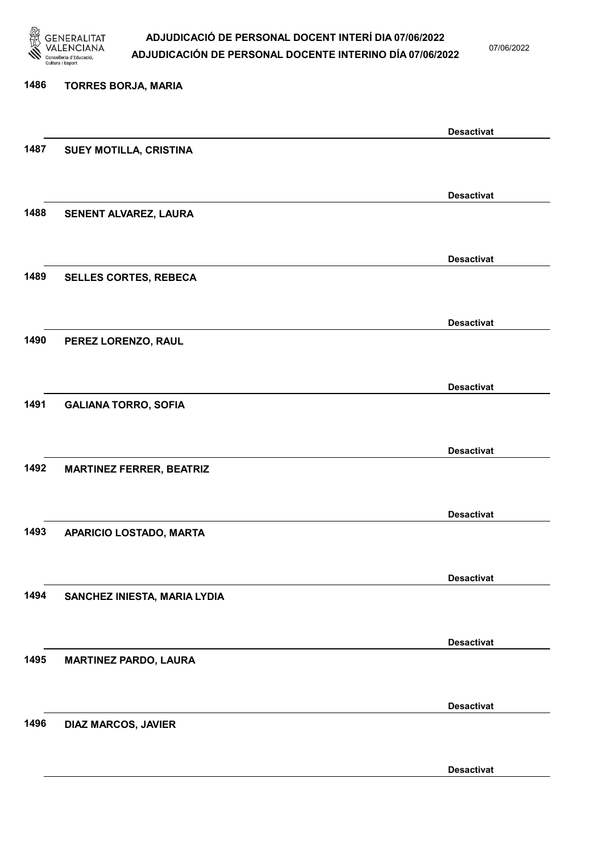

07/06/2022

Desactivat

# 1486 TORRES BORJA, MARIA Desactivat 1487 SUEY MOTILLA, CRISTINA Desactivat 1488 SENENT ALVAREZ, LAURA Desactivat 1489 SELLES CORTES, REBECA Desactivat 1490 PEREZ LORENZO, RAUL Desactivat 1491 GALIANA TORRO, SOFIA Desactivat 1492 MARTINEZ FERRER, BEATRIZ Desactivat 1493 APARICIO LOSTADO, MARTA Desactivat 1494 SANCHEZ INIESTA, MARIA LYDIA Desactivat 1495 MARTINEZ PARDO, LAURA Desactivat 1496 DIAZ MARCOS, JAVIER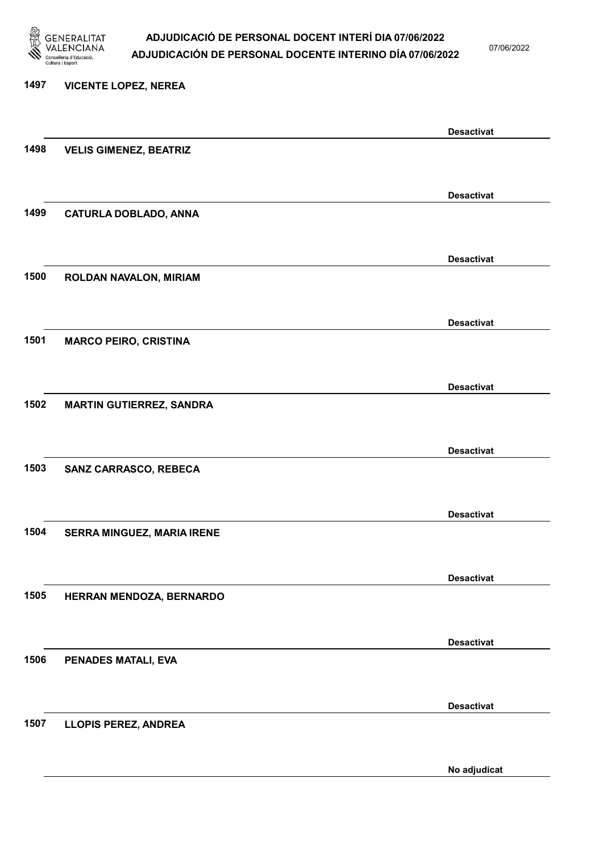

07/06/2022

#### 1497 VICENTE LOPEZ, NEREA

|      |                                 | <b>Desactivat</b> |
|------|---------------------------------|-------------------|
| 1498 | <b>VELIS GIMENEZ, BEATRIZ</b>   |                   |
|      |                                 |                   |
|      |                                 | <b>Desactivat</b> |
| 1499 | <b>CATURLA DOBLADO, ANNA</b>    |                   |
|      |                                 |                   |
|      |                                 | <b>Desactivat</b> |
| 1500 | ROLDAN NAVALON, MIRIAM          |                   |
|      |                                 |                   |
|      |                                 | <b>Desactivat</b> |
| 1501 | <b>MARCO PEIRO, CRISTINA</b>    |                   |
|      |                                 |                   |
|      |                                 | <b>Desactivat</b> |
| 1502 | <b>MARTIN GUTIERREZ, SANDRA</b> |                   |
|      |                                 |                   |
|      |                                 | <b>Desactivat</b> |
| 1503 | SANZ CARRASCO, REBECA           |                   |
|      |                                 |                   |
|      |                                 |                   |
| 1504 |                                 | <b>Desactivat</b> |
|      | SERRA MINGUEZ, MARIA IRENE      |                   |
|      |                                 |                   |
|      |                                 | <b>Desactivat</b> |
| 1505 | HERRAN MENDOZA, BERNARDO        |                   |
|      |                                 |                   |
|      |                                 | <b>Desactivat</b> |
| 1506 | PENADES MATALI, EVA             |                   |
|      |                                 |                   |
|      |                                 | <b>Desactivat</b> |
| 1507 | <b>LLOPIS PEREZ, ANDREA</b>     |                   |
|      |                                 |                   |
|      |                                 | No adjudicat      |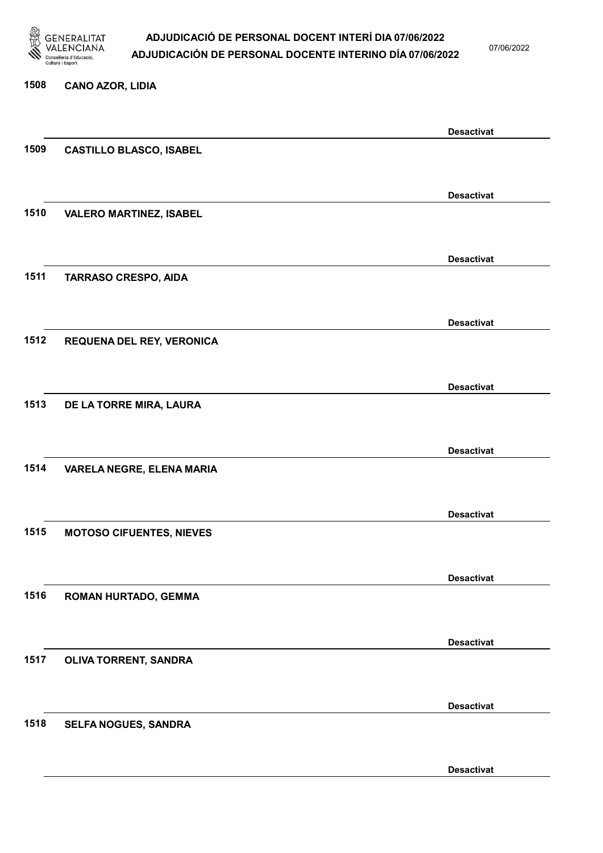

07/06/2022

Desactivat

# 1508 CANO AZOR, LIDIA Desactivat 1509 CASTILLO BLASCO, ISABEL Desactivat 1510 VALERO MARTINEZ, ISABEL Desactivat 1511 TARRASO CRESPO, AIDA Desactivat 1512 REQUENA DEL REY, VERONICA Desactivat 1513 DE LA TORRE MIRA, LAURA Desactivat 1514 VARELA NEGRE, ELENA MARIA Desactivat 1515 MOTOSO CIFUENTES, NIEVES Desactivat 1516 ROMAN HURTADO, GEMMA Desactivat 1517 OLIVA TORRENT, SANDRA Desactivat 1518 SELFA NOGUES, SANDRA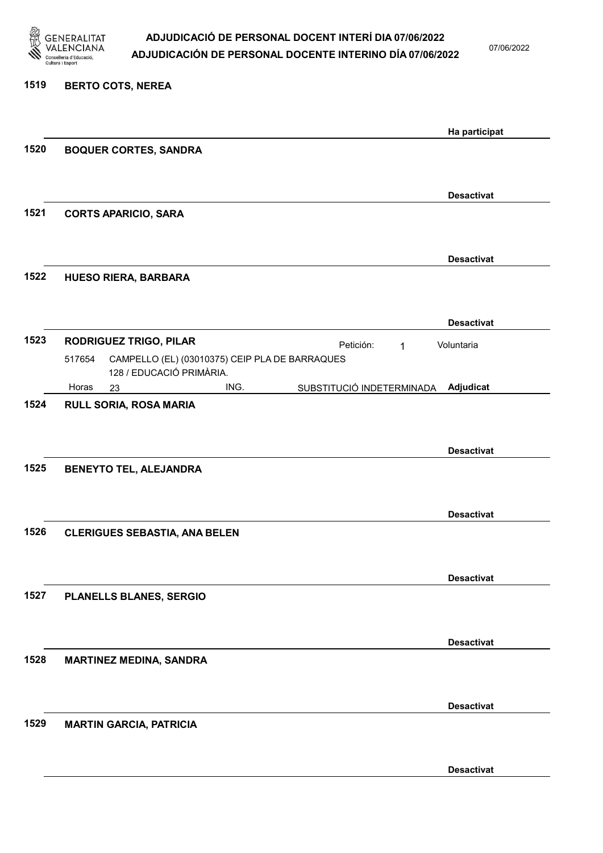

07/06/2022

#### 1519 BERTO COTS, NEREA

|      |                                                                                                             | Ha participat     |
|------|-------------------------------------------------------------------------------------------------------------|-------------------|
| 1520 | <b>BOQUER CORTES, SANDRA</b>                                                                                |                   |
|      |                                                                                                             |                   |
|      |                                                                                                             | <b>Desactivat</b> |
| 1521 | <b>CORTS APARICIO, SARA</b>                                                                                 |                   |
|      |                                                                                                             |                   |
|      |                                                                                                             | <b>Desactivat</b> |
| 1522 | <b>HUESO RIERA, BARBARA</b>                                                                                 |                   |
|      |                                                                                                             |                   |
| 1523 |                                                                                                             | <b>Desactivat</b> |
|      | <b>RODRIGUEZ TRIGO, PILAR</b><br>Petición:<br>1<br>CAMPELLO (EL) (03010375) CEIP PLA DE BARRAQUES<br>517654 | Voluntaria        |
|      | 128 / EDUCACIÓ PRIMÀRIA.                                                                                    |                   |
| 1524 | Horas<br>ING.<br>SUBSTITUCIÓ INDETERMINADA<br>23<br>RULL SORIA, ROSA MARIA                                  | Adjudicat         |
|      |                                                                                                             |                   |
|      |                                                                                                             | <b>Desactivat</b> |
| 1525 | <b>BENEYTO TEL, ALEJANDRA</b>                                                                               |                   |
|      |                                                                                                             |                   |
|      |                                                                                                             | <b>Desactivat</b> |
| 1526 | <b>CLERIGUES SEBASTIA, ANA BELEN</b>                                                                        |                   |
|      |                                                                                                             |                   |
|      |                                                                                                             | <b>Desactivat</b> |
| 1527 | PLANELLS BLANES, SERGIO                                                                                     |                   |
|      |                                                                                                             |                   |
|      |                                                                                                             | <b>Desactivat</b> |
| 1528 | <b>MARTINEZ MEDINA, SANDRA</b>                                                                              |                   |
|      |                                                                                                             |                   |
|      |                                                                                                             | <b>Desactivat</b> |
| 1529 | <b>MARTIN GARCIA, PATRICIA</b>                                                                              |                   |
|      |                                                                                                             |                   |
|      |                                                                                                             | <b>Desactivat</b> |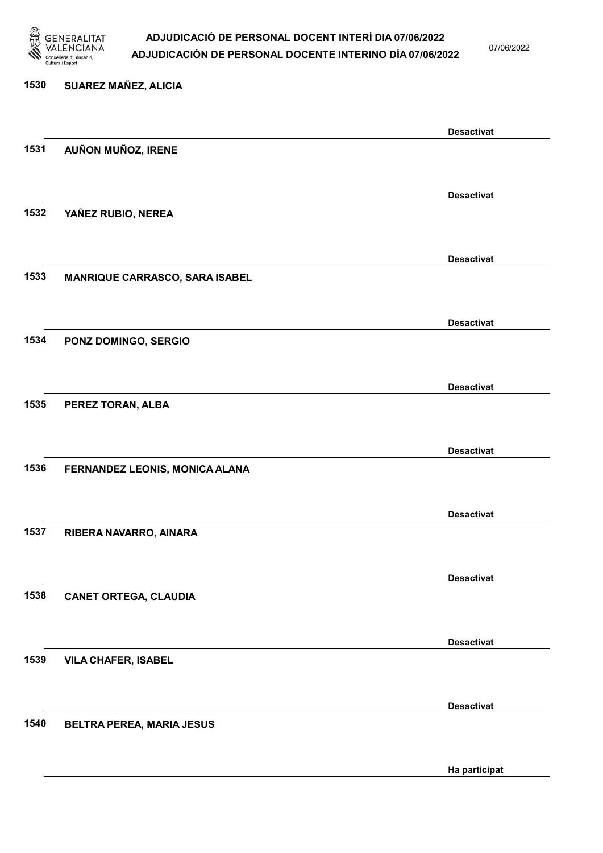

07/06/2022

Ha participat

# 1530 SUAREZ MAÑEZ, ALICIA Desactivat 1531 AUÑON MUÑOZ, IRENE Desactivat 1532 YAÑEZ RUBIO, NEREA Desactivat 1533 MANRIQUE CARRASCO, SARA ISABEL Desactivat 1534 PONZ DOMINGO, SERGIO Desactivat 1535 PEREZ TORAN, ALBA Desactivat 1536 FERNANDEZ LEONIS, MONICA ALANA Desactivat 1537 RIBERA NAVARRO, AINARA Desactivat 1538 CANET ORTEGA, CLAUDIA Desactivat 1539 VILA CHAFER, ISABEL Desactivat 1540 BELTRA PEREA, MARIA JESUS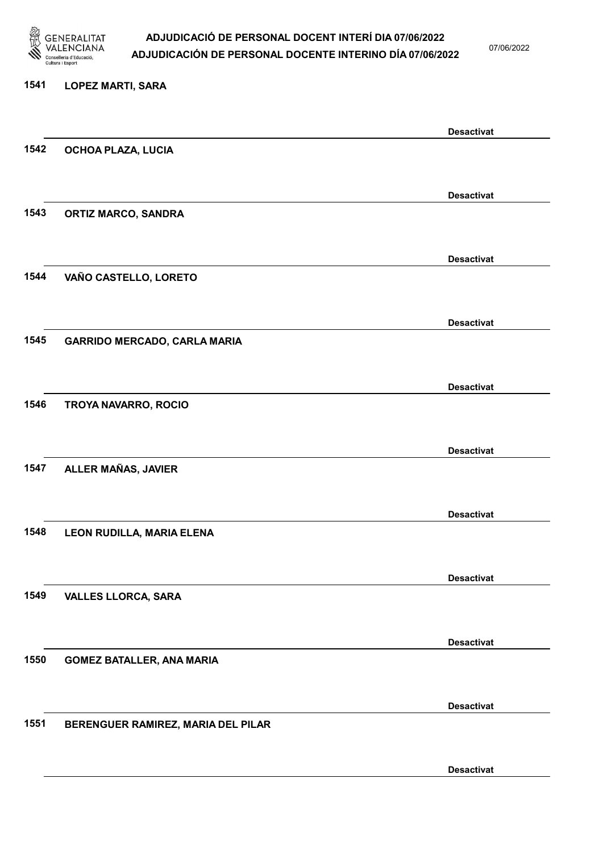

07/06/2022

# 1541 LOPEZ MARTI, SARA Desactivat 1542 OCHOA PLAZA, LUCIA Desactivat 1543 ORTIZ MARCO, SANDRA Desactivat 1544 VAÑO CASTELLO, LORETO Desactivat 1545 GARRIDO MERCADO, CARLA MARIA Desactivat 1546 TROYA NAVARRO, ROCIO Desactivat 1547 ALLER MAÑAS, JAVIER Desactivat 1548 LEON RUDILLA, MARIA ELENA Desactivat 1549 VALLES LLORCA, SARA Desactivat 1550 GOMEZ BATALLER, ANA MARIA Desactivat 1551 BERENGUER RAMIREZ, MARIA DEL PILAR

Desactivat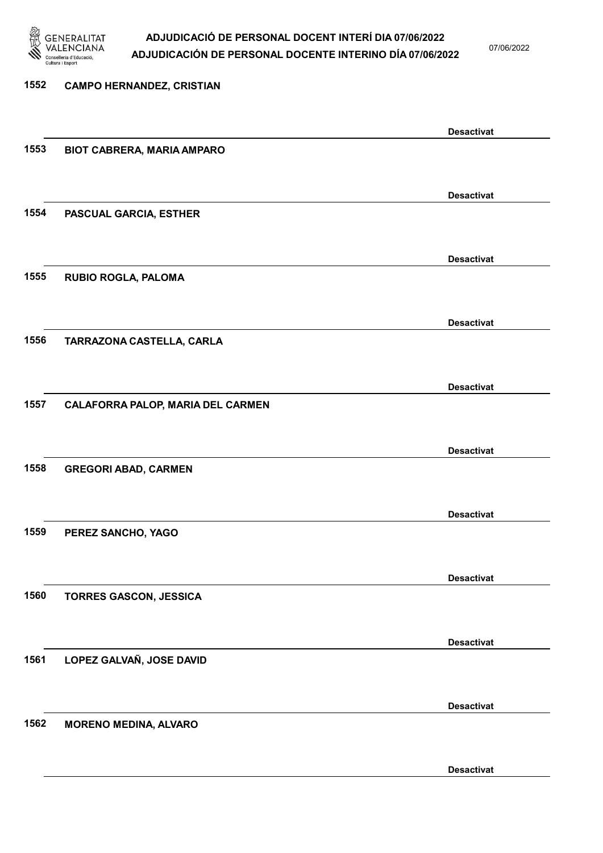

07/06/2022

## 1552 CAMPO HERNANDEZ, CRISTIAN Desactivat 1553 BIOT CABRERA, MARIA AMPARO Desactivat 1554 PASCUAL GARCIA, ESTHER Desactivat 1555 RUBIO ROGLA, PALOMA Desactivat 1556 TARRAZONA CASTELLA, CARLA Desactivat 1557 CALAFORRA PALOP, MARIA DEL CARMEN Desactivat 1558 GREGORI ABAD, CARMEN Desactivat 1559 PEREZ SANCHO, YAGO Desactivat 1560 TORRES GASCON, JESSICA Desactivat 1561 LOPEZ GALVAÑ, JOSE DAVID Desactivat 1562 MORENO MEDINA, ALVARO Desactivat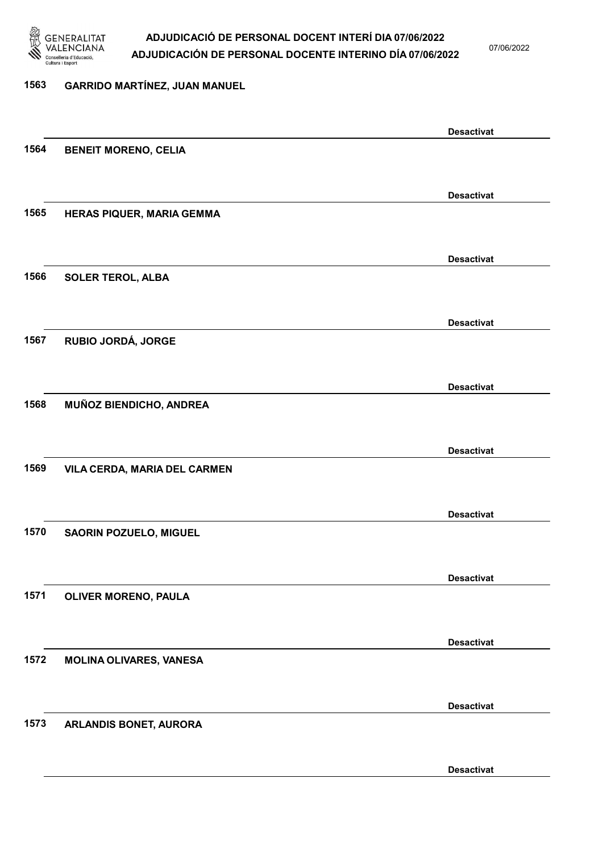

1573 ARLANDIS BONET, AURORA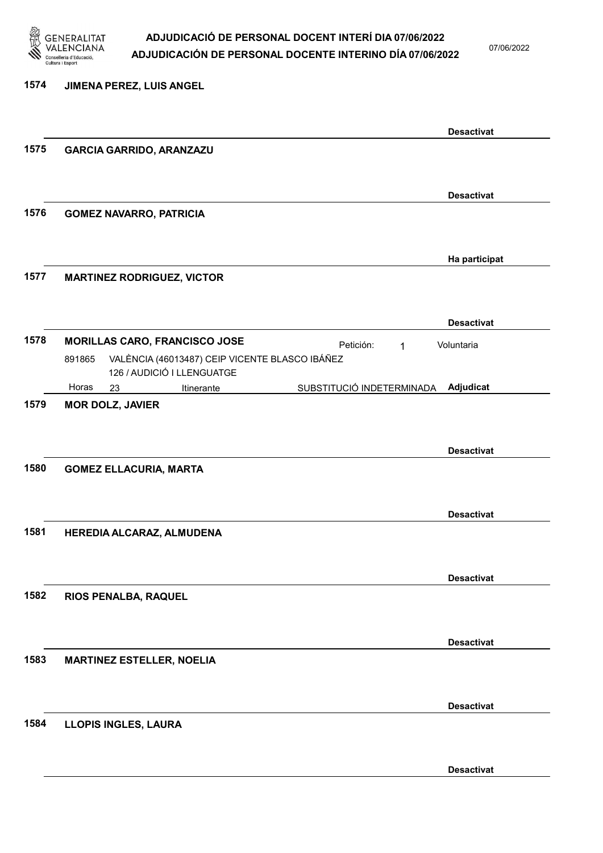

07/06/2022

Desactivat

### 1574 JIMENA PEREZ, LUIS ANGEL Desactivat 1575 GARCIA GARRIDO, ARANZAZU Desactivat 1576 GOMEZ NAVARRO, PATRICIA Ha participat 1577 MARTINEZ RODRIGUEZ, VICTOR Desactivat 1578 MORILLAS CARO, FRANCISCO JOSE Petición: 1 23 Itinerante SUBSTITUCIÓ INDETERMINADA VALÈNCIA (46013487) CEIP VICENTE BLASCO IBÁÑEZ 126 / AUDICIÓ I LLENGUATGE Adjudicat Voluntaria 891865 Horas 1579 MOR DOLZ, JAVIER Desactivat 1580 GOMEZ ELLACURIA, MARTA Desactivat 1581 HEREDIA ALCARAZ, ALMUDENA Desactivat 1582 RIOS PENALBA, RAQUEL Desactivat 1583 MARTINEZ ESTELLER, NOELIA Desactivat 1584 LLOPIS INGLES, LAURA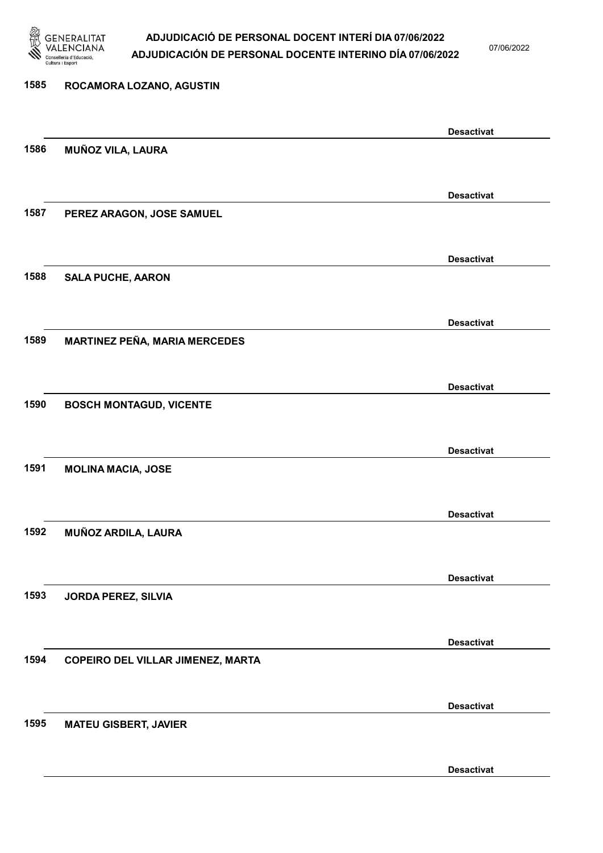

07/06/2022

### 1585 ROCAMORA LOZANO, AGUSTIN Desactivat 1586 MUÑOZ VILA, LAURA Desactivat 1587 PEREZ ARAGON, JOSE SAMUEL Desactivat 1588 SALA PUCHE, AARON Desactivat 1589 MARTINEZ PEÑA, MARIA MERCEDES Desactivat 1590 BOSCH MONTAGUD, VICENTE Desactivat 1591 MOLINA MACIA, JOSE Desactivat 1592 MUÑOZ ARDILA, LAURA Desactivat 1593 JORDA PEREZ, SILVIA Desactivat 1594 COPEIRO DEL VILLAR JIMENEZ, MARTA Desactivat 1595 MATEU GISBERT, JAVIER Desactivat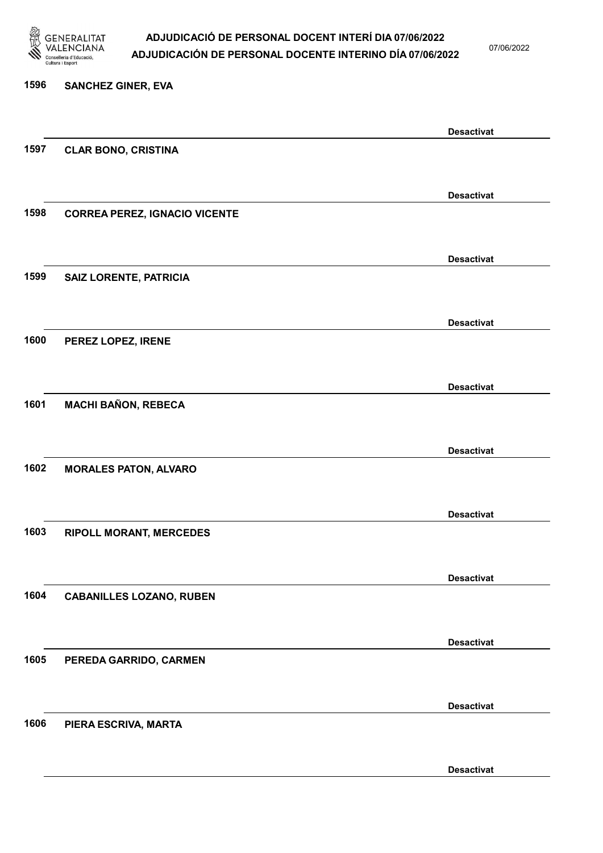

07/06/2022

Desactivat

# 1596 SANCHEZ GINER, EVA Desactivat 1597 CLAR BONO, CRISTINA Desactivat 1598 CORREA PEREZ, IGNACIO VICENTE Desactivat 1599 SAIZ LORENTE, PATRICIA Desactivat 1600 PEREZ LOPEZ, IRENE Desactivat 1601 MACHI BAÑON, REBECA Desactivat 1602 MORALES PATON, ALVARO Desactivat 1603 RIPOLL MORANT, MERCEDES Desactivat 1604 CABANILLES LOZANO, RUBEN Desactivat 1605 PEREDA GARRIDO, CARMEN Desactivat 1606 PIERA ESCRIVA, MARTA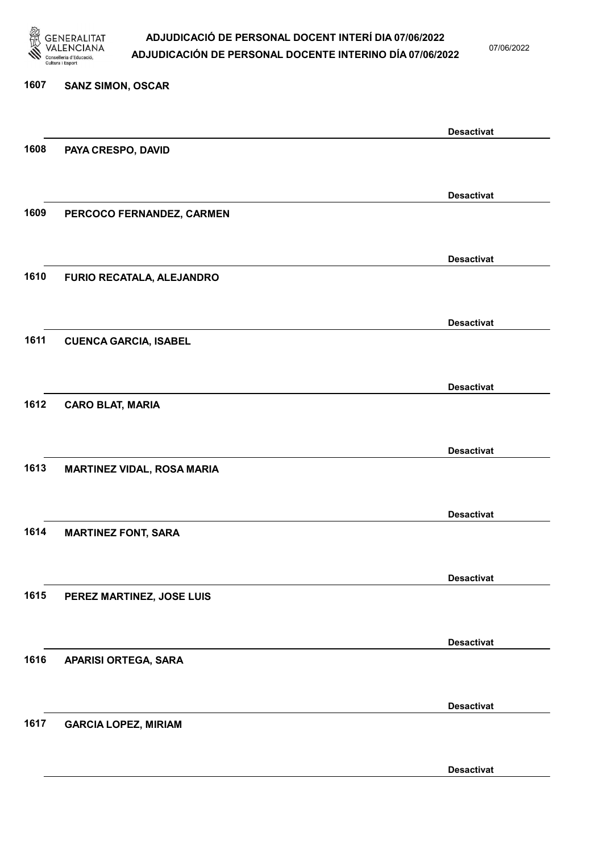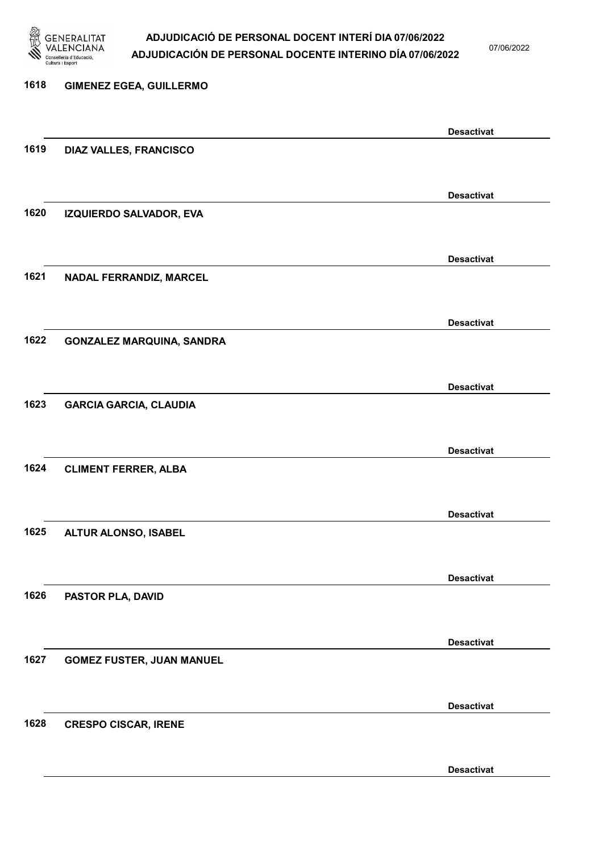

07/06/2022

### 1618 GIMENEZ EGEA, GUILLERMO Desactivat 1619 DIAZ VALLES, FRANCISCO Desactivat 1620 IZQUIERDO SALVADOR, EVA Desactivat 1621 NADAL FERRANDIZ, MARCEL Desactivat 1622 GONZALEZ MARQUINA, SANDRA Desactivat 1623 GARCIA GARCIA, CLAUDIA Desactivat 1624 CLIMENT FERRER, ALBA Desactivat 1625 ALTUR ALONSO, ISABEL Desactivat 1626 PASTOR PLA, DAVID Desactivat 1627 GOMEZ FUSTER, JUAN MANUEL Desactivat 1628 CRESPO CISCAR, IRENE Desactivat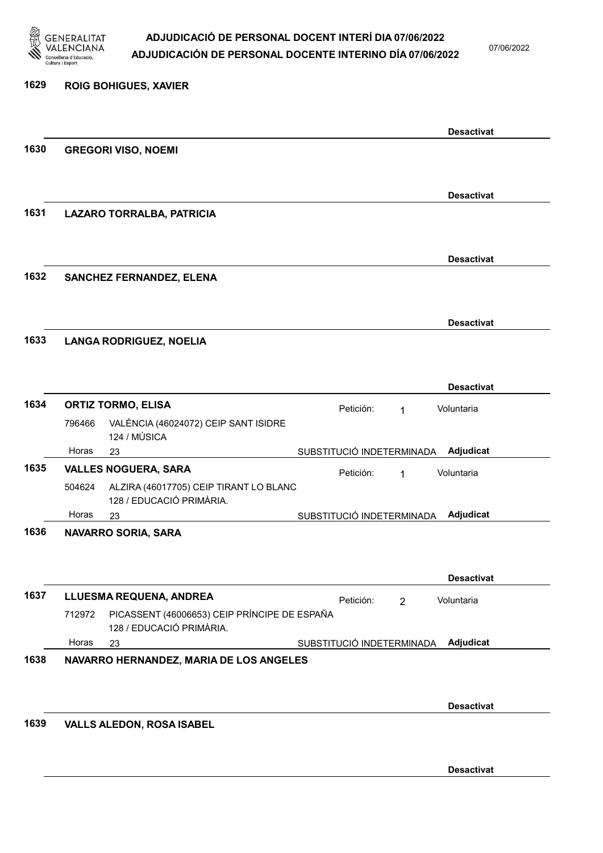

07/06/2022

Desactivat

| 1629 |        | <b>ROIG BOHIGUES, XAVIER</b>                                                                        |                           |                |                   |
|------|--------|-----------------------------------------------------------------------------------------------------|---------------------------|----------------|-------------------|
|      |        |                                                                                                     |                           |                | <b>Desactivat</b> |
| 1630 |        | <b>GREGORI VISO, NOEMI</b>                                                                          |                           |                |                   |
|      |        |                                                                                                     |                           |                | <b>Desactivat</b> |
| 1631 |        | LAZARO TORRALBA, PATRICIA                                                                           |                           |                |                   |
|      |        |                                                                                                     |                           |                | <b>Desactivat</b> |
| 1632 |        | <b>SANCHEZ FERNANDEZ, ELENA</b>                                                                     |                           |                |                   |
|      |        |                                                                                                     |                           |                | <b>Desactivat</b> |
| 1633 |        | <b>LANGA RODRIGUEZ, NOELIA</b>                                                                      |                           |                |                   |
|      |        |                                                                                                     |                           |                | <b>Desactivat</b> |
| 1634 |        | <b>ORTIZ TORMO, ELISA</b>                                                                           | Petición:                 | $\mathbf 1$    | Voluntaria        |
|      | 796466 | VALÈNCIA (46024072) CEIP SANT ISIDRE<br>124 / MÚSICA                                                |                           |                |                   |
|      | Horas  | 23                                                                                                  | SUBSTITUCIÓ INDETERMINADA |                | Adjudicat         |
| 1635 |        | <b>VALLES NOGUERA, SARA</b>                                                                         | Petición:                 | 1              | Voluntaria        |
|      | 504624 | ALZIRA (46017705) CEIP TIRANT LO BLANC<br>128 / EDUCACIÓ PRIMÀRIA.                                  |                           |                |                   |
|      | Horas  | 23                                                                                                  | SUBSTITUCIÓ INDETERMINADA |                | Adjudicat         |
| 1636 |        | <b>NAVARRO SORIA, SARA</b>                                                                          |                           |                |                   |
|      |        |                                                                                                     |                           |                | <b>Desactivat</b> |
| 1637 | 712972 | LLUESMA REQUENA, ANDREA<br>PICASSENT (46006653) CEIP PRÍNCIPE DE ESPAÑA<br>128 / EDUCACIÓ PRIMÀRIA. | Petición:                 | $\overline{2}$ | Voluntaria        |
|      | Horas  | 23                                                                                                  | SUBSTITUCIÓ INDETERMINADA |                | Adjudicat         |
| 1638 |        | NAVARRO HERNANDEZ, MARIA DE LOS ANGELES                                                             |                           |                |                   |
|      |        |                                                                                                     |                           |                | <b>Desactivat</b> |
| 1639 |        | <b>VALLS ALEDON, ROSA ISABEL</b>                                                                    |                           |                |                   |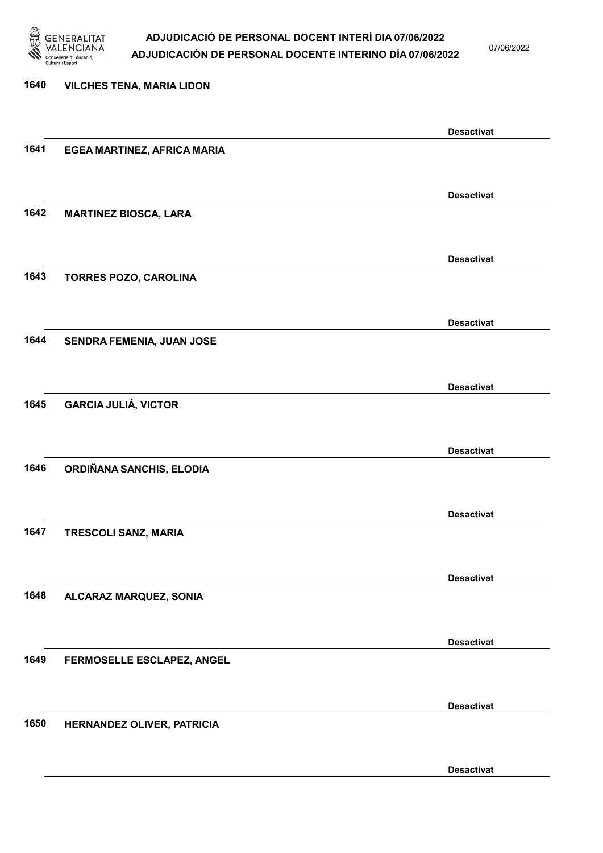

07/06/2022

Desactivat

# 1640 VILCHES TENA, MARIA LIDON Desactivat 1641 EGEA MARTINEZ, AFRICA MARIA Desactivat 1642 MARTINEZ BIOSCA, LARA Desactivat 1643 TORRES POZO, CAROLINA Desactivat 1644 SENDRA FEMENIA, JUAN JOSE Desactivat 1645 GARCIA JULIÁ, VICTOR Desactivat 1646 ORDIÑANA SANCHIS, ELODIA Desactivat 1647 TRESCOLI SANZ, MARIA Desactivat 1648 ALCARAZ MARQUEZ, SONIA Desactivat 1649 FERMOSELLE ESCLAPEZ, ANGEL Desactivat 1650 HERNANDEZ OLIVER, PATRICIA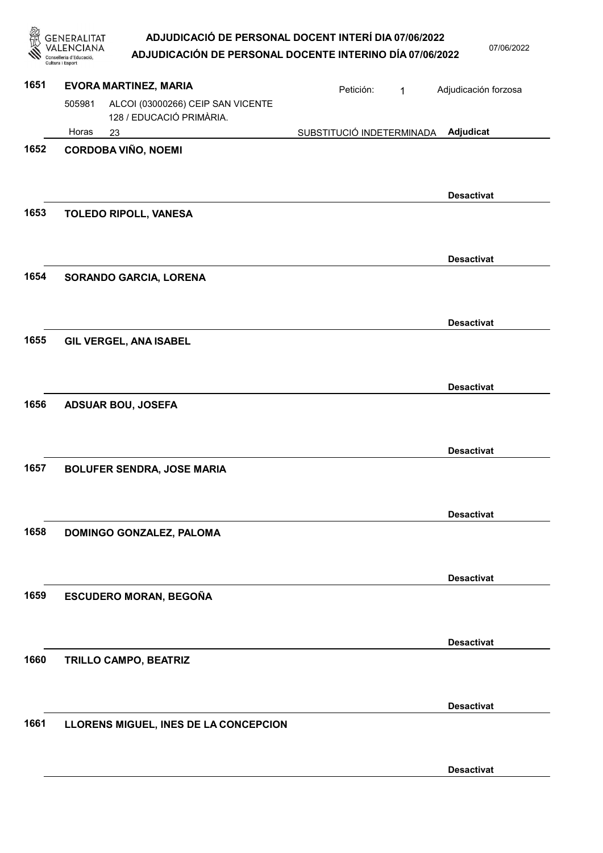| ADJUDICACIÓ DE PERSONAL DOCENT INTERÍ DIA 07/06/2022     |
|----------------------------------------------------------|
| ADJUDICACIÓN DE PERSONAL DOCENTE INTERINO DÍA 07/06/2022 |

**ENERALITAT**<br>VALENCIANA

07/06/2022

|      | Consellería d'Educació,<br>Cultura i Esport | י בש זוטרש                                                    |                           |              |                      |
|------|---------------------------------------------|---------------------------------------------------------------|---------------------------|--------------|----------------------|
| 1651 |                                             | <b>EVORA MARTINEZ, MARIA</b>                                  | Petición:                 | $\mathbf{1}$ | Adjudicación forzosa |
|      | 505981                                      | ALCOI (03000266) CEIP SAN VICENTE<br>128 / EDUCACIÓ PRIMÀRIA. |                           |              |                      |
|      | Horas                                       | 23                                                            | SUBSTITUCIÓ INDETERMINADA |              | Adjudicat            |
| 1652 |                                             | <b>CORDOBA VIÑO, NOEMI</b>                                    |                           |              |                      |
|      |                                             |                                                               |                           |              | <b>Desactivat</b>    |
| 1653 |                                             | <b>TOLEDO RIPOLL, VANESA</b>                                  |                           |              |                      |
|      |                                             |                                                               |                           |              | <b>Desactivat</b>    |
| 1654 |                                             | SORANDO GARCIA, LORENA                                        |                           |              |                      |
|      |                                             |                                                               |                           |              | <b>Desactivat</b>    |
| 1655 |                                             | GIL VERGEL, ANA ISABEL                                        |                           |              |                      |
|      |                                             |                                                               |                           |              | <b>Desactivat</b>    |
| 1656 |                                             | <b>ADSUAR BOU, JOSEFA</b>                                     |                           |              |                      |
| 1657 |                                             | <b>BOLUFER SENDRA, JOSE MARIA</b>                             |                           |              | <b>Desactivat</b>    |
|      |                                             |                                                               |                           |              |                      |
|      |                                             |                                                               |                           |              | <b>Desactivat</b>    |
| 1658 |                                             | DOMINGO GONZALEZ, PALOMA                                      |                           |              |                      |
|      |                                             |                                                               |                           |              | <b>Desactivat</b>    |
| 1659 |                                             | ESCUDERO MORAN, BEGOÑA                                        |                           |              |                      |
|      |                                             |                                                               |                           |              | <b>Desactivat</b>    |
| 1660 |                                             | TRILLO CAMPO, BEATRIZ                                         |                           |              |                      |
|      |                                             |                                                               |                           |              | <b>Desactivat</b>    |
| 1661 |                                             | LLORENS MIGUEL, INES DE LA CONCEPCION                         |                           |              |                      |
|      |                                             |                                                               |                           |              | <b>Desactivat</b>    |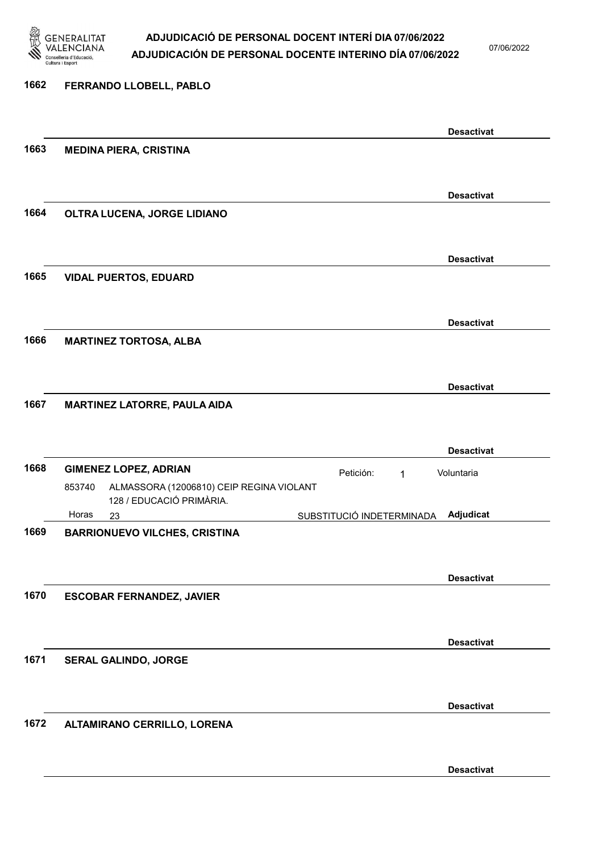

07/06/2022

### 1662 FERRANDO LLOBELL, PABLO Desactivat 1663 MEDINA PIERA, CRISTINA Desactivat 1664 OLTRA LUCENA, JORGE LIDIANO Desactivat 1665 VIDAL PUERTOS, EDUARD Desactivat 1666 MARTINEZ TORTOSA, ALBA Desactivat 1667 MARTINEZ LATORRE, PAULA AIDA Desactivat 1668 GIMENEZ LOPEZ, ADRIAN **Petición:** 1 23 SUBSTITUCIÓ INDETERMINADA ALMASSORA (12006810) CEIP REGINA VIOLANT 128 / EDUCACIÓ PRIMÀRIA. Adjudicat Voluntaria 853740 Horas 1669 BARRIONUEVO VILCHES, CRISTINA Desactivat 1670 ESCOBAR FERNANDEZ, JAVIER Desactivat 1671 SERAL GALINDO, JORGE Desactivat 1672 ALTAMIRANO CERRILLO, LORENA

Desactivat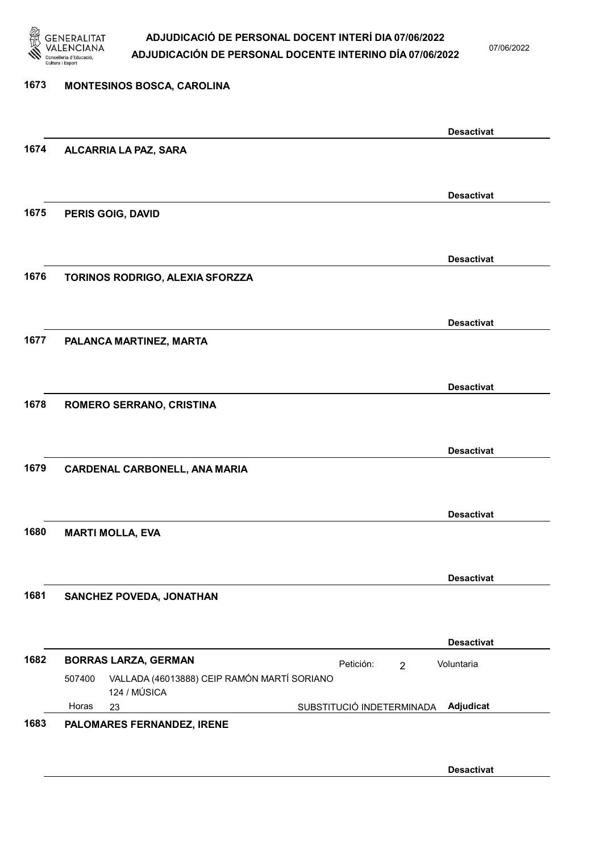

07/06/2022

### 1673 MONTESINOS BOSCA, CAROLINA Desactivat 1674 ALCARRIA LA PAZ, SARA Desactivat 1675 PERIS GOIG, DAVID Desactivat 1676 TORINOS RODRIGO, ALEXIA SFORZZA Desactivat 1677 PALANCA MARTINEZ, MARTA Desactivat 1678 ROMERO SERRANO, CRISTINA Desactivat 1679 CARDENAL CARBONELL, ANA MARIA Desactivat 1680 MARTI MOLLA, EVA Desactivat 1681 SANCHEZ POVEDA, JONATHAN Desactivat 1682 BORRAS LARZA, GERMAN **Petición:** 2 23 SUBSTITUCIÓ INDETERMINADA VALLADA (46013888) CEIP RAMÓN MARTÍ SORIANO 124 / MÚSICA Adjudicat Voluntaria 507400 Horas 1683 PALOMARES FERNANDEZ, IRENE Desactivat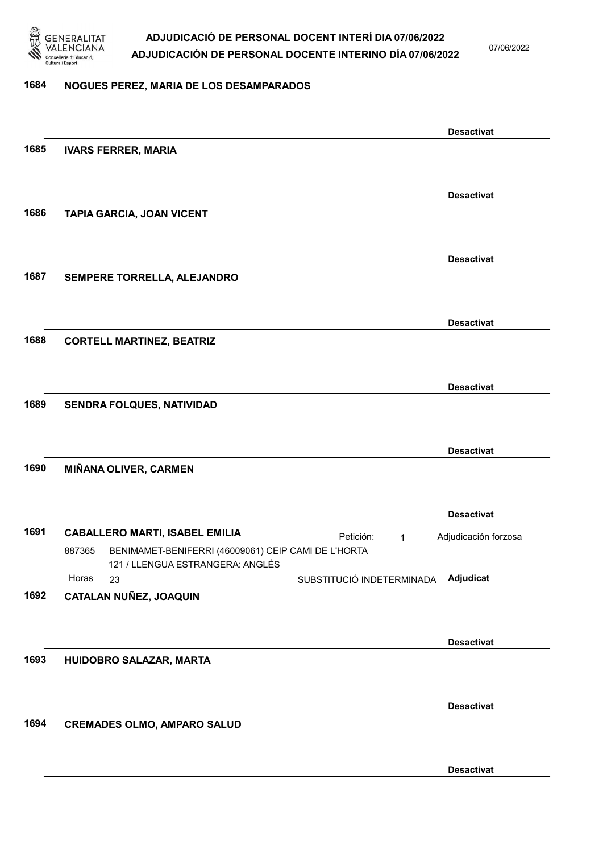

07/06/2022

#### 1684 NOGUES PEREZ, MARIA DE LOS DESAMPARADOS

|      |                                                               |                           | <b>Desactivat</b>    |
|------|---------------------------------------------------------------|---------------------------|----------------------|
| 1685 | <b>IVARS FERRER, MARIA</b>                                    |                           |                      |
|      |                                                               |                           |                      |
|      |                                                               |                           | <b>Desactivat</b>    |
| 1686 | <b>TAPIA GARCIA, JOAN VICENT</b>                              |                           |                      |
|      |                                                               |                           |                      |
|      |                                                               |                           | <b>Desactivat</b>    |
| 1687 | SEMPERE TORRELLA, ALEJANDRO                                   |                           |                      |
|      |                                                               |                           |                      |
|      |                                                               |                           | <b>Desactivat</b>    |
| 1688 | <b>CORTELL MARTINEZ, BEATRIZ</b>                              |                           |                      |
|      |                                                               |                           |                      |
|      |                                                               |                           | <b>Desactivat</b>    |
| 1689 | SENDRA FOLQUES, NATIVIDAD                                     |                           |                      |
|      |                                                               |                           |                      |
|      |                                                               |                           | <b>Desactivat</b>    |
| 1690 | MIÑANA OLIVER, CARMEN                                         |                           |                      |
|      |                                                               |                           |                      |
|      |                                                               |                           | <b>Desactivat</b>    |
| 1691 | <b>CABALLERO MARTI, ISABEL EMILIA</b>                         | Petición:<br>1            | Adjudicación forzosa |
|      | BENIMAMET-BENIFERRI (46009061) CEIP CAMI DE L'HORTA<br>887365 |                           |                      |
|      | 121 / LLENGUA ESTRANGERA: ANGLÉS<br>Horas<br>23               | SUBSTITUCIÓ INDETERMINADA | Adjudicat            |
| 1692 | CATALAN NUÑEZ, JOAQUIN                                        |                           |                      |
|      |                                                               |                           |                      |
|      |                                                               |                           | <b>Desactivat</b>    |
| 1693 | HUIDOBRO SALAZAR, MARTA                                       |                           |                      |
|      |                                                               |                           |                      |
|      |                                                               |                           | <b>Desactivat</b>    |
| 1694 | <b>CREMADES OLMO, AMPARO SALUD</b>                            |                           |                      |
|      |                                                               |                           |                      |
|      |                                                               |                           | <b>Desactivat</b>    |
|      |                                                               |                           |                      |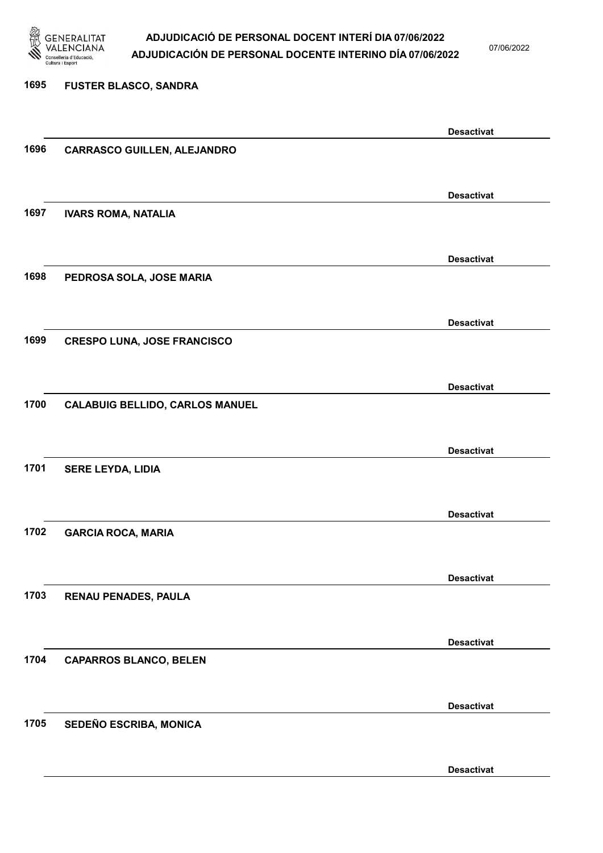

07/06/2022

Desactivat

# 1695 FUSTER BLASCO, SANDRA Desactivat 1696 CARRASCO GUILLEN, ALEJANDRO Desactivat 1697 IVARS ROMA, NATALIA Desactivat 1698 PEDROSA SOLA, JOSE MARIA Desactivat 1699 CRESPO LUNA, JOSE FRANCISCO Desactivat 1700 CALABUIG BELLIDO, CARLOS MANUEL Desactivat 1701 SERE LEYDA, LIDIA Desactivat 1702 GARCIA ROCA, MARIA Desactivat 1703 RENAU PENADES, PAULA Desactivat 1704 CAPARROS BLANCO, BELEN Desactivat 1705 SEDEÑO ESCRIBA, MONICA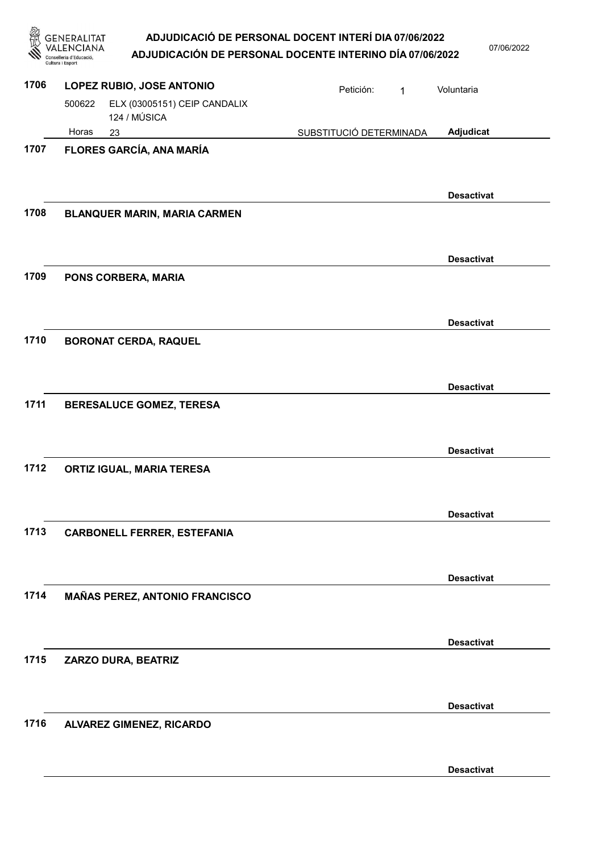| ADJUDICACIÓ DE PERSONAL DOCENT INTERÍ DIA 07/06/2022      |  |
|-----------------------------------------------------------|--|
| AR UIRIA ARÁN RE RERGANAL RAGENTE INTERINA RÍA ATIACIDADE |  |

|      | ADJUDICACIÓ DE PERSONAL DOCENT INTERÍ DIA 07/06/2022<br>NERALITAT<br>ADJUDICACIÓN DE PERSONAL DOCENTE INTERINO DÍA 07/06/2022<br>Cultura i Esport |                         |   | 07/06/2022        |  |
|------|---------------------------------------------------------------------------------------------------------------------------------------------------|-------------------------|---|-------------------|--|
| 1706 | LOPEZ RUBIO, JOSE ANTONIO                                                                                                                         | Petición:               | 1 | Voluntaria        |  |
|      | ELX (03005151) CEIP CANDALIX<br>500622<br>124 / MÚSICA                                                                                            |                         |   |                   |  |
| 1707 | Horas<br>23<br>FLORES GARCÍA, ANA MARÍA                                                                                                           | SUBSTITUCIÓ DETERMINADA |   | Adjudicat         |  |
|      |                                                                                                                                                   |                         |   | <b>Desactivat</b> |  |
| 1708 | <b>BLANQUER MARIN, MARIA CARMEN</b>                                                                                                               |                         |   |                   |  |
| 1709 | PONS CORBERA, MARIA                                                                                                                               |                         |   | <b>Desactivat</b> |  |
|      |                                                                                                                                                   |                         |   | <b>Desactivat</b> |  |
| 1710 | <b>BORONAT CERDA, RAQUEL</b>                                                                                                                      |                         |   |                   |  |
| 1711 | BERESALUCE GOMEZ, TERESA                                                                                                                          |                         |   | <b>Desactivat</b> |  |
| 1712 | ORTIZ IGUAL, MARIA TERESA                                                                                                                         |                         |   | <b>Desactivat</b> |  |
| 1713 | <b>CARBONELL FERRER, ESTEFANIA</b>                                                                                                                |                         |   | <b>Desactivat</b> |  |
|      |                                                                                                                                                   |                         |   | <b>Desactivat</b> |  |
| 1714 | <b>MAÑAS PEREZ, ANTONIO FRANCISCO</b>                                                                                                             |                         |   |                   |  |
| 1715 | ZARZO DURA, BEATRIZ                                                                                                                               |                         |   | <b>Desactivat</b> |  |
|      |                                                                                                                                                   |                         |   | <b>Desactivat</b> |  |
| 1716 | <b>ALVAREZ GIMENEZ, RICARDO</b>                                                                                                                   |                         |   |                   |  |
|      |                                                                                                                                                   |                         |   | <b>Desactivat</b> |  |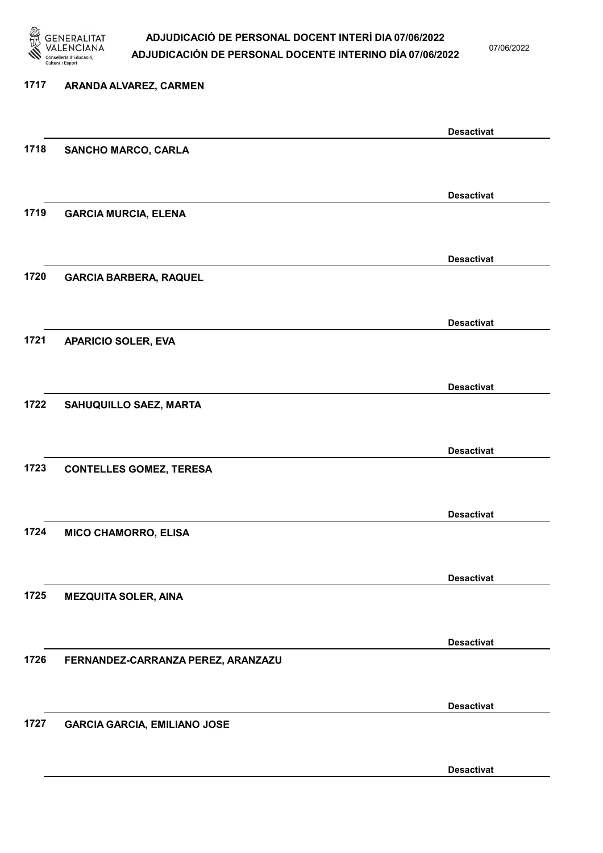

07/06/2022

| 1717 | ARANDA ALVAREZ, CARMEN              |                   |
|------|-------------------------------------|-------------------|
|      |                                     | <b>Desactivat</b> |
| 1718 | <b>SANCHO MARCO, CARLA</b>          |                   |
|      |                                     | <b>Desactivat</b> |
| 1719 | <b>GARCIA MURCIA, ELENA</b>         |                   |
| 1720 | <b>GARCIA BARBERA, RAQUEL</b>       | <b>Desactivat</b> |
|      |                                     |                   |
|      |                                     | <b>Desactivat</b> |
| 1721 | <b>APARICIO SOLER, EVA</b>          |                   |
|      |                                     | <b>Desactivat</b> |
| 1722 | SAHUQUILLO SAEZ, MARTA              |                   |
|      |                                     | <b>Desactivat</b> |
| 1723 | <b>CONTELLES GOMEZ, TERESA</b>      |                   |
|      |                                     | <b>Desactivat</b> |
| 1724 | <b>MICO CHAMORRO, ELISA</b>         |                   |
|      |                                     | <b>Desactivat</b> |
| 1725 | <b>MEZQUITA SOLER, AINA</b>         |                   |
|      |                                     | <b>Desactivat</b> |
| 1726 | FERNANDEZ-CARRANZA PEREZ, ARANZAZU  |                   |
|      |                                     | <b>Desactivat</b> |
| 1727 | <b>GARCIA GARCIA, EMILIANO JOSE</b> |                   |
|      |                                     | <b>Desactivat</b> |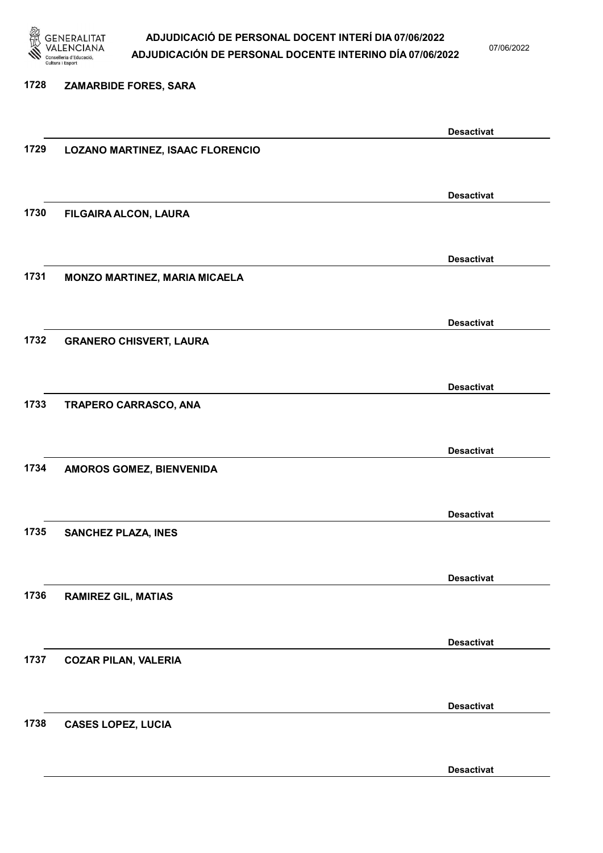

1728 ZAMARBIDE FORES, SARA

### ADJUDICACIÓ DE PERSONAL DOCENT INTERÍ DIA 07/06/2022 ADJUDICACIÓN DE PERSONAL DOCENTE INTERINO DÍA 07/06/2022

07/06/2022

### Desactivat 1729 LOZANO MARTINEZ, ISAAC FLORENCIO Desactivat 1730 FILGAIRA ALCON, LAURA Desactivat 1731 MONZO MARTINEZ, MARIA MICAELA Desactivat 1732 GRANERO CHISVERT, LAURA Desactivat 1733 TRAPERO CARRASCO, ANA Desactivat 1734 AMOROS GOMEZ, BIENVENIDA Desactivat 1735 SANCHEZ PLAZA, INES Desactivat 1736 RAMIREZ GIL, MATIAS Desactivat 1737 COZAR PILAN, VALERIA Desactivat 1738 CASES LOPEZ, LUCIA

Desactivat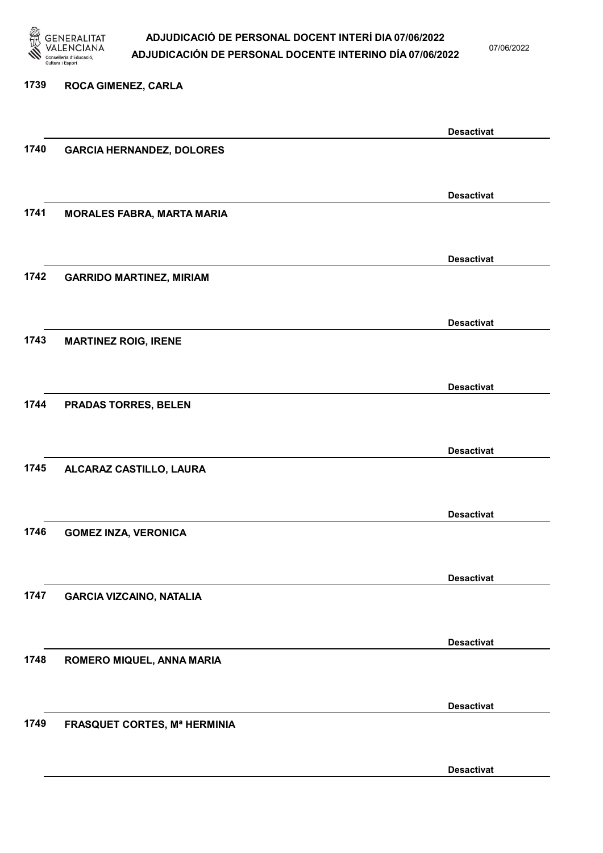

07/06/2022

### 1739 ROCA GIMENEZ, CARLA

|      |                                     | <b>Desactivat</b> |
|------|-------------------------------------|-------------------|
| 1740 | <b>GARCIA HERNANDEZ, DOLORES</b>    |                   |
|      |                                     |                   |
|      |                                     |                   |
|      |                                     | <b>Desactivat</b> |
| 1741 | <b>MORALES FABRA, MARTA MARIA</b>   |                   |
|      |                                     |                   |
|      |                                     | <b>Desactivat</b> |
| 1742 | <b>GARRIDO MARTINEZ, MIRIAM</b>     |                   |
|      |                                     |                   |
|      |                                     |                   |
|      |                                     | <b>Desactivat</b> |
| 1743 | <b>MARTINEZ ROIG, IRENE</b>         |                   |
|      |                                     |                   |
|      |                                     | <b>Desactivat</b> |
| 1744 | <b>PRADAS TORRES, BELEN</b>         |                   |
|      |                                     |                   |
|      |                                     |                   |
|      |                                     | <b>Desactivat</b> |
| 1745 | ALCARAZ CASTILLO, LAURA             |                   |
|      |                                     |                   |
|      |                                     | <b>Desactivat</b> |
| 1746 | <b>GOMEZ INZA, VERONICA</b>         |                   |
|      |                                     |                   |
|      |                                     |                   |
|      |                                     | <b>Desactivat</b> |
| 1747 | <b>GARCIA VIZCAINO, NATALIA</b>     |                   |
|      |                                     |                   |
|      |                                     |                   |
| 1748 |                                     | <b>Desactivat</b> |
|      | ROMERO MIQUEL, ANNA MARIA           |                   |
|      |                                     |                   |
|      |                                     | <b>Desactivat</b> |
| 1749 | <b>FRASQUET CORTES, Mª HERMINIA</b> |                   |
|      |                                     |                   |
|      |                                     |                   |
|      |                                     | <b>Desactivat</b> |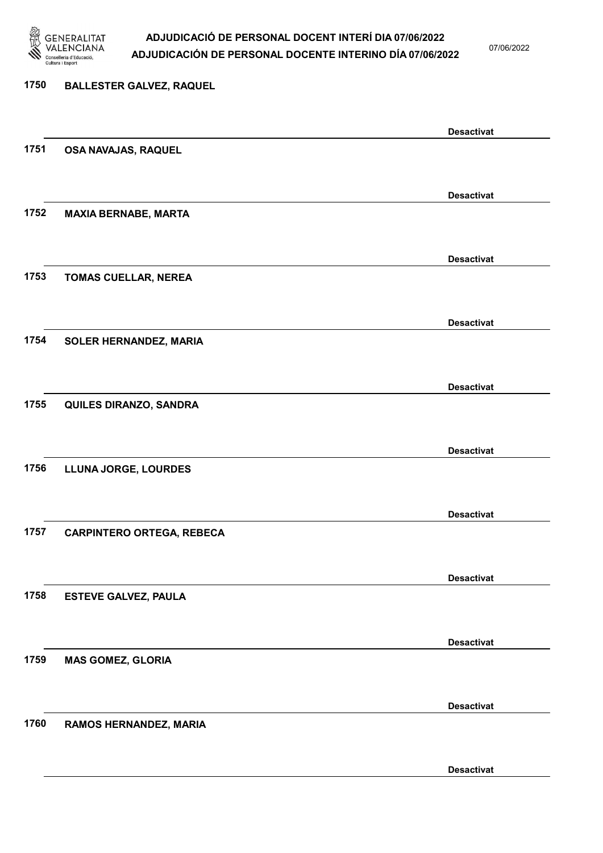

07/06/2022

Desactivat

# 1750 BALLESTER GALVEZ, RAQUEL Desactivat 1751 OSA NAVAJAS, RAQUEL Desactivat 1752 MAXIA BERNABE, MARTA Desactivat 1753 TOMAS CUELLAR, NEREA Desactivat 1754 SOLER HERNANDEZ, MARIA Desactivat 1755 QUILES DIRANZO, SANDRA Desactivat 1756 LLUNA JORGE, LOURDES Desactivat 1757 CARPINTERO ORTEGA, REBECA Desactivat 1758 ESTEVE GALVEZ, PAULA Desactivat 1759 MAS GOMEZ, GLORIA Desactivat 1760 RAMOS HERNANDEZ, MARIA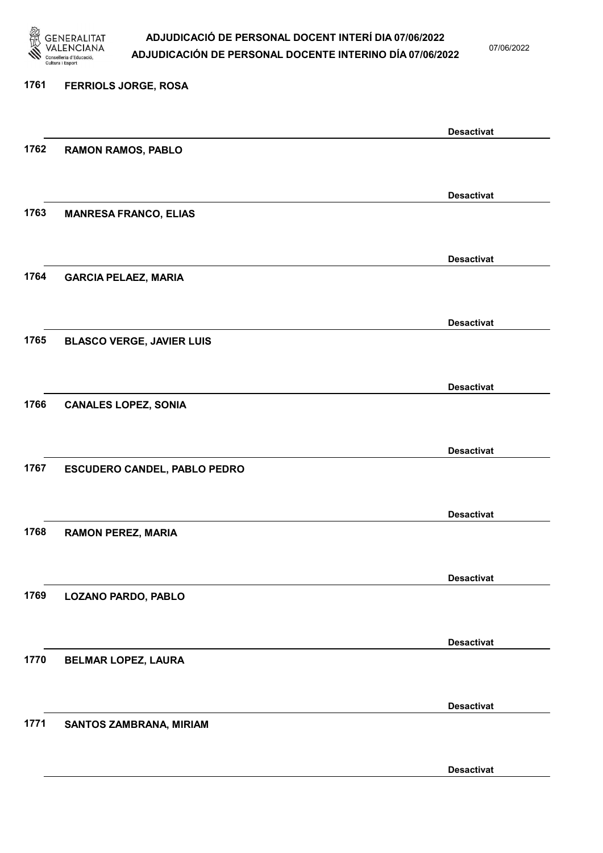

07/06/2022

Desactivat

# 1761 FERRIOLS JORGE, ROSA Desactivat 1762 RAMON RAMOS, PABLO Desactivat 1763 MANRESA FRANCO, ELIAS Desactivat 1764 GARCIA PELAEZ, MARIA Desactivat 1765 BLASCO VERGE, JAVIER LUIS Desactivat 1766 CANALES LOPEZ, SONIA Desactivat 1767 ESCUDERO CANDEL, PABLO PEDRO Desactivat 1768 RAMON PEREZ, MARIA Desactivat 1769 LOZANO PARDO, PABLO Desactivat 1770 BELMAR LOPEZ, LAURA Desactivat 1771 SANTOS ZAMBRANA, MIRIAM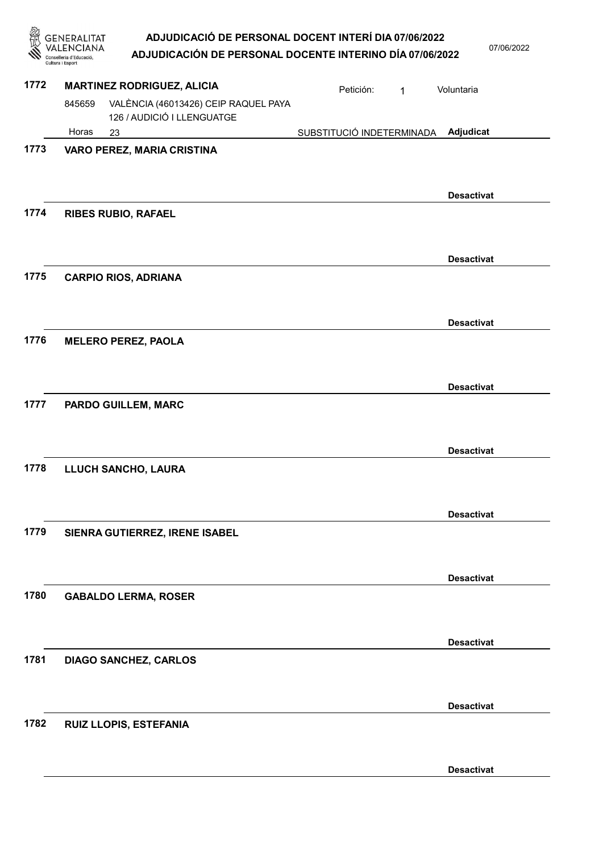GENERALITAT<br>VALENCIANA ADJUDICACIÓ DE PERSONAL DOCENT INTERÍ DIA 07/06/2022 07/06/2022 ADJUDICACIÓN DE PERSONAL DOCENTE INTERINO DÍA 07/06/2022 Conselleria d'Educació,<br>Cultura i Esport

| 1772 | <b>MARTINEZ RODRIGUEZ, ALICIA</b> |                                                                    | Petición:<br>$\mathbf{1}$ | Voluntaria        |
|------|-----------------------------------|--------------------------------------------------------------------|---------------------------|-------------------|
|      | 845659                            | VALÈNCIA (46013426) CEIP RAQUEL PAYA<br>126 / AUDICIÓ I LLENGUATGE |                           |                   |
|      | Horas                             | 23                                                                 | SUBSTITUCIÓ INDETERMINADA | Adjudicat         |
| 1773 |                                   | VARO PEREZ, MARIA CRISTINA                                         |                           |                   |
|      |                                   |                                                                    |                           | <b>Desactivat</b> |
| 1774 |                                   | <b>RIBES RUBIO, RAFAEL</b>                                         |                           |                   |
|      |                                   |                                                                    |                           | <b>Desactivat</b> |
| 1775 |                                   | <b>CARPIO RIOS, ADRIANA</b>                                        |                           |                   |
|      |                                   |                                                                    |                           | <b>Desactivat</b> |
| 1776 |                                   | <b>MELERO PEREZ, PAOLA</b>                                         |                           |                   |
|      |                                   |                                                                    |                           | <b>Desactivat</b> |
| 1777 |                                   | PARDO GUILLEM, MARC                                                |                           |                   |
|      |                                   |                                                                    |                           | <b>Desactivat</b> |
| 1778 |                                   | LLUCH SANCHO, LAURA                                                |                           |                   |
|      |                                   |                                                                    |                           | <b>Desactivat</b> |
| 1779 |                                   | SIENRA GUTIERREZ, IRENE ISABEL                                     |                           |                   |
|      |                                   |                                                                    |                           | <b>Desactivat</b> |
| 1780 |                                   | <b>GABALDO LERMA, ROSER</b>                                        |                           |                   |
|      |                                   |                                                                    |                           | <b>Desactivat</b> |
| 1781 |                                   | <b>DIAGO SANCHEZ, CARLOS</b>                                       |                           |                   |
|      |                                   |                                                                    |                           | <b>Desactivat</b> |
| 1782 |                                   | RUIZ LLOPIS, ESTEFANIA                                             |                           |                   |
|      |                                   |                                                                    |                           | <b>Desactivat</b> |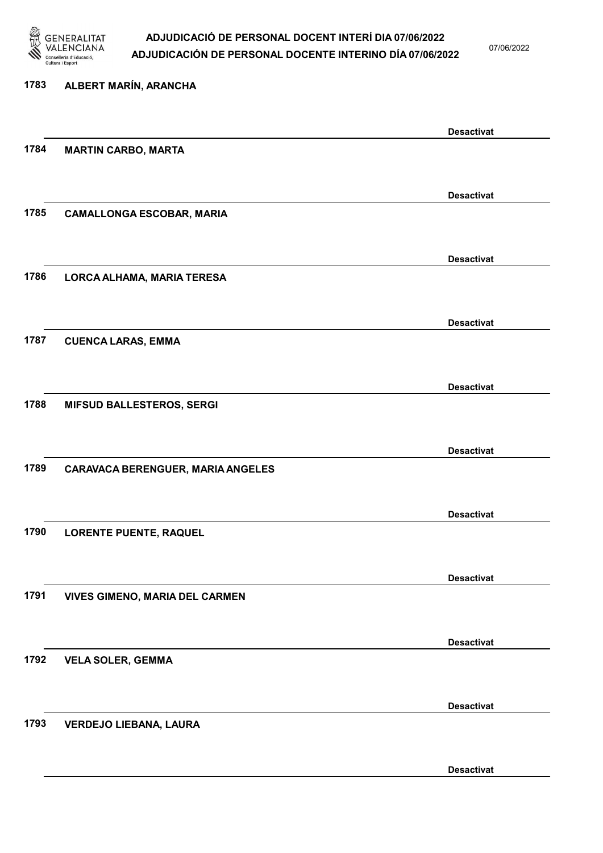

07/06/2022

Desactivat

# 1783 ALBERT MARÍN, ARANCHA Desactivat 1784 MARTIN CARBO, MARTA Desactivat 1785 CAMALLONGA ESCOBAR, MARIA Desactivat 1786 LORCA ALHAMA, MARIA TERESA Desactivat 1787 CUENCA LARAS, EMMA Desactivat 1788 MIFSUD BALLESTEROS, SERGI Desactivat 1789 CARAVACA BERENGUER, MARIA ANGELES Desactivat 1790 LORENTE PUENTE, RAQUEL Desactivat 1791 VIVES GIMENO, MARIA DEL CARMEN Desactivat 1792 VELA SOLER, GEMMA Desactivat 1793 VERDEJO LIEBANA, LAURA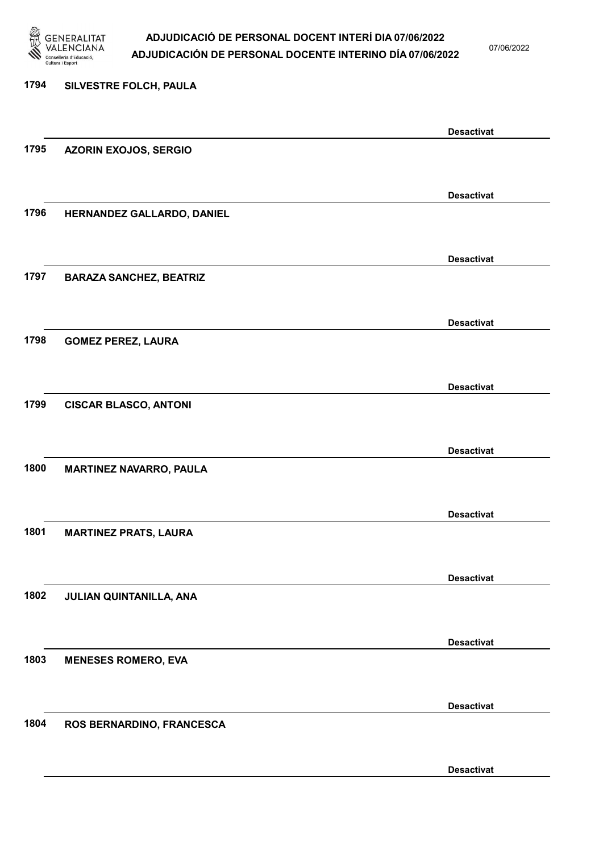

07/06/2022

Desactivat

# 1794 SILVESTRE FOLCH, PAULA Desactivat 1795 AZORIN EXOJOS, SERGIO Desactivat 1796 HERNANDEZ GALLARDO, DANIEL Desactivat 1797 BARAZA SANCHEZ, BEATRIZ Desactivat 1798 GOMEZ PEREZ, LAURA Desactivat 1799 CISCAR BLASCO, ANTONI Desactivat 1800 MARTINEZ NAVARRO, PAULA Desactivat 1801 MARTINEZ PRATS, LAURA Desactivat 1802 JULIAN QUINTANILLA, ANA Desactivat 1803 MENESES ROMERO, EVA Desactivat 1804 ROS BERNARDINO, FRANCESCA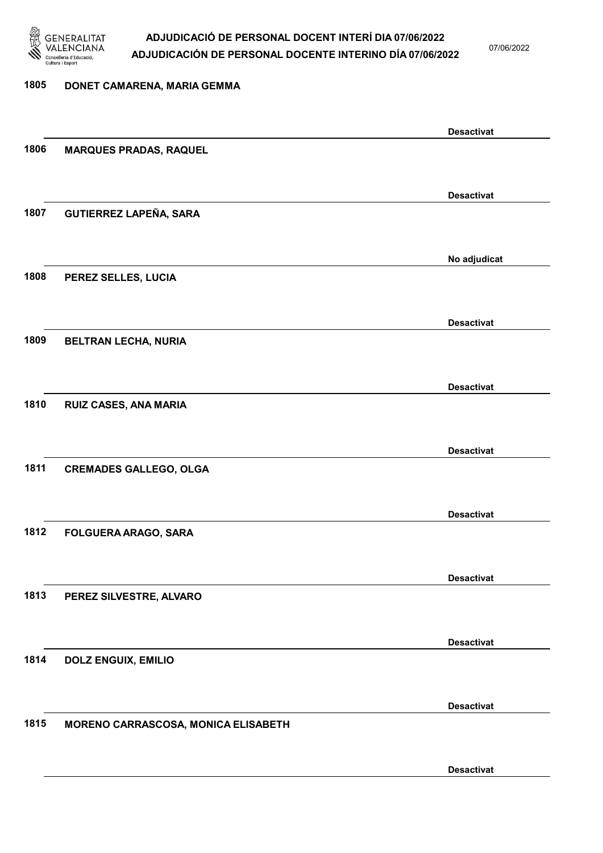

07/06/2022

### 1805 DONET CAMARENA, MARIA GEMMA Desactivat 1806 MARQUES PRADAS, RAQUEL Desactivat 1807 GUTIERREZ LAPEÑA, SARA No adjudicat 1808 PEREZ SELLES, LUCIA Desactivat 1809 BELTRAN LECHA, NURIA Desactivat 1810 RUIZ CASES, ANA MARIA Desactivat 1811 CREMADES GALLEGO, OLGA Desactivat 1812 FOLGUERA ARAGO, SARA Desactivat 1813 PEREZ SILVESTRE, ALVARO Desactivat 1814 DOLZ ENGUIX, EMILIO Desactivat 1815 MORENO CARRASCOSA, MONICA ELISABETH Desactivat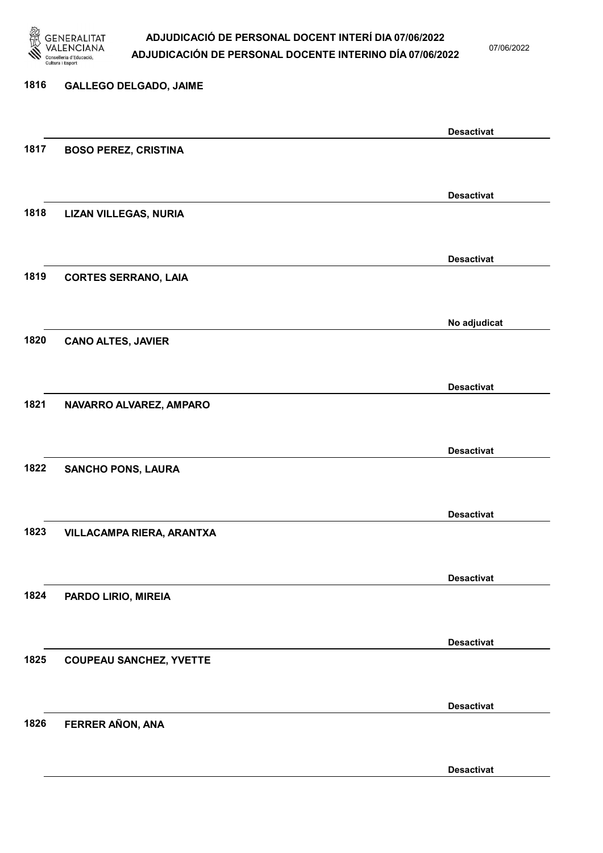

07/06/2022

Desactivat

# 1816 GALLEGO DELGADO, JAIME Desactivat 1817 BOSO PEREZ, CRISTINA Desactivat 1818 LIZAN VILLEGAS, NURIA Desactivat 1819 CORTES SERRANO, LAIA No adjudicat 1820 CANO ALTES, JAVIER Desactivat 1821 NAVARRO ALVAREZ, AMPARO Desactivat 1822 SANCHO PONS, LAURA Desactivat 1823 VILLACAMPA RIERA, ARANTXA Desactivat 1824 PARDO LIRIO, MIREIA Desactivat 1825 COUPEAU SANCHEZ, YVETTE Desactivat 1826 FERRER AÑON, ANA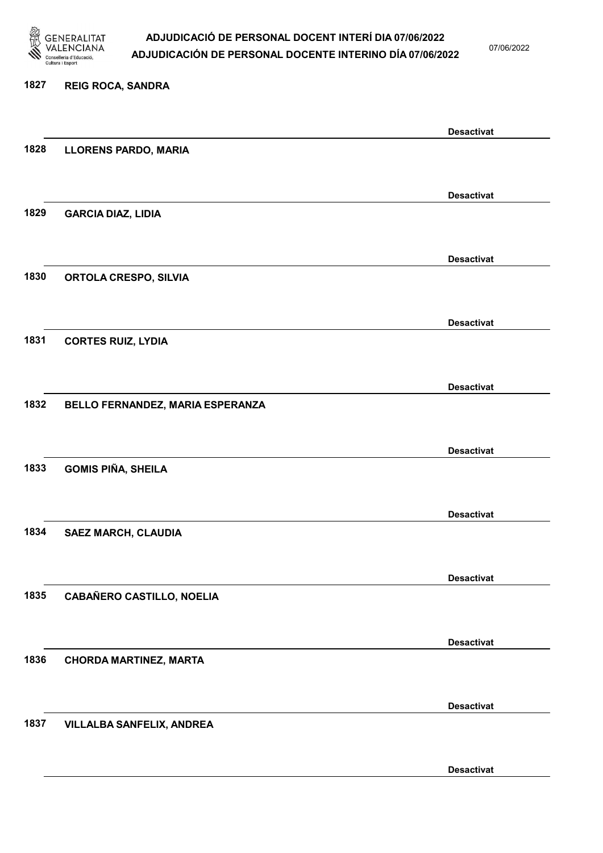

07/06/2022

#### 1827 REIG ROCA, SANDRA

|      |                                  | <b>Desactivat</b> |
|------|----------------------------------|-------------------|
| 1828 | <b>LLORENS PARDO, MARIA</b>      |                   |
|      |                                  |                   |
|      |                                  | <b>Desactivat</b> |
| 1829 |                                  |                   |
|      | <b>GARCIA DIAZ, LIDIA</b>        |                   |
|      |                                  |                   |
|      |                                  | <b>Desactivat</b> |
| 1830 | <b>ORTOLA CRESPO, SILVIA</b>     |                   |
|      |                                  |                   |
|      |                                  | <b>Desactivat</b> |
| 1831 | <b>CORTES RUIZ, LYDIA</b>        |                   |
|      |                                  |                   |
|      |                                  |                   |
|      |                                  | <b>Desactivat</b> |
| 1832 | BELLO FERNANDEZ, MARIA ESPERANZA |                   |
|      |                                  |                   |
|      |                                  | <b>Desactivat</b> |
| 1833 | <b>GOMIS PIÑA, SHEILA</b>        |                   |
|      |                                  |                   |
|      |                                  |                   |
|      |                                  | <b>Desactivat</b> |
| 1834 | <b>SAEZ MARCH, CLAUDIA</b>       |                   |
|      |                                  |                   |
|      |                                  | <b>Desactivat</b> |
| 1835 | <b>CABAÑERO CASTILLO, NOELIA</b> |                   |
|      |                                  |                   |
|      |                                  |                   |
|      |                                  | <b>Desactivat</b> |
| 1836 | <b>CHORDA MARTINEZ, MARTA</b>    |                   |
|      |                                  |                   |
|      |                                  | <b>Desactivat</b> |
| 1837 | VILLALBA SANFELIX, ANDREA        |                   |
|      |                                  |                   |
|      |                                  |                   |
|      |                                  | <b>Desactivat</b> |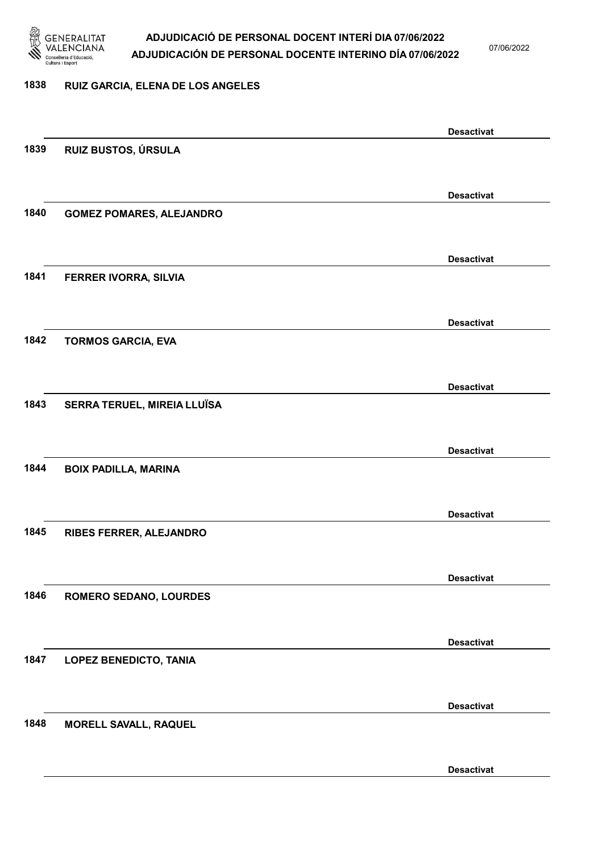

07/06/2022

#### 1838 RUIZ GARCIA, ELENA DE LOS ANGELES

|      |                                 | <b>Desactivat</b> |
|------|---------------------------------|-------------------|
| 1839 | RUIZ BUSTOS, ÚRSULA             |                   |
|      |                                 |                   |
|      |                                 |                   |
|      |                                 | <b>Desactivat</b> |
| 1840 | <b>GOMEZ POMARES, ALEJANDRO</b> |                   |
|      |                                 |                   |
|      |                                 |                   |
|      |                                 | <b>Desactivat</b> |
| 1841 | FERRER IVORRA, SILVIA           |                   |
|      |                                 |                   |
|      |                                 |                   |
|      |                                 | <b>Desactivat</b> |
| 1842 | <b>TORMOS GARCIA, EVA</b>       |                   |
|      |                                 |                   |
|      |                                 |                   |
|      |                                 | <b>Desactivat</b> |
| 1843 | SERRA TERUEL, MIREIA LLUÏSA     |                   |
|      |                                 |                   |
|      |                                 | <b>Desactivat</b> |
|      |                                 |                   |
| 1844 | <b>BOIX PADILLA, MARINA</b>     |                   |
|      |                                 |                   |
|      |                                 | <b>Desactivat</b> |
| 1845 |                                 |                   |
|      | RIBES FERRER, ALEJANDRO         |                   |
|      |                                 |                   |
|      |                                 | <b>Desactivat</b> |
| 1846 | <b>ROMERO SEDANO, LOURDES</b>   |                   |
|      |                                 |                   |
|      |                                 |                   |
|      |                                 | <b>Desactivat</b> |
| 1847 | <b>LOPEZ BENEDICTO, TANIA</b>   |                   |
|      |                                 |                   |
|      |                                 |                   |
|      |                                 | <b>Desactivat</b> |
| 1848 | <b>MORELL SAVALL, RAQUEL</b>    |                   |
|      |                                 |                   |
|      |                                 |                   |
|      |                                 | <b>Desactivat</b> |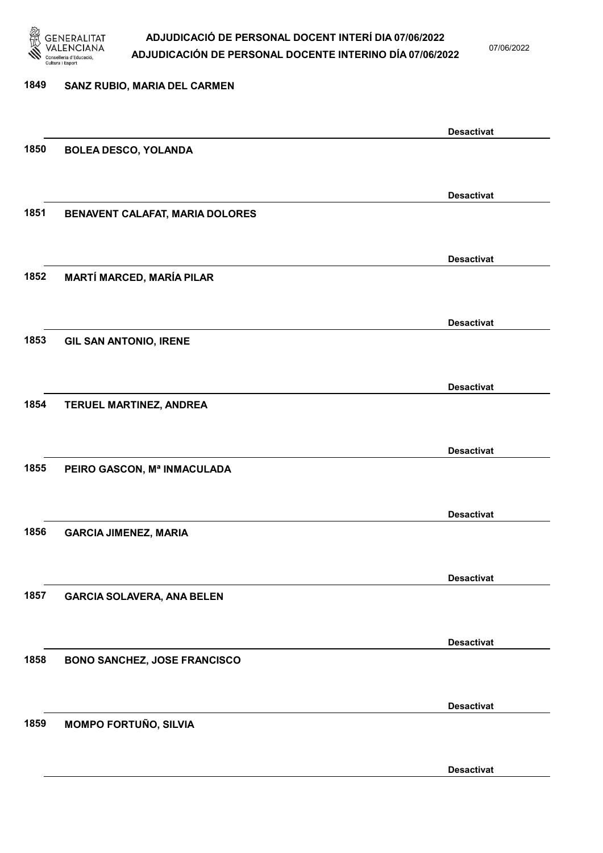

07/06/2022

Desactivat

# 1849 SANZ RUBIO, MARIA DEL CARMEN Desactivat 1850 BOLEA DESCO, YOLANDA Desactivat 1851 BENAVENT CALAFAT, MARIA DOLORES Desactivat 1852 MARTÍ MARCED, MARÍA PILAR Desactivat 1853 GIL SAN ANTONIO, IRENE Desactivat 1854 TERUEL MARTINEZ, ANDREA Desactivat 1855 PEIRO GASCON, Mª INMACULADA Desactivat 1856 GARCIA JIMENEZ, MARIA Desactivat 1857 GARCIA SOLAVERA, ANA BELEN Desactivat 1858 BONO SANCHEZ, JOSE FRANCISCO Desactivat 1859 MOMPO FORTUÑO, SILVIA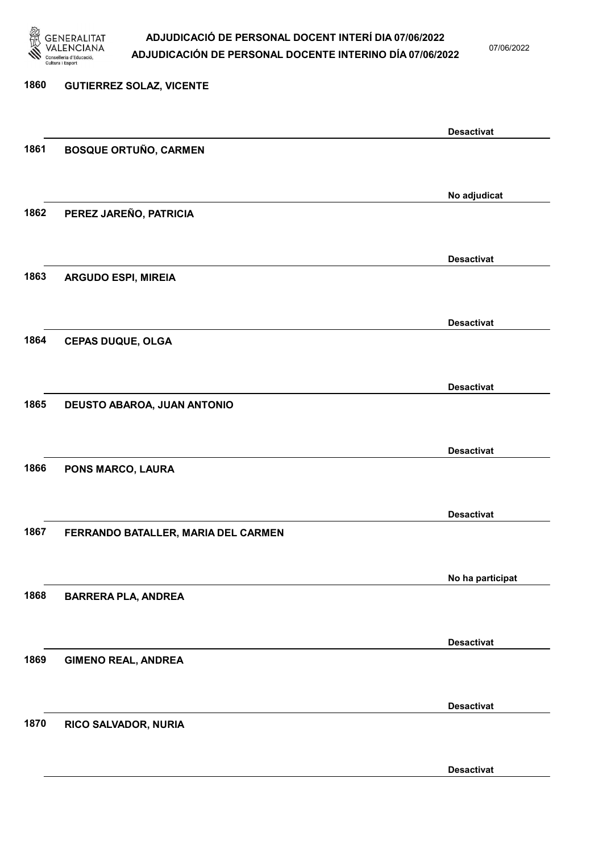

07/06/2022

Desactivat

# 1860 GUTIERREZ SOLAZ, VICENTE Desactivat 1861 BOSQUE ORTUÑO, CARMEN No adjudicat 1862 PEREZ JAREÑO, PATRICIA Desactivat 1863 ARGUDO ESPI, MIREIA Desactivat 1864 CEPAS DUQUE, OLGA Desactivat 1865 DEUSTO ABAROA, JUAN ANTONIO Desactivat 1866 PONS MARCO, LAURA Desactivat 1867 FERRANDO BATALLER, MARIA DEL CARMEN No ha participat 1868 BARRERA PLA, ANDREA Desactivat 1869 GIMENO REAL, ANDREA Desactivat 1870 RICO SALVADOR, NURIA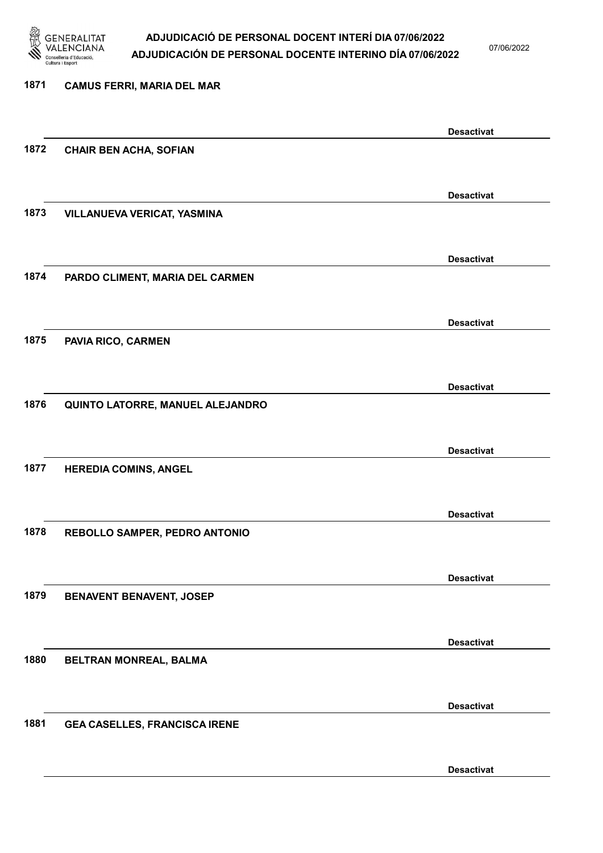

07/06/2022

Desactivat

# 1871 CAMUS FERRI, MARIA DEL MAR Desactivat 1872 CHAIR BEN ACHA, SOFIAN Desactivat 1873 VILLANUEVA VERICAT, YASMINA Desactivat 1874 PARDO CLIMENT, MARIA DEL CARMEN Desactivat 1875 PAVIA RICO, CARMEN Desactivat 1876 QUINTO LATORRE, MANUEL ALEJANDRO Desactivat 1877 HEREDIA COMINS, ANGEL Desactivat 1878 REBOLLO SAMPER, PEDRO ANTONIO Desactivat 1879 BENAVENT BENAVENT, JOSEP Desactivat 1880 BELTRAN MONREAL, BALMA Desactivat 1881 GEA CASELLES, FRANCISCA IRENE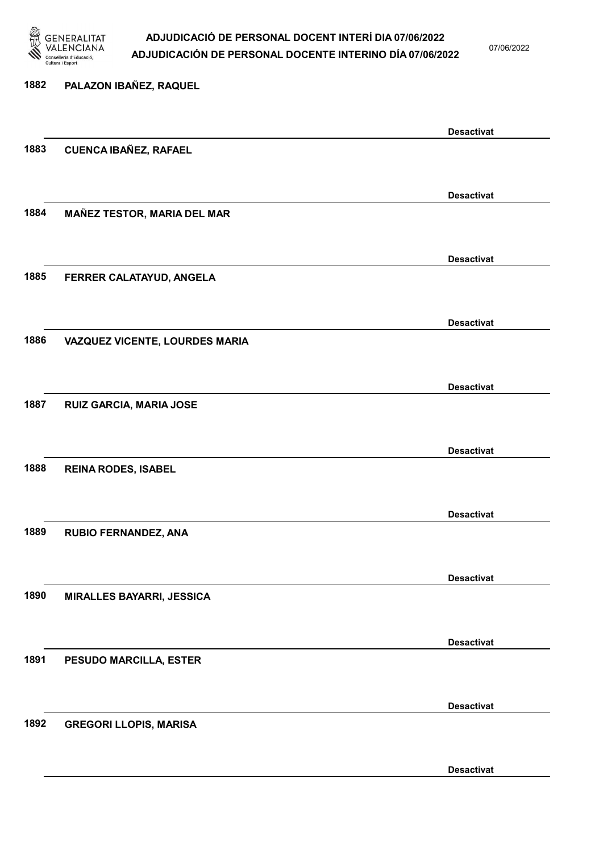

07/06/2022

Desactivat

# 1882 PALAZON IBAÑEZ, RAQUEL Desactivat 1883 CUENCA IBAÑEZ, RAFAEL Desactivat 1884 MAÑEZ TESTOR, MARIA DEL MAR Desactivat 1885 FERRER CALATAYUD, ANGELA Desactivat 1886 VAZQUEZ VICENTE, LOURDES MARIA Desactivat 1887 RUIZ GARCIA, MARIA JOSE Desactivat 1888 REINA RODES, ISABEL Desactivat 1889 RUBIO FERNANDEZ, ANA Desactivat 1890 MIRALLES BAYARRI, JESSICA Desactivat 1891 PESUDO MARCILLA, ESTER Desactivat 1892 GREGORI LLOPIS, MARISA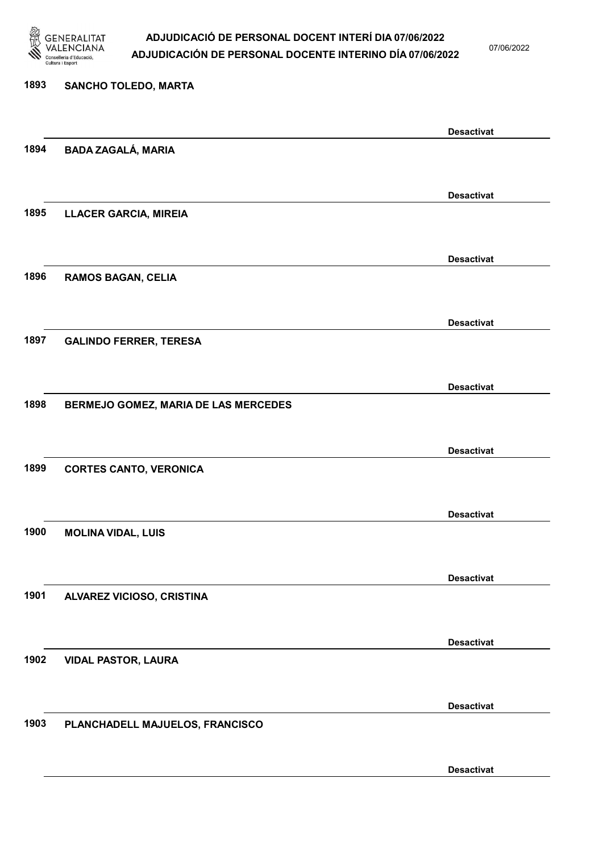

07/06/2022

#### 1893 SANCHO TOLEDO, MARTA

|      |                                      | <b>Desactivat</b> |
|------|--------------------------------------|-------------------|
| 1894 | <b>BADA ZAGALÁ, MARIA</b>            |                   |
|      |                                      |                   |
|      |                                      | <b>Desactivat</b> |
| 1895 | LLACER GARCIA, MIREIA                |                   |
|      |                                      |                   |
|      |                                      | <b>Desactivat</b> |
| 1896 | <b>RAMOS BAGAN, CELIA</b>            |                   |
|      |                                      |                   |
|      |                                      |                   |
|      |                                      | <b>Desactivat</b> |
| 1897 | <b>GALINDO FERRER, TERESA</b>        |                   |
|      |                                      |                   |
|      |                                      | <b>Desactivat</b> |
| 1898 | BERMEJO GOMEZ, MARIA DE LAS MERCEDES |                   |
|      |                                      |                   |
|      |                                      | <b>Desactivat</b> |
| 1899 | <b>CORTES CANTO, VERONICA</b>        |                   |
|      |                                      |                   |
|      |                                      | <b>Desactivat</b> |
| 1900 | <b>MOLINA VIDAL, LUIS</b>            |                   |
|      |                                      |                   |
|      |                                      |                   |
|      |                                      | <b>Desactivat</b> |
| 1901 | ALVAREZ VICIOSO, CRISTINA            |                   |
|      |                                      |                   |
|      |                                      | <b>Desactivat</b> |
| 1902 | <b>VIDAL PASTOR, LAURA</b>           |                   |
|      |                                      |                   |
|      |                                      | <b>Desactivat</b> |
| 1903 | PLANCHADELL MAJUELOS, FRANCISCO      |                   |
|      |                                      |                   |
|      |                                      | <b>Desactivat</b> |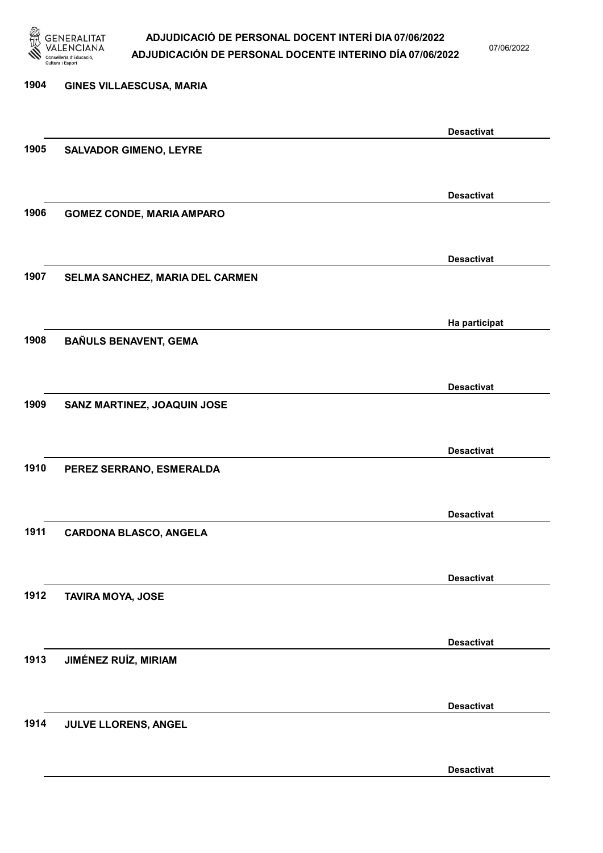

07/06/2022

Desactivat

| 1904 | <b>GINES VILLAESCUSA, MARIA</b>  |                   |
|------|----------------------------------|-------------------|
|      |                                  |                   |
|      |                                  | <b>Desactivat</b> |
| 1905 | <b>SALVADOR GIMENO, LEYRE</b>    |                   |
|      |                                  |                   |
|      |                                  | <b>Desactivat</b> |
| 1906 | <b>GOMEZ CONDE, MARIA AMPARO</b> |                   |
|      |                                  |                   |
|      |                                  | <b>Desactivat</b> |
| 1907 | SELMA SANCHEZ, MARIA DEL CARMEN  |                   |
|      |                                  |                   |
|      |                                  | Ha participat     |
| 1908 | <b>BAÑULS BENAVENT, GEMA</b>     |                   |
|      |                                  |                   |
| 1909 | SANZ MARTINEZ, JOAQUIN JOSE      | <b>Desactivat</b> |
|      |                                  |                   |
|      |                                  | <b>Desactivat</b> |
| 1910 | PEREZ SERRANO, ESMERALDA         |                   |
|      |                                  |                   |
|      |                                  | <b>Desactivat</b> |
| 1911 | <b>CARDONA BLASCO, ANGELA</b>    |                   |
|      |                                  |                   |
|      |                                  | <b>Desactivat</b> |
| 1912 | <b>TAVIRA MOYA, JOSE</b>         |                   |
|      |                                  |                   |
|      |                                  | <b>Desactivat</b> |
| 1913 | <b>JIMÉNEZ RUÍZ, MIRIAM</b>      |                   |
|      |                                  |                   |
|      |                                  | <b>Desactivat</b> |
| 1914 | JULVE LLORENS, ANGEL             |                   |
|      |                                  |                   |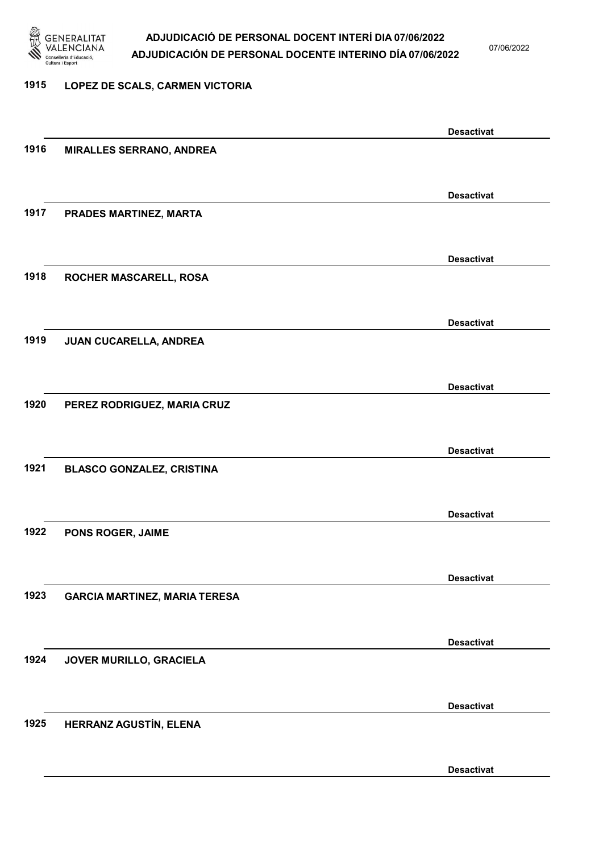

07/06/2022

#### 1915 LOPEZ DE SCALS, CARMEN VICTORIA

|      |                                      | <b>Desactivat</b> |
|------|--------------------------------------|-------------------|
| 1916 | <b>MIRALLES SERRANO, ANDREA</b>      |                   |
|      |                                      |                   |
|      |                                      | <b>Desactivat</b> |
| 1917 | PRADES MARTINEZ, MARTA               |                   |
|      |                                      |                   |
|      |                                      |                   |
|      |                                      | <b>Desactivat</b> |
| 1918 | ROCHER MASCARELL, ROSA               |                   |
|      |                                      |                   |
|      |                                      | <b>Desactivat</b> |
| 1919 | JUAN CUCARELLA, ANDREA               |                   |
|      |                                      |                   |
|      |                                      | <b>Desactivat</b> |
| 1920 | PEREZ RODRIGUEZ, MARIA CRUZ          |                   |
|      |                                      |                   |
|      |                                      |                   |
|      |                                      | <b>Desactivat</b> |
| 1921 | <b>BLASCO GONZALEZ, CRISTINA</b>     |                   |
|      |                                      |                   |
|      |                                      | <b>Desactivat</b> |
| 1922 | PONS ROGER, JAIME                    |                   |
|      |                                      |                   |
|      |                                      | <b>Desactivat</b> |
| 1923 | <b>GARCIA MARTINEZ, MARIA TERESA</b> |                   |
|      |                                      |                   |
|      |                                      |                   |
|      |                                      | <b>Desactivat</b> |
| 1924 | JOVER MURILLO, GRACIELA              |                   |
|      |                                      |                   |
|      |                                      | <b>Desactivat</b> |
| 1925 | HERRANZ AGUSTÍN, ELENA               |                   |
|      |                                      |                   |
|      |                                      | <b>Desactivat</b> |
|      |                                      |                   |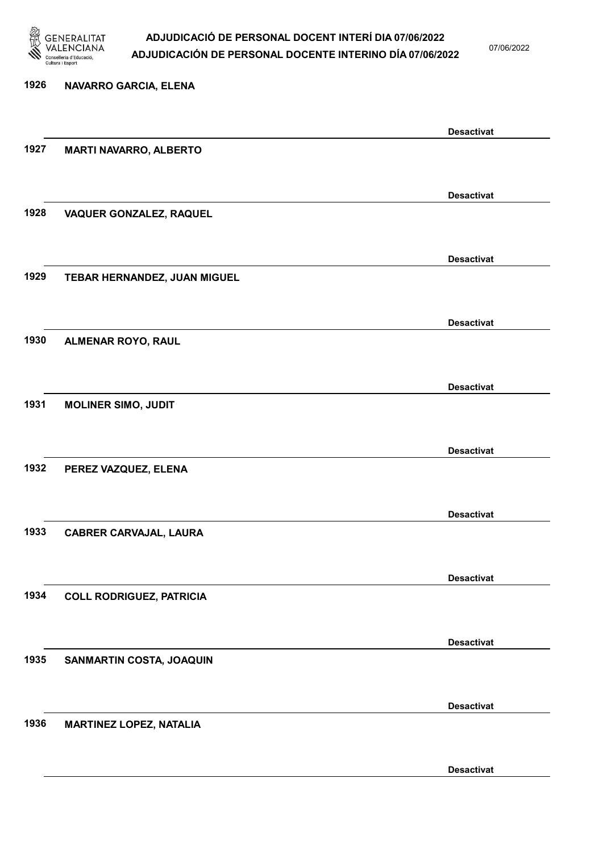

07/06/2022

Desactivat

# 1926 NAVARRO GARCIA, ELENA Desactivat 1927 MARTI NAVARRO, ALBERTO Desactivat 1928 VAQUER GONZALEZ, RAQUEL Desactivat 1929 TEBAR HERNANDEZ, JUAN MIGUEL Desactivat 1930 ALMENAR ROYO, RAUL Desactivat 1931 MOLINER SIMO, JUDIT Desactivat 1932 PEREZ VAZQUEZ, ELENA Desactivat 1933 CABRER CARVAJAL, LAURA Desactivat 1934 COLL RODRIGUEZ, PATRICIA Desactivat 1935 SANMARTIN COSTA, JOAQUIN Desactivat 1936 MARTINEZ LOPEZ, NATALIA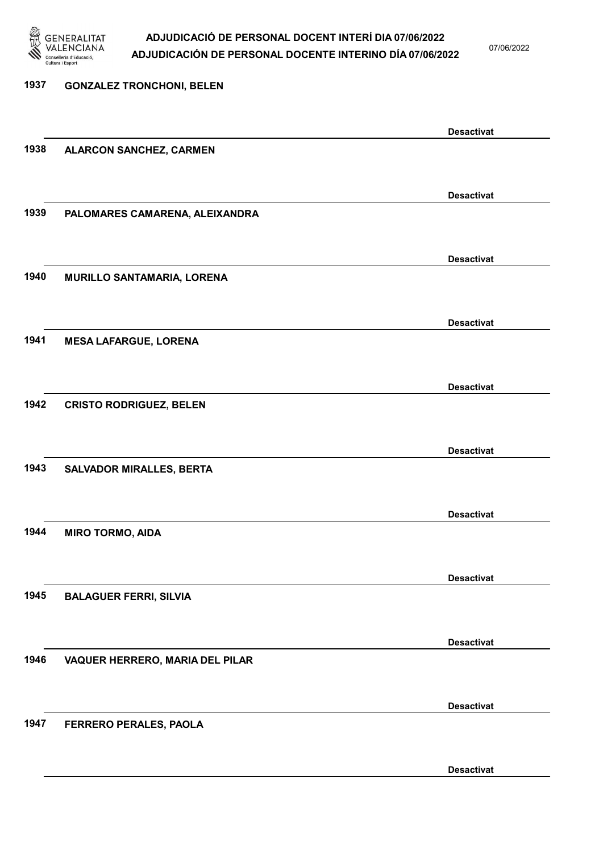

07/06/2022

### 1937 GONZALEZ TRONCHONI, BELEN Desactivat 1938 ALARCON SANCHEZ, CARMEN Desactivat 1939 PALOMARES CAMARENA, ALEIXANDRA Desactivat 1940 MURILLO SANTAMARIA, LORENA Desactivat 1941 MESA LAFARGUE, LORENA Desactivat 1942 CRISTO RODRIGUEZ, BELEN Desactivat 1943 SALVADOR MIRALLES, BERTA Desactivat 1944 MIRO TORMO, AIDA Desactivat 1945 BALAGUER FERRI, SILVIA Desactivat 1946 VAQUER HERRERO, MARIA DEL PILAR Desactivat 1947 FERRERO PERALES, PAOLA Desactivat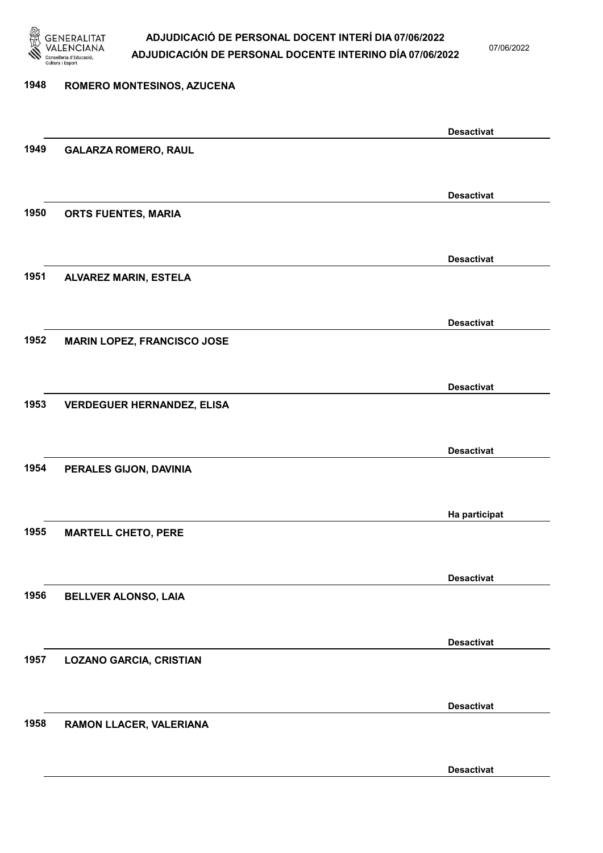

07/06/2022

Desactivat

# 1948 ROMERO MONTESINOS, AZUCENA Desactivat 1949 GALARZA ROMERO, RAUL Desactivat 1950 ORTS FUENTES, MARIA Desactivat 1951 ALVAREZ MARIN, ESTELA Desactivat 1952 MARIN LOPEZ, FRANCISCO JOSE Desactivat 1953 VERDEGUER HERNANDEZ, ELISA Desactivat 1954 PERALES GIJON, DAVINIA Ha participat 1955 MARTELL CHETO, PERE Desactivat 1956 BELLVER ALONSO, LAIA Desactivat 1957 LOZANO GARCIA, CRISTIAN Desactivat 1958 RAMON LLACER, VALERIANA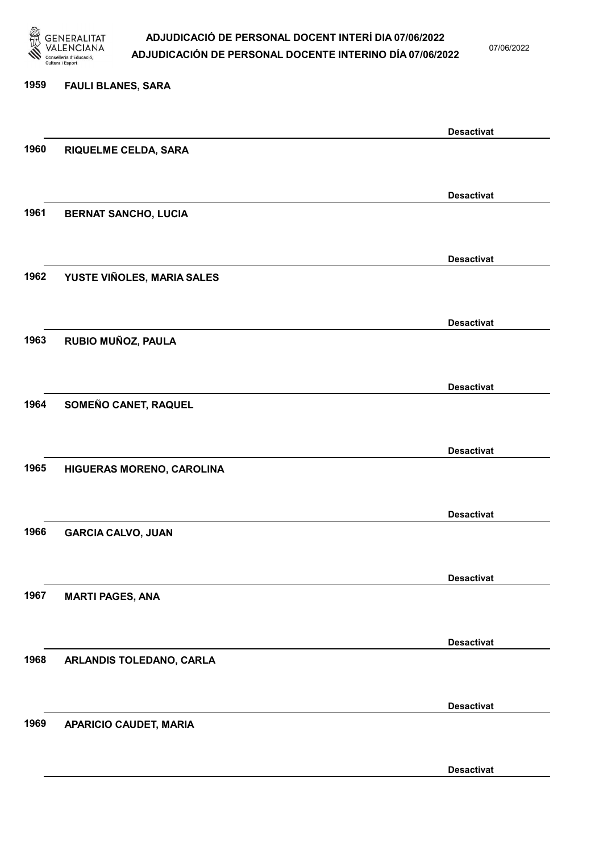

07/06/2022

Desactivat

# 1959 FAULI BLANES, SARA Desactivat 1960 RIQUELME CELDA, SARA Desactivat 1961 BERNAT SANCHO, LUCIA Desactivat 1962 YUSTE VIÑOLES, MARIA SALES Desactivat 1963 RUBIO MUÑOZ, PAULA Desactivat 1964 SOMEÑO CANET, RAQUEL Desactivat 1965 HIGUERAS MORENO, CAROLINA Desactivat 1966 GARCIA CALVO, JUAN Desactivat 1967 MARTI PAGES, ANA Desactivat 1968 ARLANDIS TOLEDANO, CARLA Desactivat 1969 APARICIO CAUDET, MARIA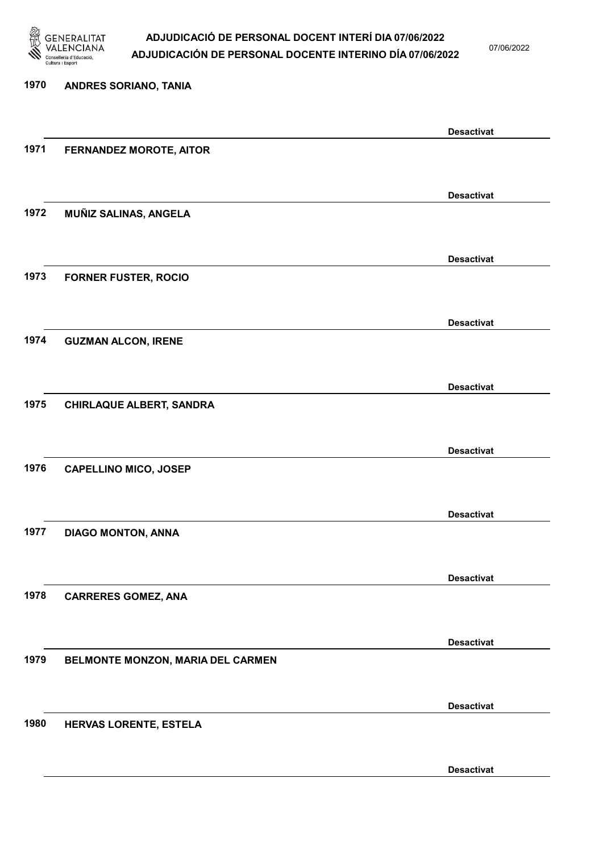

07/06/2022

### 1970 ANDRES SORIANO, TANIA Desactivat 1971 FERNANDEZ MOROTE, AITOR Desactivat 1972 MUÑIZ SALINAS, ANGELA Desactivat 1973 FORNER FUSTER, ROCIO Desactivat 1974 GUZMAN ALCON, IRENE Desactivat 1975 CHIRLAQUE ALBERT, SANDRA Desactivat 1976 CAPELLINO MICO, JOSEP Desactivat 1977 DIAGO MONTON, ANNA Desactivat 1978 CARRERES GOMEZ, ANA Desactivat 1979 BELMONTE MONZON, MARIA DEL CARMEN Desactivat 1980 HERVAS LORENTE, ESTELA Desactivat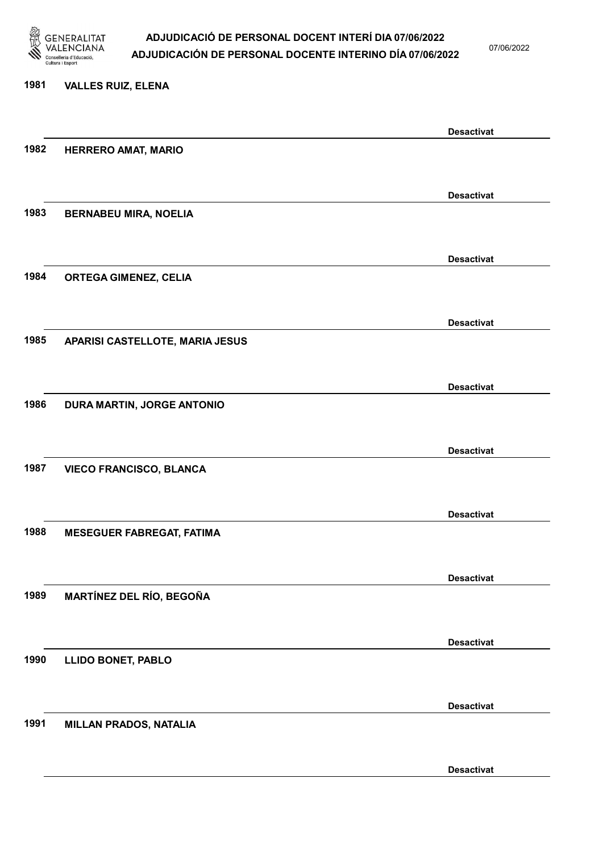

07/06/2022

#### 1981 VALLES RUIZ, ELENA

|      |                                  | <b>Desactivat</b> |
|------|----------------------------------|-------------------|
| 1982 | <b>HERRERO AMAT, MARIO</b>       |                   |
|      |                                  |                   |
|      |                                  | <b>Desactivat</b> |
| 1983 |                                  |                   |
|      | <b>BERNABEU MIRA, NOELIA</b>     |                   |
|      |                                  |                   |
|      |                                  | <b>Desactivat</b> |
| 1984 | <b>ORTEGA GIMENEZ, CELIA</b>     |                   |
|      |                                  |                   |
|      |                                  | <b>Desactivat</b> |
| 1985 | APARISI CASTELLOTE, MARIA JESUS  |                   |
|      |                                  |                   |
|      |                                  |                   |
|      |                                  | <b>Desactivat</b> |
| 1986 | DURA MARTIN, JORGE ANTONIO       |                   |
|      |                                  |                   |
|      |                                  | <b>Desactivat</b> |
| 1987 | <b>VIECO FRANCISCO, BLANCA</b>   |                   |
|      |                                  |                   |
|      |                                  |                   |
|      |                                  | <b>Desactivat</b> |
| 1988 | <b>MESEGUER FABREGAT, FATIMA</b> |                   |
|      |                                  |                   |
|      |                                  | <b>Desactivat</b> |
| 1989 | <b>MARTÍNEZ DEL RÍO, BEGOÑA</b>  |                   |
|      |                                  |                   |
|      |                                  | <b>Desactivat</b> |
| 1990 | <b>LLIDO BONET, PABLO</b>        |                   |
|      |                                  |                   |
|      |                                  |                   |
|      |                                  | <b>Desactivat</b> |
| 1991 | <b>MILLAN PRADOS, NATALIA</b>    |                   |
|      |                                  |                   |
|      |                                  | <b>Desactivat</b> |
|      |                                  |                   |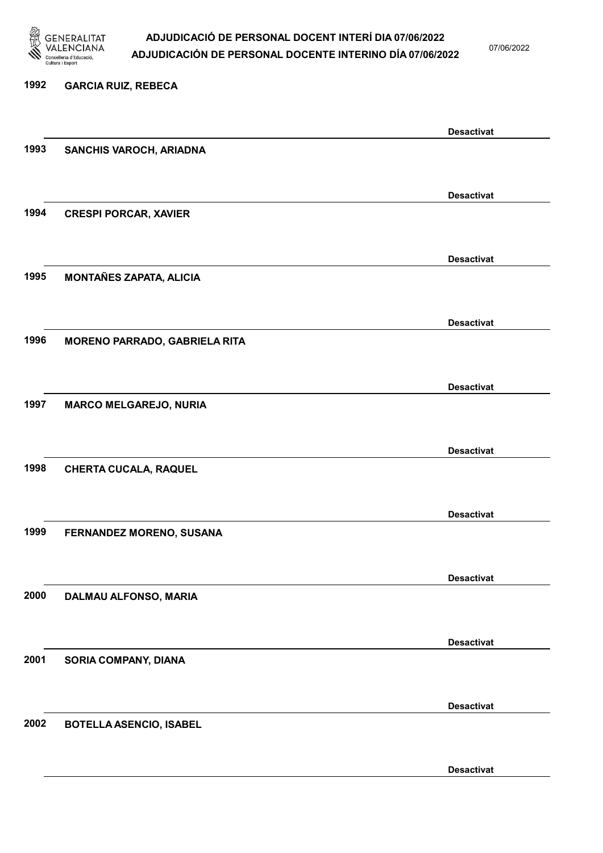

07/06/2022

#### 1992 GARCIA RUIZ, REBECA

|      |                                      | <b>Desactivat</b> |
|------|--------------------------------------|-------------------|
| 1993 | SANCHIS VAROCH, ARIADNA              |                   |
|      |                                      |                   |
|      |                                      |                   |
|      |                                      | <b>Desactivat</b> |
| 1994 | <b>CRESPI PORCAR, XAVIER</b>         |                   |
|      |                                      |                   |
|      |                                      | <b>Desactivat</b> |
| 1995 | <b>MONTAÑES ZAPATA, ALICIA</b>       |                   |
|      |                                      |                   |
|      |                                      |                   |
|      |                                      | <b>Desactivat</b> |
| 1996 | <b>MORENO PARRADO, GABRIELA RITA</b> |                   |
|      |                                      |                   |
|      |                                      | <b>Desactivat</b> |
| 1997 | <b>MARCO MELGAREJO, NURIA</b>        |                   |
|      |                                      |                   |
|      |                                      |                   |
|      |                                      | <b>Desactivat</b> |
| 1998 | <b>CHERTA CUCALA, RAQUEL</b>         |                   |
|      |                                      |                   |
|      |                                      | <b>Desactivat</b> |
| 1999 | FERNANDEZ MORENO, SUSANA             |                   |
|      |                                      |                   |
|      |                                      |                   |
|      |                                      | <b>Desactivat</b> |
| 2000 | DALMAU ALFONSO, MARIA                |                   |
|      |                                      |                   |
|      |                                      | <b>Desactivat</b> |
| 2001 | <b>SORIA COMPANY, DIANA</b>          |                   |
|      |                                      |                   |
|      |                                      |                   |
|      |                                      | <b>Desactivat</b> |
| 2002 | <b>BOTELLA ASENCIO, ISABEL</b>       |                   |
|      |                                      |                   |
|      |                                      | <b>Desactivat</b> |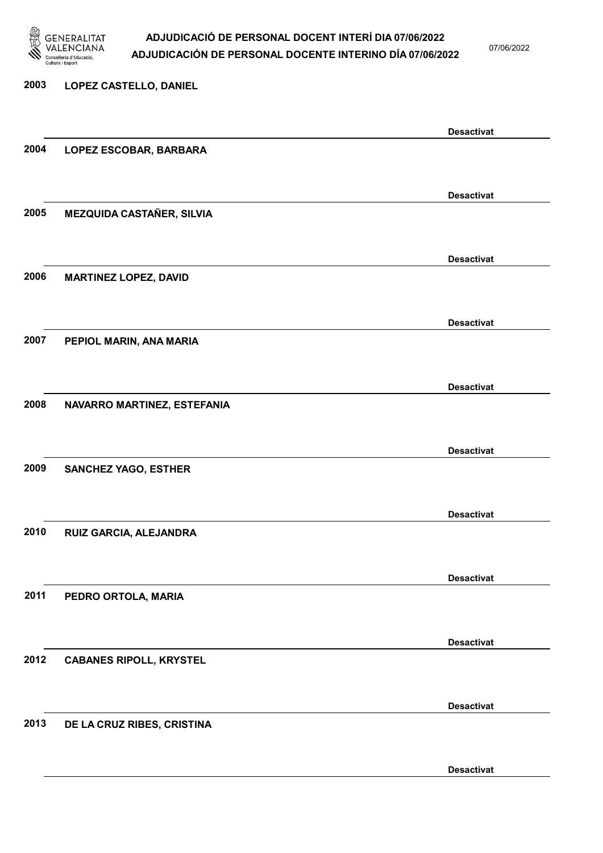

07/06/2022

Desactivat

# 2003 LOPEZ CASTELLO, DANIEL Desactivat 2004 LOPEZ ESCOBAR, BARBARA Desactivat 2005 MEZQUIDA CASTAÑER, SILVIA Desactivat 2006 MARTINEZ LOPEZ, DAVID Desactivat 2007 PEPIOL MARIN, ANA MARIA Desactivat 2008 NAVARRO MARTINEZ, ESTEFANIA Desactivat 2009 SANCHEZ YAGO, ESTHER Desactivat 2010 RUIZ GARCIA, ALEJANDRA Desactivat 2011 PEDRO ORTOLA, MARIA Desactivat 2012 CABANES RIPOLL, KRYSTEL Desactivat 2013 DE LA CRUZ RIBES, CRISTINA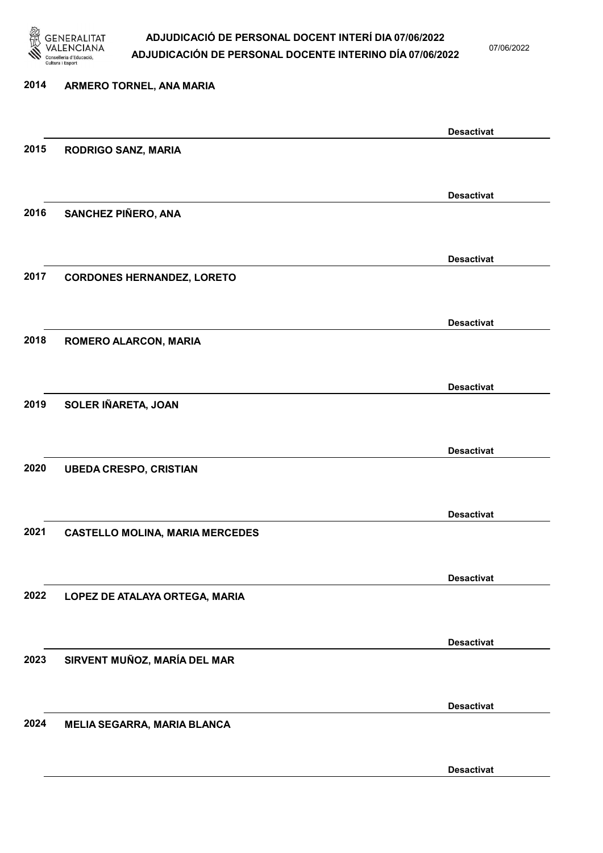

07/06/2022

### 2014 ARMERO TORNEL, ANA MARIA Desactivat 2015 RODRIGO SANZ, MARIA Desactivat 2016 SANCHEZ PIÑERO, ANA Desactivat 2017 CORDONES HERNANDEZ, LORETO Desactivat 2018 ROMERO ALARCON, MARIA Desactivat 2019 SOLER IÑARETA, JOAN Desactivat 2020 UBEDA CRESPO, CRISTIAN Desactivat 2021 CASTELLO MOLINA, MARIA MERCEDES Desactivat 2022 LOPEZ DE ATALAYA ORTEGA, MARIA Desactivat 2023 SIRVENT MUÑOZ, MARÍA DEL MAR Desactivat 2024 MELIA SEGARRA, MARIA BLANCA

Desactivat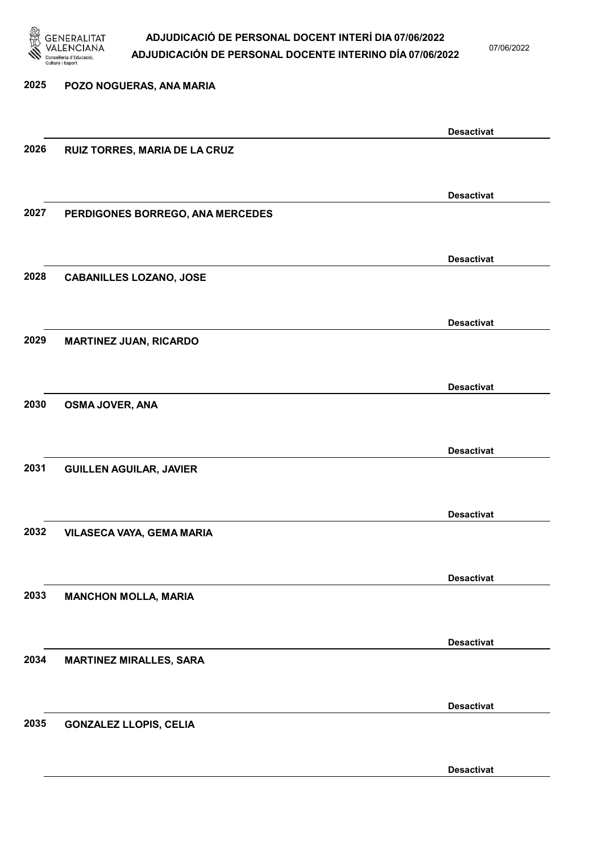

07/06/2022

Desactivat

## 2025 POZO NOGUERAS, ANA MARIA Desactivat 2026 RUIZ TORRES, MARIA DE LA CRUZ Desactivat 2027 PERDIGONES BORREGO, ANA MERCEDES Desactivat 2028 CABANILLES LOZANO, JOSE Desactivat 2029 MARTINEZ JUAN, RICARDO Desactivat 2030 OSMA JOVER, ANA Desactivat 2031 GUILLEN AGUILAR, JAVIER Desactivat 2032 VILASECA VAYA, GEMA MARIA Desactivat 2033 MANCHON MOLLA, MARIA Desactivat 2034 MARTINEZ MIRALLES, SARA Desactivat 2035 GONZALEZ LLOPIS, CELIA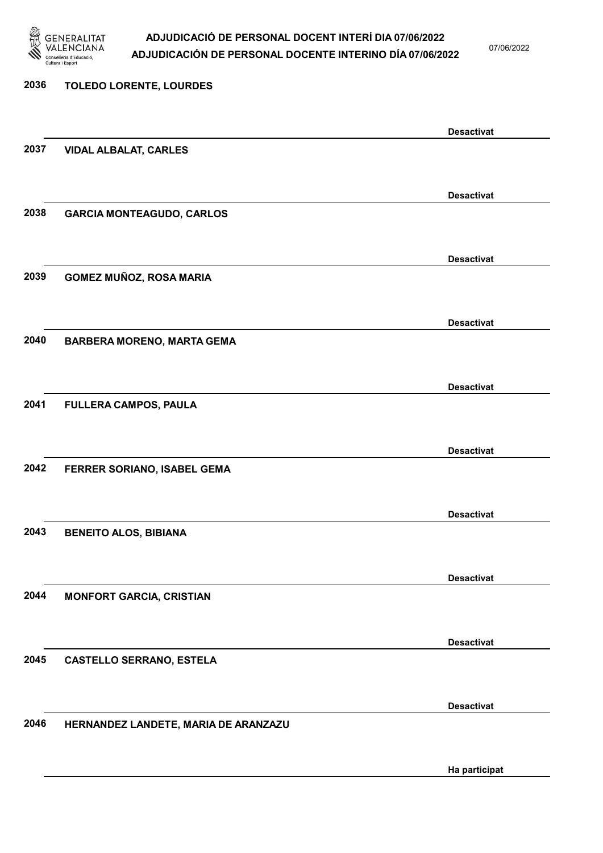

07/06/2022

Ha participat

# 2036 TOLEDO LORENTE, LOURDES Desactivat 2037 VIDAL ALBALAT, CARLES Desactivat 2038 GARCIA MONTEAGUDO, CARLOS Desactivat 2039 GOMEZ MUÑOZ, ROSA MARIA Desactivat 2040 BARBERA MORENO, MARTA GEMA Desactivat 2041 FULLERA CAMPOS, PAULA Desactivat 2042 FERRER SORIANO, ISABEL GEMA Desactivat 2043 BENEITO ALOS, BIBIANA Desactivat 2044 MONFORT GARCIA, CRISTIAN Desactivat 2045 CASTELLO SERRANO, ESTELA Desactivat 2046 HERNANDEZ LANDETE, MARIA DE ARANZAZU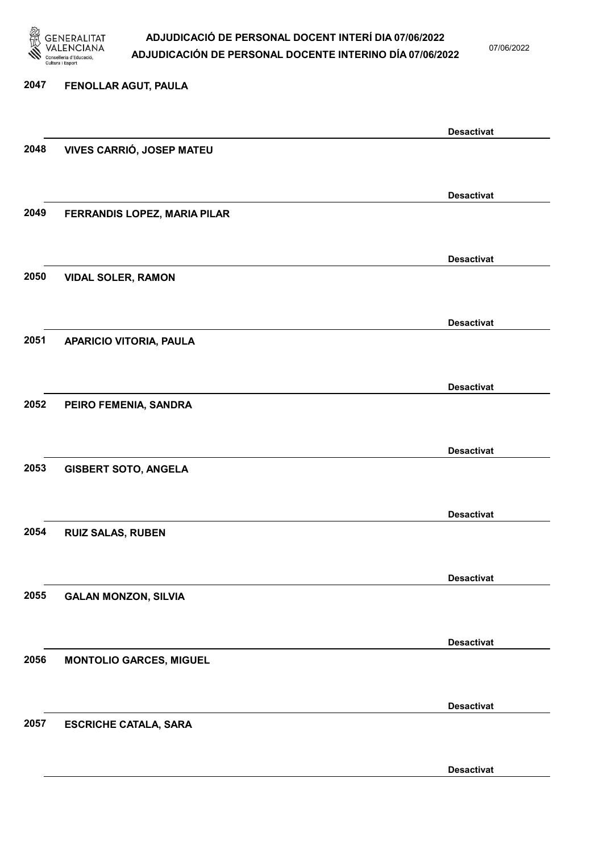

07/06/2022

Desactivat

# 2047 FENOLLAR AGUT, PAULA Desactivat 2048 VIVES CARRIÓ, JOSEP MATEU Desactivat 2049 FERRANDIS LOPEZ, MARIA PILAR Desactivat 2050 VIDAL SOLER, RAMON Desactivat 2051 APARICIO VITORIA, PAULA Desactivat 2052 PEIRO FEMENIA, SANDRA Desactivat 2053 GISBERT SOTO, ANGELA Desactivat 2054 RUIZ SALAS, RUBEN Desactivat 2055 GALAN MONZON, SILVIA Desactivat 2056 MONTOLIO GARCES, MIGUEL Desactivat 2057 ESCRICHE CATALA, SARA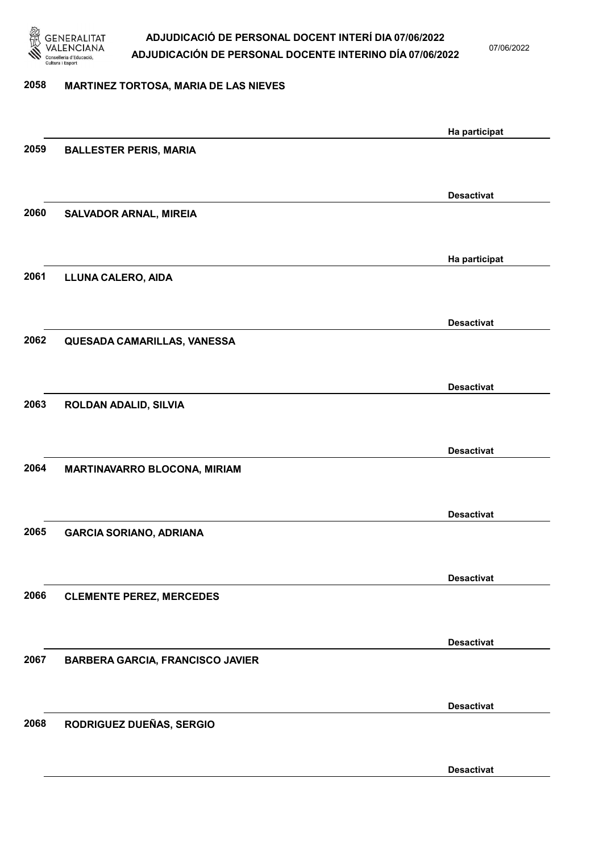

07/06/2022

#### 2058 MARTINEZ TORTOSA, MARIA DE LAS NIEVES

|      |                                         | Ha participat     |
|------|-----------------------------------------|-------------------|
| 2059 | <b>BALLESTER PERIS, MARIA</b>           |                   |
|      |                                         |                   |
|      |                                         | <b>Desactivat</b> |
| 2060 | <b>SALVADOR ARNAL, MIREIA</b>           |                   |
|      |                                         |                   |
|      |                                         |                   |
|      |                                         | Ha participat     |
| 2061 | LLUNA CALERO, AIDA                      |                   |
|      |                                         |                   |
|      |                                         | <b>Desactivat</b> |
| 2062 | QUESADA CAMARILLAS, VANESSA             |                   |
|      |                                         |                   |
|      |                                         | <b>Desactivat</b> |
| 2063 | ROLDAN ADALID, SILVIA                   |                   |
|      |                                         |                   |
|      |                                         |                   |
|      |                                         | <b>Desactivat</b> |
| 2064 | MARTINAVARRO BLOCONA, MIRIAM            |                   |
|      |                                         |                   |
|      |                                         | <b>Desactivat</b> |
| 2065 | <b>GARCIA SORIANO, ADRIANA</b>          |                   |
|      |                                         |                   |
|      |                                         | <b>Desactivat</b> |
| 2066 | <b>CLEMENTE PEREZ, MERCEDES</b>         |                   |
|      |                                         |                   |
|      |                                         |                   |
|      |                                         | <b>Desactivat</b> |
| 2067 | <b>BARBERA GARCIA, FRANCISCO JAVIER</b> |                   |
|      |                                         |                   |
|      |                                         | <b>Desactivat</b> |
| 2068 | RODRIGUEZ DUEÑAS, SERGIO                |                   |
|      |                                         |                   |
|      |                                         | <b>Desactivat</b> |
|      |                                         |                   |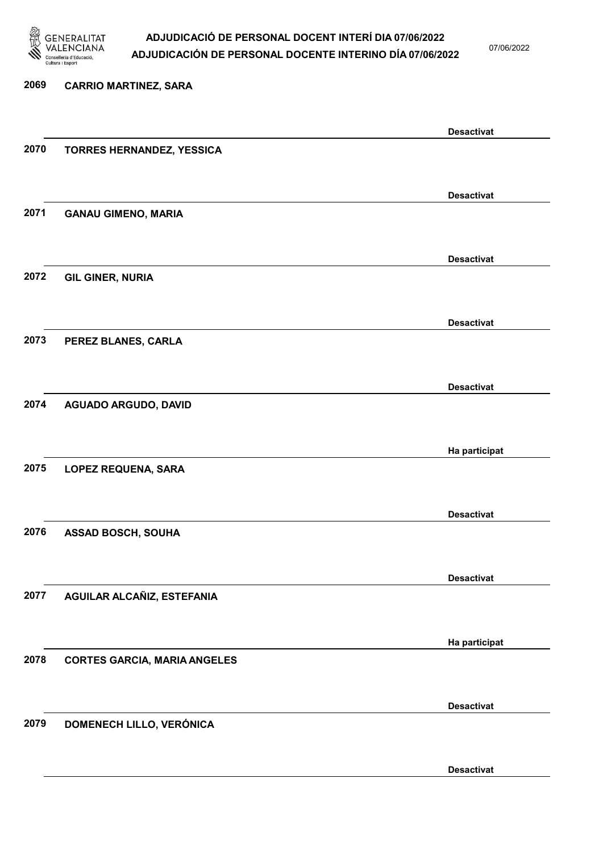

07/06/2022

Desactivat

# 2069 CARRIO MARTINEZ, SARA Desactivat 2070 TORRES HERNANDEZ, YESSICA Desactivat 2071 GANAU GIMENO, MARIA Desactivat 2072 GIL GINER, NURIA Desactivat 2073 PEREZ BLANES, CARLA Desactivat 2074 AGUADO ARGUDO, DAVID Ha participat 2075 LOPEZ REQUENA, SARA Desactivat 2076 ASSAD BOSCH, SOUHA Desactivat 2077 AGUILAR ALCAÑIZ, ESTEFANIA Ha participat 2078 CORTES GARCIA, MARIA ANGELES Desactivat 2079 DOMENECH LILLO, VERÓNICA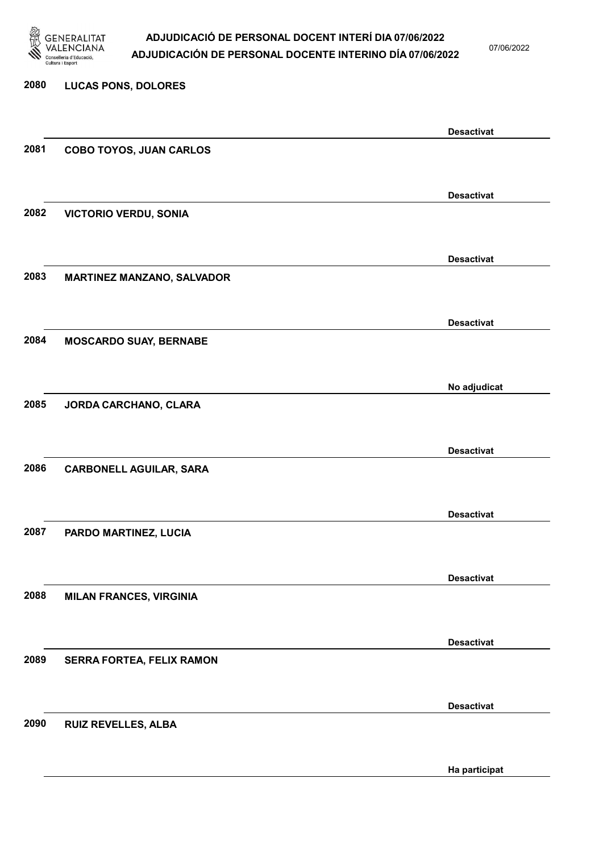

07/06/2022

Ha participat

# 2080 LUCAS PONS, DOLORES Desactivat 2081 COBO TOYOS, JUAN CARLOS Desactivat 2082 VICTORIO VERDU, SONIA Desactivat 2083 MARTINEZ MANZANO, SALVADOR Desactivat 2084 MOSCARDO SUAY, BERNABE No adjudicat 2085 JORDA CARCHANO, CLARA Desactivat 2086 CARBONELL AGUILAR, SARA Desactivat 2087 PARDO MARTINEZ, LUCIA Desactivat 2088 MILAN FRANCES, VIRGINIA Desactivat 2089 SERRA FORTEA, FELIX RAMON Desactivat 2090 RUIZ REVELLES, ALBA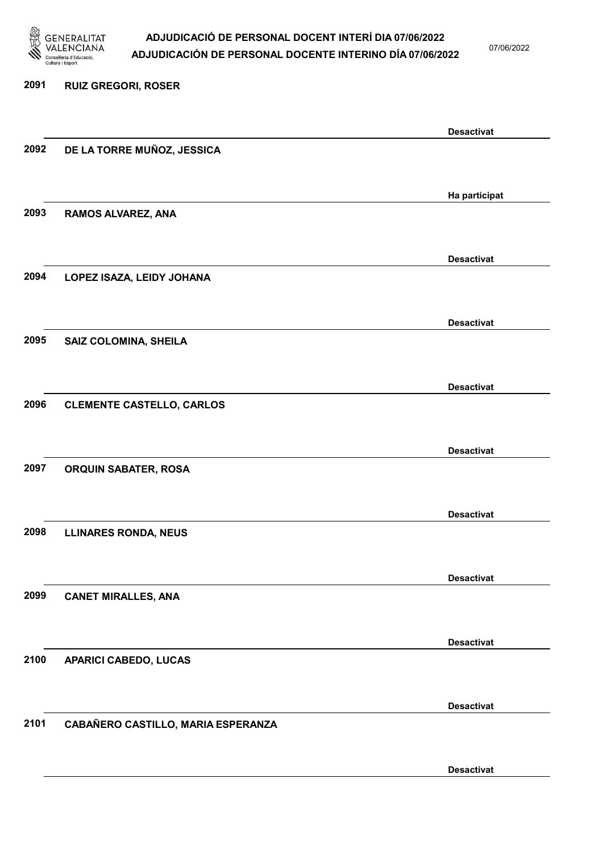

07/06/2022

### 2091 RUIZ GREGORI, ROSER Desactivat 2092 DE LA TORRE MUÑOZ, JESSICA Ha participat 2093 RAMOS ALVAREZ, ANA Desactivat 2094 LOPEZ ISAZA, LEIDY JOHANA Desactivat 2095 SAIZ COLOMINA, SHEILA Desactivat 2096 CLEMENTE CASTELLO, CARLOS Desactivat 2097 ORQUIN SABATER, ROSA Desactivat 2098 LLINARES RONDA, NEUS Desactivat 2099 CANET MIRALLES, ANA Desactivat 2100 APARICI CABEDO, LUCAS Desactivat 2101 CABAÑERO CASTILLO, MARIA ESPERANZA Desactivat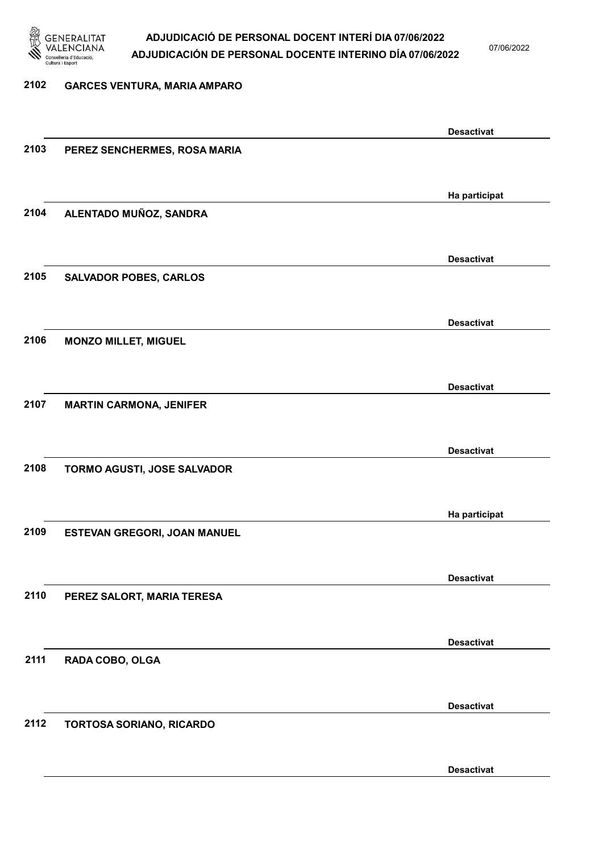

07/06/2022

Desactivat

### 2102 GARCES VENTURA, MARIA AMPARO Desactivat 2103 PEREZ SENCHERMES, ROSA MARIA Ha participat 2104 ALENTADO MUÑOZ, SANDRA Desactivat 2105 SALVADOR POBES, CARLOS Desactivat 2106 MONZO MILLET, MIGUEL Desactivat 2107 MARTIN CARMONA, JENIFER Desactivat 2108 TORMO AGUSTI, JOSE SALVADOR Ha participat 2109 ESTEVAN GREGORI, JOAN MANUEL Desactivat 2110 PEREZ SALORT, MARIA TERESA Desactivat 2111 RADA COBO, OLGA Desactivat 2112 TORTOSA SORIANO, RICARDO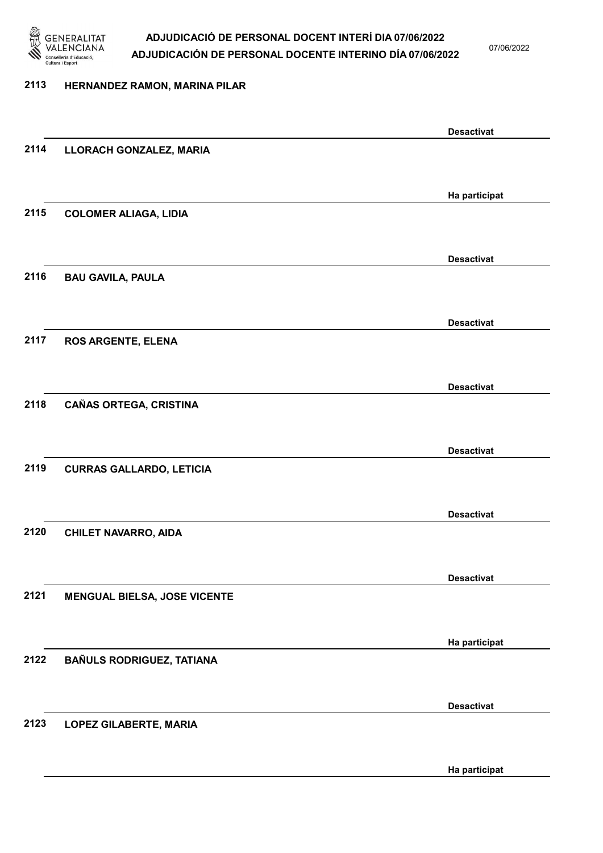

07/06/2022

#### 2113 HERNANDEZ RAMON, MARINA PILAR

|      |                                     | <b>Desactivat</b> |
|------|-------------------------------------|-------------------|
| 2114 | LLORACH GONZALEZ, MARIA             |                   |
|      |                                     |                   |
|      |                                     | Ha participat     |
| 2115 | <b>COLOMER ALIAGA, LIDIA</b>        |                   |
|      |                                     |                   |
|      |                                     |                   |
|      |                                     | <b>Desactivat</b> |
| 2116 | <b>BAU GAVILA, PAULA</b>            |                   |
|      |                                     |                   |
|      |                                     | <b>Desactivat</b> |
| 2117 | <b>ROS ARGENTE, ELENA</b>           |                   |
|      |                                     |                   |
|      |                                     | <b>Desactivat</b> |
| 2118 | <b>CAÑAS ORTEGA, CRISTINA</b>       |                   |
|      |                                     |                   |
|      |                                     | <b>Desactivat</b> |
| 2119 | <b>CURRAS GALLARDO, LETICIA</b>     |                   |
|      |                                     |                   |
|      |                                     |                   |
|      |                                     | <b>Desactivat</b> |
| 2120 | <b>CHILET NAVARRO, AIDA</b>         |                   |
|      |                                     |                   |
|      |                                     | <b>Desactivat</b> |
| 2121 | <b>MENGUAL BIELSA, JOSE VICENTE</b> |                   |
|      |                                     |                   |
|      |                                     | Ha participat     |
| 2122 | <b>BAÑULS RODRIGUEZ, TATIANA</b>    |                   |
|      |                                     |                   |
|      |                                     |                   |
| 2123 |                                     | <b>Desactivat</b> |
|      | LOPEZ GILABERTE, MARIA              |                   |
|      |                                     |                   |
|      |                                     | Ha participat     |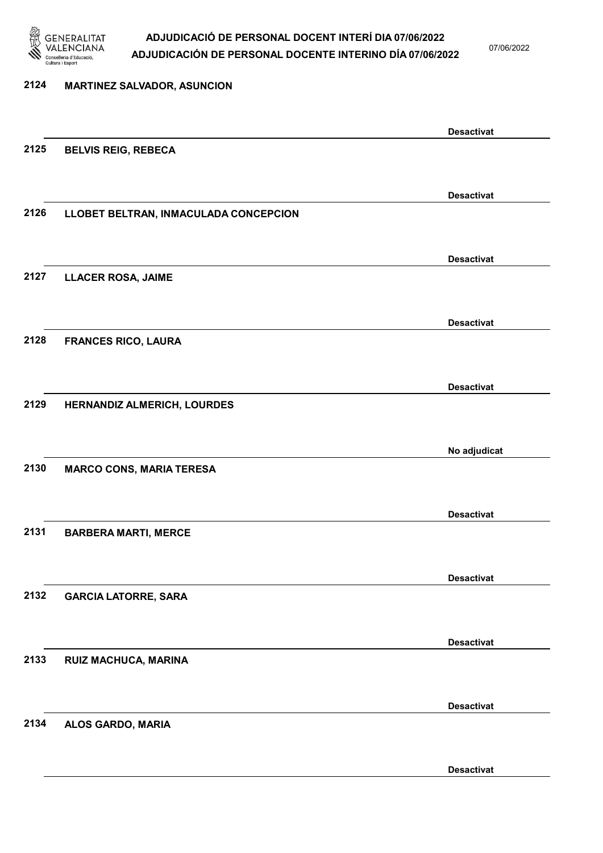

07/06/2022

Desactivat

## 2124 MARTINEZ SALVADOR, ASUNCION Desactivat 2125 BELVIS REIG, REBECA Desactivat 2126 LLOBET BELTRAN, INMACULADA CONCEPCION Desactivat 2127 LLACER ROSA, JAIME Desactivat 2128 FRANCES RICO, LAURA Desactivat 2129 HERNANDIZ ALMERICH, LOURDES No adjudicat 2130 MARCO CONS, MARIA TERESA Desactivat 2131 BARBERA MARTI, MERCE Desactivat 2132 GARCIA LATORRE, SARA Desactivat 2133 RUIZ MACHUCA, MARINA Desactivat 2134 ALOS GARDO, MARIA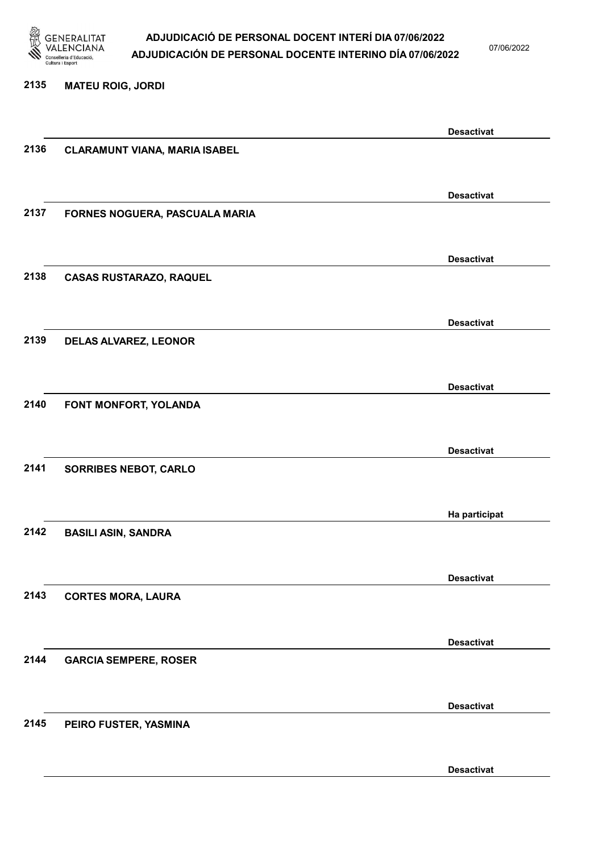

07/06/2022

#### 2135 MATEU ROIG, JORDI

|      |                                      | <b>Desactivat</b> |
|------|--------------------------------------|-------------------|
| 2136 | <b>CLARAMUNT VIANA, MARIA ISABEL</b> |                   |
|      |                                      |                   |
|      |                                      |                   |
| 2137 |                                      | <b>Desactivat</b> |
|      | FORNES NOGUERA, PASCUALA MARIA       |                   |
|      |                                      |                   |
|      |                                      | <b>Desactivat</b> |
| 2138 | <b>CASAS RUSTARAZO, RAQUEL</b>       |                   |
|      |                                      |                   |
|      |                                      | <b>Desactivat</b> |
| 2139 | <b>DELAS ALVAREZ, LEONOR</b>         |                   |
|      |                                      |                   |
|      |                                      |                   |
|      |                                      | <b>Desactivat</b> |
| 2140 | FONT MONFORT, YOLANDA                |                   |
|      |                                      |                   |
|      |                                      | <b>Desactivat</b> |
| 2141 | <b>SORRIBES NEBOT, CARLO</b>         |                   |
|      |                                      |                   |
|      |                                      |                   |
|      |                                      | Ha participat     |
| 2142 | <b>BASILI ASIN, SANDRA</b>           |                   |
|      |                                      |                   |
|      |                                      | <b>Desactivat</b> |
| 2143 | <b>CORTES MORA, LAURA</b>            |                   |
|      |                                      |                   |
|      |                                      | <b>Desactivat</b> |
| 2144 | <b>GARCIA SEMPERE, ROSER</b>         |                   |
|      |                                      |                   |
|      |                                      |                   |
|      |                                      | <b>Desactivat</b> |
| 2145 | PEIRO FUSTER, YASMINA                |                   |
|      |                                      |                   |
|      |                                      | <b>Desactivat</b> |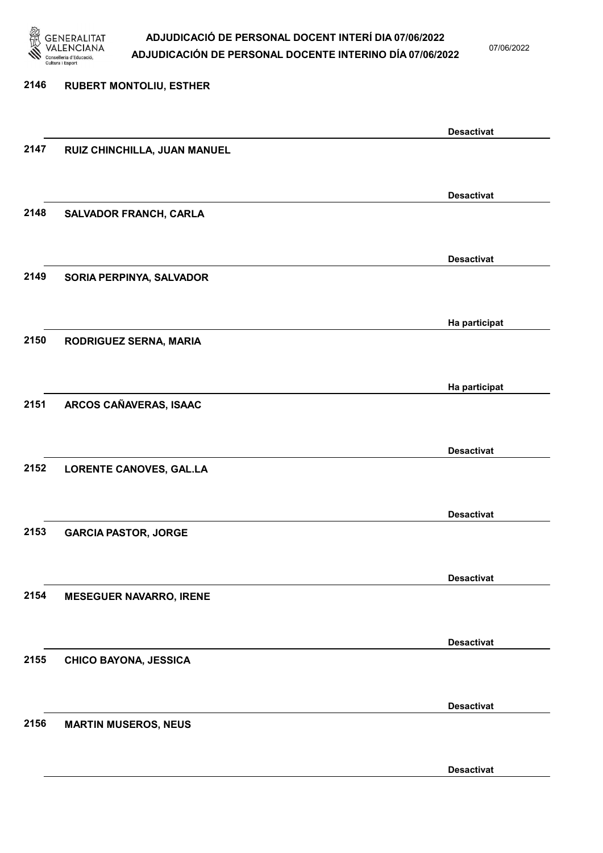

07/06/2022

Desactivat

# 2146 RUBERT MONTOLIU, ESTHER Desactivat 2147 RUIZ CHINCHILLA, JUAN MANUEL Desactivat 2148 SALVADOR FRANCH, CARLA Desactivat 2149 SORIA PERPINYA, SALVADOR Ha participat 2150 RODRIGUEZ SERNA, MARIA Ha participat 2151 ARCOS CAÑAVERAS, ISAAC Desactivat 2152 LORENTE CANOVES, GAL.LA Desactivat 2153 GARCIA PASTOR, JORGE Desactivat 2154 MESEGUER NAVARRO, IRENE Desactivat 2155 CHICO BAYONA, JESSICA Desactivat 2156 MARTIN MUSEROS, NEUS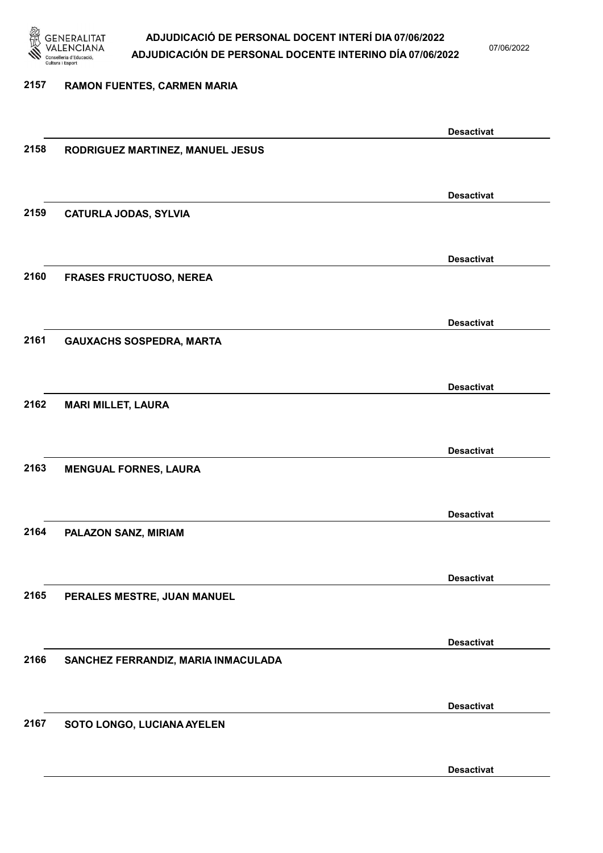

07/06/2022

Desactivat

# 2157 RAMON FUENTES, CARMEN MARIA Desactivat 2158 RODRIGUEZ MARTINEZ, MANUEL JESUS Desactivat 2159 CATURLA JODAS, SYLVIA Desactivat 2160 FRASES FRUCTUOSO, NEREA Desactivat 2161 GAUXACHS SOSPEDRA, MARTA Desactivat 2162 MARI MILLET, LAURA Desactivat 2163 MENGUAL FORNES, LAURA Desactivat 2164 PALAZON SANZ, MIRIAM Desactivat 2165 PERALES MESTRE, JUAN MANUEL Desactivat 2166 SANCHEZ FERRANDIZ, MARIA INMACULADA Desactivat 2167 SOTO LONGO, LUCIANA AYELEN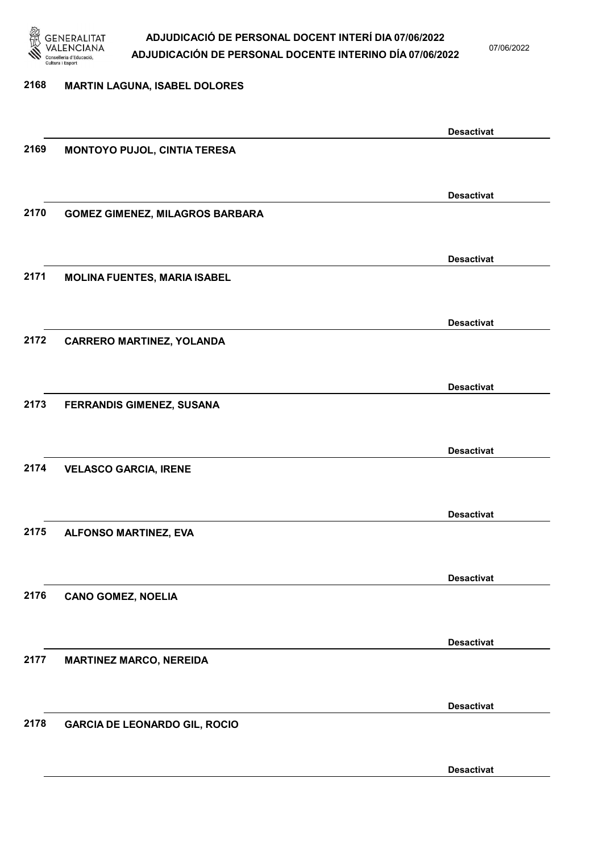

07/06/2022

### 2168 MARTIN LAGUNA, ISABEL DOLORES

|      |                                        | <b>Desactivat</b> |
|------|----------------------------------------|-------------------|
| 2169 | MONTOYO PUJOL, CINTIA TERESA           |                   |
|      |                                        |                   |
|      |                                        | <b>Desactivat</b> |
| 2170 | <b>GOMEZ GIMENEZ, MILAGROS BARBARA</b> |                   |
|      |                                        |                   |
|      |                                        |                   |
|      |                                        | <b>Desactivat</b> |
| 2171 | <b>MOLINA FUENTES, MARIA ISABEL</b>    |                   |
|      |                                        |                   |
|      |                                        | <b>Desactivat</b> |
| 2172 | <b>CARRERO MARTINEZ, YOLANDA</b>       |                   |
|      |                                        |                   |
|      |                                        | <b>Desactivat</b> |
| 2173 | FERRANDIS GIMENEZ, SUSANA              |                   |
|      |                                        |                   |
|      |                                        |                   |
|      |                                        | <b>Desactivat</b> |
| 2174 | <b>VELASCO GARCIA, IRENE</b>           |                   |
|      |                                        |                   |
|      |                                        | <b>Desactivat</b> |
| 2175 | <b>ALFONSO MARTINEZ, EVA</b>           |                   |
|      |                                        |                   |
|      |                                        | <b>Desactivat</b> |
| 2176 | <b>CANO GOMEZ, NOELIA</b>              |                   |
|      |                                        |                   |
|      |                                        |                   |
|      |                                        | <b>Desactivat</b> |
| 2177 | <b>MARTINEZ MARCO, NEREIDA</b>         |                   |
|      |                                        |                   |
|      |                                        | <b>Desactivat</b> |
| 2178 | <b>GARCIA DE LEONARDO GIL, ROCIO</b>   |                   |
|      |                                        |                   |
|      |                                        | <b>Desactivat</b> |
|      |                                        |                   |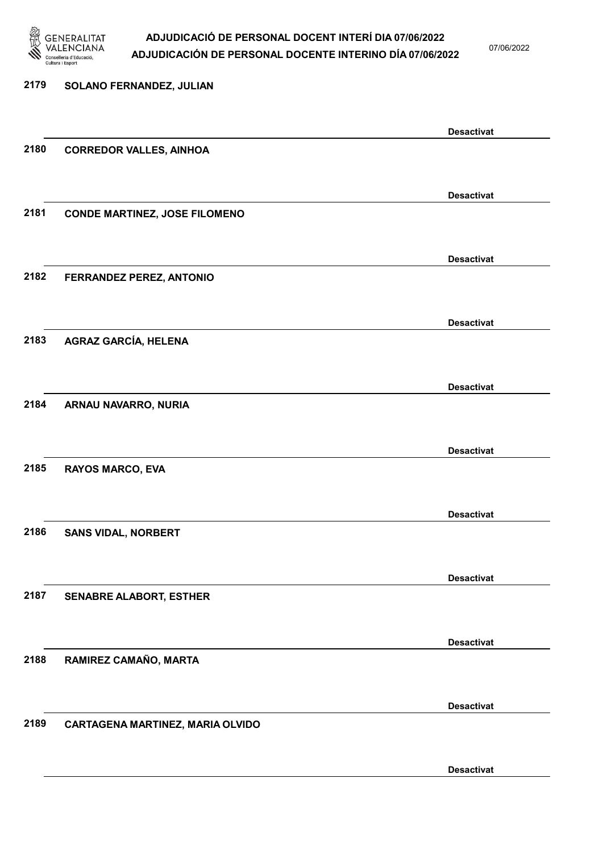

07/06/2022

### 2179 SOLANO FERNANDEZ, JULIAN Desactivat 2180 CORREDOR VALLES, AINHOA Desactivat 2181 CONDE MARTINEZ, JOSE FILOMENO Desactivat 2182 FERRANDEZ PEREZ, ANTONIO Desactivat 2183 AGRAZ GARCÍA, HELENA Desactivat 2184 ARNAU NAVARRO, NURIA Desactivat 2185 RAYOS MARCO, EVA Desactivat 2186 SANS VIDAL, NORBERT Desactivat 2187 SENABRE ALABORT, ESTHER Desactivat 2188 RAMIREZ CAMAÑO, MARTA Desactivat 2189 CARTAGENA MARTINEZ, MARIA OLVIDO Desactivat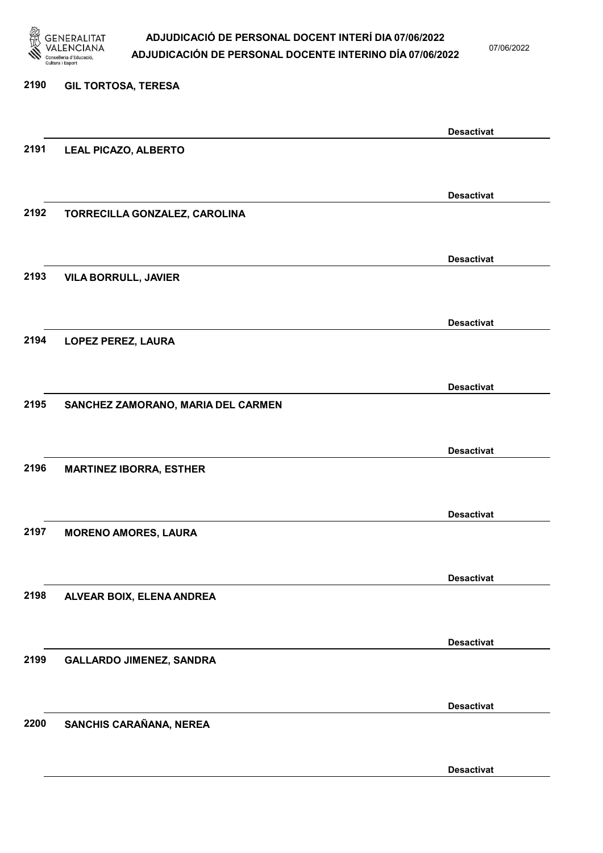

07/06/2022

Desactivat

# 2190 GIL TORTOSA, TERESA Desactivat 2191 LEAL PICAZO, ALBERTO Desactivat 2192 TORRECILLA GONZALEZ, CAROLINA Desactivat 2193 VILA BORRULL, JAVIER Desactivat 2194 LOPEZ PEREZ, LAURA Desactivat 2195 SANCHEZ ZAMORANO, MARIA DEL CARMEN Desactivat 2196 MARTINEZ IBORRA, ESTHER Desactivat 2197 MORENO AMORES, LAURA Desactivat 2198 ALVEAR BOIX, ELENA ANDREA Desactivat 2199 GALLARDO JIMENEZ, SANDRA Desactivat 2200 SANCHIS CARAÑANA, NEREA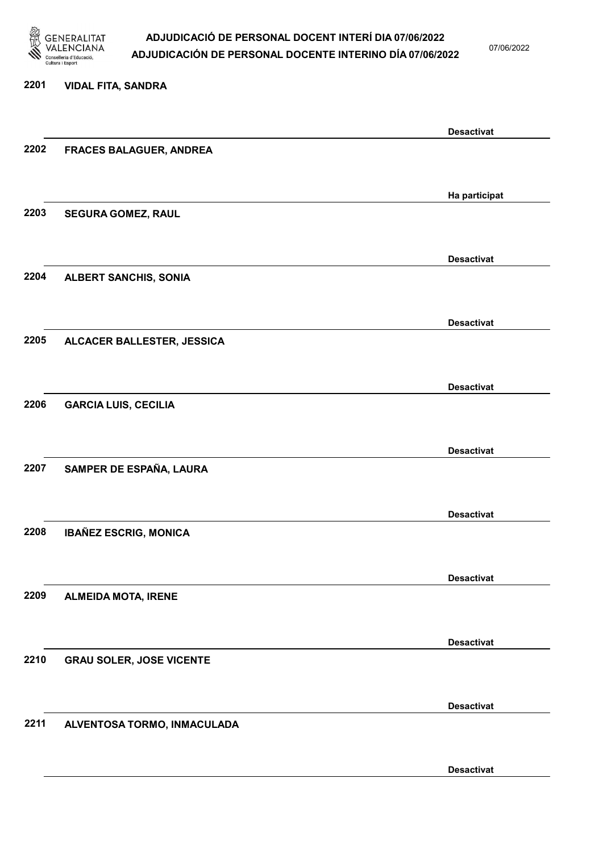

07/06/2022

#### 2201 VIDAL FITA, SANDRA

|      |                                 | <b>Desactivat</b> |
|------|---------------------------------|-------------------|
| 2202 | <b>FRACES BALAGUER, ANDREA</b>  |                   |
|      |                                 |                   |
|      |                                 |                   |
|      |                                 | Ha participat     |
|      |                                 |                   |
| 2203 | SEGURA GOMEZ, RAUL              |                   |
|      |                                 |                   |
|      |                                 |                   |
|      |                                 | <b>Desactivat</b> |
| 2204 | <b>ALBERT SANCHIS, SONIA</b>    |                   |
|      |                                 |                   |
|      |                                 |                   |
|      |                                 | <b>Desactivat</b> |
| 2205 | ALCACER BALLESTER, JESSICA      |                   |
|      |                                 |                   |
|      |                                 |                   |
|      |                                 | <b>Desactivat</b> |
| 2206 | <b>GARCIA LUIS, CECILIA</b>     |                   |
|      |                                 |                   |
|      |                                 |                   |
|      |                                 | <b>Desactivat</b> |
|      |                                 |                   |
| 2207 | SAMPER DE ESPAÑA, LAURA         |                   |
|      |                                 |                   |
|      |                                 |                   |
|      |                                 | <b>Desactivat</b> |
| 2208 | <b>IBAÑEZ ESCRIG, MONICA</b>    |                   |
|      |                                 |                   |
|      |                                 |                   |
|      |                                 | <b>Desactivat</b> |
| 2209 | <b>ALMEIDA MOTA, IRENE</b>      |                   |
|      |                                 |                   |
|      |                                 |                   |
|      |                                 | <b>Desactivat</b> |
| 2210 | <b>GRAU SOLER, JOSE VICENTE</b> |                   |
|      |                                 |                   |
|      |                                 |                   |
|      |                                 | <b>Desactivat</b> |
|      |                                 |                   |
| 2211 | ALVENTOSA TORMO, INMACULADA     |                   |
|      |                                 |                   |
|      |                                 |                   |
|      |                                 | <b>Desactivat</b> |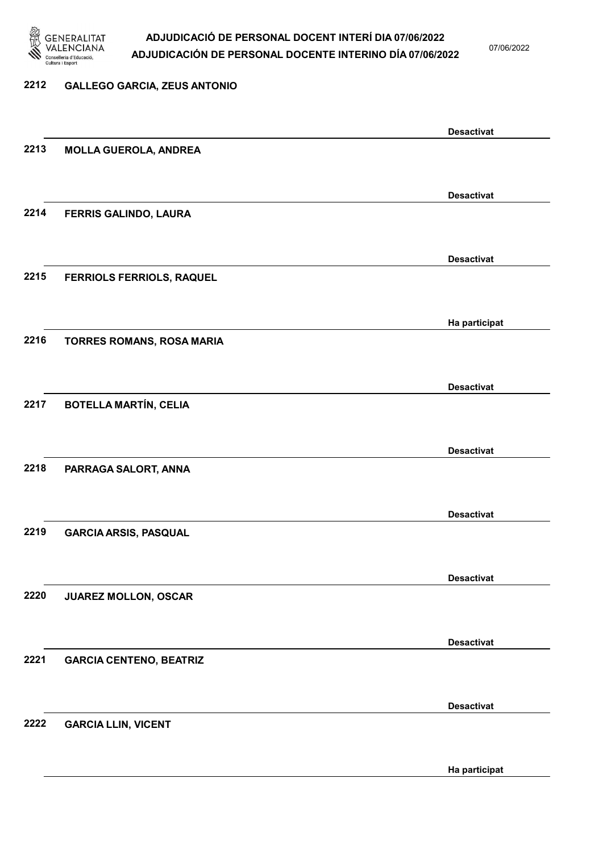

07/06/2022

#### 2212 GALLEGO GARCIA, ZEUS ANTONIO

Desactivat 2213 MOLLA GUEROLA, ANDREA Desactivat 2214 FERRIS GALINDO, LAURA Desactivat 2215 FERRIOLS FERRIOLS, RAQUEL Ha participat 2216 TORRES ROMANS, ROSA MARIA Desactivat 2217 BOTELLA MARTÍN, CELIA Desactivat 2218 PARRAGA SALORT, ANNA Desactivat 2219 GARCIA ARSIS, PASQUAL Desactivat 2220 JUAREZ MOLLON, OSCAR Desactivat 2221 GARCIA CENTENO, BEATRIZ Desactivat 2222 GARCIA LLIN, VICENT Ha participat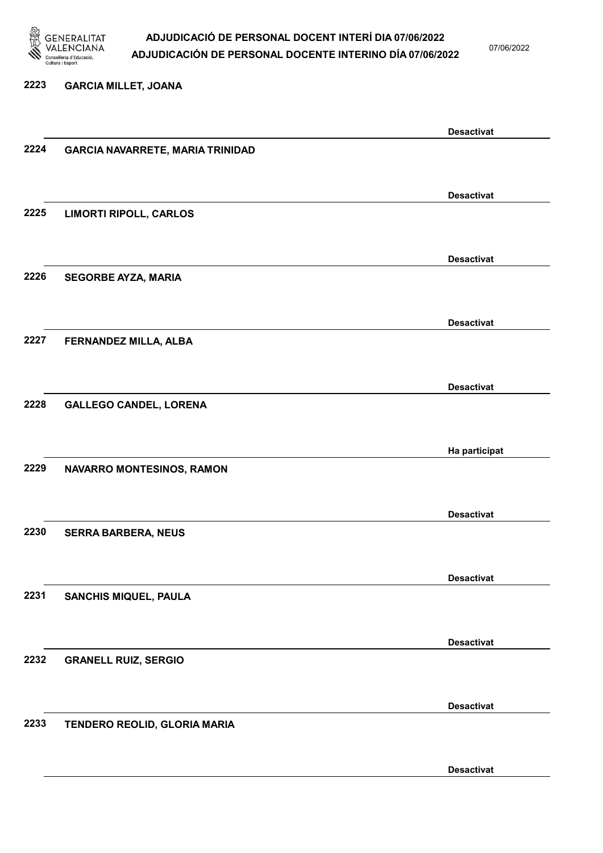

07/06/2022

#### 2223 GARCIA MILLET, JOANA

|      |                                         | <b>Desactivat</b> |
|------|-----------------------------------------|-------------------|
| 2224 | <b>GARCIA NAVARRETE, MARIA TRINIDAD</b> |                   |
|      |                                         |                   |
|      |                                         |                   |
|      |                                         |                   |
|      |                                         | <b>Desactivat</b> |
| 2225 | <b>LIMORTI RIPOLL, CARLOS</b>           |                   |
|      |                                         |                   |
|      |                                         |                   |
|      |                                         |                   |
|      |                                         | <b>Desactivat</b> |
| 2226 | <b>SEGORBE AYZA, MARIA</b>              |                   |
|      |                                         |                   |
|      |                                         |                   |
|      |                                         | <b>Desactivat</b> |
|      |                                         |                   |
| 2227 | FERNANDEZ MILLA, ALBA                   |                   |
|      |                                         |                   |
|      |                                         |                   |
|      |                                         | <b>Desactivat</b> |
| 2228 | <b>GALLEGO CANDEL, LORENA</b>           |                   |
|      |                                         |                   |
|      |                                         |                   |
|      |                                         |                   |
|      |                                         | Ha participat     |
| 2229 | NAVARRO MONTESINOS, RAMON               |                   |
|      |                                         |                   |
|      |                                         |                   |
|      |                                         | <b>Desactivat</b> |
| 2230 |                                         |                   |
|      | <b>SERRA BARBERA, NEUS</b>              |                   |
|      |                                         |                   |
|      |                                         |                   |
|      |                                         | <b>Desactivat</b> |
| 2231 | SANCHIS MIQUEL, PAULA                   |                   |
|      |                                         |                   |
|      |                                         |                   |
|      |                                         |                   |
|      |                                         | <b>Desactivat</b> |
| 2232 | <b>GRANELL RUIZ, SERGIO</b>             |                   |
|      |                                         |                   |
|      |                                         |                   |
|      |                                         | <b>Desactivat</b> |
|      |                                         |                   |
| 2233 | TENDERO REOLID, GLORIA MARIA            |                   |
|      |                                         |                   |
|      |                                         |                   |
|      |                                         | <b>Desactivat</b> |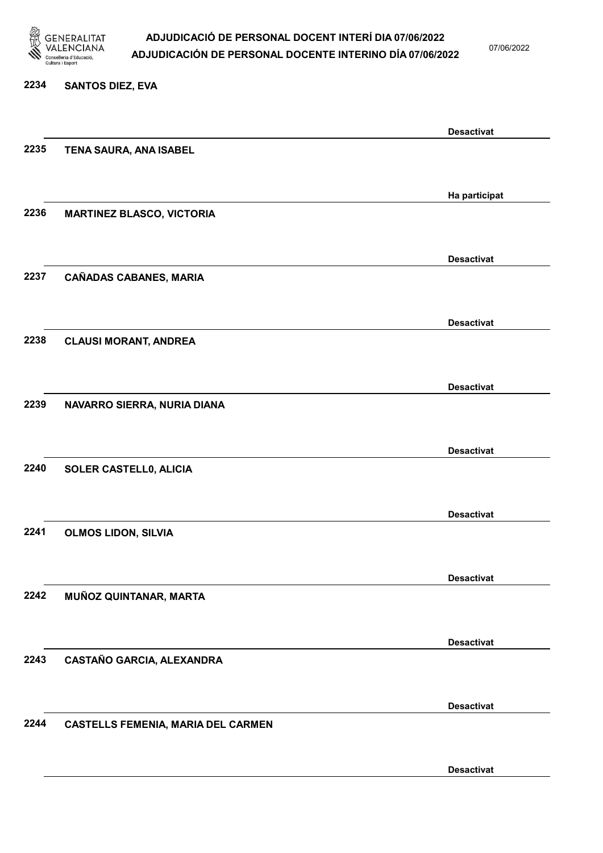

07/06/2022

#### 2234 SANTOS DIEZ, EVA

|      |                                           | <b>Desactivat</b> |
|------|-------------------------------------------|-------------------|
| 2235 | TENA SAURA, ANA ISABEL                    |                   |
|      |                                           |                   |
|      |                                           |                   |
| 2236 |                                           | Ha participat     |
|      | <b>MARTINEZ BLASCO, VICTORIA</b>          |                   |
|      |                                           |                   |
|      |                                           | <b>Desactivat</b> |
| 2237 | <b>CAÑADAS CABANES, MARIA</b>             |                   |
|      |                                           |                   |
|      |                                           | <b>Desactivat</b> |
| 2238 | <b>CLAUSI MORANT, ANDREA</b>              |                   |
|      |                                           |                   |
|      |                                           |                   |
|      |                                           | <b>Desactivat</b> |
| 2239 | NAVARRO SIERRA, NURIA DIANA               |                   |
|      |                                           |                   |
|      |                                           | <b>Desactivat</b> |
| 2240 | SOLER CASTELL0, ALICIA                    |                   |
|      |                                           |                   |
|      |                                           | <b>Desactivat</b> |
| 2241 | <b>OLMOS LIDON, SILVIA</b>                |                   |
|      |                                           |                   |
|      |                                           |                   |
|      |                                           | <b>Desactivat</b> |
| 2242 | MUÑOZ QUINTANAR, MARTA                    |                   |
|      |                                           |                   |
|      |                                           | <b>Desactivat</b> |
| 2243 | CASTAÑO GARCIA, ALEXANDRA                 |                   |
|      |                                           |                   |
|      |                                           |                   |
| 2244 |                                           | <b>Desactivat</b> |
|      | <b>CASTELLS FEMENIA, MARIA DEL CARMEN</b> |                   |
|      |                                           |                   |
|      |                                           | <b>Desactivat</b> |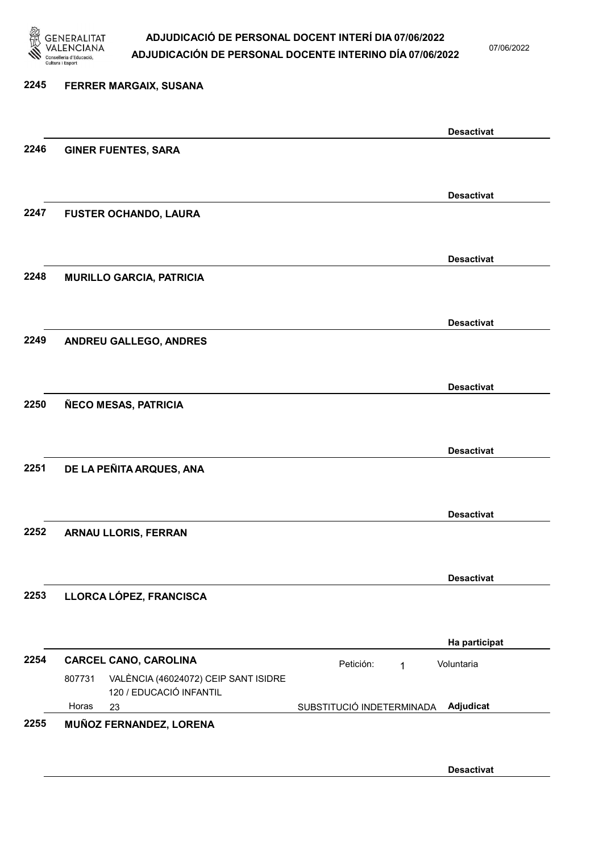

07/06/2022

### 2245 FERRER MARGAIX, SUSANA Desactivat 2246 GINER FUENTES, SARA Desactivat 2247 FUSTER OCHANDO, LAURA Desactivat 2248 MURILLO GARCIA, PATRICIA Desactivat 2249 ANDREU GALLEGO, ANDRES Desactivat 2250 ÑECO MESAS, PATRICIA Desactivat 2251 DE LA PEÑITA ARQUES, ANA Desactivat 2252 ARNAU LLORIS, FERRAN Desactivat 2253 LLORCA LÓPEZ, FRANCISCA Ha participat 2254 CARCEL CANO, CAROLINA **Petición:** 1 23 SUBSTITUCIÓ INDETERMINADA VALÈNCIA (46024072) CEIP SANT ISIDRE 120 / EDUCACIÓ INFANTIL Adjudicat Voluntaria 807731 Horas 2255 MUÑOZ FERNANDEZ, LORENA

Desactivat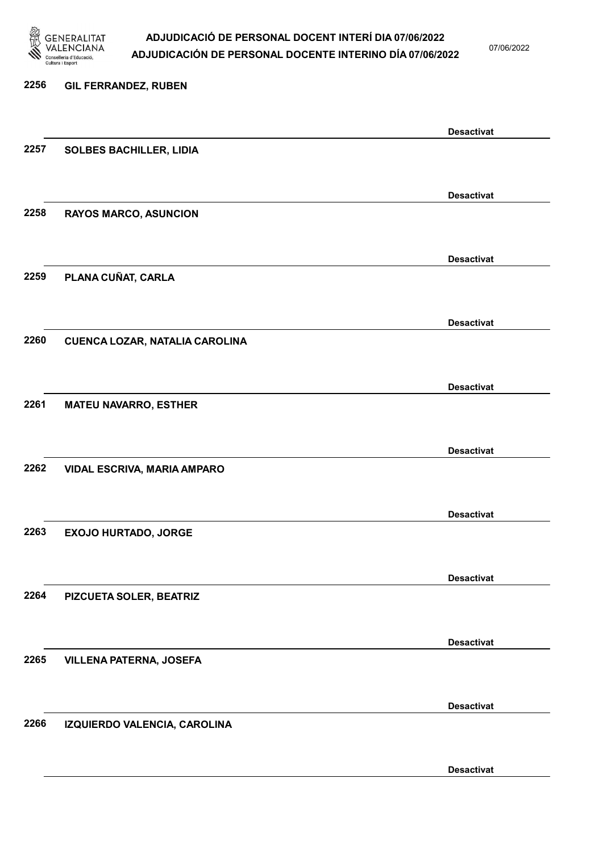

07/06/2022

Desactivat

# 2256 GIL FERRANDEZ, RUBEN Desactivat 2257 SOLBES BACHILLER, LIDIA Desactivat 2258 RAYOS MARCO, ASUNCION Desactivat 2259 PLANA CUÑAT, CARLA Desactivat 2260 CUENCA LOZAR, NATALIA CAROLINA Desactivat 2261 MATEU NAVARRO, ESTHER Desactivat 2262 VIDAL ESCRIVA, MARIA AMPARO Desactivat 2263 EXOJO HURTADO, JORGE Desactivat 2264 PIZCUETA SOLER, BEATRIZ Desactivat 2265 VILLENA PATERNA, JOSEFA Desactivat 2266 IZQUIERDO VALENCIA, CAROLINA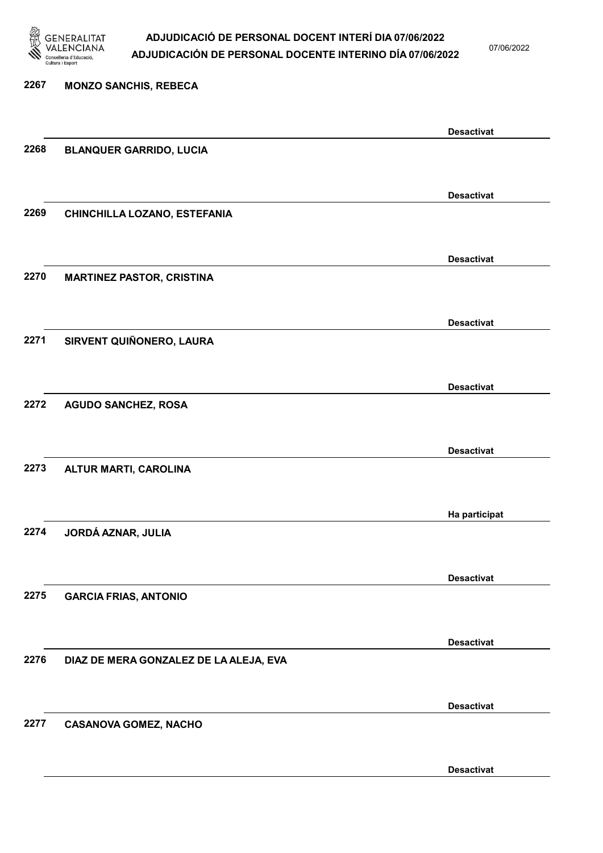

07/06/2022

### 2267 MONZO SANCHIS, REBECA Desactivat 2268 BLANQUER GARRIDO, LUCIA Desactivat 2269 CHINCHILLA LOZANO, ESTEFANIA Desactivat 2270 MARTINEZ PASTOR, CRISTINA Desactivat 2271 SIRVENT QUIÑONERO, LAURA Desactivat 2272 AGUDO SANCHEZ, ROSA Desactivat 2273 ALTUR MARTI, CAROLINA Ha participat 2274 JORDÁ AZNAR, JULIA Desactivat 2275 GARCIA FRIAS, ANTONIO Desactivat 2276 DIAZ DE MERA GONZALEZ DE LA ALEJA, EVA Desactivat 2277 CASANOVA GOMEZ, NACHO Desactivat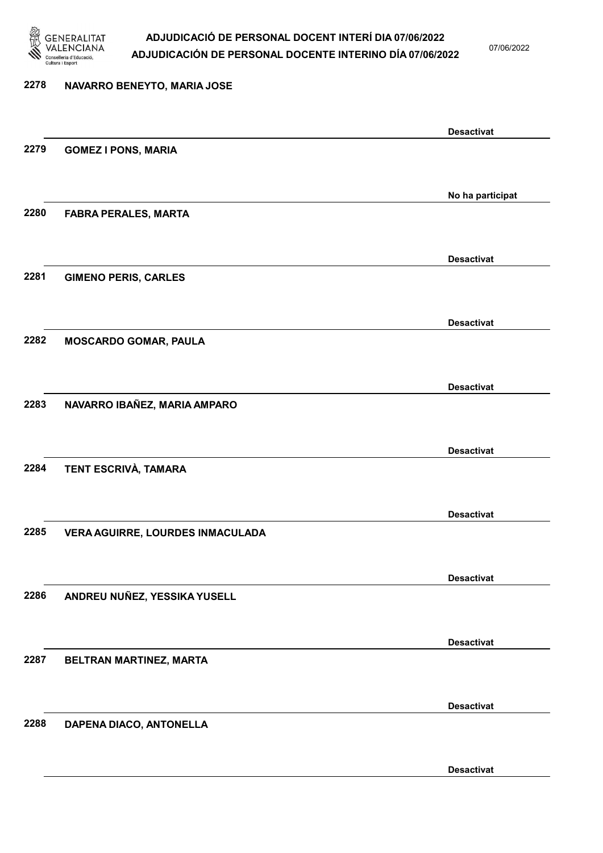

07/06/2022

Desactivat

# 2278 NAVARRO BENEYTO, MARIA JOSE Desactivat 2279 GOMEZ I PONS, MARIA No ha participat 2280 FABRA PERALES, MARTA Desactivat 2281 GIMENO PERIS, CARLES Desactivat 2282 MOSCARDO GOMAR, PAULA Desactivat 2283 NAVARRO IBAÑEZ, MARIA AMPARO Desactivat 2284 TENT ESCRIVÀ, TAMARA Desactivat 2285 VERA AGUIRRE, LOURDES INMACULADA Desactivat 2286 ANDREU NUÑEZ, YESSIKA YUSELL Desactivat 2287 BELTRAN MARTINEZ, MARTA Desactivat 2288 DAPENA DIACO, ANTONELLA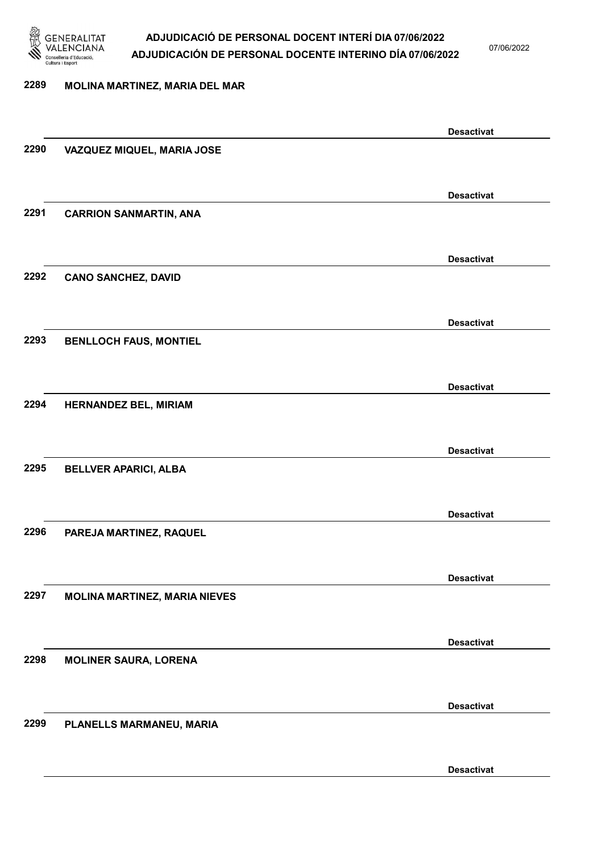

07/06/2022

#### 2289 MOLINA MARTINEZ, MARIA DEL MAR

|      |                                      | <b>Desactivat</b> |
|------|--------------------------------------|-------------------|
| 2290 | VAZQUEZ MIQUEL, MARIA JOSE           |                   |
|      |                                      |                   |
|      |                                      | <b>Desactivat</b> |
| 2291 | <b>CARRION SANMARTIN, ANA</b>        |                   |
|      |                                      |                   |
|      |                                      | <b>Desactivat</b> |
| 2292 | <b>CANO SANCHEZ, DAVID</b>           |                   |
|      |                                      |                   |
|      |                                      | <b>Desactivat</b> |
| 2293 | <b>BENLLOCH FAUS, MONTIEL</b>        |                   |
|      |                                      |                   |
|      |                                      | <b>Desactivat</b> |
| 2294 | HERNANDEZ BEL, MIRIAM                |                   |
|      |                                      |                   |
|      |                                      |                   |
| 2295 | <b>BELLVER APARICI, ALBA</b>         | <b>Desactivat</b> |
|      |                                      |                   |
|      |                                      |                   |
| 2296 |                                      | <b>Desactivat</b> |
|      | PAREJA MARTINEZ, RAQUEL              |                   |
|      |                                      |                   |
|      |                                      | <b>Desactivat</b> |
| 2297 | <b>MOLINA MARTINEZ, MARIA NIEVES</b> |                   |
|      |                                      |                   |
|      |                                      | <b>Desactivat</b> |
| 2298 | <b>MOLINER SAURA, LORENA</b>         |                   |
|      |                                      |                   |
|      |                                      | <b>Desactivat</b> |
| 2299 | PLANELLS MARMANEU, MARIA             |                   |
|      |                                      |                   |
|      |                                      | <b>Desactivat</b> |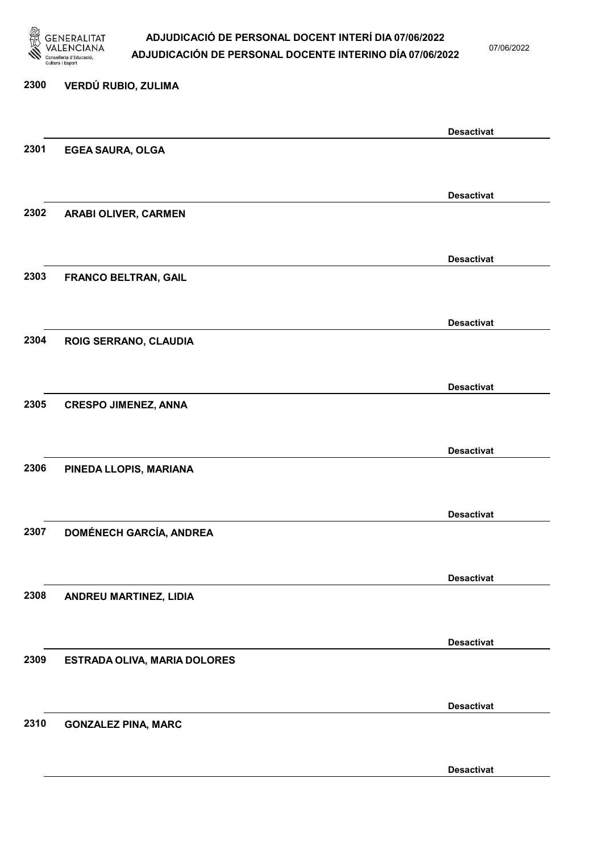

07/06/2022

# 2300 VERDÚ RUBIO, ZULIMA Desactivat 2301 EGEA SAURA, OLGA Desactivat 2302 ARABI OLIVER, CARMEN Desactivat 2303 FRANCO BELTRAN, GAIL Desactivat 2304 ROIG SERRANO, CLAUDIA Desactivat 2305 CRESPO JIMENEZ, ANNA Desactivat 2306 PINEDA LLOPIS, MARIANA Desactivat 2307 DOMÉNECH GARCÍA, ANDREA Desactivat 2308 ANDREU MARTINEZ, LIDIA Desactivat 2309 ESTRADA OLIVA, MARIA DOLORES Desactivat 2310 GONZALEZ PINA, MARC

Desactivat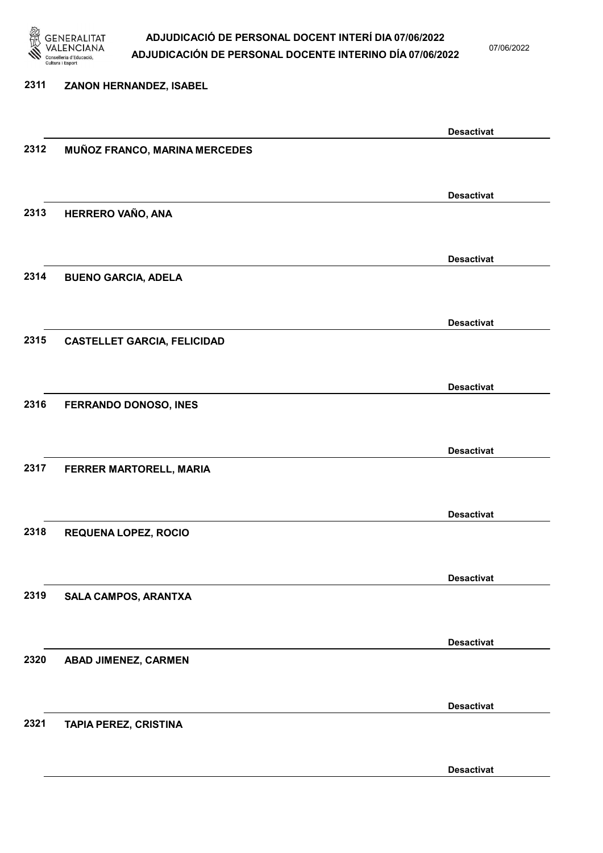

07/06/2022

### 2311 ZANON HERNANDEZ, ISABEL Desactivat 2312 MUÑOZ FRANCO, MARINA MERCEDES Desactivat 2313 HERRERO VAÑO, ANA Desactivat 2314 BUENO GARCIA, ADELA Desactivat 2315 CASTELLET GARCIA, FELICIDAD Desactivat 2316 FERRANDO DONOSO, INES Desactivat 2317 FERRER MARTORELL, MARIA Desactivat 2318 REQUENA LOPEZ, ROCIO Desactivat 2319 SALA CAMPOS, ARANTXA Desactivat 2320 ABAD JIMENEZ, CARMEN Desactivat 2321 TAPIA PEREZ, CRISTINA Desactivat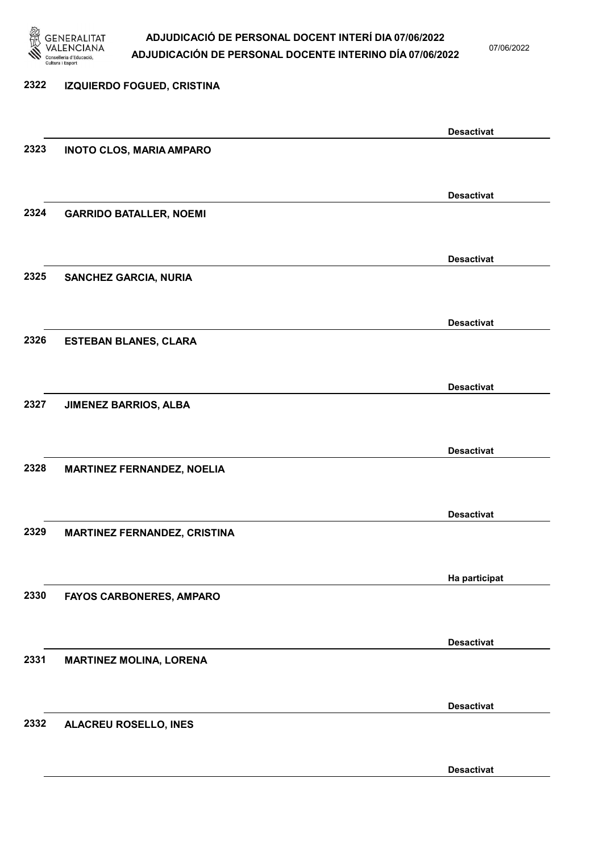

07/06/2022

## 2322 IZQUIERDO FOGUED, CRISTINA Desactivat 2323 INOTO CLOS, MARIA AMPARO Desactivat 2324 GARRIDO BATALLER, NOEMI Desactivat 2325 SANCHEZ GARCIA, NURIA Desactivat 2326 ESTEBAN BLANES, CLARA Desactivat 2327 JIMENEZ BARRIOS, ALBA Desactivat 2328 MARTINEZ FERNANDEZ, NOELIA Desactivat 2329 MARTINEZ FERNANDEZ, CRISTINA Ha participat 2330 FAYOS CARBONERES, AMPARO Desactivat 2331 MARTINEZ MOLINA, LORENA Desactivat 2332 ALACREU ROSELLO, INES

Desactivat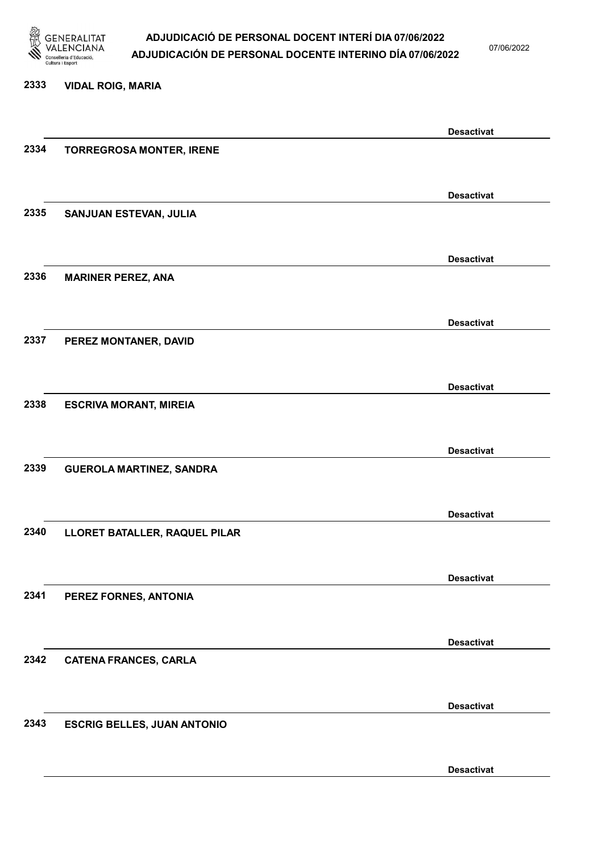

07/06/2022

#### 2333 VIDAL ROIG, MARIA

|      |                                    | <b>Desactivat</b> |
|------|------------------------------------|-------------------|
| 2334 | <b>TORREGROSA MONTER, IRENE</b>    |                   |
|      |                                    |                   |
|      |                                    | <b>Desactivat</b> |
| 2335 | SANJUAN ESTEVAN, JULIA             |                   |
|      |                                    |                   |
|      |                                    |                   |
|      |                                    | <b>Desactivat</b> |
| 2336 | <b>MARINER PEREZ, ANA</b>          |                   |
|      |                                    |                   |
|      |                                    | <b>Desactivat</b> |
| 2337 | PEREZ MONTANER, DAVID              |                   |
|      |                                    |                   |
|      |                                    | <b>Desactivat</b> |
| 2338 | <b>ESCRIVA MORANT, MIREIA</b>      |                   |
|      |                                    |                   |
|      |                                    |                   |
|      |                                    | <b>Desactivat</b> |
| 2339 | <b>GUEROLA MARTINEZ, SANDRA</b>    |                   |
|      |                                    |                   |
|      |                                    | <b>Desactivat</b> |
| 2340 | LLORET BATALLER, RAQUEL PILAR      |                   |
|      |                                    |                   |
|      |                                    | <b>Desactivat</b> |
| 2341 | PEREZ FORNES, ANTONIA              |                   |
|      |                                    |                   |
|      |                                    |                   |
|      |                                    | <b>Desactivat</b> |
| 2342 | <b>CATENA FRANCES, CARLA</b>       |                   |
|      |                                    |                   |
|      |                                    | <b>Desactivat</b> |
| 2343 | <b>ESCRIG BELLES, JUAN ANTONIO</b> |                   |
|      |                                    |                   |
|      |                                    | <b>Desactivat</b> |
|      |                                    |                   |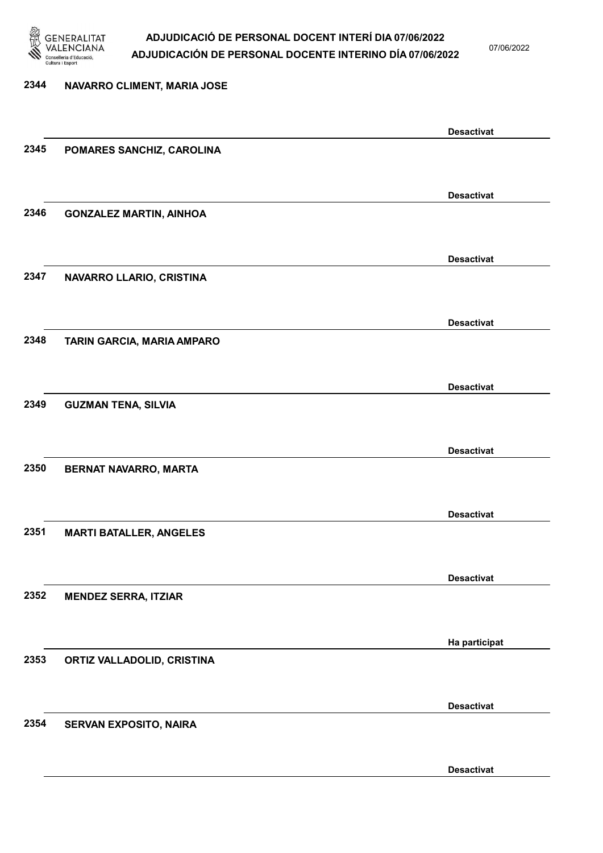

07/06/2022

Desactivat

## 2344 NAVARRO CLIMENT, MARIA JOSE Desactivat 2345 POMARES SANCHIZ, CAROLINA Desactivat 2346 GONZALEZ MARTIN, AINHOA Desactivat 2347 NAVARRO LLARIO, CRISTINA Desactivat 2348 TARIN GARCIA, MARIA AMPARO Desactivat 2349 GUZMAN TENA, SILVIA Desactivat 2350 BERNAT NAVARRO, MARTA Desactivat 2351 MARTI BATALLER, ANGELES Desactivat 2352 MENDEZ SERRA, ITZIAR Ha participat 2353 ORTIZ VALLADOLID, CRISTINA Desactivat 2354 SERVAN EXPOSITO, NAIRA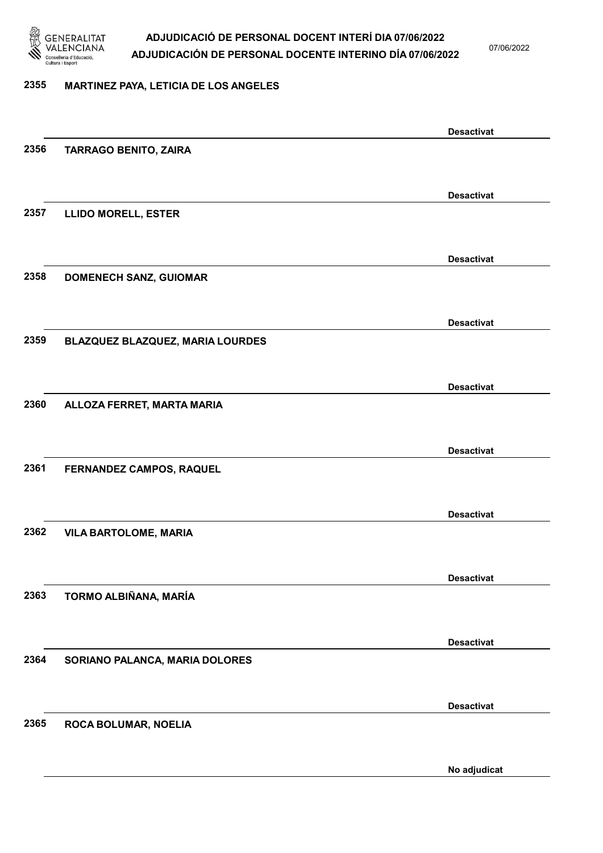

07/06/2022

### 2355 MARTINEZ PAYA, LETICIA DE LOS ANGELES

|      |                                  | <b>Desactivat</b> |
|------|----------------------------------|-------------------|
| 2356 | <b>TARRAGO BENITO, ZAIRA</b>     |                   |
|      |                                  |                   |
|      |                                  | <b>Desactivat</b> |
| 2357 | <b>LLIDO MORELL, ESTER</b>       |                   |
|      |                                  |                   |
|      |                                  | <b>Desactivat</b> |
| 2358 | <b>DOMENECH SANZ, GUIOMAR</b>    |                   |
|      |                                  |                   |
|      |                                  | <b>Desactivat</b> |
| 2359 | BLAZQUEZ BLAZQUEZ, MARIA LOURDES |                   |
|      |                                  |                   |
|      |                                  | <b>Desactivat</b> |
| 2360 | ALLOZA FERRET, MARTA MARIA       |                   |
|      |                                  |                   |
|      |                                  | <b>Desactivat</b> |
| 2361 | FERNANDEZ CAMPOS, RAQUEL         |                   |
|      |                                  |                   |
|      |                                  | <b>Desactivat</b> |
| 2362 | <b>VILA BARTOLOME, MARIA</b>     |                   |
|      |                                  |                   |
|      |                                  | <b>Desactivat</b> |
| 2363 | TORMO ALBIÑANA, MARÍA            |                   |
|      |                                  |                   |
|      |                                  | <b>Desactivat</b> |
| 2364 | SORIANO PALANCA, MARIA DOLORES   |                   |
|      |                                  |                   |
|      |                                  | <b>Desactivat</b> |
| 2365 | ROCA BOLUMAR, NOELIA             |                   |
|      |                                  |                   |
|      |                                  | No adjudicat      |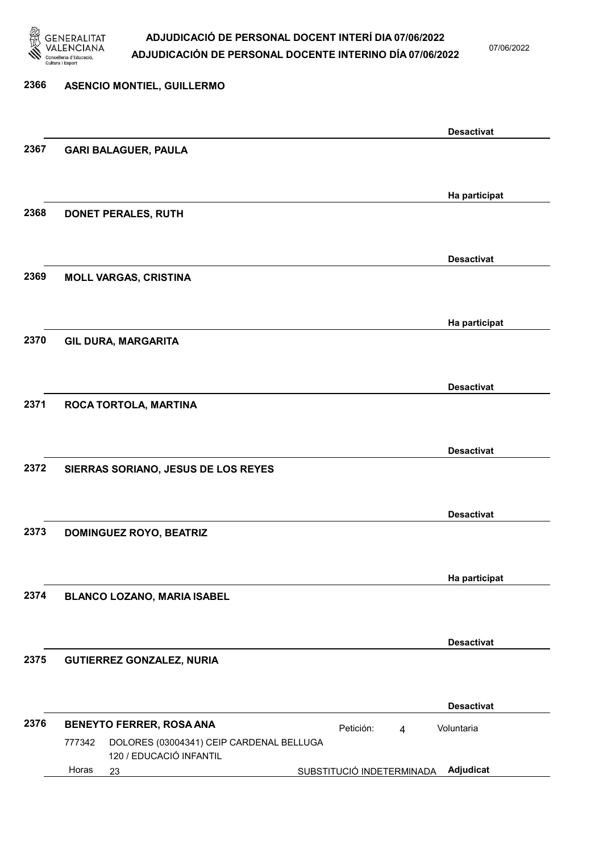

07/06/2022

### 2366 ASENCIO MONTIEL, GUILLERMO Desactivat 2367 GARI BALAGUER, PAULA Ha participat 2368 DONET PERALES, RUTH Desactivat 2369 MOLL VARGAS, CRISTINA Ha participat 2370 GIL DURA, MARGARITA Desactivat 2371 ROCA TORTOLA, MARTINA Desactivat 2372 SIERRAS SORIANO, JESUS DE LOS REYES Desactivat 2373 DOMINGUEZ ROYO, BEATRIZ Ha participat 2374 BLANCO LOZANO, MARIA ISABEL Desactivat 2375 GUTIERREZ GONZALEZ, NURIA Desactivat 2376 BENEYTO FERRER, ROSA ANA **Petición:** 4 23 SUBSTITUCIÓ INDETERMINADA Adjudicat DOLORES (03004341) CEIP CARDENAL BELLUGA 120 / EDUCACIÓ INFANTIL Voluntaria 777342 Horas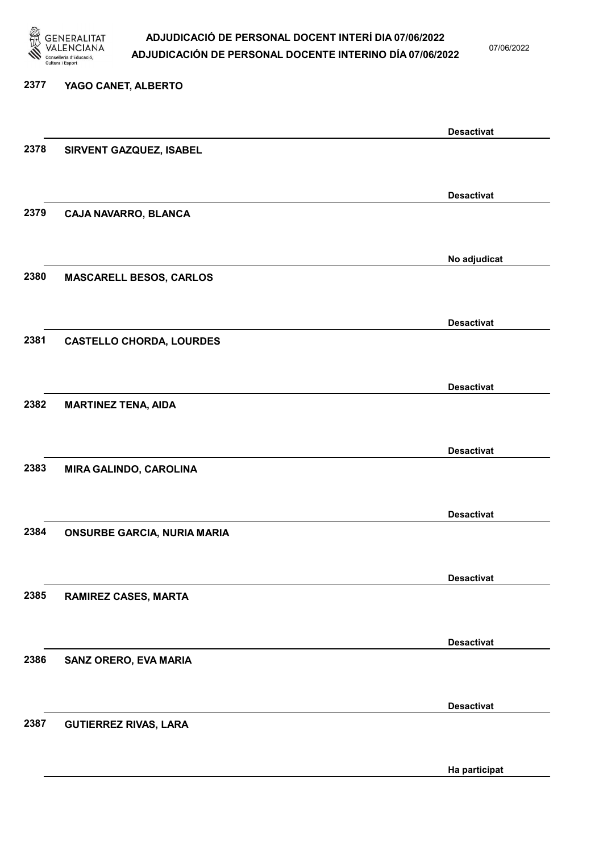

07/06/2022

#### 2377 YAGO CANET, ALBERTO

|      |                                    | <b>Desactivat</b> |
|------|------------------------------------|-------------------|
| 2378 | SIRVENT GAZQUEZ, ISABEL            |                   |
|      |                                    |                   |
|      |                                    | <b>Desactivat</b> |
| 2379 | CAJA NAVARRO, BLANCA               |                   |
|      |                                    |                   |
|      |                                    | No adjudicat      |
| 2380 | <b>MASCARELL BESOS, CARLOS</b>     |                   |
|      |                                    |                   |
|      |                                    | <b>Desactivat</b> |
| 2381 | <b>CASTELLO CHORDA, LOURDES</b>    |                   |
|      |                                    |                   |
|      |                                    | <b>Desactivat</b> |
| 2382 | <b>MARTINEZ TENA, AIDA</b>         |                   |
|      |                                    |                   |
|      |                                    | <b>Desactivat</b> |
| 2383 | MIRA GALINDO, CAROLINA             |                   |
|      |                                    |                   |
|      |                                    | <b>Desactivat</b> |
| 2384 | <b>ONSURBE GARCIA, NURIA MARIA</b> |                   |
|      |                                    |                   |
|      |                                    | <b>Desactivat</b> |
| 2385 | <b>RAMIREZ CASES, MARTA</b>        |                   |
|      |                                    |                   |
|      |                                    | <b>Desactivat</b> |
| 2386 | <b>SANZ ORERO, EVA MARIA</b>       |                   |
|      |                                    |                   |
|      |                                    | <b>Desactivat</b> |
| 2387 | <b>GUTIERREZ RIVAS, LARA</b>       |                   |
|      |                                    |                   |
|      |                                    |                   |
|      |                                    | Ha participat     |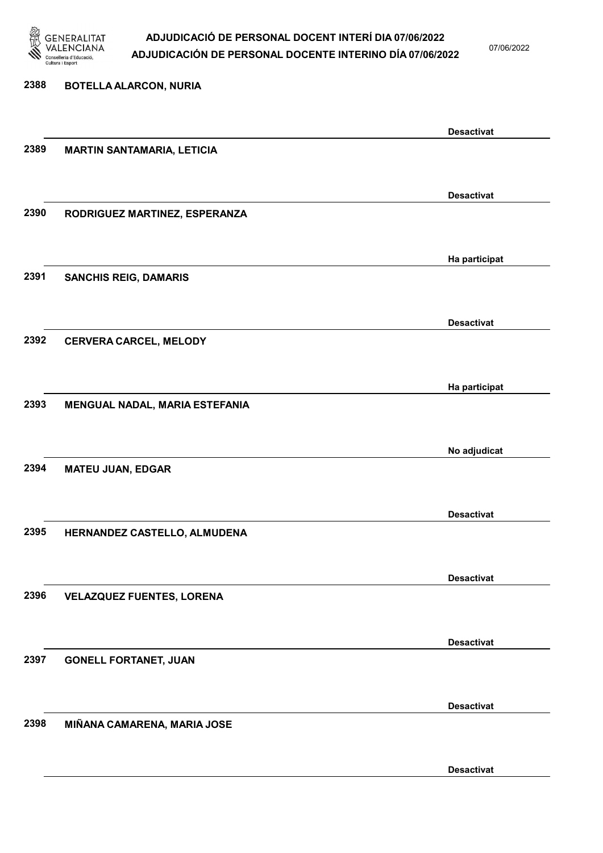

07/06/2022

Desactivat

# 2388 BOTELLA ALARCON, NURIA Desactivat 2389 MARTIN SANTAMARIA, LETICIA Desactivat 2390 RODRIGUEZ MARTINEZ, ESPERANZA Ha participat 2391 SANCHIS REIG, DAMARIS Desactivat 2392 CERVERA CARCEL, MELODY Ha participat 2393 MENGUAL NADAL, MARIA ESTEFANIA No adjudicat 2394 MATEU JUAN, EDGAR Desactivat 2395 HERNANDEZ CASTELLO, ALMUDENA Desactivat 2396 VELAZQUEZ FUENTES, LORENA Desactivat 2397 GONELL FORTANET, JUAN Desactivat 2398 MIÑANA CAMARENA, MARIA JOSE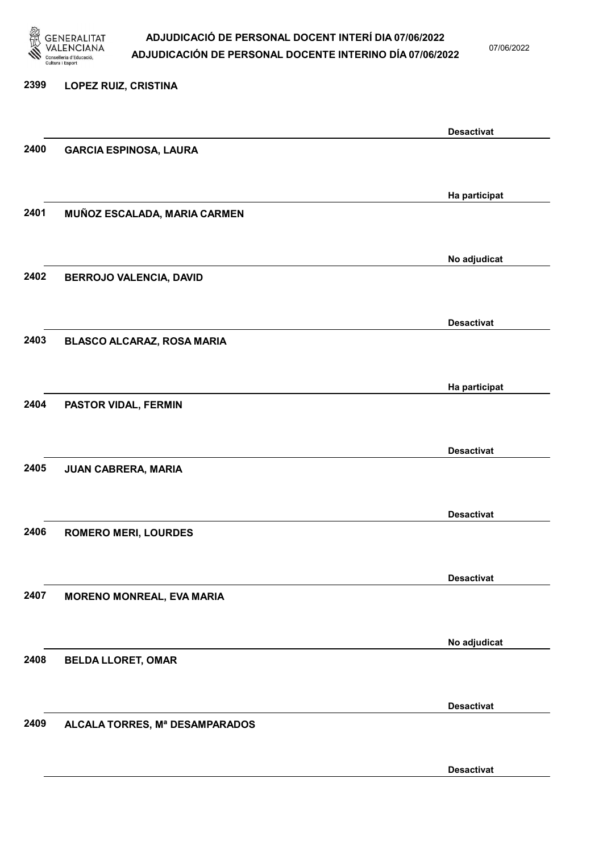

07/06/2022

### 2399 LOPEZ RUIZ, CRISTINA Desactivat 2400 GARCIA ESPINOSA, LAURA Ha participat 2401 MUÑOZ ESCALADA, MARIA CARMEN No adjudicat 2402 BERROJO VALENCIA, DAVID Desactivat 2403 BLASCO ALCARAZ, ROSA MARIA Ha participat 2404 PASTOR VIDAL, FERMIN Desactivat 2405 JUAN CABRERA, MARIA Desactivat 2406 ROMERO MERI, LOURDES Desactivat 2407 MORENO MONREAL, EVA MARIA No adjudicat 2408 BELDA LLORET, OMAR Desactivat 2409 ALCALA TORRES, Mª DESAMPARADOS

Desactivat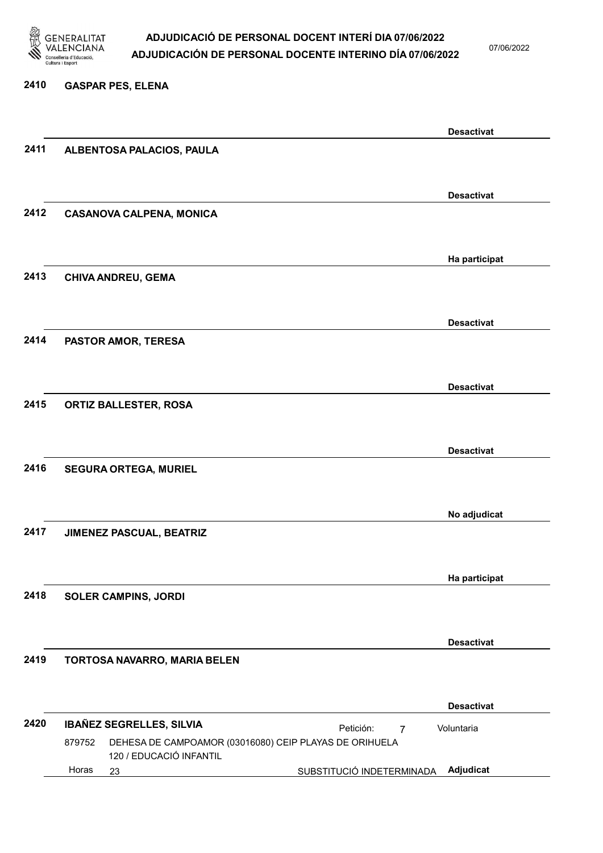

07/06/2022

### 2410 GASPAR PES, ELENA Desactivat 2411 ALBENTOSA PALACIOS, PAULA Desactivat 2412 CASANOVA CALPENA, MONICA Ha participat 2413 CHIVA ANDREU, GEMA Desactivat 2414 PASTOR AMOR, TERESA Desactivat 2415 ORTIZ BALLESTER, ROSA Desactivat 2416 SEGURA ORTEGA, MURIEL No adjudicat 2417 JIMENEZ PASCUAL, BEATRIZ Ha participat 2418 SOLER CAMPINS, JORDI Desactivat 2419 TORTOSA NAVARRO, MARIA BELEN Desactivat 2420 IBAÑEZ SEGRELLES, SILVIA **El propertado de la propertación el petición:** 23 SUBSTITUCIÓ INDETERMINADA Adjudicat DEHESA DE CAMPOAMOR (03016080) CEIP PLAYAS DE ORIHUELA 120 / EDUCACIÓ INFANTIL Voluntaria 879752 Horas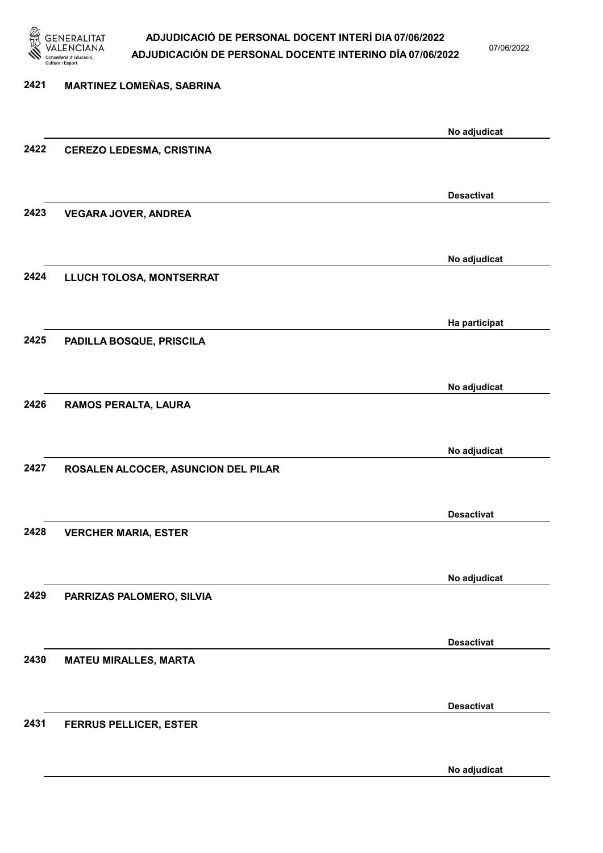

07/06/2022

No adjudicat

# 2421 MARTINEZ LOMEÑAS, SABRINA No adjudicat 2422 CEREZO LEDESMA, CRISTINA Desactivat 2423 VEGARA JOVER, ANDREA No adjudicat 2424 LLUCH TOLOSA, MONTSERRAT Ha participat 2425 PADILLA BOSQUE, PRISCILA No adjudicat 2426 RAMOS PERALTA, LAURA No adjudicat 2427 ROSALEN ALCOCER, ASUNCION DEL PILAR Desactivat 2428 VERCHER MARIA, ESTER No adjudicat 2429 PARRIZAS PALOMERO, SILVIA Desactivat 2430 MATEU MIRALLES, MARTA Desactivat 2431 FERRUS PELLICER, ESTER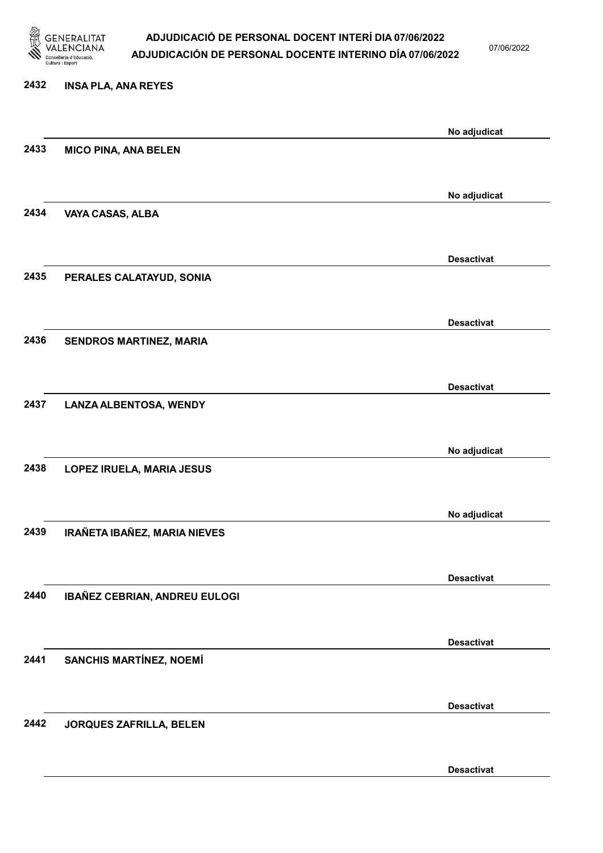

07/06/2022

Desactivat

# 2432 INSA PLA, ANA REYES No adjudicat 2433 MICO PINA, ANA BELEN No adjudicat 2434 VAYA CASAS, ALBA Desactivat 2435 PERALES CALATAYUD, SONIA Desactivat 2436 SENDROS MARTINEZ, MARIA Desactivat 2437 LANZA ALBENTOSA, WENDY No adjudicat 2438 LOPEZ IRUELA, MARIA JESUS No adjudicat 2439 IRAÑETA IBAÑEZ, MARIA NIEVES Desactivat 2440 IBAÑEZ CEBRIAN, ANDREU EULOGI Desactivat 2441 SANCHIS MARTÍNEZ, NOEMÍ Desactivat 2442 JORQUES ZAFRILLA, BELEN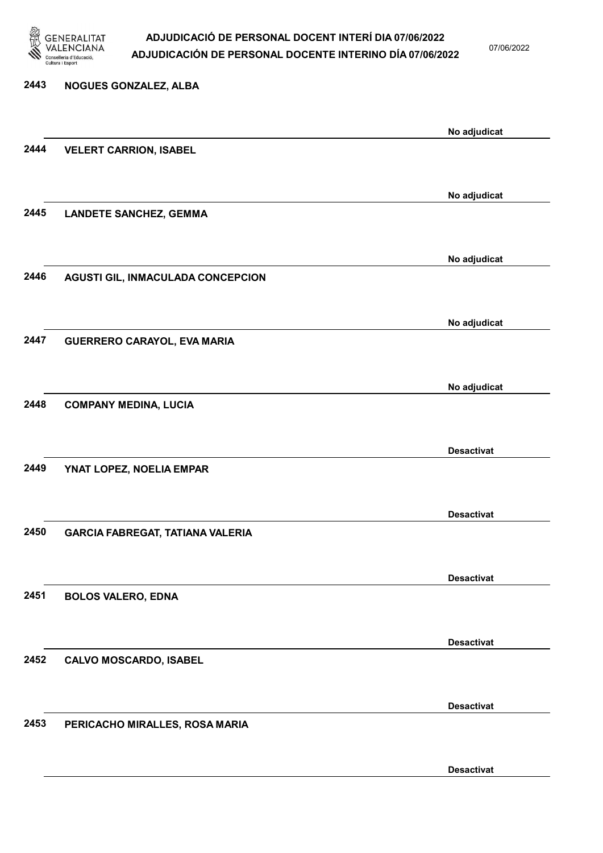

07/06/2022

Desactivat

# 2443 NOGUES GONZALEZ, ALBA No adjudicat 2444 VELERT CARRION, ISABEL No adjudicat 2445 LANDETE SANCHEZ, GEMMA No adjudicat 2446 AGUSTI GIL, INMACULADA CONCEPCION No adjudicat 2447 GUERRERO CARAYOL, EVA MARIA No adjudicat 2448 COMPANY MEDINA, LUCIA Desactivat 2449 YNAT LOPEZ, NOELIA EMPAR Desactivat 2450 GARCIA FABREGAT, TATIANA VALERIA Desactivat 2451 BOLOS VALERO, EDNA Desactivat 2452 CALVO MOSCARDO, ISABEL Desactivat 2453 PERICACHO MIRALLES, ROSA MARIA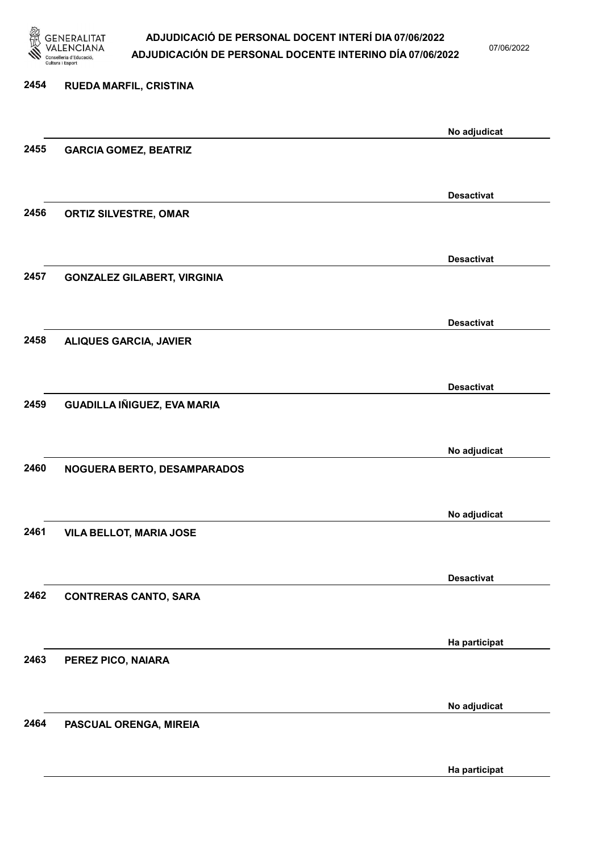

07/06/2022

Ha participat

# 2454 RUEDA MARFIL, CRISTINA No adjudicat 2455 GARCIA GOMEZ, BEATRIZ Desactivat 2456 ORTIZ SILVESTRE, OMAR Desactivat 2457 GONZALEZ GILABERT, VIRGINIA Desactivat 2458 ALIQUES GARCIA, JAVIER Desactivat 2459 GUADILLA IÑIGUEZ, EVA MARIA No adjudicat 2460 NOGUERA BERTO, DESAMPARADOS No adjudicat 2461 VILA BELLOT, MARIA JOSE Desactivat 2462 CONTRERAS CANTO, SARA Ha participat 2463 PEREZ PICO, NAIARA No adjudicat 2464 PASCUAL ORENGA, MIREIA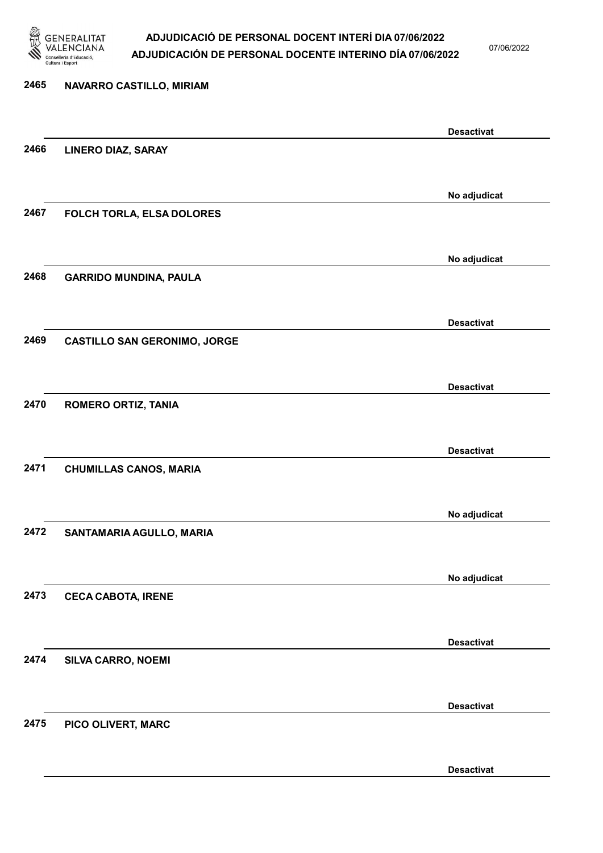

07/06/2022

Desactivat

# 2465 NAVARRO CASTILLO, MIRIAM Desactivat 2466 LINERO DIAZ, SARAY No adjudicat 2467 FOLCH TORLA, ELSA DOLORES No adjudicat 2468 GARRIDO MUNDINA, PAULA Desactivat 2469 CASTILLO SAN GERONIMO, JORGE Desactivat 2470 ROMERO ORTIZ, TANIA Desactivat 2471 CHUMILLAS CANOS, MARIA No adjudicat 2472 SANTAMARIA AGULLO, MARIA No adjudicat 2473 CECA CABOTA, IRENE Desactivat 2474 SILVA CARRO, NOEMI Desactivat 2475 PICO OLIVERT, MARC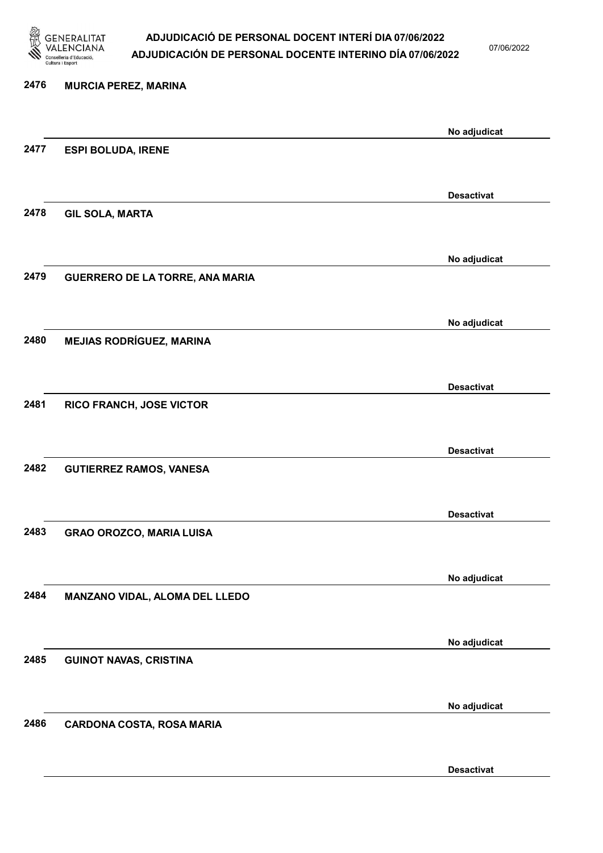

07/06/2022

Desactivat

| 2476 | <b>MURCIA PEREZ, MARINA</b>      |                   |
|------|----------------------------------|-------------------|
|      |                                  | No adjudicat      |
| 2477 | <b>ESPI BOLUDA, IRENE</b>        |                   |
|      |                                  |                   |
| 2478 | <b>GIL SOLA, MARTA</b>           | <b>Desactivat</b> |
|      |                                  |                   |
|      |                                  | No adjudicat      |
| 2479 | GUERRERO DE LA TORRE, ANA MARIA  |                   |
|      |                                  | No adjudicat      |
| 2480 | <b>MEJIAS RODRÍGUEZ, MARINA</b>  |                   |
|      |                                  |                   |
| 2481 | RICO FRANCH, JOSE VICTOR         | <b>Desactivat</b> |
|      |                                  |                   |
|      |                                  | <b>Desactivat</b> |
| 2482 | <b>GUTIERREZ RAMOS, VANESA</b>   |                   |
|      |                                  | <b>Desactivat</b> |
| 2483 | <b>GRAO OROZCO, MARIA LUISA</b>  |                   |
|      |                                  |                   |
| 2484 | MANZANO VIDAL, ALOMA DEL LLEDO   | No adjudicat      |
|      |                                  |                   |
| 2485 |                                  | No adjudicat      |
|      | <b>GUINOT NAVAS, CRISTINA</b>    |                   |
|      |                                  | No adjudicat      |
| 2486 | <b>CARDONA COSTA, ROSA MARIA</b> |                   |
|      |                                  |                   |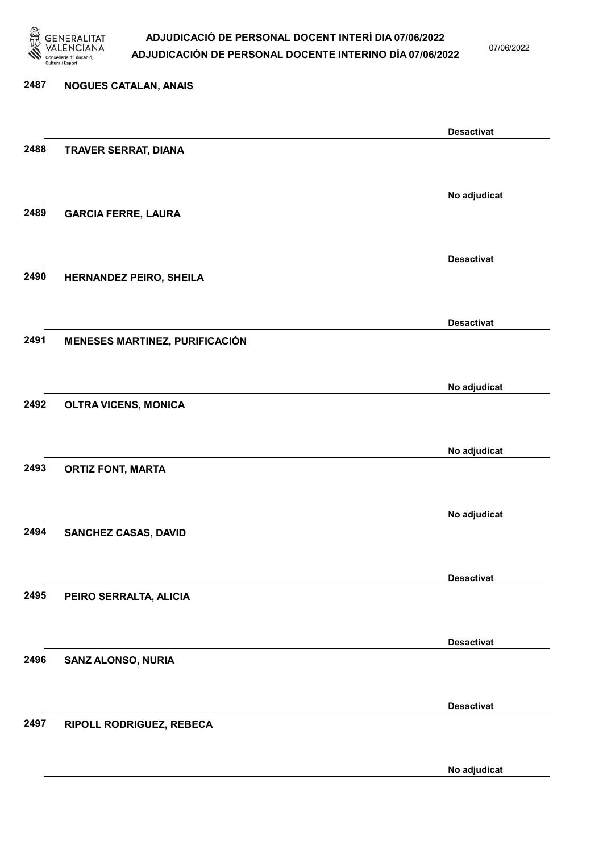

07/06/2022

No adjudicat

# 2487 NOGUES CATALAN, ANAIS Desactivat 2488 TRAVER SERRAT, DIANA No adjudicat 2489 GARCIA FERRE, LAURA Desactivat 2490 HERNANDEZ PEIRO, SHEILA Desactivat 2491 MENESES MARTINEZ, PURIFICACIÓN No adjudicat 2492 OLTRA VICENS, MONICA No adjudicat 2493 ORTIZ FONT, MARTA No adjudicat 2494 SANCHEZ CASAS, DAVID Desactivat 2495 PEIRO SERRALTA, ALICIA Desactivat 2496 SANZ ALONSO, NURIA Desactivat 2497 RIPOLL RODRIGUEZ, REBECA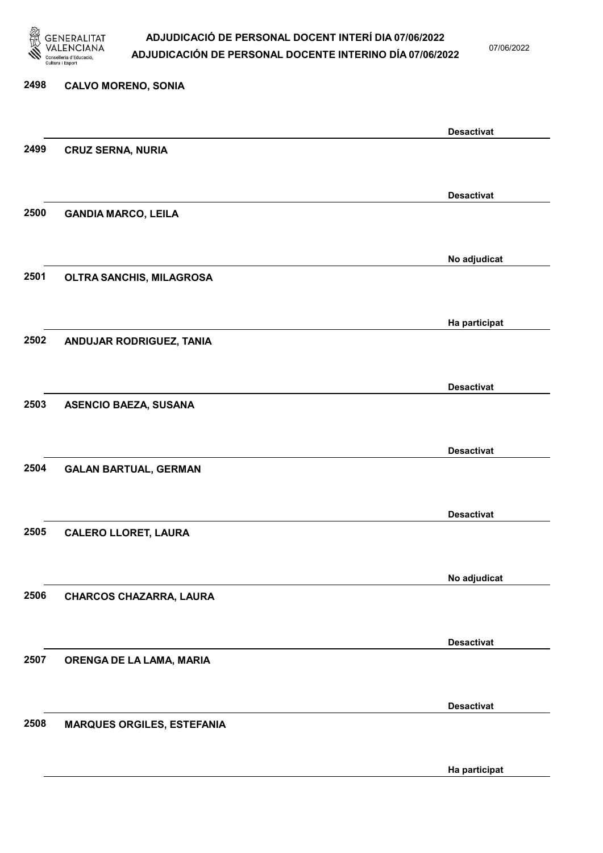

07/06/2022

Ha participat

# 2498 CALVO MORENO, SONIA Desactivat 2499 CRUZ SERNA, NURIA Desactivat 2500 GANDIA MARCO, LEILA No adjudicat 2501 OLTRA SANCHIS, MILAGROSA Ha participat 2502 ANDUJAR RODRIGUEZ, TANIA Desactivat 2503 ASENCIO BAEZA, SUSANA Desactivat 2504 GALAN BARTUAL, GERMAN Desactivat 2505 CALERO LLORET, LAURA No adjudicat 2506 CHARCOS CHAZARRA, LAURA Desactivat 2507 ORENGA DE LA LAMA, MARIA Desactivat 2508 MARQUES ORGILES, ESTEFANIA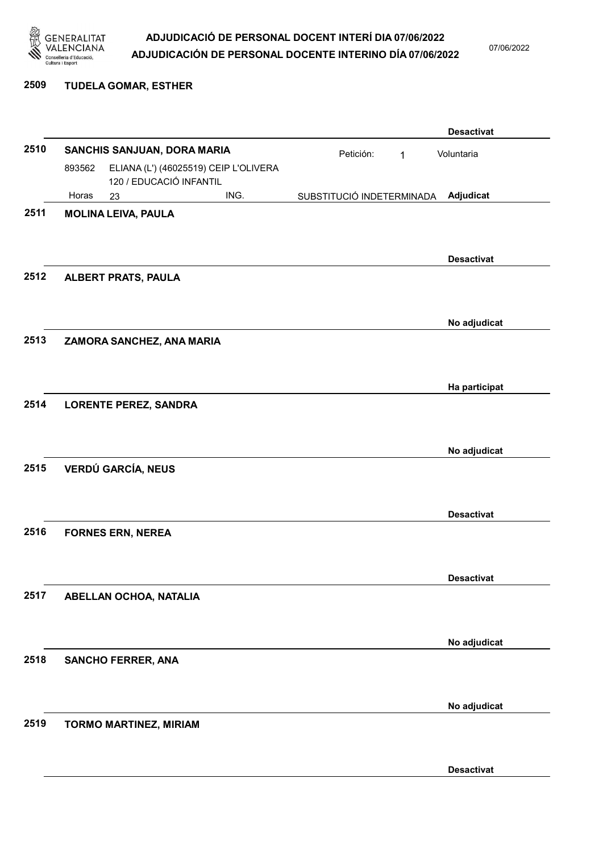

07/06/2022

#### 2509 TUDELA GOMAR, ESTHER

|      |        |                               |                                       |                           |           |   | <b>Desactivat</b> |
|------|--------|-------------------------------|---------------------------------------|---------------------------|-----------|---|-------------------|
| 2510 |        | SANCHIS SANJUAN, DORA MARIA   |                                       |                           | Petición: | 1 | Voluntaria        |
|      | 893562 | 120 / EDUCACIÓ INFANTIL       | ELIANA (L') (46025519) CEIP L'OLIVERA |                           |           |   |                   |
|      | Horas  | 23                            | ING.                                  | SUBSTITUCIÓ INDETERMINADA |           |   | Adjudicat         |
| 2511 |        | <b>MOLINA LEIVA, PAULA</b>    |                                       |                           |           |   |                   |
|      |        |                               |                                       |                           |           |   |                   |
|      |        |                               |                                       |                           |           |   | <b>Desactivat</b> |
| 2512 |        | <b>ALBERT PRATS, PAULA</b>    |                                       |                           |           |   |                   |
|      |        |                               |                                       |                           |           |   | No adjudicat      |
| 2513 |        | ZAMORA SANCHEZ, ANA MARIA     |                                       |                           |           |   |                   |
|      |        |                               |                                       |                           |           |   |                   |
|      |        |                               |                                       |                           |           |   | Ha participat     |
| 2514 |        | <b>LORENTE PEREZ, SANDRA</b>  |                                       |                           |           |   |                   |
|      |        |                               |                                       |                           |           |   |                   |
|      |        |                               |                                       |                           |           |   | No adjudicat      |
| 2515 |        | <b>VERDÚ GARCÍA, NEUS</b>     |                                       |                           |           |   |                   |
|      |        |                               |                                       |                           |           |   |                   |
|      |        |                               |                                       |                           |           |   | <b>Desactivat</b> |
| 2516 |        | <b>FORNES ERN, NEREA</b>      |                                       |                           |           |   |                   |
|      |        |                               |                                       |                           |           |   |                   |
|      |        |                               |                                       |                           |           |   | <b>Desactivat</b> |
| 2517 |        | ABELLAN OCHOA, NATALIA        |                                       |                           |           |   |                   |
|      |        |                               |                                       |                           |           |   |                   |
|      |        |                               |                                       |                           |           |   | No adjudicat      |
| 2518 |        | <b>SANCHO FERRER, ANA</b>     |                                       |                           |           |   |                   |
|      |        |                               |                                       |                           |           |   |                   |
|      |        |                               |                                       |                           |           |   | No adjudicat      |
| 2519 |        | <b>TORMO MARTINEZ, MIRIAM</b> |                                       |                           |           |   |                   |
|      |        |                               |                                       |                           |           |   |                   |
|      |        |                               |                                       |                           |           |   | <b>Desactivat</b> |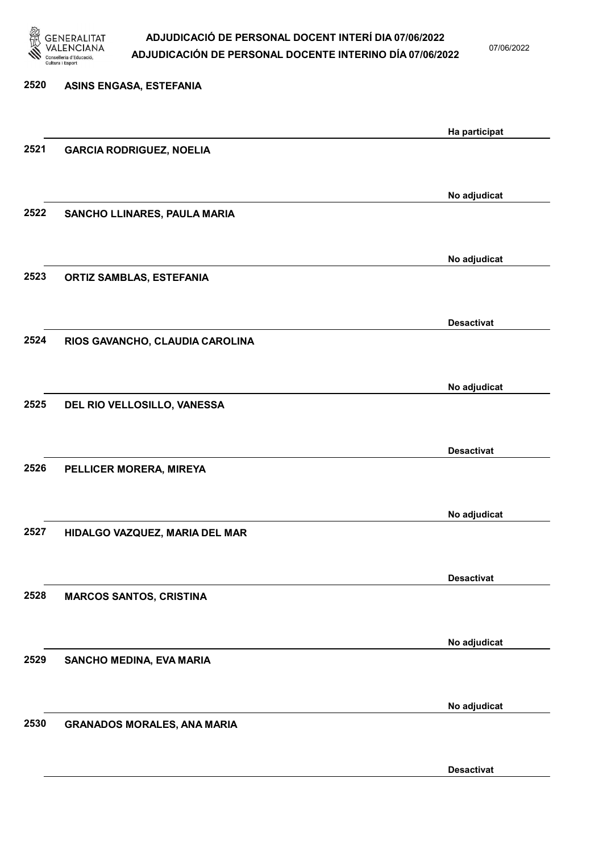

07/06/2022

| Ha participat                                               |
|-------------------------------------------------------------|
|                                                             |
|                                                             |
| No adjudicat                                                |
|                                                             |
| No adjudicat                                                |
|                                                             |
|                                                             |
|                                                             |
| No adjudicat                                                |
|                                                             |
|                                                             |
|                                                             |
| No adjudicat                                                |
|                                                             |
|                                                             |
|                                                             |
| No adjudicat                                                |
|                                                             |
| No adjudicat                                                |
|                                                             |
| <b>Desactivat</b><br><b>Desactivat</b><br><b>Desactivat</b> |

Desactivat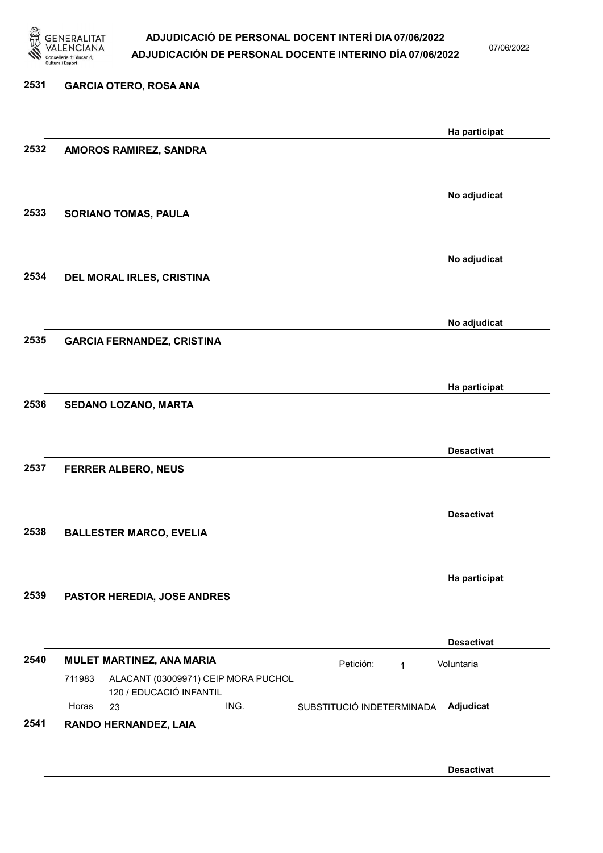

07/06/2022

Desactivat

### 2531 GARCIA OTERO, ROSA ANA Ha participat 2532 AMOROS RAMIREZ, SANDRA No adjudicat 2533 SORIANO TOMAS, PAULA No adjudicat 2534 DEL MORAL IRLES, CRISTINA No adjudicat 2535 GARCIA FERNANDEZ, CRISTINA Ha participat 2536 SEDANO LOZANO, MARTA Desactivat 2537 FERRER ALBERO, NEUS Desactivat 2538 BALLESTER MARCO, EVELIA Ha participat 2539 PASTOR HEREDIA, JOSE ANDRES Desactivat 2540 MULET MARTINEZ, ANA MARIA **Petición:** 1 23 ING. SUBSTITUCIÓ INDETERMINADA ALACANT (03009971) CEIP MORA PUCHOL 120 / EDUCACIÓ INFANTIL Adjudicat Voluntaria 711983 Horas 2541 RANDO HERNANDEZ, LAIA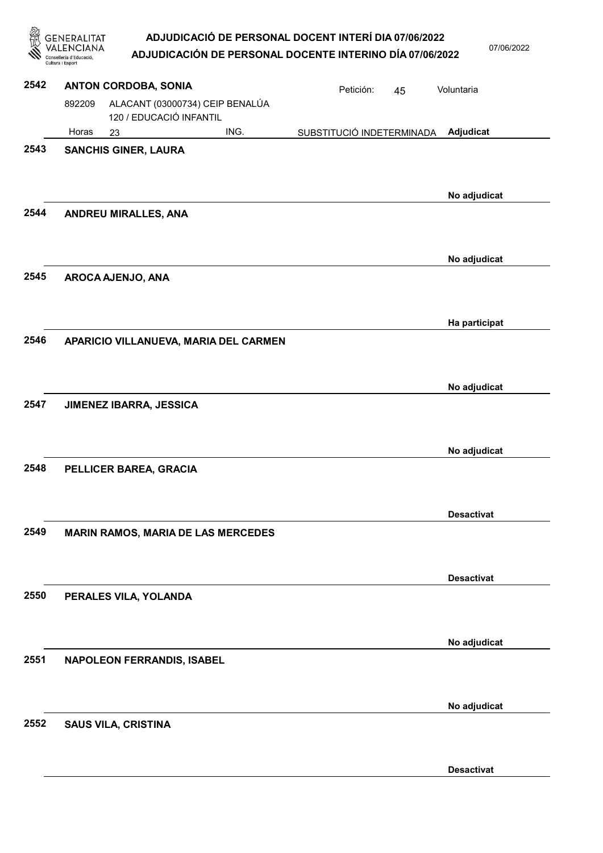|      | GENERALITAT<br>Cultura i Esport                                      |      | ADJUDICACIÓ DE PERSONAL DOCENT INTERÍ DIA 07/06/2022<br>ADJUDICACIÓN DE PERSONAL DOCENTE INTERINO DÍA 07/06/2022 |    | 07/06/2022        |
|------|----------------------------------------------------------------------|------|------------------------------------------------------------------------------------------------------------------|----|-------------------|
| 2542 | <b>ANTON CORDOBA, SONIA</b>                                          |      | Petición:                                                                                                        | 45 | Voluntaria        |
|      | ALACANT (03000734) CEIP BENALÚA<br>892209<br>120 / EDUCACIÓ INFANTIL |      |                                                                                                                  |    |                   |
|      | Horas<br>23                                                          | ING. | SUBSTITUCIÓ INDETERMINADA                                                                                        |    | Adjudicat         |
| 2543 | <b>SANCHIS GINER, LAURA</b>                                          |      |                                                                                                                  |    |                   |
| 2544 | <b>ANDREU MIRALLES, ANA</b>                                          |      |                                                                                                                  |    | No adjudicat      |
|      |                                                                      |      |                                                                                                                  |    | No adjudicat      |
| 2545 | AROCA AJENJO, ANA                                                    |      |                                                                                                                  |    | Ha participat     |
| 2546 | APARICIO VILLANUEVA, MARIA DEL CARMEN                                |      |                                                                                                                  |    |                   |
| 2547 | JIMENEZ IBARRA, JESSICA                                              |      |                                                                                                                  |    | No adjudicat      |
|      |                                                                      |      |                                                                                                                  |    | No adjudicat      |
| 2548 | PELLICER BAREA, GRACIA                                               |      |                                                                                                                  |    |                   |
|      |                                                                      |      |                                                                                                                  |    | <b>Desactivat</b> |
| 2549 | <b>MARIN RAMOS, MARIA DE LAS MERCEDES</b>                            |      |                                                                                                                  |    |                   |
|      |                                                                      |      |                                                                                                                  |    | <b>Desactivat</b> |
| 2550 | PERALES VILA, YOLANDA                                                |      |                                                                                                                  |    |                   |
| 2551 | NAPOLEON FERRANDIS, ISABEL                                           |      |                                                                                                                  |    | No adjudicat      |
|      |                                                                      |      |                                                                                                                  |    | No adjudicat      |
| 2552 | <b>SAUS VILA, CRISTINA</b>                                           |      |                                                                                                                  |    |                   |

Desactivat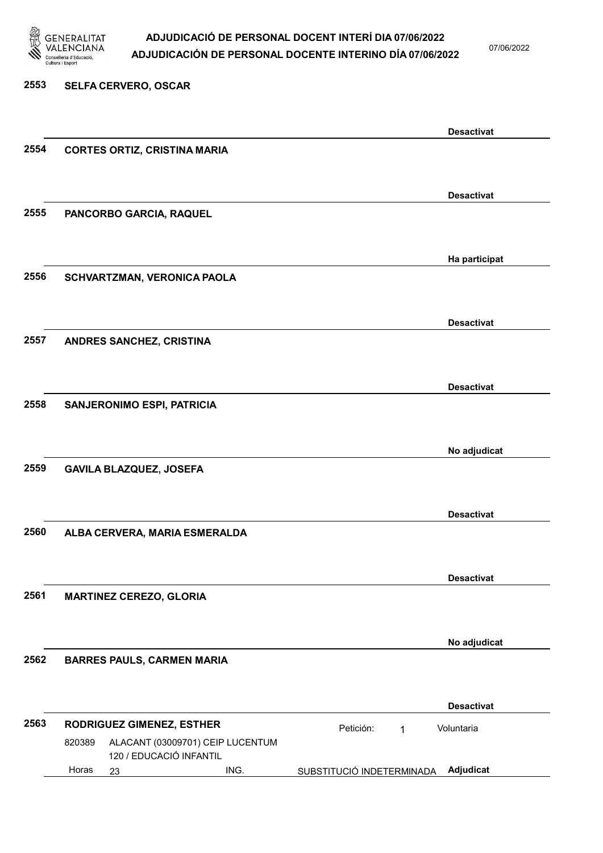

07/06/2022

### 2553 SELFA CERVERO, OSCAR Desactivat 2554 CORTES ORTIZ, CRISTINA MARIA Desactivat 2555 PANCORBO GARCIA, RAQUEL Ha participat 2556 SCHVARTZMAN, VERONICA PAOLA Desactivat 2557 ANDRES SANCHEZ, CRISTINA Desactivat 2558 SANJERONIMO ESPI, PATRICIA No adjudicat 2559 GAVILA BLAZQUEZ, JOSEFA Desactivat 2560 ALBA CERVERA, MARIA ESMERALDA Desactivat 2561 MARTINEZ CEREZO, GLORIA No adjudicat 2562 BARRES PAULS, CARMEN MARIA Desactivat 2563 RODRIGUEZ GIMENEZ, ESTHER Petición: 1 23 ING. SUBSTITUCIÓ INDETERMINADA Adjudicat ALACANT (03009701) CEIP LUCENTUM 120 / EDUCACIÓ INFANTIL Voluntaria 820389 Horas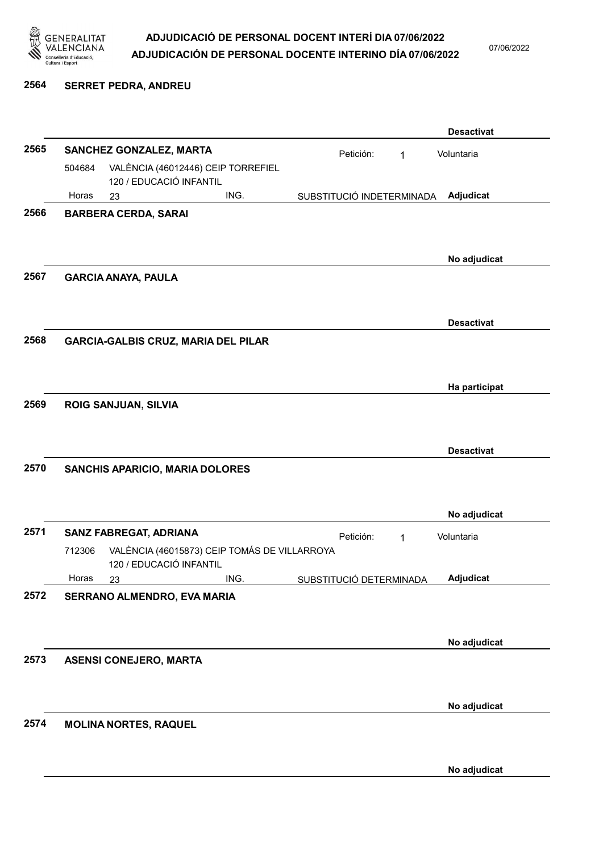

07/06/2022

#### 2564 SERRET PEDRA, ANDREU

|      |        |                               |                                              |                           |   | <b>Desactivat</b> |
|------|--------|-------------------------------|----------------------------------------------|---------------------------|---|-------------------|
| 2565 |        | SANCHEZ GONZALEZ, MARTA       |                                              | Petición:                 | 1 | Voluntaria        |
|      | 504684 | 120 / EDUCACIÓ INFANTIL       | VALÈNCIA (46012446) CEIP TORREFIEL           |                           |   |                   |
|      | Horas  | 23                            | ING.                                         | SUBSTITUCIÓ INDETERMINADA |   | Adjudicat         |
| 2566 |        | <b>BARBERA CERDA, SARAI</b>   |                                              |                           |   | No adjudicat      |
| 2567 |        | <b>GARCIA ANAYA, PAULA</b>    |                                              |                           |   |                   |
| 2568 |        |                               | <b>GARCIA-GALBIS CRUZ, MARIA DEL PILAR</b>   |                           |   | <b>Desactivat</b> |
|      |        |                               |                                              |                           |   | Ha participat     |
| 2569 |        | <b>ROIG SANJUAN, SILVIA</b>   |                                              |                           |   | <b>Desactivat</b> |
| 2570 |        |                               | SANCHIS APARICIO, MARIA DOLORES              |                           |   |                   |
|      |        |                               |                                              |                           |   | No adjudicat      |
| 2571 |        | SANZ FABREGAT, ADRIANA        |                                              | Petición:                 | 1 | Voluntaria        |
|      | 712306 | 120 / EDUCACIÓ INFANTIL       | VALÈNCIA (46015873) CEIP TOMÁS DE VILLARROYA |                           |   |                   |
|      | Horas  | 23                            | ING.                                         | SUBSTITUCIÓ DETERMINADA   |   | <b>Adjudicat</b>  |
| 2572 |        | SERRANO ALMENDRO, EVA MARIA   |                                              |                           |   | No adjudicat      |
| 2573 |        | <b>ASENSI CONEJERO, MARTA</b> |                                              |                           |   |                   |
|      |        |                               |                                              |                           |   | No adjudicat      |
| 2574 |        | <b>MOLINA NORTES, RAQUEL</b>  |                                              |                           |   |                   |
|      |        |                               |                                              |                           |   | No adjudicat      |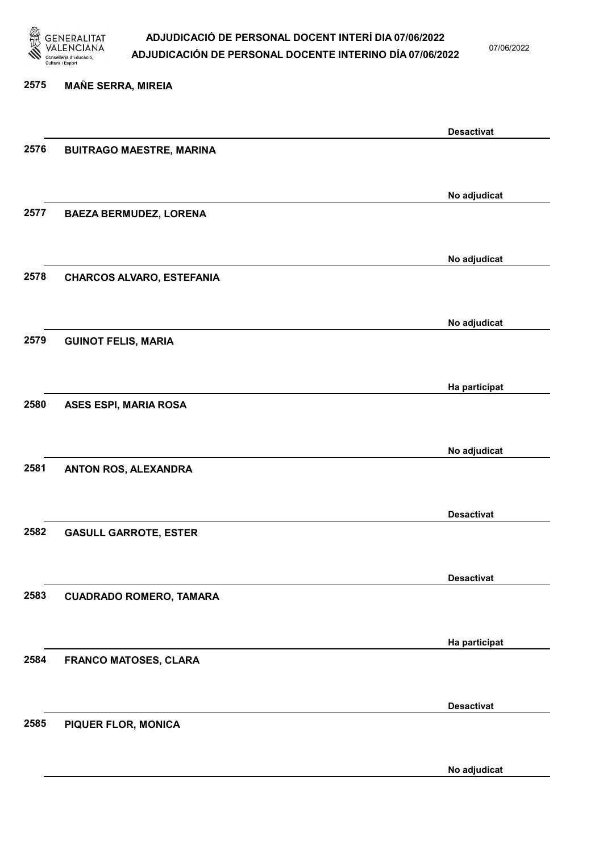

07/06/2022

### 2575 MAÑE SERRA, MIREIA

|      |                                  | <b>Desactivat</b> |
|------|----------------------------------|-------------------|
| 2576 | <b>BUITRAGO MAESTRE, MARINA</b>  |                   |
|      |                                  |                   |
|      |                                  | No adjudicat      |
| 2577 | <b>BAEZA BERMUDEZ, LORENA</b>    |                   |
|      |                                  |                   |
|      |                                  | No adjudicat      |
| 2578 | <b>CHARCOS ALVARO, ESTEFANIA</b> |                   |
|      |                                  |                   |
|      |                                  | No adjudicat      |
| 2579 | <b>GUINOT FELIS, MARIA</b>       |                   |
|      |                                  |                   |
|      |                                  | Ha participat     |
| 2580 | <b>ASES ESPI, MARIA ROSA</b>     |                   |
|      |                                  |                   |
|      |                                  | No adjudicat      |
| 2581 | ANTON ROS, ALEXANDRA             |                   |
|      |                                  |                   |
|      |                                  | <b>Desactivat</b> |
| 2582 | <b>GASULL GARROTE, ESTER</b>     |                   |
|      |                                  |                   |
|      |                                  | <b>Desactivat</b> |
| 2583 | <b>CUADRADO ROMERO, TAMARA</b>   |                   |
|      |                                  |                   |
|      |                                  | Ha participat     |
| 2584 | <b>FRANCO MATOSES, CLARA</b>     |                   |
|      |                                  |                   |
|      |                                  | <b>Desactivat</b> |
| 2585 | <b>PIQUER FLOR, MONICA</b>       |                   |
|      |                                  |                   |
|      |                                  | No adjudicat      |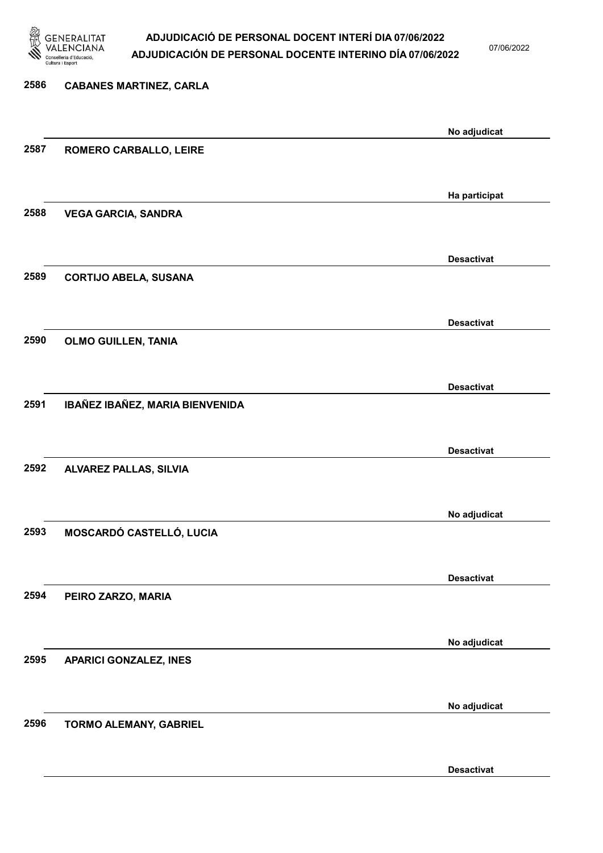

07/06/2022

Desactivat

# 2586 CABANES MARTINEZ, CARLA No adjudicat 2587 ROMERO CARBALLO, LEIRE Ha participat 2588 VEGA GARCIA, SANDRA Desactivat 2589 CORTIJO ABELA, SUSANA Desactivat 2590 OLMO GUILLEN, TANIA Desactivat 2591 IBAÑEZ IBAÑEZ, MARIA BIENVENIDA Desactivat 2592 ALVAREZ PALLAS, SILVIA No adjudicat 2593 MOSCARDÓ CASTELLÓ, LUCIA Desactivat 2594 PEIRO ZARZO, MARIA No adjudicat 2595 APARICI GONZALEZ, INES No adjudicat 2596 TORMO ALEMANY, GABRIEL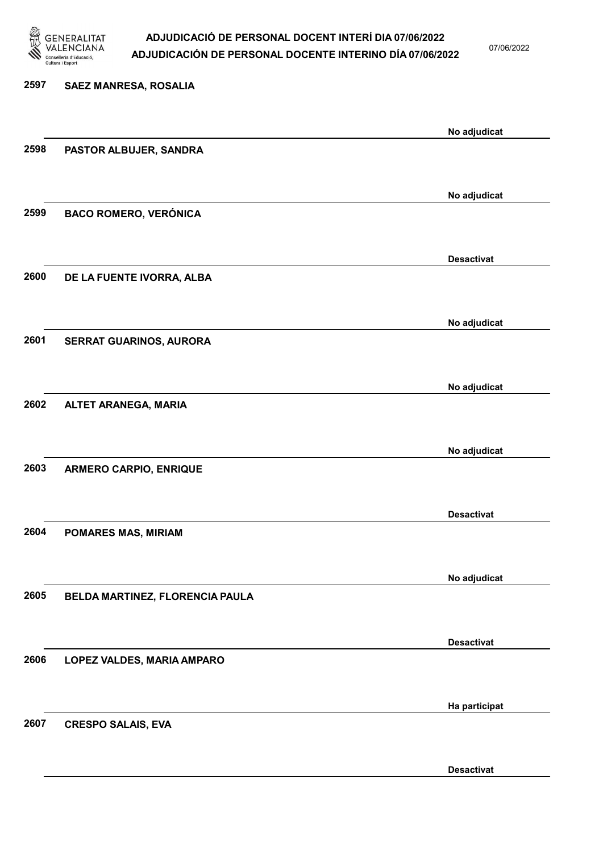

07/06/2022

Desactivat

# 2597 SAEZ MANRESA, ROSALIA No adjudicat 2598 PASTOR ALBUJER, SANDRA No adjudicat 2599 BACO ROMERO, VERÓNICA Desactivat 2600 DE LA FUENTE IVORRA, ALBA No adjudicat 2601 SERRAT GUARINOS, AURORA No adjudicat 2602 ALTET ARANEGA, MARIA No adjudicat 2603 ARMERO CARPIO, ENRIQUE Desactivat 2604 POMARES MAS, MIRIAM No adjudicat 2605 BELDA MARTINEZ, FLORENCIA PAULA Desactivat 2606 LOPEZ VALDES, MARIA AMPARO Ha participat 2607 CRESPO SALAIS, EVA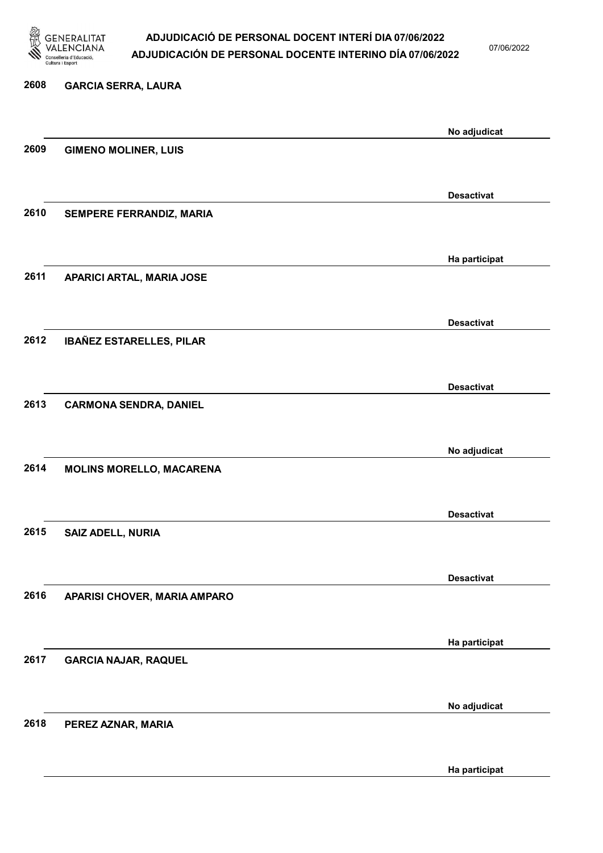

07/06/2022

Ha participat

| 2608 | <b>GARCIA SERRA, LAURA</b>      |                   |
|------|---------------------------------|-------------------|
|      |                                 | No adjudicat      |
| 2609 | <b>GIMENO MOLINER, LUIS</b>     |                   |
|      |                                 |                   |
|      |                                 | <b>Desactivat</b> |
| 2610 | SEMPERE FERRANDIZ, MARIA        |                   |
|      |                                 | Ha participat     |
| 2611 | APARICI ARTAL, MARIA JOSE       |                   |
|      |                                 |                   |
|      |                                 | <b>Desactivat</b> |
| 2612 | <b>IBAÑEZ ESTARELLES, PILAR</b> |                   |
|      |                                 |                   |
|      |                                 | <b>Desactivat</b> |
| 2613 | <b>CARMONA SENDRA, DANIEL</b>   |                   |
|      |                                 | No adjudicat      |
| 2614 | <b>MOLINS MORELLO, MACARENA</b> |                   |
|      |                                 |                   |
|      |                                 | <b>Desactivat</b> |
| 2615 | SAIZ ADELL, NURIA               |                   |
|      |                                 |                   |
| 2616 |                                 | <b>Desactivat</b> |
|      | APARISI CHOVER, MARIA AMPARO    |                   |
|      |                                 | Ha participat     |
| 2617 | <b>GARCIA NAJAR, RAQUEL</b>     |                   |
|      |                                 |                   |
|      |                                 | No adjudicat      |
| 2618 | PEREZ AZNAR, MARIA              |                   |
|      |                                 |                   |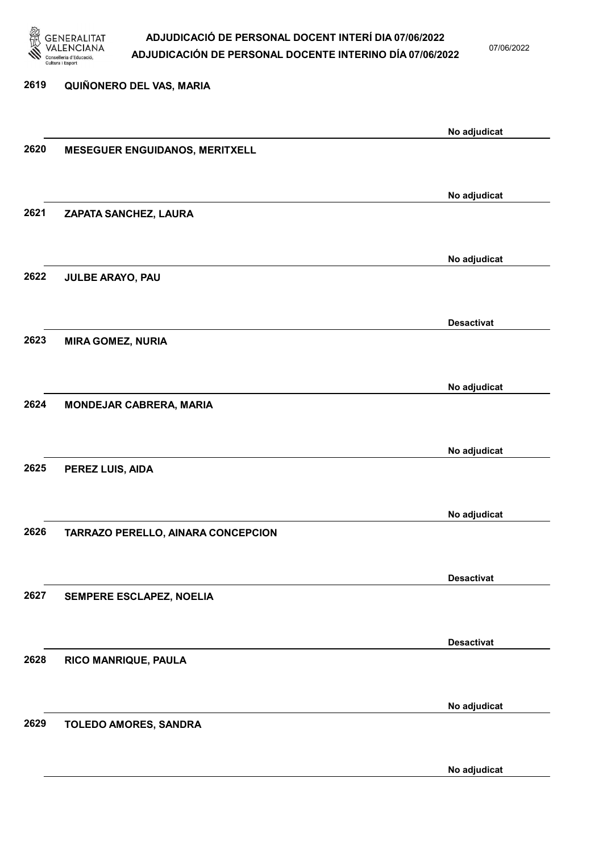

07/06/2022

No adjudicat

# 2619 QUIÑONERO DEL VAS, MARIA No adjudicat 2620 MESEGUER ENGUIDANOS, MERITXELL No adjudicat 2621 ZAPATA SANCHEZ, LAURA No adjudicat 2622 JULBE ARAYO, PAU Desactivat 2623 MIRA GOMEZ, NURIA No adjudicat 2624 MONDEJAR CABRERA, MARIA No adjudicat 2625 PEREZ LUIS, AIDA No adjudicat 2626 TARRAZO PERELLO, AINARA CONCEPCION Desactivat 2627 SEMPERE ESCLAPEZ, NOELIA Desactivat 2628 RICO MANRIQUE, PAULA No adjudicat 2629 TOLEDO AMORES, SANDRA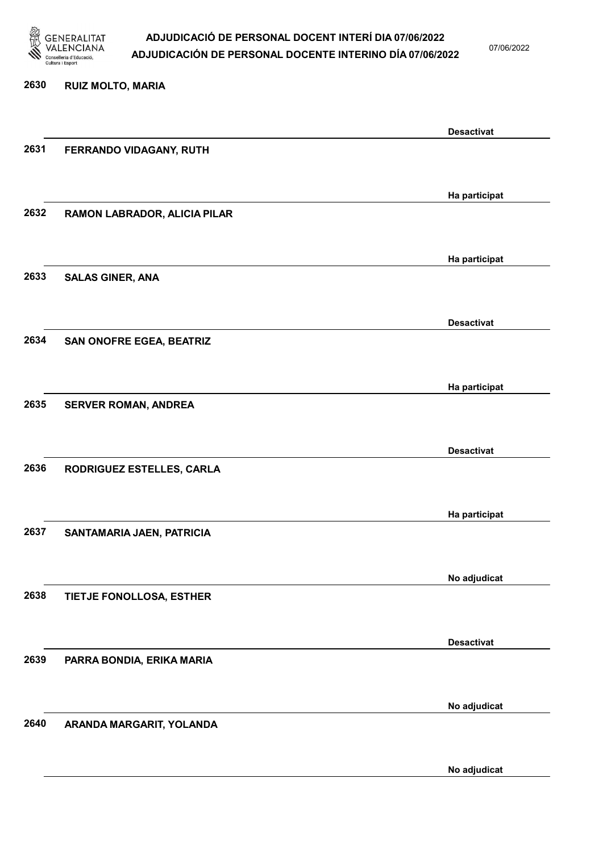

07/06/2022

No adjudicat

# 2630 RUIZ MOLTO, MARIA Desactivat 2631 FERRANDO VIDAGANY, RUTH Ha participat 2632 RAMON LABRADOR, ALICIA PILAR Ha participat 2633 SALAS GINER, ANA Desactivat 2634 SAN ONOFRE EGEA, BEATRIZ Ha participat 2635 SERVER ROMAN, ANDREA Desactivat 2636 RODRIGUEZ ESTELLES, CARLA Ha participat 2637 SANTAMARIA JAEN, PATRICIA No adjudicat 2638 TIETJE FONOLLOSA, ESTHER Desactivat 2639 PARRA BONDIA, ERIKA MARIA No adjudicat 2640 ARANDA MARGARIT, YOLANDA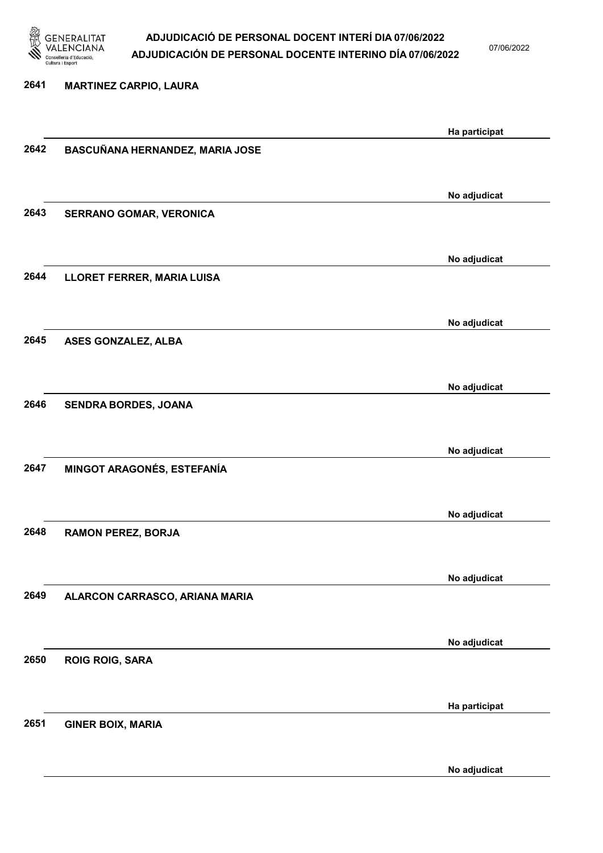

07/06/2022

#### 2641 MARTINEZ CARPIO, LAURA

|      |                                 | Ha participat |
|------|---------------------------------|---------------|
| 2642 | BASCUÑANA HERNANDEZ, MARIA JOSE |               |
|      |                                 |               |
|      |                                 |               |
|      |                                 | No adjudicat  |
| 2643 | SERRANO GOMAR, VERONICA         |               |
|      |                                 |               |
|      |                                 | No adjudicat  |
| 2644 | LLORET FERRER, MARIA LUISA      |               |
|      |                                 |               |
|      |                                 |               |
|      |                                 | No adjudicat  |
| 2645 | ASES GONZALEZ, ALBA             |               |
|      |                                 |               |
|      |                                 | No adjudicat  |
| 2646 | SENDRA BORDES, JOANA            |               |
|      |                                 |               |
|      |                                 | No adjudicat  |
| 2647 | MINGOT ARAGONÉS, ESTEFANÍA      |               |
|      |                                 |               |
|      |                                 |               |
|      |                                 | No adjudicat  |
| 2648 | <b>RAMON PEREZ, BORJA</b>       |               |
|      |                                 |               |
|      |                                 | No adjudicat  |
| 2649 | ALARCON CARRASCO, ARIANA MARIA  |               |
|      |                                 |               |
|      |                                 |               |
| 2650 |                                 | No adjudicat  |
|      | <b>ROIG ROIG, SARA</b>          |               |
|      |                                 |               |
|      |                                 | Ha participat |
| 2651 | <b>GINER BOIX, MARIA</b>        |               |
|      |                                 |               |
|      |                                 | No adjudicat  |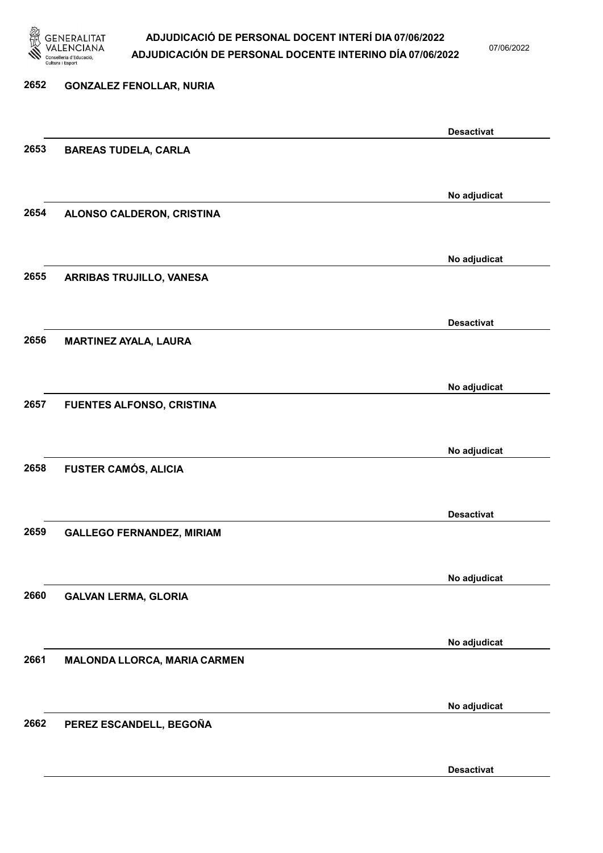

07/06/2022

# 2652 GONZALEZ FENOLLAR, NURIA Desactivat 2653 BAREAS TUDELA, CARLA No adjudicat 2654 ALONSO CALDERON, CRISTINA No adjudicat 2655 ARRIBAS TRUJILLO, VANESA Desactivat 2656 MARTINEZ AYALA, LAURA No adjudicat 2657 FUENTES ALFONSO, CRISTINA No adjudicat 2658 FUSTER CAMÓS, ALICIA Desactivat 2659 GALLEGO FERNANDEZ, MIRIAM No adjudicat 2660 GALVAN LERMA, GLORIA No adjudicat 2661 MALONDA LLORCA, MARIA CARMEN No adjudicat 2662 PEREZ ESCANDELL, BEGOÑA

Desactivat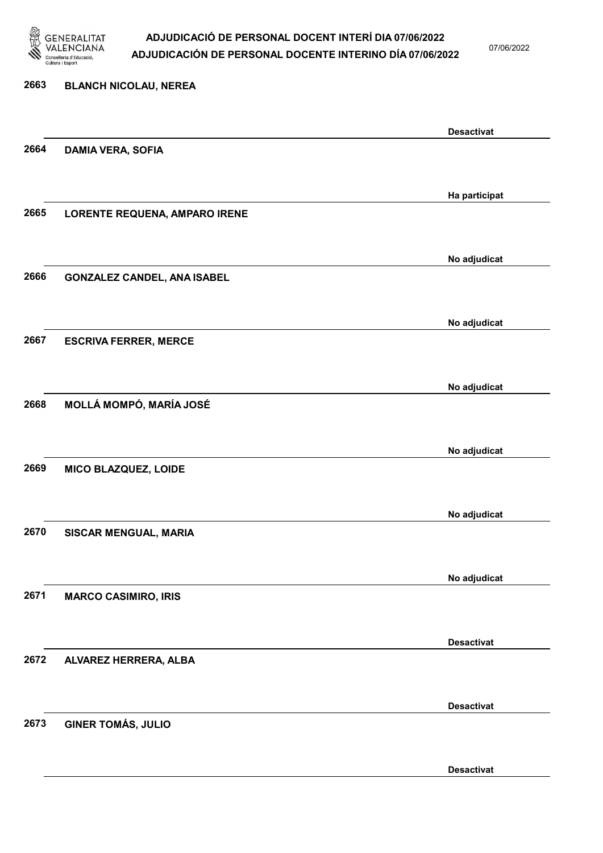

07/06/2022

Desactivat

# 2663 BLANCH NICOLAU, NEREA Desactivat 2664 DAMIA VERA, SOFIA Ha participat 2665 LORENTE REQUENA, AMPARO IRENE No adjudicat 2666 GONZALEZ CANDEL, ANA ISABEL No adjudicat 2667 ESCRIVA FERRER, MERCE No adjudicat 2668 MOLLÁ MOMPÓ, MARÍA JOSÉ No adjudicat 2669 MICO BLAZQUEZ, LOIDE No adjudicat 2670 SISCAR MENGUAL, MARIA No adjudicat 2671 MARCO CASIMIRO, IRIS Desactivat 2672 ALVAREZ HERRERA, ALBA Desactivat 2673 GINER TOMÁS, JULIO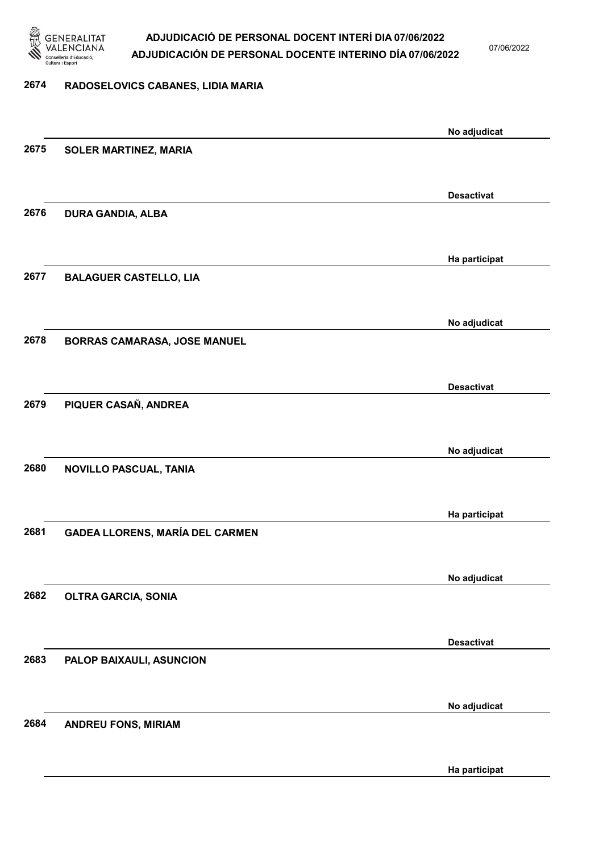

07/06/2022

#### 2674 RADOSELOVICS CABANES, LIDIA MARIA

|      |                                        | No adjudicat      |
|------|----------------------------------------|-------------------|
| 2675 | <b>SOLER MARTINEZ, MARIA</b>           |                   |
|      |                                        |                   |
|      |                                        | <b>Desactivat</b> |
| 2676 | <b>DURA GANDIA, ALBA</b>               |                   |
|      |                                        |                   |
|      |                                        |                   |
|      |                                        | Ha participat     |
| 2677 | <b>BALAGUER CASTELLO, LIA</b>          |                   |
|      |                                        |                   |
|      |                                        | No adjudicat      |
| 2678 | <b>BORRAS CAMARASA, JOSE MANUEL</b>    |                   |
|      |                                        |                   |
|      |                                        | <b>Desactivat</b> |
| 2679 | PIQUER CASAÑ, ANDREA                   |                   |
|      |                                        |                   |
|      |                                        | No adjudicat      |
| 2680 | NOVILLO PASCUAL, TANIA                 |                   |
|      |                                        |                   |
|      |                                        |                   |
|      |                                        | Ha participat     |
| 2681 | <b>GADEA LLORENS, MARÍA DEL CARMEN</b> |                   |
|      |                                        |                   |
|      |                                        | No adjudicat      |
| 2682 | <b>OLTRA GARCIA, SONIA</b>             |                   |
|      |                                        |                   |
|      |                                        | <b>Desactivat</b> |
| 2683 | PALOP BAIXAULI, ASUNCION               |                   |
|      |                                        |                   |
|      |                                        | No adjudicat      |
| 2684 | <b>ANDREU FONS, MIRIAM</b>             |                   |
|      |                                        |                   |
|      |                                        |                   |
|      |                                        | Ha participat     |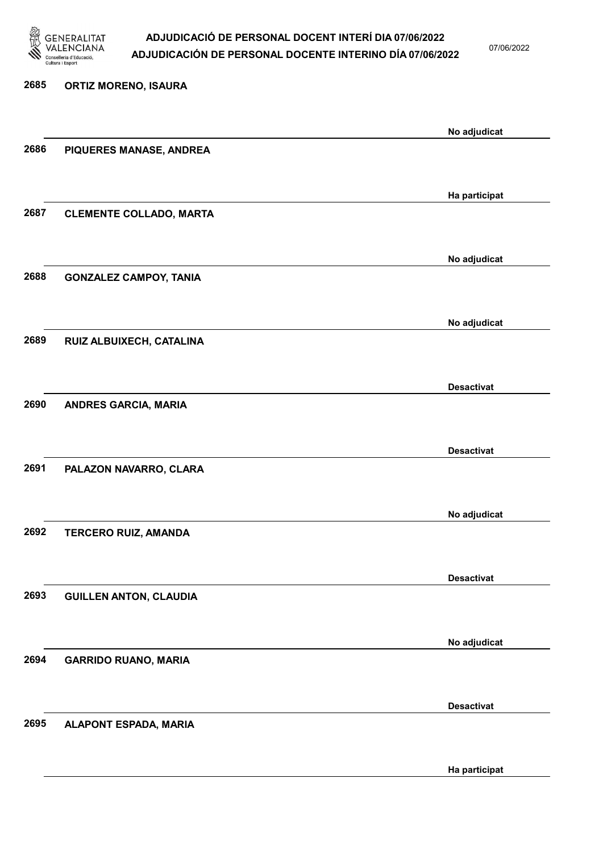

07/06/2022

Ha participat

# 2685 ORTIZ MORENO, ISAURA No adjudicat 2686 PIQUERES MANASE, ANDREA Ha participat 2687 CLEMENTE COLLADO, MARTA No adjudicat 2688 GONZALEZ CAMPOY, TANIA No adjudicat 2689 RUIZ ALBUIXECH, CATALINA Desactivat 2690 ANDRES GARCIA, MARIA Desactivat 2691 PALAZON NAVARRO, CLARA No adjudicat 2692 TERCERO RUIZ, AMANDA Desactivat 2693 GUILLEN ANTON, CLAUDIA No adjudicat 2694 GARRIDO RUANO, MARIA Desactivat 2695 ALAPONT ESPADA, MARIA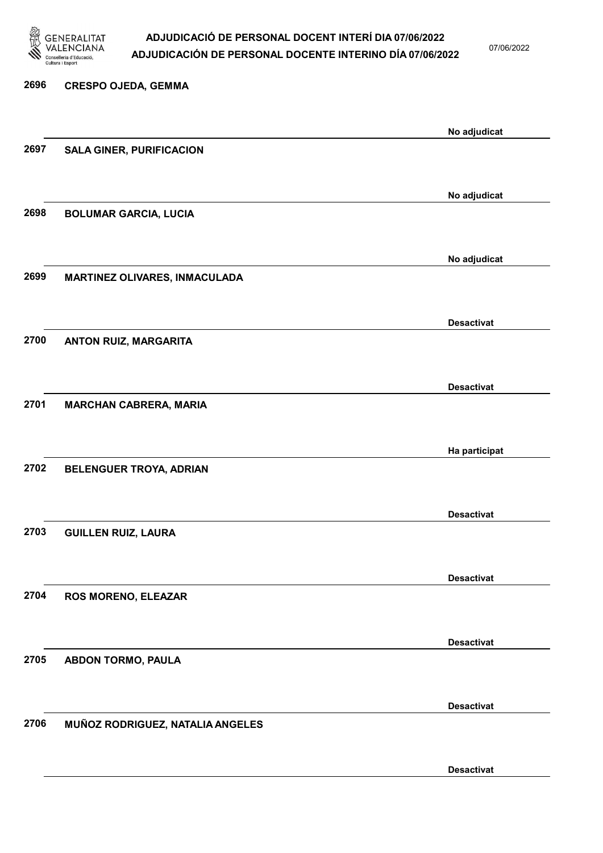

07/06/2022

### 2696 CRESPO OJEDA, GEMMA No adjudicat 2697 SALA GINER, PURIFICACION No adjudicat 2698 BOLUMAR GARCIA, LUCIA No adjudicat 2699 MARTINEZ OLIVARES, INMACULADA Desactivat 2700 ANTON RUIZ, MARGARITA Desactivat 2701 MARCHAN CABRERA, MARIA Ha participat 2702 BELENGUER TROYA, ADRIAN Desactivat 2703 GUILLEN RUIZ, LAURA Desactivat 2704 ROS MORENO, ELEAZAR Desactivat 2705 ABDON TORMO, PAULA Desactivat 2706 MUÑOZ RODRIGUEZ, NATALIA ANGELES Desactivat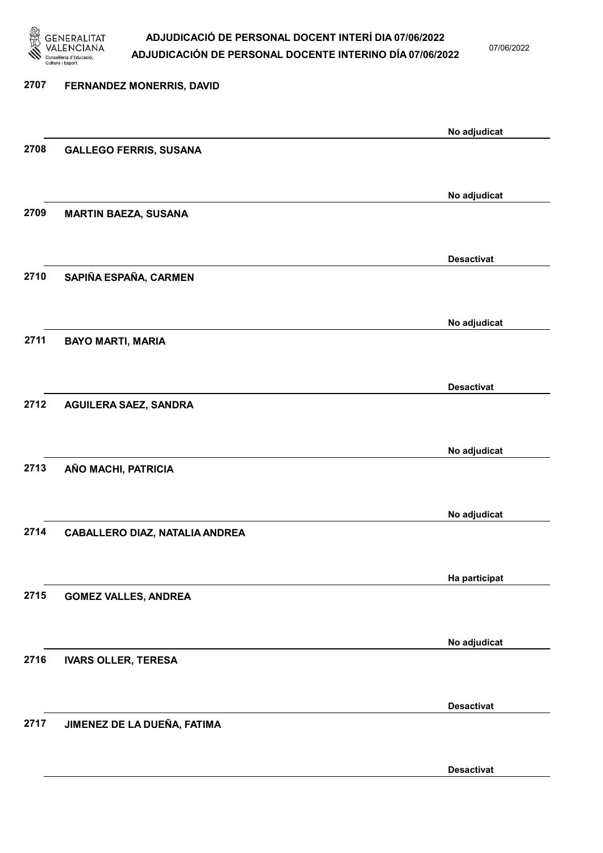

07/06/2022

Desactivat

| 2707 | FERNANDEZ MONERRIS, DAVID      |                   |
|------|--------------------------------|-------------------|
|      |                                | No adjudicat      |
| 2708 | <b>GALLEGO FERRIS, SUSANA</b>  |                   |
|      |                                | No adjudicat      |
| 2709 | <b>MARTIN BAEZA, SUSANA</b>    |                   |
|      |                                | <b>Desactivat</b> |
| 2710 | SAPIÑA ESPAÑA, CARMEN          |                   |
|      |                                | No adjudicat      |
| 2711 | <b>BAYO MARTI, MARIA</b>       |                   |
|      |                                | <b>Desactivat</b> |
| 2712 | <b>AGUILERA SAEZ, SANDRA</b>   |                   |
|      |                                | No adjudicat      |
| 2713 | AÑO MACHI, PATRICIA            |                   |
|      |                                | No adjudicat      |
| 2714 | CABALLERO DIAZ, NATALIA ANDREA |                   |
|      |                                | Ha participat     |
| 2715 | <b>GOMEZ VALLES, ANDREA</b>    |                   |
|      |                                | No adjudicat      |
| 2716 | <b>IVARS OLLER, TERESA</b>     |                   |
|      |                                | <b>Desactivat</b> |
| 2717 | JIMENEZ DE LA DUEÑA, FATIMA    |                   |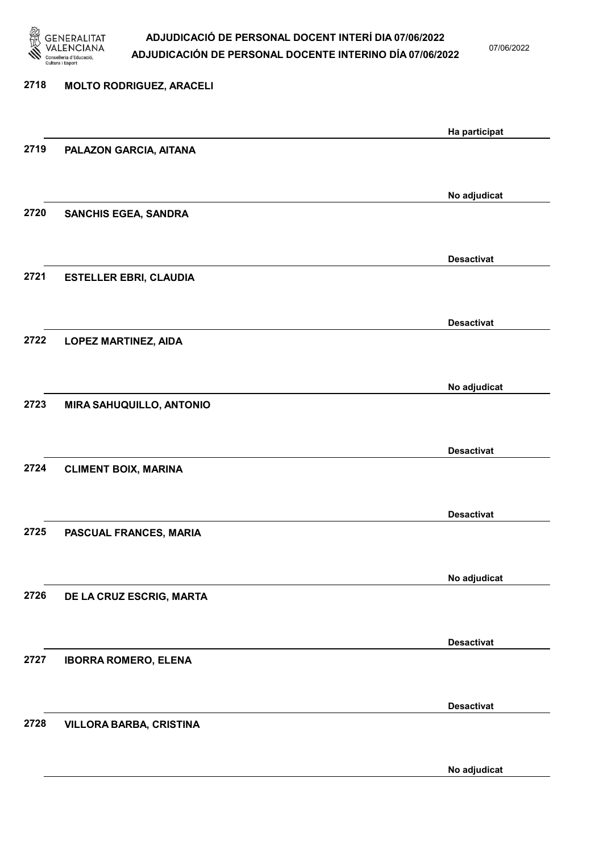

07/06/2022

# 2718 MOLTO RODRIGUEZ, ARACELI Ha participat 2719 PALAZON GARCIA, AITANA No adjudicat 2720 SANCHIS EGEA, SANDRA Desactivat 2721 ESTELLER EBRI, CLAUDIA Desactivat 2722 LOPEZ MARTINEZ, AIDA No adjudicat 2723 MIRA SAHUQUILLO, ANTONIO Desactivat 2724 CLIMENT BOIX, MARINA Desactivat 2725 PASCUAL FRANCES, MARIA No adjudicat 2726 DE LA CRUZ ESCRIG, MARTA Desactivat 2727 IBORRA ROMERO, ELENA Desactivat 2728 VILLORA BARBA, CRISTINA

No adjudicat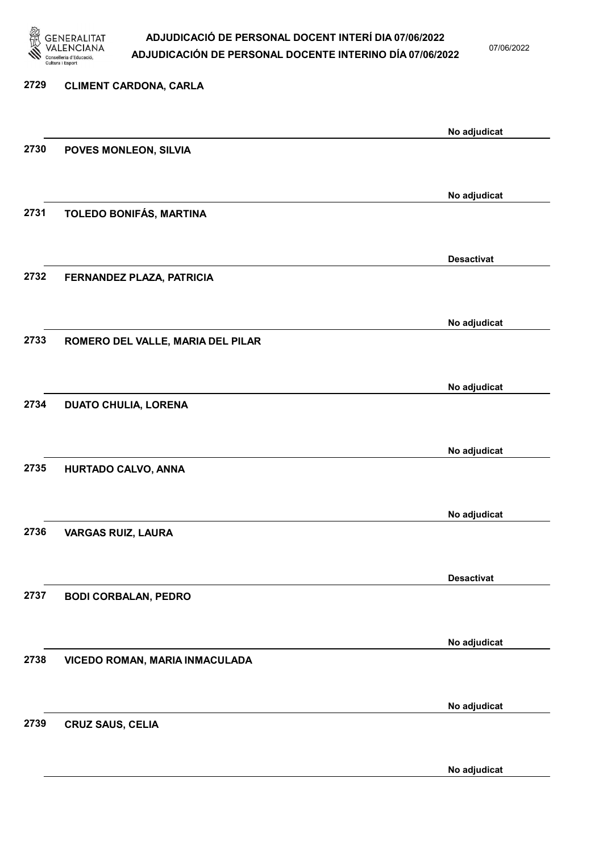

07/06/2022

No adjudicat

# 2729 CLIMENT CARDONA, CARLA No adjudicat 2730 POVES MONLEON, SILVIA No adjudicat 2731 TOLEDO BONIFÁS, MARTINA Desactivat 2732 FERNANDEZ PLAZA, PATRICIA No adjudicat 2733 ROMERO DEL VALLE, MARIA DEL PILAR No adjudicat 2734 DUATO CHULIA, LORENA No adjudicat 2735 HURTADO CALVO, ANNA No adjudicat 2736 VARGAS RUIZ, LAURA Desactivat 2737 BODI CORBALAN, PEDRO No adjudicat 2738 VICEDO ROMAN, MARIA INMACULADA No adjudicat 2739 CRUZ SAUS, CELIA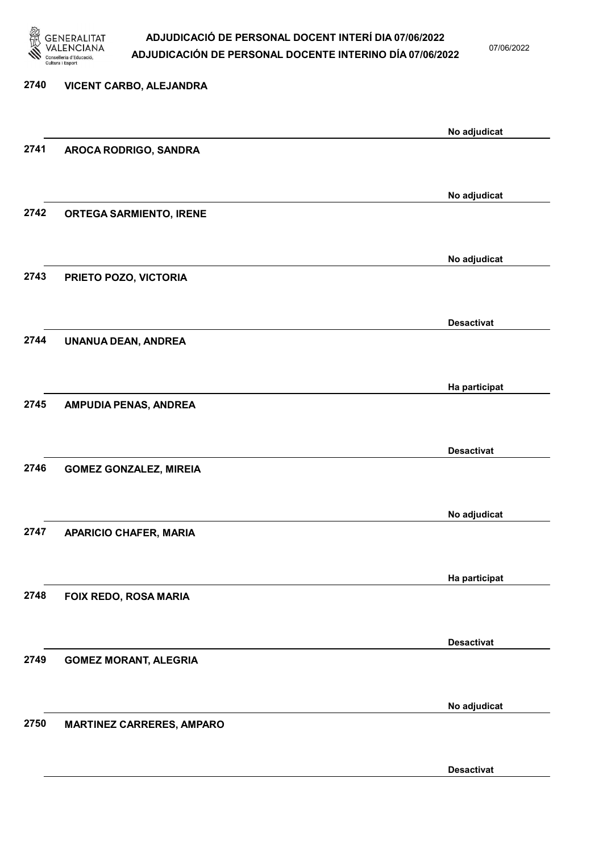

07/06/2022

Desactivat

# 2740 VICENT CARBO, ALEJANDRA No adjudicat 2741 AROCA RODRIGO, SANDRA No adjudicat 2742 ORTEGA SARMIENTO, IRENE No adjudicat 2743 PRIETO POZO, VICTORIA Desactivat 2744 UNANUA DEAN, ANDREA Ha participat 2745 AMPUDIA PENAS, ANDREA Desactivat 2746 GOMEZ GONZALEZ, MIREIA No adjudicat 2747 APARICIO CHAFER, MARIA Ha participat 2748 FOIX REDO, ROSA MARIA Desactivat 2749 GOMEZ MORANT, ALEGRIA No adjudicat 2750 MARTINEZ CARRERES, AMPARO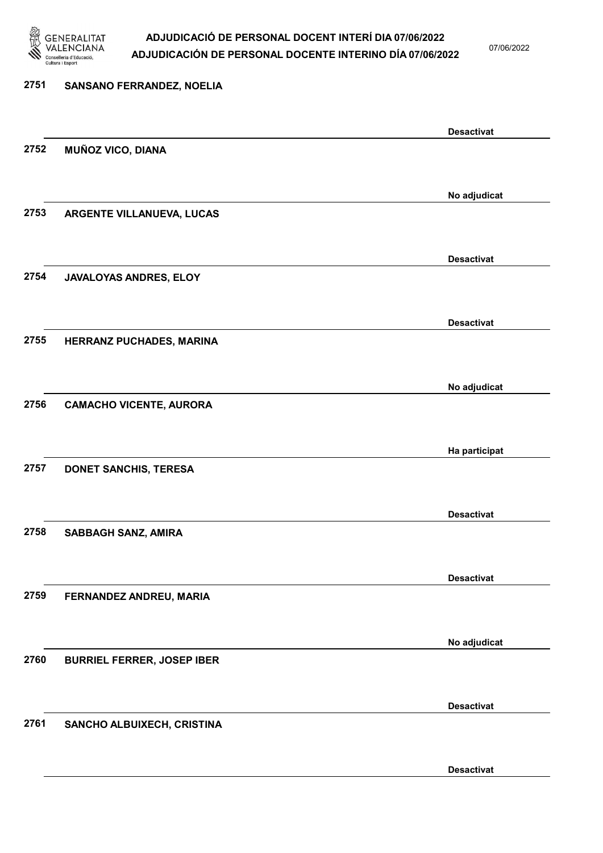

07/06/2022

Desactivat

# 2751 SANSANO FERRANDEZ, NOELIA Desactivat 2752 MUÑOZ VICO, DIANA No adjudicat 2753 ARGENTE VILLANUEVA, LUCAS Desactivat 2754 JAVALOYAS ANDRES, ELOY Desactivat 2755 HERRANZ PUCHADES, MARINA No adjudicat 2756 CAMACHO VICENTE, AURORA Ha participat 2757 DONET SANCHIS, TERESA Desactivat 2758 SABBAGH SANZ, AMIRA Desactivat 2759 FERNANDEZ ANDREU, MARIA No adjudicat 2760 BURRIEL FERRER, JOSEP IBER Desactivat 2761 SANCHO ALBUIXECH, CRISTINA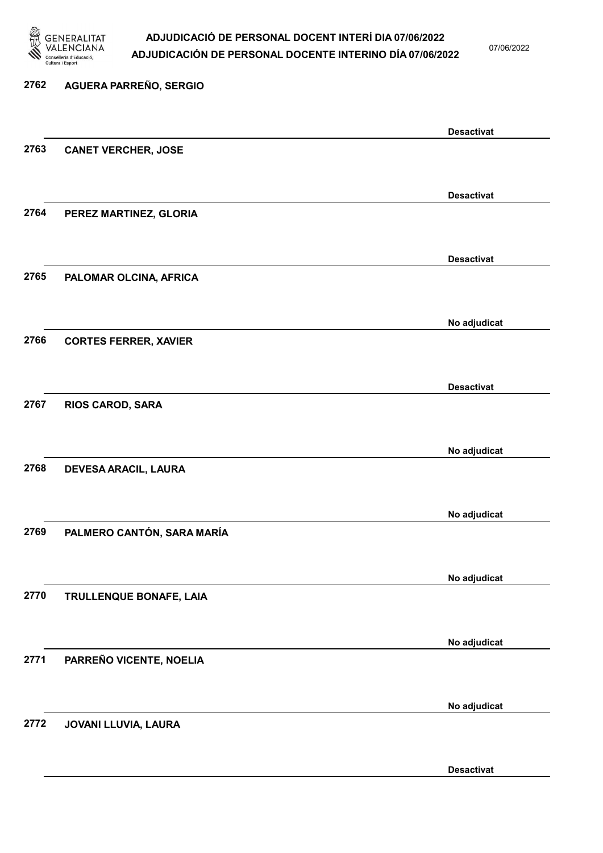

07/06/2022

Desactivat

# 2762 AGUERA PARREÑO, SERGIO Desactivat 2763 CANET VERCHER, JOSE Desactivat 2764 PEREZ MARTINEZ, GLORIA Desactivat 2765 PALOMAR OLCINA, AFRICA No adjudicat 2766 CORTES FERRER, XAVIER Desactivat 2767 RIOS CAROD, SARA No adjudicat 2768 DEVESA ARACIL, LAURA No adjudicat 2769 PALMERO CANTÓN, SARA MARÍA No adjudicat 2770 TRULLENQUE BONAFE, LAIA No adjudicat 2771 PARREÑO VICENTE, NOELIA No adjudicat 2772 JOVANI LLUVIA, LAURA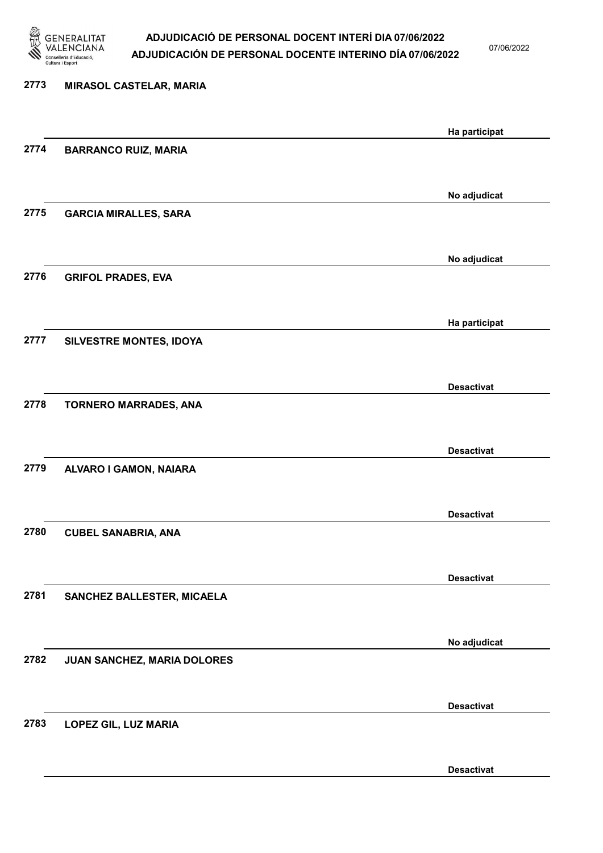

07/06/2022

Desactivat

# 2773 MIRASOL CASTELAR, MARIA Ha participat 2774 BARRANCO RUIZ, MARIA No adjudicat 2775 GARCIA MIRALLES, SARA No adjudicat 2776 GRIFOL PRADES, EVA Ha participat 2777 SILVESTRE MONTES, IDOYA Desactivat 2778 TORNERO MARRADES, ANA Desactivat 2779 ALVARO I GAMON, NAIARA Desactivat 2780 CUBEL SANABRIA, ANA Desactivat 2781 SANCHEZ BALLESTER, MICAELA No adjudicat 2782 JUAN SANCHEZ, MARIA DOLORES Desactivat 2783 LOPEZ GIL, LUZ MARIA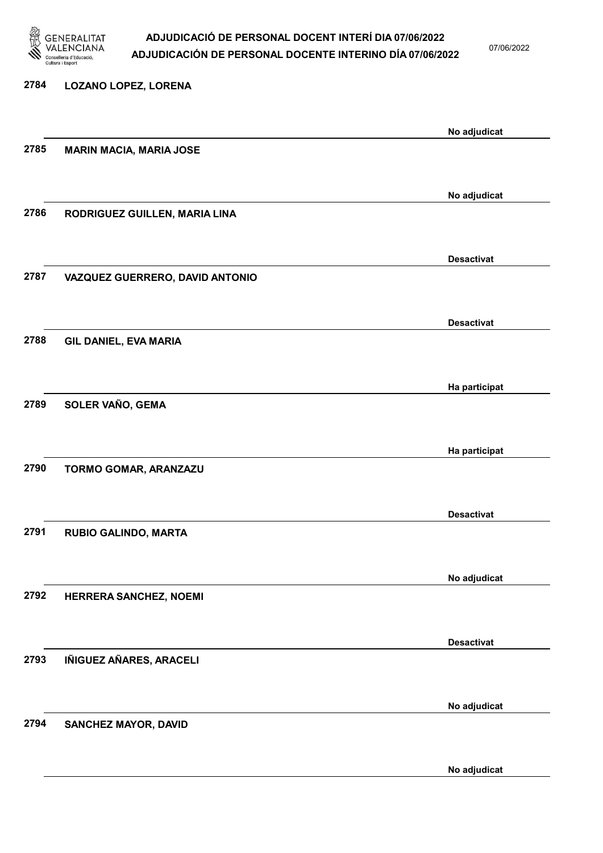

07/06/2022

No adjudicat

| 2784 | <b>LOZANO LOPEZ, LORENA</b>     |                   |
|------|---------------------------------|-------------------|
|      |                                 |                   |
|      |                                 | No adjudicat      |
| 2785 | <b>MARIN MACIA, MARIA JOSE</b>  |                   |
|      |                                 |                   |
|      |                                 | No adjudicat      |
| 2786 | RODRIGUEZ GUILLEN, MARIA LINA   |                   |
|      |                                 |                   |
|      |                                 |                   |
|      |                                 | <b>Desactivat</b> |
| 2787 | VAZQUEZ GUERRERO, DAVID ANTONIO |                   |
|      |                                 |                   |
|      |                                 |                   |
| 2788 |                                 | <b>Desactivat</b> |
|      | GIL DANIEL, EVA MARIA           |                   |
|      |                                 |                   |
|      |                                 | Ha participat     |
| 2789 | SOLER VAÑO, GEMA                |                   |
|      |                                 |                   |
|      |                                 |                   |
|      |                                 | Ha participat     |
| 2790 | TORMO GOMAR, ARANZAZU           |                   |
|      |                                 |                   |
|      |                                 | <b>Desactivat</b> |
| 2791 | <b>RUBIO GALINDO, MARTA</b>     |                   |
|      |                                 |                   |
|      |                                 |                   |
|      |                                 | No adjudicat      |
| 2792 | HERRERA SANCHEZ, NOEMI          |                   |
|      |                                 |                   |
|      |                                 | <b>Desactivat</b> |
| 2793 | IÑIGUEZ AÑARES, ARACELI         |                   |
|      |                                 |                   |
|      |                                 |                   |
|      |                                 | No adjudicat      |
| 2794 | <b>SANCHEZ MAYOR, DAVID</b>     |                   |
|      |                                 |                   |
|      |                                 |                   |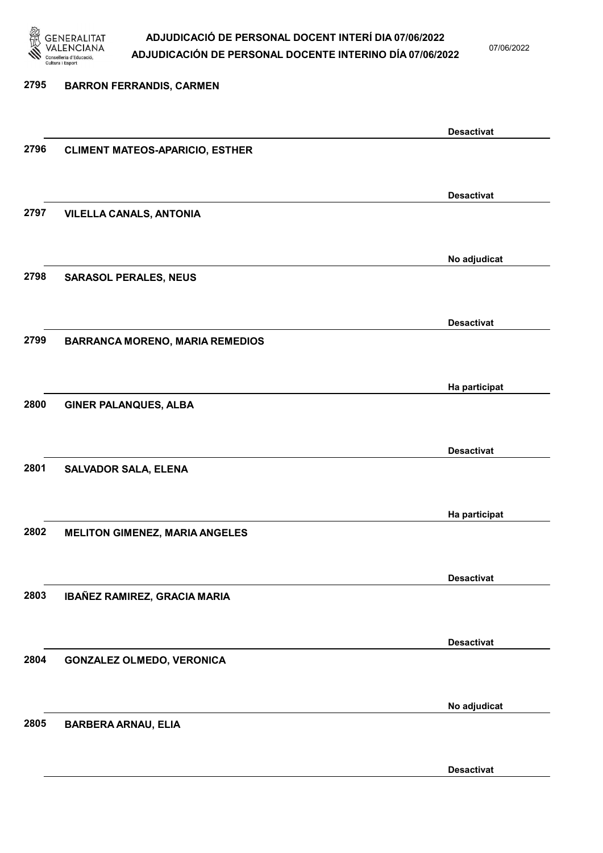

07/06/2022

Desactivat

# 2795 BARRON FERRANDIS, CARMEN Desactivat 2796 CLIMENT MATEOS-APARICIO, ESTHER Desactivat 2797 VILELLA CANALS, ANTONIA No adjudicat 2798 SARASOL PERALES, NEUS Desactivat 2799 BARRANCA MORENO, MARIA REMEDIOS Ha participat 2800 GINER PALANQUES, ALBA Desactivat 2801 SALVADOR SALA, ELENA Ha participat 2802 MELITON GIMENEZ, MARIA ANGELES Desactivat 2803 IBAÑEZ RAMIREZ, GRACIA MARIA Desactivat 2804 GONZALEZ OLMEDO, VERONICA No adjudicat 2805 BARBERA ARNAU, ELIA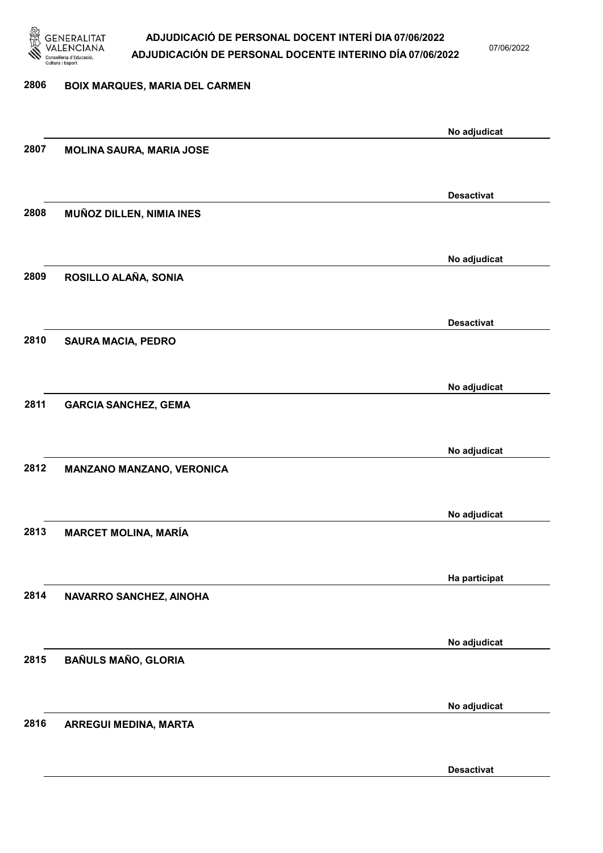

07/06/2022

Desactivat

# 2806 BOIX MARQUES, MARIA DEL CARMEN No adjudicat 2807 MOLINA SAURA, MARIA JOSE Desactivat 2808 MUÑOZ DILLEN, NIMIA INES No adjudicat 2809 ROSILLO ALAÑA, SONIA Desactivat 2810 SAURA MACIA, PEDRO No adjudicat 2811 GARCIA SANCHEZ, GEMA No adjudicat 2812 MANZANO MANZANO, VERONICA No adjudicat 2813 MARCET MOLINA, MARÍA Ha participat 2814 NAVARRO SANCHEZ, AINOHA No adjudicat 2815 BAÑULS MAÑO, GLORIA No adjudicat 2816 ARREGUI MEDINA, MARTA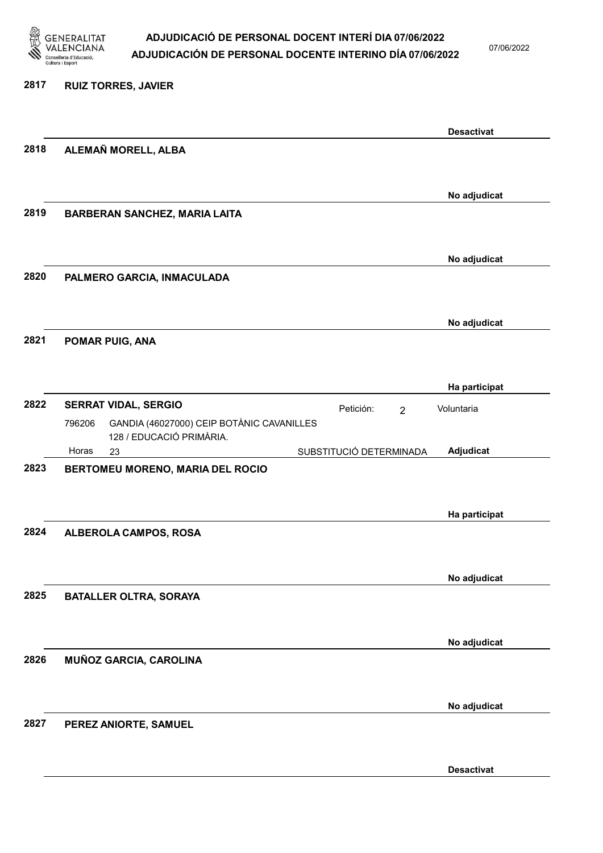

07/06/2022

Desactivat

### 2817 RUIZ TORRES, JAVIER Desactivat 2818 ALEMAÑ MORELL, ALBA No adjudicat 2819 BARBERAN SANCHEZ, MARIA LAITA No adjudicat 2820 PALMERO GARCIA, INMACULADA No adjudicat 2821 POMAR PUIG, ANA Ha participat 2822 SERRAT VIDAL, SERGIO **El proportante de la proporta** Petición: 2 23 SUBSTITUCIÓ DETERMINADA GANDIA (46027000) CEIP BOTÀNIC CAVANILLES 128 / EDUCACIÓ PRIMÀRIA. Adjudicat Voluntaria 796206 Horas 2823 BERTOMEU MORENO, MARIA DEL ROCIO Ha participat 2824 ALBEROLA CAMPOS, ROSA No adjudicat 2825 BATALLER OLTRA, SORAYA No adjudicat 2826 MUÑOZ GARCIA, CAROLINA No adjudicat 2827 PEREZ ANIORTE, SAMUEL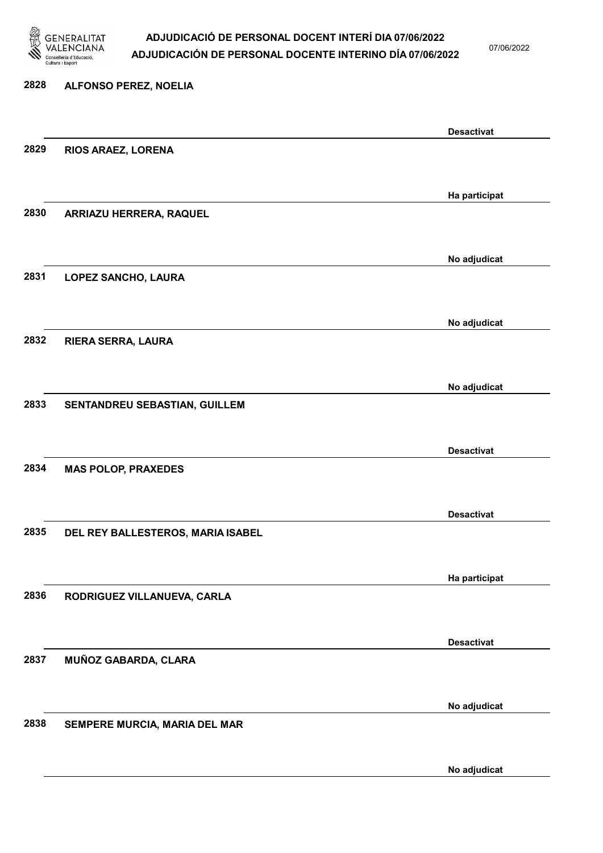

07/06/2022

# 2828 ALFONSO PEREZ, NOELIA Desactivat 2829 RIOS ARAEZ, LORENA Ha participat 2830 ARRIAZU HERRERA, RAQUEL No adjudicat 2831 LOPEZ SANCHO, LAURA No adjudicat 2832 RIERA SERRA, LAURA No adjudicat 2833 SENTANDREU SEBASTIAN, GUILLEM Desactivat 2834 MAS POLOP, PRAXEDES Desactivat 2835 DEL REY BALLESTEROS, MARIA ISABEL Ha participat 2836 RODRIGUEZ VILLANUEVA, CARLA Desactivat 2837 MUÑOZ GABARDA, CLARA No adjudicat 2838 SEMPERE MURCIA, MARIA DEL MAR

No adjudicat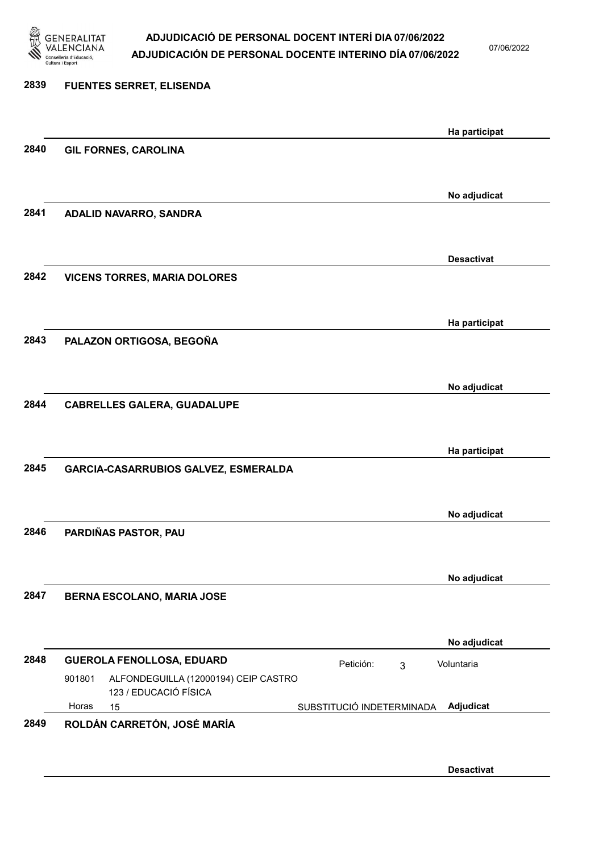

07/06/2022

### 2839 FUENTES SERRET, ELISENDA Ha participat 2840 GIL FORNES, CAROLINA No adjudicat 2841 ADALID NAVARRO, SANDRA Desactivat 2842 VICENS TORRES, MARIA DOLORES Ha participat 2843 PALAZON ORTIGOSA, BEGOÑA No adjudicat 2844 CABRELLES GALERA, GUADALUPE Ha participat 2845 GARCIA-CASARRUBIOS GALVEZ, ESMERALDA No adjudicat 2846 PARDIÑAS PASTOR, PAU No adjudicat 2847 BERNA ESCOLANO, MARIA JOSE No adjudicat 2848 GUEROLA FENOLLOSA, EDUARD Petición: 3 15 SUBSTITUCIÓ INDETERMINADA ALFONDEGUILLA (12000194) CEIP CASTRO 123 / EDUCACIÓ FÍSICA Adjudicat Voluntaria 901801 Horas 2849 ROLDÁN CARRETÓN, JOSÉ MARÍA

Desactivat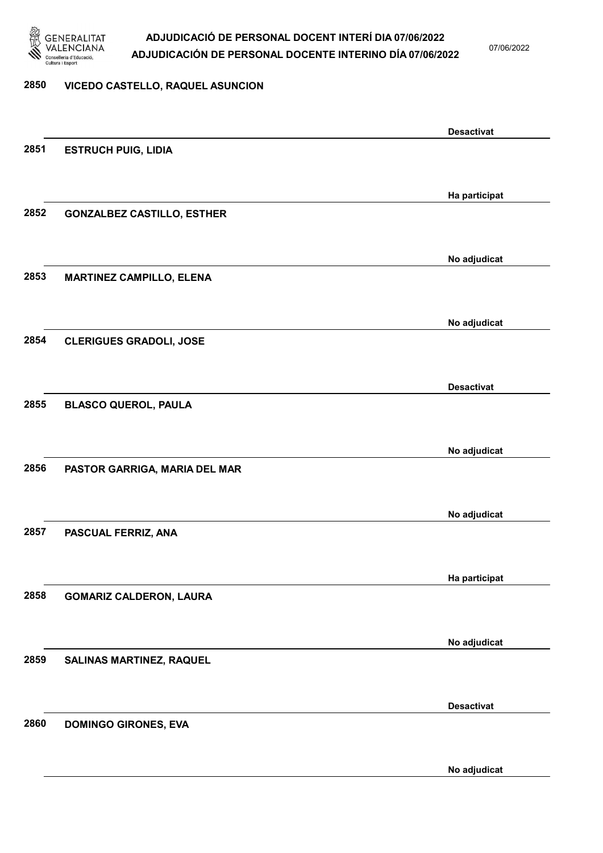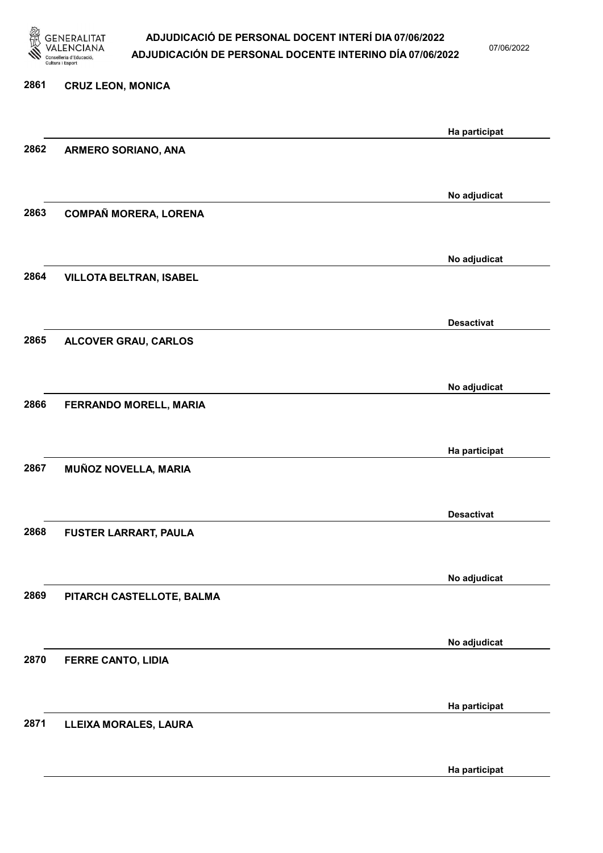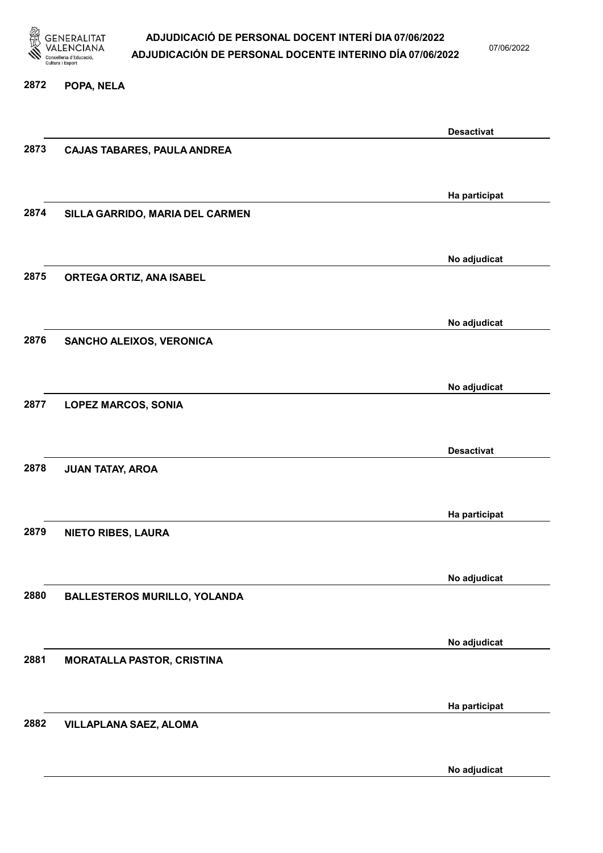

07/06/2022

#### 2872 POPA, NELA

|      |                                    | <b>Desactivat</b> |
|------|------------------------------------|-------------------|
| 2873 | <b>CAJAS TABARES, PAULA ANDREA</b> |                   |
|      |                                    |                   |
|      |                                    | Ha participat     |
| 2874 | SILLA GARRIDO, MARIA DEL CARMEN    |                   |
|      |                                    |                   |
|      |                                    | No adjudicat      |
| 2875 | ORTEGA ORTIZ, ANA ISABEL           |                   |
|      |                                    |                   |
|      |                                    | No adjudicat      |
| 2876 | SANCHO ALEIXOS, VERONICA           |                   |
|      |                                    |                   |
| 2877 |                                    | No adjudicat      |
|      | <b>LOPEZ MARCOS, SONIA</b>         |                   |
|      |                                    | <b>Desactivat</b> |
| 2878 | <b>JUAN TATAY, AROA</b>            |                   |
|      |                                    |                   |
|      |                                    | Ha participat     |
| 2879 | <b>NIETO RIBES, LAURA</b>          |                   |
|      |                                    |                   |
|      |                                    | No adjudicat      |
| 2880 | BALLESTEROS MURILLO, YOLANDA       |                   |
|      |                                    |                   |
|      |                                    | No adjudicat      |
| 2881 | <b>MORATALLA PASTOR, CRISTINA</b>  |                   |
|      |                                    |                   |
|      |                                    | Ha participat     |
| 2882 | <b>VILLAPLANA SAEZ, ALOMA</b>      |                   |
|      |                                    |                   |
|      |                                    | No adjudicat      |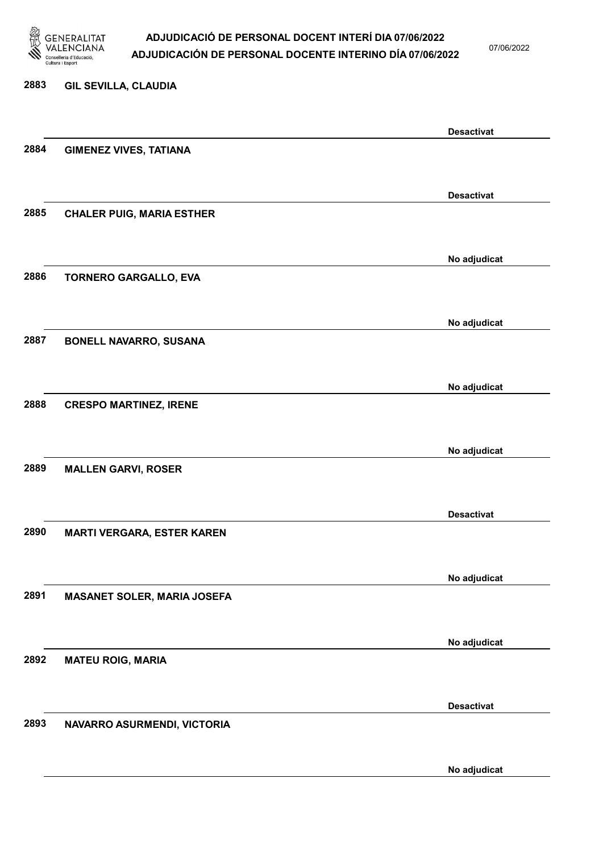

07/06/2022

No adjudicat

# 2883 GIL SEVILLA, CLAUDIA Desactivat 2884 GIMENEZ VIVES, TATIANA Desactivat 2885 CHALER PUIG, MARIA ESTHER No adjudicat 2886 TORNERO GARGALLO, EVA No adjudicat 2887 BONELL NAVARRO, SUSANA No adjudicat 2888 CRESPO MARTINEZ, IRENE No adjudicat 2889 MALLEN GARVI, ROSER Desactivat 2890 MARTI VERGARA, ESTER KAREN No adjudicat 2891 MASANET SOLER, MARIA JOSEFA No adjudicat 2892 MATEU ROIG, MARIA Desactivat 2893 NAVARRO ASURMENDI, VICTORIA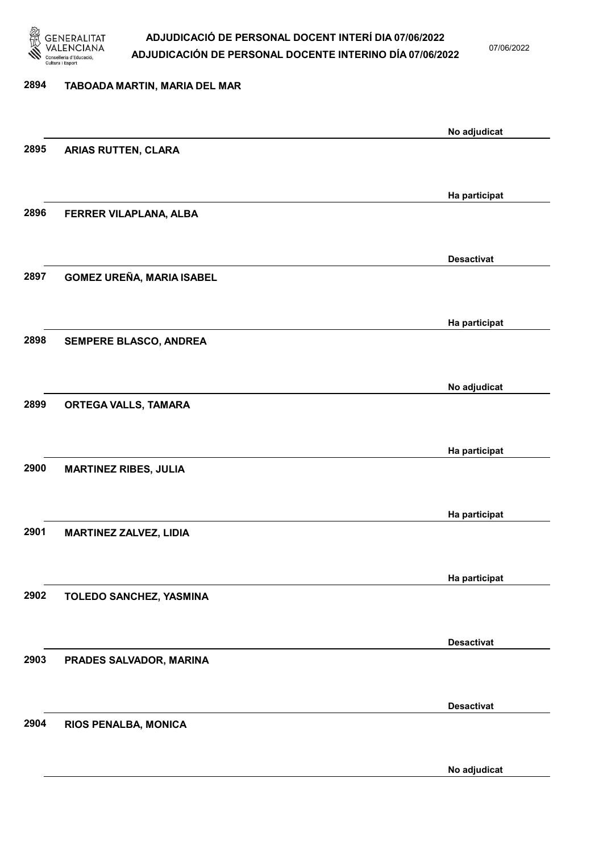

07/06/2022

## 2894 TABOADA MARTIN, MARIA DEL MAR No adjudicat 2895 ARIAS RUTTEN, CLARA Ha participat 2896 FERRER VILAPLANA, ALBA Desactivat 2897 GOMEZ UREÑA, MARIA ISABEL Ha participat 2898 SEMPERE BLASCO, ANDREA No adjudicat 2899 ORTEGA VALLS, TAMARA Ha participat 2900 MARTINEZ RIBES, JULIA Ha participat 2901 MARTINEZ ZALVEZ, LIDIA Ha participat 2902 TOLEDO SANCHEZ, YASMINA Desactivat 2903 PRADES SALVADOR, MARINA Desactivat 2904 RIOS PENALBA, MONICA No adjudicat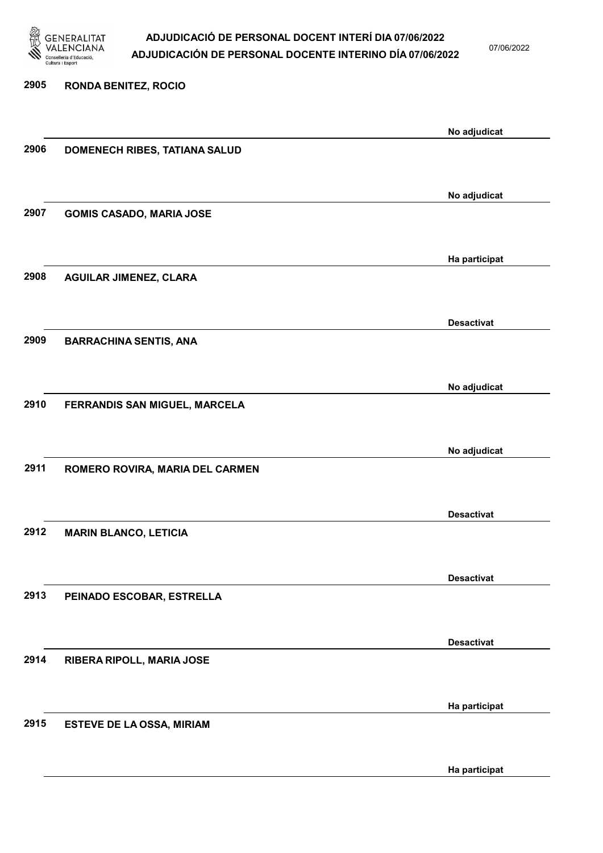

07/06/2022

# 2905 RONDA BENITEZ, ROCIO No adjudicat 2906 DOMENECH RIBES, TATIANA SALUD No adjudicat 2907 GOMIS CASADO, MARIA JOSE Ha participat 2908 AGUILAR JIMENEZ, CLARA Desactivat 2909 BARRACHINA SENTIS, ANA No adjudicat 2910 FERRANDIS SAN MIGUEL, MARCELA No adjudicat 2911 ROMERO ROVIRA, MARIA DEL CARMEN Desactivat 2912 MARIN BLANCO, LETICIA Desactivat 2913 PEINADO ESCOBAR, ESTRELLA Desactivat 2914 RIBERA RIPOLL, MARIA JOSE Ha participat 2915 ESTEVE DE LA OSSA, MIRIAM

Ha participat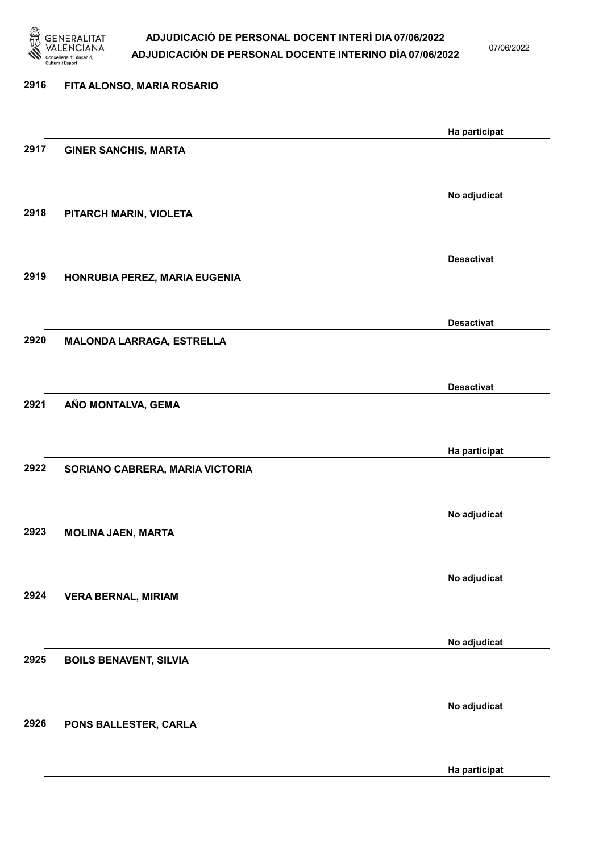

07/06/2022

Ha participat

# 2916 FITA ALONSO, MARIA ROSARIO Ha participat 2917 GINER SANCHIS, MARTA No adjudicat 2918 PITARCH MARIN, VIOLETA Desactivat 2919 HONRUBIA PEREZ, MARIA EUGENIA Desactivat 2920 MALONDA LARRAGA, ESTRELLA Desactivat 2921 AÑO MONTALVA, GEMA Ha participat 2922 SORIANO CABRERA, MARIA VICTORIA No adjudicat 2923 MOLINA JAEN, MARTA No adjudicat 2924 VERA BERNAL, MIRIAM No adjudicat 2925 BOILS BENAVENT, SILVIA No adjudicat 2926 PONS BALLESTER, CARLA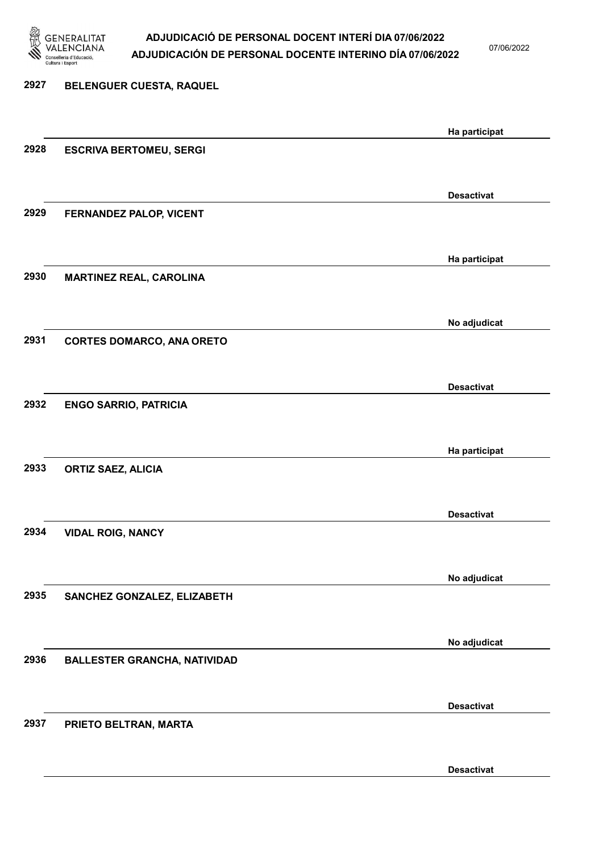

07/06/2022

## 2927 BELENGUER CUESTA, RAQUEL Ha participat 2928 ESCRIVA BERTOMEU, SERGI Desactivat 2929 FERNANDEZ PALOP, VICENT Ha participat 2930 MARTINEZ REAL, CAROLINA No adjudicat 2931 CORTES DOMARCO, ANA ORETO Desactivat 2932 ENGO SARRIO, PATRICIA Ha participat 2933 ORTIZ SAEZ, ALICIA Desactivat 2934 VIDAL ROIG, NANCY No adjudicat 2935 SANCHEZ GONZALEZ, ELIZABETH No adjudicat 2936 BALLESTER GRANCHA, NATIVIDAD Desactivat 2937 PRIETO BELTRAN, MARTA Desactivat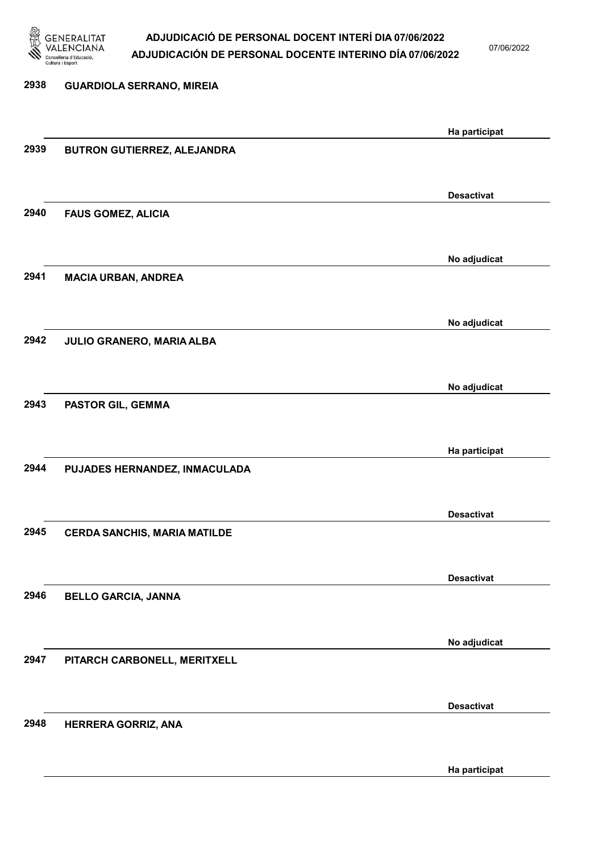

07/06/2022

Ha participat

| 2938 | <b>GUARDIOLA SERRANO, MIREIA</b>    |                   |
|------|-------------------------------------|-------------------|
|      |                                     | Ha participat     |
| 2939 | BUTRON GUTIERREZ, ALEJANDRA         |                   |
|      |                                     | <b>Desactivat</b> |
| 2940 | <b>FAUS GOMEZ, ALICIA</b>           |                   |
|      |                                     | No adjudicat      |
| 2941 | <b>MACIA URBAN, ANDREA</b>          |                   |
|      |                                     | No adjudicat      |
| 2942 | JULIO GRANERO, MARIA ALBA           |                   |
|      |                                     | No adjudicat      |
| 2943 | PASTOR GIL, GEMMA                   |                   |
|      |                                     | Ha participat     |
| 2944 | PUJADES HERNANDEZ, INMACULADA       |                   |
|      |                                     | <b>Desactivat</b> |
| 2945 | <b>CERDA SANCHIS, MARIA MATILDE</b> |                   |
|      |                                     | <b>Desactivat</b> |
| 2946 | <b>BELLO GARCIA, JANNA</b>          |                   |
|      |                                     | No adjudicat      |
| 2947 | PITARCH CARBONELL, MERITXELL        |                   |
|      |                                     | <b>Desactivat</b> |
|      |                                     |                   |
| 2948 | HERRERA GORRIZ, ANA                 |                   |
|      |                                     |                   |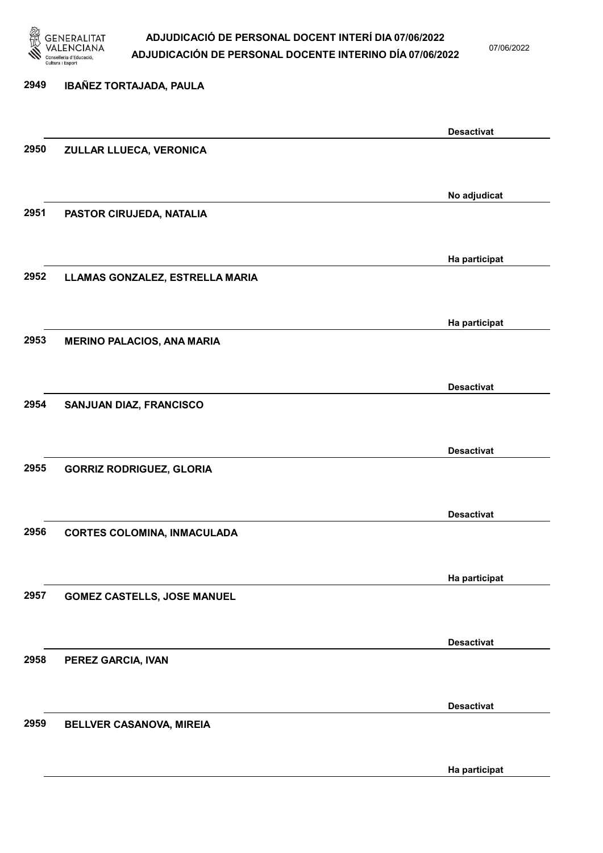

07/06/2022

Ha participat

# 2949 IBAÑEZ TORTAJADA, PAULA Desactivat 2950 ZULLAR LLUECA, VERONICA No adjudicat 2951 PASTOR CIRUJEDA, NATALIA Ha participat 2952 LLAMAS GONZALEZ, ESTRELLA MARIA Ha participat 2953 MERINO PALACIOS, ANA MARIA Desactivat 2954 SANJUAN DIAZ, FRANCISCO Desactivat 2955 GORRIZ RODRIGUEZ, GLORIA Desactivat 2956 CORTES COLOMINA, INMACULADA Ha participat 2957 GOMEZ CASTELLS, JOSE MANUEL Desactivat 2958 PEREZ GARCIA, IVAN Desactivat 2959 BELLVER CASANOVA, MIREIA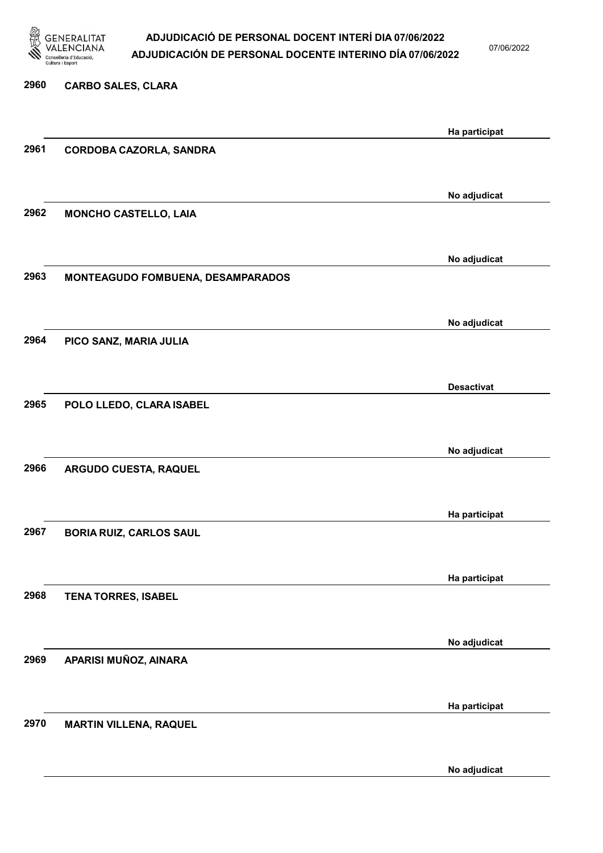

07/06/2022

No adjudicat

# 2960 CARBO SALES, CLARA Ha participat 2961 CORDOBA CAZORLA, SANDRA No adjudicat 2962 MONCHO CASTELLO, LAIA No adjudicat 2963 MONTEAGUDO FOMBUENA, DESAMPARADOS No adjudicat 2964 PICO SANZ, MARIA JULIA Desactivat 2965 POLO LLEDO, CLARA ISABEL No adjudicat 2966 ARGUDO CUESTA, RAQUEL Ha participat 2967 BORIA RUIZ, CARLOS SAUL Ha participat 2968 TENA TORRES, ISABEL No adjudicat 2969 APARISI MUÑOZ, AINARA Ha participat 2970 MARTIN VILLENA, RAQUEL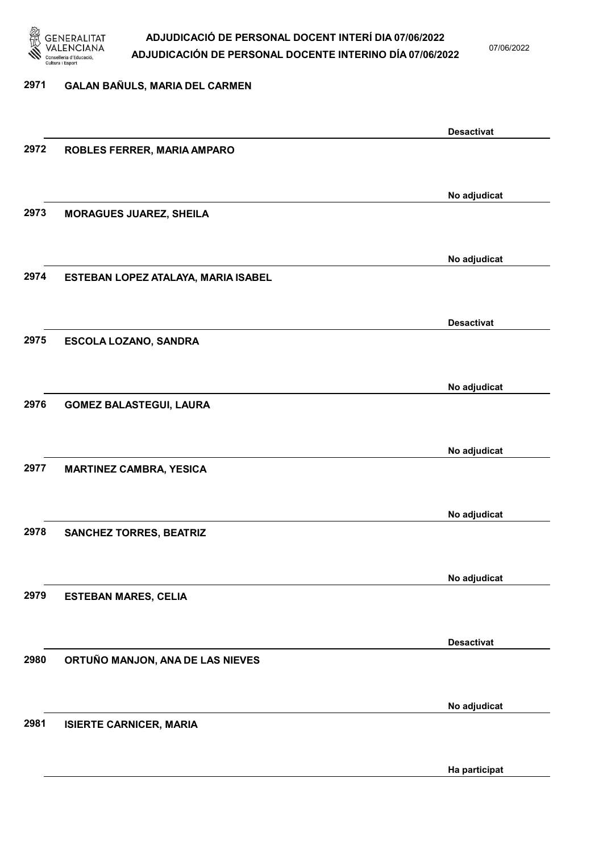

07/06/2022

#### 2971 GALAN BAÑULS, MARIA DEL CARMEN

|      |                                     | <b>Desactivat</b> |
|------|-------------------------------------|-------------------|
| 2972 | ROBLES FERRER, MARIA AMPARO         |                   |
|      |                                     |                   |
|      |                                     |                   |
|      |                                     |                   |
|      |                                     | No adjudicat      |
| 2973 | <b>MORAGUES JUAREZ, SHEILA</b>      |                   |
|      |                                     |                   |
|      |                                     |                   |
|      |                                     | No adjudicat      |
| 2974 | ESTEBAN LOPEZ ATALAYA, MARIA ISABEL |                   |
|      |                                     |                   |
|      |                                     |                   |
|      |                                     |                   |
|      |                                     | <b>Desactivat</b> |
| 2975 | <b>ESCOLA LOZANO, SANDRA</b>        |                   |
|      |                                     |                   |
|      |                                     |                   |
|      |                                     | No adjudicat      |
| 2976 | <b>GOMEZ BALASTEGUI, LAURA</b>      |                   |
|      |                                     |                   |
|      |                                     |                   |
|      |                                     | No adjudicat      |
|      |                                     |                   |
| 2977 | <b>MARTINEZ CAMBRA, YESICA</b>      |                   |
|      |                                     |                   |
|      |                                     |                   |
|      |                                     | No adjudicat      |
| 2978 | <b>SANCHEZ TORRES, BEATRIZ</b>      |                   |
|      |                                     |                   |
|      |                                     |                   |
|      |                                     | No adjudicat      |
| 2979 | <b>ESTEBAN MARES, CELIA</b>         |                   |
|      |                                     |                   |
|      |                                     |                   |
|      |                                     |                   |
|      |                                     | <b>Desactivat</b> |
| 2980 | ORTUÑO MANJON, ANA DE LAS NIEVES    |                   |
|      |                                     |                   |
|      |                                     |                   |
|      |                                     | No adjudicat      |
| 2981 | <b>ISIERTE CARNICER, MARIA</b>      |                   |
|      |                                     |                   |
|      |                                     |                   |
|      |                                     | Ha participat     |
|      |                                     |                   |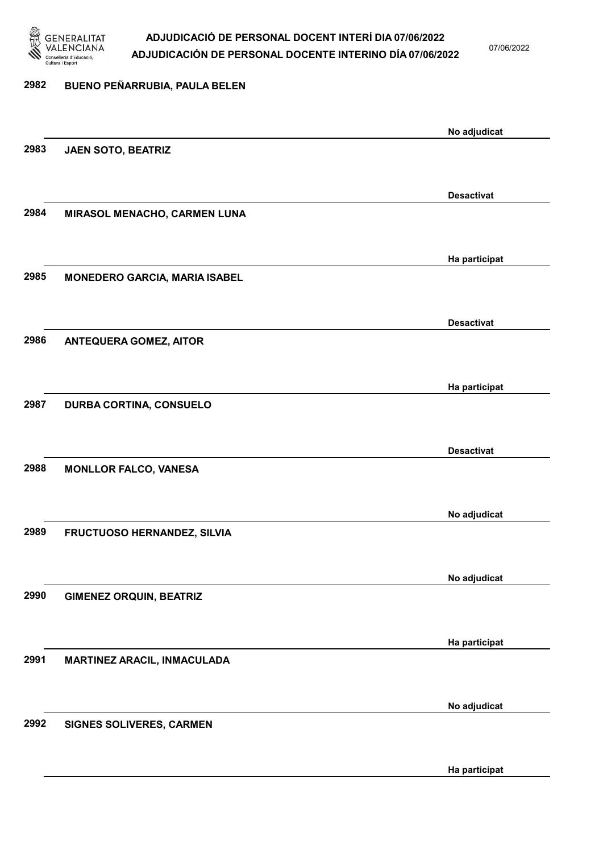

07/06/2022

Ha participat

| 2982 | BUENO PEÑARRUBIA, PAULA BELEN        |                   |
|------|--------------------------------------|-------------------|
|      |                                      |                   |
|      |                                      | No adjudicat      |
| 2983 | JAEN SOTO, BEATRIZ                   |                   |
|      |                                      |                   |
|      |                                      | <b>Desactivat</b> |
| 2984 | MIRASOL MENACHO, CARMEN LUNA         |                   |
|      |                                      |                   |
|      |                                      | Ha participat     |
| 2985 | <b>MONEDERO GARCIA, MARIA ISABEL</b> |                   |
|      |                                      |                   |
|      |                                      |                   |
|      |                                      | <b>Desactivat</b> |
| 2986 | <b>ANTEQUERA GOMEZ, AITOR</b>        |                   |
|      |                                      |                   |
|      |                                      | Ha participat     |
| 2987 | DURBA CORTINA, CONSUELO              |                   |
|      |                                      |                   |
|      |                                      | <b>Desactivat</b> |
| 2988 | <b>MONLLOR FALCO, VANESA</b>         |                   |
|      |                                      |                   |
|      |                                      | No adjudicat      |
| 2989 | FRUCTUOSO HERNANDEZ, SILVIA          |                   |
|      |                                      |                   |
|      |                                      |                   |
|      |                                      | No adjudicat      |
| 2990 | <b>GIMENEZ ORQUIN, BEATRIZ</b>       |                   |
|      |                                      |                   |
|      |                                      | Ha participat     |
| 2991 | <b>MARTINEZ ARACIL, INMACULADA</b>   |                   |
|      |                                      |                   |
|      |                                      | No adjudicat      |
| 2992 | SIGNES SOLIVERES, CARMEN             |                   |
|      |                                      |                   |
|      |                                      |                   |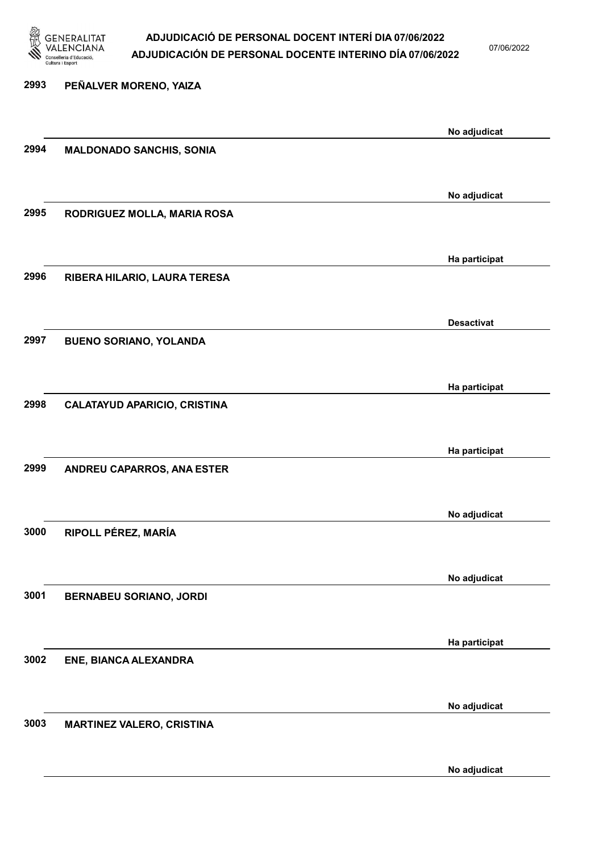

07/06/2022

No adjudicat

# 2993 PEÑALVER MORENO, YAIZA No adjudicat 2994 MALDONADO SANCHIS, SONIA No adjudicat 2995 RODRIGUEZ MOLLA, MARIA ROSA Ha participat 2996 RIBERA HILARIO, LAURA TERESA Desactivat 2997 BUENO SORIANO, YOLANDA Ha participat 2998 CALATAYUD APARICIO, CRISTINA Ha participat 2999 ANDREU CAPARROS, ANA ESTER No adjudicat 3000 RIPOLL PÉREZ, MARÍA No adjudicat 3001 BERNABEU SORIANO, JORDI Ha participat 3002 ENE, BIANCA ALEXANDRA No adjudicat 3003 MARTINEZ VALERO, CRISTINA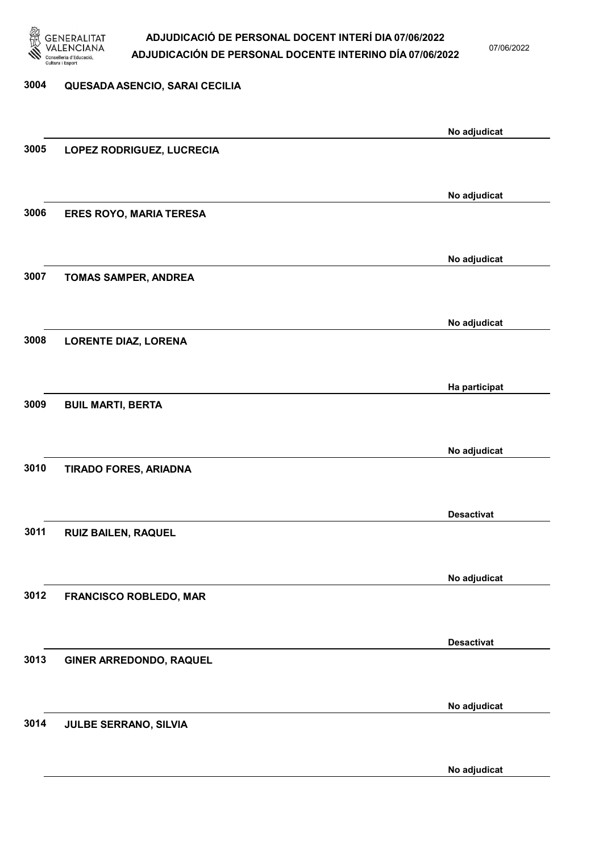

07/06/2022

# 3004 QUESADA ASENCIO, SARAI CECILIA No adjudicat 3005 LOPEZ RODRIGUEZ, LUCRECIA No adjudicat 3006 ERES ROYO, MARIA TERESA No adjudicat 3007 TOMAS SAMPER, ANDREA No adjudicat 3008 LORENTE DIAZ, LORENA Ha participat 3009 BUIL MARTI, BERTA No adjudicat 3010 TIRADO FORES, ARIADNA Desactivat 3011 RUIZ BAILEN, RAQUEL No adjudicat 3012 FRANCISCO ROBLEDO, MAR Desactivat 3013 GINER ARREDONDO, RAQUEL No adjudicat 3014 JULBE SERRANO, SILVIA

No adjudicat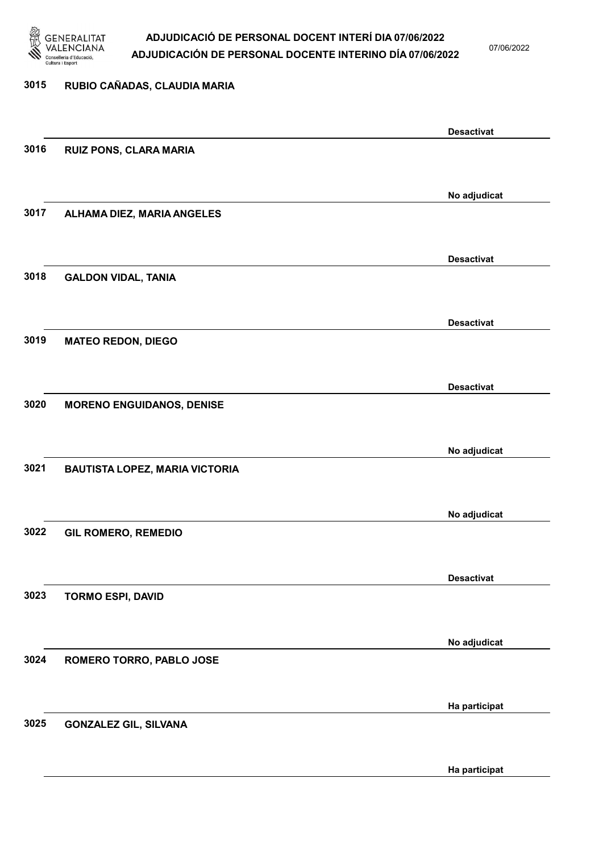

07/06/2022

## 3015 RUBIO CAÑADAS, CLAUDIA MARIA Desactivat 3016 RUIZ PONS, CLARA MARIA No adjudicat 3017 ALHAMA DIEZ, MARIA ANGELES Desactivat 3018 GALDON VIDAL, TANIA Desactivat 3019 MATEO REDON, DIEGO Desactivat 3020 MORENO ENGUIDANOS, DENISE No adjudicat 3021 BAUTISTA LOPEZ, MARIA VICTORIA No adjudicat 3022 GIL ROMERO, REMEDIO Desactivat 3023 TORMO ESPI, DAVID No adjudicat 3024 ROMERO TORRO, PABLO JOSE Ha participat 3025 GONZALEZ GIL, SILVANA Ha participat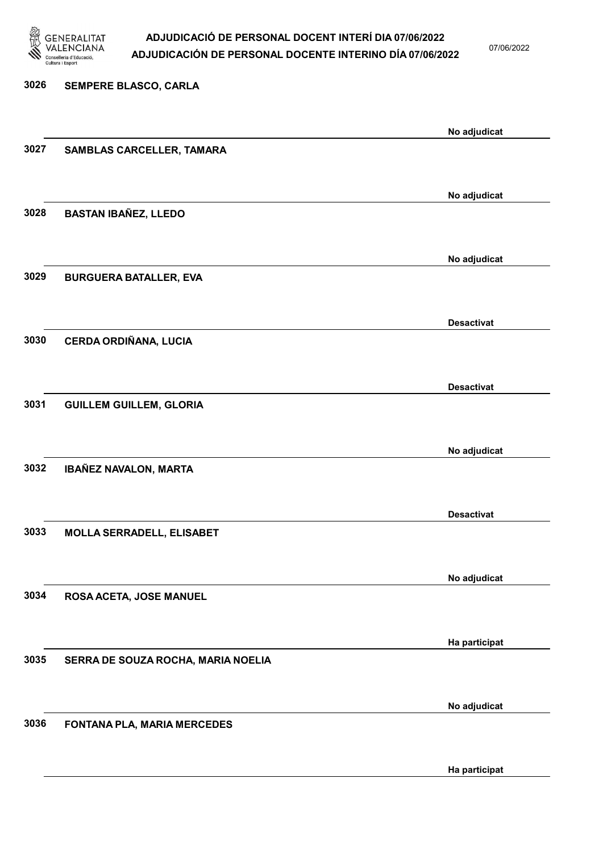

07/06/2022

Ha participat

# 3026 SEMPERE BLASCO, CARLA No adjudicat 3027 SAMBLAS CARCELLER, TAMARA No adjudicat 3028 BASTAN IBAÑEZ, LLEDO No adjudicat 3029 BURGUERA BATALLER, EVA Desactivat 3030 CERDA ORDIÑANA, LUCIA Desactivat 3031 GUILLEM GUILLEM, GLORIA No adjudicat 3032 IBAÑEZ NAVALON, MARTA Desactivat 3033 MOLLA SERRADELL, ELISABET No adjudicat 3034 ROSA ACETA, JOSE MANUEL Ha participat 3035 SERRA DE SOUZA ROCHA, MARIA NOELIA No adjudicat 3036 FONTANA PLA, MARIA MERCEDES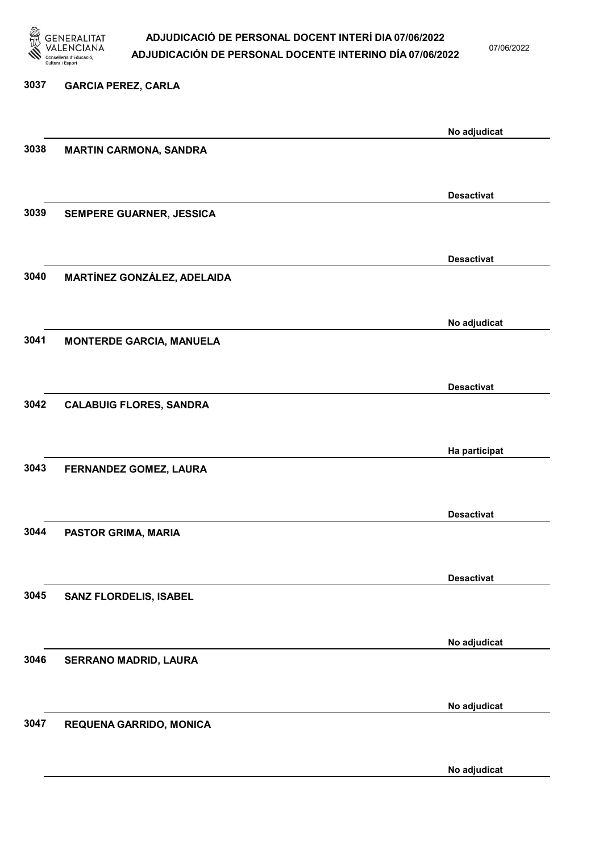

07/06/2022

# 3037 GARCIA PEREZ, CARLA No adjudicat 3038 MARTIN CARMONA, SANDRA Desactivat 3039 SEMPERE GUARNER, JESSICA Desactivat 3040 MARTÍNEZ GONZÁLEZ, ADELAIDA No adjudicat 3041 MONTERDE GARCIA, MANUELA Desactivat 3042 CALABUIG FLORES, SANDRA Ha participat 3043 FERNANDEZ GOMEZ, LAURA Desactivat 3044 PASTOR GRIMA, MARIA Desactivat 3045 SANZ FLORDELIS, ISABEL No adjudicat 3046 SERRANO MADRID, LAURA No adjudicat 3047 REQUENA GARRIDO, MONICA

No adjudicat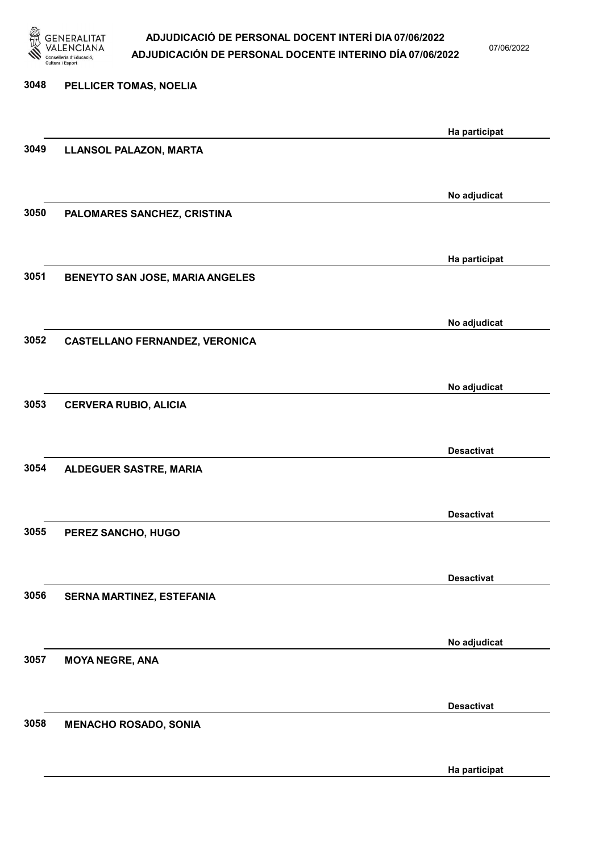

07/06/2022

Ha participat

# 3048 PELLICER TOMAS, NOELIA Ha participat 3049 LLANSOL PALAZON, MARTA No adjudicat 3050 PALOMARES SANCHEZ, CRISTINA Ha participat 3051 BENEYTO SAN JOSE, MARIA ANGELES No adjudicat 3052 CASTELLANO FERNANDEZ, VERONICA No adjudicat 3053 CERVERA RUBIO, ALICIA Desactivat 3054 ALDEGUER SASTRE, MARIA Desactivat 3055 PEREZ SANCHO, HUGO Desactivat 3056 SERNA MARTINEZ, ESTEFANIA No adjudicat 3057 MOYA NEGRE, ANA Desactivat 3058 MENACHO ROSADO, SONIA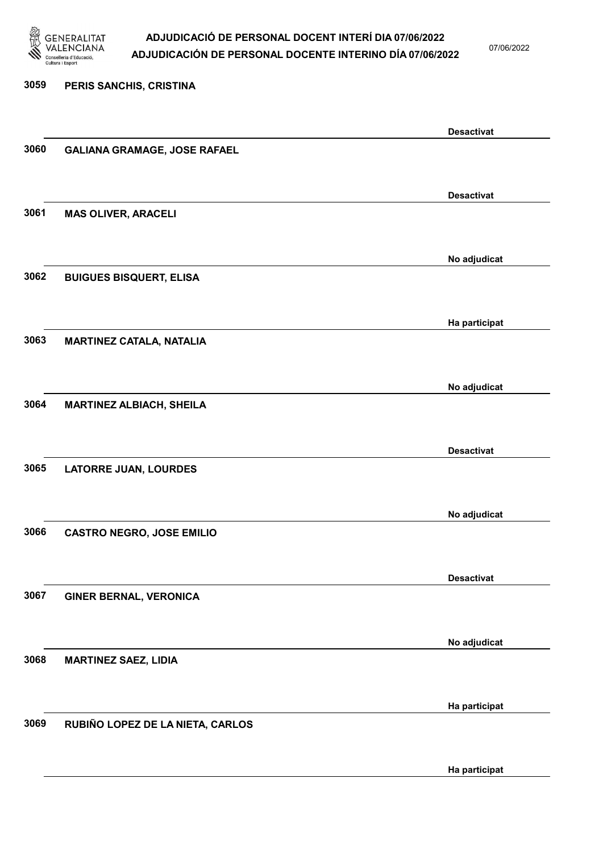

07/06/2022

Ha participat

# 3059 PERIS SANCHIS, CRISTINA Desactivat 3060 GALIANA GRAMAGE, JOSE RAFAEL Desactivat 3061 MAS OLIVER, ARACELI No adjudicat 3062 BUIGUES BISQUERT, ELISA Ha participat 3063 MARTINEZ CATALA, NATALIA No adjudicat 3064 MARTINEZ ALBIACH, SHEILA Desactivat 3065 LATORRE JUAN, LOURDES No adjudicat 3066 CASTRO NEGRO, JOSE EMILIO Desactivat 3067 GINER BERNAL, VERONICA No adjudicat 3068 MARTINEZ SAEZ, LIDIA Ha participat 3069 RUBIÑO LOPEZ DE LA NIETA, CARLOS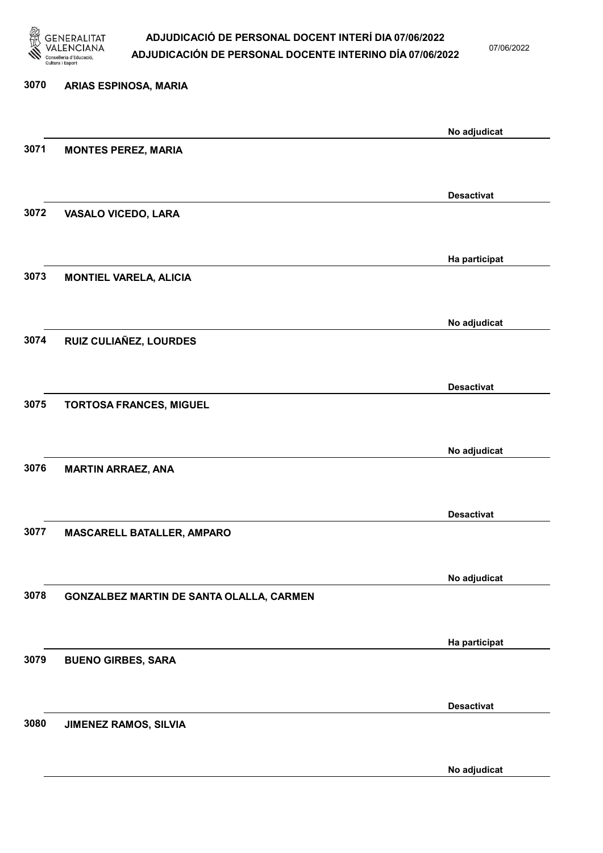

07/06/2022

No adjudicat

# 3070 ARIAS ESPINOSA, MARIA No adjudicat 3071 MONTES PEREZ, MARIA Desactivat 3072 VASALO VICEDO, LARA Ha participat 3073 MONTIEL VARELA, ALICIA No adjudicat 3074 RUIZ CULIAÑEZ, LOURDES Desactivat 3075 TORTOSA FRANCES, MIGUEL No adjudicat 3076 MARTIN ARRAEZ, ANA Desactivat 3077 MASCARELL BATALLER, AMPARO No adjudicat 3078 GONZALBEZ MARTIN DE SANTA OLALLA, CARMEN Ha participat 3079 BUENO GIRBES, SARA Desactivat 3080 JIMENEZ RAMOS, SILVIA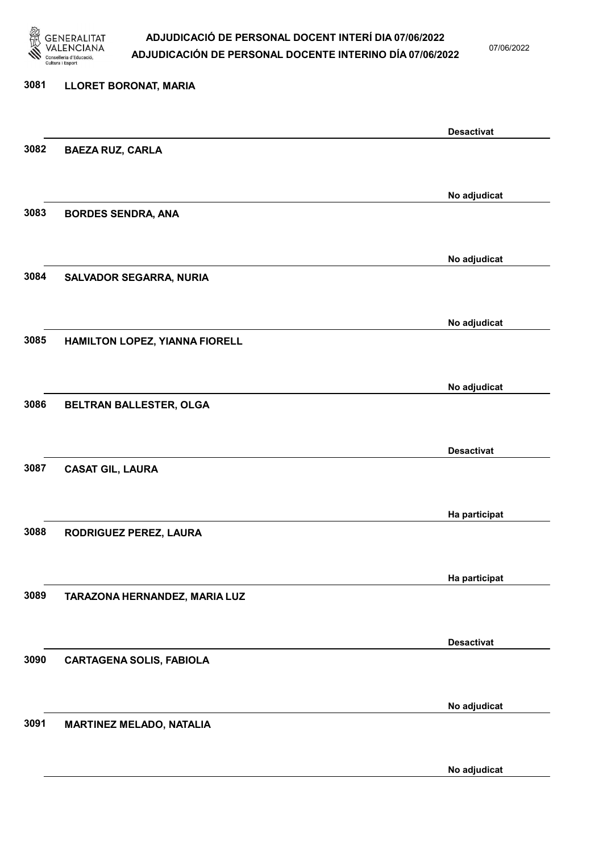

07/06/2022

No adjudicat

# 3081 LLORET BORONAT, MARIA Desactivat 3082 BAEZA RUZ, CARLA No adjudicat 3083 BORDES SENDRA, ANA No adjudicat 3084 SALVADOR SEGARRA, NURIA No adjudicat 3085 HAMILTON LOPEZ, YIANNA FIORELL No adjudicat 3086 BELTRAN BALLESTER, OLGA Desactivat 3087 CASAT GIL, LAURA Ha participat 3088 RODRIGUEZ PEREZ, LAURA Ha participat 3089 TARAZONA HERNANDEZ, MARIA LUZ Desactivat 3090 CARTAGENA SOLIS, FABIOLA No adjudicat 3091 MARTINEZ MELADO, NATALIA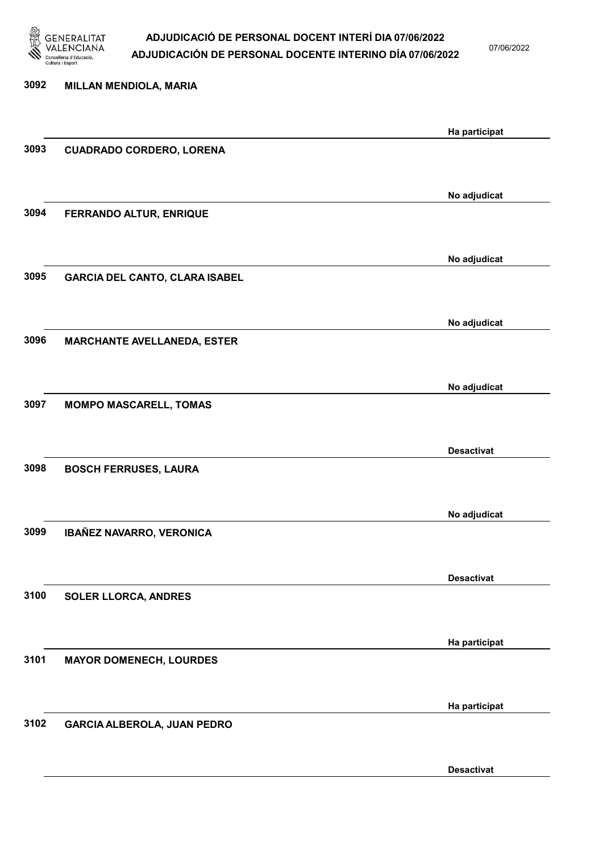

07/06/2022

Desactivat

| 3092 | <b>MILLAN MENDIOLA, MARIA</b>         |                   |
|------|---------------------------------------|-------------------|
|      |                                       | Ha participat     |
| 3093 | <b>CUADRADO CORDERO, LORENA</b>       |                   |
|      |                                       |                   |
|      |                                       | No adjudicat      |
| 3094 | FERRANDO ALTUR, ENRIQUE               |                   |
|      |                                       | No adjudicat      |
| 3095 | <b>GARCIA DEL CANTO, CLARA ISABEL</b> |                   |
|      |                                       |                   |
|      |                                       | No adjudicat      |
| 3096 | <b>MARCHANTE AVELLANEDA, ESTER</b>    |                   |
|      |                                       |                   |
| 3097 | <b>MOMPO MASCARELL, TOMAS</b>         | No adjudicat      |
|      |                                       |                   |
|      |                                       | <b>Desactivat</b> |
| 3098 | <b>BOSCH FERRUSES, LAURA</b>          |                   |
|      |                                       |                   |
| 3099 | IBAÑEZ NAVARRO, VERONICA              | No adjudicat      |
|      |                                       |                   |
|      |                                       | <b>Desactivat</b> |
| 3100 | <b>SOLER LLORCA, ANDRES</b>           |                   |
|      |                                       |                   |
| 3101 |                                       | Ha participat     |
|      | <b>MAYOR DOMENECH, LOURDES</b>        |                   |
|      |                                       | Ha participat     |
| 3102 | GARCIA ALBEROLA, JUAN PEDRO           |                   |
|      |                                       |                   |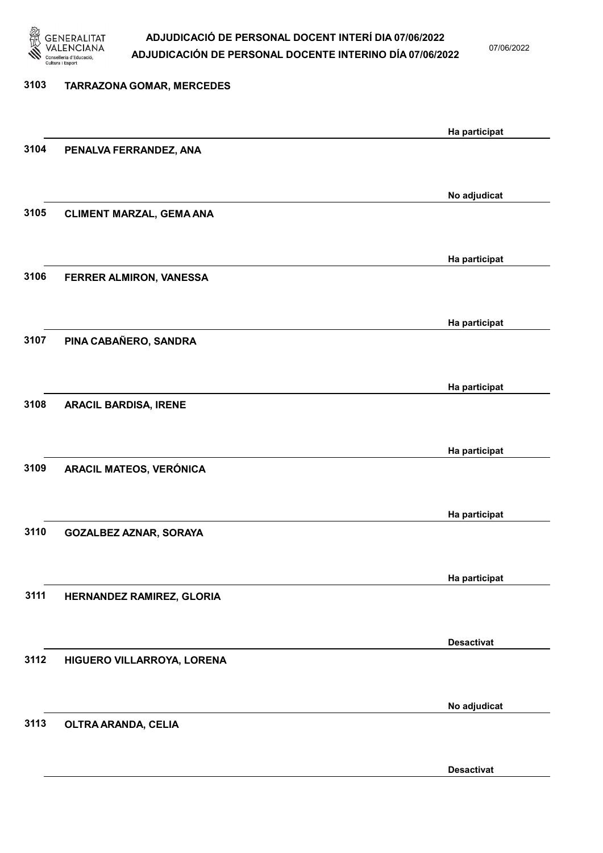

07/06/2022

# 3103 TARRAZONA GOMAR, MERCEDES Ha participat 3104 PENALVA FERRANDEZ, ANA No adjudicat 3105 CLIMENT MARZAL, GEMA ANA Ha participat 3106 FERRER ALMIRON, VANESSA Ha participat 3107 PINA CABAÑERO, SANDRA Ha participat 3108 ARACIL BARDISA, IRENE Ha participat 3109 ARACIL MATEOS, VERÓNICA Ha participat 3110 GOZALBEZ AZNAR, SORAYA Ha participat 3111 HERNANDEZ RAMIREZ, GLORIA Desactivat 3112 HIGUERO VILLARROYA, LORENA No adjudicat 3113 OLTRA ARANDA, CELIA

Desactivat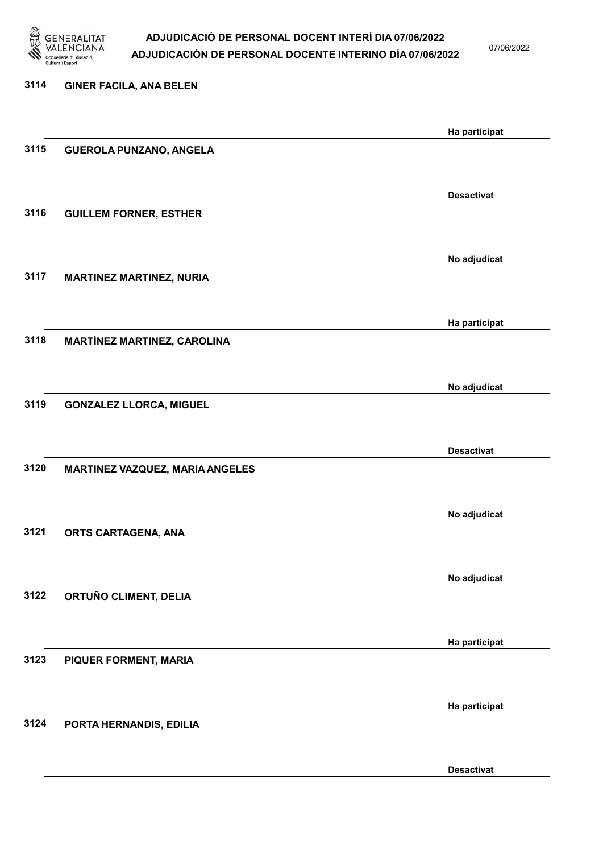

07/06/2022

Desactivat

# 3114 GINER FACILA, ANA BELEN Ha participat 3115 GUEROLA PUNZANO, ANGELA Desactivat 3116 GUILLEM FORNER, ESTHER No adjudicat 3117 MARTINEZ MARTINEZ, NURIA Ha participat 3118 MARTÍNEZ MARTINEZ, CAROLINA No adjudicat 3119 GONZALEZ LLORCA, MIGUEL Desactivat 3120 MARTINEZ VAZQUEZ, MARIA ANGELES No adjudicat 3121 ORTS CARTAGENA, ANA No adjudicat 3122 ORTUÑO CLIMENT, DELIA Ha participat 3123 PIQUER FORMENT, MARIA Ha participat 3124 PORTA HERNANDIS, EDILIA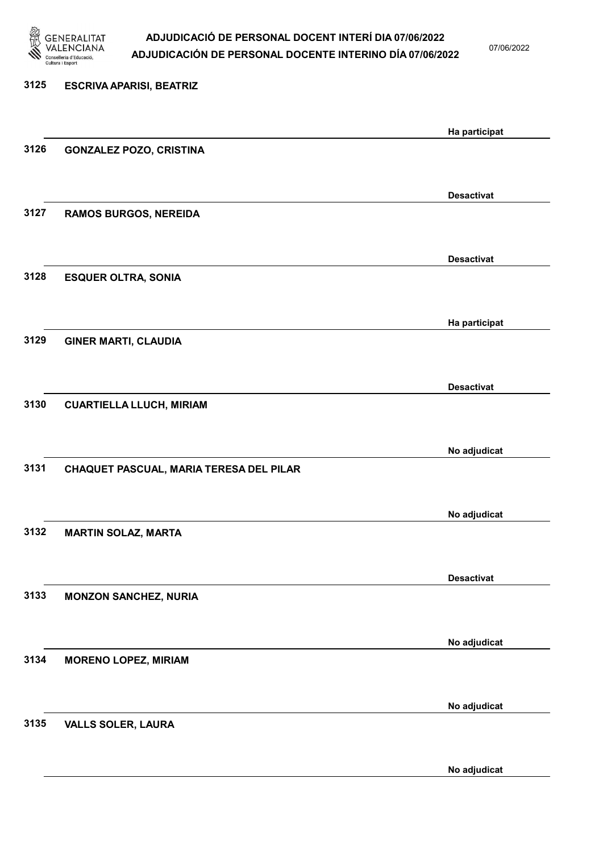

07/06/2022

# 3125 ESCRIVA APARISI, BEATRIZ Ha participat 3126 GONZALEZ POZO, CRISTINA Desactivat 3127 RAMOS BURGOS, NEREIDA Desactivat 3128 ESQUER OLTRA, SONIA Ha participat 3129 GINER MARTI, CLAUDIA Desactivat 3130 CUARTIELLA LLUCH, MIRIAM No adjudicat 3131 CHAQUET PASCUAL, MARIA TERESA DEL PILAR No adjudicat 3132 MARTIN SOLAZ, MARTA Desactivat 3133 MONZON SANCHEZ, NURIA No adjudicat 3134 MORENO LOPEZ, MIRIAM No adjudicat 3135 VALLS SOLER, LAURA

No adjudicat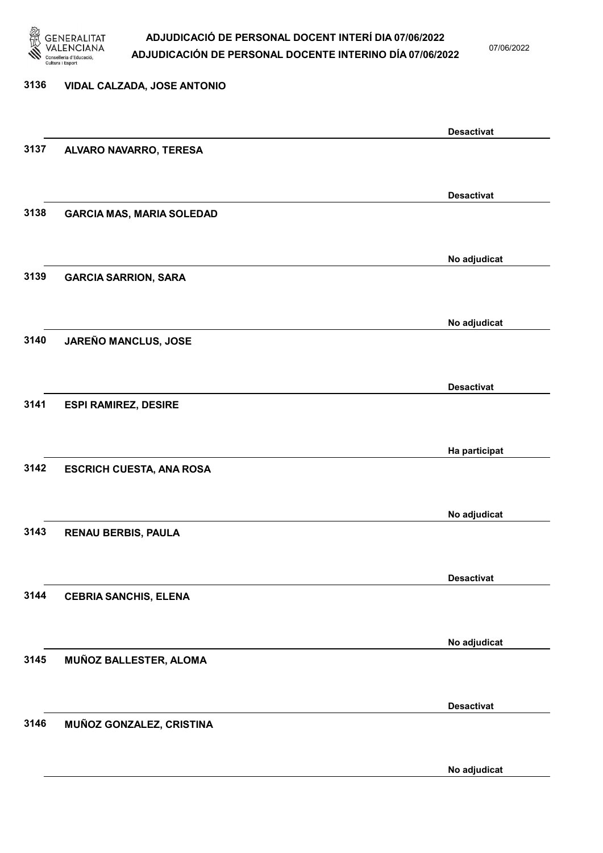

07/06/2022

## 3136 VIDAL CALZADA, JOSE ANTONIO Desactivat 3137 ALVARO NAVARRO, TERESA Desactivat 3138 GARCIA MAS, MARIA SOLEDAD No adjudicat 3139 GARCIA SARRION, SARA No adjudicat 3140 JAREÑO MANCLUS, JOSE Desactivat 3141 ESPI RAMIREZ, DESIRE Ha participat 3142 ESCRICH CUESTA, ANA ROSA No adjudicat 3143 RENAU BERBIS, PAULA Desactivat 3144 CEBRIA SANCHIS, ELENA No adjudicat 3145 MUÑOZ BALLESTER, ALOMA Desactivat 3146 MUÑOZ GONZALEZ, CRISTINA No adjudicat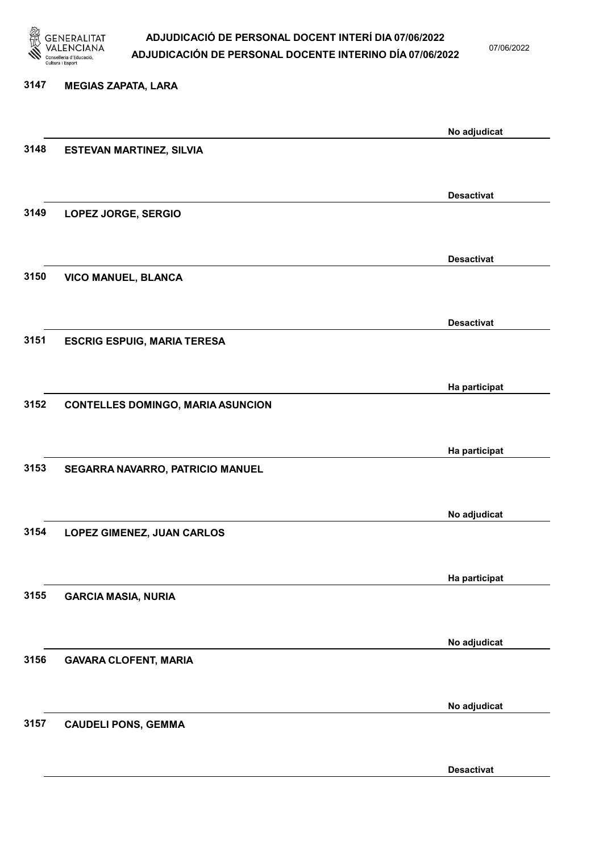

07/06/2022

Desactivat

# 3147 MEGIAS ZAPATA, LARA No adjudicat 3148 ESTEVAN MARTINEZ, SILVIA Desactivat 3149 LOPEZ JORGE, SERGIO Desactivat 3150 VICO MANUEL, BLANCA Desactivat 3151 ESCRIG ESPUIG, MARIA TERESA Ha participat 3152 CONTELLES DOMINGO, MARIA ASUNCION Ha participat 3153 SEGARRA NAVARRO, PATRICIO MANUEL No adjudicat 3154 LOPEZ GIMENEZ, JUAN CARLOS Ha participat 3155 GARCIA MASIA, NURIA No adjudicat 3156 GAVARA CLOFENT, MARIA No adjudicat 3157 CAUDELI PONS, GEMMA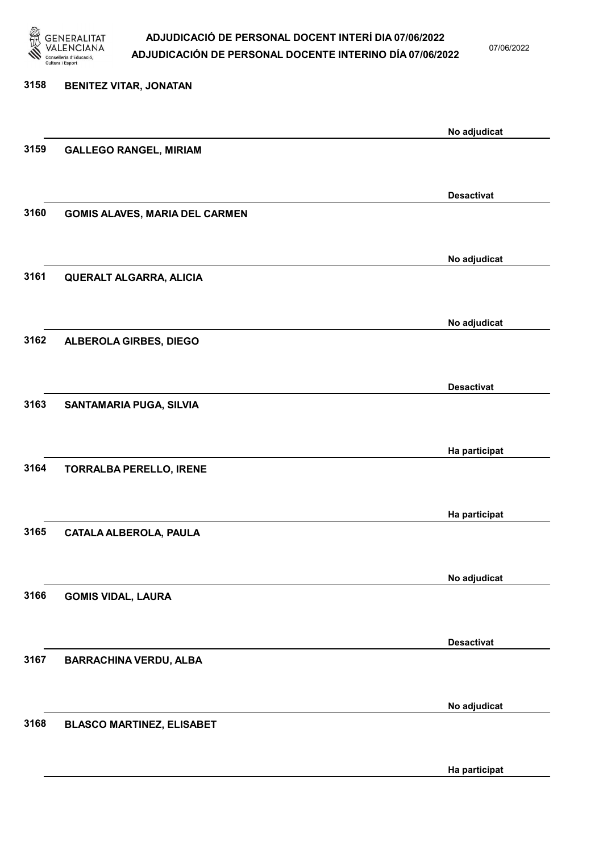

07/06/2022

Ha participat

# 3158 BENITEZ VITAR, JONATAN No adjudicat 3159 GALLEGO RANGEL, MIRIAM Desactivat 3160 GOMIS ALAVES, MARIA DEL CARMEN No adjudicat 3161 QUERALT ALGARRA, ALICIA No adjudicat 3162 ALBEROLA GIRBES, DIEGO Desactivat 3163 SANTAMARIA PUGA, SILVIA Ha participat 3164 TORRALBA PERELLO, IRENE Ha participat 3165 CATALA ALBEROLA, PAULA No adjudicat 3166 GOMIS VIDAL, LAURA Desactivat 3167 BARRACHINA VERDU, ALBA No adjudicat 3168 BLASCO MARTINEZ, ELISABET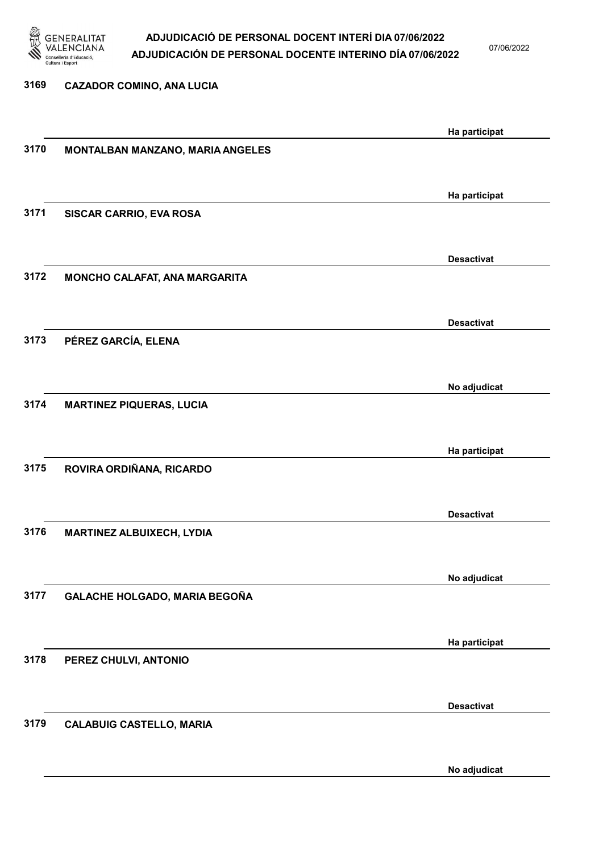

07/06/2022

No adjudicat

# 3169 CAZADOR COMINO, ANA LUCIA Ha participat 3170 MONTALBAN MANZANO, MARIA ANGELES Ha participat 3171 SISCAR CARRIO, EVA ROSA Desactivat 3172 MONCHO CALAFAT, ANA MARGARITA Desactivat 3173 PÉREZ GARCÍA, ELENA No adjudicat 3174 MARTINEZ PIQUERAS, LUCIA Ha participat 3175 ROVIRA ORDIÑANA, RICARDO Desactivat 3176 MARTINEZ ALBUIXECH, LYDIA No adjudicat 3177 GALACHE HOLGADO, MARIA BEGOÑA Ha participat 3178 PEREZ CHULVI, ANTONIO Desactivat 3179 CALABUIG CASTELLO, MARIA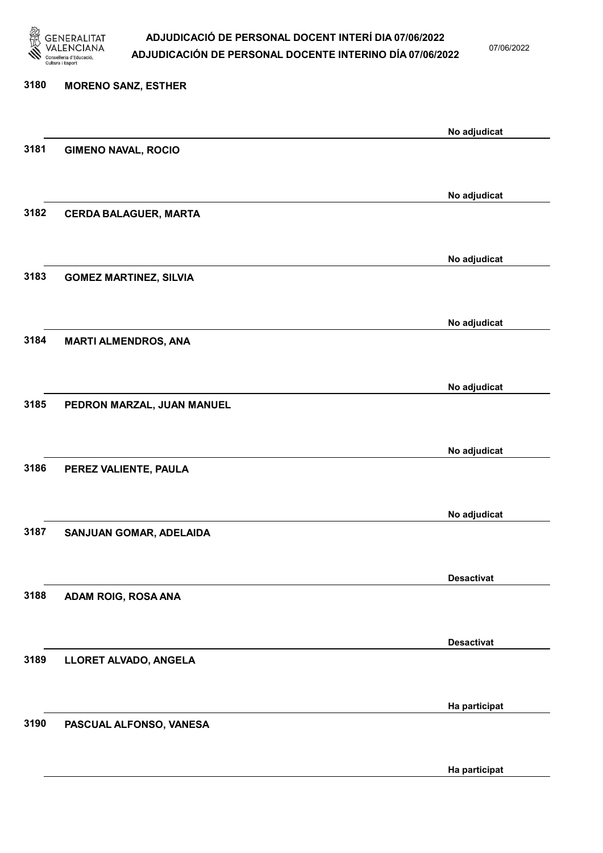

07/06/2022

Ha participat

# 3180 MORENO SANZ, ESTHER No adjudicat 3181 GIMENO NAVAL, ROCIO No adjudicat 3182 CERDA BALAGUER, MARTA No adjudicat 3183 GOMEZ MARTINEZ, SILVIA No adjudicat 3184 MARTI ALMENDROS, ANA No adjudicat 3185 PEDRON MARZAL, JUAN MANUEL No adjudicat 3186 PEREZ VALIENTE, PAULA No adjudicat 3187 SANJUAN GOMAR, ADELAIDA Desactivat 3188 ADAM ROIG, ROSA ANA Desactivat 3189 LLORET ALVADO, ANGELA Ha participat 3190 PASCUAL ALFONSO, VANESA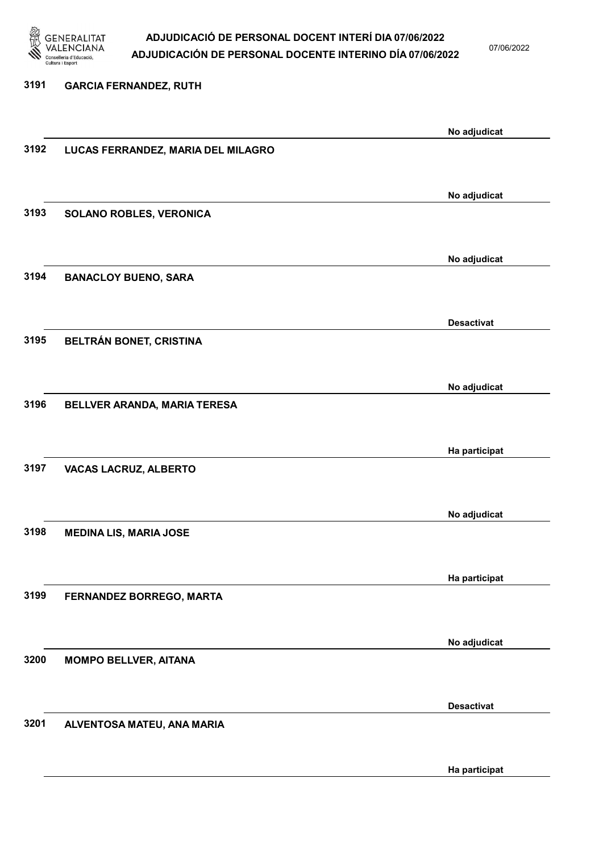

3191 GARCIA FERNANDEZ, RUTH

### ADJUDICACIÓ DE PERSONAL DOCENT INTERÍ DIA 07/06/2022 ADJUDICACIÓN DE PERSONAL DOCENTE INTERINO DÍA 07/06/2022

07/06/2022

## No adjudicat 3192 LUCAS FERRANDEZ, MARIA DEL MILAGRO No adjudicat 3193 SOLANO ROBLES, VERONICA No adjudicat 3194 BANACLOY BUENO, SARA Desactivat 3195 BELTRÁN BONET, CRISTINA No adjudicat 3196 BELLVER ARANDA, MARIA TERESA Ha participat 3197 VACAS LACRUZ, ALBERTO No adjudicat 3198 MEDINA LIS, MARIA JOSE Ha participat 3199 FERNANDEZ BORREGO, MARTA No adjudicat 3200 MOMPO BELLVER, AITANA Desactivat

3201 ALVENTOSA MATEU, ANA MARIA

Ha participat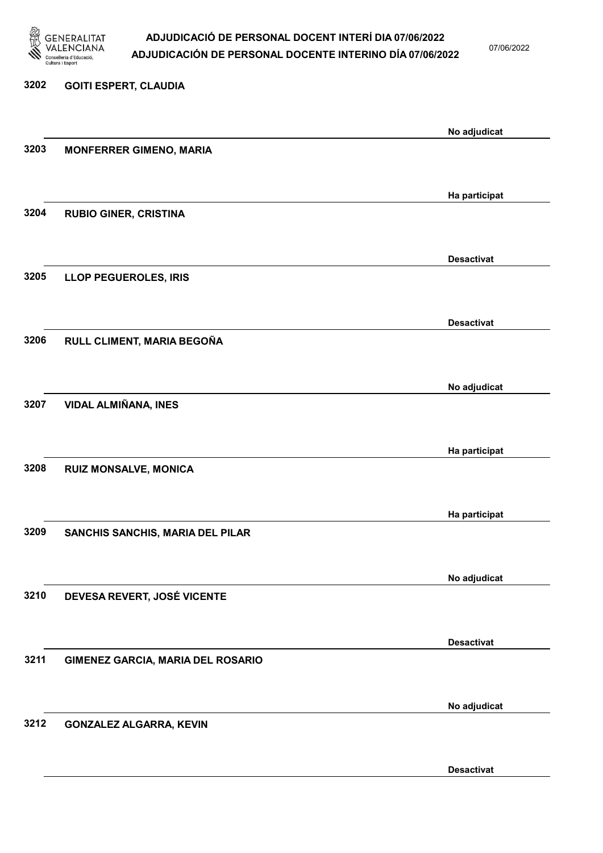

07/06/2022

# 3202 GOITI ESPERT, CLAUDIA No adjudicat 3203 MONFERRER GIMENO, MARIA Ha participat 3204 RUBIO GINER, CRISTINA Desactivat 3205 LLOP PEGUEROLES, IRIS Desactivat 3206 RULL CLIMENT, MARIA BEGOÑA No adjudicat 3207 VIDAL ALMIÑANA, INES Ha participat 3208 RUIZ MONSALVE, MONICA Ha participat 3209 SANCHIS SANCHIS, MARIA DEL PILAR No adjudicat 3210 DEVESA REVERT, JOSÉ VICENTE Desactivat 3211 GIMENEZ GARCIA, MARIA DEL ROSARIO No adjudicat 3212 GONZALEZ ALGARRA, KEVIN

Desactivat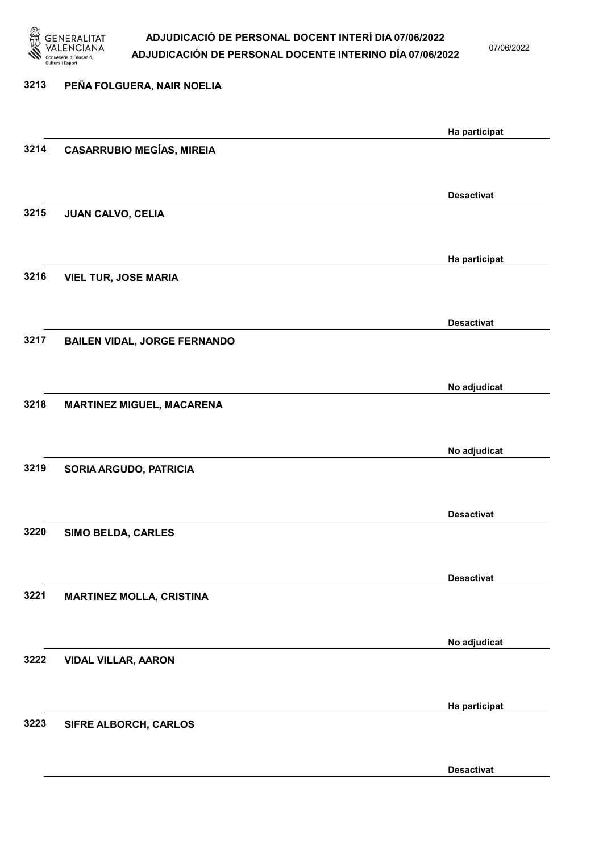

07/06/2022

Desactivat

# 3213 PEÑA FOLGUERA, NAIR NOELIA Ha participat 3214 CASARRUBIO MEGÍAS, MIREIA Desactivat 3215 JUAN CALVO, CELIA Ha participat 3216 VIEL TUR, JOSE MARIA Desactivat 3217 BAILEN VIDAL, JORGE FERNANDO No adjudicat 3218 MARTINEZ MIGUEL, MACARENA No adjudicat 3219 SORIA ARGUDO, PATRICIA Desactivat 3220 SIMO BELDA, CARLES Desactivat 3221 MARTINEZ MOLLA, CRISTINA No adjudicat 3222 VIDAL VILLAR, AARON Ha participat 3223 SIFRE ALBORCH, CARLOS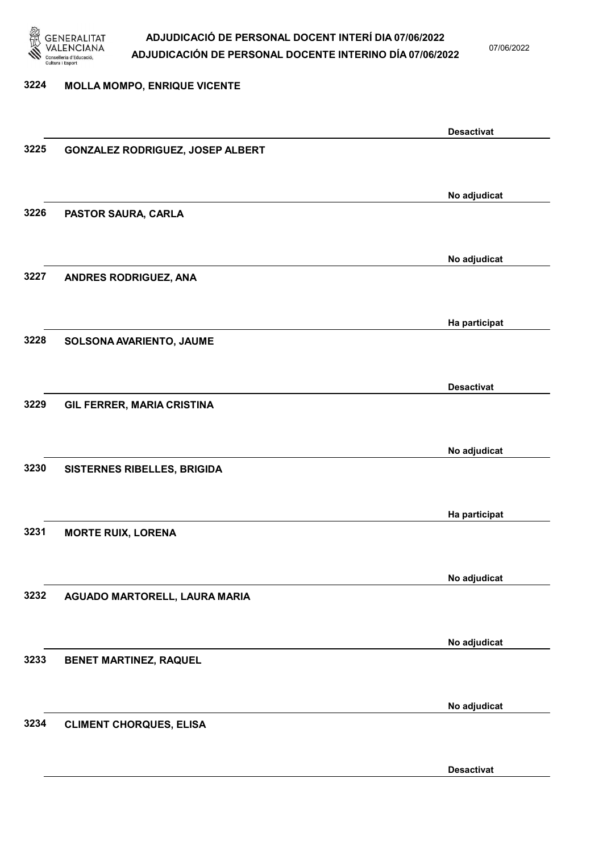

07/06/2022

#### 3224 MOLLA MOMPO, ENRIQUE VICENTE

|      |                                  | <b>Desactivat</b> |
|------|----------------------------------|-------------------|
| 3225 | GONZALEZ RODRIGUEZ, JOSEP ALBERT |                   |
|      |                                  |                   |
|      |                                  |                   |
|      |                                  | No adjudicat      |
|      |                                  |                   |
| 3226 | PASTOR SAURA, CARLA              |                   |
|      |                                  |                   |
|      |                                  |                   |
|      |                                  | No adjudicat      |
| 3227 | ANDRES RODRIGUEZ, ANA            |                   |
|      |                                  |                   |
|      |                                  |                   |
|      |                                  | Ha participat     |
|      |                                  |                   |
| 3228 | SOLSONA AVARIENTO, JAUME         |                   |
|      |                                  |                   |
|      |                                  |                   |
|      |                                  | <b>Desactivat</b> |
| 3229 | GIL FERRER, MARIA CRISTINA       |                   |
|      |                                  |                   |
|      |                                  |                   |
|      |                                  | No adjudicat      |
| 3230 |                                  |                   |
|      | SISTERNES RIBELLES, BRIGIDA      |                   |
|      |                                  |                   |
|      |                                  |                   |
|      |                                  | Ha participat     |
| 3231 | <b>MORTE RUIX, LORENA</b>        |                   |
|      |                                  |                   |
|      |                                  |                   |
|      |                                  | No adjudicat      |
| 3232 | AGUADO MARTORELL, LAURA MARIA    |                   |
|      |                                  |                   |
|      |                                  |                   |
|      |                                  |                   |
|      |                                  | No adjudicat      |
| 3233 | <b>BENET MARTINEZ, RAQUEL</b>    |                   |
|      |                                  |                   |
|      |                                  |                   |
|      |                                  | No adjudicat      |
| 3234 | <b>CLIMENT CHORQUES, ELISA</b>   |                   |
|      |                                  |                   |
|      |                                  |                   |
|      |                                  |                   |
|      |                                  | <b>Desactivat</b> |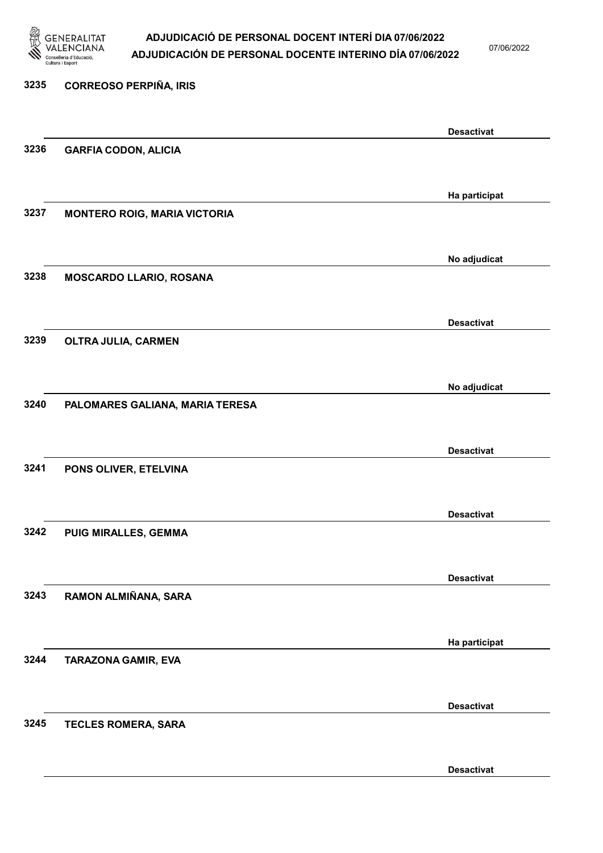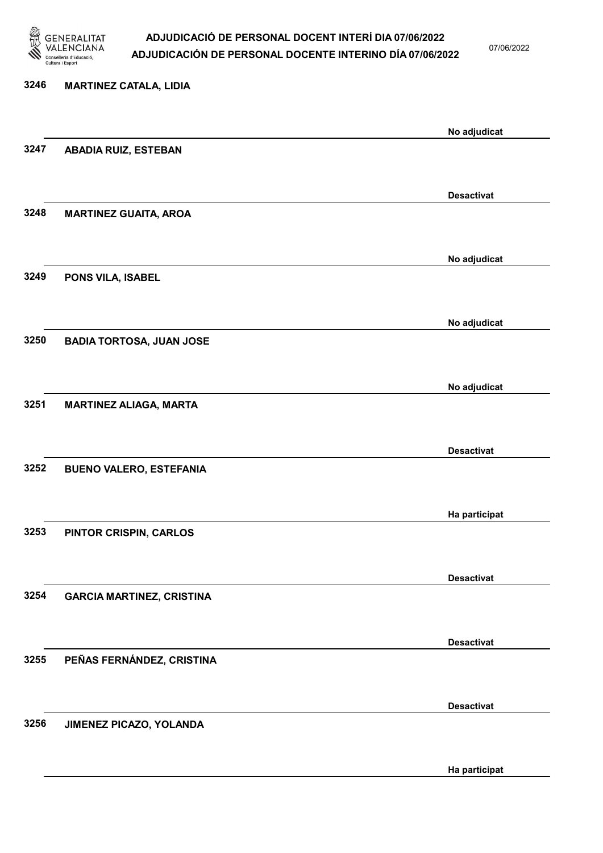

07/06/2022

Ha participat

# 3246 MARTINEZ CATALA, LIDIA No adjudicat 3247 ABADIA RUIZ, ESTEBAN Desactivat 3248 MARTINEZ GUAITA, AROA No adjudicat 3249 PONS VILA, ISABEL No adjudicat 3250 BADIA TORTOSA, JUAN JOSE No adjudicat 3251 MARTINEZ ALIAGA, MARTA Desactivat 3252 BUENO VALERO, ESTEFANIA Ha participat 3253 PINTOR CRISPIN, CARLOS Desactivat 3254 GARCIA MARTINEZ, CRISTINA Desactivat 3255 PEÑAS FERNÁNDEZ, CRISTINA Desactivat 3256 JIMENEZ PICAZO, YOLANDA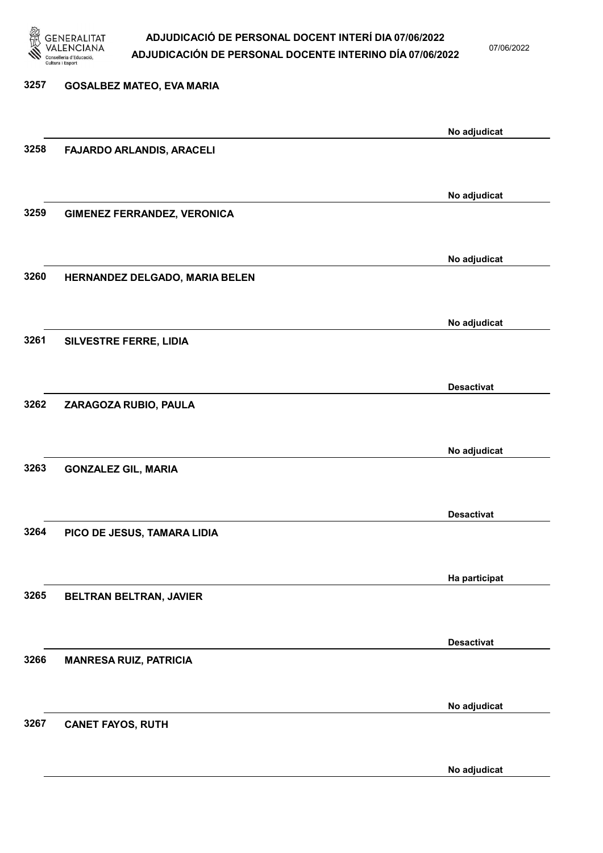

07/06/2022

No adjudicat

# 3257 GOSALBEZ MATEO, EVA MARIA No adjudicat 3258 FAJARDO ARLANDIS, ARACELI No adjudicat 3259 GIMENEZ FERRANDEZ, VERONICA No adjudicat 3260 HERNANDEZ DELGADO, MARIA BELEN No adjudicat 3261 SILVESTRE FERRE, LIDIA Desactivat 3262 ZARAGOZA RUBIO, PAULA No adjudicat 3263 GONZALEZ GIL, MARIA Desactivat 3264 PICO DE JESUS, TAMARA LIDIA Ha participat 3265 BELTRAN BELTRAN, JAVIER Desactivat 3266 MANRESA RUIZ, PATRICIA No adjudicat 3267 CANET FAYOS, RUTH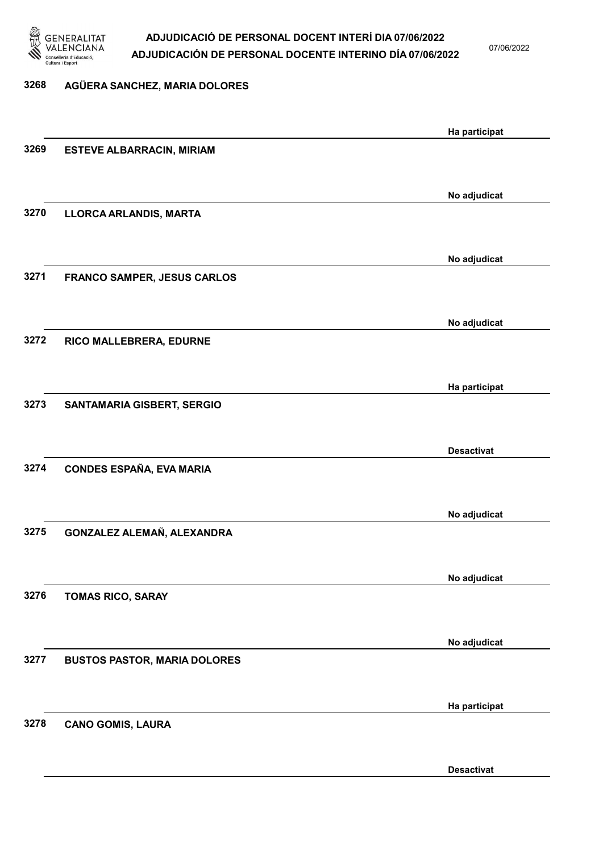

07/06/2022

## 3268 AGÜERA SANCHEZ, MARIA DOLORES Ha participat 3269 ESTEVE ALBARRACIN, MIRIAM No adjudicat 3270 LLORCA ARLANDIS, MARTA No adjudicat 3271 FRANCO SAMPER, JESUS CARLOS No adjudicat 3272 RICO MALLEBRERA, EDURNE Ha participat 3273 SANTAMARIA GISBERT, SERGIO Desactivat 3274 CONDES ESPAÑA, EVA MARIA No adjudicat 3275 GONZALEZ ALEMAÑ, ALEXANDRA No adjudicat 3276 TOMAS RICO, SARAY No adjudicat 3277 BUSTOS PASTOR, MARIA DOLORES Ha participat 3278 CANO GOMIS, LAURA

Desactivat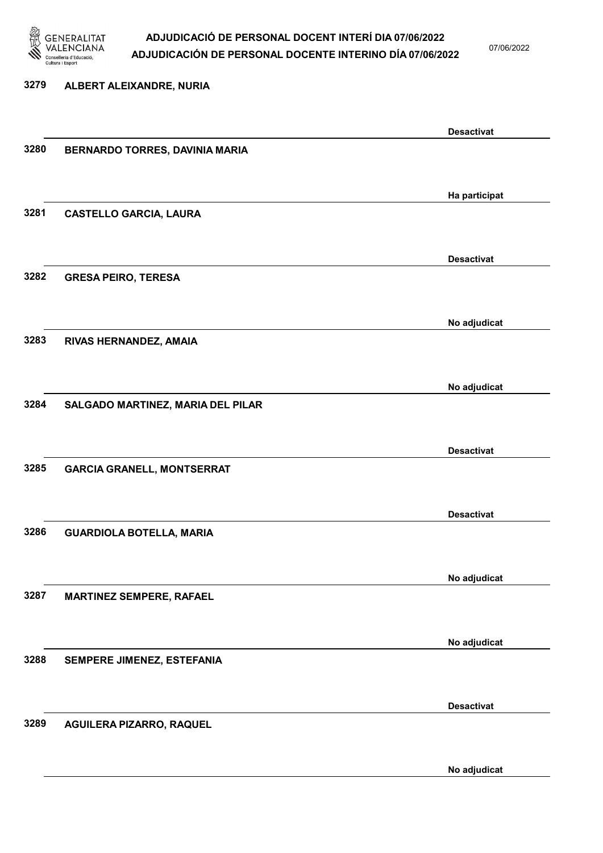

07/06/2022

# 3279 ALBERT ALEIXANDRE, NURIA Desactivat 3280 BERNARDO TORRES, DAVINIA MARIA Ha participat 3281 CASTELLO GARCIA, LAURA Desactivat 3282 GRESA PEIRO, TERESA No adjudicat 3283 RIVAS HERNANDEZ, AMAIA No adjudicat 3284 SALGADO MARTINEZ, MARIA DEL PILAR Desactivat 3285 GARCIA GRANELL, MONTSERRAT Desactivat 3286 GUARDIOLA BOTELLA, MARIA No adjudicat 3287 MARTINEZ SEMPERE, RAFAEL No adjudicat 3288 SEMPERE JIMENEZ, ESTEFANIA Desactivat 3289 AGUILERA PIZARRO, RAQUEL

No adjudicat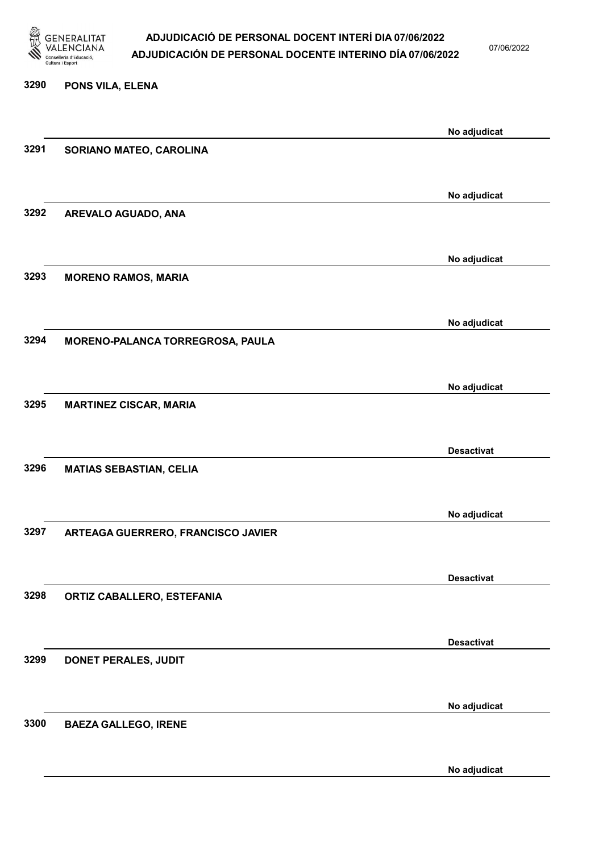

07/06/2022

# 3290 PONS VILA, ELENA No adjudicat 3291 SORIANO MATEO, CAROLINA No adjudicat 3292 AREVALO AGUADO, ANA No adjudicat 3293 MORENO RAMOS, MARIA No adjudicat 3294 MORENO-PALANCA TORREGROSA, PAULA No adjudicat 3295 MARTINEZ CISCAR, MARIA Desactivat 3296 MATIAS SEBASTIAN, CELIA No adjudicat 3297 ARTEAGA GUERRERO, FRANCISCO JAVIER Desactivat 3298 ORTIZ CABALLERO, ESTEFANIA Desactivat 3299 DONET PERALES, JUDIT No adjudicat 3300 BAEZA GALLEGO, IRENE

No adjudicat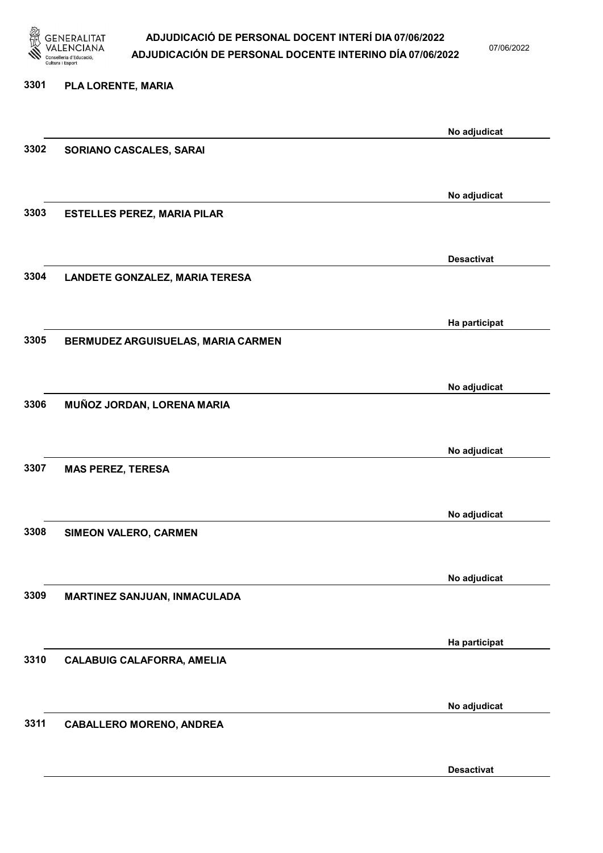

07/06/2022

Desactivat

# 3301 PLA LORENTE, MARIA No adjudicat 3302 SORIANO CASCALES, SARAI No adjudicat 3303 ESTELLES PEREZ, MARIA PILAR Desactivat 3304 LANDETE GONZALEZ, MARIA TERESA Ha participat 3305 BERMUDEZ ARGUISUELAS, MARIA CARMEN No adjudicat 3306 MUÑOZ JORDAN, LORENA MARIA No adjudicat 3307 MAS PEREZ, TERESA No adjudicat 3308 SIMEON VALERO, CARMEN No adjudicat 3309 MARTINEZ SANJUAN, INMACULADA Ha participat 3310 CALABUIG CALAFORRA, AMELIA No adjudicat 3311 CABALLERO MORENO, ANDREA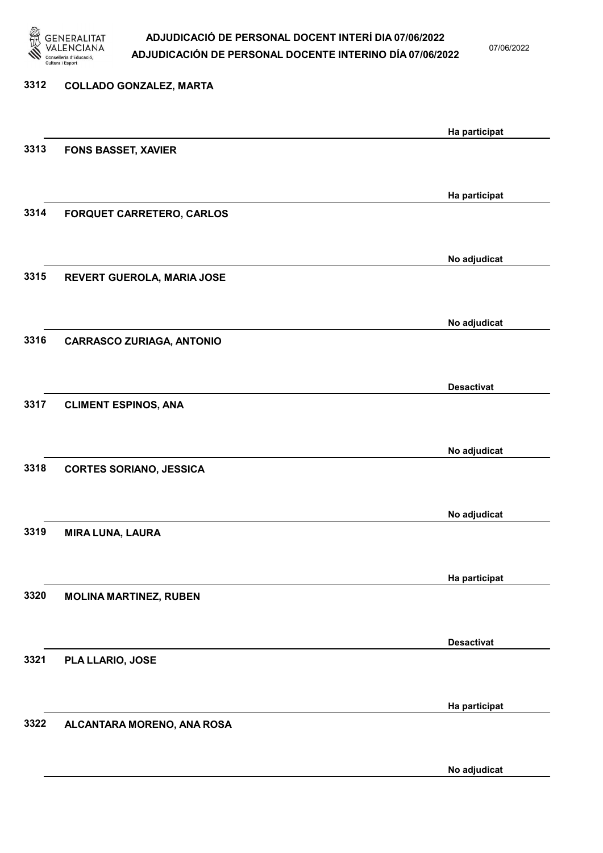

07/06/2022

No adjudicat

# 3312 COLLADO GONZALEZ, MARTA Ha participat 3313 FONS BASSET, XAVIER Ha participat 3314 FORQUET CARRETERO, CARLOS No adjudicat 3315 REVERT GUEROLA, MARIA JOSE No adjudicat 3316 CARRASCO ZURIAGA, ANTONIO Desactivat 3317 CLIMENT ESPINOS, ANA No adjudicat 3318 CORTES SORIANO, JESSICA No adjudicat 3319 MIRA LUNA, LAURA Ha participat 3320 MOLINA MARTINEZ, RUBEN Desactivat 3321 PLA LLARIO, JOSE Ha participat 3322 ALCANTARA MORENO, ANA ROSA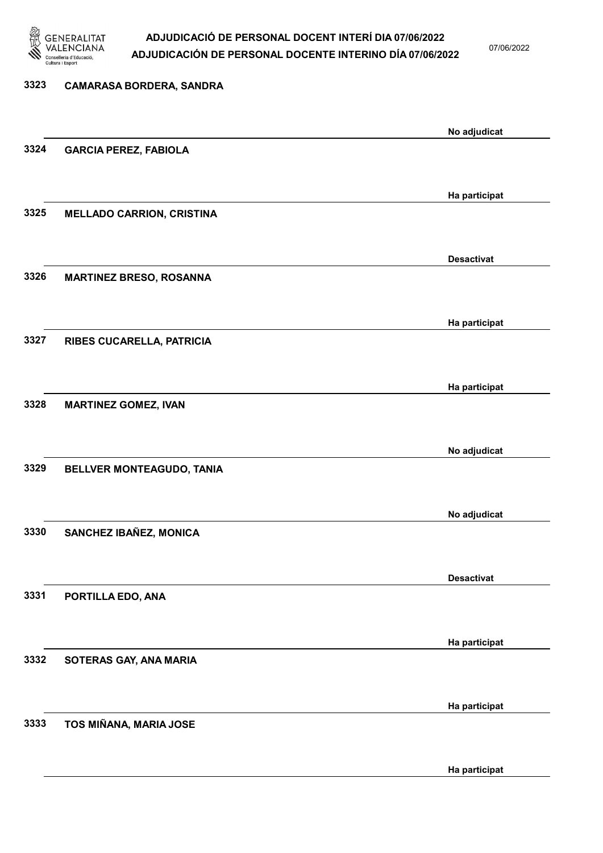

07/06/2022

## 3323 CAMARASA BORDERA, SANDRA No adjudicat 3324 GARCIA PEREZ, FABIOLA Ha participat 3325 MELLADO CARRION, CRISTINA Desactivat 3326 MARTINEZ BRESO, ROSANNA Ha participat 3327 RIBES CUCARELLA, PATRICIA Ha participat 3328 MARTINEZ GOMEZ, IVAN No adjudicat 3329 BELLVER MONTEAGUDO, TANIA No adjudicat 3330 SANCHEZ IBAÑEZ, MONICA Desactivat 3331 PORTILLA EDO, ANA Ha participat 3332 SOTERAS GAY, ANA MARIA Ha participat 3333 TOS MIÑANA, MARIA JOSE Ha participat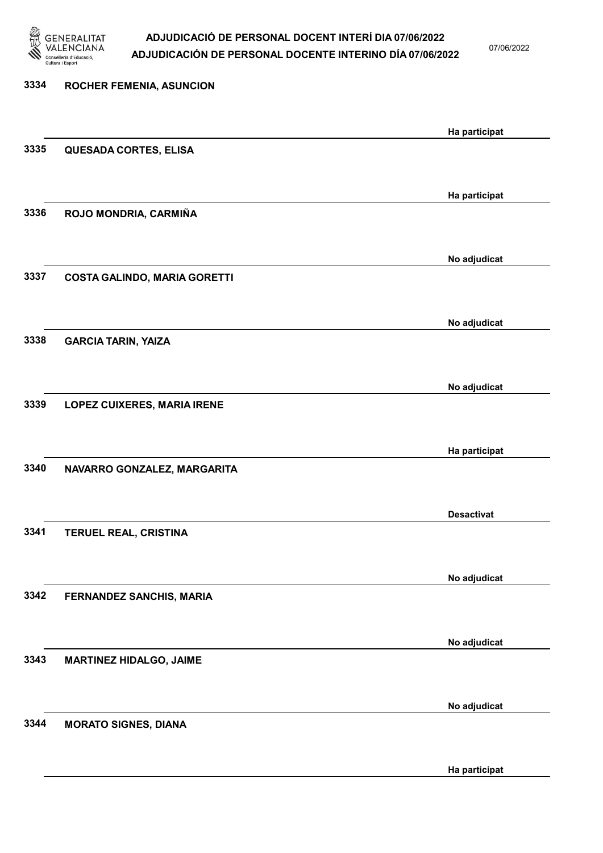

07/06/2022

| 3334 | <b>ROCHER FEMENIA, ASUNCION</b>     |                   |
|------|-------------------------------------|-------------------|
|      |                                     | Ha participat     |
| 3335 | QUESADA CORTES, ELISA               |                   |
| 3336 | ROJO MONDRIA, CARMIÑA               | Ha participat     |
|      |                                     |                   |
| 3337 | <b>COSTA GALINDO, MARIA GORETTI</b> | No adjudicat      |
|      |                                     | No adjudicat      |
| 3338 | <b>GARCIA TARIN, YAIZA</b>          |                   |
|      |                                     | No adjudicat      |
| 3339 | <b>LOPEZ CUIXERES, MARIA IRENE</b>  |                   |
| 3340 | NAVARRO GONZALEZ, MARGARITA         | Ha participat     |
|      |                                     |                   |
| 3341 | TERUEL REAL, CRISTINA               | <b>Desactivat</b> |
|      |                                     | No adjudicat      |
| 3342 | FERNANDEZ SANCHIS, MARIA            |                   |
| 3343 | <b>MARTINEZ HIDALGO, JAIME</b>      | No adjudicat      |
|      |                                     |                   |
| 3344 | <b>MORATO SIGNES, DIANA</b>         | No adjudicat      |
|      |                                     | Ha participat     |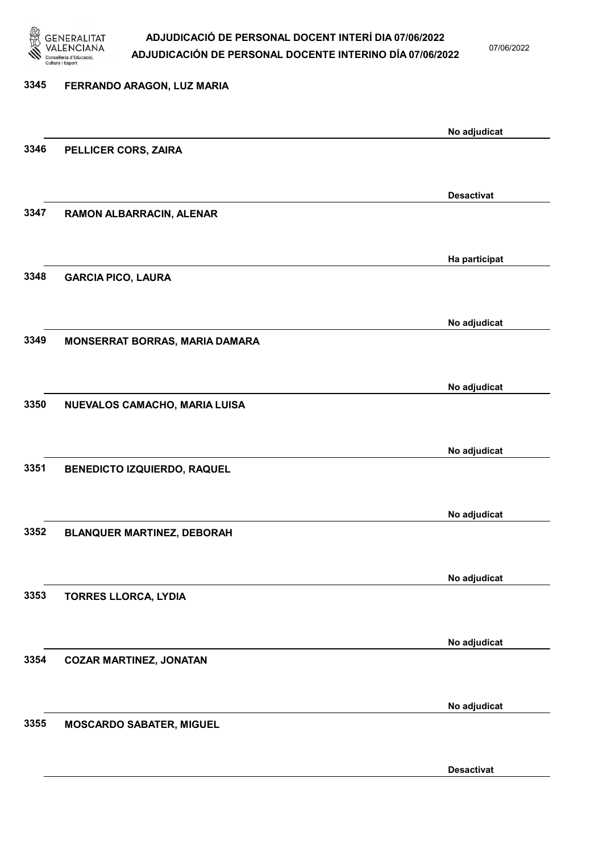

07/06/2022

| 3345 | FERRANDO ARAGON, LUZ MARIA         |                   |
|------|------------------------------------|-------------------|
|      |                                    | No adjudicat      |
| 3346 | PELLICER CORS, ZAIRA               |                   |
|      |                                    | <b>Desactivat</b> |
| 3347 | RAMON ALBARRACIN, ALENAR           |                   |
|      |                                    | Ha participat     |
| 3348 | <b>GARCIA PICO, LAURA</b>          |                   |
|      |                                    | No adjudicat      |
| 3349 | MONSERRAT BORRAS, MARIA DAMARA     |                   |
|      |                                    | No adjudicat      |
| 3350 | NUEVALOS CAMACHO, MARIA LUISA      |                   |
|      |                                    | No adjudicat      |
| 3351 | <b>BENEDICTO IZQUIERDO, RAQUEL</b> |                   |
|      |                                    | No adjudicat      |
| 3352 | <b>BLANQUER MARTINEZ, DEBORAH</b>  |                   |
|      |                                    | No adjudicat      |
| 3353 | <b>TORRES LLORCA, LYDIA</b>        |                   |
|      |                                    | No adjudicat      |
| 3354 | <b>COZAR MARTINEZ, JONATAN</b>     |                   |
|      |                                    | No adjudicat      |
| 3355 | <b>MOSCARDO SABATER, MIGUEL</b>    |                   |

Desactivat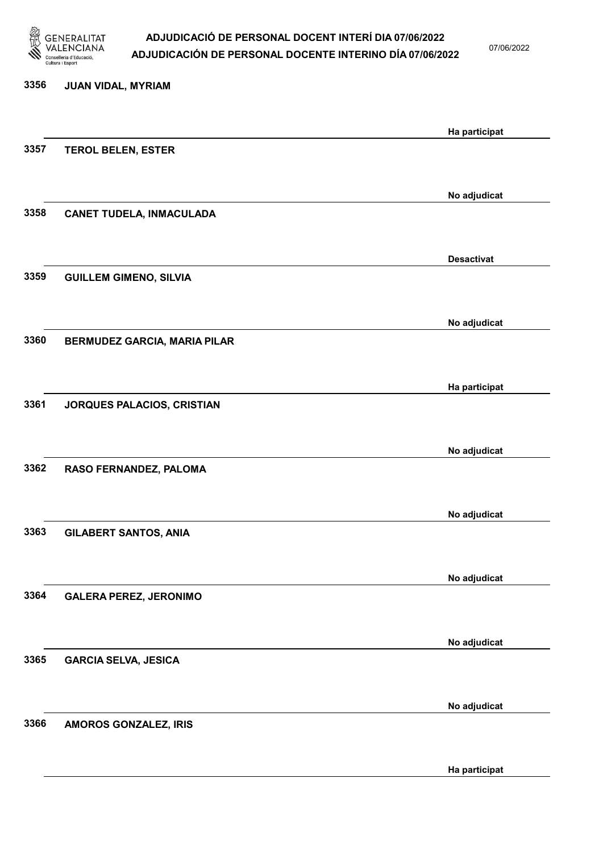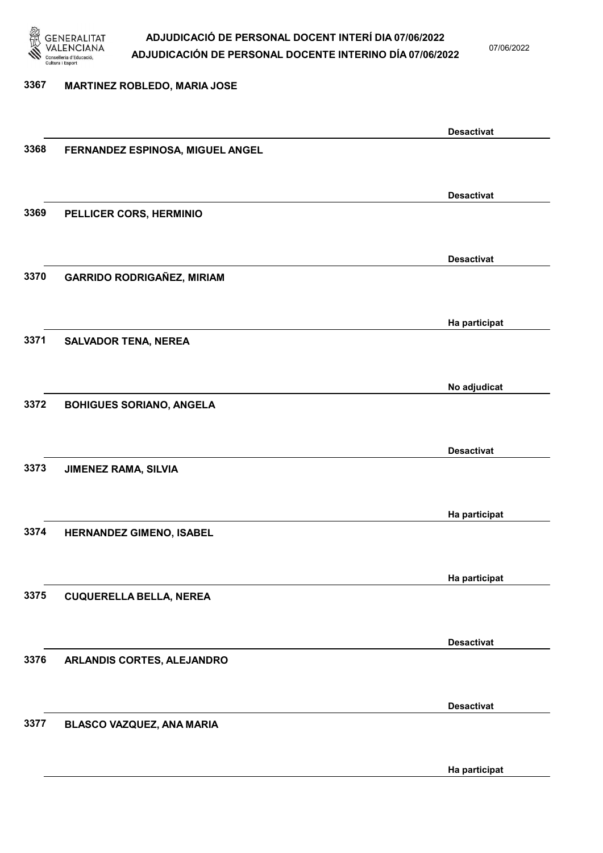

07/06/2022

#### 3367 MARTINEZ ROBLEDO, MARIA JOSE

|      |                                   | <b>Desactivat</b> |
|------|-----------------------------------|-------------------|
| 3368 | FERNANDEZ ESPINOSA, MIGUEL ANGEL  |                   |
|      |                                   |                   |
|      |                                   |                   |
|      |                                   | <b>Desactivat</b> |
|      |                                   |                   |
| 3369 | PELLICER CORS, HERMINIO           |                   |
|      |                                   |                   |
|      |                                   |                   |
|      |                                   | <b>Desactivat</b> |
| 3370 | <b>GARRIDO RODRIGAÑEZ, MIRIAM</b> |                   |
|      |                                   |                   |
|      |                                   |                   |
|      |                                   |                   |
|      |                                   | Ha participat     |
| 3371 | <b>SALVADOR TENA, NEREA</b>       |                   |
|      |                                   |                   |
|      |                                   |                   |
|      |                                   | No adjudicat      |
| 3372 |                                   |                   |
|      | <b>BOHIGUES SORIANO, ANGELA</b>   |                   |
|      |                                   |                   |
|      |                                   |                   |
|      |                                   | <b>Desactivat</b> |
| 3373 | <b>JIMENEZ RAMA, SILVIA</b>       |                   |
|      |                                   |                   |
|      |                                   |                   |
|      |                                   | Ha participat     |
|      |                                   |                   |
| 3374 | HERNANDEZ GIMENO, ISABEL          |                   |
|      |                                   |                   |
|      |                                   |                   |
|      |                                   | Ha participat     |
| 3375 | <b>CUQUERELLA BELLA, NEREA</b>    |                   |
|      |                                   |                   |
|      |                                   |                   |
|      |                                   | <b>Desactivat</b> |
|      |                                   |                   |
| 3376 | ARLANDIS CORTES, ALEJANDRO        |                   |
|      |                                   |                   |
|      |                                   |                   |
|      |                                   | <b>Desactivat</b> |
| 3377 | BLASCO VAZQUEZ, ANA MARIA         |                   |
|      |                                   |                   |
|      |                                   |                   |
|      |                                   |                   |
|      |                                   | Ha participat     |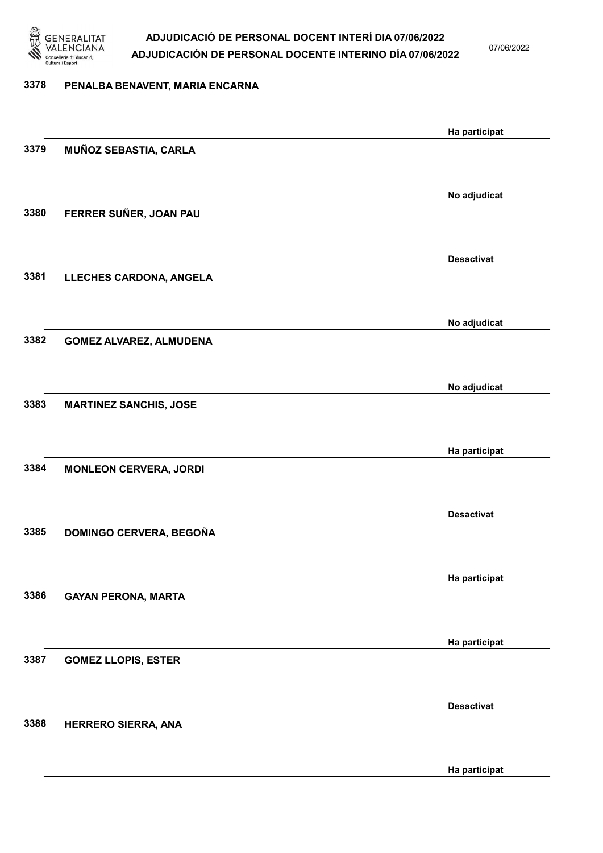

07/06/2022

#### 3378 PENALBA BENAVENT, MARIA ENCARNA

|      |                                | Ha participat     |
|------|--------------------------------|-------------------|
| 3379 | MUÑOZ SEBASTIA, CARLA          |                   |
|      |                                |                   |
|      |                                | No adjudicat      |
| 3380 | FERRER SUÑER, JOAN PAU         |                   |
|      |                                |                   |
|      |                                | <b>Desactivat</b> |
| 3381 | LLECHES CARDONA, ANGELA        |                   |
|      |                                |                   |
|      |                                | No adjudicat      |
| 3382 | <b>GOMEZ ALVAREZ, ALMUDENA</b> |                   |
|      |                                |                   |
|      |                                |                   |
| 3383 | <b>MARTINEZ SANCHIS, JOSE</b>  | No adjudicat      |
|      |                                |                   |
|      |                                |                   |
|      |                                | Ha participat     |
| 3384 | <b>MONLEON CERVERA, JORDI</b>  |                   |
|      |                                |                   |
|      |                                | <b>Desactivat</b> |
| 3385 | DOMINGO CERVERA, BEGOÑA        |                   |
|      |                                |                   |
|      |                                | Ha participat     |
| 3386 | <b>GAYAN PERONA, MARTA</b>     |                   |
|      |                                |                   |
|      |                                | Ha participat     |
| 3387 | <b>GOMEZ LLOPIS, ESTER</b>     |                   |
|      |                                |                   |
|      |                                | <b>Desactivat</b> |
| 3388 | HERRERO SIERRA, ANA            |                   |
|      |                                |                   |
|      |                                | Ha participat     |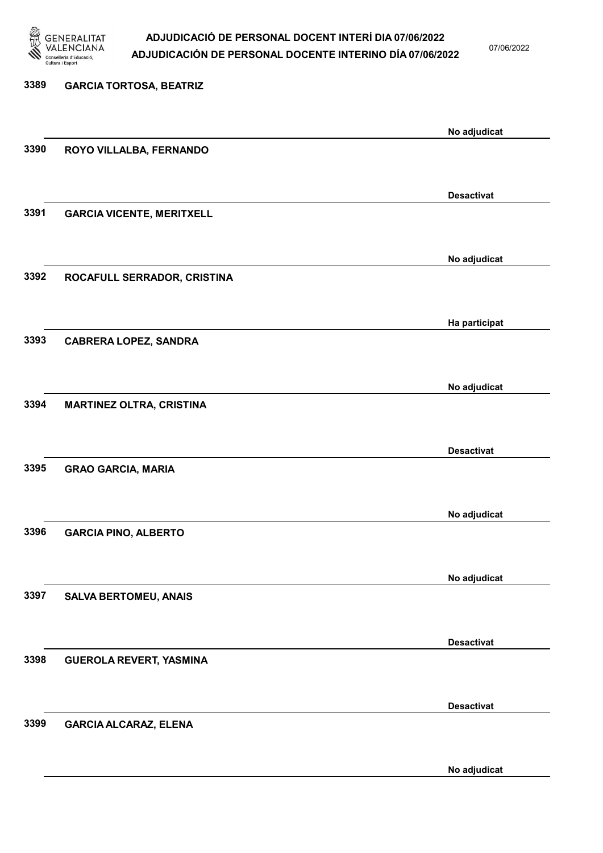

07/06/2022

## 3389 GARCIA TORTOSA, BEATRIZ No adjudicat 3390 ROYO VILLALBA, FERNANDO Desactivat 3391 GARCIA VICENTE, MERITXELL No adjudicat 3392 ROCAFULL SERRADOR, CRISTINA Ha participat 3393 CABRERA LOPEZ, SANDRA No adjudicat 3394 MARTINEZ OLTRA, CRISTINA Desactivat 3395 GRAO GARCIA, MARIA No adjudicat 3396 GARCIA PINO, ALBERTO No adjudicat 3397 SALVA BERTOMEU, ANAIS Desactivat 3398 GUEROLA REVERT, YASMINA Desactivat 3399 GARCIA ALCARAZ, ELENA No adjudicat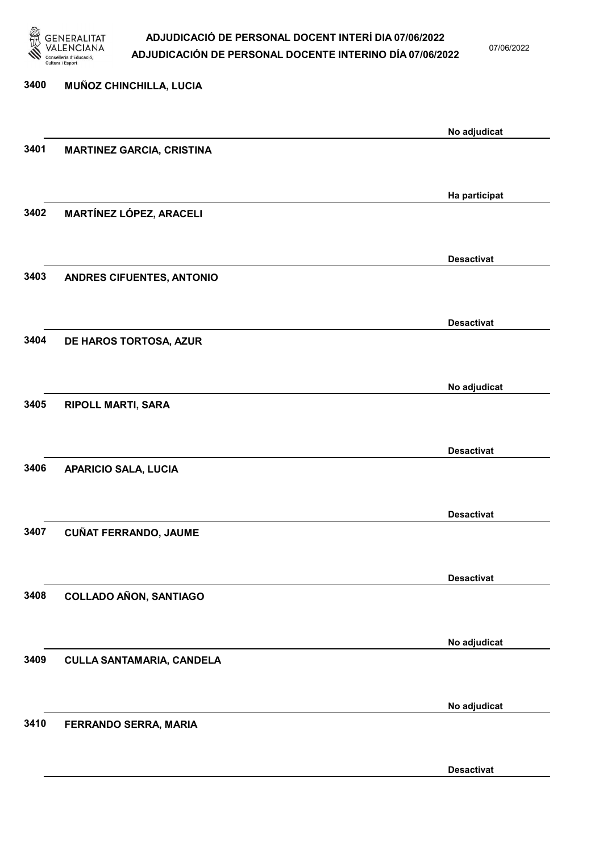

07/06/2022

Desactivat

# 3400 MUÑOZ CHINCHILLA, LUCIA No adjudicat 3401 MARTINEZ GARCIA, CRISTINA Ha participat 3402 MARTÍNEZ LÓPEZ, ARACELI Desactivat 3403 ANDRES CIFUENTES, ANTONIO Desactivat 3404 DE HAROS TORTOSA, AZUR No adjudicat 3405 RIPOLL MARTI, SARA Desactivat 3406 APARICIO SALA, LUCIA Desactivat 3407 CUÑAT FERRANDO, JAUME Desactivat 3408 COLLADO AÑON, SANTIAGO No adjudicat 3409 CULLA SANTAMARIA, CANDELA No adjudicat 3410 FERRANDO SERRA, MARIA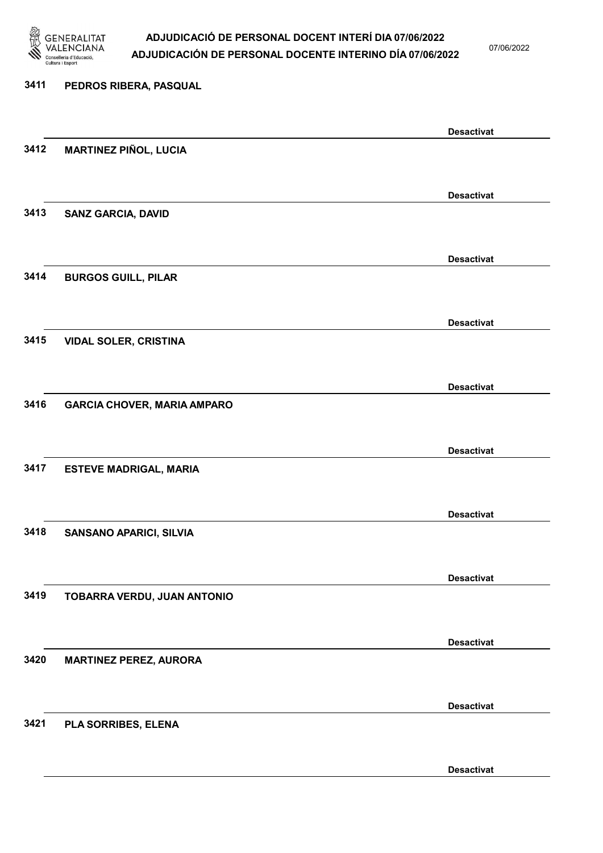

07/06/2022

Desactivat

# 3411 PEDROS RIBERA, PASQUAL Desactivat 3412 MARTINEZ PIÑOL, LUCIA Desactivat 3413 SANZ GARCIA, DAVID Desactivat 3414 BURGOS GUILL, PILAR Desactivat 3415 VIDAL SOLER, CRISTINA Desactivat 3416 GARCIA CHOVER, MARIA AMPARO Desactivat 3417 ESTEVE MADRIGAL, MARIA Desactivat 3418 SANSANO APARICI, SILVIA Desactivat 3419 TOBARRA VERDU, JUAN ANTONIO Desactivat 3420 MARTINEZ PEREZ, AURORA Desactivat 3421 PLA SORRIBES, ELENA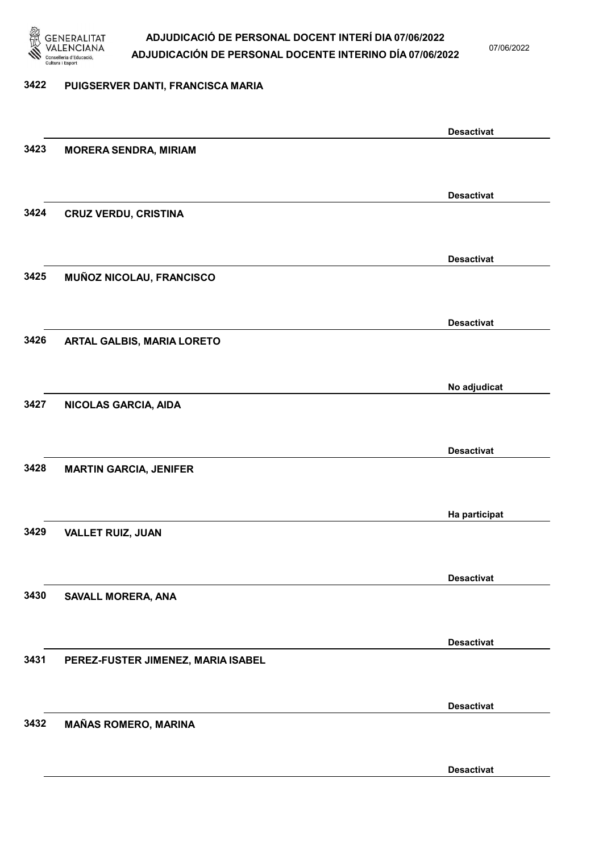

07/06/2022

### 3422 PUIGSERVER DANTI, FRANCISCA MARIA

|      |                                    | <b>Desactivat</b> |
|------|------------------------------------|-------------------|
| 3423 | <b>MORERA SENDRA, MIRIAM</b>       |                   |
|      |                                    |                   |
|      |                                    | <b>Desactivat</b> |
| 3424 | <b>CRUZ VERDU, CRISTINA</b>        |                   |
|      |                                    |                   |
|      |                                    | <b>Desactivat</b> |
| 3425 | MUÑOZ NICOLAU, FRANCISCO           |                   |
|      |                                    |                   |
|      |                                    | <b>Desactivat</b> |
| 3426 | ARTAL GALBIS, MARIA LORETO         |                   |
|      |                                    |                   |
|      |                                    | No adjudicat      |
| 3427 | NICOLAS GARCIA, AIDA               |                   |
|      |                                    |                   |
|      |                                    | <b>Desactivat</b> |
| 3428 | <b>MARTIN GARCIA, JENIFER</b>      |                   |
|      |                                    |                   |
|      |                                    | Ha participat     |
| 3429 | <b>VALLET RUIZ, JUAN</b>           |                   |
|      |                                    |                   |
|      |                                    | <b>Desactivat</b> |
| 3430 | SAVALL MORERA, ANA                 |                   |
|      |                                    |                   |
|      |                                    | <b>Desactivat</b> |
| 3431 | PEREZ-FUSTER JIMENEZ, MARIA ISABEL |                   |
|      |                                    |                   |
|      |                                    | <b>Desactivat</b> |
| 3432 | <b>MAÑAS ROMERO, MARINA</b>        |                   |
|      |                                    |                   |
|      |                                    | <b>Desactivat</b> |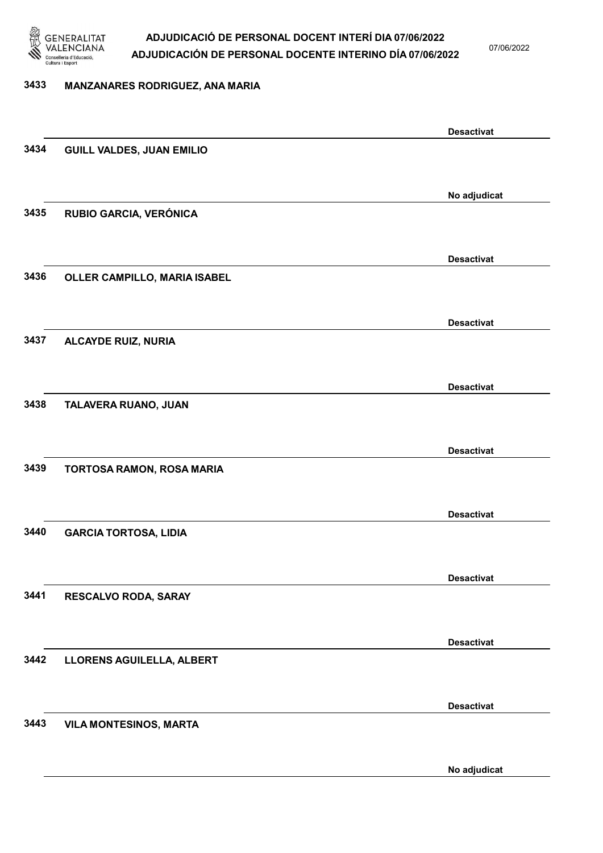

07/06/2022

### 3433 MANZANARES RODRIGUEZ, ANA MARIA

|      |                                  | <b>Desactivat</b> |
|------|----------------------------------|-------------------|
| 3434 | <b>GUILL VALDES, JUAN EMILIO</b> |                   |
|      |                                  |                   |
|      |                                  | No adjudicat      |
| 3435 | RUBIO GARCIA, VERÓNICA           |                   |
|      |                                  |                   |
|      |                                  | <b>Desactivat</b> |
| 3436 | OLLER CAMPILLO, MARIA ISABEL     |                   |
|      |                                  |                   |
|      |                                  | <b>Desactivat</b> |
| 3437 | <b>ALCAYDE RUIZ, NURIA</b>       |                   |
|      |                                  |                   |
|      |                                  |                   |
| 3438 | TALAVERA RUANO, JUAN             | <b>Desactivat</b> |
|      |                                  |                   |
|      |                                  |                   |
|      |                                  | <b>Desactivat</b> |
| 3439 | TORTOSA RAMON, ROSA MARIA        |                   |
|      |                                  |                   |
|      |                                  | <b>Desactivat</b> |
| 3440 | <b>GARCIA TORTOSA, LIDIA</b>     |                   |
|      |                                  |                   |
|      |                                  | <b>Desactivat</b> |
| 3441 | RESCALVO RODA, SARAY             |                   |
|      |                                  |                   |
|      |                                  | <b>Desactivat</b> |
| 3442 | <b>LLORENS AGUILELLA, ALBERT</b> |                   |
|      |                                  |                   |
|      |                                  | <b>Desactivat</b> |
| 3443 | <b>VILA MONTESINOS, MARTA</b>    |                   |
|      |                                  |                   |
|      |                                  | No adjudicat      |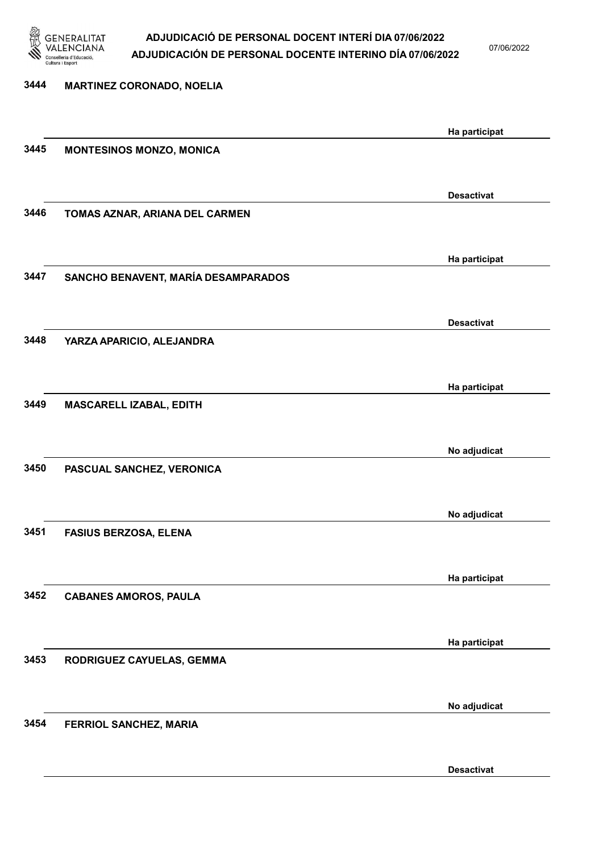

07/06/2022

Desactivat

# 3444 MARTINEZ CORONADO, NOELIA Ha participat 3445 MONTESINOS MONZO, MONICA Desactivat 3446 TOMAS AZNAR, ARIANA DEL CARMEN Ha participat 3447 SANCHO BENAVENT, MARÍA DESAMPARADOS Desactivat 3448 YARZA APARICIO, ALEJANDRA Ha participat 3449 MASCARELL IZABAL, EDITH No adjudicat 3450 PASCUAL SANCHEZ, VERONICA No adjudicat 3451 FASIUS BERZOSA, ELENA Ha participat 3452 CABANES AMOROS, PAULA Ha participat 3453 RODRIGUEZ CAYUELAS, GEMMA No adjudicat 3454 FERRIOL SANCHEZ, MARIA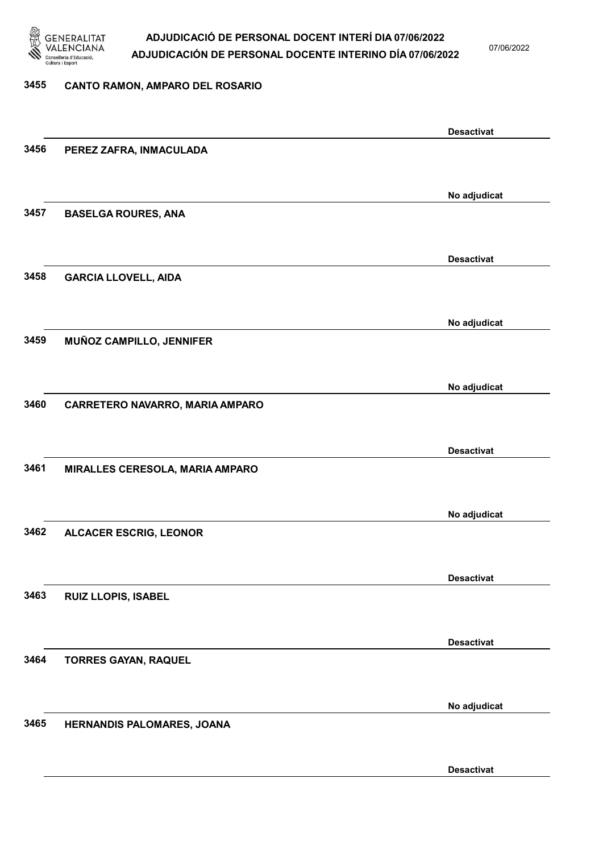

07/06/2022

#### 3455 CANTO RAMON, AMPARO DEL ROSARIO

|      |                                 | <b>Desactivat</b> |
|------|---------------------------------|-------------------|
| 3456 | PEREZ ZAFRA, INMACULADA         |                   |
|      |                                 |                   |
|      |                                 | No adjudicat      |
| 3457 | <b>BASELGA ROURES, ANA</b>      |                   |
|      |                                 |                   |
|      |                                 |                   |
|      |                                 | <b>Desactivat</b> |
| 3458 | <b>GARCIA LLOVELL, AIDA</b>     |                   |
|      |                                 |                   |
|      |                                 | No adjudicat      |
| 3459 | MUÑOZ CAMPILLO, JENNIFER        |                   |
|      |                                 |                   |
|      |                                 | No adjudicat      |
| 3460 | CARRETERO NAVARRO, MARIA AMPARO |                   |
|      |                                 |                   |
|      |                                 |                   |
|      |                                 | <b>Desactivat</b> |
| 3461 | MIRALLES CERESOLA, MARIA AMPARO |                   |
|      |                                 |                   |
|      |                                 | No adjudicat      |
| 3462 | <b>ALCACER ESCRIG, LEONOR</b>   |                   |
|      |                                 |                   |
|      |                                 | <b>Desactivat</b> |
| 3463 | RUIZ LLOPIS, ISABEL             |                   |
|      |                                 |                   |
|      |                                 |                   |
|      |                                 | <b>Desactivat</b> |
| 3464 | <b>TORRES GAYAN, RAQUEL</b>     |                   |
|      |                                 |                   |
|      |                                 | No adjudicat      |
| 3465 | HERNANDIS PALOMARES, JOANA      |                   |
|      |                                 |                   |
|      |                                 | <b>Desactivat</b> |
|      |                                 |                   |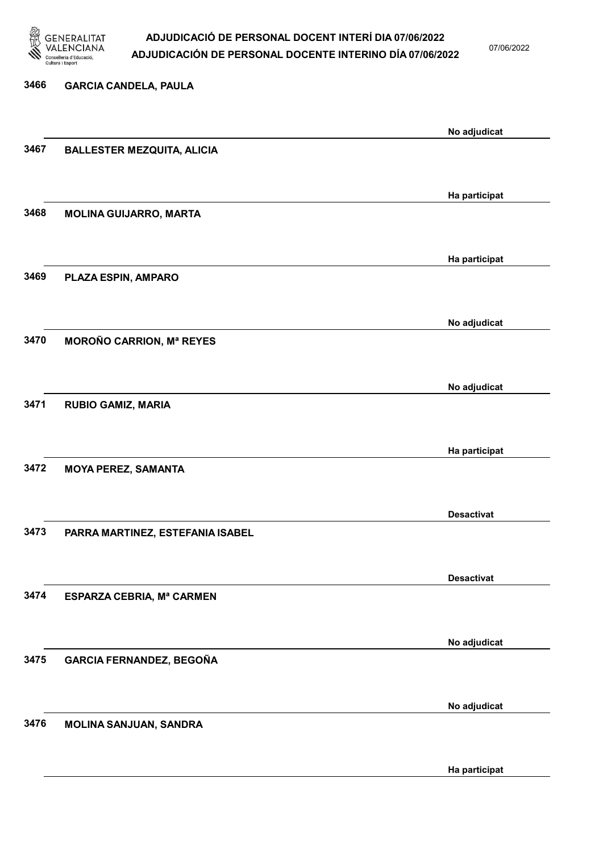

07/06/2022

# 3466 GARCIA CANDELA, PAULA No adjudicat 3467 BALLESTER MEZQUITA, ALICIA Ha participat 3468 MOLINA GUIJARRO, MARTA Ha participat 3469 PLAZA ESPIN, AMPARO No adjudicat 3470 MOROÑO CARRION, Mª REYES No adjudicat 3471 RUBIO GAMIZ, MARIA Ha participat 3472 MOYA PEREZ, SAMANTA Desactivat 3473 PARRA MARTINEZ, ESTEFANIA ISABEL Desactivat 3474 ESPARZA CEBRIA, Mª CARMEN No adjudicat 3475 GARCIA FERNANDEZ, BEGOÑA No adjudicat 3476 MOLINA SANJUAN, SANDRA

Ha participat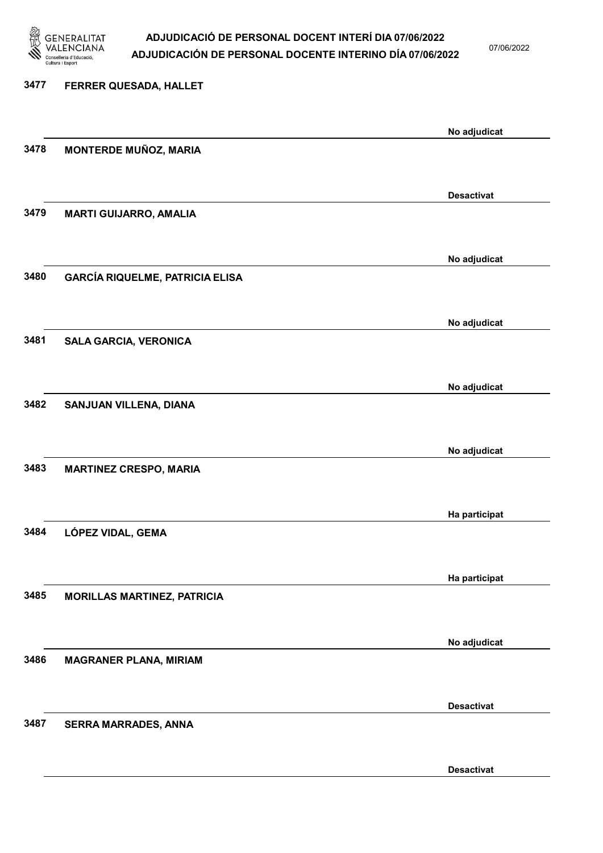

07/06/2022

| 3477 | FERRER QUESADA, HALLET                 |                   |
|------|----------------------------------------|-------------------|
|      |                                        | No adjudicat      |
| 3478 | <b>MONTERDE MUÑOZ, MARIA</b>           |                   |
|      |                                        | <b>Desactivat</b> |
| 3479 | <b>MARTI GUIJARRO, AMALIA</b>          |                   |
|      |                                        | No adjudicat      |
| 3480 | <b>GARCÍA RIQUELME, PATRICIA ELISA</b> |                   |
|      |                                        | No adjudicat      |
| 3481 | <b>SALA GARCIA, VERONICA</b>           |                   |
|      |                                        | No adjudicat      |
| 3482 | SANJUAN VILLENA, DIANA                 |                   |
|      |                                        | No adjudicat      |
| 3483 | <b>MARTINEZ CRESPO, MARIA</b>          |                   |
|      |                                        | Ha participat     |
| 3484 | LÓPEZ VIDAL, GEMA                      |                   |
| 3485 |                                        | Ha participat     |
|      | <b>MORILLAS MARTINEZ, PATRICIA</b>     |                   |
| 3486 |                                        | No adjudicat      |
|      | <b>MAGRANER PLANA, MIRIAM</b>          |                   |
| 3487 | <b>SERRA MARRADES, ANNA</b>            | <b>Desactivat</b> |
|      |                                        |                   |

Desactivat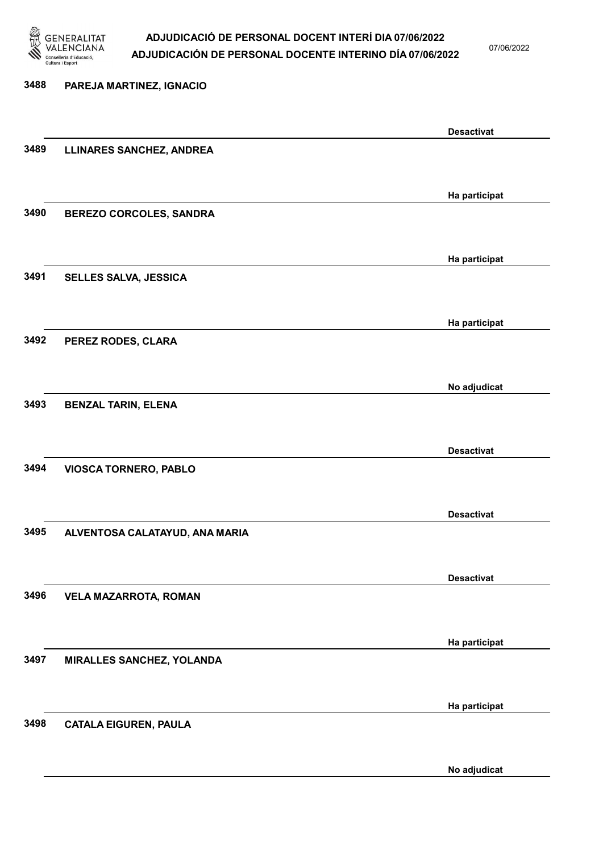

07/06/2022

# 3488 PAREJA MARTINEZ, IGNACIO Desactivat 3489 LLINARES SANCHEZ, ANDREA Ha participat 3490 BEREZO CORCOLES, SANDRA Ha participat 3491 SELLES SALVA, JESSICA Ha participat 3492 PEREZ RODES, CLARA No adjudicat 3493 BENZAL TARIN, ELENA Desactivat 3494 VIOSCA TORNERO, PABLO Desactivat 3495 ALVENTOSA CALATAYUD, ANA MARIA Desactivat 3496 VELA MAZARROTA, ROMAN Ha participat 3497 MIRALLES SANCHEZ, YOLANDA Ha participat 3498 CATALA EIGUREN, PAULA

No adjudicat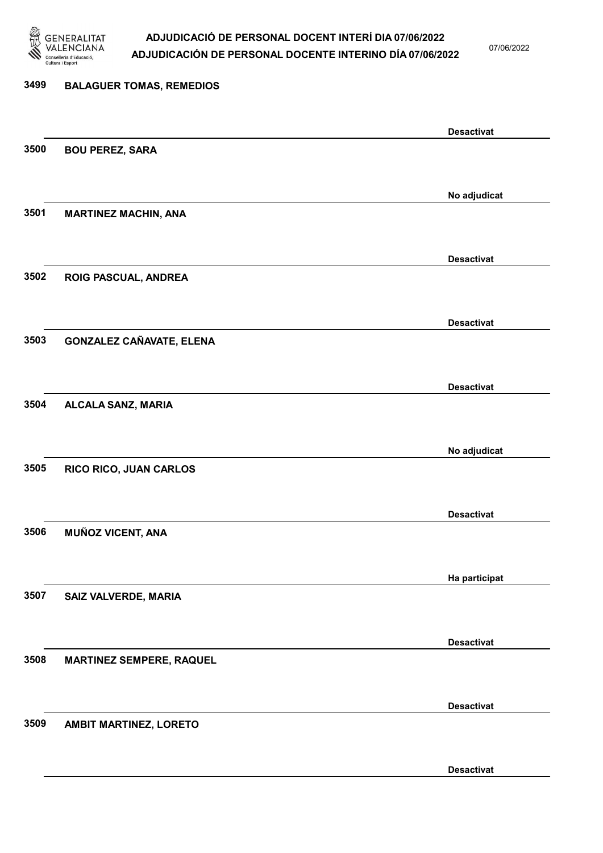

07/06/2022

Desactivat

# 3499 BALAGUER TOMAS, REMEDIOS Desactivat 3500 BOU PEREZ, SARA No adjudicat 3501 MARTINEZ MACHIN, ANA Desactivat 3502 ROIG PASCUAL, ANDREA Desactivat 3503 GONZALEZ CAÑAVATE, ELENA Desactivat 3504 ALCALA SANZ, MARIA No adjudicat 3505 RICO RICO, JUAN CARLOS Desactivat 3506 MUÑOZ VICENT, ANA Ha participat 3507 SAIZ VALVERDE, MARIA Desactivat 3508 MARTINEZ SEMPERE, RAQUEL Desactivat 3509 AMBIT MARTINEZ, LORETO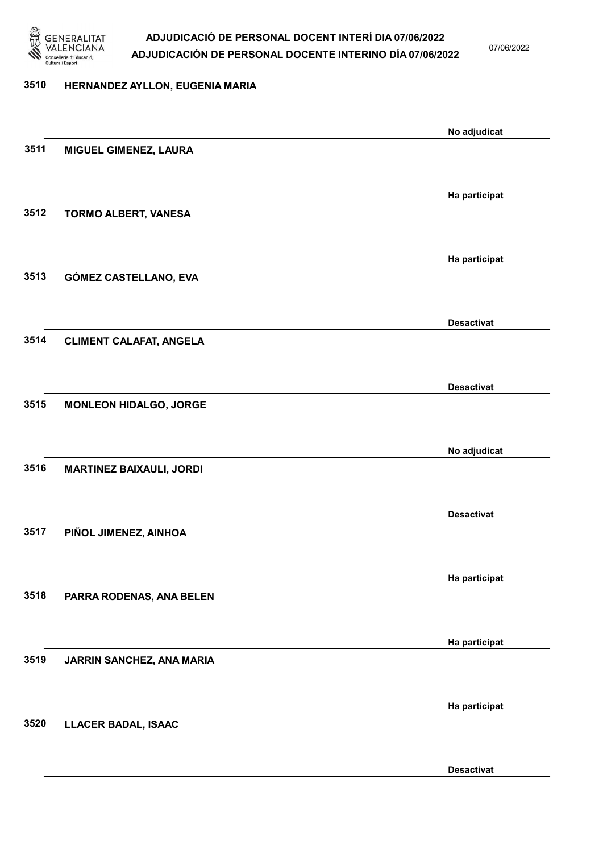

07/06/2022

### 3510 HERNANDEZ AYLLON, EUGENIA MARIA

|      |                                 | No adjudicat      |
|------|---------------------------------|-------------------|
| 3511 | MIGUEL GIMENEZ, LAURA           |                   |
|      |                                 |                   |
|      |                                 | Ha participat     |
| 3512 | TORMO ALBERT, VANESA            |                   |
|      |                                 |                   |
|      |                                 |                   |
|      |                                 | Ha participat     |
| 3513 | GÓMEZ CASTELLANO, EVA           |                   |
|      |                                 |                   |
|      |                                 | <b>Desactivat</b> |
| 3514 | <b>CLIMENT CALAFAT, ANGELA</b>  |                   |
|      |                                 |                   |
|      |                                 |                   |
|      |                                 | <b>Desactivat</b> |
| 3515 | <b>MONLEON HIDALGO, JORGE</b>   |                   |
|      |                                 |                   |
|      |                                 | No adjudicat      |
| 3516 | <b>MARTINEZ BAIXAULI, JORDI</b> |                   |
|      |                                 |                   |
|      |                                 | <b>Desactivat</b> |
| 3517 | PIÑOL JIMENEZ, AINHOA           |                   |
|      |                                 |                   |
|      |                                 |                   |
|      |                                 | Ha participat     |
| 3518 | PARRA RODENAS, ANA BELEN        |                   |
|      |                                 |                   |
|      |                                 | Ha participat     |
| 3519 | JARRIN SANCHEZ, ANA MARIA       |                   |
|      |                                 |                   |
|      |                                 |                   |
|      |                                 | Ha participat     |
| 3520 | <b>LLACER BADAL, ISAAC</b>      |                   |
|      |                                 |                   |
|      |                                 | <b>Desactivat</b> |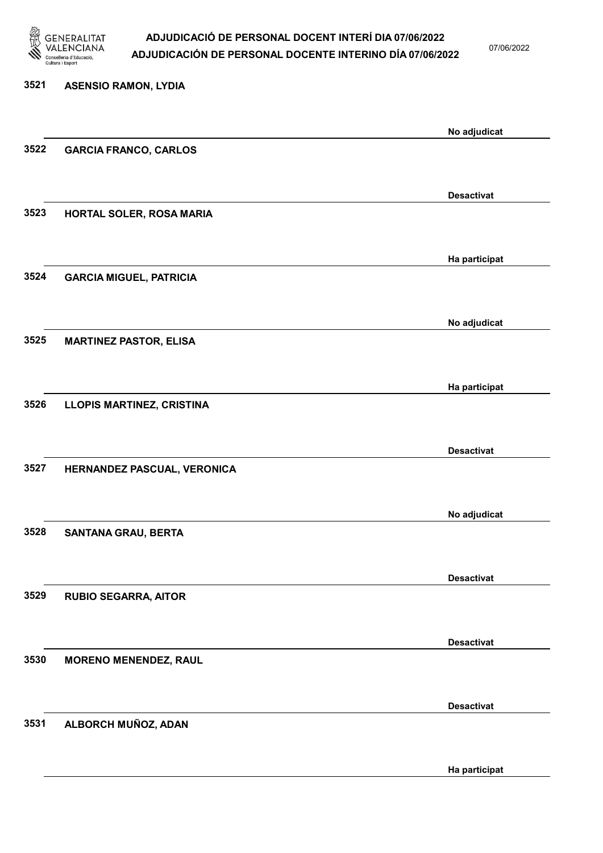

07/06/2022

## 3521 ASENSIO RAMON, LYDIA No adjudicat 3522 GARCIA FRANCO, CARLOS Desactivat 3523 HORTAL SOLER, ROSA MARIA Ha participat 3524 GARCIA MIGUEL, PATRICIA No adjudicat 3525 MARTINEZ PASTOR, ELISA Ha participat 3526 LLOPIS MARTINEZ, CRISTINA Desactivat 3527 HERNANDEZ PASCUAL, VERONICA No adjudicat 3528 SANTANA GRAU, BERTA Desactivat 3529 RUBIO SEGARRA, AITOR Desactivat 3530 MORENO MENENDEZ, RAUL Desactivat 3531 ALBORCH MUÑOZ, ADAN Ha participat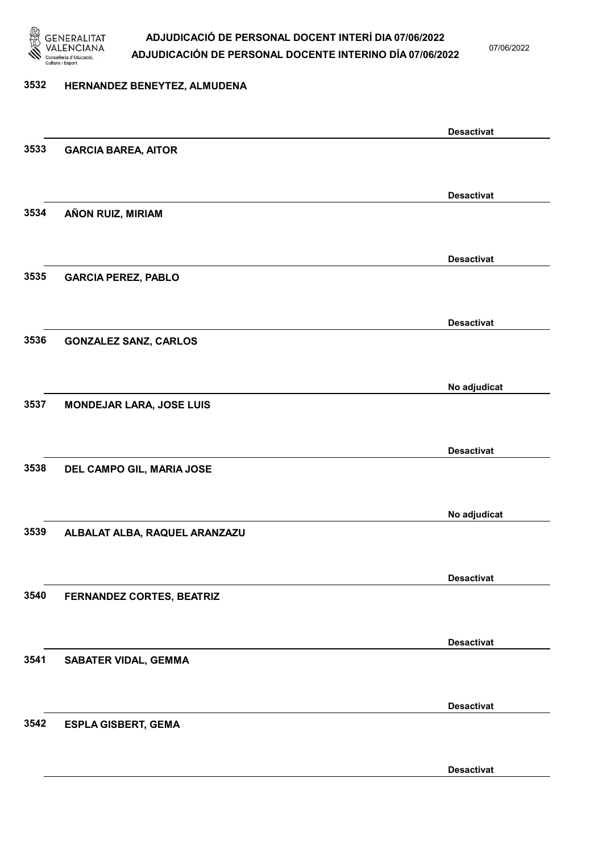

07/06/2022

### 3532 HERNANDEZ BENEYTEZ, ALMUDENA

|      |                                 | <b>Desactivat</b> |
|------|---------------------------------|-------------------|
| 3533 | <b>GARCIA BAREA, AITOR</b>      |                   |
|      |                                 |                   |
|      |                                 | <b>Desactivat</b> |
| 3534 | AÑON RUIZ, MIRIAM               |                   |
|      |                                 |                   |
|      |                                 |                   |
|      |                                 | <b>Desactivat</b> |
| 3535 | <b>GARCIA PEREZ, PABLO</b>      |                   |
|      |                                 |                   |
|      |                                 | <b>Desactivat</b> |
| 3536 | <b>GONZALEZ SANZ, CARLOS</b>    |                   |
|      |                                 |                   |
|      |                                 |                   |
|      |                                 | No adjudicat      |
| 3537 | <b>MONDEJAR LARA, JOSE LUIS</b> |                   |
|      |                                 |                   |
|      |                                 | <b>Desactivat</b> |
| 3538 | DEL CAMPO GIL, MARIA JOSE       |                   |
|      |                                 |                   |
|      |                                 | No adjudicat      |
| 3539 | ALBALAT ALBA, RAQUEL ARANZAZU   |                   |
|      |                                 |                   |
|      |                                 |                   |
|      |                                 | <b>Desactivat</b> |
| 3540 | FERNANDEZ CORTES, BEATRIZ       |                   |
|      |                                 |                   |
|      |                                 | <b>Desactivat</b> |
| 3541 | <b>SABATER VIDAL, GEMMA</b>     |                   |
|      |                                 |                   |
|      |                                 |                   |
|      |                                 | <b>Desactivat</b> |
| 3542 | <b>ESPLA GISBERT, GEMA</b>      |                   |
|      |                                 |                   |
|      |                                 | <b>Desactivat</b> |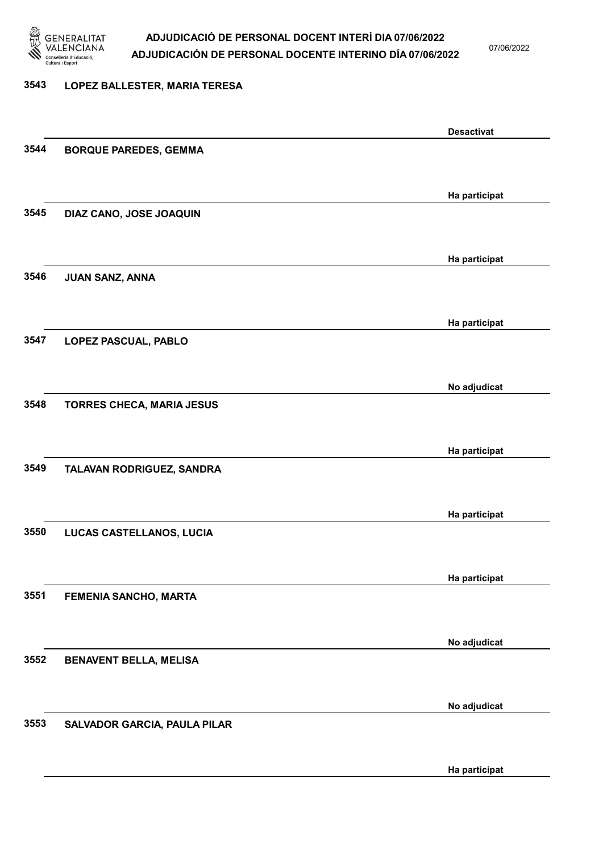

07/06/2022

#### 3543 LOPEZ BALLESTER, MARIA TERESA

|      |                                  | <b>Desactivat</b> |
|------|----------------------------------|-------------------|
| 3544 | <b>BORQUE PAREDES, GEMMA</b>     |                   |
|      |                                  |                   |
|      |                                  | Ha participat     |
| 3545 | DIAZ CANO, JOSE JOAQUIN          |                   |
|      |                                  |                   |
|      |                                  | Ha participat     |
| 3546 | JUAN SANZ, ANNA                  |                   |
|      |                                  |                   |
|      |                                  |                   |
| 3547 |                                  | Ha participat     |
|      | LOPEZ PASCUAL, PABLO             |                   |
|      |                                  |                   |
|      |                                  | No adjudicat      |
| 3548 | <b>TORRES CHECA, MARIA JESUS</b> |                   |
|      |                                  |                   |
|      |                                  | Ha participat     |
| 3549 | TALAVAN RODRIGUEZ, SANDRA        |                   |
|      |                                  |                   |
|      |                                  | Ha participat     |
| 3550 | LUCAS CASTELLANOS, LUCIA         |                   |
|      |                                  |                   |
|      |                                  | Ha participat     |
| 3551 | FEMENIA SANCHO, MARTA            |                   |
|      |                                  |                   |
|      |                                  | No adjudicat      |
| 3552 | <b>BENAVENT BELLA, MELISA</b>    |                   |
|      |                                  |                   |
|      |                                  |                   |
| 3553 |                                  | No adjudicat      |
|      | SALVADOR GARCIA, PAULA PILAR     |                   |
|      |                                  |                   |
|      |                                  | Ha participat     |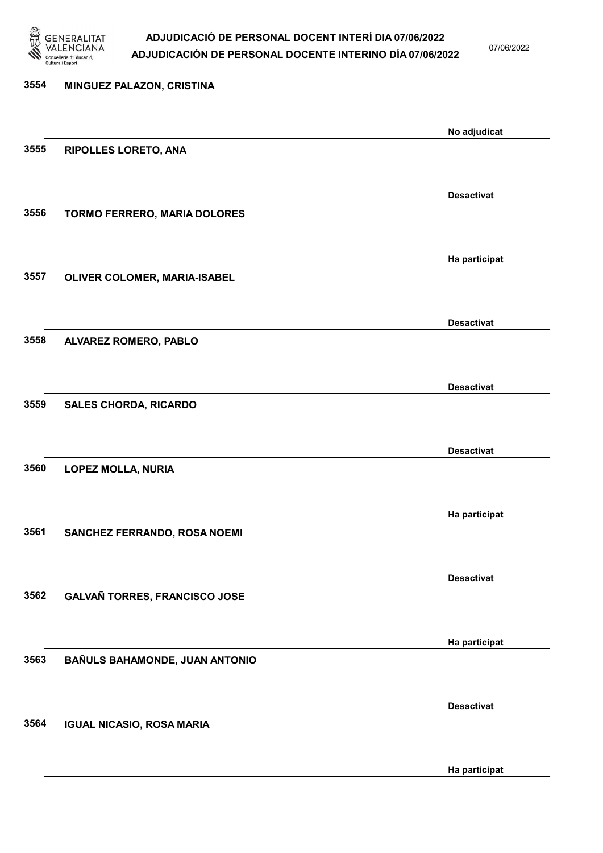

07/06/2022

| 3554 | MINGUEZ PALAZON, CRISTINA           |                   |
|------|-------------------------------------|-------------------|
|      |                                     | No adjudicat      |
| 3555 | RIPOLLES LORETO, ANA                |                   |
|      |                                     | <b>Desactivat</b> |
| 3556 | <b>TORMO FERRERO, MARIA DOLORES</b> |                   |
|      |                                     | Ha participat     |
| 3557 | OLIVER COLOMER, MARIA-ISABEL        |                   |
| 3558 |                                     | <b>Desactivat</b> |
|      | ALVAREZ ROMERO, PABLO               |                   |
| 3559 | <b>SALES CHORDA, RICARDO</b>        | <b>Desactivat</b> |
|      |                                     |                   |
| 3560 | <b>LOPEZ MOLLA, NURIA</b>           | <b>Desactivat</b> |
|      |                                     |                   |
| 3561 | SANCHEZ FERRANDO, ROSA NOEMI        | Ha participat     |
|      |                                     | <b>Desactivat</b> |
| 3562 | GALVAÑ TORRES, FRANCISCO JOSE       |                   |
|      |                                     | Ha participat     |
| 3563 | BAÑULS BAHAMONDE, JUAN ANTONIO      |                   |
|      |                                     | <b>Desactivat</b> |
| 3564 | <b>IGUAL NICASIO, ROSA MARIA</b>    |                   |
|      |                                     | Ha participat     |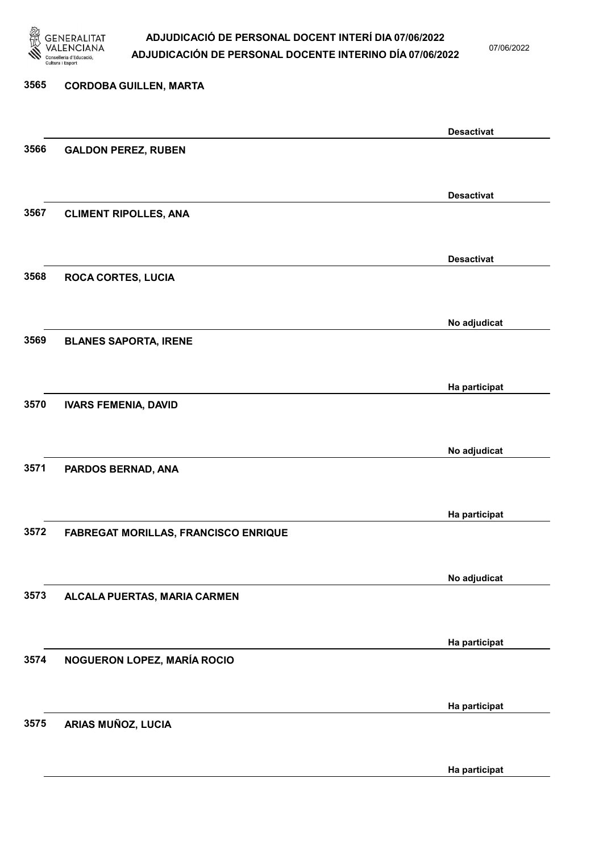

07/06/2022

# 3565 CORDOBA GUILLEN, MARTA Desactivat 3566 GALDON PEREZ, RUBEN Desactivat 3567 CLIMENT RIPOLLES, ANA Desactivat 3568 ROCA CORTES, LUCIA No adjudicat 3569 BLANES SAPORTA, IRENE Ha participat 3570 IVARS FEMENIA, DAVID No adjudicat 3571 PARDOS BERNAD, ANA Ha participat 3572 FABREGAT MORILLAS, FRANCISCO ENRIQUE No adjudicat 3573 ALCALA PUERTAS, MARIA CARMEN Ha participat 3574 NOGUERON LOPEZ, MARÍA ROCIO Ha participat 3575 ARIAS MUÑOZ, LUCIA

Ha participat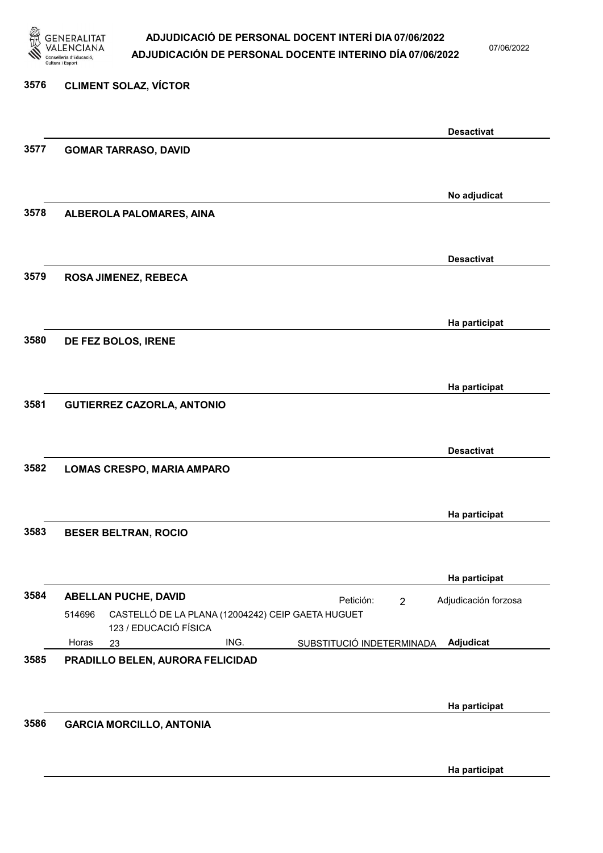

07/06/2022

# 3576 CLIMENT SOLAZ, VÍCTOR Desactivat 3577 GOMAR TARRASO, DAVID No adjudicat 3578 ALBEROLA PALOMARES, AINA Desactivat 3579 ROSA JIMENEZ, REBECA Ha participat 3580 DE FEZ BOLOS, IRENE Ha participat 3581 GUTIERREZ CAZORLA, ANTONIO Desactivat 3582 LOMAS CRESPO, MARIA AMPARO Ha participat 3583 BESER BELTRAN, ROCIO Ha participat 3584 ABELLAN PUCHE, DAVID 23 ING. SUBSTITUCIÓ INDETERMINADA CASTELLÓ DE LA PLANA (12004242) CEIP GAETA HUGUET 123 / EDUCACIÓ FÍSICA Adjudicat Adjudicación forzosa 514696 Horas 3585 PRADILLO BELEN, AURORA FELICIDAD Ha participat 3586 GARCIA MORCILLO, ANTONIA

Ha participat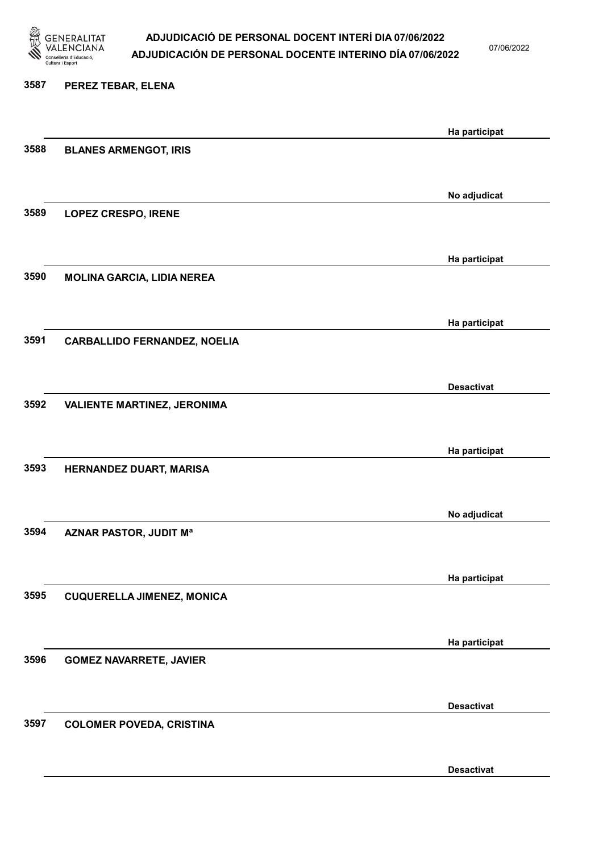

07/06/2022

Desactivat

# 3587 PEREZ TEBAR, ELENA Ha participat 3588 BLANES ARMENGOT, IRIS No adjudicat 3589 LOPEZ CRESPO, IRENE Ha participat 3590 MOLINA GARCIA, LIDIA NEREA Ha participat 3591 CARBALLIDO FERNANDEZ, NOELIA Desactivat 3592 VALIENTE MARTINEZ, JERONIMA Ha participat 3593 HERNANDEZ DUART, MARISA No adjudicat 3594 AZNAR PASTOR, JUDIT Mª Ha participat 3595 CUQUERELLA JIMENEZ, MONICA Ha participat 3596 GOMEZ NAVARRETE, JAVIER Desactivat 3597 COLOMER POVEDA, CRISTINA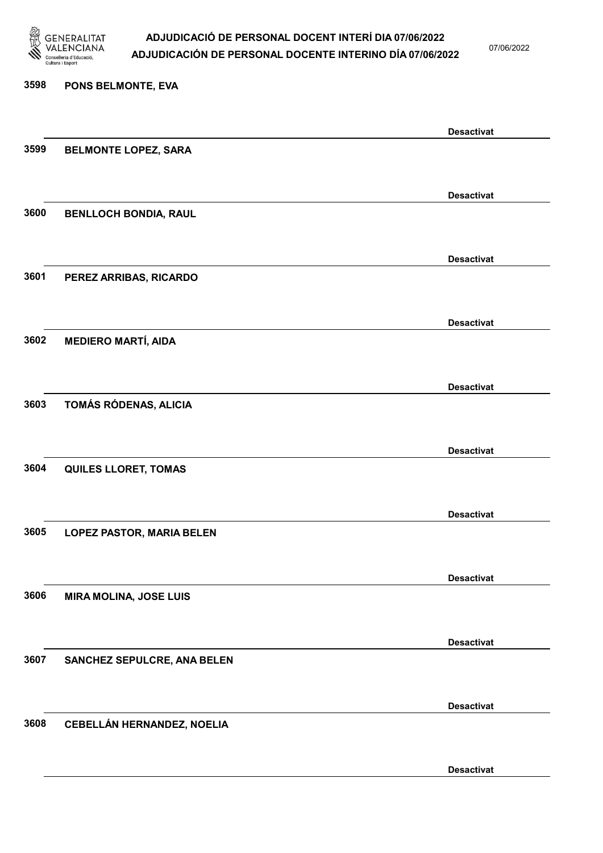

07/06/2022

### 3598 PONS BELMONTE, EVA

|      |                                  | <b>Desactivat</b> |
|------|----------------------------------|-------------------|
| 3599 | <b>BELMONTE LOPEZ, SARA</b>      |                   |
|      |                                  |                   |
|      |                                  | <b>Desactivat</b> |
| 3600 | <b>BENLLOCH BONDIA, RAUL</b>     |                   |
|      |                                  |                   |
|      |                                  | <b>Desactivat</b> |
| 3601 | PEREZ ARRIBAS, RICARDO           |                   |
|      |                                  |                   |
|      |                                  |                   |
|      |                                  | <b>Desactivat</b> |
| 3602 | <b>MEDIERO MARTÍ, AIDA</b>       |                   |
|      |                                  |                   |
|      |                                  | <b>Desactivat</b> |
| 3603 | TOMÁS RÓDENAS, ALICIA            |                   |
|      |                                  |                   |
|      |                                  | <b>Desactivat</b> |
| 3604 | <b>QUILES LLORET, TOMAS</b>      |                   |
|      |                                  |                   |
|      |                                  | <b>Desactivat</b> |
| 3605 | <b>LOPEZ PASTOR, MARIA BELEN</b> |                   |
|      |                                  |                   |
|      |                                  | <b>Desactivat</b> |
| 3606 | <b>MIRA MOLINA, JOSE LUIS</b>    |                   |
|      |                                  |                   |
|      |                                  |                   |
| 3607 |                                  | <b>Desactivat</b> |
|      | SANCHEZ SEPULCRE, ANA BELEN      |                   |
|      |                                  |                   |
|      |                                  | <b>Desactivat</b> |
| 3608 | CEBELLÁN HERNANDEZ, NOELIA       |                   |
|      |                                  |                   |
|      |                                  | <b>Desactivat</b> |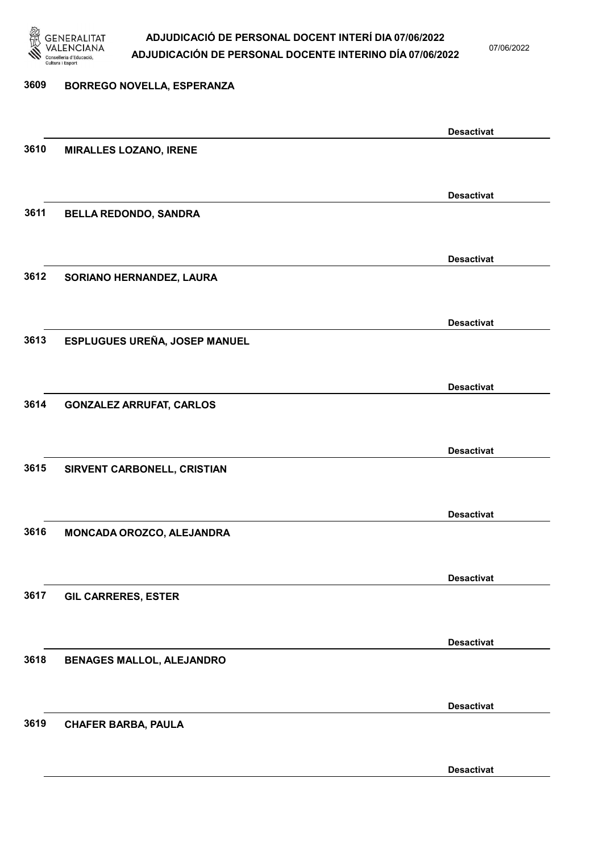

07/06/2022

Desactivat

# 3609 BORREGO NOVELLA, ESPERANZA Desactivat 3610 MIRALLES LOZANO, IRENE Desactivat 3611 BELLA REDONDO, SANDRA Desactivat 3612 SORIANO HERNANDEZ, LAURA Desactivat 3613 ESPLUGUES UREÑA, JOSEP MANUEL Desactivat 3614 GONZALEZ ARRUFAT, CARLOS Desactivat 3615 SIRVENT CARBONELL, CRISTIAN Desactivat 3616 MONCADA OROZCO, ALEJANDRA Desactivat 3617 GIL CARRERES, ESTER Desactivat 3618 BENAGES MALLOL, ALEJANDRO Desactivat 3619 CHAFER BARBA, PAULA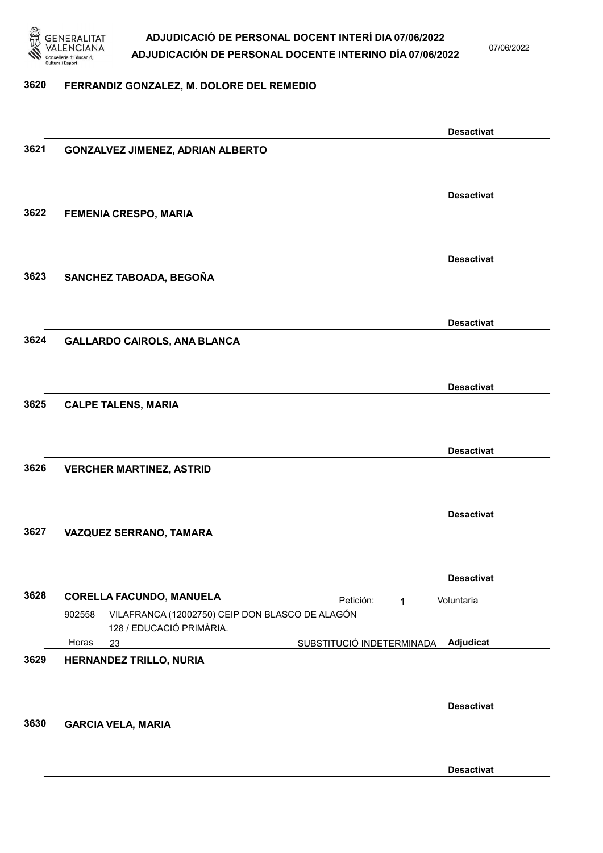

07/06/2022

#### 3620 FERRANDIZ GONZALEZ, M. DOLORE DEL REMEDIO

|      | <b>Desactivat</b>                                                                     |  |
|------|---------------------------------------------------------------------------------------|--|
| 3621 | <b>GONZALVEZ JIMENEZ, ADRIAN ALBERTO</b>                                              |  |
|      |                                                                                       |  |
|      | <b>Desactivat</b>                                                                     |  |
| 3622 | <b>FEMENIA CRESPO, MARIA</b>                                                          |  |
|      |                                                                                       |  |
|      | <b>Desactivat</b>                                                                     |  |
| 3623 | SANCHEZ TABOADA, BEGOÑA                                                               |  |
|      |                                                                                       |  |
|      | <b>Desactivat</b>                                                                     |  |
| 3624 | <b>GALLARDO CAIROLS, ANA BLANCA</b>                                                   |  |
|      |                                                                                       |  |
|      | <b>Desactivat</b>                                                                     |  |
| 3625 | <b>CALPE TALENS, MARIA</b>                                                            |  |
|      |                                                                                       |  |
|      | <b>Desactivat</b>                                                                     |  |
| 3626 | <b>VERCHER MARTINEZ, ASTRID</b>                                                       |  |
|      |                                                                                       |  |
| 3627 | <b>Desactivat</b><br>VAZQUEZ SERRANO, TAMARA                                          |  |
|      |                                                                                       |  |
|      | <b>Desactivat</b>                                                                     |  |
| 3628 | <b>CORELLA FACUNDO, MANUELA</b><br>Petición:<br>Voluntaria<br>1                       |  |
|      | 902558<br>VILAFRANCA (12002750) CEIP DON BLASCO DE ALAGÓN<br>128 / EDUCACIÓ PRIMÀRIA. |  |
|      | Adjudicat<br>Horas<br>SUBSTITUCIÓ INDETERMINADA<br>23                                 |  |
| 3629 | HERNANDEZ TRILLO, NURIA                                                               |  |
|      |                                                                                       |  |
|      | <b>Desactivat</b>                                                                     |  |
| 3630 | <b>GARCIA VELA, MARIA</b>                                                             |  |
|      |                                                                                       |  |
|      | <b>Desactivat</b>                                                                     |  |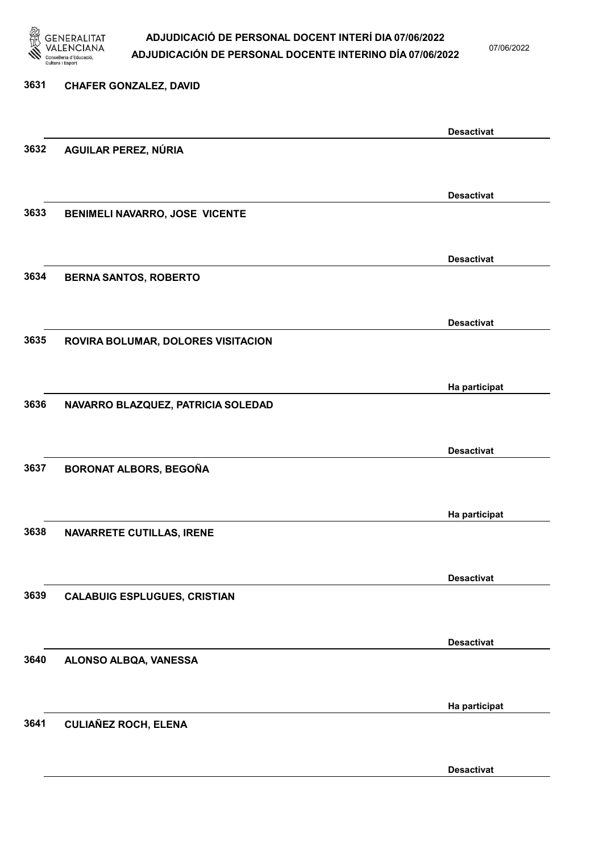

07/06/2022

# 3631 CHAFER GONZALEZ, DAVID Desactivat 3632 AGUILAR PEREZ, NÚRIA Desactivat 3633 BENIMELI NAVARRO, JOSE VICENTE Desactivat 3634 BERNA SANTOS, ROBERTO Desactivat 3635 ROVIRA BOLUMAR, DOLORES VISITACION Ha participat 3636 NAVARRO BLAZQUEZ, PATRICIA SOLEDAD Desactivat 3637 BORONAT ALBORS, BEGOÑA Ha participat 3638 NAVARRETE CUTILLAS, IRENE Desactivat 3639 CALABUIG ESPLUGUES, CRISTIAN Desactivat 3640 ALONSO ALBQA, VANESSA Ha participat 3641 CULIAÑEZ ROCH, ELENA

Desactivat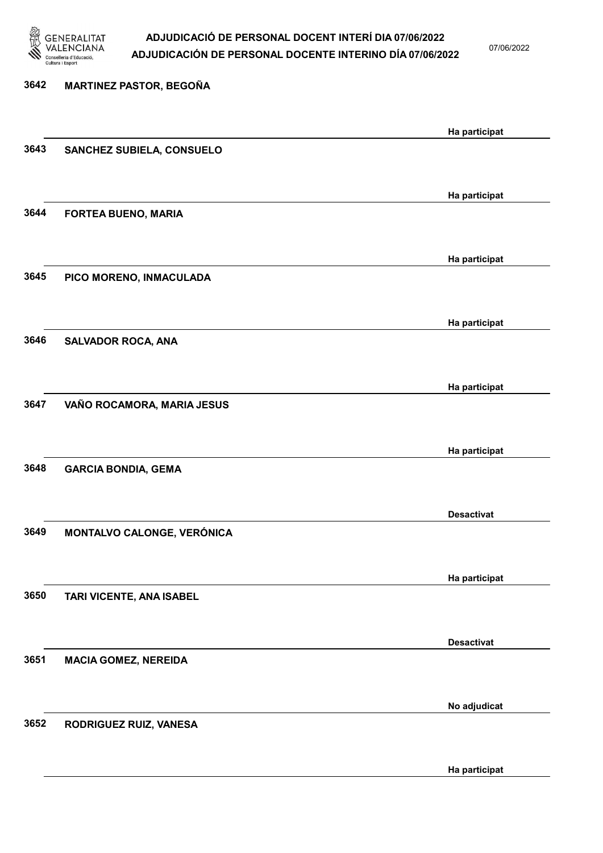

07/06/2022

Ha participat

| 3642 | <b>MARTINEZ PASTOR, BEGOÑA</b> |                   |
|------|--------------------------------|-------------------|
|      |                                | Ha participat     |
| 3643 | SANCHEZ SUBIELA, CONSUELO      |                   |
|      |                                | Ha participat     |
| 3644 | FORTEA BUENO, MARIA            |                   |
| 3645 | PICO MORENO, INMACULADA        | Ha participat     |
|      |                                |                   |
|      |                                | Ha participat     |
| 3646 | <b>SALVADOR ROCA, ANA</b>      |                   |
|      |                                | Ha participat     |
| 3647 | VAÑO ROCAMORA, MARIA JESUS     |                   |
|      |                                | Ha participat     |
| 3648 | <b>GARCIA BONDIA, GEMA</b>     |                   |
|      |                                | <b>Desactivat</b> |
| 3649 | MONTALVO CALONGE, VERÓNICA     |                   |
|      |                                | Ha participat     |
| 3650 | TARI VICENTE, ANA ISABEL       |                   |
|      |                                | <b>Desactivat</b> |
| 3651 | <b>MACIA GOMEZ, NEREIDA</b>    |                   |
|      |                                | No adjudicat      |
| 3652 | RODRIGUEZ RUIZ, VANESA         |                   |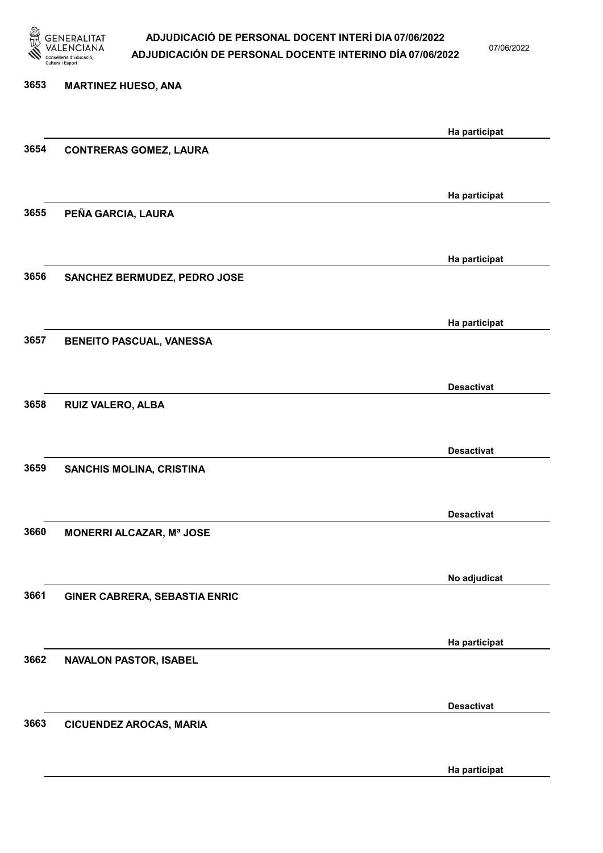

07/06/2022

Ha participat

# 3653 MARTINEZ HUESO, ANA Ha participat 3654 CONTRERAS GOMEZ, LAURA Ha participat 3655 PEÑA GARCIA, LAURA Ha participat 3656 SANCHEZ BERMUDEZ, PEDRO JOSE Ha participat 3657 BENEITO PASCUAL, VANESSA Desactivat 3658 RUIZ VALERO, ALBA Desactivat 3659 SANCHIS MOLINA, CRISTINA Desactivat 3660 MONERRI ALCAZAR, Mª JOSE No adjudicat 3661 GINER CABRERA, SEBASTIA ENRIC Ha participat 3662 NAVALON PASTOR, ISABEL Desactivat 3663 CICUENDEZ AROCAS, MARIA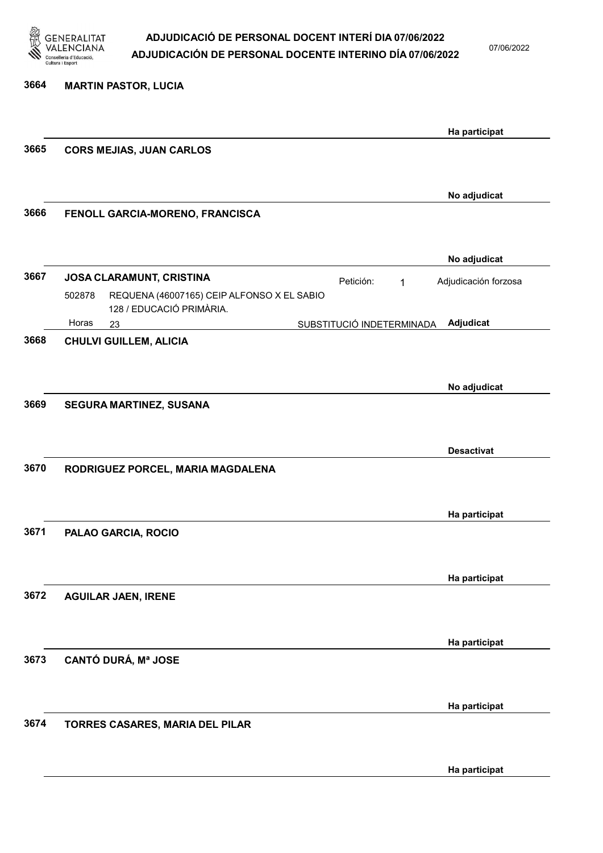

07/06/2022

Ha participat

| 3664 | <b>MARTIN PASTOR, LUCIA</b>                                                      |                      |
|------|----------------------------------------------------------------------------------|----------------------|
|      |                                                                                  | Ha participat        |
| 3665 | <b>CORS MEJIAS, JUAN CARLOS</b>                                                  |                      |
|      |                                                                                  | No adjudicat         |
| 3666 | FENOLL GARCIA-MORENO, FRANCISCA                                                  |                      |
|      |                                                                                  | No adjudicat         |
| 3667 | JOSA CLARAMUNT, CRISTINA<br>Petición:<br>$\mathbf{1}$                            | Adjudicación forzosa |
|      | REQUENA (46007165) CEIP ALFONSO X EL SABIO<br>502878<br>128 / EDUCACIÓ PRIMÀRIA. |                      |
|      | Horas<br>SUBSTITUCIÓ INDETERMINADA<br>23                                         | Adjudicat            |
| 3668 | <b>CHULVI GUILLEM, ALICIA</b>                                                    |                      |
|      |                                                                                  | No adjudicat         |
| 3669 | SEGURA MARTINEZ, SUSANA                                                          |                      |
|      |                                                                                  |                      |
|      |                                                                                  | <b>Desactivat</b>    |
| 3670 | RODRIGUEZ PORCEL, MARIA MAGDALENA                                                |                      |
|      |                                                                                  |                      |
|      |                                                                                  | Ha participat        |
| 3671 | PALAO GARCIA, ROCIO                                                              |                      |
|      |                                                                                  |                      |
| 3672 |                                                                                  | Ha participat        |
|      | <b>AGUILAR JAEN, IRENE</b>                                                       |                      |
|      |                                                                                  | Ha participat        |
| 3673 | <b>CANTÓ DURÁ, Mª JOSE</b>                                                       |                      |
|      |                                                                                  |                      |
|      |                                                                                  | Ha participat        |
| 3674 | TORRES CASARES, MARIA DEL PILAR                                                  |                      |
|      |                                                                                  |                      |
|      |                                                                                  |                      |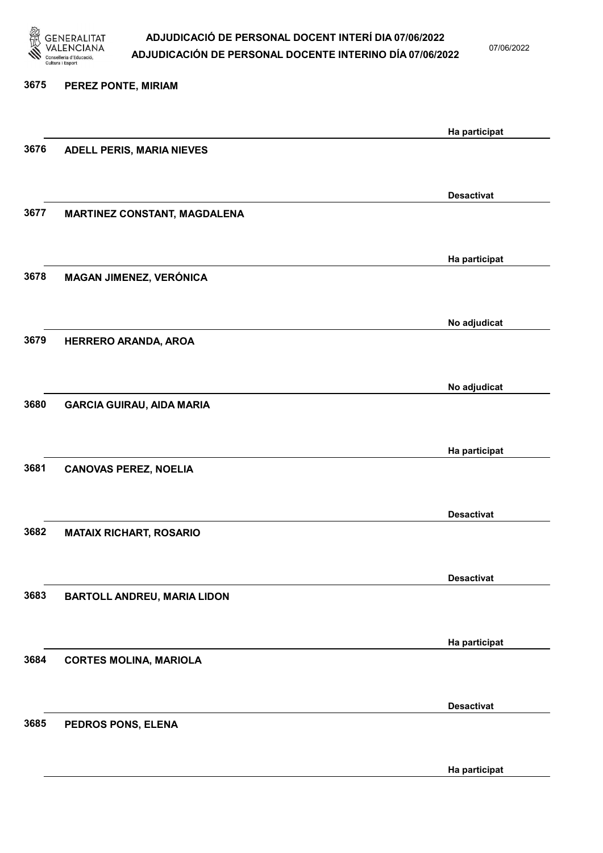

07/06/2022

Ha participat

# 3675 PEREZ PONTE, MIRIAM Ha participat 3676 ADELL PERIS, MARIA NIEVES Desactivat 3677 MARTINEZ CONSTANT, MAGDALENA Ha participat 3678 MAGAN JIMENEZ, VERÓNICA No adjudicat 3679 HERRERO ARANDA, AROA No adjudicat 3680 GARCIA GUIRAU, AIDA MARIA Ha participat 3681 CANOVAS PEREZ, NOELIA Desactivat 3682 MATAIX RICHART, ROSARIO Desactivat 3683 BARTOLL ANDREU, MARIA LIDON Ha participat 3684 CORTES MOLINA, MARIOLA Desactivat 3685 PEDROS PONS, ELENA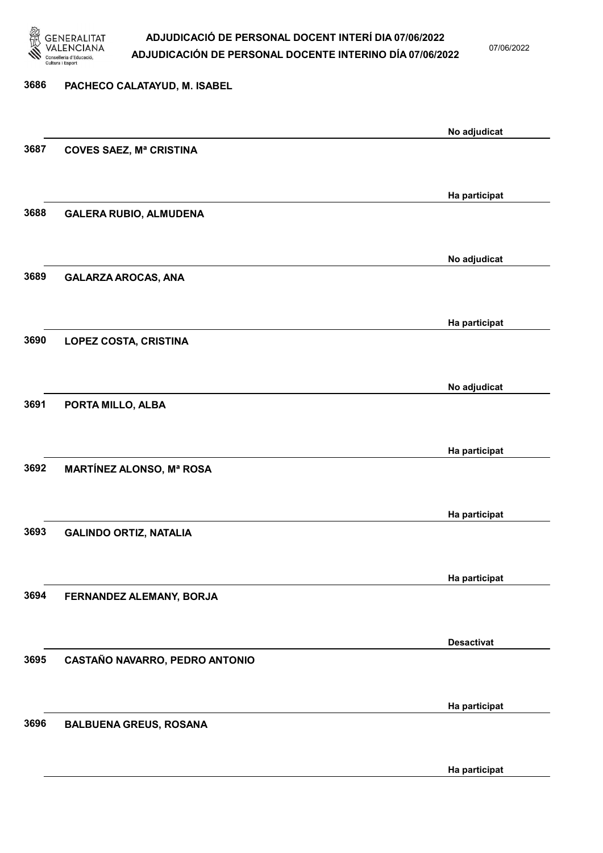

07/06/2022

Ha participat

# 3686 PACHECO CALATAYUD, M. ISABEL No adjudicat 3687 COVES SAEZ, Mª CRISTINA Ha participat 3688 GALERA RUBIO, ALMUDENA No adjudicat 3689 GALARZA AROCAS, ANA Ha participat 3690 LOPEZ COSTA, CRISTINA No adjudicat 3691 PORTA MILLO, ALBA Ha participat 3692 MARTÍNEZ ALONSO, Mª ROSA Ha participat 3693 GALINDO ORTIZ, NATALIA Ha participat 3694 FERNANDEZ ALEMANY, BORJA Desactivat 3695 CASTAÑO NAVARRO, PEDRO ANTONIO Ha participat 3696 BALBUENA GREUS, ROSANA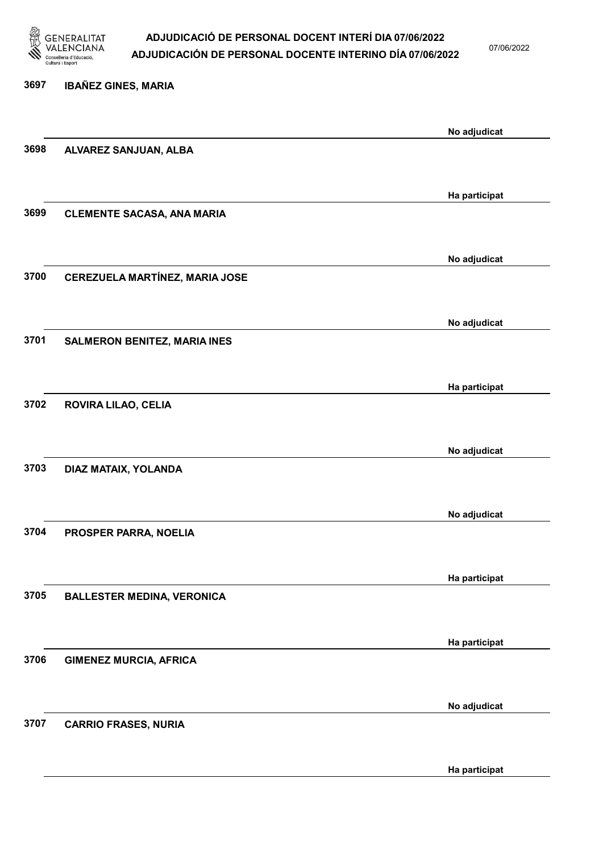

07/06/2022

Ha participat

# 3697 IBAÑEZ GINES, MARIA No adjudicat 3698 ALVAREZ SANJUAN, ALBA Ha participat 3699 CLEMENTE SACASA, ANA MARIA No adjudicat 3700 CEREZUELA MARTÍNEZ, MARIA JOSE No adjudicat 3701 SALMERON BENITEZ, MARIA INES Ha participat 3702 ROVIRA LILAO, CELIA No adjudicat 3703 DIAZ MATAIX, YOLANDA No adjudicat 3704 PROSPER PARRA, NOELIA Ha participat 3705 BALLESTER MEDINA, VERONICA Ha participat 3706 GIMENEZ MURCIA, AFRICA No adjudicat 3707 CARRIO FRASES, NURIA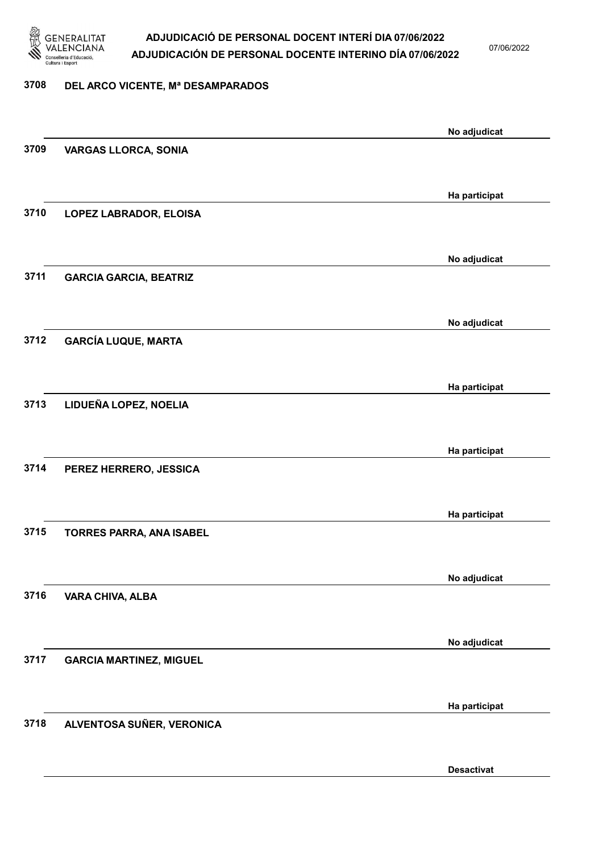

07/06/2022

#### 3708 DEL ARCO VICENTE, Mª DESAMPARADOS

|      |                                | No adjudicat      |
|------|--------------------------------|-------------------|
| 3709 | <b>VARGAS LLORCA, SONIA</b>    |                   |
|      |                                |                   |
|      |                                | Ha participat     |
| 3710 | LOPEZ LABRADOR, ELOISA         |                   |
|      |                                |                   |
|      |                                | No adjudicat      |
| 3711 | <b>GARCIA GARCIA, BEATRIZ</b>  |                   |
|      |                                |                   |
|      |                                | No adjudicat      |
| 3712 | <b>GARCÍA LUQUE, MARTA</b>     |                   |
|      |                                |                   |
|      |                                |                   |
| 3713 | LIDUEÑA LOPEZ, NOELIA          | Ha participat     |
|      |                                |                   |
|      |                                |                   |
|      |                                | Ha participat     |
| 3714 | PEREZ HERRERO, JESSICA         |                   |
|      |                                |                   |
|      |                                | Ha participat     |
| 3715 | TORRES PARRA, ANA ISABEL       |                   |
|      |                                |                   |
|      |                                | No adjudicat      |
| 3716 | <b>VARA CHIVA, ALBA</b>        |                   |
|      |                                |                   |
|      |                                | No adjudicat      |
| 3717 | <b>GARCIA MARTINEZ, MIGUEL</b> |                   |
|      |                                |                   |
|      |                                | Ha participat     |
| 3718 | ALVENTOSA SUÑER, VERONICA      |                   |
|      |                                |                   |
|      |                                | <b>Desactivat</b> |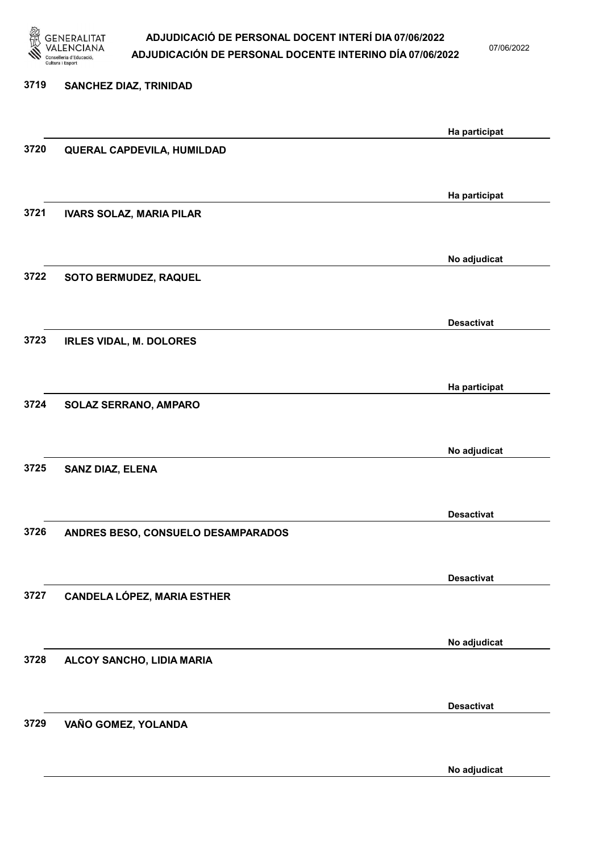

07/06/2022

No adjudicat

# 3719 SANCHEZ DIAZ, TRINIDAD Ha participat 3720 QUERAL CAPDEVILA, HUMILDAD Ha participat 3721 IVARS SOLAZ, MARIA PILAR No adjudicat 3722 SOTO BERMUDEZ, RAQUEL Desactivat 3723 IRLES VIDAL, M. DOLORES Ha participat 3724 SOLAZ SERRANO, AMPARO No adjudicat 3725 SANZ DIAZ, ELENA Desactivat 3726 ANDRES BESO, CONSUELO DESAMPARADOS Desactivat 3727 CANDELA LÓPEZ, MARIA ESTHER No adjudicat 3728 ALCOY SANCHO, LIDIA MARIA Desactivat 3729 VAÑO GOMEZ, YOLANDA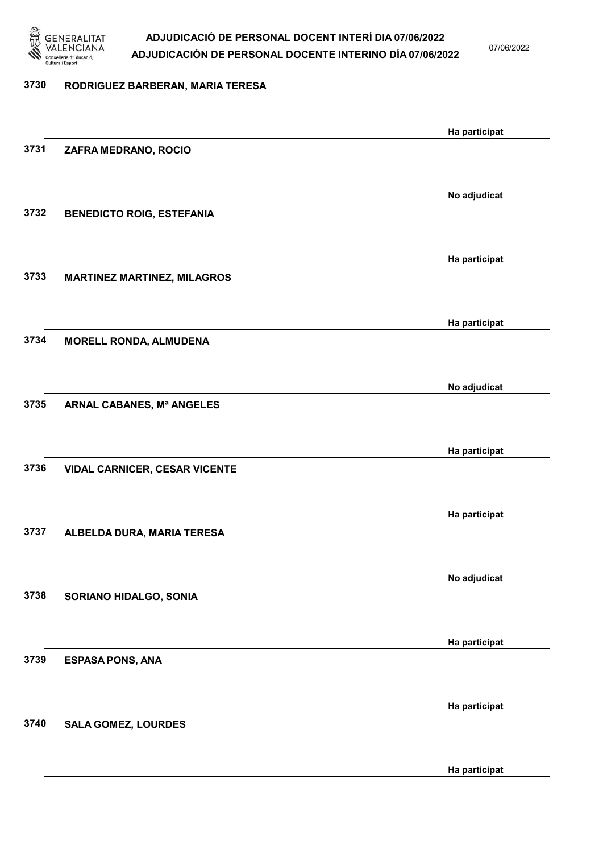

07/06/2022

### 3730 RODRIGUEZ BARBERAN, MARIA TERESA

|      |                                      | Ha participat |
|------|--------------------------------------|---------------|
| 3731 | ZAFRA MEDRANO, ROCIO                 |               |
|      |                                      |               |
|      |                                      | No adjudicat  |
| 3732 | <b>BENEDICTO ROIG, ESTEFANIA</b>     |               |
|      |                                      |               |
|      |                                      | Ha participat |
| 3733 | <b>MARTINEZ MARTINEZ, MILAGROS</b>   |               |
|      |                                      |               |
|      |                                      |               |
| 3734 | <b>MORELL RONDA, ALMUDENA</b>        | Ha participat |
|      |                                      |               |
|      |                                      |               |
| 3735 |                                      | No adjudicat  |
|      | ARNAL CABANES, Mª ANGELES            |               |
|      |                                      |               |
|      |                                      | Ha participat |
| 3736 | <b>VIDAL CARNICER, CESAR VICENTE</b> |               |
|      |                                      |               |
|      |                                      | Ha participat |
| 3737 | ALBELDA DURA, MARIA TERESA           |               |
|      |                                      |               |
|      |                                      | No adjudicat  |
| 3738 | SORIANO HIDALGO, SONIA               |               |
|      |                                      |               |
|      |                                      | Ha participat |
| 3739 | <b>ESPASA PONS, ANA</b>              |               |
|      |                                      |               |
|      |                                      | Ha participat |
| 3740 | <b>SALA GOMEZ, LOURDES</b>           |               |
|      |                                      |               |
|      |                                      | Ha participat |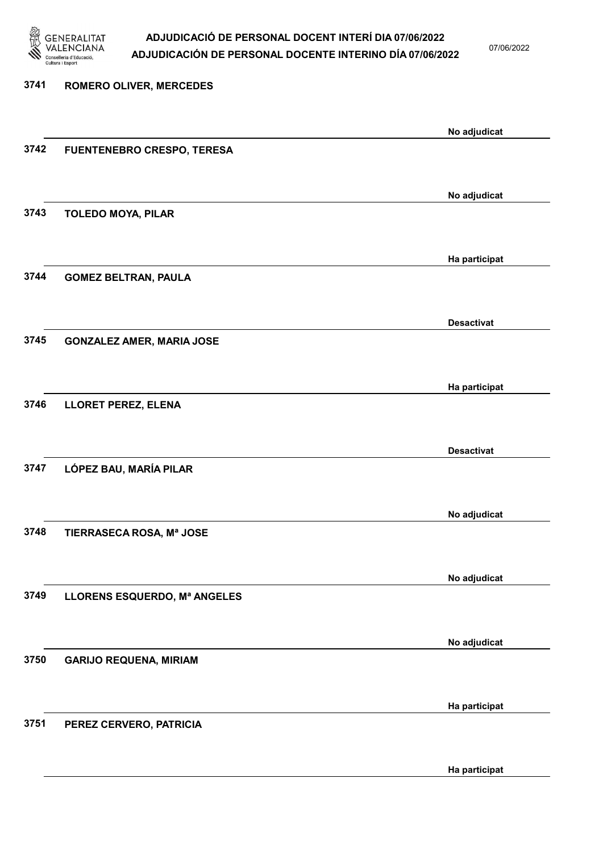

07/06/2022

Ha participat

# 3741 ROMERO OLIVER, MERCEDES No adjudicat 3742 FUENTENEBRO CRESPO, TERESA No adjudicat 3743 TOLEDO MOYA, PILAR Ha participat 3744 GOMEZ BELTRAN, PAULA Desactivat 3745 GONZALEZ AMER, MARIA JOSE Ha participat 3746 LLORET PEREZ, ELENA Desactivat 3747 LÓPEZ BAU, MARÍA PILAR No adjudicat 3748 TIERRASECA ROSA, Mª JOSE No adjudicat 3749 LLORENS ESQUERDO, Mª ANGELES No adjudicat 3750 GARIJO REQUENA, MIRIAM Ha participat 3751 PEREZ CERVERO, PATRICIA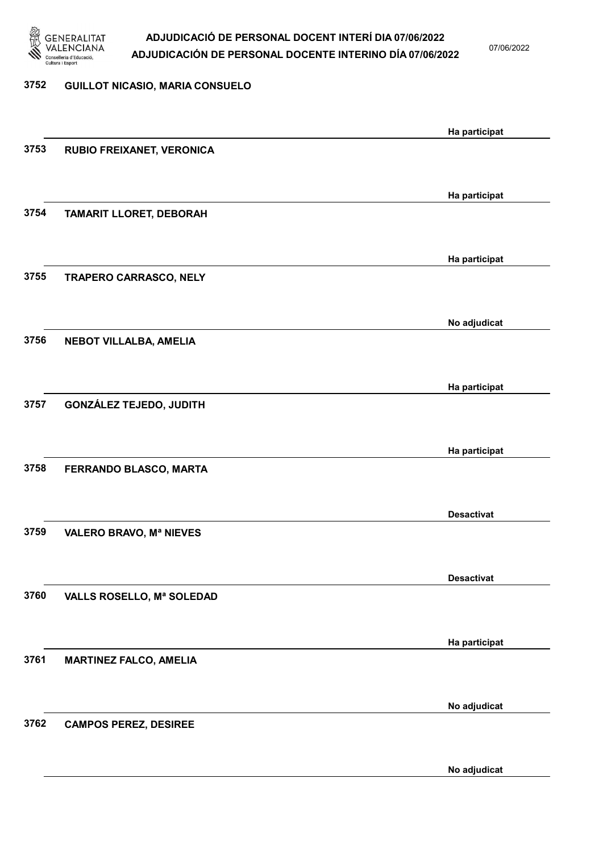

07/06/2022

### 3752 GUILLOT NICASIO, MARIA CONSUELO

|      |                                | Ha participat     |
|------|--------------------------------|-------------------|
| 3753 | RUBIO FREIXANET, VERONICA      |                   |
|      |                                |                   |
|      |                                |                   |
|      |                                | Ha participat     |
| 3754 | TAMARIT LLORET, DEBORAH        |                   |
|      |                                |                   |
|      |                                | Ha participat     |
| 3755 | <b>TRAPERO CARRASCO, NELY</b>  |                   |
|      |                                |                   |
|      |                                |                   |
|      |                                | No adjudicat      |
| 3756 | <b>NEBOT VILLALBA, AMELIA</b>  |                   |
|      |                                |                   |
|      |                                | Ha participat     |
| 3757 | <b>GONZÁLEZ TEJEDO, JUDITH</b> |                   |
|      |                                |                   |
|      |                                |                   |
| 3758 |                                | Ha participat     |
|      | FERRANDO BLASCO, MARTA         |                   |
|      |                                |                   |
|      |                                | <b>Desactivat</b> |
| 3759 | <b>VALERO BRAVO, Mª NIEVES</b> |                   |
|      |                                |                   |
|      |                                | <b>Desactivat</b> |
| 3760 | VALLS ROSELLO, Mª SOLEDAD      |                   |
|      |                                |                   |
|      |                                |                   |
|      |                                | Ha participat     |
| 3761 | <b>MARTINEZ FALCO, AMELIA</b>  |                   |
|      |                                |                   |
|      |                                | No adjudicat      |
| 3762 | <b>CAMPOS PEREZ, DESIREE</b>   |                   |
|      |                                |                   |
|      |                                |                   |
|      |                                | No adjudicat      |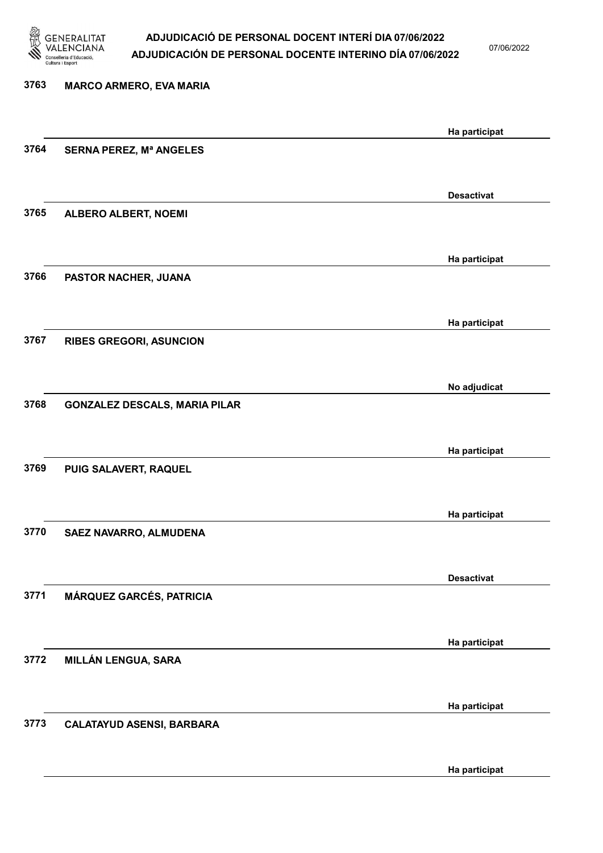

07/06/2022

# 3763 MARCO ARMERO, EVA MARIA Ha participat 3764 SERNA PEREZ, Mª ANGELES Desactivat 3765 ALBERO ALBERT, NOEMI Ha participat 3766 PASTOR NACHER, JUANA Ha participat 3767 RIBES GREGORI, ASUNCION No adjudicat 3768 GONZALEZ DESCALS, MARIA PILAR Ha participat 3769 PUIG SALAVERT, RAQUEL Ha participat 3770 SAEZ NAVARRO, ALMUDENA Desactivat 3771 MÁRQUEZ GARCÉS, PATRICIA Ha participat 3772 MILLÁN LENGUA, SARA Ha participat 3773 CALATAYUD ASENSI, BARBARA

Ha participat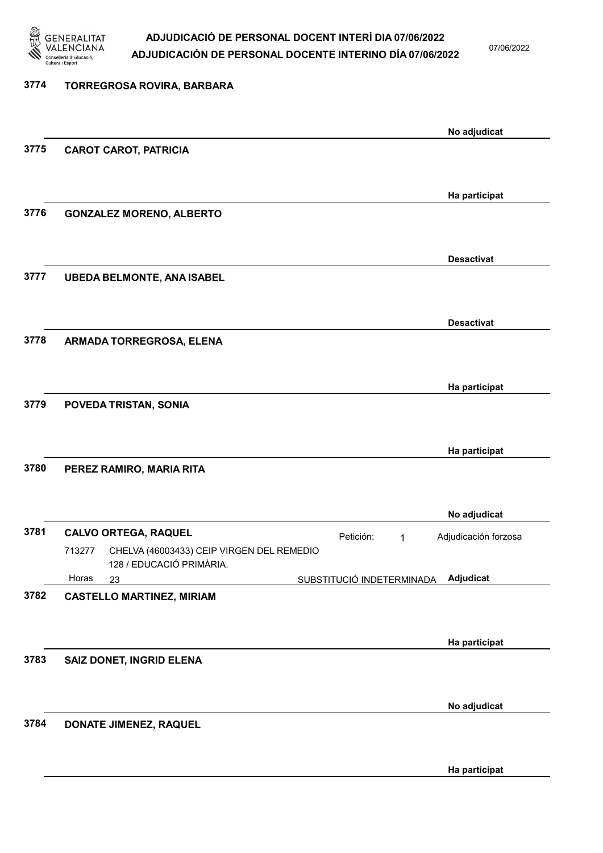

07/06/2022

# 3774 TORREGROSA ROVIRA, BARBARA No adjudicat 3775 CAROT CAROT, PATRICIA Ha participat 3776 GONZALEZ MORENO, ALBERTO Desactivat 3777 UBEDA BELMONTE, ANA ISABEL Desactivat 3778 ARMADA TORREGROSA, ELENA Ha participat 3779 POVEDA TRISTAN, SONIA Ha participat 3780 PEREZ RAMIRO, MARIA RITA No adjudicat 3781 CALVO ORTEGA, RAQUEL Petición: 1 23 SUBSTITUCIÓ INDETERMINADA CHELVA (46003433) CEIP VIRGEN DEL REMEDIO 128 / EDUCACIÓ PRIMÀRIA. Adjudicat Adjudicación forzosa 713277 Horas 3782 CASTELLO MARTINEZ, MIRIAM Ha participat 3783 SAIZ DONET, INGRID ELENA No adjudicat 3784 DONATE JIMENEZ, RAQUEL Ha participat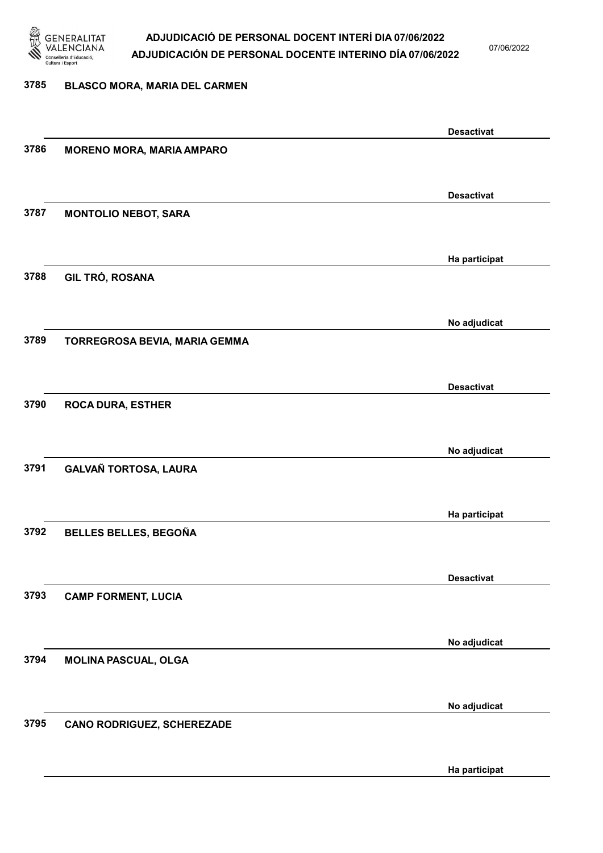

07/06/2022

#### 3785 BLASCO MORA, MARIA DEL CARMEN

|      |                                   | <b>Desactivat</b> |
|------|-----------------------------------|-------------------|
| 3786 | <b>MORENO MORA, MARIA AMPARO</b>  |                   |
|      |                                   |                   |
|      |                                   | <b>Desactivat</b> |
| 3787 | <b>MONTOLIO NEBOT, SARA</b>       |                   |
|      |                                   |                   |
|      |                                   |                   |
|      |                                   | Ha participat     |
| 3788 | GIL TRÓ, ROSANA                   |                   |
|      |                                   |                   |
|      |                                   | No adjudicat      |
| 3789 | TORREGROSA BEVIA, MARIA GEMMA     |                   |
|      |                                   |                   |
|      |                                   |                   |
| 3790 |                                   | <b>Desactivat</b> |
|      | <b>ROCA DURA, ESTHER</b>          |                   |
|      |                                   |                   |
|      |                                   | No adjudicat      |
| 3791 | <b>GALVAÑ TORTOSA, LAURA</b>      |                   |
|      |                                   |                   |
|      |                                   | Ha participat     |
| 3792 | BELLES BELLES, BEGOÑA             |                   |
|      |                                   |                   |
|      |                                   |                   |
|      |                                   | <b>Desactivat</b> |
| 3793 | <b>CAMP FORMENT, LUCIA</b>        |                   |
|      |                                   |                   |
|      |                                   | No adjudicat      |
| 3794 | <b>MOLINA PASCUAL, OLGA</b>       |                   |
|      |                                   |                   |
|      |                                   | No adjudicat      |
| 3795 | <b>CANO RODRIGUEZ, SCHEREZADE</b> |                   |
|      |                                   |                   |
|      |                                   |                   |
|      |                                   | Ha participat     |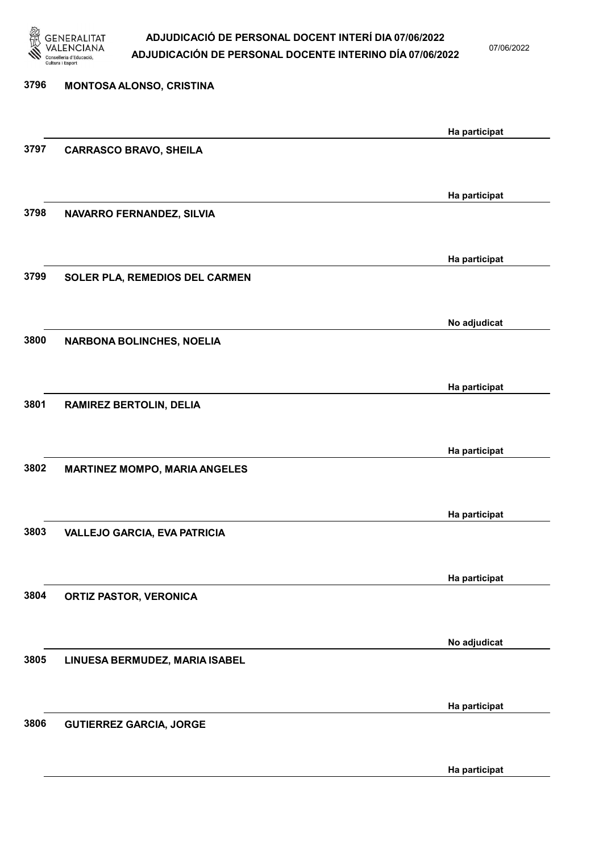

07/06/2022

| 3796 | MONTOSA ALONSO, CRISTINA             |               |
|------|--------------------------------------|---------------|
|      |                                      | Ha participat |
| 3797 | <b>CARRASCO BRAVO, SHEILA</b>        |               |
|      |                                      | Ha participat |
| 3798 | NAVARRO FERNANDEZ, SILVIA            |               |
|      |                                      | Ha participat |
| 3799 | SOLER PLA, REMEDIOS DEL CARMEN       |               |
|      |                                      | No adjudicat  |
| 3800 | NARBONA BOLINCHES, NOELIA            |               |
|      |                                      | Ha participat |
| 3801 | <b>RAMIREZ BERTOLIN, DELIA</b>       |               |
|      |                                      | Ha participat |
| 3802 | <b>MARTINEZ MOMPO, MARIA ANGELES</b> |               |
|      |                                      | Ha participat |
| 3803 | <b>VALLEJO GARCIA, EVA PATRICIA</b>  |               |
|      |                                      | Ha participat |
| 3804 | <b>ORTIZ PASTOR, VERONICA</b>        |               |
|      |                                      | No adjudicat  |
| 3805 | LINUESA BERMUDEZ, MARIA ISABEL       |               |
|      |                                      | Ha participat |
| 3806 | <b>GUTIERREZ GARCIA, JORGE</b>       |               |

Ha participat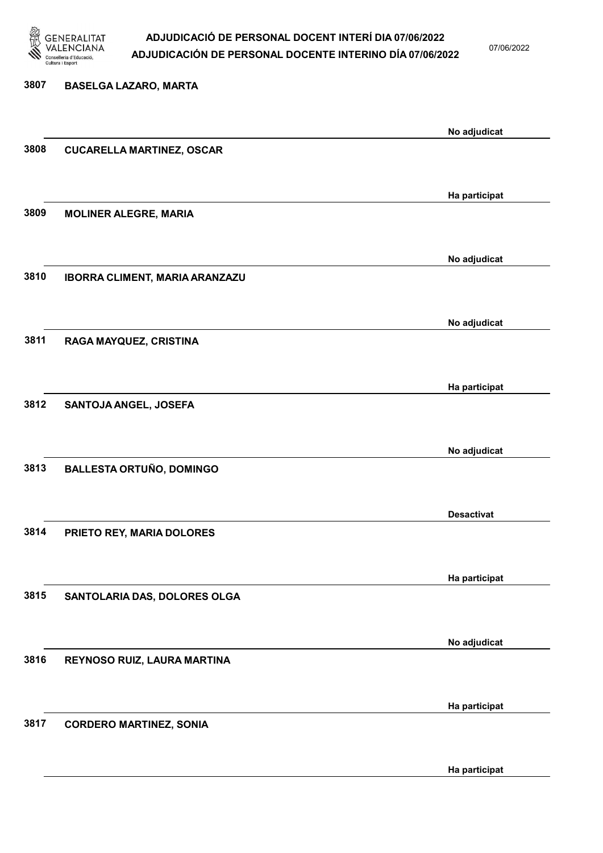

07/06/2022

Ha participat

# 3807 BASELGA LAZARO, MARTA No adjudicat 3808 CUCARELLA MARTINEZ, OSCAR Ha participat 3809 MOLINER ALEGRE, MARIA No adjudicat 3810 IBORRA CLIMENT, MARIA ARANZAZU No adjudicat 3811 RAGA MAYQUEZ, CRISTINA Ha participat 3812 SANTOJA ANGEL, JOSEFA No adjudicat 3813 BALLESTA ORTUÑO, DOMINGO Desactivat 3814 PRIETO REY, MARIA DOLORES Ha participat 3815 SANTOLARIA DAS, DOLORES OLGA No adjudicat 3816 REYNOSO RUIZ, LAURA MARTINA Ha participat 3817 CORDERO MARTINEZ, SONIA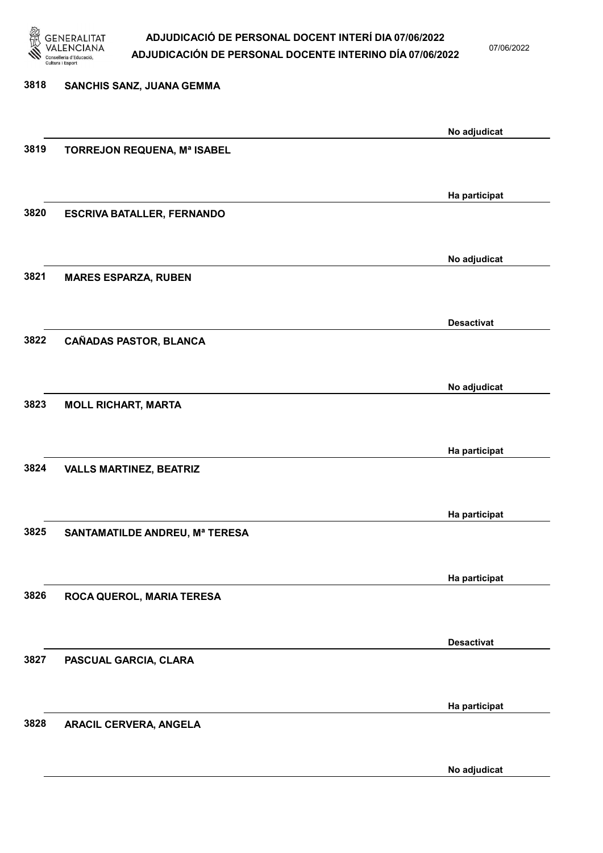

07/06/2022

No adjudicat

| 3818 | SANCHIS SANZ, JUANA GEMMA         |                   |
|------|-----------------------------------|-------------------|
|      |                                   |                   |
|      |                                   | No adjudicat      |
| 3819 | TORREJON REQUENA, Mª ISABEL       |                   |
|      |                                   |                   |
|      |                                   | Ha participat     |
| 3820 | <b>ESCRIVA BATALLER, FERNANDO</b> |                   |
|      |                                   |                   |
|      |                                   | No adjudicat      |
| 3821 | <b>MARES ESPARZA, RUBEN</b>       |                   |
|      |                                   |                   |
|      |                                   | <b>Desactivat</b> |
| 3822 | <b>CAÑADAS PASTOR, BLANCA</b>     |                   |
|      |                                   |                   |
|      |                                   | No adjudicat      |
| 3823 | <b>MOLL RICHART, MARTA</b>        |                   |
|      |                                   |                   |
| 3824 | <b>VALLS MARTINEZ, BEATRIZ</b>    | Ha participat     |
|      |                                   |                   |
|      |                                   |                   |
| 3825 | SANTAMATILDE ANDREU, Mª TERESA    | Ha participat     |
|      |                                   |                   |
|      |                                   | Ha participat     |
| 3826 | ROCA QUEROL, MARIA TERESA         |                   |
|      |                                   |                   |
|      |                                   | <b>Desactivat</b> |
| 3827 | PASCUAL GARCIA, CLARA             |                   |
|      |                                   |                   |
|      |                                   | Ha participat     |
| 3828 | ARACIL CERVERA, ANGELA            |                   |
|      |                                   |                   |
|      |                                   |                   |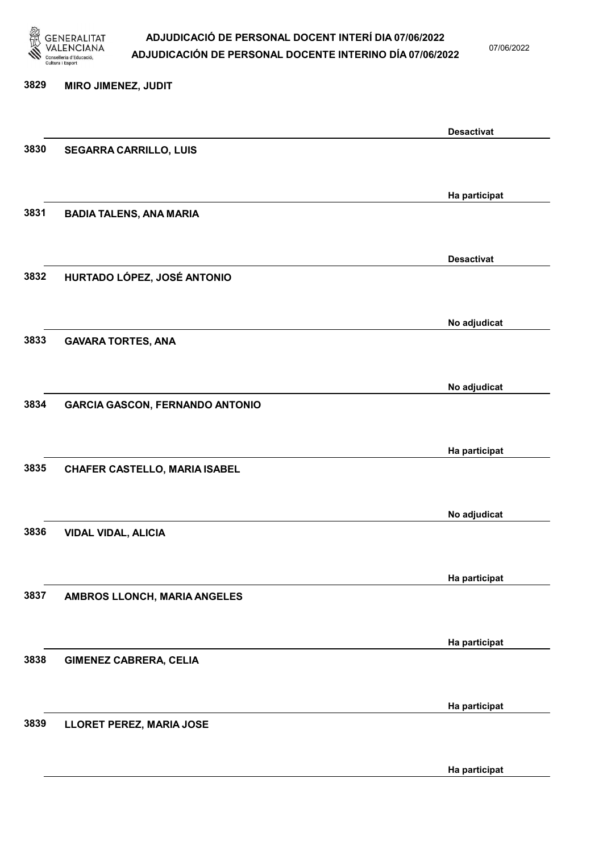

07/06/2022

Ha participat

# 3829 MIRO JIMENEZ, JUDIT Desactivat 3830 SEGARRA CARRILLO, LUIS Ha participat 3831 BADIA TALENS, ANA MARIA Desactivat 3832 HURTADO LÓPEZ, JOSÉ ANTONIO No adjudicat 3833 GAVARA TORTES, ANA No adjudicat 3834 GARCIA GASCON, FERNANDO ANTONIO Ha participat 3835 CHAFER CASTELLO, MARIA ISABEL No adjudicat 3836 VIDAL VIDAL, ALICIA Ha participat 3837 AMBROS LLONCH, MARIA ANGELES Ha participat 3838 GIMENEZ CABRERA, CELIA Ha participat 3839 LLORET PEREZ, MARIA JOSE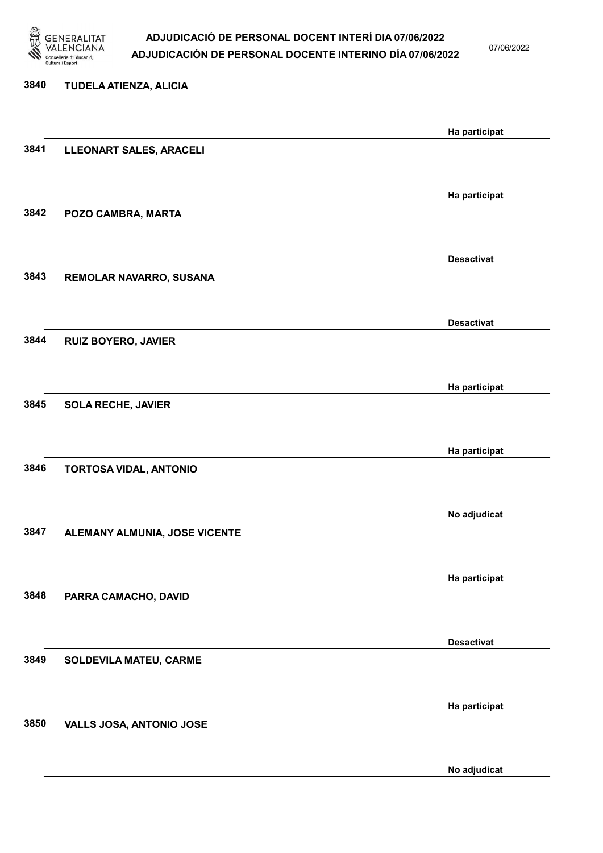

07/06/2022

# 3840 TUDELA ATIENZA, ALICIA Ha participat 3841 LLEONART SALES, ARACELI Ha participat 3842 POZO CAMBRA, MARTA Desactivat 3843 REMOLAR NAVARRO, SUSANA Desactivat 3844 RUIZ BOYERO, JAVIER Ha participat 3845 SOLA RECHE, JAVIER Ha participat 3846 TORTOSA VIDAL, ANTONIO No adjudicat 3847 ALEMANY ALMUNIA, JOSE VICENTE Ha participat 3848 PARRA CAMACHO, DAVID Desactivat 3849 SOLDEVILA MATEU, CARME Ha participat 3850 VALLS JOSA, ANTONIO JOSE

No adjudicat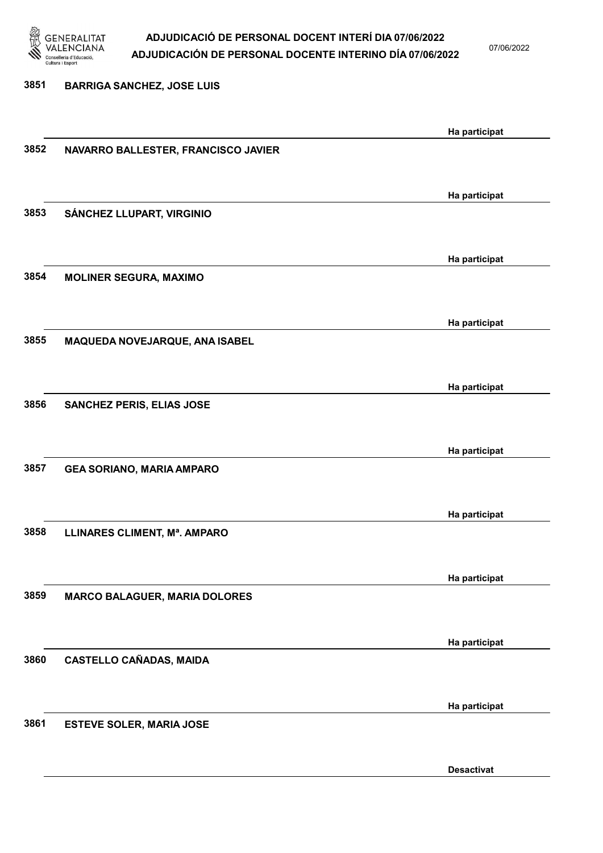

07/06/2022

Desactivat

# 3851 BARRIGA SANCHEZ, JOSE LUIS Ha participat 3852 NAVARRO BALLESTER, FRANCISCO JAVIER Ha participat 3853 SÁNCHEZ LLUPART, VIRGINIO Ha participat 3854 MOLINER SEGURA, MAXIMO Ha participat 3855 MAQUEDA NOVEJARQUE, ANA ISABEL Ha participat 3856 SANCHEZ PERIS, ELIAS JOSE Ha participat 3857 GEA SORIANO, MARIA AMPARO Ha participat 3858 LLINARES CLIMENT, Mª. AMPARO Ha participat 3859 MARCO BALAGUER, MARIA DOLORES Ha participat 3860 CASTELLO CAÑADAS, MAIDA Ha participat 3861 ESTEVE SOLER, MARIA JOSE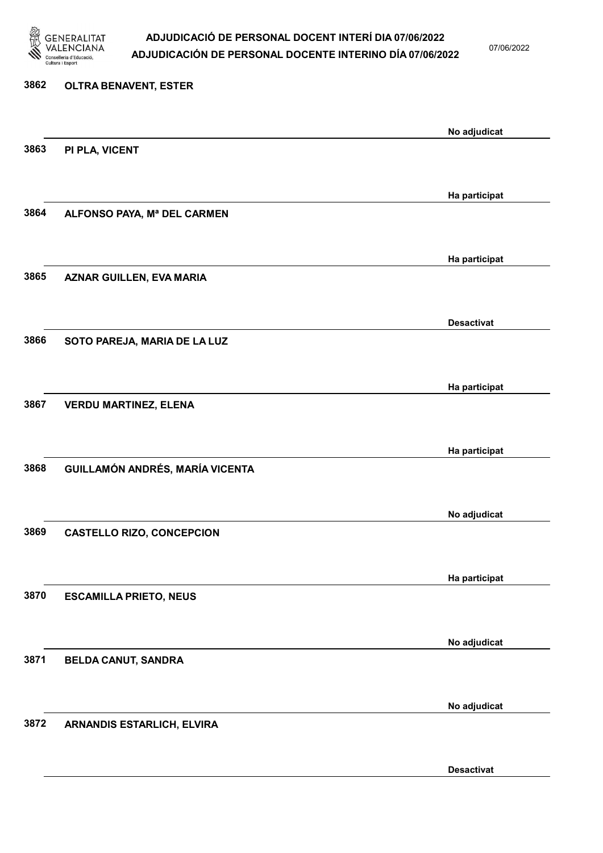

07/06/2022

# 3862 OLTRA BENAVENT, ESTER No adjudicat 3863 PI PLA, VICENT Ha participat 3864 ALFONSO PAYA, Mª DEL CARMEN Ha participat 3865 AZNAR GUILLEN, EVA MARIA Desactivat 3866 SOTO PAREJA, MARIA DE LA LUZ Ha participat 3867 VERDU MARTINEZ, ELENA Ha participat 3868 GUILLAMÓN ANDRÉS, MARÍA VICENTA No adjudicat 3869 CASTELLO RIZO, CONCEPCION Ha participat 3870 ESCAMILLA PRIETO, NEUS No adjudicat 3871 BELDA CANUT, SANDRA No adjudicat 3872 ARNANDIS ESTARLICH, ELVIRA

Desactivat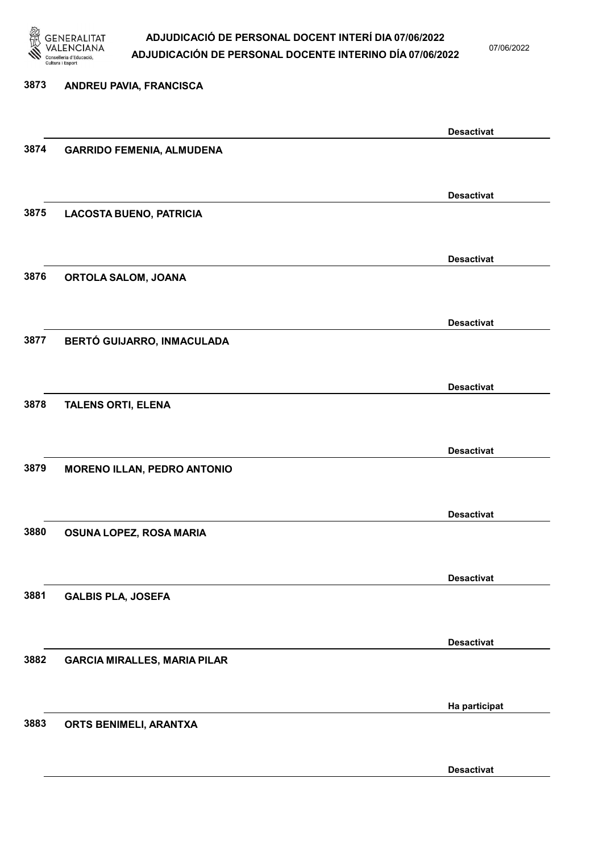

07/06/2022

Desactivat

# 3873 ANDREU PAVIA, FRANCISCA Desactivat 3874 GARRIDO FEMENIA, ALMUDENA Desactivat 3875 LACOSTA BUENO, PATRICIA Desactivat 3876 ORTOLA SALOM, JOANA Desactivat 3877 BERTÓ GUIJARRO, INMACULADA Desactivat 3878 TALENS ORTI, ELENA Desactivat 3879 MORENO ILLAN, PEDRO ANTONIO Desactivat 3880 OSUNA LOPEZ, ROSA MARIA Desactivat 3881 GALBIS PLA, JOSEFA Desactivat 3882 GARCIA MIRALLES, MARIA PILAR Ha participat 3883 ORTS BENIMELI, ARANTXA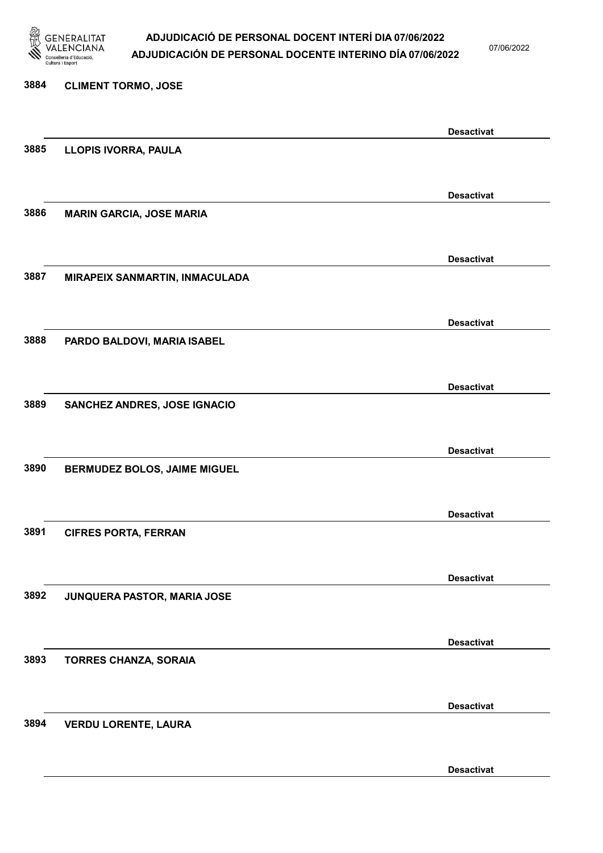

07/06/2022

Desactivat

# 3884 CLIMENT TORMO, JOSE Desactivat 3885 LLOPIS IVORRA, PAULA Desactivat 3886 MARIN GARCIA, JOSE MARIA Desactivat 3887 MIRAPEIX SANMARTIN, INMACULADA Desactivat 3888 PARDO BALDOVI, MARIA ISABEL Desactivat 3889 SANCHEZ ANDRES, JOSE IGNACIO Desactivat 3890 BERMUDEZ BOLOS, JAIME MIGUEL Desactivat 3891 CIFRES PORTA, FERRAN Desactivat 3892 JUNQUERA PASTOR, MARIA JOSE Desactivat 3893 TORRES CHANZA, SORAIA Desactivat 3894 VERDU LORENTE, LAURA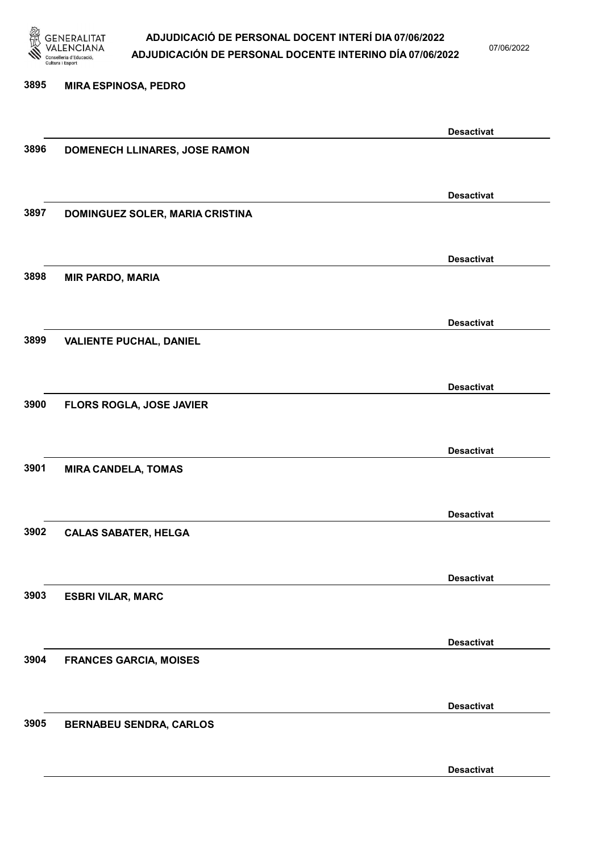

07/06/2022

# 3895 MIRA ESPINOSA, PEDRO Desactivat 3896 DOMENECH LLINARES, JOSE RAMON Desactivat 3897 DOMINGUEZ SOLER, MARIA CRISTINA Desactivat 3898 MIR PARDO, MARIA Desactivat 3899 VALIENTE PUCHAL, DANIEL Desactivat 3900 FLORS ROGLA, JOSE JAVIER Desactivat 3901 MIRA CANDELA, TOMAS Desactivat 3902 CALAS SABATER, HELGA Desactivat 3903 ESBRI VILAR, MARC Desactivat 3904 FRANCES GARCIA, MOISES Desactivat 3905 BERNABEU SENDRA, CARLOS Desactivat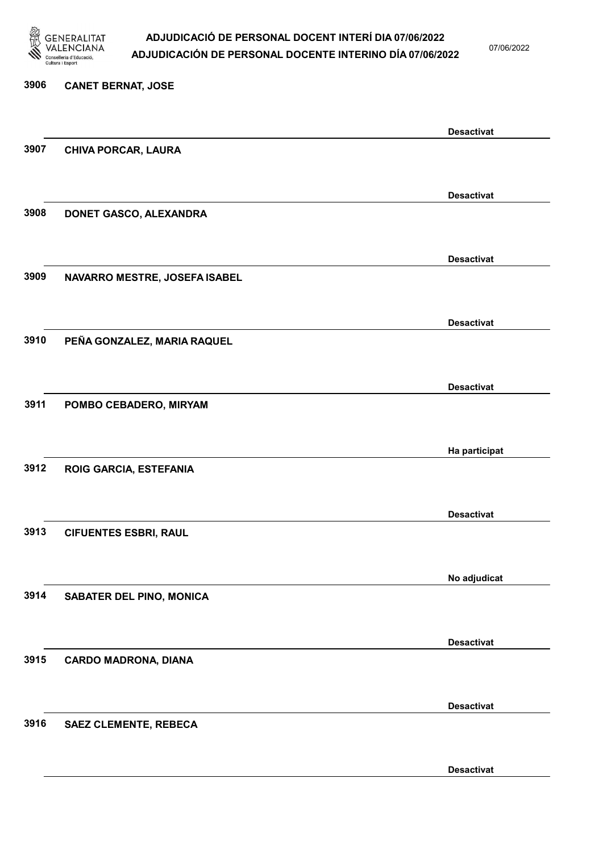

07/06/2022

# 3906 CANET BERNAT, JOSE Desactivat 3907 CHIVA PORCAR, LAURA Desactivat 3908 DONET GASCO, ALEXANDRA Desactivat 3909 NAVARRO MESTRE, JOSEFA ISABEL Desactivat 3910 PEÑA GONZALEZ, MARIA RAQUEL Desactivat 3911 POMBO CEBADERO, MIRYAM Ha participat 3912 ROIG GARCIA, ESTEFANIA Desactivat 3913 CIFUENTES ESBRI, RAUL No adjudicat 3914 SABATER DEL PINO, MONICA Desactivat 3915 CARDO MADRONA, DIANA Desactivat 3916 SAEZ CLEMENTE, REBECA

Desactivat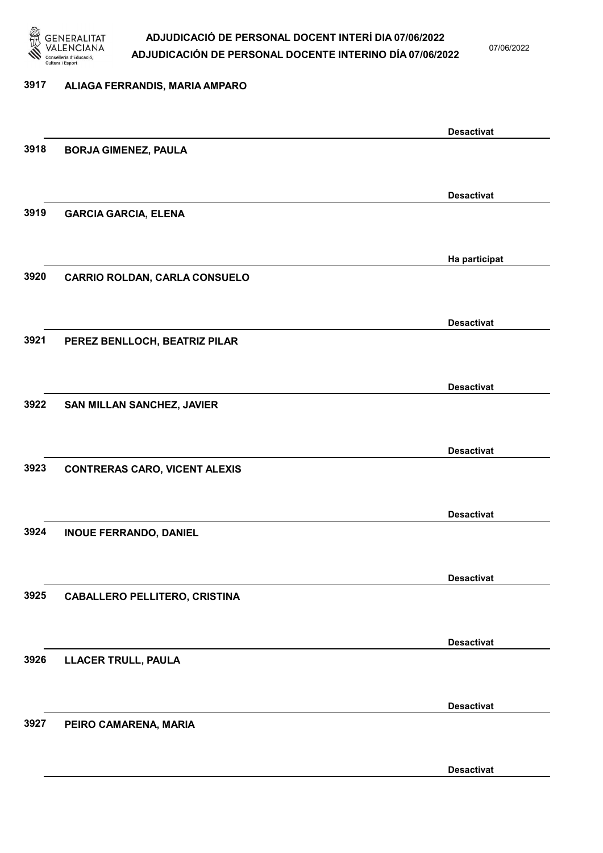

07/06/2022

### 3917 ALIAGA FERRANDIS, MARIA AMPARO

|      |                                      | <b>Desactivat</b> |
|------|--------------------------------------|-------------------|
| 3918 | <b>BORJA GIMENEZ, PAULA</b>          |                   |
|      |                                      |                   |
|      |                                      | <b>Desactivat</b> |
| 3919 | <b>GARCIA GARCIA, ELENA</b>          |                   |
|      |                                      |                   |
|      |                                      |                   |
| 3920 | <b>CARRIO ROLDAN, CARLA CONSUELO</b> | Ha participat     |
|      |                                      |                   |
|      |                                      |                   |
|      |                                      | <b>Desactivat</b> |
| 3921 | PEREZ BENLLOCH, BEATRIZ PILAR        |                   |
|      |                                      |                   |
|      |                                      | <b>Desactivat</b> |
| 3922 | SAN MILLAN SANCHEZ, JAVIER           |                   |
|      |                                      |                   |
|      |                                      | <b>Desactivat</b> |
| 3923 | <b>CONTRERAS CARO, VICENT ALEXIS</b> |                   |
|      |                                      |                   |
|      |                                      | <b>Desactivat</b> |
| 3924 | <b>INOUE FERRANDO, DANIEL</b>        |                   |
|      |                                      |                   |
|      |                                      | <b>Desactivat</b> |
| 3925 | <b>CABALLERO PELLITERO, CRISTINA</b> |                   |
|      |                                      |                   |
|      |                                      |                   |
|      |                                      | <b>Desactivat</b> |
| 3926 | <b>LLACER TRULL, PAULA</b>           |                   |
|      |                                      |                   |
|      |                                      | <b>Desactivat</b> |
| 3927 | PEIRO CAMARENA, MARIA                |                   |
|      |                                      |                   |
|      |                                      | <b>Desactivat</b> |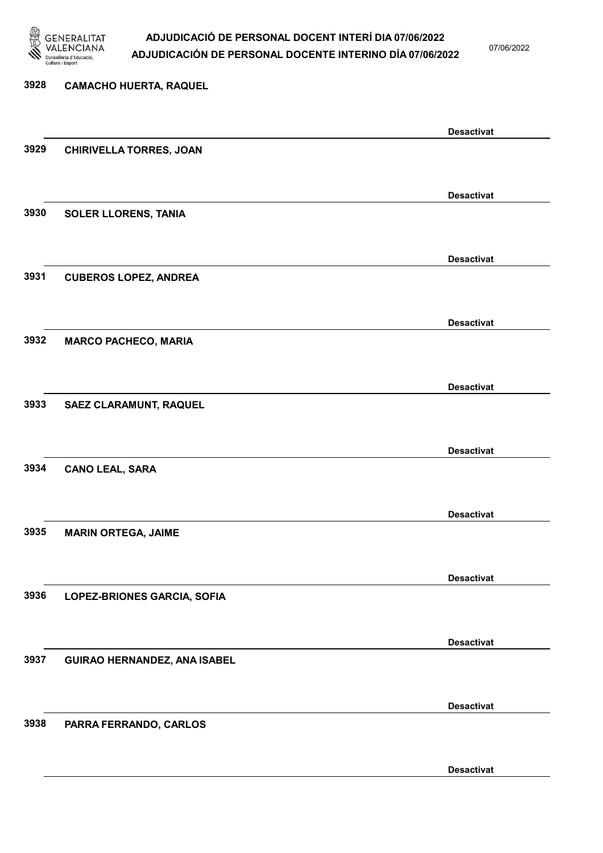

07/06/2022

Desactivat

# 3928 CAMACHO HUERTA, RAQUEL Desactivat 3929 CHIRIVELLA TORRES, JOAN Desactivat 3930 SOLER LLORENS, TANIA Desactivat 3931 CUBEROS LOPEZ, ANDREA Desactivat 3932 MARCO PACHECO, MARIA Desactivat 3933 SAEZ CLARAMUNT, RAQUEL Desactivat 3934 CANO LEAL, SARA Desactivat 3935 MARIN ORTEGA, JAIME Desactivat 3936 LOPEZ-BRIONES GARCIA, SOFIA Desactivat 3937 GUIRAO HERNANDEZ, ANA ISABEL Desactivat 3938 PARRA FERRANDO, CARLOS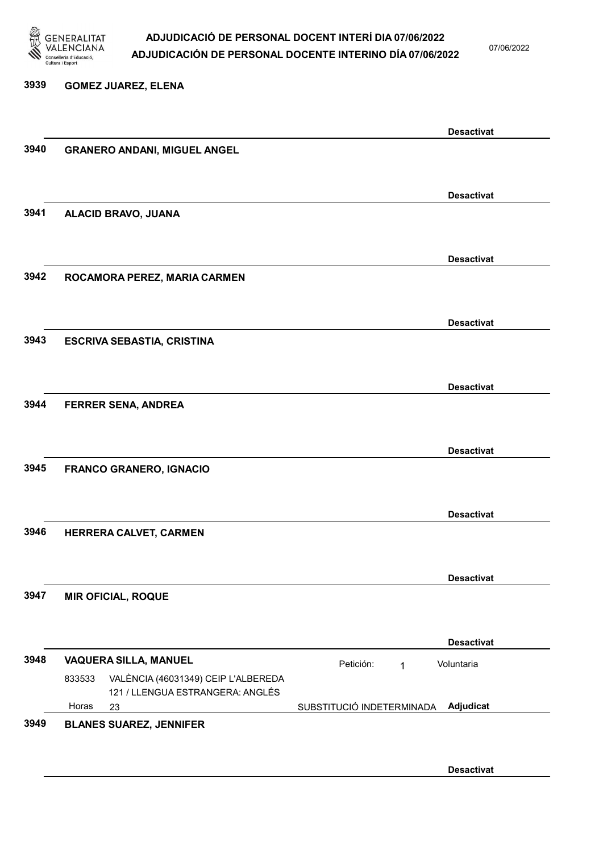

3939 GOMEZ JUAREZ, ELENA

# ADJUDICACIÓ DE PERSONAL DOCENT INTERÍ DIA 07/06/2022 ADJUDICACIÓN DE PERSONAL DOCENTE INTERINO DÍA 07/06/2022

07/06/2022

# Desactivat 3940 GRANERO ANDANI, MIGUEL ANGEL Desactivat 3941 ALACID BRAVO, JUANA Desactivat 3942 ROCAMORA PEREZ, MARIA CARMEN Desactivat 3943 ESCRIVA SEBASTIA, CRISTINA Desactivat 3944 FERRER SENA, ANDREA Desactivat 3945 FRANCO GRANERO, IGNACIO Desactivat 3946 HERRERA CALVET, CARMEN Desactivat 3947 MIR OFICIAL, ROQUE Desactivat 3948 VAQUERA SILLA, MANUEL Petición: 1 23 SUBSTITUCIÓ INDETERMINADA VALÈNCIA (46031349) CEIP L'ALBEREDA 121 / LLENGUA ESTRANGERA: ANGLÉS Adjudicat Voluntaria 833533 Horas 3949 BLANES SUAREZ, JENNIFER

Desactivat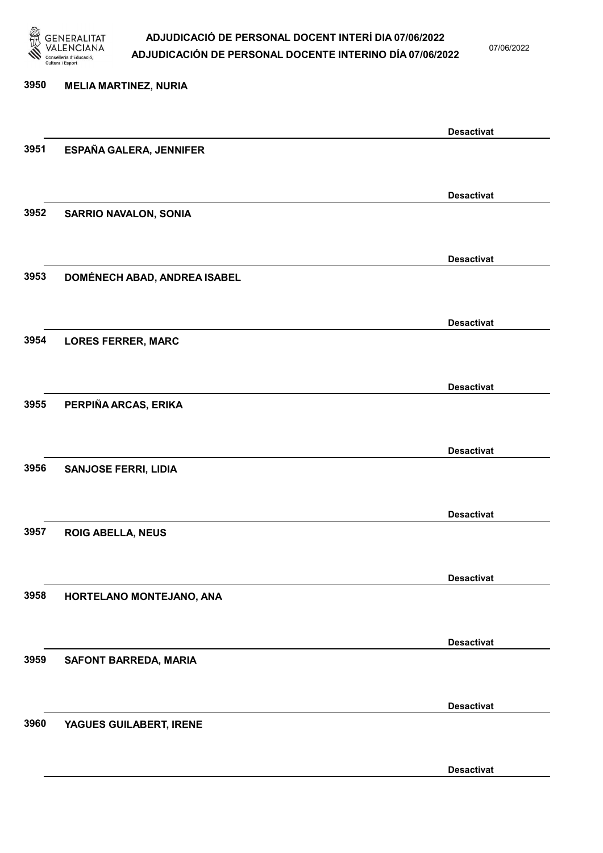

07/06/2022

Desactivat

# 3950 MELIA MARTINEZ, NURIA Desactivat 3951 ESPAÑA GALERA, JENNIFER Desactivat 3952 SARRIO NAVALON, SONIA Desactivat 3953 DOMÉNECH ABAD, ANDREA ISABEL Desactivat 3954 LORES FERRER, MARC Desactivat 3955 PERPIÑA ARCAS, ERIKA Desactivat 3956 SANJOSE FERRI, LIDIA Desactivat 3957 ROIG ABELLA, NEUS Desactivat 3958 HORTELANO MONTEJANO, ANA Desactivat 3959 SAFONT BARREDA, MARIA Desactivat 3960 YAGUES GUILABERT, IRENE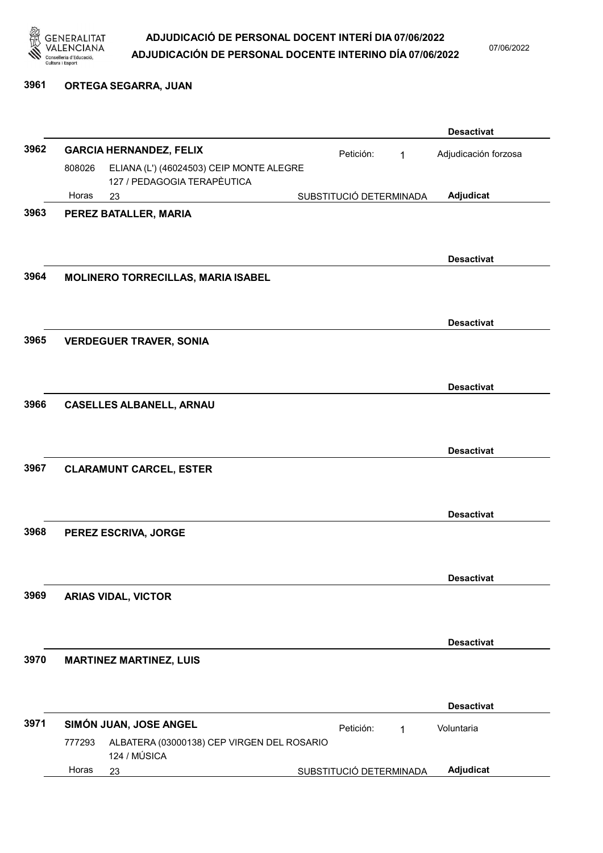

07/06/2022

## 3961 ORTEGA SEGARRA, JUAN

|      |        |                                            |                         |   | <b>Desactivat</b>    |
|------|--------|--------------------------------------------|-------------------------|---|----------------------|
| 3962 |        | <b>GARCIA HERNANDEZ, FELIX</b>             | Petición:               | 1 | Adjudicación forzosa |
|      | 808026 | ELIANA (L') (46024503) CEIP MONTE ALEGRE   |                         |   |                      |
|      | Horas  | 127 / PEDAGOGIA TERAPÈUTICA<br>23          | SUBSTITUCIÓ DETERMINADA |   | Adjudicat            |
| 3963 |        | PEREZ BATALLER, MARIA                      |                         |   |                      |
|      |        |                                            |                         |   |                      |
|      |        |                                            |                         |   |                      |
|      |        |                                            |                         |   | <b>Desactivat</b>    |
| 3964 |        | MOLINERO TORRECILLAS, MARIA ISABEL         |                         |   |                      |
|      |        |                                            |                         |   |                      |
|      |        |                                            |                         |   |                      |
|      |        |                                            |                         |   | <b>Desactivat</b>    |
| 3965 |        | <b>VERDEGUER TRAVER, SONIA</b>             |                         |   |                      |
|      |        |                                            |                         |   |                      |
|      |        |                                            |                         |   | <b>Desactivat</b>    |
| 3966 |        | <b>CASELLES ALBANELL, ARNAU</b>            |                         |   |                      |
|      |        |                                            |                         |   |                      |
|      |        |                                            |                         |   |                      |
|      |        |                                            |                         |   | <b>Desactivat</b>    |
| 3967 |        | <b>CLARAMUNT CARCEL, ESTER</b>             |                         |   |                      |
|      |        |                                            |                         |   |                      |
|      |        |                                            |                         |   | <b>Desactivat</b>    |
| 3968 |        | PEREZ ESCRIVA, JORGE                       |                         |   |                      |
|      |        |                                            |                         |   |                      |
|      |        |                                            |                         |   |                      |
|      |        |                                            |                         |   | <b>Desactivat</b>    |
| 3969 |        | <b>ARIAS VIDAL, VICTOR</b>                 |                         |   |                      |
|      |        |                                            |                         |   |                      |
|      |        |                                            |                         |   |                      |
|      |        |                                            |                         |   | <b>Desactivat</b>    |
| 3970 |        | <b>MARTINEZ MARTINEZ, LUIS</b>             |                         |   |                      |
|      |        |                                            |                         |   |                      |
|      |        |                                            |                         |   | <b>Desactivat</b>    |
| 3971 |        | SIMÓN JUAN, JOSE ANGEL                     | Petición:               |   | Voluntaria           |
|      | 777293 | ALBATERA (03000138) CEP VIRGEN DEL ROSARIO |                         | 1 |                      |
|      |        | 124 / MÚSICA                               |                         |   |                      |
|      | Horas  | 23                                         | SUBSTITUCIÓ DETERMINADA |   | Adjudicat            |
|      |        |                                            |                         |   |                      |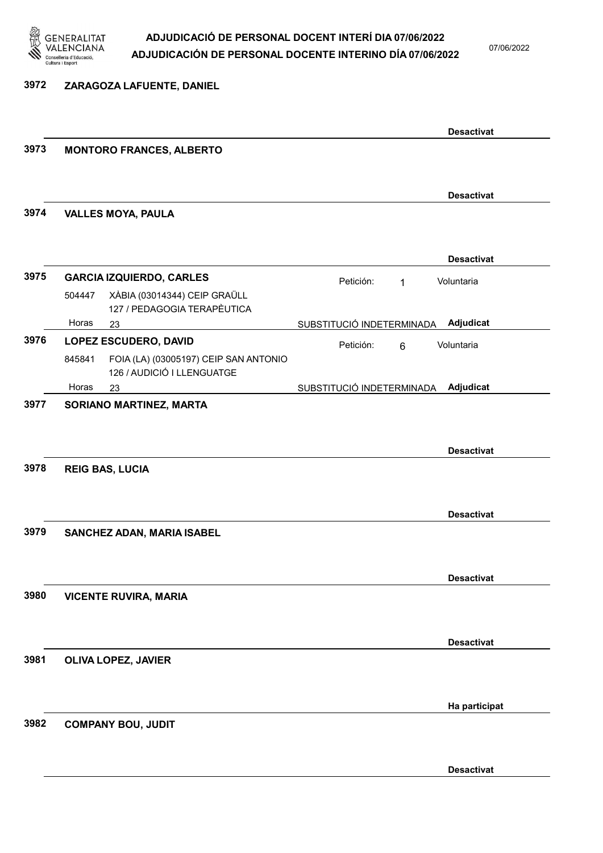

## ADJUDICACIÓ DE PERSONAL DOCENT INTERÍ DIA 07/06/2022 ADJUDICACIÓN DE PERSONAL DOCENTE INTERINO DÍA 07/06/2022

07/06/2022

## 3972 ZARAGOZA LAFUENTE, DANIEL

|      |        |                                                                     |                           |              | <b>Desactivat</b> |
|------|--------|---------------------------------------------------------------------|---------------------------|--------------|-------------------|
| 3973 |        | <b>MONTORO FRANCES, ALBERTO</b>                                     |                           |              |                   |
|      |        |                                                                     |                           |              | <b>Desactivat</b> |
| 3974 |        | <b>VALLES MOYA, PAULA</b>                                           |                           |              |                   |
|      |        |                                                                     |                           |              | <b>Desactivat</b> |
| 3975 |        | <b>GARCIA IZQUIERDO, CARLES</b>                                     | Petición:                 | $\mathbf{1}$ | Voluntaria        |
|      | 504447 | XÀBIA (03014344) CEIP GRAÜLL<br>127 / PEDAGOGIA TERAPÈUTICA         |                           |              |                   |
|      | Horas  | 23                                                                  | SUBSTITUCIÓ INDETERMINADA |              | Adjudicat         |
| 3976 |        | <b>LOPEZ ESCUDERO, DAVID</b>                                        | Petición:                 | 6            | Voluntaria        |
|      | 845841 | FOIA (LA) (03005197) CEIP SAN ANTONIO<br>126 / AUDICIÓ I LLENGUATGE |                           |              |                   |
|      | Horas  | 23                                                                  | SUBSTITUCIÓ INDETERMINADA |              | Adjudicat         |
| 3978 |        | <b>REIG BAS, LUCIA</b>                                              |                           |              | <b>Desactivat</b> |
|      |        |                                                                     |                           |              | <b>Desactivat</b> |
| 3979 |        | SANCHEZ ADAN, MARIA ISABEL                                          |                           |              |                   |
| 3980 |        |                                                                     |                           |              | <b>Desactivat</b> |
|      |        | <b>VICENTE RUVIRA, MARIA</b>                                        |                           |              |                   |
|      |        |                                                                     |                           |              | <b>Desactivat</b> |
| 3981 |        | <b>OLIVA LOPEZ, JAVIER</b>                                          |                           |              |                   |
|      |        |                                                                     |                           |              | Ha participat     |
| 3982 |        | <b>COMPANY BOU, JUDIT</b>                                           |                           |              |                   |
|      |        |                                                                     |                           |              | <b>Desactivat</b> |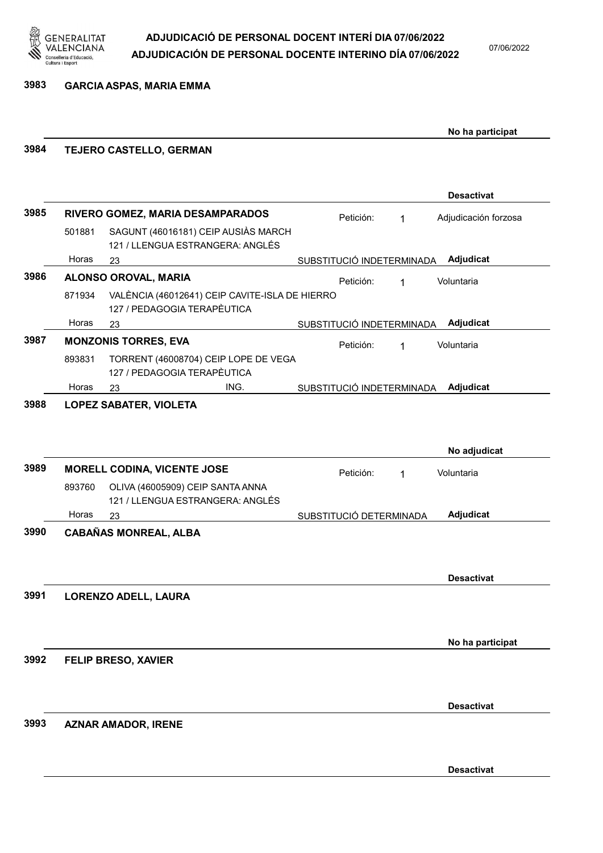

## 3983 GARCIA ASPAS, MARIA EMMA

|      |        |                                                                               |                           |   | No ha participat     |
|------|--------|-------------------------------------------------------------------------------|---------------------------|---|----------------------|
| 3984 |        | TEJERO CASTELLO, GERMAN                                                       |                           |   |                      |
|      |        |                                                                               |                           |   | <b>Desactivat</b>    |
| 3985 |        | RIVERO GOMEZ, MARIA DESAMPARADOS                                              | Petición:                 | 1 | Adjudicación forzosa |
|      | 501881 | SAGUNT (46016181) CEIP AUSIÀS MARCH<br>121 / LLENGUA ESTRANGERA: ANGLÉS       |                           |   |                      |
|      | Horas  | 23                                                                            | SUBSTITUCIÓ INDETERMINADA |   | Adjudicat            |
| 3986 |        | ALONSO OROVAL, MARIA                                                          | Petición:                 | 1 | Voluntaria           |
|      | 871934 | VALÈNCIA (46012641) CEIP CAVITE-ISLA DE HIERRO<br>127 / PEDAGOGIA TERAPÈUTICA |                           |   |                      |
|      | Horas  | 23                                                                            | SUBSTITUCIÓ INDETERMINADA |   | Adjudicat            |
| 3987 |        | <b>MONZONIS TORRES, EVA</b>                                                   | Petición:                 | 1 | Voluntaria           |
|      | 893831 | TORRENT (46008704) CEIP LOPE DE VEGA<br>127 / PEDAGOGIA TERAPÈUTICA           |                           |   |                      |
|      | Horas  | ING.<br>23                                                                    | SUBSTITUCIÓ INDETERMINADA |   | Adjudicat            |
| 3989 |        | <b>MORELL CODINA, VICENTE JOSE</b>                                            |                           |   | No adjudicat         |
|      | 893760 | OLIVA (46005909) CEIP SANTA ANNA<br>121 / LLENGUA ESTRANGERA: ANGLÉS          | Petición:                 | 1 | Voluntaria           |
|      | Horas  | 23                                                                            | SUBSTITUCIÓ DETERMINADA   |   | Adjudicat            |
| 3990 |        | <b>CABAÑAS MONREAL, ALBA</b>                                                  |                           |   |                      |
| 3991 |        | <b>LORENZO ADELL, LAURA</b>                                                   |                           |   | <b>Desactivat</b>    |
|      |        |                                                                               |                           |   |                      |
|      |        |                                                                               |                           |   | No ha participat     |
| 3992 |        | <b>FELIP BRESO, XAVIER</b>                                                    |                           |   |                      |
|      |        |                                                                               |                           |   | <b>Desactivat</b>    |
| 3993 |        | <b>AZNAR AMADOR, IRENE</b>                                                    |                           |   |                      |
|      |        |                                                                               |                           |   | <b>Desactivat</b>    |